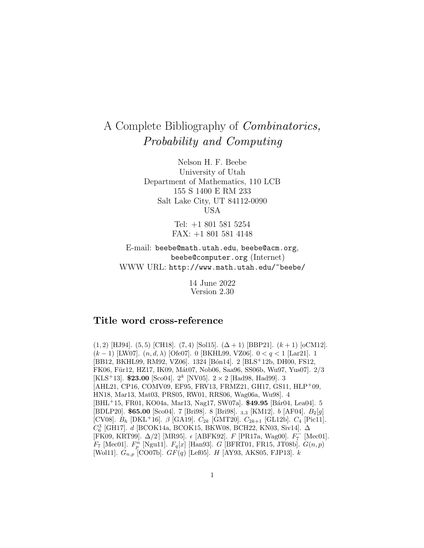# A Complete Bibliography of Combinatorics, Probability and Computing

Nelson H. F. Beebe University of Utah Department of Mathematics, 110 LCB 155 S 1400 E RM 233 Salt Lake City, UT 84112-0090 USA

> Tel: +1 801 581 5254 FAX: +1 801 581 4148

E-mail: beebe@math.utah.edu, beebe@acm.org, beebe@computer.org (Internet) WWW URL: http://www.math.utah.edu/~beebe/

> 14 June 2022 Version 2.30

# **Title word cross-reference**

 $(1, 2)$  [HJ94].  $(5, 5)$  [CH18].  $(7, 4)$  [Sol15].  $(\Delta + 1)$  [BBP21].  $(k + 1)$  [oCM12]. (k − 1) [LW07]. (n, d, λ) [Ofe07]. 0 [BKHL99, VZ06]. 0 <q< 1 [Lar21]. 1 [BB12, BKHL99, RM92, VZ06]. 1324 [Bón14]. 2 [BLS<sup>+</sup>12b, DH00, FS12, FK06, Für12, HZ17, IK09, Mát07, Nob06, Saa96, SS06b, Wu97, Yus07. 2/3 [KLS<sup>+</sup>13]. **\$23.00** [Sco04].  $2^k$  [NV05].  $2 \times 2$  [Had98, Had99]. 3 [AHL21, CP16, COMV09, EF95, FRV13, FRMZ21, GH17, GS11, HLP<sup>+</sup>09, HN18, Mar13, Mat03, PRS05, RW01, RRS06, Wag06a, Wu98]. 4 [BHL<sup>+</sup>15, FR01, KO04a, Mar13, Nag17, SW07a]. **\$49.95** [B´ar04, Lea04]. 5 [BDLP20]. **\$65.00** [Sco04]. 7 [Bri98]. 8 [Bri98]. <sub>3,3</sub> [KM12]. *b* [AF04]. *B*<sub>2</sub>[g] [CV08].  $B_h$  [DKL<sup>+</sup>16].  $\beta$  [GA19].  $C_{2k}$  [GMT20].  $C_{2k+1}$  [GL12b].  $C_4$  [Pic11].  $C_6^3$  [GH17]. $d$  [BCOK14a, BCOK15, BKW08, BCH22, KN03, Siv14].  $\Delta$ [FK09, KRT99].  $\Delta/2$ ] [MR95].  $\epsilon$  [ABFK92].  $F$  [PR17a, Wag00].  $F_7^-$  [Mec01].  $F_7$  [Mec01].  $F_p^n$  [Ngu11].  $F_q[x]$  [Han93]. G [BFRT01, FR15, JT08b].  $G(n, p)$ [Wol11].  $G_{n,p}$  [CO07b].  $GF(q)$  [Lef05]. H [AY93, AKS05, FJP13]. k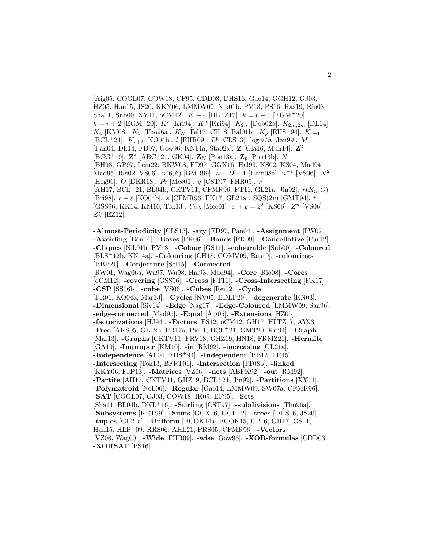[Aig05, COGL07, COW18, CF95, CDD03, DHS16, Gao14, GGH12, GJ03, HZ05, Han15, JS20, KKY06, LMMW09, Nik01b, PV13, PS16, Ras19, Rio08, Sha11, Sub00, XY11, oCM12].  $K - 4$  [HLTZ17].  $k = r + 1$  [EGM<sup>+</sup>20].  $k = r + 2$  [EGM<sup>+</sup>20]. K<sup>r</sup> [Kri94]. K<sup>s</sup> [Kri94]. K<sub>2,s</sub> [Dob02a]. K<sub>2m,2m</sub> [DL14].  $K_4$  [KM08].  $K_5$  [Tho96a].  $K_N$  [Fel17, CH18, Bal01b].  $K_p$  [EHS<sup>+</sup>94].  $K_{r+1}$ [BCL<sup>+</sup>21].  $K_{r+2}$  [KO04b]. *l* [FHR09].  $L^p$  [CLS13]. log  $n/n$  [Jan99]. M [Pan04, DL14, FD97, Gow96, KN14a, Sta02a]. **Z** [Gla16, Mun14]. **Z**<sup>2</sup>  $[BCG^+19]$ .  $\mathbb{Z}^d$  [ABC<sup>+</sup>21, GK04].  $\mathbb{Z}_N$  [Pon13a].  $\mathbb{Z}_p$  [Pon13b]. N [BH93, GP97, Lem22, BKW08, FD97, GGX16, Hal93, KS02, KS04, Mad94, Mad95, Rei02, VS06].  $n(6, 6)$  [BMR99].  $n + D - 1$  [Ham08a].  $n^{-1}$  [VS06].  $N^2$ [Heg96]. O [DKR18]. P<sup>7</sup> [Mec01]. q [CST97, FHR09]. r  $[AH17, BCL+21, BL04b, CKTV11, CFMR96, FT11, GL21a, Jin92].$   $r(K_3, G)$ [Bri98].  $r + \varepsilon$  [KO04b]. s [CFMR96, FK17, GL21a]. SQS(2v) [GMT94]. t [GSS96, KK14, KM10, Tok13].  $U_{2,5}$  [Mec01].  $x + y = z^2$  [KS06].  $Z^n$  [VS06].  $Z_2^n$  [EZ12].

**-Almost-Periodicity** [CLS13]. **-ary** [FD97, Pan04]. **-Assignment** [LW07]. **-Avoiding** [B´on14]. **-Bases** [FK06]. **-Bonds** [FK09]. **-Cancellative** [F¨ur12]. **-Cliques** [Nik01b, PV13]. **-Colour** [GS11]. **-colourable** [Sub00]. **-Coloured** [BLS<sup>+</sup>12b, KN14a]. **-Colouring** [CH18, COMV09, Ras19]. **-colourings** [BBP21]. **-Conjecture** [Sol15]. **-Connected** [RW01, Wag06a, Wu97, Wu98, Hal93, Mad94]. **-Core** [Rio08]. **-Cores** [oCM12]. **-covering** [GSS96]. **-Cross** [FT11]. **-Cross-Intersecting** [FK17]. **-CSP** [SS06b]. **-cube** [VS06]. **-Cubes** [Rei02]. **-Cycle** [FR01, KO04a, Mar13]. **-Cycles** [NV05, BDLP20]. **-degenerate** [KN03]. **-Dimensional** [Siv14]. **-Edge** [Nag17]. **-Edge-Coloured** [LMMW09, Saa96]. **-edge-connected** [Mad95]. **-Equal** [Aig05]. **-Extensions** [HZ05]. **-factorizations** [HJ94]. **-Factors** [FS12, oCM12, GH17, HLTZ17, AY93]. **-Free** [AKS05, GL12b, PR17a, Pic11, BCL<sup>+</sup>21, GMT20, Kri94]. **-Graph** [Mar13]. **-Graphs** [CKTV11, FRV13, GHZ19, HN18, FRMZ21]. **-Hermite** [GA19]. **-Improper** [KM10]. **-in** [RM92]. **-increasing** [GL21a]. **-Independence** [AF04, EHS<sup>+</sup>94]. **-Independent** [BB12, FR15]. **-Intersecting** [Tok13, BFRT01]. **-Intersection** [JT08b]. **-linked** [KKY06, FJP13]. **-Matrices** [VZ06]. **-nets** [ABFK92]. **-out** [RM92]. **-Partite** [AH17, CKTV11, GHZ19, BCL<sup>+</sup>21, Jin92]. **-Partitions** [XY11]. **-Polymatroid** [Nob06]. **-Regular** [Gao14, LMMW09, SW07a, CFMR96]. **-SAT** [COGL07, GJ03, COW18, IK09, EF95]. **-Sets** [Sha11, BL04b, DKL<sup>+</sup>16]. **-Stirling** [CST97]. **-subdivisions** [Tho96a]. **-Subsystems** [KRT99]. **-Sums** [GGX16, GGH12]. **-trees** [DHS16, JS20]. **-tuples** [GL21a]. **-Uniform** [BCOK14a, BCOK15, CP16, GH17, GS11, Han15, HLP<sup>+</sup>09, RRS06, AHL21, PRS05, CFMR96]. **-Vectors** [VZ06, Wag00]. **-Wide** [FHR09]. **-wise** [Gow96]. **-XOR-formulas** [CDD03]. **-XORSAT** [PS16].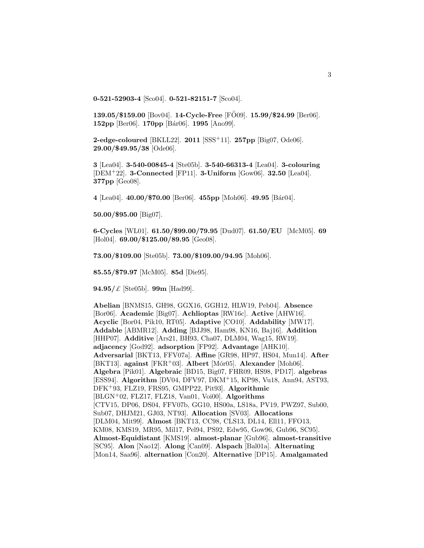**0-521-52903-4** [Sco04]. **0-521-82151-7** [Sco04].

**139.05/\$159.00** [Bov04]. **14-Cycle-Free** [FO09]. **15.99/\$24.99** [Ber06]. **152pp** [Ber06]. **170pp** [B´ar06]. **1995** [Ano99].

**2-edge-coloured** [BKLL22]. **2011** [SSS<sup>+</sup>11]. **257pp** [Big07, Ode06]. **29.00/\$49.95/38** [Ode06].

**3** [Lea04]. **3-540-00845-4** [Ste05b]. **3-540-66313-4** [Lea04]. **3-colouring** [DEM<sup>+</sup>22]. **3-Connected** [FP11]. **3-Uniform** [Gow06]. **32.50** [Lea04]. **377pp** [Geo08].

**4** [Lea04]. **40.00/\$70.00** [Ber06]. **455pp** [Moh06]. **49.95** [B´ar04].

**50.00/\$95.00** [Big07].

**6-Cycles** [WL01]. **61.50/\$99.00/79.95** [Dud07]. **61.50/EU** [McM05]. **69** [Hol04]. **69.00/\$125.00/89.95** [Geo08].

**73.00/\$109.00** [Ste05b]. **73.00/\$109.00/94.95** [Moh06].

**85.55/\$79.97** [McM05]. **85d** [Die95].

**94.95/**£ [Ste05b]. **99m** [Had99].

**Abelian** [BNMS15, GH98, GGX16, GGH12, HLW19, Peb04]. **Absence** [Bor06]. **Academic** [Big07]. **Achlioptas** [RW16c]. **Active** [AHW16]. **Acyclic** [Bor04, Pik10, RT05]. **Adaptive** [CO10]. **Addability** [MW17]. **Addable** [ABMR12]. **Adding** [BJJ98, Ham98, KN16, Baj16]. **Addition** [HHP07]. **Additive** [Ars21, BH93, Cha07, DLM04, Wag15, RW19]. **adjacency** [God92]. **adsorption** [FP92]. **Advantage** [AHK10]. **Adversarial** [BKT13, FFV07a]. **Affine** [GR98, HP97, HS04, Mun14]. **After** [BKT13]. **against** [FKR<sup>+</sup>03]. **Albert** [M´or05]. **Alexander** [Moh06]. **Algebra** [Pik01]. **Algebraic** [BD15, Big07, FHR09, HS98, PD17]. **algebras** [ESS94]. **Algorithm** [DV04, DFV97, DKM<sup>+</sup>15, KP98, Vu18, Ann94, AST93, DFK<sup>+</sup>93, FLZ19, FRS95, GMPP22, Pit93]. **Algorithmic** [BLGN<sup>+</sup>02, FLZ17, FLZ18, Van01, Voi00]. **Algorithms** [CTV15, DP06, DS04, FFV07b, GG10, HS00a, LS18a, PV19, PWZ97, Sub00, Sub07, DHJM21, GJ03, NT93]. **Allocation** [SV03]. **Allocations** [DLM04, Mit99]. **Almost** [BKT13, CC98, CLS13, DL14, Ell11, FFO13, KM08, KMS19, MR95, Mil17, Pel94, PS92, Edw95, Gow96, Gub96, SC95]. **Almost-Equidistant** [KMS19]. **almost-planar** [Gub96]. **almost-transitive** [SC95]. **Alon** [Nao12]. **Along** [Can09]. **Alspach** [Bal01a]. **Alternating** [Mon14, Saa96]. **alternation** [Con20]. **Alternative** [DP15]. **Amalgamated**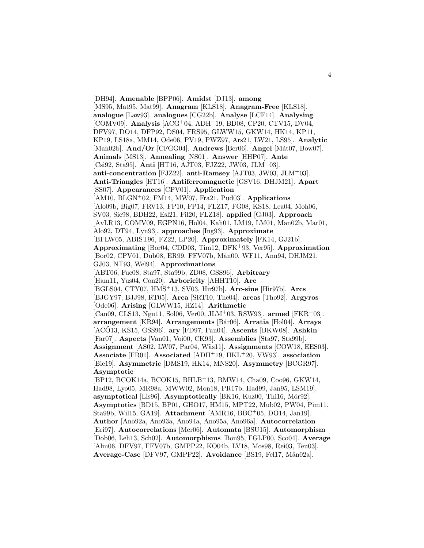[DH94]. **Amenable** [BPP06]. **Amidst** [DJ13]. **among** [MS95, Mat95, Mat99]. **Anagram** [KLS18]. **Anagram-Free** [KLS18]. **analogue** [Law93]. **analogues** [CG22b]. **Analyse** [LCF14]. **Analysing** [COMV09]. **Analysis** [ACG<sup>+</sup>04, ADH<sup>+</sup>19, BD08, CP20, CTV15, DV04, DFV97, DO14, DFP92, DS04, FRS95, GLWW15, GKW14, HK14, KP11, KP19, LS18a, MM14, Ode06, PV19, PWZ97, Ars21, LW21, LS95]. **Analytic** [Man02b]. **And/Or** [CFGG04]. **Andrews** [Ber06]. **Angel** [Mát07, Bow07]. **Animals** [MS13]. **Annealing** [NS01]. **Answer** [HHP07]. **Ante** [Csi92, Sta95]. **Anti** [HT16, AJT03, FJZ22, JW03, JLM<sup>+</sup>03]. **anti-concentration** [FJZ22]. **anti-Ramsey** [AJT03, JW03, JLM<sup>+</sup>03]. **Anti-Triangles** [HT16]. **Antiferromagnetic** [GSV16, DHJM21]. **Apart** [SS07]. **Appearances** [CPV01]. **Application** [AM10, BLGN<sup>+</sup>02, FM14, MW07, Fra21, Pud03]. **Applications** [Alo09b, Big07, FRV13, FP10, FP14, FLZ17, FG08, KS18, Lea04, Moh06, SV03, Sie98, BDH22, Esl21, Fil20, FLZ18]. **applied** [GJ03]. **Approach** [AvLR13, COMV09, EGPN16, Hol04, Kah01, LM19, LM01, Man02b, Mar01, Alo92, DT94, Lyn93]. **approaches** [Ing93]. **Approximate** [BFLW05, ABIST96, FZ22, LP20]. **Approximately** [FK14, GJ21b]. **Approximating** [Bor04, CDD03, Tim12, DFK<sup>+</sup>93, Ver95]. **Approximation** [Bor02, CPV01, Dub08, ER99, FFV07b, Mån00, WF11, Ann94, DHJM21, GJ03, NT93, Wel94]. **Approximations** [ABT06, Fuc08, Sta97, Sta99b, ZD08, GSS96]. **Arbitrary** [Ham11, Yus04, Con20]. **Arboricity** [AHHT10]. **Arc** [BGLS04, CTY07, HMS<sup>+</sup>13, SV03, Hir97b]. **Arc-sine** [Hir97b]. **Arcs** [BJGY97, BJJ98, RT05]. **Area** [SRT10, The04]. **areas** [Tho92]. **Argyros** [Ode06]. **Arising** [GLWW15, HZ14]. **Arithmetic** [Can09, CLS13, Ngu11, Sol06, Ver00, JLM<sup>+</sup>03, RSW93]. **armed** [FKR<sup>+</sup>03]. **arrangement** [KR94]. **Arrangements** [B´ar06]. **Arratia** [Hol04]. **Arrays** [ACO13, KS15, GSS96]. ary [FD97, Pan04]. Ascents [BKW08]. Ashkin [Far07]. **Aspects** [Van01, Voi00, CK93]. **Assemblies** [Sta97, Sta99b]. **Assignment** [AS02, LW07, Par04, W¨as11]. **Assignments** [COW18, EES03]. **Associate** [FR01]. **Associated** [ADH<sup>+</sup>19, HKL<sup>+</sup>20, VW93]. **association** [Bie19]. **Asymmetric** [DMS19, HK14, MNS20]. **Asymmetry** [BCGR97]. **Asymptotic** [BP12, BCOK14a, BCOK15, BHLB<sup>+</sup>13, BMW14, Cha09, Coo96, GKW14, Had98, Lyo05, MR98a, MWW02, Mon18, PR17b, Had99, Jan95, LSM19]. **asymptotical** [Lis96]. **Asymptotically** [BK16, Kuz00, Thi16, Mór92]. **Asymptotics** [BD15, BP01, GHO17, HM15, MPT22, Mub02, PW04, Pim11, Sta99b, Wil15, GA19]. **Attachment** [AMR16, BBC<sup>+</sup>05, DO14, Jan19]. **Author** [Ano92a, Ano93a, Ano94a, Ano95a, Ano96a]. **Autocorrelation** [Eri97]. **Autocorrelations** [Mer06]. **Automata** [BSU15]. **Automorphism** [Dob06, Leh13, Sch02]. **Automorphisms** [Bon95, FGLP00, Sco04]. **Average** [Alm06, DFV97, FFV07b, GMPP22, KO04b, LV18, Mos98, Rei03, Teu03].

**Average-Case** [DFV97, GMPP22]. **Avoidance** [BS19, Fel17, M˚an02a].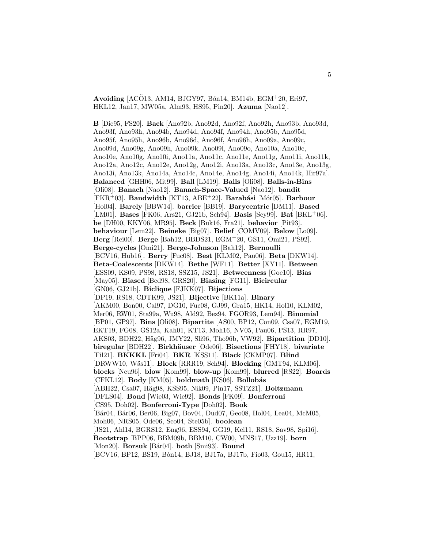**Avoiding** [AC $\ddot{\text{O}}$ 13, AM14, BJGY97, Bon14, BM14b, EGM<sup>+</sup>20, Eri97, HKL12, Jan17, MW05a, Alm93, HS95, Pin20]. **Azuma** [Nao12].

**B** [Die95, FS20]. **Back** [Ano92b, Ano92d, Ano92f, Ano92h, Ano93b, Ano93d, Ano93f, Ano93h, Ano94b, Ano94d, Ano94f, Ano94h, Ano95b, Ano95d, Ano95f, Ano95h, Ano96b, Ano96d, Ano96f, Ano96h, Ano09a, Ano09c, Ano09d, Ano09g, Ano09h, Ano09k, Ano09l, Ano09o, Ano10a, Ano10c, Ano10e, Ano10g, Ano10i, Ano11a, Ano11c, Ano11e, Ano11g, Ano11i, Ano11k, Ano12a, Ano12c, Ano12e, Ano12g, Ano12i, Ano13a, Ano13c, Ano13e, Ano13g, Ano13i, Ano13k, Ano14a, Ano14c, Ano14e, Ano14g, Ano14i, Ano14k, Hir97a]. **Balanced** [GHH06, Mit99]. **Ball** [LM19]. **Balls** [Oli08]. **Balls-in-Bins** [Oli08]. **Banach** [Nao12]. **Banach-Space-Valued** [Nao12]. **bandit** [FKR<sup>+</sup>03]. **Bandwidth** [KT13, ABE<sup>+</sup>22]. **Barab´asi** [M´or05]. **Barbour** [Hol04]. **Barely** [BBW14]. **barrier** [BB19]. **Barycentric** [DM11]. **Based** [LM01]. **Bases** [FK06, Ars21, GJ21b, Sch94]. **Basis** [Sey99]. **Bat** [BKL<sup>+</sup>06]. **be** [DH00, KKY06, MR95]. **Beck** [Buk16, Fra21]. **behavior** [Pit93]. **behaviour** [Lem22]. **Beineke** [Big07]. **Belief** [COMV09]. **Below** [Lo09]. **Berg** [Rei00]. **Berge** [Bah12, BBDS21, EGM<sup>+</sup>20, GS11, Omi21, PS92]. **Berge-cycles** [Omi21]. **Berge-Johnson** [Bah12]. **Bernoulli** [BCV16, Hub16]. **Berry** [Fuc08]. **Best** [KLM02, Pau06]. **Beta** [DKW14]. **Beta-Coalescents** [DKW14]. **Bethe** [WF11]. **Better** [XY11]. **Between** [ESS09, KS09, PS98, RS18, SSZ15, JS21]. **Betweenness** [Goe10]. **Bias** [May05]. **Biased** [Bed98, GRS20]. **Biasing** [FG11]. **Bicircular** [GN06, GJ21b]. **Biclique** [FJKK07]. **Bijections** [DP19, RS18, CDTK99, JS21]. **Bijective** [BK11a]. **Binary** [AKM00, Bon00, Cal97, DG10, Fuc08, GJ99, Gra15, HK14, Hol10, KLM02, Mer06, RW01, Sta99a, Wu98, Ald92, Bez94, FGOR93, Lem94]. **Binomial** [BP01, GP97]. **Bins** [Oli08]. **Bipartite** [AS00, BP12, Con09, Csa07, EGM19, EKT19, FG08, GS12a, Kah01, KT13, Moh16, NV05, Pau06, PS13, RR97, AKS03, BDH22, Häg96, JMY22, Sli96, Tho96b, VW92]. **Bipartition** [DD10]. **biregular** [BDH22]. **Birkh¨auser** [Ode06]. **Bisections** [FHY18]. **bivariate** [Fil21]. **BKKKL** [Fri04]. **BKR** [KSS11]. **Black** [CKMP07]. **Blind** [DRWW10, W¨as11]. **Block** [RRR19, Sch94]. **Blocking** [GMT94, KLM06]. **blocks** [Neu96]. **blow** [Kom99]. **blow-up** [Kom99]. **blurred** [RS22]. **Boards** [CFKL12]. **Body** [KM05]. **boldmath** [KS06]. **Bollob´as** [ABH22, Csa07, H¨ag98, KSS95, Nik09, Pin17, SSTZ21]. **Boltzmann** [DFLS04]. **Bond** [Wie03, Wie92]. **Bonds** [FK09]. **Bonferroni** [CS95, Doh02]. **Bonferroni-Type** [Doh02]. **Book** [B´ar04, B´ar06, Ber06, Big07, Bov04, Dud07, Geo08, Hol04, Lea04, McM05, Moh06, NRS05, Ode06, Sco04, Ste05b]. **boolean** [JS21, Ahl14, BGRS12, Eng96, ESS94, GG19, Kel11, RS18, Sav98, Spi16]. **Bootstrap** [BPP06, BBM09b, BBM10, CW00, MNS17, Uzz19]. **born** [Mon20]. **Borsuk** [Bár04]. **both** [Smi93]. **Bound** [BCV16, BP12, BS19, B´on14, BJ18, BJ17a, BJ17b, Fio03, Gou15, HR11,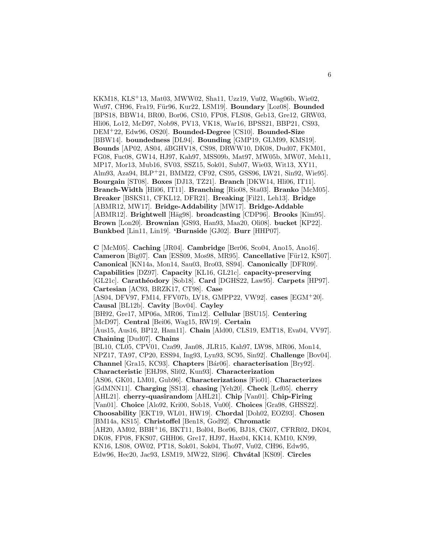KKM18, KLS<sup>+</sup>13, Mat03, MWW02, Sha11, Uzz19, Vu02, Wag06b, Wie02, Wu97, CH96, Fra19, Für96, Kur22, LSM19]. **Boundary** [Loz08]. **Bounded** [BPS18, BBW14, BR00, Bor06, CS10, FP08, FLS08, Geb13, Gre12, GRW03, Hli06, Lo12, McD97, Nob98, PV13, VK18, War16, BPSS21, BBP21, CS93, DEM<sup>+</sup>22, Edw96, OS20]. **Bounded-Degree** [CS10]. **Bounded-Size** [BBW14]. **boundedness** [DL94]. **Bounding** [GMP19, GLM99, KMS19]. **Bounds** [AP02, AS04, áBGHV18, CS98, DRWW10, DK08, Dud07, FKM01, FG08, Fuc08, GW14, HJ97, Kah97, MSS09b, Mat97, MW05b, MW07, Meh11, MP17, Mor13, Mub16, SV03, SSZ15, Sok01, Sub07, Wie03, Wit13, XY11, Alm93, Aza94, BLP<sup>+</sup>21, BMM22, CF92, CS95, GSS96, LW21, Sin92, Wie95]. **Bourgain** [ST08]. **Boxes** [DJ13, TZ21]. **Branch** [DKW14, Hli06, IT11]. **Branch-Width** [Hli06, IT11]. **Branching** [Rio08, Sta03]. **Branko** [McM05]. **Breaker** [BSKS11, CFKL12, DFR21]. **Breaking** [Fil21, Leh13]. **Bridge** [ABMR12, MW17]. **Bridge-Addability** [MW17]. **Bridge-Addable** [ABMR12]. **Brightwell** [Häg98]. **broadcasting** [CDP96]. **Brooks** [Kim95]. **Brown** [Lon20]. **Brownian** [GS93, Han93, Maa20, Oli08]. **bucket** [KP22]. **Bunkbed** [Lin11, Lin19]. **'Burnside** [GJ02]. **Burr** [HHP07].

**C** [McM05]. **Caching** [JR04]. **Cambridge** [Ber06, Sco04, Ano15, Ano16]. **Cameron** [Big07]. **Can** [ESS09, Mos98, MR95]. **Cancellative** [Für12, KS07]. **Canonical** [KN14a, Mon14, Sau03, Bro03, SS94]. **Canonically** [DFR09]. **Capabilities** [DZ97]. **Capacity** [KL16, GL21c]. **capacity-preserving** [GL21c]. **Carath´eodory** [Sob18]. **Card** [DGHS22, Law95]. **Carpets** [HP97]. **Cartesian** [AC93, BRZK17, CT98]. **Case** [AS04, DFV97, FM14, FFV07b, LV18, GMPP22, VW92]. **cases** [EGM<sup>+</sup>20]. **Causal** [BL12b]. **Cavity** [Bov04]. **Cayley** [BH92, Gre17, MP06a, MR06, Tim12]. **Cellular** [BSU15]. **Centering** [McD97]. **Central** [Bei06, Wag15, RW19]. **Certain** [Aus15, Aus16, BP12, Ham11]. **Chain** [Ald00, CLS19, EMT18, Eva04, VV97]. **Chaining** [Dud07]. **Chains** [BL10, CL05, CPV01, Cza99, Jan08, JLR15, Kah97, LW98, MR06, Mon14, NPZ17, TA97, CP20, ESS94, Ing93, Lyn93, SC95, Sin92]. **Challenge** [Bov04]. **Channel** [Gra15, KC93]. **Chapters** [B´ar06]. **characterisation** [Bry92]. **Characteristic** [EHJ98, Sli02, Kun93]. **Characterization** [AS06, GK01, LM01, Gub96]. **Characterizations** [Fio01]. **Characterizes** [GdMNN11]. **Charging** [SS13]. **chasing** [Yeh20]. **Check** [Lef05]. **cherry** [AHL21]. **cherry-quasirandom** [AHL21]. **Chip** [Van01]. **Chip-Firing** [Van01]. **Choice** [Alo92, Kri00, Sob18, Vu00]. **Choices** [Gra98, GHSS22]. **Choosability** [EKT19, WL01, HW19]. **Chordal** [Doh02, EOZ93]. **Chosen** [BM14a, KS15]. **Christoffel** [Ben18, God92]. **Chromatic** [AH20, AM02, BBH+16, BKT11, Bol04, Bor06, BJ18, CK07, CFRR02, DK04, DK08, FP08, FKS07, GHH06, Gre17, HJ97, Hax04, KK14, KM10, KN99, KN16, LS08, OW02, PT18, Sok01, Sok04, Tho97, Vu02, CH96, Edw95, Edw96, Hec20, Jac93, LSM19, MW22, Sli96]. **Chvátal** [KS09]. **Circles**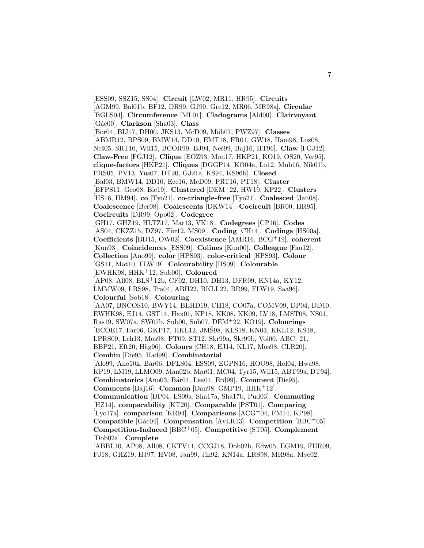[ESS09, SSZ15, SS04]. **Circuit** [LW02, MR11, HR95]. **Circuits** [AGM99, Bal01b, BF12, DR99, GJ99, Gre12, MR06, MR98a]. **Circular** [BGLS04]. **Circumference** [ML01]. **Cladograms** [Ald00]. **Clairvoyant** [G´ac00]. **Clarkson** [Sha03]. **Class** [Bor04, BIJ17, DH00, JKS13, McD09, M¨oh07, PWZ97]. **Classes** [ABMR12, BPS09, BMW14, DD10, EMT18, FR01, GW18, Ham98, Loz08, Neˇs05, SRT10, Wil15, BCOR99, BJ94, Neˇs99, Baj16, HT96]. **Claw** [FGJ12]. **Claw-Free** [FGJ12]. **Clique** [EOZ93, Mon17, HKP21, KO19, OS20, Ver95]. **clique-factors** [HKP21]. **Cliques** [DGGP14, KO04a, Lo12, Mub16, Nik01b, PRS05, PV13, Yus07, DT20, GJ21a, KS94, KS96b]. **Closed** [Bal03, BMW14, DD10, Ecc16, McD09, PRT16, PT18]. **Cluster** [BFPS11, Geo08, Bie19]. **Clustered** [DEM<sup>+</sup>22, HW19, KP22]. **Clusters** [HS16, HM94]. **co** [Tyo21]. **co-triangle-free** [Tyo21]. **Coalesced** [Jan08]. **Coalescence** [Ber08]. **Coalescents** [DKW14]. **Cocircuit** [BR00, HR95]. **Cocircuits** [DR99, Opo02]. **Codegree** [GH17, GHZ19, HLTZ17, Mar13, VK18]. **Codegrees** [CP16]. **Codes** [AS04, CKZZ15, DZ97, Für12, MS09]. **Coding** [CH14]. **Codings** [HS00a]. **Coefficients** [BD15, OW02]. **Coexistence** [AMR16, BCG<sup>+</sup>19]. **coherent** [Kun93]. **Coincidences** [ESS09]. **Colines** [Kun00]. **Colleague** [Fau12]. **Collection** [Ano99]. **color** [HPS93]. **color-critical** [HPS93]. **Colour** [GS11, Mat10, FLW19]. **Colourability** [BS09]. **Colourable** [EWHK98, HHK<sup>+</sup>12, Sub00]. **Coloured** [AP08, All08, BLS<sup>+</sup>12b, CF02, DH10, DH13, DFR09, KN14a, KY12, LMMW09, LRS98, Tra04, ABH22, BKLL22, BR99, FLW19, Saa96]. **Colourful** [Sob18]. **Colouring** [AA07, BNCOS10, BWY14, BEHD19, CH18, CO07a, COMV09, DP04, DD10, EWHK98, EJ14, GST14, Hax01, KP18, KK08, KK09, LV18, LMST08, NS01, Ras19, SW07a, SW07b, Sub00, Sub07, DEM<sup>+</sup>22, KO19]. **Colourings** [BCOE17, Far06, GKP17, HKL12, JMŠ98, KLS18, KN03, KKL12, KS18, LPRS09, Leh13, Mos98, PT09, ST12, Škr99a, Škr99b, Voi00, ABC<sup>+</sup>21, BBP21, Eft20, H¨ag96]. **Colours** [CH18, EJ14, KL17, Mos98, CLR20]. **Combin** [Die95, Had99]. **Combinatorial** [Alo99, Ano10k, Bár06, DFLS04, ESS09, EGPN16, HOO98, Hol04, Hwa98, KP19, LM19, LLMO09, Man02b, Mar01, MC04, Tyr15, Wil15, ABT99a, DT94]. **Combinatorics** [Ano03, B´ar04, Lea04, Erd99]. **Comment** [Die95]. **Comments** [Baj16]. **Common** [Dan98, GMP19, HHK<sup>+</sup>12]. **Communication** [DP04, LS09a, Sha17a, Sha17b, Pud03]. **Commuting** [HZ14]. **comparability** [KT20]. **Comparable** [PST01]. **Comparing** [Lyo17a]. **comparison** [KR94]. **Comparisons** [ACG<sup>+</sup>04, FM14, KP98]. **Compatible** [Gác04]. **Compensation** [AvLR13]. **Competition** [BBC<sup>+</sup>05]. **Competition-Induced** [BBC<sup>+</sup>05]. **Competitive** [ST05]. **Complement** [Dob02a]. **Complete** [ABBL10, AP08, All08, CKTV11, CCGJ18, Dob02b, Edw05, EGM19, FHR09,

FJ18, GHZ19, HJ97, HV08, Jan99, Jin92, KN14a, LRS98, MR98a, Mye02,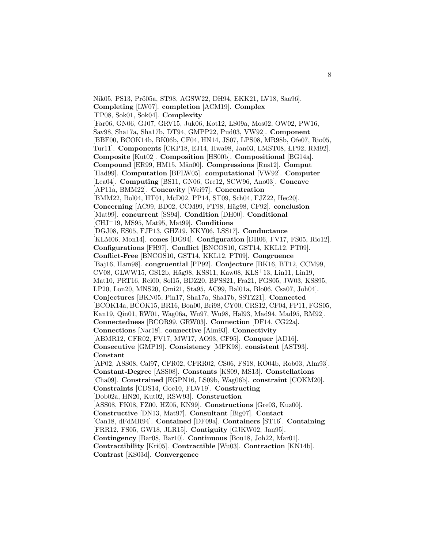Nik05, PS13, Prö05a, ST98, AGSW22, DH94, EKK21, LV18, Saa96]. **Completing** [LW07]. **completion** [ACM19]. **Complex** [FP08, Sok01, Sok04]. **Complexity** [Far06, GN06, GJ07, GRV15, Juk06, Kot12, LS09a, Mos02, OW02, PW16, Sav98, Sha17a, Sha17b, DT94, GMPP22, Pud03, VW92]. **Component** [BBF00, BCOK14b, BK06b, CF04, HN14, JS07, LPS08, MR98b, Ofe07, Rio05, Tur11]. **Components** [CKP18, EJ14, Hwa98, Jan03, LMST08, LP92, RM92]. **Composite** [Kut02]. **Composition** [HS00b]. **Compositional** [BG14a]. **Compound** [ER99, HM15, M˚an00]. **Compressions** [Rus12]. **Comput** [Had99]. **Computation** [BFLW05]. **computational** [VW92]. **Computer** [Lea04]. **Computing** [BS11, GN06, Gre12, SCW96, Ano03]. **Concave** [AP11a, BMM22]. **Concavity** [Wei97]. **Concentration** [BMM22, Bol04, HT01, McD02, PP14, ST09, Sch04, FJZ22, Hec20]. **Concerning** [AC99, BD02, CCM99, FT98, H¨ag98, CF92]. **conclusion** [Mat99]. **concurrent** [SS94]. **Condition** [DH00]. **Conditional** [CHJ<sup>+</sup>19, MS95, Mat95, Mat99]. **Conditions** [DGJ08, ES05, FJP13, GHZ19, KKY06, LSS17]. **Conductance** [KLM06, Mon14]. **cones** [DG94]. **Configuration** [DH06, FV17, FS05, Rio12]. **Configurations** [FH97]. **Conflict** [BNCOS10, GST14, KKL12, PT09]. **Conflict-Free** [BNCOS10, GST14, KKL12, PT09]. **Congruence** [Baj16, Ham98]. **congruential** [PP92]. **Conjecture** [BK16, BT12, CCM99, CV08, GLWW15, GS12b, H¨ag98, KSS11, Kaw08, KLS<sup>+</sup>13, Lin11, Lin19, Mat10, PRT16, Rei00, Sol15, BDZ20, BPSS21, Fra21, FGS05, JW03, KSS95, LP20, Lon20, MNS20, Omi21, Sta95, AC99, Bal01a, Blo06, Csa07, Joh04]. **Conjectures** [BKN05, Pin17, Sha17a, Sha17b, SSTZ21]. **Connected** [BCOK14a, BCOK15, BR16, Bon00, Bri98, CY00, CRS12, CF04, FP11, FGS05, Kan19, Qin01, RW01, Wag06a, Wu97, Wu98, Hal93, Mad94, Mad95, RM92]. **Connectedness** [BCOR99, GRW03]. **Connection** [DF14, CG22a]. **Connections** [Nar18]. **connective** [Alm93]. **Connectivity** [ABMR12, CFR02, FV17, MW17, AO93, CF95]. **Conquer** [AD16]. **Consecutive** [GMP19]. **Consistency** [MPK98]. **consistent** [AST93]. **Constant** [AP02, ASS08, Cal97, CFR02, CFRR02, CS06, FS18, KO04b, Rob03, Alm93]. **Constant-Degree** [ASS08]. **Constants** [KS09, MS13]. **Constellations** [Cha09]. **Constrained** [EGPN16, LS09b, Wag06b]. **constraint** [COKM20]. **Constraints** [CDS14, Goe10, FLW19]. **Constructing** [Dob02a, HN20, Kut02, RSW93]. **Construction** [ASS08, FK08, FZ00, HZ05, KN99]. **Constructions** [Gre03, Kuz00]. **Constructive** [DN13, Mat97]. **Consultant** [Big07]. **Contact** [Can18, dFdMR94]. **Contained** [DF09a]. **Containers** [ST16]. **Containing** [FRR12, FS05, GW18, JLR15]. **Contiguity** [GJKW02, Jan95]. **Contingency** [Bar08, Bar10]. **Continuous** [Bou18, Joh22, Mar01]. **Contractibility** [Kri05]. **Contractible** [Wu03]. **Contraction** [KN14b]. **Contrast** [KS03d]. **Convergence**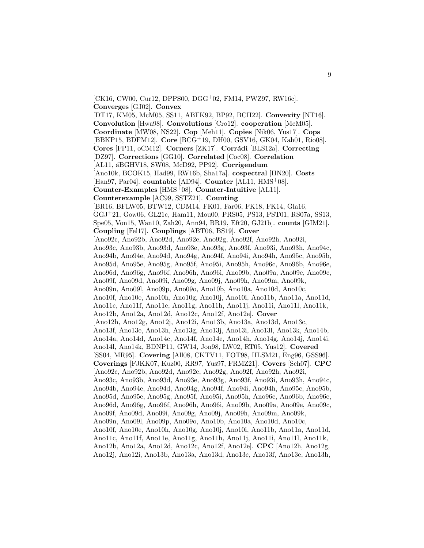[CK16, CW00, Cur12, DPPS00, DGG<sup>+</sup>02, FM14, PWZ97, RW16c]. **Converges** [GJ02]. **Convex**

[DT17, KM05, McM05, SS11, ABFK92, BP92, BCH22]. **Convexity** [NT16]. **Convolution** [Hwa98]. **Convolutions** [Cro12]. **cooperation** [McM05]. **Coordinate** [MW08, NS22]. **Cop** [Meh11]. **Copies** [Nik06, Yus17]. **Cops** [BBKP15, BDFM12]. **Core** [BCG<sup>+</sup>19, DH00, GSV16, GK04, Kah01, Rio08]. **Cores** [FP11, oCM12]. **Corners** [ZK17]. **Corrádi** [BLS12a]. **Correcting** [DZ97]. **Corrections** [GG10]. **Correlated** [Coc08]. **Correlation** [AL11, ´aBGHV18, SW08, McD92, PP92]. **Corrigendum** [Ano10k, BCOK15, Had99, RW16b, Sha17a]. **cospectral** [HN20]. **Costs** [Han97, Par04]. **countable** [AD94]. **Counter** [AL11, HMS<sup>+</sup>08]. **Counter-Examples** [HMS<sup>+</sup>08]. **Counter-Intuitive** [AL11]. **Counterexample** [AC99, SSTZ21]. **Counting** [BR16, BFLW05, BTW12, CDM14, FK01, Far06, FK18, FK14, Gla16, GGJ<sup>+</sup>21, Gow06, GL21c, Ham11, Mou00, PRS05, PS13, PST01, RS07a, SS13, Spe05, Von15, Wan10, Zah20, Ann94, BR19, Eft20, GJ21b]. **counts** [GIM21]. **Coupling** [Fel17]. **Couplings** [ABT06, BS19]. **Cover** [Ano92c, Ano92b, Ano92d, Ano92e, Ano92g, Ano92f, Ano92h, Ano92i, Ano93c, Ano93b, Ano93d, Ano93e, Ano93g, Ano93f, Ano93i, Ano93h, Ano94c, Ano94b, Ano94e, Ano94d, Ano94g, Ano94f, Ano94i, Ano94h, Ano95c, Ano95b, Ano95d, Ano95e, Ano95g, Ano95f, Ano95i, Ano95h, Ano96c, Ano96b, Ano96e, Ano96d, Ano96g, Ano96f, Ano96h, Ano96i, Ano09b, Ano09a, Ano09e, Ano09c, Ano09f, Ano09d, Ano09i, Ano09g, Ano09j, Ano09h, Ano09m, Ano09k, Ano09n, Ano09l, Ano09p, Ano09o, Ano10b, Ano10a, Ano10d, Ano10c, Ano10f, Ano10e, Ano10h, Ano10g, Ano10j, Ano10i, Ano11b, Ano11a, Ano11d, Ano11c, Ano11f, Ano11e, Ano11g, Ano11h, Ano11j, Ano11i, Ano11l, Ano11k, Ano12b, Ano12a, Ano12d, Ano12c, Ano12f, Ano12e]. **Cover** [Ano12h, Ano12g, Ano12j, Ano12i, Ano13b, Ano13a, Ano13d, Ano13c, Ano13f, Ano13e, Ano13h, Ano13g, Ano13j, Ano13i, Ano13l, Ano13k, Ano14b, Ano14a, Ano14d, Ano14c, Ano14f, Ano14e, Ano14h, Ano14g, Ano14j, Ano14i, Ano14l, Ano14k, BDNP11, GW14, Jon98, LW02, RT05, Yus12]. **Covered** [SS04, MR95]. **Covering** [All08, CKTV11, FOT98, HLSM21, Eng96, GSS96]. **Coverings** [FJKK07, Kuz00, RR97, Yus97, FRMZ21]. **Covers** [Sch07]. **CPC** [Ano92c, Ano92b, Ano92d, Ano92e, Ano92g, Ano92f, Ano92h, Ano92i, Ano93c, Ano93b, Ano93d, Ano93e, Ano93g, Ano93f, Ano93i, Ano93h, Ano94c, Ano94b, Ano94e, Ano94d, Ano94g, Ano94f, Ano94i, Ano94h, Ano95c, Ano95b, Ano95d, Ano95e, Ano95g, Ano95f, Ano95i, Ano95h, Ano96c, Ano96b, Ano96e, Ano96d, Ano96g, Ano96f, Ano96h, Ano96i, Ano09b, Ano09a, Ano09e, Ano09c, Ano09f, Ano09d, Ano09i, Ano09g, Ano09j, Ano09h, Ano09m, Ano09k, Ano09n, Ano09l, Ano09p, Ano09o, Ano10b, Ano10a, Ano10d, Ano10c, Ano10f, Ano10e, Ano10h, Ano10g, Ano10j, Ano10i, Ano11b, Ano11a, Ano11d, Ano11c, Ano11f, Ano11e, Ano11g, Ano11h, Ano11j, Ano11i, Ano11l, Ano11k, Ano12b, Ano12a, Ano12d, Ano12c, Ano12f, Ano12e]. **CPC** [Ano12h, Ano12g, Ano12j, Ano12i, Ano13b, Ano13a, Ano13d, Ano13c, Ano13f, Ano13e, Ano13h,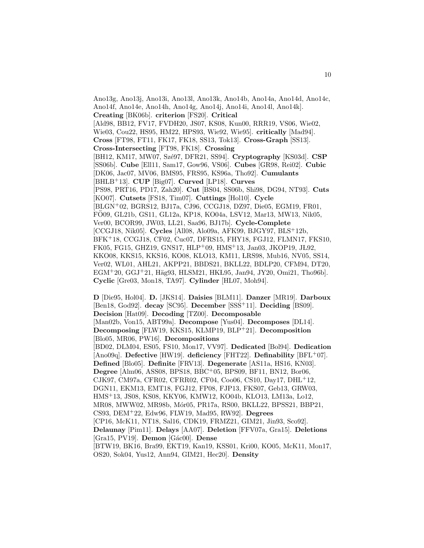Ano13g, Ano13j, Ano13i, Ano13l, Ano13k, Ano14b, Ano14a, Ano14d, Ano14c, Ano14f, Ano14e, Ano14h, Ano14g, Ano14j, Ano14i, Ano14l, Ano14k]. **Creating** [BK06b]. **criterion** [FS20]. **Critical** [Ald98, BB12, FV17, FVDH20, JS07, KS08, Kun00, RRR19, VS06, Wie02, Wie03, Cou22, HS95, HM22, HPS93, Wie92, Wie95]. **critically** [Mad94]. **Cross** [FT98, FT11, FK17, FK18, SS13, Tok13]. **Cross-Graph** [SS13]. **Cross-Intersecting** [FT98, FK18]. **Crossing** [BH12, KM17, MW07, Szé97, DFR21, SS94]. **Cryptography** [KS03d]. **CSP** [SS06b]. **Cube** [Ell11, Sam17, Gow96, VS06]. **Cubes** [GR98, Rei02]. **Cubic** [DK06, Jac07, MV06, BMS95, FRS95, KS96a, Tho92]. **Cumulants** [BHLB<sup>+</sup>13]. **CUP** [Big07]. **Curved** [LP18]. **Curves** [PS98, PRT16, PD17, Zah20]. **Cut** [BS04, SS06b, Shi98, DG94, NT93]. **Cuts** [KO07]. **Cutsets** [FS18, Tim07]. **Cuttings** [Hol10]. **Cycle** [BLGN<sup>+</sup>02, BGRS12, BJ17a, CJ96, CCGJ18, DZ97, Die05, EGM19, FR01, FÖ09, GL21b, GS11, GL12a, KP18, KO04a, LSV12, Mar13, MW13, Nik05, Ver00, BCOR99, JW03, LL21, Saa96, BJ17b]. **Cycle-Complete** [CCGJ18, Nik05]. **Cycles** [All08, Alo09a, AFK99, BJGY97, BLS<sup>+</sup>12b, BFK<sup>+</sup>18, CCGJ18, CF02, Cuc07, DFRS15, FHY18, FGJ12, FLMN17, FKS10, FK05, FG15, GHZ19, GNS17, HLP+09, HMS+13, Jan03, JKOP19, JŁ92, KKO08, KKS15, KKS16, KO08, KLO13, KM11, LRS98, Mub16, NV05, SS14, Ver02, WL01, AHL21, AKPP21, BBDS21, BKLL22, BDLP20, CFM94, DT20, EGM<sup>+</sup>20, GGJ<sup>+</sup>21, Häg93, HLSM21, HKL95, Jan94, JY20, Omi21, Tho96b. **Cyclic** [Gre03, Mon18, TA97]. **Cylinder** [HL07, Moh94].

**D** [Die95, Hol04]. **D.** [JKS14]. **Daisies** [BLM11]. **Danzer** [MR19]. **Darboux** [Ben18, God92]. **decay** [SC95]. **December** [SSS<sup>+</sup>11]. **Deciding** [BS09]. **Decision** [Hat09]. **Decoding** [TZ00]. **Decomposable** [Man02b, Von15, ABT99a]. **Decompose** [Yus04]. **Decomposes** [DL14]. **Decomposing** [FLW19, KKS15, KLMP19, BLP<sup>+</sup>21]. **Decomposition** [Blo05, MR06, PW16]. **Decompositions** [BD02, DLM04, ES05, FS10, Mon17, VV97]. **Dedicated** [Bol94]. **Dedication** [Ano09q]. **Defective** [HW19]. **deficiency** [FHT22]. **Definability** [BFL<sup>+</sup>07]. **Defined** [Blo05]. **Definite** [FRV13]. **Degenerate** [AS11a, HS16, KN03]. **Degree** [Alm06, ASS08, BPS18, BBC<sup>+</sup>05, BPS09, BF11, BN12, Bor06, CJK97, CM97a, CFR02, CFRR02, CF04, Coo06, CS10, Day17, DHL<sup>+</sup>12, DGN11, EKM13, EMT18, FGJ12, FP08, FJP13, FKS07, Geb13, GRW03, HMS<sup>+</sup>13, JS08, KS08, KKY06, KMW12, KO04b, KLO13, LM13a, Lo12, MR08, MWW02, MR98b, Mór05, PR17a, RS00, BKLL22, BPSS21, BBP21, CS93, DEM<sup>+</sup>22, Edw96, FLW19, Mad95, RW92]. **Degrees** [CP16, McK11, NT18, Sal16, CDK19, FRMZ21, GIM21, Jin93, Sco92]. **Delaunay** [Pim11]. **Delays** [AA07]. **Deletion** [FFV07a, Gra15]. **Deletions** [Gra15, PV19]. **Demon** [G´ac00]. **Dense** [BTW19, BK16, Bra99, EKT19, Kan19, KSS01, Kri00, KO05, McK11, Mon17, OS20, Sok04, Yus12, Ann94, GIM21, Hec20]. **Density**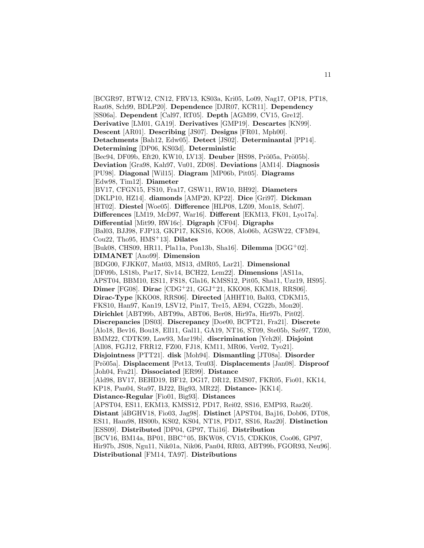[BCGR97, BTW12, CN12, FRV13, KS03a, Kri05, Lo09, Nag17, OP18, PT18, Raz08, Sch99, BDLP20]. **Dependence** [DJR07, KCR11]. **Dependency** [SS06a]. **Dependent** [Cal97, RT05]. **Depth** [AGM99, CV15, Gre12]. **Derivative** [LM01, GA19]. **Derivatives** [GMP19]. **Descartes** [KN99]. **Descent** [AR01]. **Describing** [JS07]. **Designs** [FR01, Mph00]. **Detachments** [Bah12, Edw05]. **Detect** [JS02]. **Determinantal** [PP14]. **Determining** [DP06, KS03d]. **Deterministic** [Bec94, DF09b, Eft20, KW10, LV13]. **Deuber** [HS98, Prö05a, Prö05b]. **Deviation** [Gra98, Kah97, Vu01, ZD08]. **Deviations** [AM14]. **Diagnosis** [PU98]. **Diagonal** [Wil15]. **Diagram** [MP06b, Pit05]. **Diagrams** [Edw98, Tim12]. **Diameter** [BV17, CFGN15, FS10, Fra17, GSW11, RW10, BH92]. **Diameters** [DKLP10, HZ14]. **diamonds** [AMP20, KP22]. **Dice** [Gri97]. **Dickman** [HT02]. **Diestel** [Woe05]. **Difference** [HLP08, LZ09, Mon18, Sch07]. **Differences** [LM19, McD97, War16]. **Different** [EKM13, FK01, Lyo17a]. **Differential** [Mit99, RW16c]. **Digraph** [CF04]. **Digraphs** [Bal03, BJJ98, FJP13, GKP17, KKS16, KO08, Alo06b, AGSW22, CFM94, Cou22, Tho95, HMS<sup>+</sup>13]. **Dilates** [Buk08, CHS09, HR11, Pla11a, Pon13b, Sha16]. **Dilemma** [DGG<sup>+</sup>02]. **DIMANET** [Ano99]. **Dimension** [BDG00, FJKK07, Mat03, MS13, dMR05, Lar21]. **Dimensional** [DF09b, LS18b, Par17, Siv14, BCH22, Lem22]. **Dimensions** [AS11a, APST04, BBM10, ES11, FS18, Gla16, KMSS12, Pit05, Sha11, Uzz19, HS95]. **Dimer** [FG08]. **Dirac** [CDG<sup>+</sup>21, GGJ<sup>+</sup>21, KKO08, KKM18, RRS06]. **Dirac-Type** [KKO08, RRS06]. **Directed** [AHHT10, Bal03, CDKM15, FKS10, Han97, Kan19, LSV12, Pin17, Tre15, AE94, CG22b, Mon20]. **Dirichlet** [ABT99b, ABT99a, ABT06, Ber08, Hir97a, Hir97b, Pit02]. **Discrepancies** [DS03]. **Discrepancy** [Doe00, BCPT21, Fra21]. **Discrete** [Alo18, Bev16, Bou18, Ell11, Gal11, GA19, NT16, ST09, Ste05b, Szé97, TZ00, BMM22, CDTK99, Law93, Mar19b]. **discrimination** [Yeh20]. **Disjoint** [All08, FGJ12, FRR12, FZ00, FJ18, KM11, MR06, Ver02, Tyo21]. **Disjointness** [PTT21]. **disk** [Moh94]. **Dismantling** [JT08a]. **Disorder** [Pr¨o05a]. **Displacement** [Pet13, Teu03]. **Displacements** [Jan08]. **Disproof** [Joh04, Fra21]. **Dissociated** [ER99]. **Distance** [Ald98, BV17, BEHD19, BF12, DG17, DR12, EMS07, FKR05, Fio01, KK14, KP18, Pan04, Sta97, BJ22, Big93, MR22]. **Distance-** [KK14]. **Distance-Regular** [Fio01, Big93]. **Distances** [APST04, ES11, EKM13, KMSS12, PD17, Rei02, SS16, EMP93, Raz20]. Distant [áBGHV18, Fio03, Jag98]. Distinct [APST04, Baj16, Dob06, DT08, ES11, Ham98, HS00b, KS02, KS04, NT18, PD17, SS16, Raz20]. **Distinction** [ESS09]. **Distributed** [DP04, GP97, Thi16]. **Distribution** [BCV16, BM14a, BP01, BBC<sup>+</sup>05, BKW08, CV15, CDKK08, Coo06, GP97, Hir97b, JS08, Ngu11, Nik01a, Nik06, Pan04, RR03, ABT99b, FGOR93, Neu96]. **Distributional** [FM14, TA97]. **Distributions**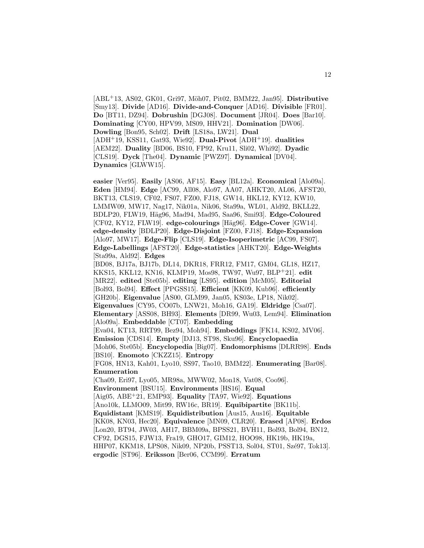[ABL<sup>+</sup>13, AS02, GK01, Gri97, Möh07, Pit02, BMM22, Jan95]. **Distributive** [Smy13]. **Divide** [AD16]. **Divide-and-Conquer** [AD16]. **Divisible** [FR01]. **Do** [BT11, DZ94]. **Dobrushin** [DGJ08]. **Document** [JR04]. **Does** [Bar10]. **Dominating** [CY00, HPV99, MS09, HHV21]. **Domination** [DW06]. **Dowling** [Bon95, Sch02]. **Drift** [LS18a, LW21]. **Dual** [ADH<sup>+</sup>19, KSS11, Gat93, Wie92]. **Dual-Pivot** [ADH<sup>+</sup>19]. **dualities** [AEM22]. **Duality** [BD06, BS10, FP92, Kru11, Sli02, Whi92]. **Dyadic** [CLS19]. **Dyck** [The04]. **Dynamic** [PWZ97]. **Dynamical** [DV04]. **Dynamics** [GLWW15].

**easier** [Ver95]. **Easily** [AS06, AF15]. **Easy** [BL12a]. **Economical** [Alo09a]. **Eden** [HM94]. **Edge** [AC99, All08, Alo97, AA07, AHKT20, AL06, AFST20, BKT13, CLS19, CF02, FS07, FZ00, FJ18, GW14, HKL12, KY12, KW10, LMMW09, MW17, Nag17, Nik01a, Nik06, Sta99a, WL01, Ald92, BKLL22, BDLP20, FLW19, H¨ag96, Mad94, Mad95, Saa96, Smi93]. **Edge-Coloured** [CF02, KY12, FLW19]. **edge-colourings** [H¨ag96]. **Edge-Cover** [GW14]. **edge-density** [BDLP20]. **Edge-Disjoint** [FZ00, FJ18]. **Edge-Expansion** [Alo97, MW17]. **Edge-Flip** [CLS19]. **Edge-Isoperimetric** [AC99, FS07]. **Edge-Labellings** [AFST20]. **Edge-statistics** [AHKT20]. **Edge-Weights** [Sta99a, Ald92]. **Edges** [BD08, BJ17a, BJ17b, DL14, DKR18, FRR12, FM17, GM04, GL18, HZ17, KKS15, KKL12, KN16, KLMP19, Mos98, TW97, Wu97, BLP<sup>+</sup>21]. **edit** [MR22]. **edited** [Ste05b]. **editing** [LS95]. **edition** [McM05]. **Editorial** [Bol93, Bol94]. **Effect** [PPGSS15]. **Efficient** [KK09, Kub96]. **efficiently** [GH20b]. **Eigenvalue** [AS00, GLM99, Jan05, KS03e, LP18, Nik02]. **Eigenvalues** [CY95, CO07b, LNW21, Moh16, GA19]. **Eldridge** [Csa07]. **Elementary** [ASS08, BH93]. **Elements** [DR99, Wu03, Lem94]. **Elimination** [Alo09a]. **Embeddable** [CT07]. **Embedding** [Eva04, KT13, RRT99, Bez94, Moh94]. **Embeddings** [FK14, KS02, MV06]. **Emission** [CDS14]. **Empty** [DJ13, ST98, Sku96]. **Encyclopaedia** [Moh06, Ste05b]. **Encyclopedia** [Big07]. **Endomorphisms** [DLRR98]. **Ends** [BS10]. **Enomoto** [CKZZ15]. **Entropy** [FG08, HN13, Kah01, Lyo10, SS97, Tao10, BMM22]. **Enumerating** [Bar08]. **Enumeration** [Cha09, Eri97, Lyo05, MR98a, MWW02, Mon18, Vat08, Coo96]. **Environment** [BSU15]. **Environments** [HS16]. **Equal** [Aig05, ABE<sup>+</sup>21, EMP93]. **Equality** [TA97, Wie92]. **Equations** [Ano10k, LLMO09, Mit99, RW16c, BR19]. **Equibipartite** [BK11b]. **Equidistant** [KMS19]. **Equidistribution** [Aus15, Aus16]. **Equitable** [KK08, KN03, Hec20]. **Equivalence** [MN09, CLR20]. **Erased** [AP08]. **Erdos** [Lon20, BT94, JW03, AH17, BBM09a, BPSS21, BVH11, Bol93, Bol94, BN12, CF92, DGS15, FJW13, Fra19, GHO17, GIM12, HOO98, HK19b, HK19a, HHP07, KKM18, LPS08, Nik09, NP20b, PSST13, Sol04, ST01, Szé97, Tok13]. **ergodic** [ST96]. **Eriksson** [Ber06, CCM99]. **Erratum**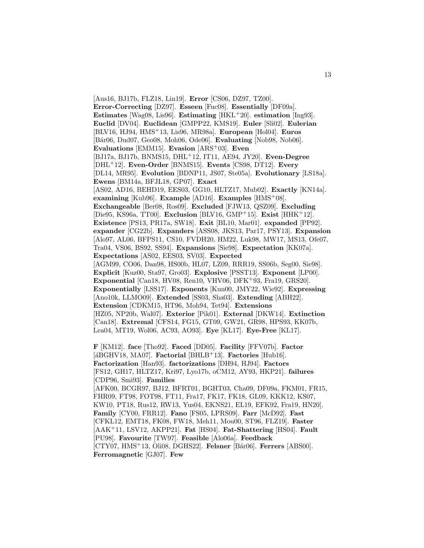[Aus16, BJ17b, FLZ18, Lin19]. **Error** [CS06, DZ97, TZ00]. **Error-Correcting** [DZ97]. **Esseen** [Fuc08]. **Essentially** [DF09a]. **Estimates** [Wag08, Lis96]. **Estimating** [HKL<sup>+</sup>20]. **estimation** [Ing93]. **Euclid** [DV04]. **Euclidean** [GMPP22, KMS19]. **Euler** [Sli02]. **Eulerian** [BLV16, HJ94, HMS<sup>+</sup>13, Lis96, MR98a]. **European** [Hol04]. **Euros** [B´ar06, Dud07, Geo08, Moh06, Ode06]. **Evaluating** [Nob98, Nob06]. **Evaluations** [EMM15]. **Evasion** [ARS<sup>+</sup>03]. **Even** [BJ17a, BJ17b, BNMS15, DHL<sup>+</sup>12, IT11, AE94, JY20]. **Even-Degree** [DHL<sup>+</sup>12]. **Even-Order** [BNMS15]. **Events** [CS98, DT12]. **Every** [DL14, MR95]. **Evolution** [BDNP11, JS07, Ste05a]. **Evolutionary** [LS18a]. **Ewens** [BM14a, BFJL18, GP07]. **Exact** [AS02, AD16, BEHD19, EES03, GG10, HLTZ17, Mub02]. **Exactly** [KN14a]. **examining** [Kub96]. **Example** [AD16]. **Examples** [HMS<sup>+</sup>08]. **Exchangeable** [Ber08, Ros09]. **Excluded** [FJW13, QSZ09]. **Excluding** [Die95, KS96a, TT00]. **Exclusion** [BLV16, GMP<sup>+</sup>15]. **Exist** [HHK<sup>+</sup>12]. **Existence** [PS13, PR17a, SW18]. **Exit** [BL10, Mar01]. **expanded** [PP92]. **expander** [CG22b]. **Expanders** [ASS08, JKS13, Par17, PSY13]. **Expansion** [Alo97, AL06, BFPS11, CS10, FVDH20, HM22, Luk98, MW17, MS13, Ofe07, Tra04, VS06, BS92, SS94]. **Expansions** [Sie98]. **Expectation** [KK07a]. **Expectations** [AS02, EES03, SV03]. **Expected** [AGM99, CO06, Dan98, HS00b, HL07, LZ09, RRR19, SS06b, Seg00, Sie98]. **Explicit** [Kuz00, Sta97, Gro03]. **Explosive** [PSST13]. **Exponent** [LP00]. **Exponential** [Can18, HV08, Ren10, VHV06, DFK<sup>+</sup>93, Fra19, GRS20]. **Exponentially** [LSS17]. **Exponents** [Kun00, JMY22, Wie92]. **Expressing** [Ano10k, LLMO09]. **Extended** [SS03, Sha03]. **Extending** [ABH22]. **Extension** [CDKM15, HT96, Moh94, Tet94]. **Extensions** [HZ05, NP20b, Wal07]. **Exterior** [Pik01]. **External** [DKW14]. **Extinction** [Can18]. **Extremal** [CFS14, FG15, GT09, GW21, GR98, HPS93, KK07b, Lea04, MT19, Wol06, AC93, AO93]. **Eye** [KL17]. **Eye-Free** [KL17]. **F** [KM12]. **face** [Tho92]. **Faced** [DD05]. **Facility** [FFV07b]. **Factor** [ $\angle$ BGHV18, MA07]. **Factorial** [BHLB<sup>+</sup>13]. **Factories** [Hub16]. **Factorization** [Han93]. **factorizations** [DH94, HJ94]. **Factors** [FS12, GH17, HLTZ17, Kri97, Lyo17b, oCM12, AY93, HKP21]. **failures** [CDP96, Smi93]. **Families**

[AFK00, BCGR97, BJ12, BFRT01, BGHT03, Cha09, DF09a, FKM01, FR15, FHR09, FT98, FOT98, FT11, Fra17, FK17, FK18, GL09, KKK12, KS07, KW10, PT18, Rus12, RW13, Yus04, EKNS21, EL19, EFK92, Fra19, HN20]. **Family** [CY00, FRR12]. **Fano** [FS05, LPRS09]. **Farr** [McD92]. **Fast** [CFKL12, EMT18, FK08, FW18, Meh11, Mou00, ST96, FLZ19]. **Faster** [AAK<sup>+</sup>11, LSV12, AKPP21]. **Fat** [HS04]. **Fat-Shattering** [HS04]. **Fault** [PU98]. **Favourite** [TW97]. **Feasible** [Alo06a]. **Feedback** [CTY07, HMS<sup>+</sup>13, Oli08, DGHS22]. **Felsner** [B´ar06]. **Ferrers** [ABS00]. **Ferromagnetic** [GJ07]. **Few**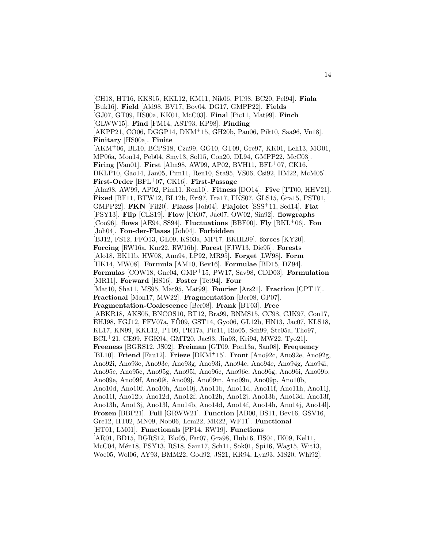[CH18, HT16, KKS15, KKL12, KM11, Nik06, PU98, BC20, Pel94]. **Fiala** [Buk16]. **Field** [Ald98, BV17, Bov04, DG17, GMPP22]. **Fields** [GJ07, GT09, HS00a, KK01, McC03]. **Final** [Pic11, Mat99]. **Finch** [GLWW15]. **Find** [FM14, AST93, KP98]. **Finding** [AKPP21, CO06, DGGP14, DKM<sup>+</sup>15, GH20b, Pau06, Pik10, Saa96, Vu18]. **Finitary** [HS00a]. **Finite** [AKM<sup>+</sup>06, BL10, BCPS18, Cza99, GG10, GT09, Gre97, KK01, Leh13, MO01, MP06a, Mon14, Peb04, Smy13, Sol15, Con20, DL94, GMPP22, McC03]. **Firing** [Van01]. **First** [Alm98, AW99, AP02, BVH11, BFL<sup>+</sup>07, CK16, DKLP10, Gao14, Jan05, Pim11, Ren10, Sta95, VS06, Csi92, HM22, McM05]. **First-Order** [BFL<sup>+</sup>07, CK16]. **First-Passage** [Alm98, AW99, AP02, Pim11, Ren10]. **Fitness** [DO14]. **Five** [TT00, HHV21]. **Fixed** [BF11, BTW12, BL12b, Eri97, Fra17, FKS07, GLS15, Gra15, PST01, GMPP22]. **FKN** [Fil20]. **Flaass** [Joh04]. **Flajolet** [SSS<sup>+</sup>11, Sed14]. **Flat** [PSY13]. **Flip** [CLS19]. **Flow** [CK07, Jac07, OW02, Sin92]. **flowgraphs** [Coo96]. **flows** [AE94, SS94]. **Fluctuations** [BBF00]. **Fly** [BKL<sup>+</sup>06]. **Fon** [Joh04]. **Fon-der-Flaass** [Joh04]. **Forbidden** [BJ12, FS12, FFO13, GL09, KS03a, MP17, BKHL99]. **forces** [KY20]. **Forcing** [RW16a, Kur22, RW16b]. **Forest** [FJW13, Die95]. **Forests** [Alo18, BK11b, HW08, Ann94, LP92, MR95]. **Forget** [LW98]. **Form** [HK14, MW08]. **Formula** [AM10, Bev16]. **Formulae** [BD15, DZ94]. **Formulas** [COW18, Gne04, GMP<sup>+</sup>15, PW17, Sav98, CDD03]. **Formulation** [MR11]. **Forward** [HS16]. **Foster** [Tet94]. **Four** [Mat10, Sha11, MS95, Mat95, Mat99]. **Fourier** [Ars21]. **Fraction** [CPT17]. **Fractional** [Mon17, MW22]. **Fragmentation** [Ber08, GP07]. **Fragmentation-Coalescence** [Ber08]. **Frank** [BT03]. **Free** [ABKR18, AKS05, BNCOS10, BT12, Bra99, BNMS15, CC98, CJK97, Con17, EHJ98, FGJ12, FFV07a, FÖ09, GST14, Gyo06, GL12b, HN13, Jac07, KLS18, KL17, KN99, KKL12, PT09, PR17a, Pic11, Rio05, Sch99, Ste05a, Tho97, BCL<sup>+</sup>21, CE99, FGK94, GMT20, Jac93, Jin93, Kri94, MW22, Tyo21]. **Freeness** [BGRS12, JS02]. **Freiman** [GT09, Pon13a, San08]. **Frequency** [BL10]. **Friend** [Fau12]. **Frieze** [DKM<sup>+</sup>15]. **Front** [Ano92c, Ano92e, Ano92g, Ano92i, Ano93c, Ano93e, Ano93g, Ano93i, Ano94c, Ano94e, Ano94g, Ano94i, Ano95c, Ano95e, Ano95g, Ano95i, Ano96c, Ano96e, Ano96g, Ano96i, Ano09b, Ano09e, Ano09f, Ano09i, Ano09j, Ano09m, Ano09n, Ano09p, Ano10b, Ano10d, Ano10f, Ano10h, Ano10j, Ano11b, Ano11d, Ano11f, Ano11h, Ano11j, Ano11l, Ano12b, Ano12d, Ano12f, Ano12h, Ano12j, Ano13b, Ano13d, Ano13f, Ano13h, Ano13j, Ano13l, Ano14b, Ano14d, Ano14f, Ano14h, Ano14j, Ano14l]. **Frozen** [BBP21]. **Full** [GRWW21]. **Function** [AB00, BS11, Bev16, GSV16, Gre12, HT02, MN09, Nob06, Lem22, MR22, WF11]. **Functional** [HT01, LM01]. **Functionals** [PP14, RW19]. **Functions** [AR01, BD15, BGRS12, Blo05, Far07, Gra98, Hub16, HS04, IK09, Kel11, McC04, Mén18, PSY13, RS18, Sam17, Sch11, Sok01, Spi16, Wag15, Wit13, Woe05, Wol06, AY93, BMM22, God92, JS21, KR94, Lyn93, MS20, Whi92].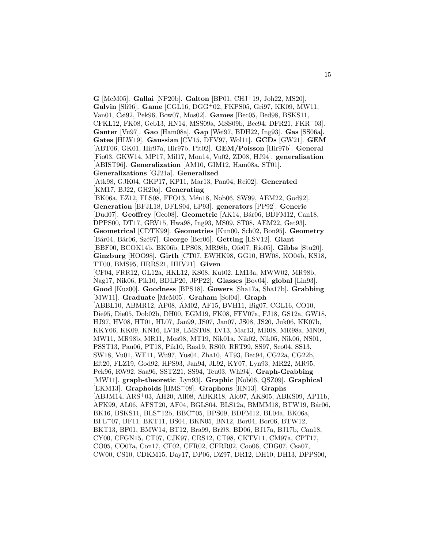**G** [McM05]. **Gallai** [NP20b]. **Galton** [BP01, CHJ<sup>+</sup>19, Joh22, MS20]. **Galvin** [Sli96]. **Game** [CGL16, DGG<sup>+</sup>02, FKPS05, Gri97, KK09, MW11, Van01, Csi92, Pek96, Bow07, Mos02]. **Games** [Bec05, Bed98, BSKS11, CFKL12, FK08, Geb13, HN14, MSS09a, MSS09b, Bec94, DFR21, FKR<sup>+</sup>03]. **Ganter** [Vu97]. **Gao** [Ham08a]. **Gap** [Wei97, BDH22, Ing93]. **Gas** [SS06a]. **Gates** [HLW19]. **Gaussian** [CV15, DFV97, Wol11]. **GCDs** [GW21]. **GEM** [ABT06, GK01, Hir97a, Hir97b, Pit02]. **GEM/Poisson** [Hir97b]. **General** [Fio03, GKW14, MP17, Mil17, Mon14, Vu02, ZD08, HJ94]. **generalisation** [ABIST96]. **Generalization** [AM10, GIM12, Ham08a, ST01]. **Generalizations** [GJ21a]. **Generalized** [Atk98, GJK04, GKP17, KP11, Mar13, Pan04, Rei02]. **Generated** [KM17, BJ22, GH20a]. **Generating** [BK06a, EZ12, FLS08, FFO13, Mén18, Nob06, SW99, AEM22, God92]. **Generation** [BFJL18, DFLS04, LP93]. **generators** [PP92]. **Generic** [Dud07]. **Geoffrey** [Geo08]. **Geometric** [AK14, B´ar06, BDFM12, Can18, DPPS00, DT17, GRV15, Hwa98, Ing93, MS09, ST08, AEM22, Gat93]. **Geometrical** [CDTK99]. **Geometries** [Kun00, Sch02, Bon95]. **Geometry** [B´ar04, B´ar06, Sz´e97]. **George** [Ber06]. **Getting** [LSV12]. **Giant** [BBF00, BCOK14b, BK06b, LPS08, MR98b, Ofe07, Rio05]. **Gibbs** [Stu20]. **Ginzburg** [HOO98]. **Girth** [CT07, EWHK98, GG10, HW08, KO04b, KS18, TT00, BMS95, HRRS21, HHV21]. **Given** [CF04, FRR12, GL12a, HKL12, KS08, Kut02, LM13a, MWW02, MR98b, Nag17, Nik06, Pik10, BDLP20, JPP22]. **Glasses** [Bov04]. **global** [Lin93]. **Good** [Kuz00]. **Goodness** [BPS18]. **Gowers** [Sha17a, Sha17b]. **Grabbing** [MW11]. **Graduate** [McM05]. **Graham** [Sol04]. **Graph** [ABBL10, ABMR12, AP08, AM02, AF15, BVH11, Big07, CGL16, CO10, Die95, Die05, Dob02b, DH00, EGM19, FK08, FFV07a, FJ18, GS12a, GW18, HJ97, HV08, HT01, HL07, Jan99, JS07, Jan07, JS08, JS20, Juk06, KK07b, KKY06, KK09, KN16, LV18, LMST08, LV13, Mar13, MR08, MR98a, MN09, MW11, MR98b, MR11, Mos98, MT19, Nik01a, Nik02, Nik05, Nik06, NS01, PSST13, Pau06, PT18, Pik10, Ras19, RS00, RRT99, SS97, Sco04, SS13, SW18, Vu01, WF11, Wu97, Yus04, Zha10, AT93, Bec94, CG22a, CG22b, Eft20, FLZ19, God92, HPS93, Jan94, JL92, KY07, Lyn93, MR22, MR95, Pek96, RW92, Saa96, SSTZ21, SS94, Teu03, Whi94]. **Graph-Grabbing** [MW11]. **graph-theoretic** [Lyn93]. **Graphic** [Nob06, QSZ09]. **Graphical** [EKM13]. **Graphoids** [HMS<sup>+</sup>08]. **Graphons** [HN13]. **Graphs** [ABJM14, ARS<sup>+</sup>03, AH20, All08, ABKR18, Alo97, AKS05, ABKS09, AP11b, AFK99, AL06, AFST20, AF04, BGLS04, BLS12a, BMMM18, BTW19, Bár06, BK16, BSKS11, BLS<sup>+</sup>12b, BBC<sup>+</sup>05, BPS09, BDFM12, BL04a, BK06a, BFL<sup>+</sup>07, BF11, BKT11, BS04, BKN05, BN12, Bor04, Bor06, BTW12, BKT13, BF01, BMW14, BT12, Bra99, Bri98, BD06, BJ17a, BJ17b, Can18, CY00, CFGN15, CT07, CJK97, CRS12, CT98, CKTV11, CM97a, CPT17, CO05, CO07a, Con17, CF02, CFR02, CFRR02, Coo06, CDG07, Csa07, CW00, CS10, CDKM15, Day17, DP06, DZ97, DR12, DH10, DH13, DPPS00,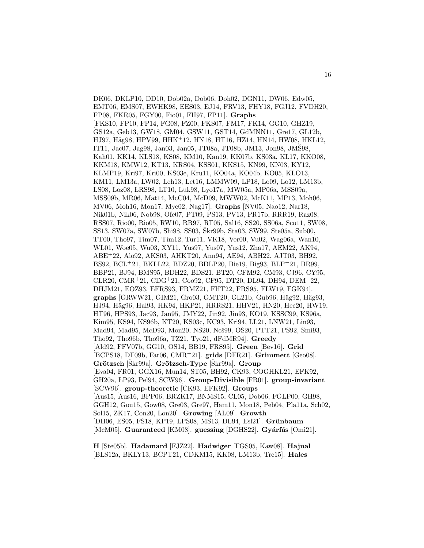DK06, DKLP10, DD10, Dob02a, Dob06, Doh02, DGN11, DW06, Edw05, EMT06, EMS07, EWHK98, EES03, EJ14, FRV13, FHY18, FGJ12, FVDH20, FP08, FKR05, FGY00, Fio01, FH97, FP11]. **Graphs** [FKS10, FP10, FP14, FG08, FZ00, FKS07, FM17, FK14, GG10, GHZ19, GS12a, Geb13, GW18, GM04, GSW11, GST14, GdMNN11, Gre17, GL12b, HJ97, Häg98, HPV99, HHK+12, HN18, HT16, HZ14, HN14, HW08, HKL12, IT11, Jac07, Jag98, Jan03, Jan05, JT08a, JT08b, JM13, Jon98, JMŠ98, Kah01, KK14, KLS18, KS08, KM10, Kan19, KK07b, KS03a, KL17, KKO08, KKM18, KMW12, KT13, KRS04, KSS01, KKS15, KN99, KN03, KY12, KLMP19, Kri97, Kri00, KS03e, Kru11, KO04a, KO04b, KO05, KLO13, KM11, LM13a, LW02, Leh13, Let16, LMMW09, LP18, Lo09, Lo12, LM13b, LS08, Loz08, LRS98, LT10, Luk98, Lyo17a, MW05a, MP06a, MSS09a, MSS09b, MR06, Mat14, McC04, McD09, MWW02, McK11, MP13, Moh06, MV06, Moh16, Mon17, Mye02, Nag17]. **Graphs** [NV05, Nao12, Nar18, Nik01b, Nik06, Nob98, Ofe07, PT09, PS13, PV13, PR17b, RRR19, Raz08, RSS07, Rio00, Rio05, RW10, RR97, RT05, Sal16, SS20, SS06a, Sco11, SW08, SS13, SW07a, SW07b, Shi98, SS03, Skr99b, Sta03, SW99, Ste05a, Sub00, TT00, Tho97, Tim07, Tim12, Tur11, VK18, Ver00, Vu02, Wag06a, Wan10, WL01, Woe05, Wu03, XY11, Yus97, Yus07, Yus12, Zha17, AEM22, AK94, ABE<sup>+</sup>22, Alo92, AKS03, AHKT20, Ann94, AE94, ABH22, AJT03, BH92, BS92, BCL<sup>+</sup>21, BKLL22, BDZ20, BDLP20, Bie19, Big93, BLP<sup>+</sup>21, BR99, BBP21, BJ94, BMS95, BDH22, BDS21, BT20, CFM92, CM93, CJ96, CY95, CLR20, CMR<sup>+</sup>21, CDG<sup>+</sup>21, Coo92, CF95, DT20, DL94, DH94, DEM<sup>+</sup>22, DHJM21, EOZ93, EFRS93, FRMZ21, FHT22, FRS95, FLW19, FGK94]. graphs<sup>[GRWW21, GIM21, Gro03, GMT20, GL21b, Gub96, Häg92, Häg93,</sup> HJ94, Häg96, Hal93, HK94, HKP21, HRRS21, HHV21, HN20, Hec20, HW19, HT96, HPS93, Jac93, Jan95, JMY22, Jin92, Jin93, KO19, KSSC99, KS96a, Kim95, KS94, KS96b, KT20, KS03c, KC93, Kri94, LL21, LNW21, Lin93, Mad94, Mad95, McD93, Mon20, NS20, Neš99, OS20, PTT21, PS92, Smi93, Tho92, Tho96b, Tho96a, TZ21, Tyo21, dFdMR94]. **Greedy** [Ald92, FFV07b, GG10, OS14, BB19, FRS95]. **Green** [Bev16]. **Grid** [BCPS18, DF09b, Far06, CMR<sup>+</sup>21]. **grids** [DFR21]. **Grimmett** [Geo08]. **Grötzsch** [Skr99a]. **Grötzsch-Type** [Skr99a]. **Group** [Eva04, FR01, GGX16, Mun14, ST05, BH92, CK93, COGHKL21, EFK92, GH20a, LP93, Pel94, SCW96]. **Group-Divisible** [FR01]. **group-invariant** [SCW96]. **group-theoretic** [CK93, EFK92]. **Groups** [Aus15, Aus16, BPP06, BRZK17, BNMS15, CL05, Dob06, FGLP00, GH98, GGH12, Gou15, Gow08, Gre03, Gre97, Ham11, Mon18, Peb04, Pla11a, Sch02, Sol15, ZK17, Con20, Lon20]. **Growing** [AL09]. **Growth** [DH06, ES05, FS18, KP19, LPS08, MS13, DL94, Esl21]. **Grünbaum** [McM05]. **Guaranteed** [KM08]. guessing [DGHS22]. **Gyárfás** [Omi21].

**H** [Ste05b]. **Hadamard** [FJZ22]. **Hadwiger** [FGS05, Kaw08]. **Hajnal** [BLS12a, BKLY13, BCPT21, CDKM15, KK08, LM13b, Tre15]. **Hales**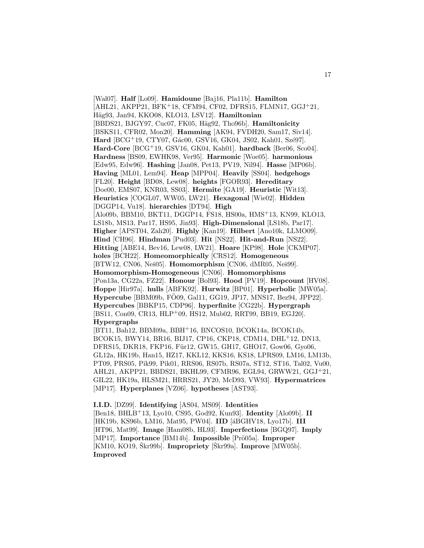[Wal07]. **Half** [Lo09]. **Hamidoune** [Baj16, Pla11b]. **Hamilton** [AHL21, AKPP21, BFK<sup>+</sup>18, CFM94, CF02, DFRS15, FLMN17, GGJ<sup>+</sup>21, Häg93, Jan94, KKO08, KLO13, LSV12]. **Hamiltonian** [BBDS21, BJGY97, Cuc07, FK05, Häg92, Tho96b]. **Hamiltonicity** [BSKS11, CFR02, Mon20]. **Hamming** [AK94, FVDH20, Sam17, Siv14]. **Hard** [BCG<sup>+</sup>19, CTY07, Gác00, GSV16, GK04, JS02, Kah01, Szé97]. **Hard-Core** [BCG<sup>+</sup>19, GSV16, GK04, Kah01]. **hardback** [Ber06, Sco04]. **Hardness** [BS09, EWHK98, Ver95]. **Harmonic** [Woe05]. **harmonious** [Edw95, Edw96]. **Hashing** [Jan08, Pet13, PV19, Nil94]. **Hasse** [MP06b]. **Having** [ML01, Lem94]. **Heap** [MPP04]. **Heavily** [SS04]. **hedgehogs** [FL20]. **Height** [BD08, Lew08]. **heights** [FGOR93]. **Hereditary** [Doe00, EMS07, KNR03, SS03]. **Hermite** [GA19]. **Heuristic** [Wit13]. **Heuristics** [COGL07, WW05, LW21]. **Hexagonal** [Wie02]. **Hidden** [DGGP14, Vu18]. **hierarchies** [DT94]. **High** [Alo09b, BBM10, BKT11, DGGP14, FS18, HS00a, HMS<sup>+</sup>13, KN99, KLO13, LS18b, MS13, Par17, HS95, Jin93]. **High-Dimensional** [LS18b, Par17]. **Higher** [APST04, Zah20]. **Highly** [Kan19]. **Hilbert** [Ano10k, LLMO09]. **Hind** [CH96]. **Hindman** [Pud03]. **Hit** [NS22]. **Hit-and-Run** [NS22]. **Hitting** [ABE14, Bev16, Lew08, LW21]. **Hoare** [KP98]. **Hole** [CKMP07]. **holes** [BCH22]. **Homeomorphically** [CRS12]. **Homogeneous** [BTW12, CN06, Neš05]. **Homomorphism** [CN06, dMR05, Neš99]. **Homomorphism-Homogeneous** [CN06]. **Homomorphisms** [Pon13a, CG22a, FZ22]. **Honour** [Bol93]. **Hood** [PV19]. **Hopcount** [HV08]. **Hoppe** [Hir97a]. **hulls** [ABFK92]. **Hurwitz** [BP01]. **Hyperbolic** [MW05a]. **Hypercube** [BBM09b, FÖ09, Gal11, GG19, JP17, MNS17, Bez94, JPP22]. **Hypercubes** [BBKP15, CDP96]. **hyperfinite** [CG22b]. **Hypergraph** [BS11, Con09, CR13, HLP+09, HS12, Mub02, RRT99, BB19, EGJ20]. **Hypergraphs** [BT11, Bah12, BBM09a, BBH<sup>+</sup>16, BNCOS10, BCOK14a, BCOK14b,

BCOK15, BWY14, BR16, BIJ17, CP16, CKP18, CDM14, DHL<sup>+</sup>12, DN13, DFRS15, DKR18, FKP16, Für12, GW15, GH17, GHO17, Gow06, Gyo06, GL12a, HK19b, Han15, HZ17, KKL12, KKS16, KS18, LPRS09, LM16, LM13b, PT09, PRS05, Pik99, Pik01, RRS06, RS07b, RS07a, ST12, ST16, Tal02, Vu00, AHL21, AKPP21, BBDS21, BKHL99, CFMR96, EGL94, GRWW21, GGJ+21, GIL22, HK19a, HLSM21, HRRS21, JY20, McD93, VW93]. **Hypermatrices** [MP17]. **Hyperplanes** [VZ06]. **hypotheses** [AST93].

**I.I.D.** [DZ99]. **Identifying** [AS04, MS09]. **Identities** [Ben18, BHLB<sup>+</sup>13, Lyo10, CS95, God92, Kun93]. **Identity** [Alo09b]. **II** [HK19b, KS96b, LM16, Mat95, PW04]. **IID** [áBGHV18, Lyo17b]. **III** [HT96, Mat99]. **Image** [Ham08b, HL93]. **Imperfections** [BGQ97]. **Imply** [MP17]. **Importance** [BM14b]. **Impossible** [Prö05a]. **Improper** [KM10, KO19, Škr99b]. **Impropriety** [Škr99a]. **Improve** [MW05b]. **Improved**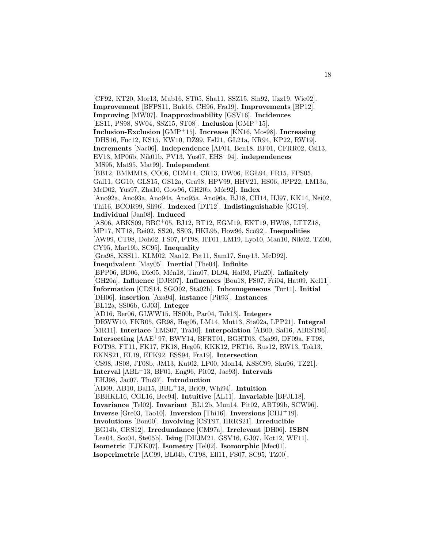[CF92, KT20, Mor13, Mub16, ST05, Sha11, SSZ15, Sin92, Uzz19, Wie02]. **Improvement** [BFPS11, Buk16, CH96, Fra19]. **Improvements** [BP12]. **Improving** [MW07]. **Inapproximability** [GSV16]. **Incidences** [ES11, PS98, SW04, SSZ15, ST08]. **Inclusion** [GMP<sup>+</sup>15]. **Inclusion-Exclusion** [GMP<sup>+</sup>15]. **Increase** [KN16, Mos98]. **Increasing** [DHS16, Fuc12, KS15, KW10, DZ99, Esl21, GL21a, KR94, KP22, RW19]. **Increments** [Nac06]. **Independence** [AF04, Ben18, BF01, CFRR02, Csi13, EV13, MP06b, Nik01b, PV13, Yus07, EHS<sup>+</sup>94]. **independences** [MS95, Mat95, Mat99]. **Independent** [BB12, BMMM18, CO06, CDM14, CR13, DW06, EGL94, FR15, FPS05, Gal11, GG10, GLS15, GS12a, Gra98, HPV99, HHV21, HS06, JPP22, LM13a, McD02, Yus97, Zha10, Gow96, GH20b, M´or92]. **Index** [Ano92a, Ano93a, Ano94a, Ano95a, Ano96a, BJ18, CH14, HJ97, KK14, Nei02, Thi16, BCOR99, Sli96]. **Indexed** [DT12]. **Indistinguishable** [GG19]. **Individual** [Jan08]. **Induced** [AS06, ABKS09, BBC<sup>+</sup>05, BJ12, BT12, EGM19, EKT19, HW08, LTTZ18, MP17, NT18, Rei02, SS20, SS03, HK L95, How96, Sco92]. **Inequalities** [AW99, CT98, Doh02, FS07, FT98, HT01, LM19, Lyo10, Man10, Nik02, TZ00, CY95, Mar19b, SC95]. **Inequality** [Gra98, KSS11, KLM02, Nao12, Pet11, Sam17, Smy13, McD92]. **Inequivalent** [May05]. **Inertial** [The04]. **Infinite** [BPP06, BD06, Die05, M´en18, Tim07, DL94, Hal93, Pin20]. **infinitely** [GH20a]. **Influence** [DJR07]. **Influences** [Bou18, FS07, Fri04, Hat09, Kel11]. **Information** [CDS14, SGO02, Sta02b]. **Inhomogeneous** [Tur11]. **Initial** [DH06]. **insertion** [Aza94]. **instance** [Pit93]. **Instances** [BL12a, SS06b, GJ03]. **Integer** [AD16, Ber06, GLWW15, HS00b, Par04, Tok13]. **Integers** [DRWW10, FKR05, GR98, Heg05, LM14, Mut13, Sta02a, LPP21]. **Integral** [MR11]. **Interlace** [EMS07, Tra10]. **Interpolation** [AB00, Sal16, ABIST96]. **Intersecting** [AAE<sup>+</sup>97, BWY14, BFRT01, BGHT03, Cza99, DF09a, FT98, FOT98, FT11, FK17, FK18, Heg05, KKK12, PRT16, Rus12, RW13, Tok13, EKNS21, EL19, EFK92, ESS94, Fra19]. **Intersection** [CS98, JS08, JT08b, JM13, Kut02, LP00, Mon14, KSSC99, Sku96, TZ21]. **Interval** [ABL<sup>+</sup>13, BF01, Eng96, Pit02, Jac93]. **Intervals** [EHJ98, Jac07, Tho97]. **Introduction** [AB09, AB10, Bal15, BBL<sup>+</sup>18, Bri09, Whi94]. **Intuition** [BBHK L16, CGL16, Bec94]. **Intuitive** [AL11]. **Invariable** [BFJL18]. **Invariance** [Tel02]. **Invariant** [BL12b, Mun14, Pit02, ABT99b, SCW96]. **Inverse** [Gre03, Tao10]. **Inversion** [Thi16]. **Inversions** [CHJ<sup>+</sup>19]. **Involutions** [Bon00]. **Involving** [CST97, HRRS21]. **Irreducible** [BG14b, CRS12]. **Irredundance** [CM97a]. **Irrelevant** [DH06]. **ISBN** [Lea04, Sco04, Ste05b]. **Ising** [DHJM21, GSV16, GJ07, Kot12, WF11]. **Isometric** [FJKK07]. **Isometry** [Tel02]. **Isomorphic** [Mec01]. **Isoperimetric** [AC99, BL04b, CT98, Ell11, FS07, SC95, TZ00].

18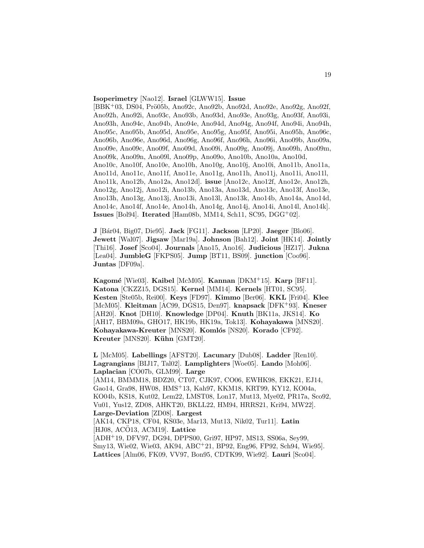#### **Isoperimetry** [Nao12]. **Israel** [GLWW15]. **Issue**

[BBK<sup>+</sup>03, DS04, Prö05b, Ano92c, Ano92b, Ano92d, Ano92e, Ano92g, Ano92f, Ano92h, Ano92i, Ano93c, Ano93b, Ano93d, Ano93e, Ano93g, Ano93f, Ano93i, Ano93h, Ano94c, Ano94b, Ano94e, Ano94d, Ano94g, Ano94f, Ano94i, Ano94h, Ano95c, Ano95b, Ano95d, Ano95e, Ano95g, Ano95f, Ano95i, Ano95h, Ano96c, Ano96b, Ano96e, Ano96d, Ano96g, Ano96f, Ano96h, Ano96i, Ano09b, Ano09a, Ano09e, Ano09c, Ano09f, Ano09d, Ano09i, Ano09g, Ano09j, Ano09h, Ano09m, Ano09k, Ano09n, Ano09l, Ano09p, Ano09o, Ano10b, Ano10a, Ano10d, Ano10c, Ano10f, Ano10e, Ano10h, Ano10g, Ano10j, Ano10i, Ano11b, Ano11a, Ano11d, Ano11c, Ano11f, Ano11e, Ano11g, Ano11h, Ano11j, Ano11i, Ano11l, Ano11k, Ano12b, Ano12a, Ano12d]. **issue** [Ano12c, Ano12f, Ano12e, Ano12h, Ano12g, Ano12j, Ano12i, Ano13b, Ano13a, Ano13d, Ano13c, Ano13f, Ano13e, Ano13h, Ano13g, Ano13j, Ano13i, Ano13l, Ano13k, Ano14b, Ano14a, Ano14d, Ano14c, Ano14f, Ano14e, Ano14h, Ano14g, Ano14j, Ano14i, Ano14l, Ano14k]. **Issues** [Bol94]. **Iterated** [Ham08b, MM14, Sch11, SC95, DGG<sup>+</sup>02].

**J** [B´ar04, Big07, Die95]. **Jack** [FG11]. **Jackson** [LP20]. **Jaeger** [Blo06]. **Jewett** [Wal07]. **Jigsaw** [Mar19a]. **Johnson** [Bah12]. **Joint** [HK14]. **Jointly** [Thi16]. **Josef** [Sco04]. **Journals** [Ano15, Ano16]. **Judicious** [HZ17]. **Jukna** [Lea04]. **JumbleG** [FKPS05]. **Jump** [BT11, BS09]. **junction** [Coo96]. **Juntas** [DF09a].

**Kagom´e** [Wie03]. **Kaibel** [McM05]. **Kannan** [DKM<sup>+</sup>15]. **Karp** [BF11]. **Katona** [CKZZ15, DGS15]. **Kernel** [MM14]. **Kernels** [HT01, SC95]. **Kesten** [Ste05b, Rei00]. **Keys** [FD97]. **Kimmo** [Ber06]. **KKL** [Fri04]. **Klee** [McM05]. **Kleitman** [AC99, DGS15, Den97]. **knapsack** [DFK<sup>+</sup>93]. **Kneser** [AH20]. **Knot** [DH10]. **Knowledge** [DP04]. **Knuth** [BK11a, JKS14]. **Ko** [AH17, BBM09a, GHO17, HK19b, HK19a, Tok13]. **Kohayakawa** [MNS20]. **Kohayakawa-Kreuter** [MNS20]. **Koml´os** [NS20]. **Korado** [CF92]. **Kreuter** [MNS20]. **Kühn** [GMT20].

**L** [McM05]. **Labellings** [AFST20]. **Lacunary** [Dub08]. **Ladder** [Ren10]. **Lagrangians** [BIJ17, Tal02]. **Lamplighters** [Woe05]. **Lando** [Moh06]. **Laplacian** [CO07b, GLM99]. **Large** [AM14, BMMM18, BDZ20, CT07, CJK97, CO06, EWHK98, EKK21, EJ14, Gao14, Gra98, HW08, HMS<sup>+</sup>13, Kah97, KKM18, KRT99, KY12, KO04a, KO04b, KS18, Kut02, Lem22, LMST08, Lon17, Mut13, Mye02, PR17a, Sco92, Vu01, Yus12, ZD08, AHKT20, BKLL22, HM94, HRRS21, Kri94, MW22]. **Large-Deviation** [ZD08]. **Largest** [AK14, CKP18, CF04, KS03e, Mar13, Mut13, Nik02, Tur11]. **Latin** [HJ08, ACO13, ACM19]. **Lattice** [ADH<sup>+</sup>19, DFV97, DG94, DPPS00, Gri97, HP97, MS13, SS06a, Sey99, Smy13, Wie02, Wie03, AK94, ABC<sup>+</sup>21, BP92, Eng96, FP92, Sch94, Wie95]. **Lattices** [Alm06, FK09, VV97, Bon95, CDTK99, Wie92]. **Lauri** [Sco04].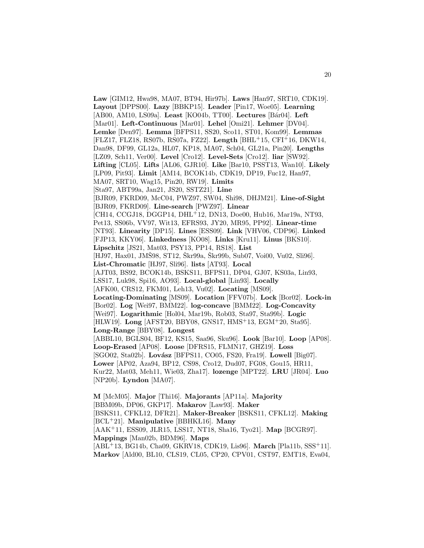**Law** [GIM12, Hwa98, MA07, BT94, Hir97b]. **Laws** [Han97, SRT10, CDK19]. **Layout** [DPPS00]. **Lazy** [BBKP15]. **Leader** [Pin17, Woe05]. **Learning** [AB00, AM10, LS09a]. **Least** [KO04b, TT00]. **Lectures** [B´ar04]. **Left** [Mar01]. **Left-Continuous** [Mar01]. **Lehel** [Omi21]. **Lehmer** [DV04]. **Lemke** [Den97]. **Lemma** [BFPS11, SS20, Sco11, ST01, Kom99]. **Lemmas** [FLZ17, FLZ18, RS07b, RS07a, FZ22]. **Length** [BHL<sup>+</sup>15, CFI<sup>+</sup>16, DKW14, Dan98, DF99, GL12a, HL07, KP18, MA07, Sch04, GL21a, Pin20]. **Lengths** [LZ09, Sch11, Ver00]. **Level** [Cro12]. **Level-Sets** [Cro12]. **liar** [SW92]. **Lifting** [CL05]. **Lifts** [AL06, GJR10]. **Like** [Bar10, PSST13, Wan10]. **Likely** [LP09, Pit93]. **Limit** [AM14, BCOK14b, CDK19, DP19, Fuc12, Han97, MA07, SRT10, Wag15, Pin20, RW19]. **Limits** [Sta97, ABT99a, Jan21, JS20, SSTZ21]. **Line** [BJR09, FKRD09, McC04, PWZ97, SW04, Shi98, DHJM21]. **Line-of-Sight** [BJR09, FKRD09]. **Line-search** [PWZ97]. **Linear** [CH14, CCGJ18, DGGP14, DHL<sup>+</sup>12, DN13, Doe00, Hub16, Mar19a, NT93, Pet13, SS06b, VV97, Wit13, EFRS93, JY20, MR95, PP92]. **Linear-time** [NT93]. **Linearity** [DP15]. **Lines** [ESS09]. **Link** [VHV06, CDP96]. **Linked** [FJP13, KKY06]. **Linkedness** [KO08]. **Links** [Kru11]. **Linus** [BKS10]. **Lipschitz** [JS21, Mat03, PSY13, PP14, RS18]. **List**  $[HJ97, \text{Hax01}, \text{JMSS8}, \text{ST12}, \text{Škr99a}, \text{Škr99b}, \text{Sub07}, \text{Voi00}, \text{Vu02}, \text{Sli96}].$ **List-Chromatic** [HJ97, Sli96]. **lists** [AT93]. **Local** [AJT03, BS92, BCOK14b, BSKS11, BFPS11, DP04, GJ07, KS03a, Lin93, LSS17, Luk98, Spi16, AO93]. **Local-global** [Lin93]. **Locally** [AFK00, CRS12, FKM01, Leh13, Vu02]. **Locating** [MS09]. **Locating-Dominating** [MS09]. **Location** [FFV07b]. **Lock** [Bor02]. **Lock-in** [Bor02]. **Log** [Wei97, BMM22]. **log-concave** [BMM22]. **Log-Concavity** [Wei97]. **Logarithmic** [Hol04, Mar19b, Rob03, Sta97, Sta99b]. **Logic** [HLW19]. **Long** [AFST20, BBY08, GNS17, HMS<sup>+</sup>13, EGM<sup>+</sup>20, Sta95]. **Long-Range** [BBY08]. **Longest** [ABBL10, BGLS04, BF12, KS15, Saa96, Sku96]. **Look** [Bar10]. **Loop** [AP08]. **Loop-Erased** [AP08]. **Loose** [DFRS15, FLMN17, GHZ19]. **Loss** [SGO02, Sta02b]. **Lovász** [BFPS11, CO05, FS20, Fra19]. **Lowell** [Big07]. **Lower** [AP02, Aza94, BP12, CS98, Cro12, Dud07, FG08, Gou15, HR11, Kur22, Mat03, Meh11, Wie03, Zha17]. **lozenge** [MPT22]. **LRU** [JR04]. **Luo** [NP20b]. **Lyndon** [MA07].

**M** [McM05]. **Major** [Thi16]. **Majorants** [AP11a]. **Majority** [BBM09b, DP06, GKP17]. **Makarov** [Law93]. **Maker** [BSKS11, CFKL12, DFR21]. **Maker-Breaker** [BSKS11, CFKL12]. **Making** [BCL<sup>+</sup>21]. **Manipulative** [BBHK L16]. **Many** [AAK<sup>+</sup>11, ESS09, JLR15, LSS17, NT18, Sha16, Tyo21]. **Map** [BCGR97]. **Mappings** [Man02b, BDM96]. **Maps** [ABL<sup>+</sup>13, BG14b, Cha09, GKRV18, CDK19, Lis96]. **March** [Pla11b, SSS<sup>+</sup>11]. **Markov** [Ald00, BL10, CLS19, CL05, CP20, CPV01, CST97, EMT18, Eva04,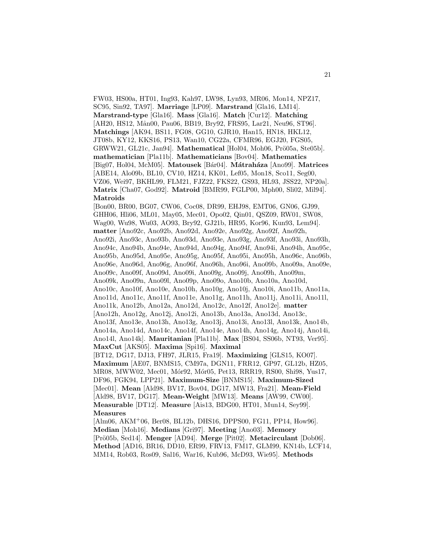FW03, HS00a, HT01, Ing93, Kah97, LW98, Lyn93, MR06, Mon14, NPZ17, SC95, Sin92, TA97]. **Marriage** [LP09]. **Marstrand** [Gla16, LM14]. **Marstrand-type** [Gla16]. **Mass** [Gla16]. **Match** [Cur12]. **Matching** [AH20, HS12, Mån00, Pau06, BB19, Bry92, FRS95, Lar21, Neu96, ST96]. **Matchings** [AK94, BS11, FG08, GG10, GJR10, Han15, HN18, HKL12, JT08b, KY12, KKS16, PS13, Wan10, CG22a, CFMR96, EGJ20, FGS05, GRWW21, GL21c, Jan94]. Mathematical [Hol04, Moh06, Prö05a, Ste05b]. **mathematician** [Pla11b]. **Mathematicians** [Bov04]. **Mathematics** [Big07, Hol04, McM05]. **Matousek** [B´ar04]. **M´atrah´aza** [Ano99]. **Matrices** [ABE14, Alo09b, BL10, CV10, HZ14, KK01, Lef05, Mon18, Sco11, Seg00, VZ06, Wei97, BKHL99, FLM21, FJZ22, FKS22, GS93, HL93, JSS22, NP20a]. **Matrix** [Cha07, God92]. **Matroid** [BMR99, FGLP00, Mph00, Sli02, Mil94]. **Matroids** [Bon00, BR00, BG07, CW06, Coc08, DR99, EHJ98, EMT06, GN06, GJ99, GHH06, Hli06, ML01, May05, Mec01, Opo02, Qin01, QSZ09, RW01, SW08, Wag00, Wu98, Wu03, AO93, Bry92, GJ21b, HR95, Kor96, Kun93, Lem94]. **matter** [Ano92c, Ano92b, Ano92d, Ano92e, Ano92g, Ano92f, Ano92h, Ano92i, Ano93c, Ano93b, Ano93d, Ano93e, Ano93g, Ano93f, Ano93i, Ano93h, Ano94c, Ano94b, Ano94e, Ano94d, Ano94g, Ano94f, Ano94i, Ano94h, Ano95c, Ano95b, Ano95d, Ano95e, Ano95g, Ano95f, Ano95i, Ano95h, Ano96c, Ano96b, Ano96e, Ano96d, Ano96g, Ano96f, Ano96h, Ano96i, Ano09b, Ano09a, Ano09e, Ano09c, Ano09f, Ano09d, Ano09i, Ano09g, Ano09j, Ano09h, Ano09m, Ano09k, Ano09n, Ano09l, Ano09p, Ano09o, Ano10b, Ano10a, Ano10d, Ano10c, Ano10f, Ano10e, Ano10h, Ano10g, Ano10j, Ano10i, Ano11b, Ano11a, Ano11d, Ano11c, Ano11f, Ano11e, Ano11g, Ano11h, Ano11j, Ano11i, Ano11l, Ano11k, Ano12b, Ano12a, Ano12d, Ano12c, Ano12f, Ano12e]. **matter** [Ano12h, Ano12g, Ano12j, Ano12i, Ano13b, Ano13a, Ano13d, Ano13c, Ano13f, Ano13e, Ano13h, Ano13g, Ano13j, Ano13i, Ano13l, Ano13k, Ano14b, Ano14a, Ano14d, Ano14c, Ano14f, Ano14e, Ano14h, Ano14g, Ano14j, Ano14i, Ano14l, Ano14k]. **Mauritanian** [Pla11b]. **Max** [BS04, SS06b, NT93, Ver95]. **MaxCut** [AKS05]. **Maxima** [Spi16]. **Maximal** [BT12, DG17, DJ13, FH97, JLR15, Fra19]. **Maximizing** [GLS15, KO07]. **Maximum** [AE07, BNMS15, CM97a, DGN11, FRR12, GP97, GL12b, HZ05, MR08, MWW02, Mec01, Mór92, Mór05, Pet13, RRR19, RS00, Shi98, Yus17, DF96, FGK94, LPP21]. **Maximum-Size** [BNMS15]. **Maximum-Sized** [Mec01]. **Mean** [Ald98, BV17, Bov04, DG17, MW13, Fra21]. **Mean-Field** [Ald98, BV17, DG17]. **Mean-Weight** [MW13]. **Means** [AW99, CW00]. **Measurable** [DT12]. **Measure** [Ais13, BDG00, HT01, Mun14, Sey99]. **Measures** [Alm06, AKM<sup>+</sup>06, Ber08, BL12b, DHS16, DPPS00, FG11, PP14, How96]. **Median** [Moh16]. **Medians** [Gri97]. **Meeting** [Ano03]. **Memory** [Pr¨o05b, Sed14]. **Menger** [AD94]. **Merge** [Pit02]. **Metacirculant** [Dob06].

**Method** [AD16, BR16, DD10, ER99, FRV13, FM17, GLM99, KN14b, LCF14, MM14, Rob03, Ros09, Sal16, War16, Kub96, McD93, Wie95]. **Methods**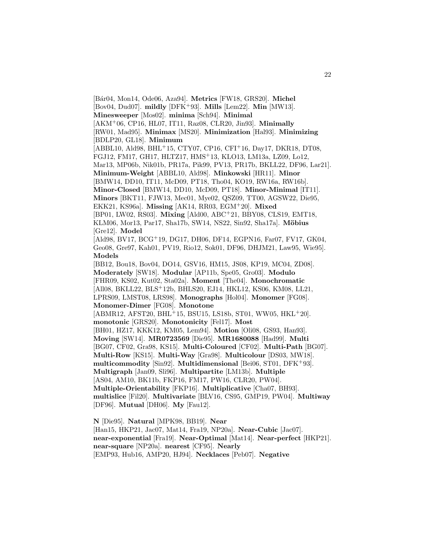[B´ar04, Mon14, Ode06, Aza94]. **Metrics** [FW18, GRS20]. **Michel** [Bov04, Dud07]. **mildly** [DFK<sup>+</sup>93]. **Mills** [Lem22]. **Min** [MW13]. **Minesweeper** [Mos02]. **minima** [Sch94]. **Minimal** [AKM<sup>+</sup>06, CP16, HL07, IT11, Raz08, CLR20, Jin93]. **Minimally** [RW01, Mad95]. **Minimax** [MS20]. **Minimization** [Hal93]. **Minimizing** [BDLP20, GL18]. **Minimum** [ABBL10, Ald98, BHL<sup>+</sup>15, CTY07, CP16, CFI<sup>+</sup>16, Day17, DKR18, DT08, FGJ12, FM17, GH17, HLTZ17, HMS<sup>+</sup>13, KLO13, LM13a, LZ09, Lo12, Mar13, MP06b, Nik01b, PR17a, Pik99, PV13, PR17b, BKLL22, DF96, Lar21]. **Minimum-Weight** [ABBL10, Ald98]. **Minkowski** [HR11]. **Minor** [BMW14, DD10, IT11, McD09, PT18, Tho04, KO19, RW16a, RW16b]. **Minor-Closed** [BMW14, DD10, McD09, PT18]. **Minor-Minimal** [IT11]. **Minors** [BKT11, FJW13, Mec01, Mye02, QSZ09, TT00, AGSW22, Die95, EKK21, KS96a]. **Missing** [AK14, RR03, EGM<sup>+</sup>20]. **Mixed** [BP01, LW02, RS03]. **Mixing** [Ald00, ABC<sup>+</sup>21, BBY08, CLS19, EMT18, KLM06, Mor13, Par17, Sha17b, SW14, NS22, Sin92, Sha17a]. **M¨obius** [Gre12]. **Model** [Ald98, BV17, BCG<sup>+</sup>19, DG17, DH06, DF14, EGPN16, Far07, FV17, GK04, Geo08, Gre97, Kah01, PV19, Rio12, Sok01, DF96, DHJM21, Law95, Wie95]. **Models** [BB12, Bou18, Bov04, DO14, GSV16, HM15, JS08, KP19, MC04, ZD08]. **Moderately** [SW18]. **Modular** [AP11b, Spe05, Gro03]. **Modulo** [FHR09, KS02, Kut02, Sta02a]. **Moment** [The04]. **Monochromatic** [All08, BKLL22, BLS<sup>+</sup>12b, BHLS20, EJ14, HKL12, KS06, KM08, LL21, LPRS09, LMST08, LRS98]. **Monographs** [Hol04]. **Monomer** [FG08]. **Monomer-Dimer** [FG08]. **Monotone**  $[ABMR12, AFST20, BHL<sup>+</sup>15, BSU15, LS18b, ST01, WW05, HKL<sup>+</sup>20].$ **monotonic** [GRS20]. **Monotonicity** [Fel17]. **Most** [BH01, HZ17, KKK12, KM05, Lem94]. **Motion** [Oli08, GS93, Han93]. **Moving** [SW14]. **MR0723569** [Die95]. **MR1680088** [Had99]. **Multi** [BG07, CF02, Gra98, KS15]. **Multi-Coloured** [CF02]. **Multi-Path** [BG07]. **Multi-Row** [KS15]. **Multi-Way** [Gra98]. **Multicolour** [DS03, MW18]. **multicommodity** [Sin92]. **Multidimensional** [Bei06, ST01, DFK<sup>+</sup>93]. **Multigraph** [Jan09, Sli96]. **Multipartite** [LM13b]. **Multiple** [AS04, AM10, BK11b, FKP16, FM17, PW16, CLR20, PW04]. **Multiple-Orientability** [FKP16]. **Multiplicative** [Cha07, BH93]. **multislice** [Fil20]. **Multivariate** [BLV16, CS95, GMP19, PW04]. **Multiway** [DF96]. **Mutual** [DH06]. **My** [Fau12].

**N** [Die95]. **Natural** [MPK98, BB19]. **Near** [Han15, HKP21, Jac07, Mat14, Fra19, NP20a]. **Near-Cubic** [Jac07]. **near-exponential** [Fra19]. **Near-Optimal** [Mat14]. **Near-perfect** [HKP21]. **near-square** [NP20a]. **nearest** [CF95]. **Nearly** [EMP93, Hub16, AMP20, HJ94]. **Necklaces** [Peb07]. **Negative**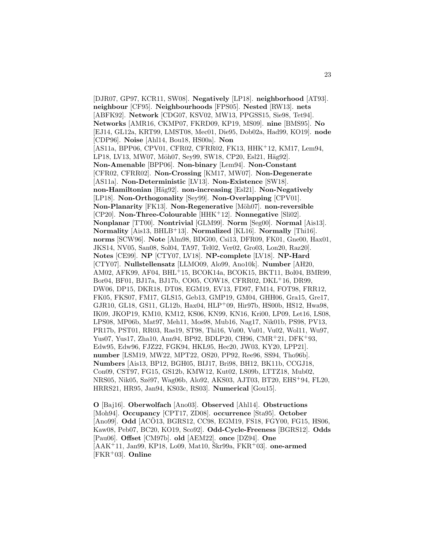[DJR07, GP97, KCR11, SW08]. **Negatively** [LP18]. **neighborhood** [AT93]. **neighbour** [CF95]. **Neighbourhoods** [FPS05]. **Nested** [RW13]. **nets** [ABFK92]. **Network** [CDG07, KSV02, MW13, PPGSS15, Sie98, Tet94]. **Networks** [AMR16, CKMP07, FKRD09, KP19, MS09]. **nine** [BMS95]. **No** [EJ14, GL12a, KRT99, LMST08, Mec01, Die95, Dob02a, Had99, KO19]. **node** [CDP96]. **Noise** [Ahl14, Bou18, HS00a]. **Non** [AS11a, BPP06, CPV01, CFR02, CFRR02, FK13, HHK+12, KM17, Lem94, LP18, LV13, MW07, Möh07, Sey99, SW18, CP20, Esl21, Häg92]. **Non-Amenable** [BPP06]. **Non-binary** [Lem94]. **Non-Constant** [CFR02, CFRR02]. **Non-Crossing** [KM17, MW07]. **Non-Degenerate** [AS11a]. **Non-Deterministic** [LV13]. **Non-Existence** [SW18]. **non-Hamiltonian** [H¨ag92]. **non-increasing** [Esl21]. **Non-Negatively** [LP18]. **Non-Orthogonality** [Sey99]. **Non-Overlapping** [CPV01]. **Non-Planarity** [FK13]. **Non-Regenerative** [Möh07]. **non-reversible** [CP20]. **Non-Three-Colourable** [HHK<sup>+</sup>12]. **Nonnegative** [Sli02]. **Nonplanar** [TT00]. **Nontrivial** [GLM99]. **Norm** [Seg00]. **Normal** [Ais13]. **Normality** [Ais13, BHLB<sup>+</sup>13]. **Normalized** [KL16]. **Normally** [Thi16]. **norms** [SCW96]. **Note** [Alm98, BDG00, Csi13, DFR09, FK01, Gne00, Hax01, JKS14, NV05, San08, Sol04, TA97, Tel02, Ver02, Gro03, Lon20, Raz20]. **Notes** [CE99]. **NP** [CTY07, LV18]. **NP-complete** [LV18]. **NP-Hard** [CTY07]. **Nullstellensatz** [LLMO09, Alo99, Ano10k]. **Number** [AH20, AM02, AFK99, AF04, BHL<sup>+</sup>15, BCOK14a, BCOK15, BKT11, Bol04, BMR99, Bor04, BF01, BJ17a, BJ17b, CO05, COW18, CFRR02, DKL<sup>+</sup>16, DR99, DW06, DP15, DKR18, DT08, EGM19, EV13, FD97, FM14, FOT98, FRR12, FK05, FKS07, FM17, GLS15, Geb13, GMP19, GM04, GHH06, Gra15, Gre17, GJR10, GL18, GS11, GL12b, Hax04, HLP<sup>+</sup>09, Hir97b, HS00b, HS12, Hwa98, IK09, JKOP19, KM10, KM12, KS06, KN99, KN16, Kri00, LP09, Let16, LS08, LPS08, MP06b, Mat97, Meh11, Mos98, Mub16, Nag17, Nik01b, PS98, PV13, PR17b, PST01, RR03, Ras19, ST98, Thi16, Vu00, Vu01, Vu02, Wol11, Wu97, Yus07, Yus17, Zha10, Ann94, BP92, BDLP20, CH96, CMR<sup>+</sup>21, DFK<sup>+</sup>93, Edw95, Edw96, FJZ22, FGK94, HKL95, Hec20, JW03, KY20, LPP21]. **number** [LSM19, MW22, MPT22, OS20, PP92, Ree96, SS94, Tho96b]. **Numbers** [Ais13, BP12, BGH05, BIJ17, Bri98, BH12, BK11b, CCGJ18, Con09, CST97, FG15, GS12b, KMW12, Kut02, LS09b, LTTZ18, Mub02, NRS05, Nik05, Szé97, Wag06b, Alo92, AKS03, AJT03, BT20, EHS+94, FL20, HRRS21, HR95, Jan94, KS03c, RS03]. **Numerical** [Gou15].

**O** [Baj16]. **Oberwolfach** [Ano03]. **Observed** [Ahl14]. **Obstructions** [Moh94]. **Occupancy** [CPT17, ZD08]. **occurrence** [Sta95]. **October** [Ano99]. **Odd** [ACO13, BGRS12, CC98, EGM19, FS18, FGY00, FG15, HS06, Kaw08, Peb07, BC20, KO19, Sco92]. **Odd-Cycle-Freeness** [BGRS12]. **Odds** [Pau06]. **Offset** [CM97b]. **old** [AEM22]. **once** [DZ94]. **One**  $[AAK^+11, Jan99, KP18, Lo09, Mat10, Škr99a, FKR^+03]$ . **one-armed** [FKR<sup>+</sup>03]. **Online**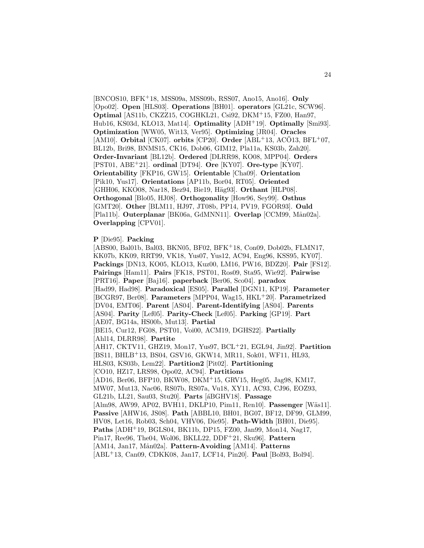[BNCOS10, BFK<sup>+</sup>18, MSS09a, MSS09b, RSS07, Ano15, Ano16]. **Only** [Opo02]. **Open** [HLS03]. **Operations** [BH01]. **operators** [GL21c, SCW96]. **Optimal** [AS11b, CKZZ15, COGHKL21, Csi92, DKM<sup>+</sup>15, FZ00, Han97, Hub16, KS03d, KLO13, Mat14]. **Optimality** [ADH<sup>+</sup>19]. **Optimally** [Smi93]. **Optimization** [WW05, Wit13, Ver95]. **Optimizing** [JR04]. **Oracles** [AM10]. **Orbital** [CK07]. **orbits** [CP20]. **Order** [ABL<sup>+</sup>13, AC $\ddot{\text{O}}$ 13, BFL<sup>+</sup>07, BL12b, Bri98, BNMS15, CK16, Dob06, GIM12, Pla11a, KS03b, Zah20]. **Order-Invariant** [BL12b]. **Ordered** [DLRR98, KO08, MPP04]. **Orders** [PST01, ABE<sup>+</sup>21]. **ordinal** [DT94]. **Ore** [KY07]. **Ore-type** [KY07]. **Orientability** [FKP16, GW15]. **Orientable** [Cha09]. **Orientation** [Pik10, Yus17]. **Orientations** [AP11b, Bor04, RT05]. **Oriented** [GHH06, KKO08, Nar18, Bez94, Bie19, Häg93]. **Orthant** [HLP08]. **Orthogonal** [Blo05, HJ08]. **Orthogonality** [How96, Sey99]. **Osthus** [GMT20]. **Other** [BLM11, HJ97, JT08b, PP14, PV19, FGOR93]. **Ould** [Pla11b]. **Outerplanar** [BK06a, GdMNN11]. **Overlap** [CCM99, Mån02a]. **Overlapping** [CPV01].

**P** [Die95]. **Packing**

[ABS00, Bal01b, Bal03, BKN05, BF02, BFK<sup>+</sup>18, Con09, Dob02b, FLMN17, KK07b, KK09, RRT99, VK18, Yus07, Yus12, AC94, Eng96, KSS95, KY07]. **Packings** [DN13, KO05, KLO13, Kuz00, LM16, PW16, BDZ20]. **Pair** [FS12]. **Pairings** [Ham11]. **Pairs** [FK18, PST01, Ros09, Sta95, Wie92]. **Pairwise** [PRT16]. **Paper** [Baj16]. **paperback** [Ber06, Sco04]. **paradox** [Had99, Had98]. **Paradoxical** [ES05]. **Parallel** [DGN11, KP19]. **Parameter** [BCGR97, Ber08]. **Parameters** [MPP04, Wag15, HKL<sup>+</sup>20]. **Parametrized** [DV04, EMT06]. **Parent** [AS04]. **Parent-Identifying** [AS04]. **Parents** [AS04]. **Parity** [Lef05]. **Parity-Check** [Lef05]. **Parking** [GP19]. **Part** [AE07, BG14a, HS00b, Mut13]. **Partial** [BE15, Cur12, FG08, PST01, Voi00, ACM19, DGHS22]. **Partially** [Ahl14, DLRR98]. Partite [AH17, CKTV11, GHZ19, Mon17, Yus97, BCL<sup>+</sup>21, EG L94, Jin92]. **Partition** [BS11, BHLB<sup>+</sup>13, BS04, GSV16, GKW14, MR11, Sok01, WF11, HL93, HLS03, KS03b, Lem22]. **Partition2** [Pit02]. **Partitioning** [CO10, HZ17, LRS98, Opo02, AC94]. **Partitions** [AD16, Ber06, BFP10, BKW08, DKM<sup>+</sup>15, GRV15, Heg05, Jag98, KM17, MW07, Mut13, Nac06, RS07b, RS07a, Vu18, XY11, AC93, CJ96, EOZ93, GL21b, LL21, Sau03, Stu20]. **Parts** [´aBGHV18]. **Passage** [Alm98, AW99, AP02, BVH11, DKLP10, Pim11, Ren10]. Passenger [Wäs11]. **Passive** [AHW16, JS08]. **Path** [ABBL10, BH01, BG07, BF12, DF99, GLM99, HV08, Let16, Rob03, Sch04, VHV06, Die95]. **Path-Width** [BH01, Die95]. **Paths** [ADH<sup>+</sup>19, BGLS04, BK11b, DP15, FZ00, Jan99, Mon14, Nag17, Pin17, Ree96, The04, Wol06, BKLL22, DDF<sup>+</sup>21, Sku96]. **Pattern** [AM14, Jan17, M˚an02a]. **Pattern-Avoiding** [AM14]. **Patterns** [ABL<sup>+</sup>13, Can09, CDKK08, Jan17, LCF14, Pin20]. **Paul** [Bol93, Bol94].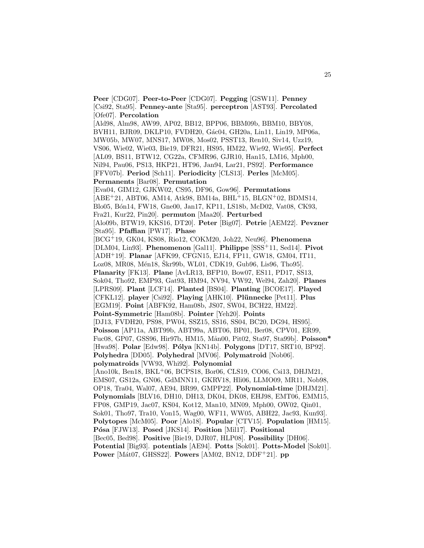**Peer** [CDG07]. **Peer-to-Peer** [CDG07]. **Pegging** [GSW11]. **Penney** [Csi92, Sta95]. **Penney-ante** [Sta95]. **perceptron** [AST93]. **Percolated** [Ofe07]. **Percolation** [Ald98, Alm98, AW99, AP02, BB12, BPP06, BBM09b, BBM10, BBY08, BVH11, BJR09, DKLP10, FVDH20, Gác04, GH20a, Lin11, Lin19, MP06a, MW05b, MW07, MNS17, MW08, Mos02, PSST13, Ren10, Siv14, Uzz19, VS06, Wie02, Wie03, Bie19, DFR21, HS95, HM22, Wie92, Wie95]. **Perfect** [AL09, BS11, BTW12, CG22a, CFMR96, GJR10, Han15, LM16, Mph00, Nil94, Pau06, PS13, HKP21, HT96, Jan94, Lar21, PS92]. **Performance** [FFV07b]. **Period** [Sch11]. **Periodicity** [CLS13]. **Perles** [McM05]. **Permanents** [Bar08]. **Permutation** [Eva04, GIM12, GJKW02, CS95, DF96, Gow96]. **Permutations** [ABE<sup>+</sup>21, ABT06, AM14, Atk98, BM14a, BHL<sup>+</sup>15, BLGN<sup>+</sup>02, BDMS14, Blo05, B´on14, FW18, Gne00, Jan17, KP11, LS18b, McD02, Vat08, CK93, Fra21, Kur22, Pin20]. **permuton** [Maa20]. **Perturbed** [Alo09b, BTW19, KKS16, DT20]. **Peter** [Big07]. **Petrie** [AEM22]. **Pevzner** [Sta95]. **Pfaffian** [PW17]. **Phase** [BCG<sup>+</sup>19, GK04, KS08, Rio12, COKM20, Joh22, Neu96]. **Phenomena** [DLM04, Lin93]. **Phenomenon** [Gal11]. **Philippe** [SSS<sup>+</sup>11, Sed14]. **Pivot** [ADH<sup>+</sup>19]. **Planar** [AFK99, CFGN15, EJ14, FP11, GW18, GM04, IT11, Loz08, MR08, Mén18, Škr99b, WL01, CDK19, Gub96, Lis96, Tho95]. **Planarity** [FK13]. **Plane** [AvLR13, BFP10, Bow07, ES11, PD17, SS13, Sok04, Tho92, EMP93, Gat93, HM94, NV94, VW92, Wel94, Zah20]. **Planes** [LPRS09]. **Plant** [LCF14]. **Planted** [BS04]. **Planting** [BCOE17]. **Played** [CFKL12]. player [Csi92]. Playing [AHK10]. Plünnecke [Pet11]. Plus [EGM19]. **Point** [ABFK92, Ham08b, JS07, SW04, BCH22, HM22]. **Point-Symmetric** [Ham08b]. **Pointer** [Yeh20]. **Points** [DJ13, FVDH20, PS98, PW04, SSZ15, SS16, SS04, BC20, DG94, HS95]. **Poisson** [AP11a, ABT99b, ABT99a, ABT06, BP01, Ber08, CPV01, ER99, Fuc08, GP07, GSS96, Hir97b, HM15, M˚an00, Pit02, Sta97, Sta99b]. **Poisson\*** [Hwa98]. **Polar** [Edw98]. **P´olya** [KN14b]. **Polygons** [DT17, SRT10, BP92]. **Polyhedra** [DD05]. **Polyhedral** [MV06]. **Polymatroid** [Nob06]. **polymatroids** [VW93, Whi92]. **Polynomial** [Ano10k, Ben18, BKL<sup>+</sup>06, BCPS18, Bor06, CLS19, CO06, Csi13, DHJM21, EMS07, GS12a, GN06, GdMNN11, GKRV18, Hli06, LLMO09, MR11, Nob98, OP18, Tra04, Wal07, AE94, BR99, GMPP22]. **Polynomial-time** [DHJM21]. **Polynomials** [BLV16, DH10, DH13, DK04, DK08, EHJ98, EMT06, EMM15, FP08, GMP19, Jac07, KS04, Kot12, Man10, MN09, Mph00, OW02, Qin01, Sok01, Tho97, Tra10, Von15, Wag00, WF11, WW05, ABH22, Jac93, Kun93]. **Polytopes** [McM05]. **Poor** [Alo18]. **Popular** [CTV15]. **Population** [HM15]. **P´osa** [FJW13]. **Posed** [JKS14]. **Position** [Mil17]. **Positional** [Bec05, Bed98]. **Positive** [Bie19, DJR07, HLP08]. **Possibility** [DH06]. **Potential** [Big93]. **potentials** [AE94]. **Potts** [Sok01]. **Potts-Model** [Sok01]. **Power** [M´at07, GHSS22]. **Powers** [AM02, BN12, DDF<sup>+</sup>21]. **pp**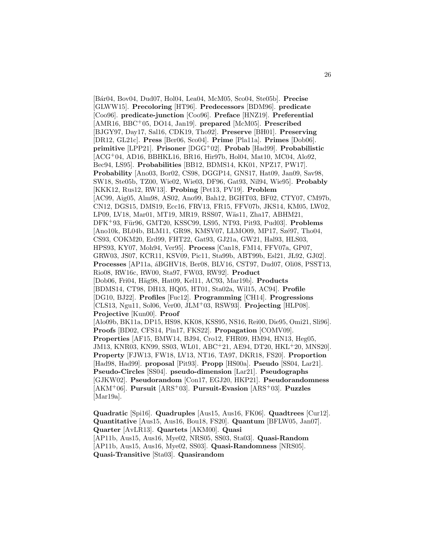[B´ar04, Bov04, Dud07, Hol04, Lea04, McM05, Sco04, Ste05b]. **Precise** [GLWW15]. **Precoloring** [HT96]. **Predecessors** [BDM96]. **predicate** [Coo96]. **predicate-junction** [Coo96]. **Preface** [HNZ19]. **Preferential** [AMR16, BBC<sup>+</sup>05, DO14, Jan19]. **prepared** [McM05]. **Prescribed** [BJGY97, Day17, Sal16, CDK19, Tho92]. **Preserve** [BH01]. **Preserving** [DR12, GL21c]. **Press** [Ber06, Sco04]. **Prime** [Pla11a]. **Primes** [Dob06]. **primitive** [LPP21]. **Prisoner** [DGG<sup>+</sup>02]. **Probab** [Had99]. **Probabilistic** [ACG<sup>+</sup>04, AD16, BBHKL16, BR16, Hir97b, Hol04, Mat10, MC04, Alo92, Bec94, LS95]. **Probabilities** [BB12, BDMS14, KK01, NPZ17, PW17]. **Probability** [Ano03, Bor02, CS98, DGGP14, GNS17, Hat09, Jan09, Sav98, SW18, Ste05b, TZ00, Wie02, Wie03, DF96, Gat93, Nil94, Wie95]. **Probably** [KKK12, Rus12, RW13]. **Probing** [Pet13, PV19]. **Problem** [AC99, Aig05, Alm98, AS02, Ano99, Bah12, BGHT03, BF02, CTY07, CM97b, CN12, DGS15, DMS19, Ecc16, FRV13, FR15, FFV07b, JKS14, KM05, LW02, LP09, LV18, Mar01, MT19, MR19, RSS07, Wäs11, Zha17, ABHM21, DFK<sup>+</sup>93, F¨ur96, GMT20, KSSC99, LS95, NT93, Pit93, Pud03]. **Problems** [Ano10k, BL04b, BLM11, GR98, KMSV07, LLMO09, MP17, Szé97, Tho04, CS93, COKM20, Erd99, FHT22, Gat93, GJ21a, GW21, Hal93, HLS03, HPS93, KY07, Moh94, Ver95]. **Process** [Can18, FM14, FFV07a, GP07, GRW03, JS07, KCR11, KSV09, Pic11, Sta99b, ABT99b, Esl21, JŁ92, GJ02]. **Processes** [AP11a,  $\acute{a}$ BGHV18, Ber08, BLV16, CST97, Dud07, Oli08, PSST13, Rio08, RW16c, RW00, Sta97, FW03, RW92]. **Product** [Dob06, Fri04, H¨ag98, Hat09, Kel11, AC93, Mar19b]. **Products** [BDMS14, CT98, DH13, HQ05, HT01, Sta02a, Wil15, AC94]. **Profile** [DG10, BJ22]. **Profiles** [Fuc12]. **Programming** [CH14]. **Progressions** [CLS13, Ngu11, Sol06, Ver00, JLM<sup>+</sup>03, RSW93]. **Projecting** [HLP08]. **Projective** [Kun00]. **Proof** [Alo09b, BK11a, DP15, HS98, KK08, KSS95, NS16, Rei00, Die95, Omi21, Sli96]. **Proofs** [BD02, CFS14, Pin17, FKS22]. **Propagation** [COMV09]. **Properties** [AF15, BMW14, BJ94, Cro12, FHR09, HM94, HN13, Heg05, JM13, KNR03, KN99, SS03, WL01, ABC<sup>+</sup>21, AE94, DT20, HKL<sup>+</sup>20, MNS20]. **Property** [FJW13, FW18, LV13, NT16, TA97, DKR18, FS20]. **Proportion** [Had98, Had99]. **proposal** [Pit93]. **Propp** [HS00a]. **Pseudo** [SS04, Lar21]. **Pseudo-Circles** [SS04]. **pseudo-dimension** [Lar21]. **Pseudographs** [GJKW02]. **Pseudorandom** [Con17, EGJ20, HKP21]. **Pseudorandomness** [AKM<sup>+</sup>06]. **Pursuit** [ARS<sup>+</sup>03]. **Pursuit-Evasion** [ARS<sup>+</sup>03]. **Puzzles** [Mar19a].

**Quadratic** [Spi16]. **Quadruples** [Aus15, Aus16, FK06]. **Quadtrees** [Cur12]. **Quantitative** [Aus15, Aus16, Bou18, FS20]. **Quantum** [BFLW05, Jan07]. **Quarter** [AvLR13]. **Quartets** [AKM00]. **Quasi** [AP11b, Aus15, Aus16, Mye02, NRS05, SS03, Sta03]. **Quasi-Random** [AP11b, Aus15, Aus16, Mye02, SS03]. **Quasi-Randomness** [NRS05]. **Quasi-Transitive** [Sta03]. **Quasirandom**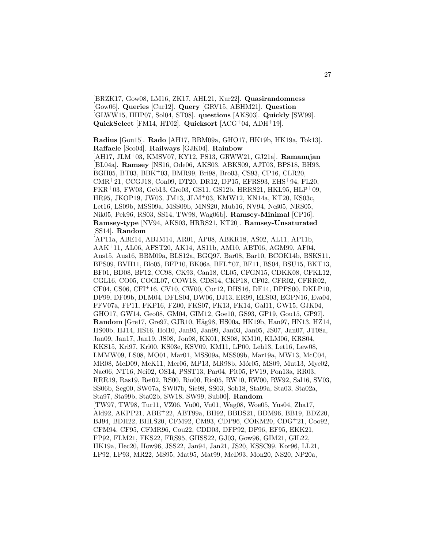[BRZK17, Gow08, LM16, ZK17, AHL21, Kur22]. **Quasirandomness** [Gow06]. **Queries** [Cur12]. **Query** [GRV15, ABHM21]. **Question** [GLWW15, HHP07, Sol04, ST08]. **questions** [AKS03]. **Quickly** [SW99]. **QuickSelect** [FM14, HT02]. **Quicksort** [ACG<sup>+</sup>04, ADH<sup>+</sup>19].

**Radius** [Gou15]. **Rado** [AH17, BBM09a, GHO17, HK19b, HK19a, Tok13]. **Raffaele** [Sco04]. **Railways** [GJK04]. **Rainbow**

[AH17, JLM<sup>+</sup>03, KMSV07, KY12, PS13, GRWW21, GJ21a]. **Ramanujan** [BL04a]. **Ramsey** [NS16, Ode06, AKS03, ABKS09, AJT03, BPS18, BH93, BGH05, BT03, BBK<sup>+</sup>03, BMR99, Bri98, Bro03, CS93, CP16, CLR20, CMR<sup>+</sup>21, CCGJ18, Con09, DT20, DR12, DP15, EFRS93, EHS<sup>+</sup>94, FL20, FKR+03, FW03, Geb13, Gro03, GS11, GS12b, HRRS21, HKL95, HLP+09, HR95, JKOP19, JW03, JM13, JLM<sup>+</sup>03, KMW12, KN14a, KT20, KS03c, Let16, LS09b, MSS09a, MSS09b, MNS20, Mub16, NV94, Neš05, NRS05, Nik05, Pek96, RS03, SS14, TW98, Wag06b]. **Ramsey-Minimal** [CP16]. **Ramsey-type** [NV94, AKS03, HRRS21, KT20]. **Ramsey-Unsaturated** [SS14]. **Random**

[AP11a, ABE14, ABJM14, AR01, AP08, ABKR18, AS02, AL11, AP11b, AAK<sup>+</sup>11, AL06, AFST20, AK14, AS11b, AM10, ABT06, AGM99, AF04, Aus15, Aus16, BBM09a, BLS12a, BGQ97, Bar08, Bar10, BCOK14b, BSKS11, BPS09, BVH11, Blo05, BFP10, BK06a, BFL<sup>+</sup>07, BF11, BS04, BSU15, BKT13, BF01, BD08, BF12, CC98, CK93, Can18, CL05, CFGN15, CDKK08, CFKL12, CGL16, CO05, COGL07, COW18, CDS14, CKP18, CF02, CFR02, CFRR02, CF04, CS06, CFI<sup>+</sup>16, CV10, CW00, Cur12, DHS16, DF14, DPPS00, DKLP10, DF99, DF09b, DLM04, DFLS04, DW06, DJ13, ER99, EES03, EGPN16, Eva04, FFV07a, FP11, FKP16, FZ00, FKS07, FK13, FK14, Gal11, GW15, GJK04, GHO17, GW14, Geo08, GM04, GIM12, Goe10, GS93, GP19, Gou15, GP97]. **Random** [Gre17, Gre97, GJR10, Häg98, HS00a, HK19b, Han97, HN13, HZ14, HS00b, HJ14, HS16, Hol10, Jan95, Jan99, Jan03, Jan05, JS07, Jan07, JT08a, Jan09, Jan17, Jan19, JS08, Jon98, KK01, KS08, KM10, KLM06, KRS04, KKS15, Kri97, Kri00, KS03e, KSV09, KM11, LP00, Leh13, Let16, Lew08, LMMW09, LS08, MO01, Mar01, MSS09a, MSS09b, Mar19a, MW13, McC04, MR08, McD09, McK11, Mer06, MP13, MR98b, Mór05, MS09, Mut13, Mye02, Nac06, NT16, Nei02, OS14, PSST13, Par04, Pit05, PV19, Pon13a, RR03, RRR19, Ras19, Rei02, RS00, Rio00, Rio05, RW10, RW00, RW92, Sal16, SV03, SS06b, Seg00, SW07a, SW07b, Sie98, SS03, Sob18, Sta99a, Sta03, Sta02a, Sta97, Sta99b, Sta02b, SW18, SW99, Sub00]. **Random** [TW97, TW98, Tur11, VZ06, Vu00, Vu01, Wag08, Woe05, Yus04, Zha17, Ald92, AKPP21, ABE<sup>+</sup>22, ABT99a, BH92, BBDS21, BDM96, BB19, BDZ20, BJ94, BDH22, BHLS20, CFM92, CM93, CDP96, COKM20, CDG<sup>+</sup>21, Coo92, CFM94, CF95, CFMR96, Cou22, CDD03, DFP92, DF96, EF95, EKK21, FP92, FLM21, FKS22, FRS95, GHSS22, GJ03, Gow96, GIM21, GIL22, HK19a, Hec20, How96, JSS22, Jan94, Jan21, JS20, KSSC99, Kor96, LL21, LP92, LP93, MR22, MS95, Mat95, Mat99, McD93, Mon20, NS20, NP20a,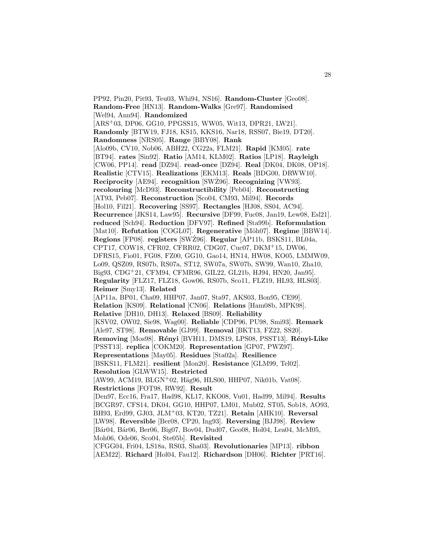PP92, Pin20, Pit93, Teu03, Whi94, NS16]. **Random-Cluster** [Geo08]. **Random-Free** [HN13]. **Random-Walks** [Gre97]. **Randomised** [Wel94, Ann94]. **Randomized** [ARS<sup>+</sup>03, DP06, GG10, PPGSS15, WW05, Wit13, DPR21, LW21]. **Randomly** [BTW19, FJ18, KS15, KKS16, Nar18, RSS07, Bie19, DT20]. **Randomness** [NRS05]. **Range** [BBY08]. **Rank** [Alo09b, CV10, Nob06, ABH22, CG22a, FLM21]. **Rapid** [KM05]. **rate** [BT94]. **rates** [Sin92]. **Ratio** [AM14, KLM02]. **Ratios** [LP18]. **Rayleigh** [CW06, PP14]. **read** [DZ94]. **read-once** [DZ94]. **Real** [DK04, DK08, OP18]. **Realistic** [CTV15]. **Realizations** [EKM13]. **Reals** [BDG00, DRWW10]. **Reciprocity** [AE94]. **recognition** [SWZ96]. **Recognizing** [VW93]. **recolouring** [McD93]. **Reconstructibility** [Peb04]. **Reconstructing** [AT93, Peb07]. **Reconstruction** [Sco04, CM93, Mil94]. **Records** [Hol10, Fil21]. **Recovering** [SS97]. **Rectangles** [HJ08, SS04, AC94]. **Recurrence** [JKS14, Law95]. **Recursive** [DF99, Fuc08, Jan19, Lew08, Esl21]. **reduced** [Sch94]. **Reduction** [DFV97]. **Refined** [Sta99b]. **Reformulation** [Mat10]. **Refutation** [COGL07]. **Regenerative** [Möh07]. **Regime** [BBW14]. **Regions** [FP08]. **registers** [SWZ96]. ˙ **Regular** [AP11b, BSKS11, BL04a, CPT17, COW18, CFR02, CFRR02, CDG07, Cuc07, DKM<sup>+</sup>15, DW06, DFRS15, Fio01, FG08, FZ00, GG10, Gao14, HN14, HW08, KO05, LMMW09, Lo09, QSZ09, RS07b, RS07a, ST12, SW07a, SW07b, SW99, Wan10, Zha10, Big93, CDG<sup>+</sup>21, CFM94, CFMR96, GIL22, GL21b, HJ94, HN20, Jan95]. **Regularity** [FLZ17, FLZ18, Gow06, RS07b, Sco11, FLZ19, HL93, HLS03]. **Reimer** [Smy13]. **Related** [AP11a, BP01, Cha09, HHP07, Jan07, Sta97, AKS03, Bon95, CE99]. **Relation** [KS09]. **Relational** [CN06]. **Relations** [Ham08b, MPK98]. **Relative** [DH10, DH13]. **Relaxed** [BS09]. **Reliability** [KSV02, OW02, Sie98, Wag00]. **Reliable** [CDP96, PU98, Smi93]. **Remark** [Ale97, ST98]. **Removable** [GJ99]. **Removal** [BKT13, FZ22, SS20]. **Removing** [Mos98]. **R´enyi** [BVH11, DMS19, LPS08, PSST13]. **R´enyi-Like** [PSST13]. **replica** [COKM20]. **Representation** [GP07, PWZ97]. **Representations** [May05]. **Residues** [Sta02a]. **Resilience** [BSKS11, FLM21]. **resilient** [Mon20]. **Resistance** [GLM99, Tel02]. **Resolution** [GLWW15]. **Restricted**  $[AW99, ACM19, BLGN<sup>+</sup>02, Häg96, HLS00, HHP07, Nik01b, Vat08].$ **Restrictions** [FOT98, RW92]. **Result** [Den97, Ecc16, Fra17, Had98, KL17, KKO08, Vu01, Had99, Mil94]. **Results** [BCGR97, CFS14, DK04, GG10, HHP07, LM01, Mub02, ST05, Sob18, AO93, BH93, Erd99, GJ03, JLM<sup>+</sup>03, KT20, TZ21]. **Retain** [AHK10]. **Reversal** [LW98]. **Reversible** [Ber08, CP20, Ing93]. **Reversing** [BJJ98]. **Review** [B´ar04, B´ar06, Ber06, Big07, Bov04, Dud07, Geo08, Hol04, Lea04, McM05, Moh06, Ode06, Sco04, Ste05b]. **Revisited** [CFGG04, Fri04, LS18a, RS03, Sha03]. **Revolutionaries** [MP13]. **ribbon** [AEM22]. **Richard** [Hol04, Fau12]. **Richardson** [DH06]. **Richter** [PRT16].

28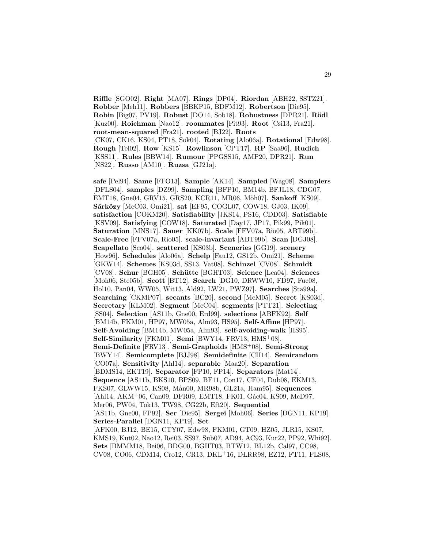**Riffle** [SGO02]. **Right** [MA07]. **Rings** [DP04]. **Riordan** [ABH22, SSTZ21]. **Robber** [Meh11]. **Robbers** [BBKP15, BDFM12]. **Robertson** [Die95]. **Robin** [Big07, PV19]. **Robust** [DO14, Sob18]. **Robustness** [DPR21]. **R¨odl** [Kuz00]. **Roichman** [Nao12]. **roommates** [Pit93]. **Root** [Csi13, Fra21]. **root-mean-squared** [Fra21]. **rooted** [BJ22]. **Roots** [CK07, CK16, KS04, PT18, Sok04]. **Rotating** [Alo06a]. **Rotational** [Edw98]. **Rough** [Tel02]. **Row** [KS15]. **Rowlinson** [CPT17]. **RP** [Saa96]. **Rudich** [KSS11]. **Rules** [BBW14]. **Rumour** [PPGSS15, AMP20, DPR21]. **Run** [NS22]. **Russo** [AM10]. **Ruzsa** [GJ21a].

**safe** [Pel94]. **Same** [FFO13]. **Sample** [AK14]. **Sampled** [Wag08]. **Samplers** [DFLS04]. **samples** [DZ99]. **Sampling** [BFP10, BM14b, BFJL18, CDG07, EMT18, Gne04, GRV15, GRS20, KCR11, MR06, Möh07]. Sankoff [KS09]. **Sárközy** [McC03, Omi21]. **sat** [EF95, COGL07, COW18, GJ03, IK09]. **satisfaction** [COKM20]. **Satisfiability** [JKS14, PS16, CDD03]. **Satisfiable** [KSV09]. **Satisfying** [COW18]. **Saturated** [Day17, JP17, Pik99, Pik01]. **Saturation** [MNS17]. **Sauer** [KK07b]. **Scale** [FFV07a, Rio05, ABT99b]. **Scale-Free** [FFV07a, Rio05]. **scale-invariant** [ABT99b]. **Scan** [DGJ08]. **Scapellato** [Sco04]. **scattered** [KS03b]. **Sceneries** [GG19]. **scenery** [How96]. **Schedules** [Alo06a]. **Schelp** [Fau12, GS12b, Omi21]. **Scheme** [GKW14]. **Schemes** [KS03d, SS13, Vat08]. **Schinzel** [CV08]. **Schmidt** [CV08]. **Schur** [BGH05]. **Sch¨utte** [BGHT03]. **Science** [Lea04]. **Sciences** [Moh06, Ste05b]. **Scott** [BT12]. **Search** [DG10, DRWW10, FD97, Fuc08, Hol10, Pan04, WW05, Wit13, Ald92, LW21, PWZ97]. **Searches** [Sta99a]. **Searching** [CKMP07]. **secants** [BC20]. **second** [McM05]. **Secret** [KS03d]. **Secretary** [KLM02]. **Segment** [McC04]. **segments** [PTT21]. **Selecting** [SS04]. **Selection** [AS11b, Gne00, Erd99]. **selections** [ABFK92]. **Self** [BM14b, FKM01, HP97, MW05a, Alm93, HS95]. **Self-Affine** [HP97]. **Self-Avoiding** [BM14b, MW05a, Alm93]. **self-avoiding-walk** [HS95]. **Self-Similarity** [FKM01]. **Semi** [BWY14, FRV13, HMS<sup>+</sup>08]. **Semi-Definite** [FRV13]. **Semi-Graphoids** [HMS<sup>+</sup>08]. **Semi-Strong** [BWY14]. **Semicomplete** [BJJ98]. **Semidefinite** [CH14]. **Semirandom** [CO07a]. **Sensitivity** [Ahl14]. **separable** [Maa20]. **Separation** [BDMS14, EKT19]. **Separator** [FP10, FP14]. **Separators** [Mat14]. **Sequence** [AS11b, BKS10, BPS09, BF11, Con17, CF04, Dub08, EKM13, FKS07, GLWW15, KS08, M˚an00, MR98b, GL21a, Ham95]. **Sequences** [Ahl14, AKM+06, Can09, DFR09, EMT18, FK01, Gác04, KS09, McD97, Mer06, PW04, Tok13, TW98, CG22b, Eft20]. **Sequential** [AS11b, Gne00, FP92]. **Ser** [Die95]. **Sergei** [Moh06]. **Series** [DGN11, KP19]. **Series-Parallel** [DGN11, KP19]. **Set** [AFK00, BJ12, BE15, CTY07, Edw98, FKM01, GT09, HZ05, JLR15, KS07, KMS19, Kut02, Nao12, Rei03, SS97, Sub07, AD94, AC93, Kur22, PP92, Whi92]. **Sets** [BMMM18, Bei06, BDG00, BGHT03, BTW12, BL12b, Cal97, CC98, CV08, CO06, CDM14, Cro12, CR13, DKL+16, DŁRR98, EZ12, FT11, FLS08,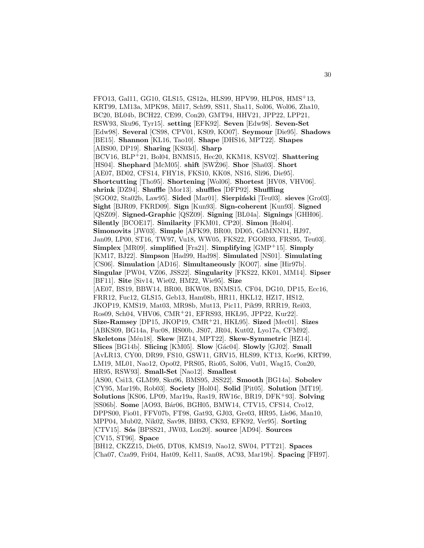FFO13, Gal11, GG10, GLS15, GS12a, HLS99, HPV99, HLP08, HMS<sup>+</sup>13, KRT99, LM13a, MPK98, Mil17, Sch99, SS11, Sha11, Sol06, Wol06, Zha10, BC20, BL04b, BCH22, CE99, Con20, GMT94, HHV21, JPP22, LPP21, RSW93, Sku96, Tyr15]. **setting** [EFK92]. **Seven** [Edw98]. **Seven-Set** [Edw98]. **Several** [CS98, CPV01, KS09, KO07]. **Seymour** [Die95]. **Shadows** [BE15]. **Shannon** [KL16, Tao10]. **Shape** [DHS16, MPT22]. **Shapes** [ABS00, DP19]. **Sharing** [KS03d]. **Sharp** [BCV16, BLP<sup>+</sup>21, Bol04, BNMS15, Hec20, KKM18, KSV02]. **Shattering** [HS04]. **Shephard** [McM05]. **shift** [SWZ96]. ˙ **Shor** [Sha03]. **Short** [AE07, BD02, CFS14, FHY18, FKS10, KK08, NS16, Sli96, Die95]. **Shortcutting** [Tho95]. **Shortening** [Wol06]. **Shortest** [HV08, VHV06]. **shrink** [DZ94]. **Shuffle** [Mor13]. **shuffles** [DFP92]. **Shuffling** [SGO02, Sta02b, Law95]. **Sided** [Mar01]. **Sierpiński** [Teu03]. **sieves** [Gro03]. **Sight** [BJR09, FKRD09]. **Sign** [Kun93]. **Sign-coherent** [Kun93]. **Signed** [QSZ09]. **Signed-Graphic** [QSZ09]. **Signing** [BL04a]. **Signings** [GHH06]. **Silently** [BCOE17]. **Similarity** [FKM01, CP20]. **Simon** [Hol04]. **Simonovits** [JW03]. **Simple** [AFK99, BR00, DD05, GdMNN11, HJ97, Jan09, LP00, ST16, TW97, Vu18, WW05, FKS22, FGOR93, FRS95, Teu03]. **Simplex** [MR09]. **simplified** [Fra21]. **Simplifying** [GMP<sup>+</sup>15]. **Simply** [KM17, BJ22]. **Simpson** [Had99, Had98]. **Simulated** [NS01]. **Simulating** [CS06]. **Simulation** [AD16]. **Simultaneously** [KO07]. **sine** [Hir97b]. **Singular** [PW04, VZ06, JSS22]. **Singularity** [FKS22, KK01, MM14]. **Sipser** [BF11]. **Site** [Siv14, Wie02, HM22, Wie95]. **Size** [AE07, BS19, BBW14, BR00, BKW08, BNMS15, CF04, DG10, DP15, Ecc16, FRR12, Fuc12, GLS15, Geb13, Ham08b, HR11, HKL12, HZ17, HS12, JKOP19, KMS19, Mat03, MR98b, Mut13, Pic11, Pik99, RRR19, Rei03, Ros09, Sch04, VHV06, CMR<sup>+</sup>21, EFRS93, HKL95, JPP22, Kur22]. **Size-Ramsey** [DP15, JKOP19, CMR<sup>+</sup>21, HK L95]. **Sized** [Mec01]. **Sizes** [ABKS09, BG14a, Fuc08, HS00b, JS07, JR04, Kut02, Lyo17a, CFM92]. **Skeletons** [M´en18]. **Skew** [HZ14, MPT22]. **Skew-Symmetric** [HZ14]. **Slices** [BG14b]. **Slicing** [KM05]. **Slow** [G´ac04]. **Slowly** [GJ02]. **Small** [AvLR13, CY00, DR99, FS10, GSW11, GRV15, HLS99, KT13, Kor96, KRT99, LM19, ML01, Nao12, Opo02, PRS05, Rio05, Sol06, Vu01, Wag15, Con20, HR95, RSW93]. **Small-Set** [Nao12]. **Smallest** [AS00, Csi13, GLM99, Sku96, BMS95, JSS22]. **Smooth** [BG14a]. **Sobolev** [CY95, Mar19b, Rob03]. **Society** [Hol04]. **Solid** [Pit05]. **Solution** [MT19]. **Solutions** [KS06, LP09, Mar19a, Ras19, RW16c, BR19, DFK<sup>+</sup>93]. **Solving** [SS06b]. **Some** [AO93, Bár06, BGH05, BMW14, CTV15, CFS14, Cro12, DPPS00, Fio01, FFV07b, FT98, Gat93, GJ03, Gre03, HR95, Lis96, Man10, MPP04, Mub02, Nik02, Sav98, BH93, CK93, EFK92, Ver95]. **Sorting** [CTV15]. **S´os** [BPSS21, JW03, Lon20]. **source** [AD94]. **Sources** [CV15, ST96]. **Space** [BH12, CKZZ15, Die05, DT08, KMS19, Nao12, SW04, PTT21]. **Spaces** [Cha07, Cza99, Fri04, Hat09, Kel11, San08, AC93, Mar19b]. **Spacing** [FH97].

30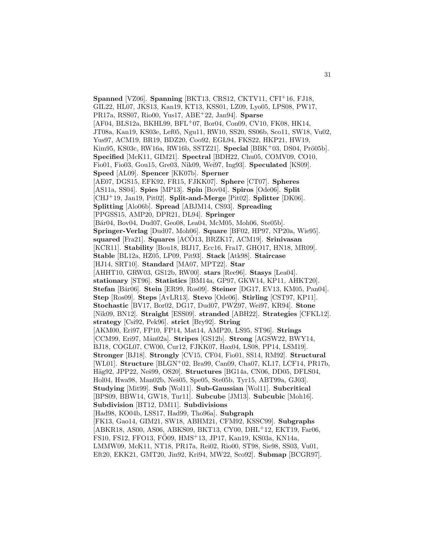**Spanned** [VZ06]. **Spanning** [BKT13, CRS12, CKTV11, CFI<sup>+</sup>16, FJ18, GIL22, HL07, JKS13, Kan19, KT13, KSS01, LZ09, Lyo05, LPS08, PW17, PR17a, RSS07, Rio00, Yus17, ABE<sup>+</sup>22, Jan94]. **Sparse** [AF04, BLS12a, BKHL99, BFL<sup>+</sup>07, Bor04, Con09, CV10, FK08, HK14, JT08a, Kan19, KS03e, Lef05, Ngu11, RW10, SS20, SS06b, Sco11, SW18, Vu02, Yus97, ACM19, BR19, BDZ20, Coo92, EGL94, FKS22, HKP21, HW19, Kim95, KS03c, RW16a, RW16b, SSTZ21]. **Special** [BBK+03, DS04, Prö05b]. **Specified** [McK11, GIM21]. **Spectral** [BDH22, Chu05, COMV09, CO10, Fio01, Fio03, Gou15, Gre03, Nik09, Wei97, Ing93]. **Speculated** [KS09]. **Speed** [AL09]. **Spencer** [KK07b]. **Sperner** [AE07, DGS15, EFK92, FR15, FJKK07]. **Sphere** [CT07]. **Spheres** [AS11a, SS04]. **Spies** [MP13]. **Spin** [Bov04]. **Spiros** [Ode06]. **Split** [CHJ<sup>+</sup>19, Jan19, Pit02]. **Split-and-Merge** [Pit02]. **Splitter** [DK06]. **Splitting** [Alo06b]. **Spread** [ABJM14, CS93]. **Spreading** [PPGSS15, AMP20, DPR21, DL94]. **Springer** [Bár04, Bov04, Dud07, Geo08, Lea04, McM05, Moh06, Ste05b]. **Springer-Verlag** [Dud07, Moh06]. **Square** [BF02, HP97, NP20a, Wie95]. **squared** [Fra21]. **Squares** [ACO13, BRZK17, ACM19]. **Srinivasan** [KCR11]. **Stability** [Bou18, BIJ17, Ecc16, Fra17, GHO17, HN18, MR09]. **Stable** [BL12a, HZ05, LP09, Pit93]. **Stack** [Atk98]. **Staircase** [HJ14, SRT10]. **Standard** [MA07, MPT22]. **Star** [AHHT10, GRW03, GS12b, RW00]. **stars** [Ree96]. **Stasys** [Lea04]. **stationary** [ST96]. **Statistics** [BM14a, GP97, GKW14, KP11, AHKT20]. **Stefan** [B´ar06]. **Stein** [ER99, Ros09]. **Steiner** [DG17, EV13, KM05, Pan04]. **Step** [Ros09]. **Steps** [AvLR13]. **Stevo** [Ode06]. **Stirling** [CST97, KP11]. **Stochastic** [BV17, Bor02, DG17, Dud07, PWZ97, Wei97, KR94]. **Stone** [Nik09, BN12]. **Straight** [ESS09]. **stranded** [ABH22]. **Strategies** [CFKL12]. **strategy** [Csi92, Pek96]. **strict** [Bry92]. **String** [AKM00, Eri97, FP10, FP14, Mat14, AMP20, LS95, ST96]. **Strings** [CCM99, Eri97, M˚an02a]. **Stripes** [GS12b]. **Strong** [AGSW22, BWY14, BJ18, COGL07, CW00, Cur12, FJKK07, Hax04, LS08, PP14, LSM19]. **Stronger** [BJ18]. **Strongly** [CV15, CF04, Fio01, SS14, RM92]. **Structural** [WL01]. **Structure** [BLGN<sup>+</sup>02, Bra99, Can09, Cha07, KL17, LCF14, PR17b, Häg92, JPP22, Neš99, OS20]. **Structures** [BG14a, CN06, DD05, DFLS04, Hol04, Hwa98, Man02b, Neš05, Spe05, Ste05b, Tyr15, ABT99a, GJ03. **Studying** [Mit99]. **Sub** [Wol11]. **Sub-Gaussian** [Wol11]. **Subcritical** [BPS09, BBW14, GW18, Tur11]. **Subcube** [JM13]. **Subcubic** [Moh16]. **Subdivision** [BT12, DM11]. **Subdivisions** [Had98, KO04b, LSS17, Had99, Tho96a]. **Subgraph** [FK13, Gao14, GIM21, SW18, ABHM21, CFM92, KSSC99]. **Subgraphs** [ABKR18, AS00, AS06, ABKS09, BKT13, CY00, DHL<sup>+</sup>12, EKT19, Far06, FS10, FS12, FFO13, FO09, HMS<sup>+</sup>13, JP17, Kan19, KS03a, KN14a, LMMW09, McK11, NT18, PR17a, Rei02, Rio00, ST98, Sie98, SS03, Vu01, Eft20, EKK21, GMT20, Jin92, Kri94, MW22, Sco92]. **Submap** [BCGR97].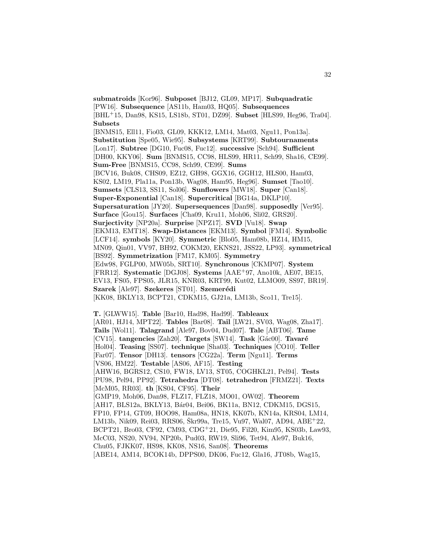**submatroids** [Kor96]. **Subposet** [BJ12, GL09, MP17]. **Subquadratic** [PW16]. **Subsequence** [AS11b, Ham03, HQ05]. **Subsequences** [BHL<sup>+</sup>15, Dan98, KS15, LS18b, ST01, DZ99]. **Subset** [HLS99, Heg96, Tra04]. **Subsets**

[BNMS15, Ell11, Fio03, GL09, KKK12, LM14, Mat03, Ngu11, Pon13a]. **Substitution** [Spe05, Wie95]. **Subsystems** [KRT99]. **Subtournaments** [Lon17]. **Subtree** [DG10, Fuc08, Fuc12]. **successive** [Sch94]. **Sufficient** [DH00, KKY06]. **Sum** [BNMS15, CC98, HLS99, HR11, Sch99, Sha16, CE99]. **Sum-Free** [BNMS15, CC98, Sch99, CE99]. **Sums** [BCV16, Buk08, CHS09, EZ12, GH98, GGX16, GGH12, HLS00, Ham03, KS02, LM19, Pla11a, Pon13b, Wag08, Ham95, Heg96]. **Sumset** [Tao10]. **Sumsets** [CLS13, SS11, Sol06]. **Sunflowers** [MW18]. **Super** [Can18]. **Super-Exponential** [Can18]. **Supercritical** [BG14a, DKLP10]. **Supersaturation** [JY20]. **Supersequences** [Dan98]. **supposedly** [Ver95]. **Surface** [Gou15]. **Surfaces** [Cha09, Kru11, Moh06, Sli02, GRS20]. **Surjectivity** [NP20a]. **Surprise** [NPZ17]. **SVD** [Vu18]. **Swap** [EKM13, EMT18]. **Swap-Distances** [EKM13]. **Symbol** [FM14]. **Symbolic** [LCF14]. **symbols** [KY20]. **Symmetric** [Blo05, Ham08b, HZ14, HM15, MN09, Qin01, VV97, BH92, COKM20, EKNS21, JSS22, LP93]. **symmetrical** [BS92]. **Symmetrization** [FM17, KM05]. **Symmetry** [Edw98, FGLP00, MW05b, SRT10]. **Synchronous** [CKMP07]. **System** [FRR12]. **Systematic** [DGJ08]. **Systems** [AAE<sup>+</sup>97, Ano10k, AE07, BE15, EV13, FS05, FPS05, JLR15, KNR03, KRT99, Kut02, LLMO09, SS97, BR19]. **Szarek** [Ale97]. **Szekeres** [ST01]. **Szemerédi** [KK08, BKLY13, BCPT21, CDKM15, GJ21a, LM13b, Sco11, Tre15].

**T.** [GLWW15]. **Table** [Bar10, Had98, Had99]. **Tableaux** [AR01, HJ14, MPT22]. **Tables** [Bar08]. **Tail** [LW21, SV03, Wag08, Zha17]. **Tails** [Wol11]. **Talagrand** [Ale97, Bov04, Dud07]. **Tale** [ABT06]. **Tame** [CV15]. **tangencies** [Zah20]. **Targets** [SW14]. **Task** [Gác00]. **Tavaré** [Hol04]. **Teasing** [SS07]. **technique** [Sha03]. **Techniques** [CO10]. **Teller** [Far07]. **Tensor** [DH13]. **tensors** [CG22a]. **Term** [Ngu11]. **Terms** [VS06, HM22]. **Testable** [AS06, AF15]. **Testing** [AHW16, BGRS12, CS10, FW18, LV13, ST05, COGHKL21, Pel94]. **Tests** [PU98, Pel94, PP92]. **Tetrahedra** [DT08]. **tetrahedron** [FRMZ21]. **Texts** [McM05, RR03]. **th** [KS04, CF95]. **Their** [GMP19, Moh06, Dan98, FLZ17, FLZ18, MO01, OW02]. **Theorem** [AH17, BLS12a, BKLY13, Bár04, Bei06, BK11a, BN12, CDKM15, DGS15, FP10, FP14, GT09, HOO98, Ham08a, HN18, KK07b, KN14a, KRS04, LM14, LM13b, Nik09, Rei03, RRS06, Škr99a, Tre15, Vu97, Wal07, AD94, ABE<sup>+</sup>22, BCPT21, Bro03, CF92, CM93, CDG<sup>+</sup>21, Die95, Fil20, Kim95, KS03b, Law93, McC03, NS20, NV94, NP20b, Pud03, RW19, Sli96, Tet94, Ale97, Buk16, Chu05, FJKK07, HS98, KK08, NS16, San08]. **Theorems** [ABE14, AM14, BCOK14b, DPPS00, DK06, Fuc12, Gla16, JT08b, Wag15,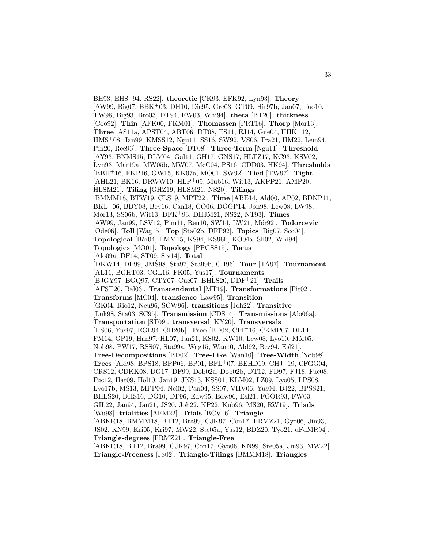BH93, EHS<sup>+</sup>94, RS22]. **theoretic** [CK93, EFK92, Lyn93]. **Theory** [AW99, Big07, BBK<sup>+</sup>03, DH10, Die95, Gre03, GT09, Hir97b, Jan07, Tao10, TW98, Big93, Bro03, DT94, FW03, Whi94]. **theta** [BT20]. **thickness** [Coo92]. **Thin** [AFK00, FKM01]. **Thomassen** [PRT16]. **Thorp** [Mor13]. **Three** [AS11a, APST04, ABT06, DT08, ES11, EJ14, Gne04, HHK<sup>+</sup>12, HMS<sup>+</sup>08, Jan99, KMSS12, Ngu11, SS16, SW92, VS06, Fra21, HM22, Lem94, Pin20, Ree96]. **Three-Space** [DT08]. **Three-Term** [Ngu11]. **Threshold** [AY93, BNMS15, DLM04, Gal11, GH17, GNS17, HLTZ17, KC93, KSV02, Lyn93, Mar19a, MW05b, MW07, McC04, PS16, CDD03, HK94]. **Thresholds** [BBH<sup>+</sup>16, FKP16, GW15, KK07a, MO01, SW92]. **Tied** [TW97]. **Tight** [AHL21, BK16, DRWW10, HLP<sup>+</sup>09, Mub16, Wit13, AKPP21, AMP20, HLSM21]. **Tiling** [GHZ19, HLSM21, NS20]. **Tilings** [BMMM18, BTW19, CLS19, MPT22]. **Time** [ABE14, Ald00, AP02, BDNP11, BKL<sup>+</sup>06, BBY08, Bev16, Can18, CO06, DGGP14, Jon98, Lew08, LW98, Mor13, SS06b, Wit13, DFK<sup>+</sup>93, DHJM21, NS22, NT93]. **Times** [AW99, Jan99, LSV12, Pim11, Ren10, SW14, LW21, M´or92]. **Todorcevic** [Ode06]. **Toll** [Wag15]. **Top** [Sta02b, DFP92]. **Topics** [Big07, Sco04]. **Topological** [B´ar04, EMM15, KS94, KS96b, KO04a, Sli02, Whi94]. **Topologies** [MO01]. **Topology** [PPGSS15]. **Torus** [Alo09a, DF14, ST09, Siv14]. **Total** [DKW14, DF99, JMS98, Sta97, Sta99b, CH96]. ˇ **Tour** [TA97]. **Tournament** [AL11, BGHT03, CGL16, FK05, Yus17]. **Tournaments** [BJGY97, BGQ97, CTY07, Cuc07, BHLS20, DDF<sup>+</sup>21]. **Trails** [AFST20, Bal03]. **Transcendental** [MT19]. **Transformations** [Pit02]. **Transforms** [MC04]. **transience** [Law95]. **Transition** [GK04, Rio12, Neu96, SCW96]. **transitions** [Joh22]. **Transitive** [Luk98, Sta03, SC95]. **Transmission** [CDS14]. **Transmissions** [Alo06a]. **Transportation** [ST09]. **transversal** [KY20]. **Transversals** [HS06, Yus97, EGL94, GH20b]. **Tree** [BD02, CFI<sup>+</sup>16, CKMP07, DL14, FM14, GP19, Han97, HL07, Jan21, KS02, KW10, Lew08, Lyo10, Mór05, Nob98, PW17, RSS07, Sta99a, Wag15, Wan10, Ald92, Bez94, Esl21]. **Tree-Decompositions** [BD02]. **Tree-Like** [Wan10]. **Tree-Width** [Nob98]. **Trees** [Ald98, BPS18, BPP06, BP01, BFL<sup>+</sup>07, BEHD19, CHJ<sup>+</sup>19, CFGG04, CRS12, CDKK08, DG17, DF99, Dob02a, Dob02b, DT12, FD97, FJ18, Fuc08, Fuc12, Hat09, Hol10, Jan19, JKS13, KSS01, KLM02, LZ09, Lyo05, LPS08, Lyo17b, MS13, MPP04, Nei02, Pan04, SS07, VHV06, Yus04, BJ22, BPSS21, BHLS20, DHS16, DG10, DF96, Edw95, Edw96, Esl21, FGOR93, FW03, GIL22, Jan94, Jan21, JS20, Joh22, KP22, Kub96, MS20, RW19]. **Triads** [Wu98]. **trialities** [AEM22]. **Trials** [BCV16]. **Triangle** [ABKR18, BMMM18, BT12, Bra99, CJK97, Con17, FRMZ21, Gyo06, Jin93, JS02, KN99, Kri05, Kri97, MW22, Ste05a, Yus12, BDZ20, Tyo21, dFdMR94]. **Triangle-degrees** [FRMZ21]. **Triangle-Free** [ABKR18, BT12, Bra99, CJK97, Con17, Gyo06, KN99, Ste05a, Jin93, MW22].

**Triangle-Freeness** [JS02]. **Triangle-Tilings** [BMMM18]. **Triangles**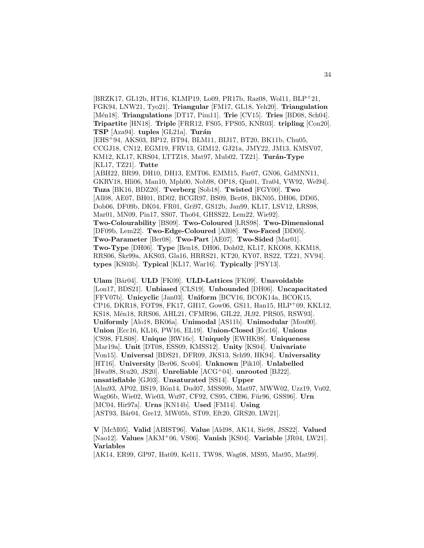[BRZK17, GL12b, HT16, KLMP19, Lo09, PR17b, Raz08, Wol11, BLP<sup>+</sup>21, FGK94, LNW21, Tyo21]. **Triangular** [FM17, GL18, Yeh20]. **Triangulation** [M´en18]. **Triangulations** [DT17, Pim11]. **Trie** [CV15]. **Tries** [BD08, Sch04]. **Tripartite** [HN18]. **Triple** [FRR12, FS05, FPS05, KNR03]. **tripling** [Con20]. **TSP** [Aza94]. **tuples** [GL21a]. **Turán** [EHS<sup>+</sup>94, AKS03, BP12, BT94, BLM11, BIJ17, BT20, BK11b, Chu05, CCGJ18, CN12, EGM19, FRV13, GIM12, GJ21a, JMY22, JM13, KMSV07, KM12, KL17, KRS04, LTTZ18, Mat97, Mub02, TZ21]. **Turán-Type** [KL17, TZ21]. **Tutte** [ABH22, BR99, DH10, DH13, EMT06, EMM15, Far07, GN06, GdMNN11, GKRV18, Hli06, Man10, Mph00, Nob98, OP18, Qin01, Tra04, VW92, Wel94]. **Tuza** [BK16, BDZ20]. **Tverberg** [Sob18]. **Twisted** [FGY00]. **Two** [All08, AE07, BH01, BD02, BCGR97, BS09, Ber08, BKN05, DH06, DD05, Dob06, DF09b, DK04, FR01, Gri97, GS12b, Jan99, KL17, LSV12, LRS98, Mar01, MN09, Pin17, SS07, Tho04, GHSS22, Lem22, Wie92]. **Two-Colourability** [BS09]. **Two-Coloured** [ LRS98]. **Two-Dimensional** [DF09b, Lem22]. **Two-Edge-Coloured** [All08]. **Two-Faced** [DD05]. **Two-Parameter** [Ber08]. **Two-Part** [AE07]. **Two-Sided** [Mar01]. **Two-Type** [DH06]. **Type** [Ben18, DH06, Doh02, KL17, KKO08, KKM18, RRS06, Škr99a, AKS03, Gla16, HRRS21, KT20, KY07, RS22, TZ21, NV94. **types** [KS03b]. **Typical** [KL17, War16]. **Typically** [PSY13].

**Ulam** [B´ar04]. **ULD** [FK09]. **ULD-Lattices** [FK09]. **Unavoidable** [Lon17, BDS21]. **Unbiased** [CLS19]. **Unbounded** [DH06]. **Uncapacitated** [FFV07b]. **Unicyclic** [Jan03]. **Uniform** [BCV16, BCOK14a, BCOK15, CP16, DKR18, FOT98, FK17, GH17, Gow06, GS11, Han15, HLP<sup>+</sup>09, KKL12, KS18, Mén18, RRS06, AHL21, CFMR96, GIL22, JL92, PRS05, RSW93]. **Uniformly** [Alo18, BK06a]. **Unimodal** [AS11b]. **Unimodular** [Mou00]. **Union** [Ecc16, KL16, PW16, EL19]. **Union-Closed** [Ecc16]. **Unions** [CS98, FLS08]. **Unique** [RW16c]. **Uniquely** [EWHK98]. **Uniqueness** [Mar19a]. **Unit** [DT08, ESS09, KMSS12]. **Unity** [KS04]. **Univariate** [Von15]. **Universal** [BDS21, DFR09, JKS13, Sch99, HK94]. **Universality** [HT16]. **University** [Ber06, Sco04]. **Unknown** [Pik10]. **Unlabelled** [Hwa98, Stu20, JS20]. **Unreliable** [ACG<sup>+</sup>04]. **unrooted** [BJ22]. **unsatisfiable** [GJ03]. **Unsaturated** [SS14]. **Upper** [Alm93, AP02, BS19, B´on14, Dud07, MSS09b, Mat97, MWW02, Uzz19, Vu02, Wag06b, Wie02, Wie03, Wu97, CF92, CS95, CH96, Für96, GSS96]. Urn [MC04, Hir97a]. **Urns** [KN14b]. **Used** [FM14]. **Using** [AST93, Bár04, Gre12, MW05b, ST09, Eft20, GRS20, LW21].

**V** [McM05]. **Valid** [ABIST96]. **Value** [Ald98, AK14, Sie98, JSS22]. **Valued** [Nao12]. **Values** [AKM<sup>+</sup>06, VS06]. **Vanish** [KS04]. **Variable** [JR04, LW21]. **Variables**

[AK14, ER99, GP97, Hat09, Kel11, TW98, Wag08, MS95, Mat95, Mat99].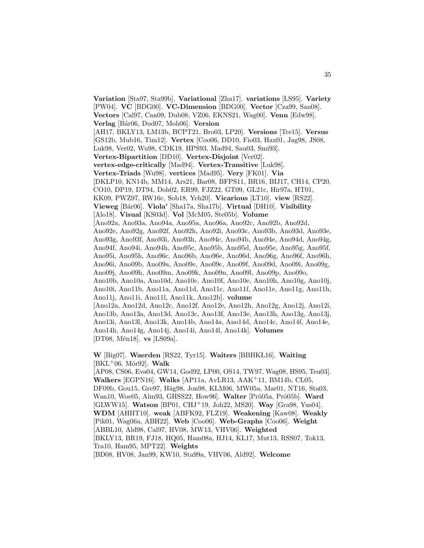**Variation** [Sta97, Sta99b]. **Variational** [Zha17]. **variations** [LS95]. **Variety** [PW04]. **VC** [BDG00]. **VC-Dimension** [BDG00]. **Vector** [Cza99, San08]. **Vectors** [Cal97, Can09, Dub08, VZ06, EKNS21, Wag00]. **Venn** [Edw98]. **Verlag** [B´ar06, Dud07, Moh06]. **Version** [AH17, BKLY13, LM13b, BCPT21, Bro03, LP20]. **Versions** [Tre15]. **Versus** [GS12b, Mub16, Tim12]. **Vertex** [Coo06, DD10, Fio03, Hax01, Jag98, JS08, Luk98, Ver02, Wu98, CDK19, HPS93, Mad94, Sau03, Smi93]. **Vertex-Bipartition** [DD10]. **Vertex-Disjoint** [Ver02]. **vertex-edge-critically** [Mad94]. **Vertex-Transitive** [Luk98]. **Vertex-Triads** [Wu98]. **vertices** [Mad95]. **Very** [FK01]. **Via** [DKLP10, KN14b, MM14, Ars21, Bar08, BFPS11, BR16, BIJ17, CH14, CP20, CO10, DP19, DT94, Doh02, ER99, FJZ22, GT09, GL21c, Hir97a, HT01, KK09, PWZ97, RW16c, Sob18, Yeh20]. **Vicarious** [LT10]. **view** [RS22]. **Vieweg** [B´ar06]. **Viola'** [Sha17a, Sha17b]. **Virtual** [DH10]. **Visibility** [Alo18]. **Visual** [KS03d]. **Vol** [McM05, Ste05b]. **Volume** [Ano92a, Ano93a, Ano94a, Ano95a, Ano96a, Ano92c, Ano92b, Ano92d, Ano92e, Ano92g, Ano92f, Ano92h, Ano92i, Ano93c, Ano93b, Ano93d, Ano93e, Ano93g, Ano93f, Ano93i, Ano93h, Ano94c, Ano94b, Ano94e, Ano94d, Ano94g, Ano94f, Ano94i, Ano94h, Ano95c, Ano95b, Ano95d, Ano95e, Ano95g, Ano95f, Ano95i, Ano95h, Ano96c, Ano96b, Ano96e, Ano96d, Ano96g, Ano96f, Ano96h, Ano96i, Ano09b, Ano09a, Ano09e, Ano09c, Ano09f, Ano09d, Ano09i, Ano09g, Ano09j, Ano09h, Ano09m, Ano09k, Ano09n, Ano09l, Ano09p, Ano09o, Ano10b, Ano10a, Ano10d, Ano10c, Ano10f, Ano10e, Ano10h, Ano10g, Ano10j, Ano10i, Ano11b, Ano11a, Ano11d, Ano11c, Ano11f, Ano11e, Ano11g, Ano11h, Ano11j, Ano11i, Ano11l, Ano11k, Ano12b]. **volume** [Ano12a, Ano12d, Ano12c, Ano12f, Ano12e, Ano12h, Ano12g, Ano12j, Ano12i, Ano13b, Ano13a, Ano13d, Ano13c, Ano13f, Ano13e, Ano13h, Ano13g, Ano13j, Ano13i, Ano13l, Ano13k, Ano14b, Ano14a, Ano14d, Ano14c, Ano14f, Ano14e, Ano14h, Ano14g, Ano14j, Ano14i, Ano14l, Ano14k]. **Volumes** [DT08, Mén18]. **vs** [LS09a].

**W** [Big07]. **Waerden** [RS22, Tyr15]. **Waiters** [BBHK L16]. **Waiting**  $[BKL+06, M6r92]$ . **Walk** 

[AP08, CS06, Eva04, GW14, God92, LP00, OS14, TW97, Wag08, HS95, Teu03]. **Walkers** [EGPN16]. **Walks** [AP11a, AvLR13, AAK<sup>+</sup>11, BM14b, CL05, DF09b, Gou15, Gre97, Häg98, Jon98, KLM06, MW05a, Mar01, NT16, Sta03, Wan10, Woe05, Alm93, GHSS22, How96]. Walter [Prö05a, Prö05b]. Ward [GLWW15]. **Watson** [BP01, CHJ<sup>+</sup>19, Joh22, MS20]. **Way** [Gra98, Yus04]. **WDM** [AHHT10]. **weak** [ABFK92, FLZ19]. **Weakening** [Kaw08]. **Weakly** [Pik01, Wag06a, ABH22]. **Web** [Coo06]. **Web-Graphs** [Coo06]. **Weight** [ABBL10, Ald98, Cal97, HV08, MW13, VHV06]. **Weighted** [BKLY13, BR19, FJ18, HQ05, Ham08a, HJ14, KL17, Mut13, RSS07, Tok13, Tra10, Ham95, MPT22]. **Weights** [BD08, HV08, Jan99, KW10, Sta99a, VHV06, Ald92]. **Welcome**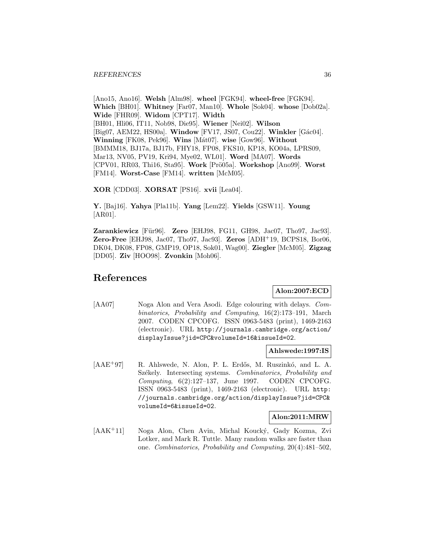[Ano15, Ano16]. **Welsh** [Alm98]. **wheel** [FGK94]. **wheel-free** [FGK94]. **Which** [BH01]. **Whitney** [Far07, Man10]. **Whole** [Sok04]. **whose** [Dob02a]. **Wide** [FHR09]. **Widom** [CPT17]. **Width** [BH01, Hli06, IT11, Nob98, Die95]. **Wiener** [Nei02]. **Wilson** [Big07, AEM22, HS00a]. **Window** [FV17, JS07, Cou22]. **Winkler** [Gác04]. **Winning** [FK08, Pek96]. **Wins** [M´at07]. **wise** [Gow96]. **Without** [BMMM18, BJ17a, BJ17b, FHY18, FP08, FKS10, KP18, KO04a, LPRS09, Mar13, NV05, PV19, Kri94, Mye02, WL01]. **Word** [MA07]. **Words** [CPV01, RR03, Thi16, Sta95]. **Work** [Prö05a]. **Workshop** [Ano99]. **Worst** [FM14]. **Worst-Case** [FM14]. **written** [McM05].

**XOR** [CDD03]. **XORSAT** [PS16]. **xvii** [Lea04].

**Y.** [Baj16]. **Yahya** [Pla11b]. **Yang** [Lem22]. **Yields** [GSW11]. **Young** [AR01].

**Zarankiewicz** [Für96]. **Zero** [EHJ98, FG11, GH98, Jac07, Tho97, Jac93]. **Zero-Free** [EHJ98, Jac07, Tho97, Jac93]. **Zeros** [ADH<sup>+</sup>19, BCPS18, Bor06, DK04, DK08, FP08, GMP19, OP18, Sok01, Wag00]. **Ziegler** [McM05]. **Zigzag** [DD05]. **Ziv** [HOO98]. **Zvonkin** [Moh06].

## **References**

## **Alon:2007:ECD**

[AA07] Noga Alon and Vera Asodi. Edge colouring with delays. Combinatorics, Probability and Computing, 16(2):173–191, March 2007. CODEN CPCOFG. ISSN 0963-5483 (print), 1469-2163 (electronic). URL http://journals.cambridge.org/action/ displayIssue?jid=CPC&volumeId=16&issueId=02.

#### **Ahlswede:1997:IS**

[AAE<sup>+</sup>97] R. Ahlswede, N. Alon, P. L. Erdős, M. Ruszinkó, and L. A. Székely. Intersecting systems. Combinatorics, Probability and Computing, 6(2):127–137, June 1997. CODEN CPCOFG. ISSN 0963-5483 (print), 1469-2163 (electronic). URL http: //journals.cambridge.org/action/displayIssue?jid=CPC& volumeId=6&issueId=02.

## **Alon:2011:MRW**

[AAK<sup>+</sup>11] Noga Alon, Chen Avin, Michal Koucký, Gady Kozma, Zvi Lotker, and Mark R. Tuttle. Many random walks are faster than one. Combinatorics, Probability and Computing, 20(4):481–502,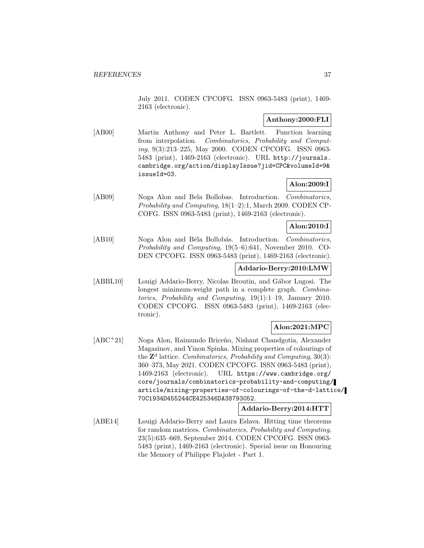July 2011. CODEN CPCOFG. ISSN 0963-5483 (print), 1469- 2163 (electronic).

# **Anthony:2000:FLI**

[AB00] Martin Anthony and Peter L. Bartlett. Function learning from interpolation. Combinatorics, Probability and Computing, 9(3):213–225, May 2000. CODEN CPCOFG. ISSN 0963- 5483 (print), 1469-2163 (electronic). URL http://journals. cambridge.org/action/displayIssue?jid=CPC&volumeId=9& issueId=03.

# **Alon:2009:I**

[AB09] Noga Alon and Bela Bollobas. Introduction. Combinatorics, Probability and Computing, 18(1–2):1, March 2009. CODEN CP-COFG. ISSN 0963-5483 (print), 1469-2163 (electronic).

# **Alon:2010:I**

[AB10] Noga Alon and Béla Bollobás. Introduction. Combinatorics, Probability and Computing, 19(5–6):641, November 2010. CO-DEN CPCOFG. ISSN 0963-5483 (print), 1469-2163 (electronic).

## **Addario-Berry:2010:LMW**

[ABBL10] Louigi Addario-Berry, Nicolas Broutin, and Gábor Lugosi. The longest minimum-weight path in a complete graph. *Combina*torics, Probability and Computing, 19(1):1–19, January 2010. CODEN CPCOFG. ISSN 0963-5483 (print), 1469-2163 (electronic).

# **Alon:2021:MPC**

[ABC<sup>+</sup>21] Noga Alon, Raimundo Briceño, Nishant Chandgotia, Alexander Magazinov, and Yinon Spinka. Mixing properties of colourings of the  $\mathbb{Z}^d$  lattice. Combinatorics, Probability and Computing, 30(3): 360–373, May 2021. CODEN CPCOFG. ISSN 0963-5483 (print), 1469-2163 (electronic). URL https://www.cambridge.org/ core/journals/combinatorics-probability-and-computing/ article/mixing-properties-of-colourings-of-the-d-lattice/ 70C1934D455244CE425346DA38793052.

# **Addario-Berry:2014:HTT**

[ABE14] Louigi Addario-Berry and Laura Eslava. Hitting time theorems for random matrices. Combinatorics, Probability and Computing, 23(5):635–669, September 2014. CODEN CPCOFG. ISSN 0963- 5483 (print), 1469-2163 (electronic). Special issue on Honouring the Memory of Philippe Flajolet - Part 1.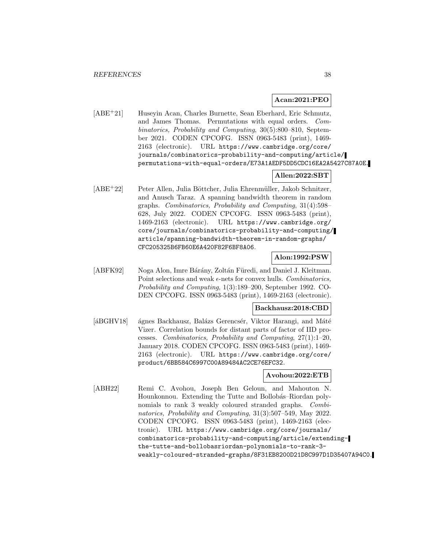#### **Acan:2021:PEO**

[ABE<sup>+</sup>21] Huseyin Acan, Charles Burnette, Sean Eberhard, Eric Schmutz, and James Thomas. Permutations with equal orders. Combinatorics, Probability and Computing, 30(5):800–810, September 2021. CODEN CPCOFG. ISSN 0963-5483 (print), 1469- 2163 (electronic). URL https://www.cambridge.org/core/ journals/combinatorics-probability-and-computing/article/ permutations-with-equal-orders/E73A1AEDF5DD5CDC16EA2A5427C87A0E.

### **Allen:2022:SBT**

[ABE<sup>+</sup>22] Peter Allen, Julia Böttcher, Julia Ehrenmüller, Jakob Schnitzer, and Anusch Taraz. A spanning bandwidth theorem in random graphs. Combinatorics, Probability and Computing, 31(4):598– 628, July 2022. CODEN CPCOFG. ISSN 0963-5483 (print), 1469-2163 (electronic). URL https://www.cambridge.org/ core/journals/combinatorics-probability-and-computing/ article/spanning-bandwidth-theorem-in-random-graphs/ CFC205325B6FB60E6A420F82F6BF8A06.

#### **Alon:1992:PSW**

[ABFK92] Noga Alon, Imre Bárány, Zoltán Füredi, and Daniel J. Kleitman. Point selections and weak  $\epsilon$ -nets for convex hulls. Combinatorics, Probability and Computing, 1(3):189–200, September 1992. CO-DEN CPCOFG. ISSN 0963-5483 (print), 1469-2163 (electronic).

# **Backhausz:2018:CBD**

[áBGHV18] ágnes Backhausz, Balázs Gerencsér, Viktor Harangi, and Máté Vizer. Correlation bounds for distant parts of factor of IID processes. Combinatorics, Probability and Computing, 27(1):1–20, January 2018. CODEN CPCOFG. ISSN 0963-5483 (print), 1469- 2163 (electronic). URL https://www.cambridge.org/core/ product/6BB584C6997C00A89484AC2CE76EFC32.

# **Avohou:2022:ETB**

[ABH22] Remi C. Avohou, Joseph Ben Geloun, and Mahouton N. Hounkonnou. Extending the Tutte and Bollobás–Riordan polynomials to rank 3 weakly coloured stranded graphs. Combinatorics, Probability and Computing, 31(3):507–549, May 2022. CODEN CPCOFG. ISSN 0963-5483 (print), 1469-2163 (electronic). URL https://www.cambridge.org/core/journals/ combinatorics-probability-and-computing/article/extendingthe-tutte-and-bollobasriordan-polynomials-to-rank-3 weakly-coloured-stranded-graphs/8F31EB8200D21D8C997D1D35407A94C0.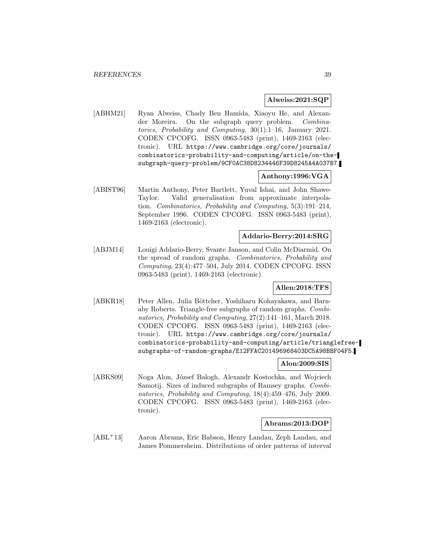#### **Alweiss:2021:SQP**

[ABHM21] Ryan Alweiss, Chady Ben Hamida, Xiaoyu He, and Alexander Moreira. On the subgraph query problem. Combinatorics, Probability and Computing, 30(1):1–16, January 2021. CODEN CPCOFG. ISSN 0963-5483 (print), 1469-2163 (electronic). URL https://www.cambridge.org/core/journals/ combinatorics-probability-and-computing/article/on-thesubgraph-query-problem/9CF0AC38D8234446F39D8245A4A037B7.

## **Anthony:1996:VGA**

[ABIST96] Martin Anthony, Peter Bartlett, Yuval Ishai, and John Shawe-Taylor. Valid generalisation from approximate interpolation. Combinatorics, Probability and Computing, 5(3):191–214, September 1996. CODEN CPCOFG. ISSN 0963-5483 (print), 1469-2163 (electronic).

#### **Addario-Berry:2014:SRG**

[ABJM14] Louigi Addario-Berry, Svante Janson, and Colin McDiarmid. On the spread of random graphs. Combinatorics, Probability and Computing, 23(4):477–504, July 2014. CODEN CPCOFG. ISSN 0963-5483 (print), 1469-2163 (electronic).

# **Allen:2018:TFS**

[ABKR18] Peter Allen, Julia Böttcher, Yoshiharu Kohayakawa, and Barnaby Roberts. Triangle-free subgraphs of random graphs. Combinatorics, Probability and Computing, 27(2):141–161, March 2018. CODEN CPCOFG. ISSN 0963-5483 (print), 1469-2163 (electronic). URL https://www.cambridge.org/core/journals/ combinatorics-probability-and-computing/article/trianglefreesubgraphs-of-random-graphs/E12FFAC201496968403DC5A98BBF04F5.

# **Alon:2009:SIS**

[ABKS09] Noga Alon, József Balogh, Alexandr Kostochka, and Wojciech Samotij. Sizes of induced subgraphs of Ramsey graphs. Combinatorics, Probability and Computing, 18(4):459–476, July 2009. CODEN CPCOFG. ISSN 0963-5483 (print), 1469-2163 (electronic).

#### **Abrams:2013:DOP**

[ABL<sup>+</sup>13] Aaron Abrams, Eric Babson, Henry Landau, Zeph Landau, and James Pommersheim. Distributions of order patterns of interval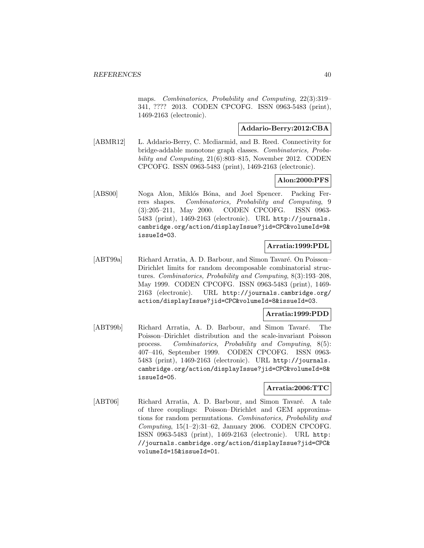maps. Combinatorics, Probability and Computing, 22(3):319– 341, ???? 2013. CODEN CPCOFG. ISSN 0963-5483 (print), 1469-2163 (electronic).

# **Addario-Berry:2012:CBA**

[ABMR12] L. Addario-Berry, C. Mcdiarmid, and B. Reed. Connectivity for bridge-addable monotone graph classes. Combinatorics, Probability and Computing, 21(6):803–815, November 2012. CODEN CPCOFG. ISSN 0963-5483 (print), 1469-2163 (electronic).

# **Alon:2000:PFS**

[ABS00] Noga Alon, Miklós Bóna, and Joel Spencer. Packing Ferrers shapes. Combinatorics, Probability and Computing, 9 (3):205–211, May 2000. CODEN CPCOFG. ISSN 0963- 5483 (print), 1469-2163 (electronic). URL http://journals. cambridge.org/action/displayIssue?jid=CPC&volumeId=9& issueId=03.

## **Arratia:1999:PDL**

[ABT99a] Richard Arratia, A. D. Barbour, and Simon Tavaré. On Poisson– Dirichlet limits for random decomposable combinatorial structures. Combinatorics, Probability and Computing, 8(3):193–208, May 1999. CODEN CPCOFG. ISSN 0963-5483 (print), 1469- 2163 (electronic). URL http://journals.cambridge.org/ action/displayIssue?jid=CPC&volumeId=8&issueId=03.

## **Arratia:1999:PDD**

[ABT99b] Richard Arratia, A. D. Barbour, and Simon Tavaré. The Poisson–Dirichlet distribution and the scale-invariant Poisson process. Combinatorics, Probability and Computing, 8(5): 407–416, September 1999. CODEN CPCOFG. ISSN 0963- 5483 (print), 1469-2163 (electronic). URL http://journals. cambridge.org/action/displayIssue?jid=CPC&volumeId=8& issueId=05.

# **Arratia:2006:TTC**

[ABT06] Richard Arratia, A. D. Barbour, and Simon Tavaré. A tale of three couplings: Poisson–Dirichlet and GEM approximations for random permutations. Combinatorics, Probability and Computing, 15(1–2):31–62, January 2006. CODEN CPCOFG. ISSN 0963-5483 (print), 1469-2163 (electronic). URL http: //journals.cambridge.org/action/displayIssue?jid=CPC& volumeId=15&issueId=01.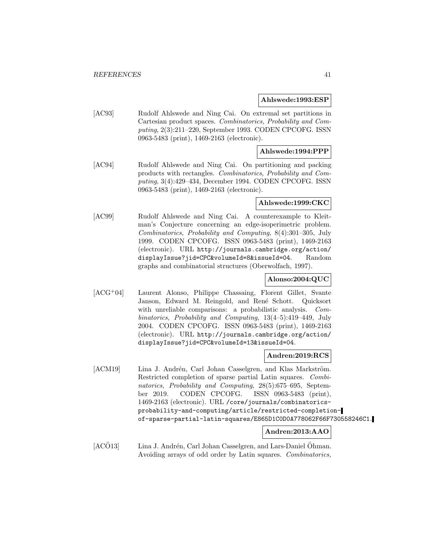#### **Ahlswede:1993:ESP**

[AC93] Rudolf Ahlswede and Ning Cai. On extremal set partitions in Cartesian product spaces. Combinatorics, Probability and Computing, 2(3):211–220, September 1993. CODEN CPCOFG. ISSN 0963-5483 (print), 1469-2163 (electronic).

# **Ahlswede:1994:PPP**

[AC94] Rudolf Ahlswede and Ning Cai. On partitioning and packing products with rectangles. Combinatorics, Probability and Computing, 3(4):429–434, December 1994. CODEN CPCOFG. ISSN 0963-5483 (print), 1469-2163 (electronic).

## **Ahlswede:1999:CKC**

[AC99] Rudolf Ahlswede and Ning Cai. A counterexample to Kleitman's Conjecture concerning an edge-isoperimetric problem. Combinatorics, Probability and Computing, 8(4):301–305, July 1999. CODEN CPCOFG. ISSN 0963-5483 (print), 1469-2163 (electronic). URL http://journals.cambridge.org/action/ displayIssue?jid=CPC&volumeId=8&issueId=04. Random graphs and combinatorial structures (Oberwolfach, 1997).

# **Alonso:2004:QUC**

[ACG<sup>+</sup>04] Laurent Alonso, Philippe Chassaing, Florent Gillet, Svante Janson, Edward M. Reingold, and René Schott. Quicksort with unreliable comparisons: a probabilistic analysis. Combinatorics, Probability and Computing, 13(4–5):419–449, July 2004. CODEN CPCOFG. ISSN 0963-5483 (print), 1469-2163 (electronic). URL http://journals.cambridge.org/action/ displayIssue?jid=CPC&volumeId=13&issueId=04.

## **Andren:2019:RCS**

[ACM19] Lina J. Andrén, Carl Johan Casselgren, and Klas Markström. Restricted completion of sparse partial Latin squares. Combinatorics, Probability and Computing, 28(5):675–695, September 2019. CODEN CPCOFG. ISSN 0963-5483 (print), 1469-2163 (electronic). URL /core/journals/combinatoricsprobability-and-computing/article/restricted-completionof-sparse-partial-latin-squares/E865D1C0D0A778062F66F730558246C1.

## **Andren:2013:AAO**

[ACÖ13] Lina J. Andrén, Carl Johan Casselgren, and Lars-Daniel Öhman. Avoiding arrays of odd order by Latin squares. Combinatorics,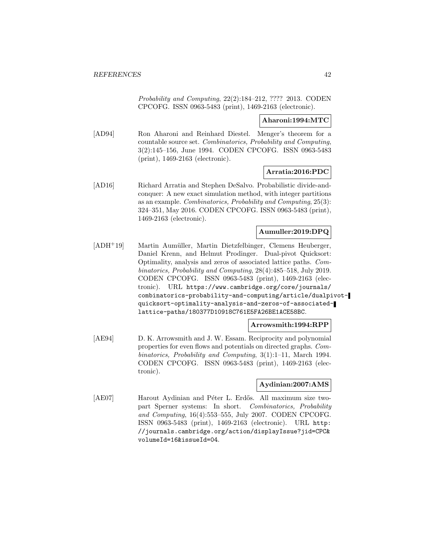Probability and Computing, 22(2):184–212, ???? 2013. CODEN CPCOFG. ISSN 0963-5483 (print), 1469-2163 (electronic).

## **Aharoni:1994:MTC**

[AD94] Ron Aharoni and Reinhard Diestel. Menger's theorem for a countable source set. Combinatorics, Probability and Computing, 3(2):145–156, June 1994. CODEN CPCOFG. ISSN 0963-5483 (print), 1469-2163 (electronic).

## **Arratia:2016:PDC**

[AD16] Richard Arratia and Stephen DeSalvo. Probabilistic divide-andconquer: A new exact simulation method, with integer partitions as an example. Combinatorics, Probability and Computing, 25(3): 324–351, May 2016. CODEN CPCOFG. ISSN 0963-5483 (print), 1469-2163 (electronic).

## **Aumuller:2019:DPQ**

[ADH<sup>+</sup>19] Martin Aumüller, Martin Dietzfelbinger, Clemens Heuberger, Daniel Krenn, and Helmut Prodinger. Dual-pivot Quicksort: Optimality, analysis and zeros of associated lattice paths. Combinatorics, Probability and Computing, 28(4):485–518, July 2019. CODEN CPCOFG. ISSN 0963-5483 (print), 1469-2163 (electronic). URL https://www.cambridge.org/core/journals/ combinatorics-probability-and-computing/article/dualpivotquicksort-optimality-analysis-and-zeros-of-associatedlattice-paths/180377D10918C761E5FA26BE1ACE58BC.

## **Arrowsmith:1994:RPP**

[AE94] D. K. Arrowsmith and J. W. Essam. Reciprocity and polynomial properties for even flows and potentials on directed graphs. Combinatorics, Probability and Computing, 3(1):1–11, March 1994. CODEN CPCOFG. ISSN 0963-5483 (print), 1469-2163 (electronic).

## **Aydinian:2007:AMS**

[AE07] Harout Aydinian and Péter L. Erdős. All maximum size twopart Sperner systems: In short. Combinatorics, Probability and Computing, 16(4):553–555, July 2007. CODEN CPCOFG. ISSN 0963-5483 (print), 1469-2163 (electronic). URL http: //journals.cambridge.org/action/displayIssue?jid=CPC& volumeId=16&issueId=04.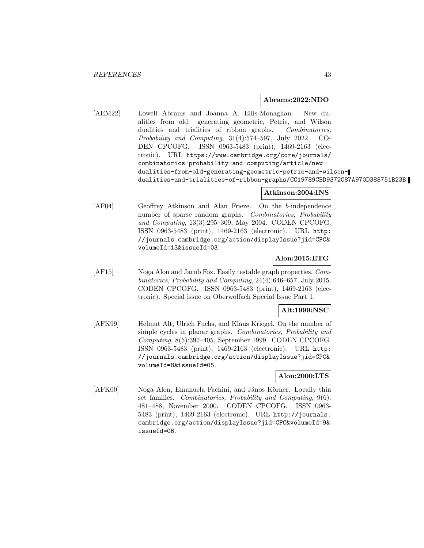## **Abrams:2022:NDO**

[AEM22] Lowell Abrams and Joanna A. Ellis-Monaghan. New dualities from old: generating geometric, Petrie, and Wilson dualities and trialities of ribbon graphs. Combinatorics, Probability and Computing, 31(4):574–597, July 2022. CO-DEN CPCOFG. ISSN 0963-5483 (print), 1469-2163 (electronic). URL https://www.cambridge.org/core/journals/ combinatorics-probability-and-computing/article/newdualities-from-old-generating-geometric-petrie-and-wilsondualities-and-trialities-of-ribbon-graphs/CC19789CBD9372C87A970D388751B23B.

# **Atkinson:2004:INS**

[AF04] Geoffrey Atkinson and Alan Frieze. On the b-independence number of sparse random graphs. Combinatorics, Probability and Computing, 13(3):295–309, May 2004. CODEN CPCOFG. ISSN 0963-5483 (print), 1469-2163 (electronic). URL http: //journals.cambridge.org/action/displayIssue?jid=CPC& volumeId=13&issueId=03.

# **Alon:2015:ETG**

[AF15] Noga Alon and Jacob Fox. Easily testable graph properties. Combinatorics, Probability and Computing, 24(4):646–657, July 2015. CODEN CPCOFG. ISSN 0963-5483 (print), 1469-2163 (electronic). Special issue on Oberwolfach Special Issue Part 1.

# **Alt:1999:NSC**

[AFK99] Helmut Alt, Ulrich Fuchs, and Klaus Kriegel. On the number of simple cycles in planar graphs. Combinatorics, Probability and Computing, 8(5):397–405, September 1999. CODEN CPCOFG. ISSN 0963-5483 (print), 1469-2163 (electronic). URL http: //journals.cambridge.org/action/displayIssue?jid=CPC& volumeId=8&issueId=05.

## **Alon:2000:LTS**

[AFK00] Noga Alon, Emanuela Fachini, and János Körner. Locally thin set families. Combinatorics, Probability and Computing, 9(6): 481–488, November 2000. CODEN CPCOFG. ISSN 0963- 5483 (print), 1469-2163 (electronic). URL http://journals. cambridge.org/action/displayIssue?jid=CPC&volumeId=9& issueId=06.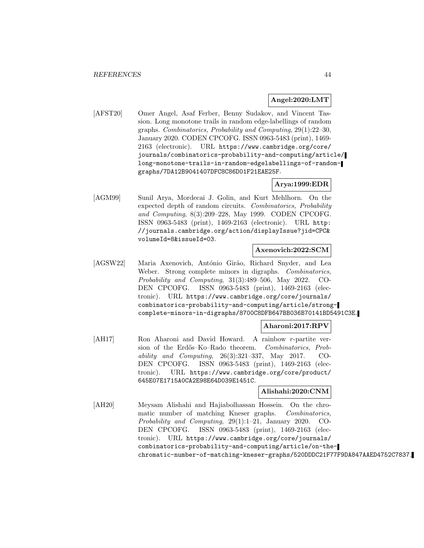## **Angel:2020:LMT**

[AFST20] Omer Angel, Asaf Ferber, Benny Sudakov, and Vincent Tassion. Long monotone trails in random edge-labellings of random graphs. Combinatorics, Probability and Computing, 29(1):22–30, January 2020. CODEN CPCOFG. ISSN 0963-5483 (print), 1469- 2163 (electronic). URL https://www.cambridge.org/core/ journals/combinatorics-probability-and-computing/article/ long-monotone-trails-in-random-edgelabellings-of-randomgraphs/7DA12B9041407DFC8C86D01F21EAE25F.

# **Arya:1999:EDR**

[AGM99] Sunil Arya, Mordecai J. Golin, and Kurt Mehlhorn. On the expected depth of random circuits. Combinatorics, Probability and Computing, 8(3):209–228, May 1999. CODEN CPCOFG. ISSN 0963-5483 (print), 1469-2163 (electronic). URL http: //journals.cambridge.org/action/displayIssue?jid=CPC& volumeId=8&issueId=03.

#### **Axenovich:2022:SCM**

[AGSW22] Maria Axenovich, António Girão, Richard Snyder, and Lea Weber. Strong complete minors in digraphs. Combinatorics, Probability and Computing, 31(3):489–506, May 2022. CO-DEN CPCOFG. ISSN 0963-5483 (print), 1469-2163 (electronic). URL https://www.cambridge.org/core/journals/ combinatorics-probability-and-computing/article/strongcomplete-minors-in-digraphs/8700C8DFB647BB036B70141BD5491C3E.

# **Aharoni:2017:RPV**

[AH17] Ron Aharoni and David Howard. A rainbow r-partite version of the Erdős–Ko–Rado theorem. Combinatorics, Probability and Computing,  $26(3):321-337$ , May 2017. CO-DEN CPCOFG. ISSN 0963-5483 (print), 1469-2163 (electronic). URL https://www.cambridge.org/core/product/ 645E07E1715A0CA2E98E64D039E1451C.

**Alishahi:2020:CNM**

[AH20] Meysam Alishahi and Hajiabolhassan Hossein. On the chromatic number of matching Kneser graphs. Combinatorics, Probability and Computing, 29(1):1–21, January 2020. CO-DEN CPCOFG. ISSN 0963-5483 (print), 1469-2163 (electronic). URL https://www.cambridge.org/core/journals/ combinatorics-probability-and-computing/article/on-thechromatic-number-of-matching-kneser-graphs/520DDDC21F77F9DA847AAED4752C7837.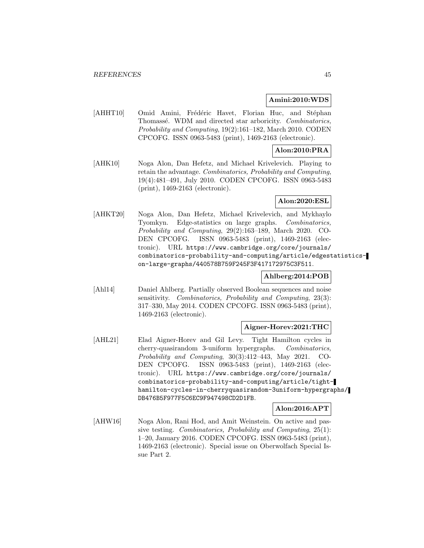## **Amini:2010:WDS**

[AHHT10] Omid Amini, Frédéric Havet, Florian Huc, and Stéphan Thomassé. WDM and directed star arboricity. Combinatorics, Probability and Computing, 19(2):161–182, March 2010. CODEN CPCOFG. ISSN 0963-5483 (print), 1469-2163 (electronic).

# **Alon:2010:PRA**

[AHK10] Noga Alon, Dan Hefetz, and Michael Krivelevich. Playing to retain the advantage. Combinatorics, Probability and Computing, 19(4):481–491, July 2010. CODEN CPCOFG. ISSN 0963-5483 (print), 1469-2163 (electronic).

# **Alon:2020:ESL**

[AHKT20] Noga Alon, Dan Hefetz, Michael Krivelevich, and Mykhaylo Tyomkyn. Edge-statistics on large graphs. Combinatorics, Probability and Computing, 29(2):163–189, March 2020. CO-DEN CPCOFG. ISSN 0963-5483 (print), 1469-2163 (electronic). URL https://www.cambridge.org/core/journals/ combinatorics-probability-and-computing/article/edgestatisticson-large-graphs/440578B759F245F3F417172975C3F511.

# **Ahlberg:2014:POB**

[Ahl14] Daniel Ahlberg. Partially observed Boolean sequences and noise sensitivity. Combinatorics, Probability and Computing, 23(3): 317–330, May 2014. CODEN CPCOFG. ISSN 0963-5483 (print), 1469-2163 (electronic).

#### **Aigner-Horev:2021:THC**

[AHL21] Elad Aigner-Horev and Gil Levy. Tight Hamilton cycles in cherry-quasirandom 3-uniform hypergraphs. Combinatorics, Probability and Computing, 30(3):412–443, May 2021. CO-DEN CPCOFG. ISSN 0963-5483 (print), 1469-2163 (electronic). URL https://www.cambridge.org/core/journals/ combinatorics-probability-and-computing/article/tighthamilton-cycles-in-cherryquasirandom-3uniform-hypergraphs/ DB476B5F977F5C6EC9F947498CD2D1FB.

# **Alon:2016:APT**

[AHW16] Noga Alon, Rani Hod, and Amit Weinstein. On active and passive testing. Combinatorics, Probability and Computing, 25(1): 1–20, January 2016. CODEN CPCOFG. ISSN 0963-5483 (print), 1469-2163 (electronic). Special issue on Oberwolfach Special Issue Part 2.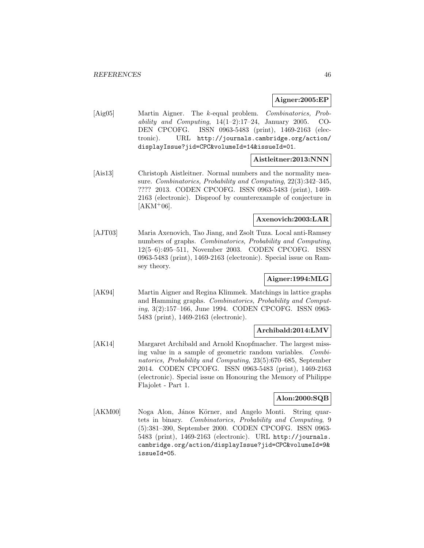#### **Aigner:2005:EP**

[Aig05] Martin Aigner. The k-equal problem. Combinatorics, Probability and Computing,  $14(1-2):17-24$ , January 2005. CO-DEN CPCOFG. ISSN 0963-5483 (print), 1469-2163 (electronic). URL http://journals.cambridge.org/action/ displayIssue?jid=CPC&volumeId=14&issueId=01.

# **Aistleitner:2013:NNN**

[Ais13] Christoph Aistleitner. Normal numbers and the normality measure. Combinatorics, Probability and Computing, 22(3):342–345, ???? 2013. CODEN CPCOFG. ISSN 0963-5483 (print), 1469- 2163 (electronic). Disproof by counterexample of conjecture in  $[AKM+06]$ .

# **Axenovich:2003:LAR**

[AJT03] Maria Axenovich, Tao Jiang, and Zsolt Tuza. Local anti-Ramsey numbers of graphs. Combinatorics, Probability and Computing, 12(5–6):495–511, November 2003. CODEN CPCOFG. ISSN 0963-5483 (print), 1469-2163 (electronic). Special issue on Ramsey theory.

# **Aigner:1994:MLG**

[AK94] Martin Aigner and Regina Klimmek. Matchings in lattice graphs and Hamming graphs. Combinatorics, Probability and Computing, 3(2):157–166, June 1994. CODEN CPCOFG. ISSN 0963- 5483 (print), 1469-2163 (electronic).

# **Archibald:2014:LMV**

[AK14] Margaret Archibald and Arnold Knopfmacher. The largest missing value in a sample of geometric random variables. Combinatorics, Probability and Computing, 23(5):670–685, September 2014. CODEN CPCOFG. ISSN 0963-5483 (print), 1469-2163 (electronic). Special issue on Honouring the Memory of Philippe Flajolet - Part 1.

## **Alon:2000:SQB**

[AKM00] Noga Alon, János Körner, and Angelo Monti. String quartets in binary. Combinatorics, Probability and Computing, 9 (5):381–390, September 2000. CODEN CPCOFG. ISSN 0963- 5483 (print), 1469-2163 (electronic). URL http://journals. cambridge.org/action/displayIssue?jid=CPC&volumeId=9& issueId=05.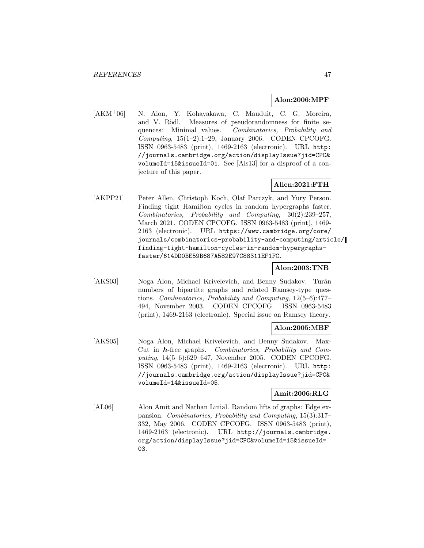#### **Alon:2006:MPF**

[AKM<sup>+</sup>06] N. Alon, Y. Kohayakawa, C. Mauduit, C. G. Moreira, and V. Rödl. Measures of pseudorandomness for finite sequences: Minimal values. Combinatorics, Probability and  $Computing, 15(1-2):1-29, January 2006. CODEN CPCOFG.$ ISSN 0963-5483 (print), 1469-2163 (electronic). URL http: //journals.cambridge.org/action/displayIssue?jid=CPC& volumeId=15&issueId=01. See [Ais13] for a disproof of a conjecture of this paper.

# **Allen:2021:FTH**

[AKPP21] Peter Allen, Christoph Koch, Olaf Parczyk, and Yury Person. Finding tight Hamilton cycles in random hypergraphs faster. Combinatorics, Probability and Computing, 30(2):239–257, March 2021. CODEN CPCOFG. ISSN 0963-5483 (print), 1469- 2163 (electronic). URL https://www.cambridge.org/core/ journals/combinatorics-probability-and-computing/article/ finding-tight-hamilton-cycles-in-random-hypergraphsfaster/614DD0BE59B687A582E97C88311EF1FC.

## **Alon:2003:TNB**

[AKS03] Noga Alon, Michael Krivelevich, and Benny Sudakov. Turán numbers of bipartite graphs and related Ramsey-type questions. Combinatorics, Probability and Computing, 12(5–6):477– 494, November 2003. CODEN CPCOFG. ISSN 0963-5483 (print), 1469-2163 (electronic). Special issue on Ramsey theory.

## **Alon:2005:MBF**

[AKS05] Noga Alon, Michael Krivelevich, and Benny Sudakov. Max-Cut in *h*-free graphs. Combinatorics, Probability and Computing, 14(5–6):629–647, November 2005. CODEN CPCOFG. ISSN 0963-5483 (print), 1469-2163 (electronic). URL http: //journals.cambridge.org/action/displayIssue?jid=CPC& volumeId=14&issueId=05.

## **Amit:2006:RLG**

[AL06] Alon Amit and Nathan Linial. Random lifts of graphs: Edge expansion. Combinatorics, Probability and Computing, 15(3):317– 332, May 2006. CODEN CPCOFG. ISSN 0963-5483 (print), 1469-2163 (electronic). URL http://journals.cambridge. org/action/displayIssue?jid=CPC&volumeId=15&issueId= 03.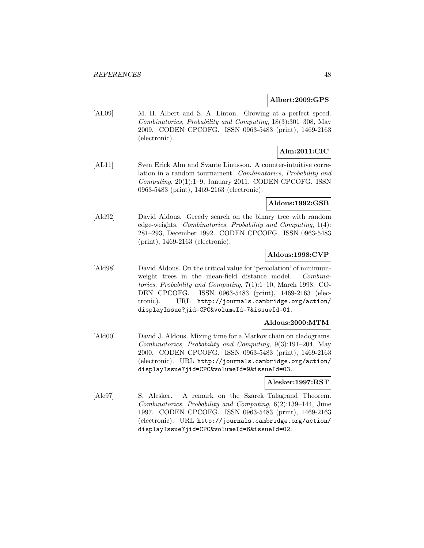#### **Albert:2009:GPS**

[AL09] M. H. Albert and S. A. Linton. Growing at a perfect speed. Combinatorics, Probability and Computing, 18(3):301–308, May 2009. CODEN CPCOFG. ISSN 0963-5483 (print), 1469-2163 (electronic).

# **Alm:2011:CIC**

[AL11] Sven Erick Alm and Svante Linusson. A counter-intuitive correlation in a random tournament. Combinatorics, Probability and Computing, 20(1):1–9, January 2011. CODEN CPCOFG. ISSN 0963-5483 (print), 1469-2163 (electronic).

#### **Aldous:1992:GSB**

[Ald92] David Aldous. Greedy search on the binary tree with random edge-weights. Combinatorics, Probability and Computing, 1(4): 281–293, December 1992. CODEN CPCOFG. ISSN 0963-5483 (print), 1469-2163 (electronic).

# **Aldous:1998:CVP**

[Ald98] David Aldous. On the critical value for 'percolation' of minimumweight trees in the mean-field distance model. Combinatorics, Probability and Computing, 7(1):1–10, March 1998. CO-DEN CPCOFG. ISSN 0963-5483 (print), 1469-2163 (electronic). URL http://journals.cambridge.org/action/ displayIssue?jid=CPC&volumeId=7&issueId=01.

## **Aldous:2000:MTM**

[Ald00] David J. Aldous. Mixing time for a Markov chain on cladograms. Combinatorics, Probability and Computing, 9(3):191–204, May 2000. CODEN CPCOFG. ISSN 0963-5483 (print), 1469-2163 (electronic). URL http://journals.cambridge.org/action/ displayIssue?jid=CPC&volumeId=9&issueId=03.

#### **Alesker:1997:RST**

[Ale97] S. Alesker. A remark on the Szarek–Talagrand Theorem. Combinatorics, Probability and Computing, 6(2):139–144, June 1997. CODEN CPCOFG. ISSN 0963-5483 (print), 1469-2163 (electronic). URL http://journals.cambridge.org/action/ displayIssue?jid=CPC&volumeId=6&issueId=02.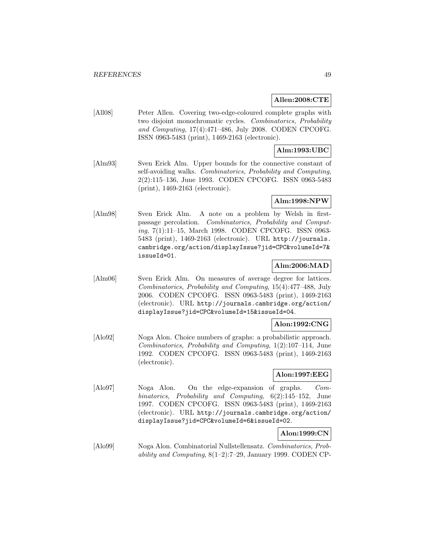## **Allen:2008:CTE**

[All08] Peter Allen. Covering two-edge-coloured complete graphs with two disjoint monochromatic cycles. Combinatorics, Probability and Computing, 17(4):471–486, July 2008. CODEN CPCOFG. ISSN 0963-5483 (print), 1469-2163 (electronic).

# **Alm:1993:UBC**

[Alm93] Sven Erick Alm. Upper bounds for the connective constant of self-avoiding walks. Combinatorics, Probability and Computing, 2(2):115–136, June 1993. CODEN CPCOFG. ISSN 0963-5483 (print), 1469-2163 (electronic).

# **Alm:1998:NPW**

[Alm98] Sven Erick Alm. A note on a problem by Welsh in firstpassage percolation. Combinatorics, Probability and Computing, 7(1):11–15, March 1998. CODEN CPCOFG. ISSN 0963- 5483 (print), 1469-2163 (electronic). URL http://journals. cambridge.org/action/displayIssue?jid=CPC&volumeId=7& issueId=01.

# **Alm:2006:MAD**

[Alm06] Sven Erick Alm. On measures of average degree for lattices. Combinatorics, Probability and Computing, 15(4):477–488, July 2006. CODEN CPCOFG. ISSN 0963-5483 (print), 1469-2163 (electronic). URL http://journals.cambridge.org/action/ displayIssue?jid=CPC&volumeId=15&issueId=04.

# **Alon:1992:CNG**

[Alo92] Noga Alon. Choice numbers of graphs: a probabilistic approach. Combinatorics, Probability and Computing, 1(2):107–114, June 1992. CODEN CPCOFG. ISSN 0963-5483 (print), 1469-2163 (electronic).

## **Alon:1997:EEG**

[Alo97] Noga Alon. On the edge-expansion of graphs. Combinatorics, Probability and Computing, 6(2):145–152, June 1997. CODEN CPCOFG. ISSN 0963-5483 (print), 1469-2163 (electronic). URL http://journals.cambridge.org/action/ displayIssue?jid=CPC&volumeId=6&issueId=02.

# **Alon:1999:CN**

[Alo99] Noga Alon. Combinatorial Nullstellensatz. Combinatorics, Probability and Computing,  $8(1-2)$ :7-29, January 1999. CODEN CP-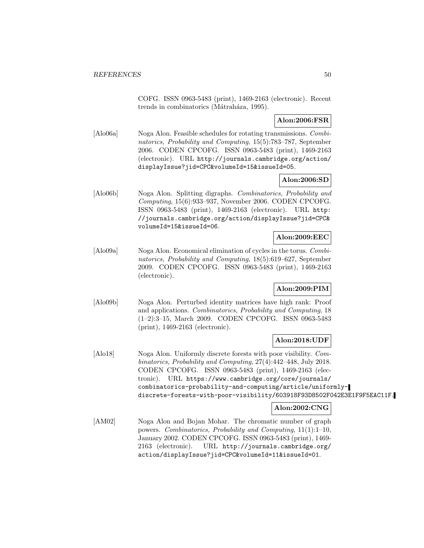COFG. ISSN 0963-5483 (print), 1469-2163 (electronic). Recent trends in combinatorics (Mátraháza, 1995).

# **Alon:2006:FSR**

[Alo06a] Noga Alon. Feasible schedules for rotating transmissions. Combinatorics, Probability and Computing, 15(5):783–787, September 2006. CODEN CPCOFG. ISSN 0963-5483 (print), 1469-2163 (electronic). URL http://journals.cambridge.org/action/ displayIssue?jid=CPC&volumeId=15&issueId=05.

# **Alon:2006:SD**

[Alo06b] Noga Alon. Splitting digraphs. Combinatorics, Probability and Computing, 15(6):933–937, November 2006. CODEN CPCOFG. ISSN 0963-5483 (print), 1469-2163 (electronic). URL http: //journals.cambridge.org/action/displayIssue?jid=CPC& volumeId=15&issueId=06.

# **Alon:2009:EEC**

[Alo09a] Noga Alon. Economical elimination of cycles in the torus. Combinatorics, Probability and Computing, 18(5):619–627, September 2009. CODEN CPCOFG. ISSN 0963-5483 (print), 1469-2163 (electronic).

# **Alon:2009:PIM**

[Alo09b] Noga Alon. Perturbed identity matrices have high rank: Proof and applications. Combinatorics, Probability and Computing, 18 (1–2):3–15, March 2009. CODEN CPCOFG. ISSN 0963-5483 (print), 1469-2163 (electronic).

## **Alon:2018:UDF**

[Alo18] Noga Alon. Uniformly discrete forests with poor visibility. Combinatorics, Probability and Computing, 27(4):442–448, July 2018. CODEN CPCOFG. ISSN 0963-5483 (print), 1469-2163 (electronic). URL https://www.cambridge.org/core/journals/ combinatorics-probability-and-computing/article/uniformlydiscrete-forests-with-poor-visibility/603918F93D8502F042E3E1F9F5EAC11F.

# **Alon:2002:CNG**

[AM02] Noga Alon and Bojan Mohar. The chromatic number of graph powers. Combinatorics, Probability and Computing, 11(1):1–10, January 2002. CODEN CPCOFG. ISSN 0963-5483 (print), 1469- 2163 (electronic). URL http://journals.cambridge.org/ action/displayIssue?jid=CPC&volumeId=11&issueId=01.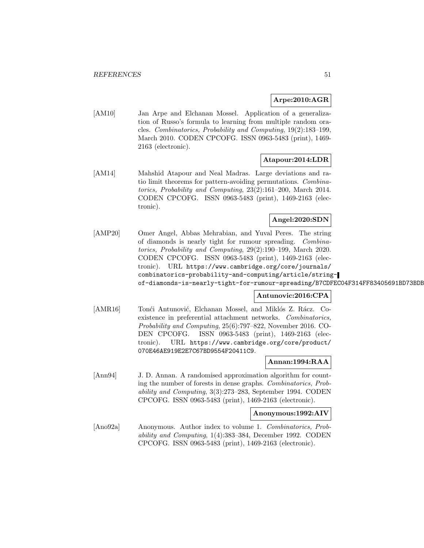# **Arpe:2010:AGR**

[AM10] Jan Arpe and Elchanan Mossel. Application of a generalization of Russo's formula to learning from multiple random oracles. Combinatorics, Probability and Computing, 19(2):183–199, March 2010. CODEN CPCOFG. ISSN 0963-5483 (print), 1469- 2163 (electronic).

## **Atapour:2014:LDR**

[AM14] Mahshid Atapour and Neal Madras. Large deviations and ratio limit theorems for pattern-avoiding permutations. Combinatorics, Probability and Computing, 23(2):161–200, March 2014. CODEN CPCOFG. ISSN 0963-5483 (print), 1469-2163 (electronic).

# **Angel:2020:SDN**

[AMP20] Omer Angel, Abbas Mehrabian, and Yuval Peres. The string of diamonds is nearly tight for rumour spreading. Combinatorics, Probability and Computing, 29(2):190–199, March 2020. CODEN CPCOFG. ISSN 0963-5483 (print), 1469-2163 (electronic). URL https://www.cambridge.org/core/journals/ combinatorics-probability-and-computing/article/stringof-diamonds-is-nearly-tight-for-rumour-spreading/B7CDFEC04F314FF83405691BD73BDB

# **Antunovic:2016:CPA**

[AMR16] Tonći Antunović, Elchanan Mossel, and Miklós Z. Rácz. Coexistence in preferential attachment networks. Combinatorics, Probability and Computing, 25(6):797–822, November 2016. CO-DEN CPCOFG. ISSN 0963-5483 (print), 1469-2163 (electronic). URL https://www.cambridge.org/core/product/ 070E46AE919E2E7C67BD9554F20411C9.

## **Annan:1994:RAA**

[Ann94] J. D. Annan. A randomised approximation algorithm for counting the number of forests in dense graphs. Combinatorics, Probability and Computing, 3(3):273–283, September 1994. CODEN CPCOFG. ISSN 0963-5483 (print), 1469-2163 (electronic).

# **Anonymous:1992:AIV**

[Ano92a] Anonymous. Author index to volume 1. Combinatorics, Probability and Computing, 1(4):383–384, December 1992. CODEN CPCOFG. ISSN 0963-5483 (print), 1469-2163 (electronic).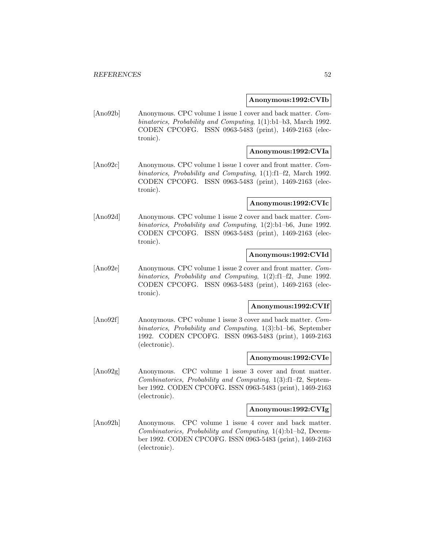#### **Anonymous:1992:CVIb**

[Ano92b] Anonymous. CPC volume 1 issue 1 cover and back matter. Combinatorics, Probability and Computing, 1(1):b1–b3, March 1992. CODEN CPCOFG. ISSN 0963-5483 (print), 1469-2163 (electronic).

## **Anonymous:1992:CVIa**

[Ano92c] Anonymous. CPC volume 1 issue 1 cover and front matter. Combinatorics, Probability and Computing, 1(1):f1–f2, March 1992. CODEN CPCOFG. ISSN 0963-5483 (print), 1469-2163 (electronic).

#### **Anonymous:1992:CVIc**

[Ano92d] Anonymous. CPC volume 1 issue 2 cover and back matter. Combinatorics, Probability and Computing, 1(2):b1–b6, June 1992. CODEN CPCOFG. ISSN 0963-5483 (print), 1469-2163 (electronic).

## **Anonymous:1992:CVId**

[Ano92e] Anonymous. CPC volume 1 issue 2 cover and front matter. Combinatorics, Probability and Computing, 1(2):f1–f2, June 1992. CODEN CPCOFG. ISSN 0963-5483 (print), 1469-2163 (electronic).

#### **Anonymous:1992:CVIf**

[Ano92f] Anonymous. CPC volume 1 issue 3 cover and back matter. Combinatorics, Probability and Computing, 1(3):b1–b6, September 1992. CODEN CPCOFG. ISSN 0963-5483 (print), 1469-2163 (electronic).

#### **Anonymous:1992:CVIe**

[Ano92g] Anonymous. CPC volume 1 issue 3 cover and front matter. Combinatorics, Probability and Computing, 1(3):f1–f2, September 1992. CODEN CPCOFG. ISSN 0963-5483 (print), 1469-2163 (electronic).

#### **Anonymous:1992:CVIg**

[Ano92h] Anonymous. CPC volume 1 issue 4 cover and back matter. Combinatorics, Probability and Computing, 1(4):b1–b2, December 1992. CODEN CPCOFG. ISSN 0963-5483 (print), 1469-2163 (electronic).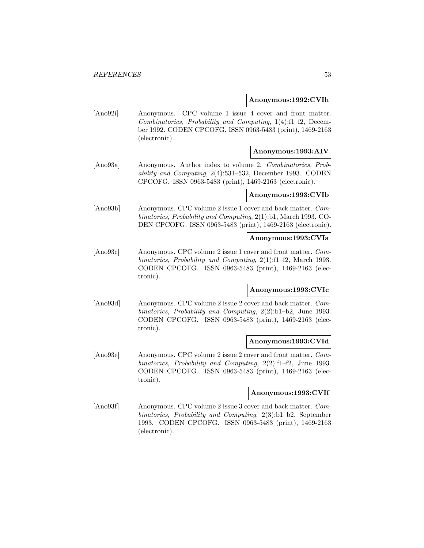#### **Anonymous:1992:CVIh**

[Ano92i] Anonymous. CPC volume 1 issue 4 cover and front matter. Combinatorics, Probability and Computing, 1(4):f1–f2, December 1992. CODEN CPCOFG. ISSN 0963-5483 (print), 1469-2163 (electronic).

# **Anonymous:1993:AIV**

[Ano93a] Anonymous. Author index to volume 2. Combinatorics, Probability and Computing, 2(4):531–532, December 1993. CODEN CPCOFG. ISSN 0963-5483 (print), 1469-2163 (electronic).

#### **Anonymous:1993:CVIb**

[Ano93b] Anonymous. CPC volume 2 issue 1 cover and back matter. Combinatorics, Probability and Computing, 2(1):b1, March 1993. CO-DEN CPCOFG. ISSN 0963-5483 (print), 1469-2163 (electronic).

#### **Anonymous:1993:CVIa**

[Ano93c] Anonymous. CPC volume 2 issue 1 cover and front matter. Combinatorics, Probability and Computing, 2(1):f1–f2, March 1993. CODEN CPCOFG. ISSN 0963-5483 (print), 1469-2163 (electronic).

## **Anonymous:1993:CVIc**

[Ano93d] Anonymous. CPC volume 2 issue 2 cover and back matter. Combinatorics, Probability and Computing, 2(2):b1–b2, June 1993. CODEN CPCOFG. ISSN 0963-5483 (print), 1469-2163 (electronic).

#### **Anonymous:1993:CVId**

[Ano93e] Anonymous. CPC volume 2 issue 2 cover and front matter. Combinatorics, Probability and Computing, 2(2):f1–f2, June 1993. CODEN CPCOFG. ISSN 0963-5483 (print), 1469-2163 (electronic).

## **Anonymous:1993:CVIf**

[Ano93f] Anonymous. CPC volume 2 issue 3 cover and back matter. Combinatorics, Probability and Computing, 2(3):b1–b2, September 1993. CODEN CPCOFG. ISSN 0963-5483 (print), 1469-2163 (electronic).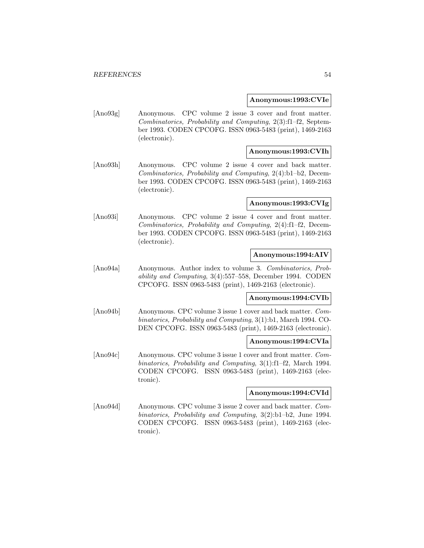#### **Anonymous:1993:CVIe**

[Ano93g] Anonymous. CPC volume 2 issue 3 cover and front matter. Combinatorics, Probability and Computing, 2(3):f1–f2, September 1993. CODEN CPCOFG. ISSN 0963-5483 (print), 1469-2163 (electronic).

## **Anonymous:1993:CVIh**

[Ano93h] Anonymous. CPC volume 2 issue 4 cover and back matter. Combinatorics, Probability and Computing, 2(4):b1–b2, December 1993. CODEN CPCOFG. ISSN 0963-5483 (print), 1469-2163 (electronic).

#### **Anonymous:1993:CVIg**

[Ano93i] Anonymous. CPC volume 2 issue 4 cover and front matter. Combinatorics, Probability and Computing, 2(4):f1–f2, December 1993. CODEN CPCOFG. ISSN 0963-5483 (print), 1469-2163 (electronic).

# **Anonymous:1994:AIV**

[Ano94a] Anonymous. Author index to volume 3. Combinatorics, Probability and Computing, 3(4):557–558, December 1994. CODEN CPCOFG. ISSN 0963-5483 (print), 1469-2163 (electronic).

# **Anonymous:1994:CVIb**

[Ano94b] Anonymous. CPC volume 3 issue 1 cover and back matter. Combinatorics, Probability and Computing, 3(1):b1, March 1994. CO-DEN CPCOFG. ISSN 0963-5483 (print), 1469-2163 (electronic).

#### **Anonymous:1994:CVIa**

[Ano94c] Anonymous. CPC volume 3 issue 1 cover and front matter. Combinatorics, Probability and Computing, 3(1):f1–f2, March 1994. CODEN CPCOFG. ISSN 0963-5483 (print), 1469-2163 (electronic).

#### **Anonymous:1994:CVId**

[Ano94d] Anonymous. CPC volume 3 issue 2 cover and back matter. Combinatorics, Probability and Computing, 3(2):b1–b2, June 1994. CODEN CPCOFG. ISSN 0963-5483 (print), 1469-2163 (electronic).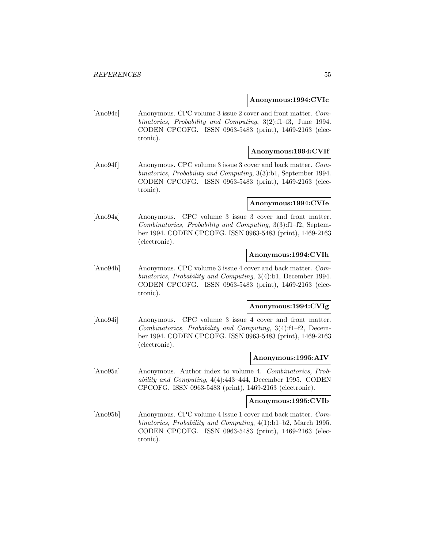#### **Anonymous:1994:CVIc**

[Ano94e] Anonymous. CPC volume 3 issue 2 cover and front matter. Combinatorics, Probability and Computing, 3(2):f1–f3, June 1994. CODEN CPCOFG. ISSN 0963-5483 (print), 1469-2163 (electronic).

## **Anonymous:1994:CVIf**

[Ano94f] Anonymous. CPC volume 3 issue 3 cover and back matter. Combinatorics, Probability and Computing, 3(3):b1, September 1994. CODEN CPCOFG. ISSN 0963-5483 (print), 1469-2163 (electronic).

#### **Anonymous:1994:CVIe**

[Ano94g] Anonymous. CPC volume 3 issue 3 cover and front matter. Combinatorics, Probability and Computing, 3(3):f1–f2, September 1994. CODEN CPCOFG. ISSN 0963-5483 (print), 1469-2163 (electronic).

## **Anonymous:1994:CVIh**

[Ano94h] Anonymous. CPC volume 3 issue 4 cover and back matter. Combinatorics, Probability and Computing, 3(4):b1, December 1994. CODEN CPCOFG. ISSN 0963-5483 (print), 1469-2163 (electronic).

#### **Anonymous:1994:CVIg**

[Ano94i] Anonymous. CPC volume 3 issue 4 cover and front matter. Combinatorics, Probability and Computing, 3(4):f1–f2, December 1994. CODEN CPCOFG. ISSN 0963-5483 (print), 1469-2163 (electronic).

#### **Anonymous:1995:AIV**

[Ano95a] Anonymous. Author index to volume 4. Combinatorics, Probability and Computing, 4(4):443–444, December 1995. CODEN CPCOFG. ISSN 0963-5483 (print), 1469-2163 (electronic).

#### **Anonymous:1995:CVIb**

[Ano95b] Anonymous. CPC volume 4 issue 1 cover and back matter. Combinatorics, Probability and Computing, 4(1):b1–b2, March 1995. CODEN CPCOFG. ISSN 0963-5483 (print), 1469-2163 (electronic).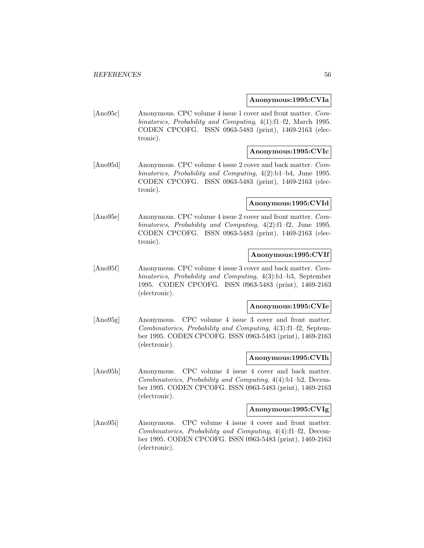#### **Anonymous:1995:CVIa**

[Ano95c] Anonymous. CPC volume 4 issue 1 cover and front matter. Combinatorics, Probability and Computing, 4(1):f1–f2, March 1995. CODEN CPCOFG. ISSN 0963-5483 (print), 1469-2163 (electronic).

## **Anonymous:1995:CVIc**

[Ano95d] Anonymous. CPC volume 4 issue 2 cover and back matter. Combinatorics, Probability and Computing, 4(2):b1–b4, June 1995. CODEN CPCOFG. ISSN 0963-5483 (print), 1469-2163 (electronic).

# **Anonymous:1995:CVId**

[Ano95e] Anonymous. CPC volume 4 issue 2 cover and front matter. Combinatorics, Probability and Computing, 4(2):f1–f2, June 1995. CODEN CPCOFG. ISSN 0963-5483 (print), 1469-2163 (electronic).

## **Anonymous:1995:CVIf**

[Ano95f] Anonymous. CPC volume 4 issue 3 cover and back matter. Combinatorics, Probability and Computing, 4(3):b1–b3, September 1995. CODEN CPCOFG. ISSN 0963-5483 (print), 1469-2163 (electronic).

#### **Anonymous:1995:CVIe**

[Ano95g] Anonymous. CPC volume 4 issue 3 cover and front matter. Combinatorics, Probability and Computing, 4(3):f1–f2, September 1995. CODEN CPCOFG. ISSN 0963-5483 (print), 1469-2163 (electronic).

#### **Anonymous:1995:CVIh**

[Ano95h] Anonymous. CPC volume 4 issue 4 cover and back matter. Combinatorics, Probability and Computing, 4(4):b1–b2, December 1995. CODEN CPCOFG. ISSN 0963-5483 (print), 1469-2163 (electronic).

#### **Anonymous:1995:CVIg**

[Ano95i] Anonymous. CPC volume 4 issue 4 cover and front matter. Combinatorics, Probability and Computing, 4(4):f1–f2, December 1995. CODEN CPCOFG. ISSN 0963-5483 (print), 1469-2163 (electronic).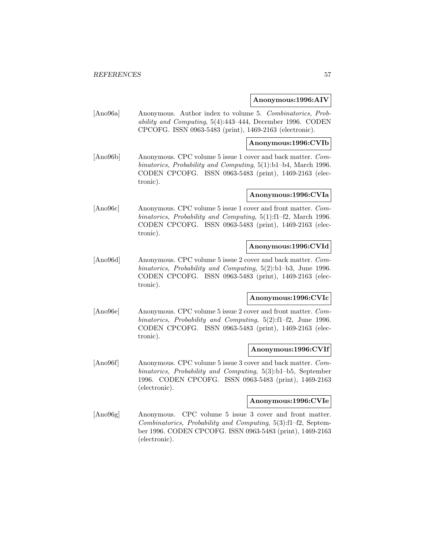#### **Anonymous:1996:AIV**

[Ano96a] Anonymous. Author index to volume 5. Combinatorics, Probability and Computing, 5(4):443–444, December 1996. CODEN CPCOFG. ISSN 0963-5483 (print), 1469-2163 (electronic).

#### **Anonymous:1996:CVIb**

[Ano96b] Anonymous. CPC volume 5 issue 1 cover and back matter. Combinatorics, Probability and Computing, 5(1):b1–b4, March 1996. CODEN CPCOFG. ISSN 0963-5483 (print), 1469-2163 (electronic).

# **Anonymous:1996:CVIa**

[Ano96c] Anonymous. CPC volume 5 issue 1 cover and front matter. Combinatorics, Probability and Computing, 5(1):f1–f2, March 1996. CODEN CPCOFG. ISSN 0963-5483 (print), 1469-2163 (electronic).

## **Anonymous:1996:CVId**

[Ano96d] Anonymous. CPC volume 5 issue 2 cover and back matter. Combinatorics, Probability and Computing, 5(2):b1–b3, June 1996. CODEN CPCOFG. ISSN 0963-5483 (print), 1469-2163 (electronic).

# **Anonymous:1996:CVIc**

[Ano96e] Anonymous. CPC volume 5 issue 2 cover and front matter. Combinatorics, Probability and Computing, 5(2):f1–f2, June 1996. CODEN CPCOFG. ISSN 0963-5483 (print), 1469-2163 (electronic).

#### **Anonymous:1996:CVIf**

[Ano96f] Anonymous. CPC volume 5 issue 3 cover and back matter. Combinatorics, Probability and Computing, 5(3):b1–b5, September 1996. CODEN CPCOFG. ISSN 0963-5483 (print), 1469-2163 (electronic).

#### **Anonymous:1996:CVIe**

[Ano96g] Anonymous. CPC volume 5 issue 3 cover and front matter. Combinatorics, Probability and Computing, 5(3):f1–f2, September 1996. CODEN CPCOFG. ISSN 0963-5483 (print), 1469-2163 (electronic).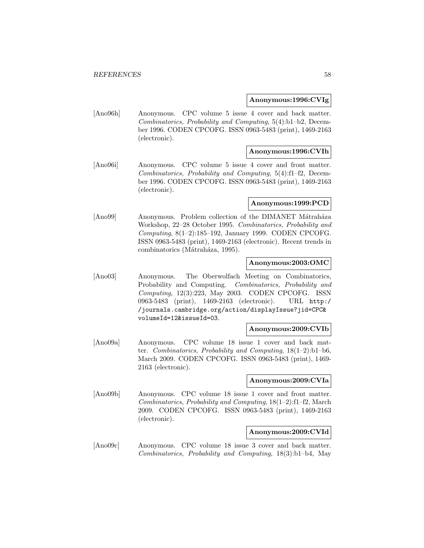#### **Anonymous:1996:CVIg**

[Ano96h] Anonymous. CPC volume 5 issue 4 cover and back matter. Combinatorics, Probability and Computing, 5(4):b1–b2, December 1996. CODEN CPCOFG. ISSN 0963-5483 (print), 1469-2163 (electronic).

# **Anonymous:1996:CVIh**

[Ano96i] Anonymous. CPC volume 5 issue 4 cover and front matter. Combinatorics, Probability and Computing, 5(4):f1–f2, December 1996. CODEN CPCOFG. ISSN 0963-5483 (print), 1469-2163 (electronic).

#### **Anonymous:1999:PCD**

[Ano99] Anonymous. Problem collection of the DIMANET Mátraháza Workshop, 22–28 October 1995. Combinatorics, Probability and Computing, 8(1–2):185–192, January 1999. CODEN CPCOFG. ISSN 0963-5483 (print), 1469-2163 (electronic). Recent trends in combinatorics (Mátraháza, 1995).

## **Anonymous:2003:OMC**

[Ano03] Anonymous. The Oberwolfach Meeting on Combinatorics, Probability and Computing. Combinatorics, Probability and Computing, 12(3):223, May 2003. CODEN CPCOFG. ISSN 0963-5483 (print), 1469-2163 (electronic). URL http:/ /journals.cambridge.org/action/displayIssue?jid=CPC& volumeId=12&issueId=03.

#### **Anonymous:2009:CVIb**

[Ano09a] Anonymous. CPC volume 18 issue 1 cover and back matter. Combinatorics, Probability and Computing,  $18(1-2):b1-b6$ , March 2009. CODEN CPCOFG. ISSN 0963-5483 (print), 1469- 2163 (electronic).

## **Anonymous:2009:CVIa**

[Ano09b] Anonymous. CPC volume 18 issue 1 cover and front matter. Combinatorics, Probability and Computing, 18(1–2):f1–f2, March 2009. CODEN CPCOFG. ISSN 0963-5483 (print), 1469-2163 (electronic).

#### **Anonymous:2009:CVId**

[Ano09c] Anonymous. CPC volume 18 issue 3 cover and back matter. Combinatorics, Probability and Computing, 18(3):b1–b4, May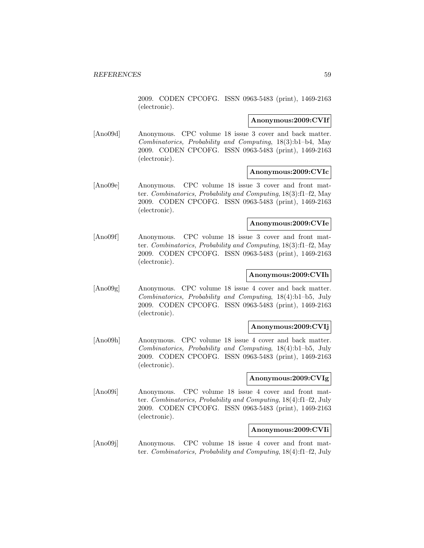2009. CODEN CPCOFG. ISSN 0963-5483 (print), 1469-2163 (electronic).

#### **Anonymous:2009:CVIf**

[Ano09d] Anonymous. CPC volume 18 issue 3 cover and back matter. Combinatorics, Probability and Computing, 18(3):b1–b4, May 2009. CODEN CPCOFG. ISSN 0963-5483 (print), 1469-2163 (electronic).

#### **Anonymous:2009:CVIc**

[Ano09e] Anonymous. CPC volume 18 issue 3 cover and front matter. Combinatorics, Probability and Computing, 18(3):f1–f2, May 2009. CODEN CPCOFG. ISSN 0963-5483 (print), 1469-2163 (electronic).

#### **Anonymous:2009:CVIe**

[Ano09f] Anonymous. CPC volume 18 issue 3 cover and front matter. Combinatorics, Probability and Computing, 18(3):f1–f2, May 2009. CODEN CPCOFG. ISSN 0963-5483 (print), 1469-2163 (electronic).

# **Anonymous:2009:CVIh**

[Ano09g] Anonymous. CPC volume 18 issue 4 cover and back matter. Combinatorics, Probability and Computing, 18(4):b1–b5, July 2009. CODEN CPCOFG. ISSN 0963-5483 (print), 1469-2163 (electronic).

#### **Anonymous:2009:CVIj**

[Ano09h] Anonymous. CPC volume 18 issue 4 cover and back matter. Combinatorics, Probability and Computing, 18(4):b1–b5, July 2009. CODEN CPCOFG. ISSN 0963-5483 (print), 1469-2163 (electronic).

## **Anonymous:2009:CVIg**

[Ano09i] Anonymous. CPC volume 18 issue 4 cover and front matter. Combinatorics, Probability and Computing, 18(4):f1–f2, July 2009. CODEN CPCOFG. ISSN 0963-5483 (print), 1469-2163 (electronic).

# **Anonymous:2009:CVIi**

[Ano09j] Anonymous. CPC volume 18 issue 4 cover and front matter. Combinatorics, Probability and Computing, 18(4):f1–f2, July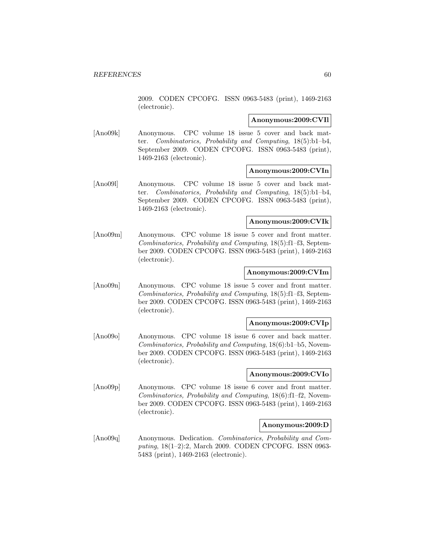2009. CODEN CPCOFG. ISSN 0963-5483 (print), 1469-2163 (electronic).

#### **Anonymous:2009:CVIl**

[Ano09k] Anonymous. CPC volume 18 issue 5 cover and back matter. Combinatorics, Probability and Computing, 18(5):b1–b4, September 2009. CODEN CPCOFG. ISSN 0963-5483 (print), 1469-2163 (electronic).

#### **Anonymous:2009:CVIn**

[Ano09l] Anonymous. CPC volume 18 issue 5 cover and back matter. Combinatorics, Probability and Computing, 18(5):b1–b4, September 2009. CODEN CPCOFG. ISSN 0963-5483 (print), 1469-2163 (electronic).

## **Anonymous:2009:CVIk**

[Ano09m] Anonymous. CPC volume 18 issue 5 cover and front matter. Combinatorics, Probability and Computing, 18(5):f1–f3, September 2009. CODEN CPCOFG. ISSN 0963-5483 (print), 1469-2163 (electronic).

#### **Anonymous:2009:CVIm**

[Ano09n] Anonymous. CPC volume 18 issue 5 cover and front matter. Combinatorics, Probability and Computing, 18(5):f1–f3, September 2009. CODEN CPCOFG. ISSN 0963-5483 (print), 1469-2163 (electronic).

#### **Anonymous:2009:CVIp**

[Ano09o] Anonymous. CPC volume 18 issue 6 cover and back matter. Combinatorics, Probability and Computing, 18(6):b1–b5, November 2009. CODEN CPCOFG. ISSN 0963-5483 (print), 1469-2163 (electronic).

#### **Anonymous:2009:CVIo**

[Ano09p] Anonymous. CPC volume 18 issue 6 cover and front matter. Combinatorics, Probability and Computing, 18(6):f1–f2, November 2009. CODEN CPCOFG. ISSN 0963-5483 (print), 1469-2163 (electronic).

#### **Anonymous:2009:D**

[Ano09q] Anonymous. Dedication. Combinatorics, Probability and Computing, 18(1–2):2, March 2009. CODEN CPCOFG. ISSN 0963- 5483 (print), 1469-2163 (electronic).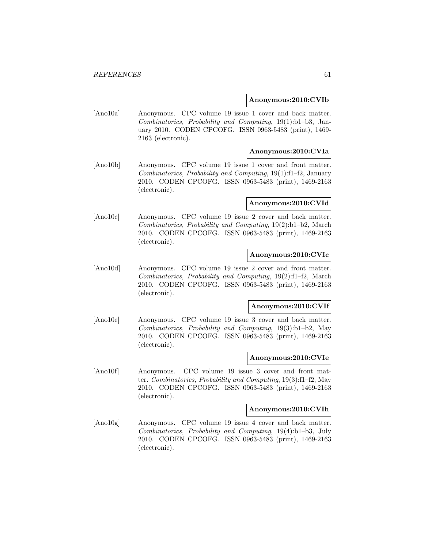#### **Anonymous:2010:CVIb**

[Ano10a] Anonymous. CPC volume 19 issue 1 cover and back matter. Combinatorics, Probability and Computing, 19(1):b1–b3, January 2010. CODEN CPCOFG. ISSN 0963-5483 (print), 1469- 2163 (electronic).

# **Anonymous:2010:CVIa**

[Ano10b] Anonymous. CPC volume 19 issue 1 cover and front matter. Combinatorics, Probability and Computing, 19(1):f1–f2, January 2010. CODEN CPCOFG. ISSN 0963-5483 (print), 1469-2163 (electronic).

#### **Anonymous:2010:CVId**

[Ano10c] Anonymous. CPC volume 19 issue 2 cover and back matter. Combinatorics, Probability and Computing, 19(2):b1–b2, March 2010. CODEN CPCOFG. ISSN 0963-5483 (print), 1469-2163 (electronic).

# **Anonymous:2010:CVIc**

[Ano10d] Anonymous. CPC volume 19 issue 2 cover and front matter. Combinatorics, Probability and Computing, 19(2):f1–f2, March 2010. CODEN CPCOFG. ISSN 0963-5483 (print), 1469-2163 (electronic).

#### **Anonymous:2010:CVIf**

[Ano10e] Anonymous. CPC volume 19 issue 3 cover and back matter. Combinatorics, Probability and Computing, 19(3):b1–b2, May 2010. CODEN CPCOFG. ISSN 0963-5483 (print), 1469-2163 (electronic).

## **Anonymous:2010:CVIe**

[Ano10f] Anonymous. CPC volume 19 issue 3 cover and front matter. Combinatorics, Probability and Computing, 19(3):f1–f2, May 2010. CODEN CPCOFG. ISSN 0963-5483 (print), 1469-2163 (electronic).

#### **Anonymous:2010:CVIh**

[Ano10g] Anonymous. CPC volume 19 issue 4 cover and back matter. Combinatorics, Probability and Computing, 19(4):b1–b3, July 2010. CODEN CPCOFG. ISSN 0963-5483 (print), 1469-2163 (electronic).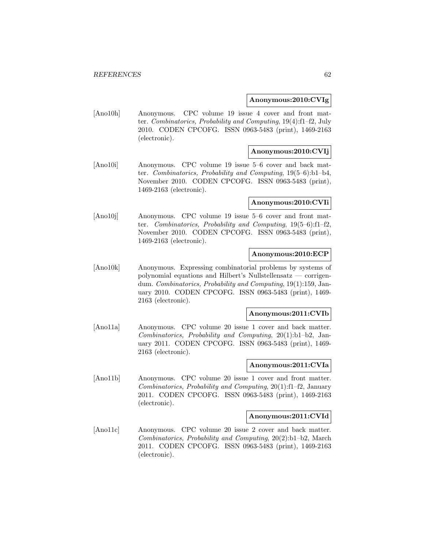#### **Anonymous:2010:CVIg**

[Ano10h] Anonymous. CPC volume 19 issue 4 cover and front matter. Combinatorics, Probability and Computing, 19(4):f1–f2, July 2010. CODEN CPCOFG. ISSN 0963-5483 (print), 1469-2163 (electronic).

## **Anonymous:2010:CVIj**

[Ano10i] Anonymous. CPC volume 19 issue 5–6 cover and back matter. Combinatorics, Probability and Computing, 19(5–6):b1–b4, November 2010. CODEN CPCOFG. ISSN 0963-5483 (print), 1469-2163 (electronic).

#### **Anonymous:2010:CVIi**

[Ano10j] Anonymous. CPC volume 19 issue 5–6 cover and front matter. Combinatorics, Probability and Computing, 19(5–6):f1–f2, November 2010. CODEN CPCOFG. ISSN 0963-5483 (print), 1469-2163 (electronic).

## **Anonymous:2010:ECP**

[Ano10k] Anonymous. Expressing combinatorial problems by systems of polynomial equations and Hilbert's Nullstellensatz — corrigendum. Combinatorics, Probability and Computing, 19(1):159, January 2010. CODEN CPCOFG. ISSN 0963-5483 (print), 1469- 2163 (electronic).

#### **Anonymous:2011:CVIb**

[Ano11a] Anonymous. CPC volume 20 issue 1 cover and back matter. Combinatorics, Probability and Computing, 20(1):b1–b2, January 2011. CODEN CPCOFG. ISSN 0963-5483 (print), 1469- 2163 (electronic).

#### **Anonymous:2011:CVIa**

[Ano11b] Anonymous. CPC volume 20 issue 1 cover and front matter. Combinatorics, Probability and Computing, 20(1):f1–f2, January 2011. CODEN CPCOFG. ISSN 0963-5483 (print), 1469-2163 (electronic).

#### **Anonymous:2011:CVId**

[Ano11c] Anonymous. CPC volume 20 issue 2 cover and back matter. Combinatorics, Probability and Computing, 20(2):b1–b2, March 2011. CODEN CPCOFG. ISSN 0963-5483 (print), 1469-2163 (electronic).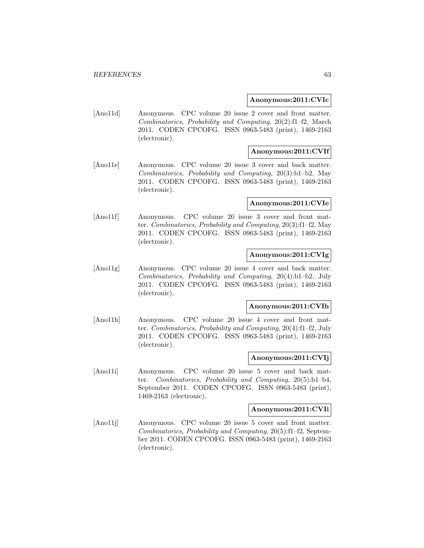#### **Anonymous:2011:CVIc**

[Ano11d] Anonymous. CPC volume 20 issue 2 cover and front matter. Combinatorics, Probability and Computing, 20(2):f1–f2, March 2011. CODEN CPCOFG. ISSN 0963-5483 (print), 1469-2163 (electronic).

## **Anonymous:2011:CVIf**

[Ano11e] Anonymous. CPC volume 20 issue 3 cover and back matter. Combinatorics, Probability and Computing, 20(3):b1–b2, May 2011. CODEN CPCOFG. ISSN 0963-5483 (print), 1469-2163 (electronic).

#### **Anonymous:2011:CVIe**

[Ano11f] Anonymous. CPC volume 20 issue 3 cover and front matter. Combinatorics, Probability and Computing, 20(3):f1–f2, May 2011. CODEN CPCOFG. ISSN 0963-5483 (print), 1469-2163 (electronic).

# **Anonymous:2011:CVIg**

[Ano11g] Anonymous. CPC volume 20 issue 4 cover and back matter. Combinatorics, Probability and Computing, 20(4):b1–b2, July 2011. CODEN CPCOFG. ISSN 0963-5483 (print), 1469-2163 (electronic).

#### **Anonymous:2011:CVIh**

[Ano11h] Anonymous. CPC volume 20 issue 4 cover and front matter. Combinatorics, Probability and Computing, 20(4):f1–f2, July 2011. CODEN CPCOFG. ISSN 0963-5483 (print), 1469-2163 (electronic).

#### **Anonymous:2011:CVIj**

[Ano11i] Anonymous. CPC volume 20 issue 5 cover and back matter. Combinatorics, Probability and Computing, 20(5):b1–b4, September 2011. CODEN CPCOFG. ISSN 0963-5483 (print), 1469-2163 (electronic).

## **Anonymous:2011:CVIi**

[Ano11j] Anonymous. CPC volume 20 issue 5 cover and front matter. Combinatorics, Probability and Computing, 20(5):f1–f2, September 2011. CODEN CPCOFG. ISSN 0963-5483 (print), 1469-2163 (electronic).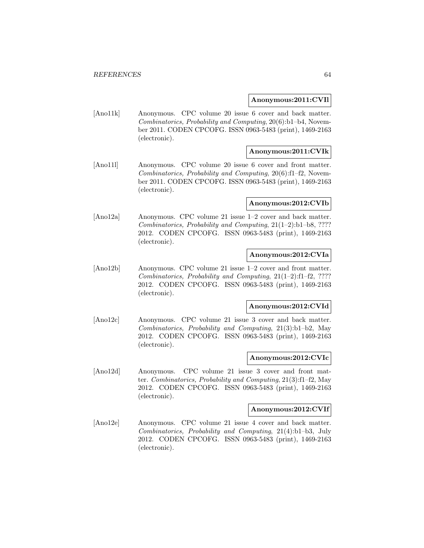#### **Anonymous:2011:CVIl**

[Ano11k] Anonymous. CPC volume 20 issue 6 cover and back matter. Combinatorics, Probability and Computing, 20(6):b1–b4, November 2011. CODEN CPCOFG. ISSN 0963-5483 (print), 1469-2163 (electronic).

## **Anonymous:2011:CVIk**

[Ano11l] Anonymous. CPC volume 20 issue 6 cover and front matter. Combinatorics, Probability and Computing, 20(6):f1–f2, November 2011. CODEN CPCOFG. ISSN 0963-5483 (print), 1469-2163 (electronic).

#### **Anonymous:2012:CVIb**

[Ano12a] Anonymous. CPC volume 21 issue 1–2 cover and back matter. Combinatorics, Probability and Computing, 21(1–2):b1–b8, ???? 2012. CODEN CPCOFG. ISSN 0963-5483 (print), 1469-2163 (electronic).

## **Anonymous:2012:CVIa**

[Ano12b] Anonymous. CPC volume 21 issue 1–2 cover and front matter. Combinatorics, Probability and Computing, 21(1–2):f1–f2, ???? 2012. CODEN CPCOFG. ISSN 0963-5483 (print), 1469-2163 (electronic).

#### **Anonymous:2012:CVId**

[Ano12c] Anonymous. CPC volume 21 issue 3 cover and back matter. Combinatorics, Probability and Computing, 21(3):b1–b2, May 2012. CODEN CPCOFG. ISSN 0963-5483 (print), 1469-2163 (electronic).

#### **Anonymous:2012:CVIc**

[Ano12d] Anonymous. CPC volume 21 issue 3 cover and front matter. Combinatorics, Probability and Computing, 21(3):f1–f2, May 2012. CODEN CPCOFG. ISSN 0963-5483 (print), 1469-2163 (electronic).

#### **Anonymous:2012:CVIf**

[Ano12e] Anonymous. CPC volume 21 issue 4 cover and back matter. Combinatorics, Probability and Computing, 21(4):b1–b3, July 2012. CODEN CPCOFG. ISSN 0963-5483 (print), 1469-2163 (electronic).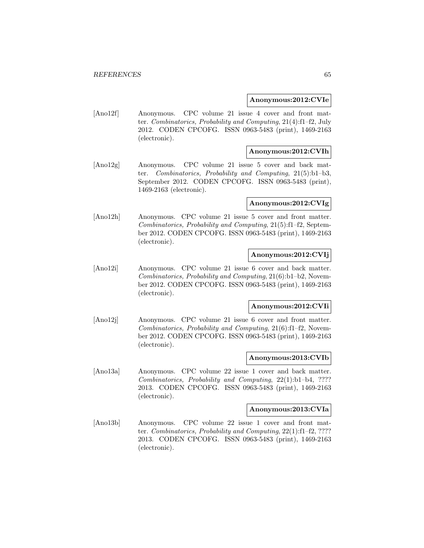#### **Anonymous:2012:CVIe**

[Ano12f] Anonymous. CPC volume 21 issue 4 cover and front matter. Combinatorics, Probability and Computing, 21(4):f1–f2, July 2012. CODEN CPCOFG. ISSN 0963-5483 (print), 1469-2163 (electronic).

## **Anonymous:2012:CVIh**

[Ano12g] Anonymous. CPC volume 21 issue 5 cover and back matter. Combinatorics, Probability and Computing, 21(5):b1–b3, September 2012. CODEN CPCOFG. ISSN 0963-5483 (print), 1469-2163 (electronic).

## **Anonymous:2012:CVIg**

[Ano12h] Anonymous. CPC volume 21 issue 5 cover and front matter. Combinatorics, Probability and Computing, 21(5):f1–f2, September 2012. CODEN CPCOFG. ISSN 0963-5483 (print), 1469-2163 (electronic).

## **Anonymous:2012:CVIj**

[Ano12i] Anonymous. CPC volume 21 issue 6 cover and back matter. Combinatorics, Probability and Computing, 21(6):b1–b2, November 2012. CODEN CPCOFG. ISSN 0963-5483 (print), 1469-2163 (electronic).

#### **Anonymous:2012:CVIi**

[Ano12j] Anonymous. CPC volume 21 issue 6 cover and front matter. Combinatorics, Probability and Computing, 21(6):f1–f2, November 2012. CODEN CPCOFG. ISSN 0963-5483 (print), 1469-2163 (electronic).

#### **Anonymous:2013:CVIb**

[Ano13a] Anonymous. CPC volume 22 issue 1 cover and back matter. Combinatorics, Probability and Computing, 22(1):b1–b4, ???? 2013. CODEN CPCOFG. ISSN 0963-5483 (print), 1469-2163 (electronic).

#### **Anonymous:2013:CVIa**

[Ano13b] Anonymous. CPC volume 22 issue 1 cover and front matter. Combinatorics, Probability and Computing, 22(1):f1–f2, ???? 2013. CODEN CPCOFG. ISSN 0963-5483 (print), 1469-2163 (electronic).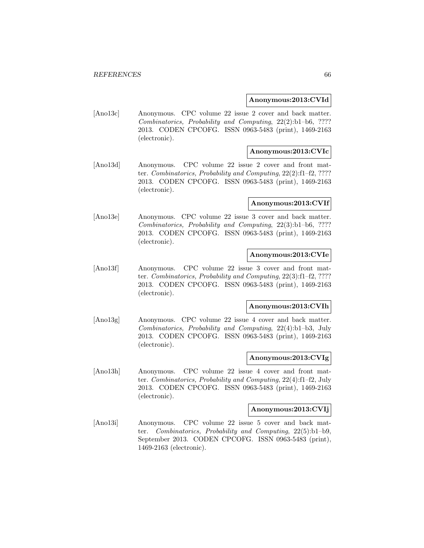#### **Anonymous:2013:CVId**

[Ano13c] Anonymous. CPC volume 22 issue 2 cover and back matter. Combinatorics, Probability and Computing, 22(2):b1–b6, ???? 2013. CODEN CPCOFG. ISSN 0963-5483 (print), 1469-2163 (electronic).

## **Anonymous:2013:CVIc**

[Ano13d] Anonymous. CPC volume 22 issue 2 cover and front matter. Combinatorics, Probability and Computing, 22(2):f1–f2, ???? 2013. CODEN CPCOFG. ISSN 0963-5483 (print), 1469-2163 (electronic).

#### **Anonymous:2013:CVIf**

[Ano13e] Anonymous. CPC volume 22 issue 3 cover and back matter. Combinatorics, Probability and Computing, 22(3):b1–b6, ???? 2013. CODEN CPCOFG. ISSN 0963-5483 (print), 1469-2163 (electronic).

# **Anonymous:2013:CVIe**

[Ano13f] Anonymous. CPC volume 22 issue 3 cover and front matter. Combinatorics, Probability and Computing, 22(3):f1–f2, ???? 2013. CODEN CPCOFG. ISSN 0963-5483 (print), 1469-2163 (electronic).

#### **Anonymous:2013:CVIh**

[Ano13g] Anonymous. CPC volume 22 issue 4 cover and back matter. Combinatorics, Probability and Computing, 22(4):b1–b3, July 2013. CODEN CPCOFG. ISSN 0963-5483 (print), 1469-2163 (electronic).

## **Anonymous:2013:CVIg**

[Ano13h] Anonymous. CPC volume 22 issue 4 cover and front matter. Combinatorics, Probability and Computing, 22(4):f1–f2, July 2013. CODEN CPCOFG. ISSN 0963-5483 (print), 1469-2163 (electronic).

#### **Anonymous:2013:CVIj**

[Ano13i] Anonymous. CPC volume 22 issue 5 cover and back matter. Combinatorics, Probability and Computing, 22(5):b1–b9, September 2013. CODEN CPCOFG. ISSN 0963-5483 (print), 1469-2163 (electronic).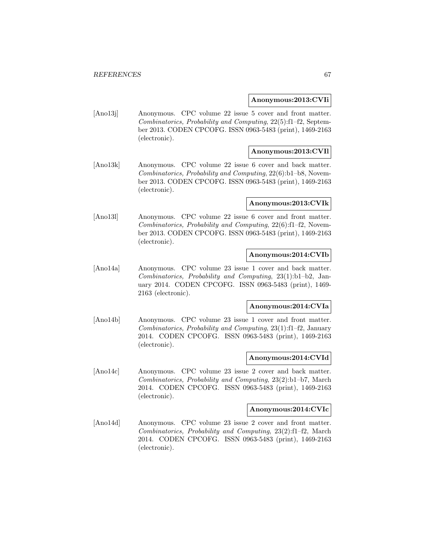#### **Anonymous:2013:CVIi**

[Ano13] Anonymous. CPC volume 22 issue 5 cover and front matter. Combinatorics, Probability and Computing, 22(5):f1–f2, September 2013. CODEN CPCOFG. ISSN 0963-5483 (print), 1469-2163 (electronic).

## **Anonymous:2013:CVIl**

[Ano13k] Anonymous. CPC volume 22 issue 6 cover and back matter. Combinatorics, Probability and Computing, 22(6):b1–b8, November 2013. CODEN CPCOFG. ISSN 0963-5483 (print), 1469-2163 (electronic).

#### **Anonymous:2013:CVIk**

[Ano13l] Anonymous. CPC volume 22 issue 6 cover and front matter. Combinatorics, Probability and Computing, 22(6):f1–f2, November 2013. CODEN CPCOFG. ISSN 0963-5483 (print), 1469-2163 (electronic).

## **Anonymous:2014:CVIb**

[Ano14a] Anonymous. CPC volume 23 issue 1 cover and back matter. Combinatorics, Probability and Computing, 23(1):b1–b2, January 2014. CODEN CPCOFG. ISSN 0963-5483 (print), 1469- 2163 (electronic).

#### **Anonymous:2014:CVIa**

[Ano14b] Anonymous. CPC volume 23 issue 1 cover and front matter. Combinatorics, Probability and Computing, 23(1):f1–f2, January 2014. CODEN CPCOFG. ISSN 0963-5483 (print), 1469-2163 (electronic).

## **Anonymous:2014:CVId**

[Ano14c] Anonymous. CPC volume 23 issue 2 cover and back matter. Combinatorics, Probability and Computing, 23(2):b1–b7, March 2014. CODEN CPCOFG. ISSN 0963-5483 (print), 1469-2163 (electronic).

#### **Anonymous:2014:CVIc**

[Ano14d] Anonymous. CPC volume 23 issue 2 cover and front matter. Combinatorics, Probability and Computing, 23(2):f1–f2, March 2014. CODEN CPCOFG. ISSN 0963-5483 (print), 1469-2163 (electronic).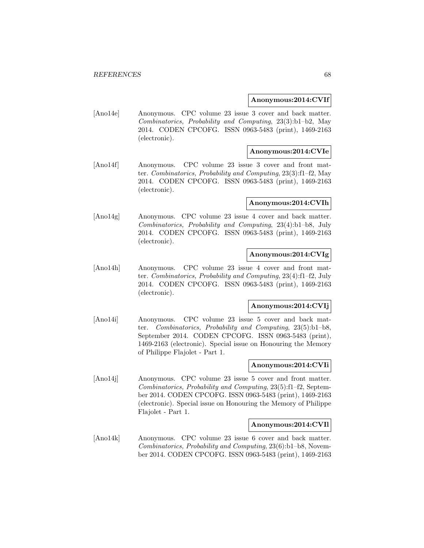#### **Anonymous:2014:CVIf**

[Ano14e] Anonymous. CPC volume 23 issue 3 cover and back matter. Combinatorics, Probability and Computing, 23(3):b1–b2, May 2014. CODEN CPCOFG. ISSN 0963-5483 (print), 1469-2163 (electronic).

## **Anonymous:2014:CVIe**

[Ano14f] Anonymous. CPC volume 23 issue 3 cover and front matter. Combinatorics, Probability and Computing, 23(3):f1–f2, May 2014. CODEN CPCOFG. ISSN 0963-5483 (print), 1469-2163 (electronic).

#### **Anonymous:2014:CVIh**

[Ano14g] Anonymous. CPC volume 23 issue 4 cover and back matter. Combinatorics, Probability and Computing, 23(4):b1–b8, July 2014. CODEN CPCOFG. ISSN 0963-5483 (print), 1469-2163 (electronic).

# **Anonymous:2014:CVIg**

[Ano14h] Anonymous. CPC volume 23 issue 4 cover and front matter. Combinatorics, Probability and Computing, 23(4):f1–f2, July 2014. CODEN CPCOFG. ISSN 0963-5483 (print), 1469-2163 (electronic).

## **Anonymous:2014:CVIj**

[Ano14i] Anonymous. CPC volume 23 issue 5 cover and back matter. Combinatorics, Probability and Computing, 23(5):b1–b8, September 2014. CODEN CPCOFG. ISSN 0963-5483 (print), 1469-2163 (electronic). Special issue on Honouring the Memory of Philippe Flajolet - Part 1.

## **Anonymous:2014:CVIi**

[Ano14j] Anonymous. CPC volume 23 issue 5 cover and front matter. Combinatorics, Probability and Computing, 23(5):f1–f2, September 2014. CODEN CPCOFG. ISSN 0963-5483 (print), 1469-2163 (electronic). Special issue on Honouring the Memory of Philippe Flajolet - Part 1.

# **Anonymous:2014:CVIl**

[Ano14k] Anonymous. CPC volume 23 issue 6 cover and back matter. Combinatorics, Probability and Computing, 23(6):b1–b8, November 2014. CODEN CPCOFG. ISSN 0963-5483 (print), 1469-2163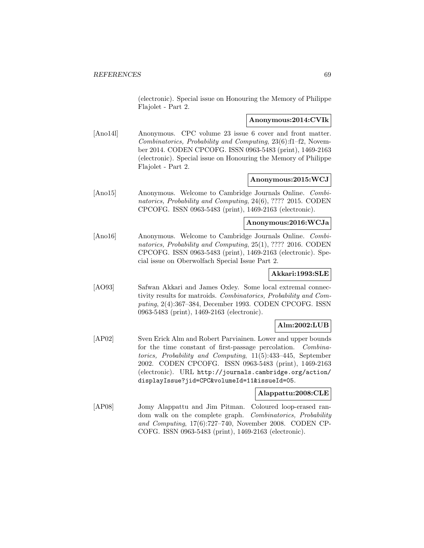(electronic). Special issue on Honouring the Memory of Philippe Flajolet - Part 2.

#### **Anonymous:2014:CVIk**

[Ano14l] Anonymous. CPC volume 23 issue 6 cover and front matter. Combinatorics, Probability and Computing, 23(6):f1–f2, November 2014. CODEN CPCOFG. ISSN 0963-5483 (print), 1469-2163 (electronic). Special issue on Honouring the Memory of Philippe Flajolet - Part 2.

## **Anonymous:2015:WCJ**

[Ano15] Anonymous. Welcome to Cambridge Journals Online. Combinatorics, Probability and Computing, 24(6), ???? 2015. CODEN CPCOFG. ISSN 0963-5483 (print), 1469-2163 (electronic).

#### **Anonymous:2016:WCJa**

[Ano16] Anonymous. Welcome to Cambridge Journals Online. Combinatorics, Probability and Computing, 25(1), ???? 2016. CODEN CPCOFG. ISSN 0963-5483 (print), 1469-2163 (electronic). Special issue on Oberwolfach Special Issue Part 2.

# **Akkari:1993:SLE**

[AO93] Safwan Akkari and James Oxley. Some local extremal connectivity results for matroids. Combinatorics, Probability and Computing, 2(4):367–384, December 1993. CODEN CPCOFG. ISSN 0963-5483 (print), 1469-2163 (electronic).

# **Alm:2002:LUB**

[AP02] Sven Erick Alm and Robert Parviainen. Lower and upper bounds for the time constant of first-passage percolation. Combinatorics, Probability and Computing, 11(5):433–445, September 2002. CODEN CPCOFG. ISSN 0963-5483 (print), 1469-2163 (electronic). URL http://journals.cambridge.org/action/ displayIssue?jid=CPC&volumeId=11&issueId=05.

## **Alappattu:2008:CLE**

[AP08] Jomy Alappattu and Jim Pitman. Coloured loop-erased random walk on the complete graph. Combinatorics, Probability and Computing, 17(6):727–740, November 2008. CODEN CP-COFG. ISSN 0963-5483 (print), 1469-2163 (electronic).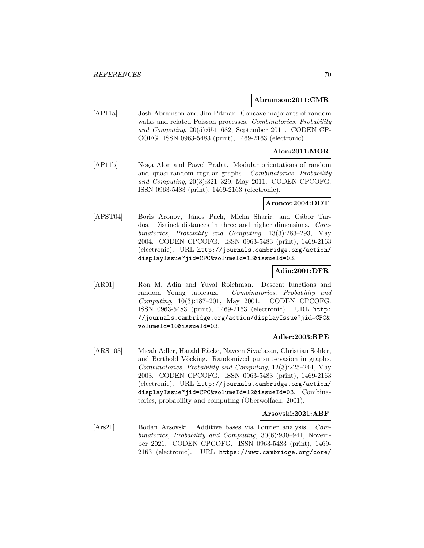#### **Abramson:2011:CMR**

[AP11a] Josh Abramson and Jim Pitman. Concave majorants of random walks and related Poisson processes. Combinatorics, Probability and Computing, 20(5):651–682, September 2011. CODEN CP-COFG. ISSN 0963-5483 (print), 1469-2163 (electronic).

# **Alon:2011:MOR**

[AP11b] Noga Alon and Pawel Pralat. Modular orientations of random and quasi-random regular graphs. Combinatorics, Probability and Computing, 20(3):321–329, May 2011. CODEN CPCOFG. ISSN 0963-5483 (print), 1469-2163 (electronic).

#### **Aronov:2004:DDT**

[APST04] Boris Aronov, János Pach, Micha Sharir, and Gábor Tardos. Distinct distances in three and higher dimensions. Combinatorics, Probability and Computing, 13(3):283–293, May 2004. CODEN CPCOFG. ISSN 0963-5483 (print), 1469-2163 (electronic). URL http://journals.cambridge.org/action/ displayIssue?jid=CPC&volumeId=13&issueId=03.

#### **Adin:2001:DFR**

[AR01] Ron M. Adin and Yuval Roichman. Descent functions and random Young tableaux. Combinatorics, Probability and Computing, 10(3):187–201, May 2001. CODEN CPCOFG. ISSN 0963-5483 (print), 1469-2163 (electronic). URL http: //journals.cambridge.org/action/displayIssue?jid=CPC& volumeId=10&issueId=03.

## **Adler:2003:RPE**

[ARS<sup>+</sup>03] Micah Adler, Harald Räcke, Naveen Sivadasan, Christian Sohler, and Berthold Vöcking. Randomized pursuit-evasion in graphs. Combinatorics, Probability and Computing, 12(3):225–244, May 2003. CODEN CPCOFG. ISSN 0963-5483 (print), 1469-2163 (electronic). URL http://journals.cambridge.org/action/ displayIssue?jid=CPC&volumeId=12&issueId=03. Combinatorics, probability and computing (Oberwolfach, 2001).

## **Arsovski:2021:ABF**

[Ars21] Bodan Arsovski. Additive bases via Fourier analysis. Combinatorics, Probability and Computing, 30(6):930–941, November 2021. CODEN CPCOFG. ISSN 0963-5483 (print), 1469- 2163 (electronic). URL https://www.cambridge.org/core/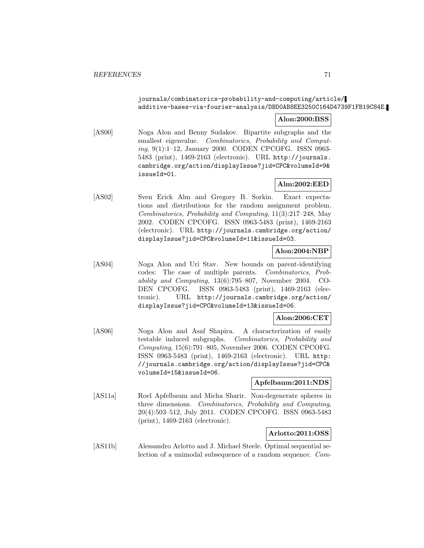# journals/combinatorics-probability-and-computing/article/ additive-bases-via-fourier-analysis/DBD0AB8EE3250C164D4739F1FB19C84E.

# **Alon:2000:BSS**

[AS00] Noga Alon and Benny Sudakov. Bipartite subgraphs and the smallest eigenvalue. Combinatorics, Probability and Computing, 9(1):1–12, January 2000. CODEN CPCOFG. ISSN 0963- 5483 (print), 1469-2163 (electronic). URL http://journals. cambridge.org/action/displayIssue?jid=CPC&volumeId=9& issueId=01.

# **Alm:2002:EED**

[AS02] Sven Erick Alm and Gregory B. Sorkin. Exact expectations and distributions for the random assignment problem. Combinatorics, Probability and Computing, 11(3):217–248, May 2002. CODEN CPCOFG. ISSN 0963-5483 (print), 1469-2163 (electronic). URL http://journals.cambridge.org/action/ displayIssue?jid=CPC&volumeId=11&issueId=03.

# **Alon:2004:NBP**

[AS04] Noga Alon and Uri Stav. New bounds on parent-identifying codes: The case of multiple parents. Combinatorics, Probability and Computing, 13(6):795–807, November 2004. CO-DEN CPCOFG. ISSN 0963-5483 (print), 1469-2163 (electronic). URL http://journals.cambridge.org/action/ displayIssue?jid=CPC&volumeId=13&issueId=06.

# **Alon:2006:CET**

[AS06] Noga Alon and Asaf Shapira. A characterization of easily testable induced subgraphs. Combinatorics, Probability and Computing, 15(6):791–805, November 2006. CODEN CPCOFG. ISSN 0963-5483 (print), 1469-2163 (electronic). URL http: //journals.cambridge.org/action/displayIssue?jid=CPC& volumeId=15&issueId=06.

## **Apfelbaum:2011:NDS**

[AS11a] Roel Apfelbaum and Micha Sharir. Non-degenerate spheres in three dimensions. Combinatorics, Probability and Computing, 20(4):503–512, July 2011. CODEN CPCOFG. ISSN 0963-5483 (print), 1469-2163 (electronic).

## **Arlotto:2011:OSS**

[AS11b] Alessandro Arlotto and J. Michael Steele. Optimal sequential selection of a unimodal subsequence of a random sequence. Com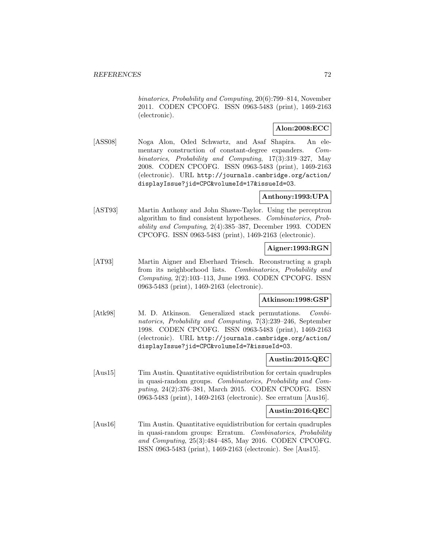binatorics, Probability and Computing, 20(6):799–814, November 2011. CODEN CPCOFG. ISSN 0963-5483 (print), 1469-2163 (electronic).

## **Alon:2008:ECC**

[ASS08] Noga Alon, Oded Schwartz, and Asaf Shapira. An elementary construction of constant-degree expanders. Combinatorics, Probability and Computing, 17(3):319–327, May 2008. CODEN CPCOFG. ISSN 0963-5483 (print), 1469-2163 (electronic). URL http://journals.cambridge.org/action/ displayIssue?jid=CPC&volumeId=17&issueId=03.

## **Anthony:1993:UPA**

[AST93] Martin Anthony and John Shawe-Taylor. Using the perceptron algorithm to find consistent hypotheses. Combinatorics, Probability and Computing, 2(4):385–387, December 1993. CODEN CPCOFG. ISSN 0963-5483 (print), 1469-2163 (electronic).

#### **Aigner:1993:RGN**

[AT93] Martin Aigner and Eberhard Triesch. Reconstructing a graph from its neighborhood lists. Combinatorics, Probability and Computing, 2(2):103–113, June 1993. CODEN CPCOFG. ISSN 0963-5483 (print), 1469-2163 (electronic).

## **Atkinson:1998:GSP**

[Atk98] M. D. Atkinson. Generalized stack permutations. Combinatorics, Probability and Computing, 7(3):239–246, September 1998. CODEN CPCOFG. ISSN 0963-5483 (print), 1469-2163 (electronic). URL http://journals.cambridge.org/action/ displayIssue?jid=CPC&volumeId=7&issueId=03.

## **Austin:2015:QEC**

[Aus15] Tim Austin. Quantitative equidistribution for certain quadruples in quasi-random groups. Combinatorics, Probability and Computing, 24(2):376–381, March 2015. CODEN CPCOFG. ISSN 0963-5483 (print), 1469-2163 (electronic). See erratum [Aus16].

# **Austin:2016:QEC**

[Aus16] Tim Austin. Quantitative equidistribution for certain quadruples in quasi-random groups: Erratum. Combinatorics, Probability and Computing, 25(3):484–485, May 2016. CODEN CPCOFG. ISSN 0963-5483 (print), 1469-2163 (electronic). See [Aus15].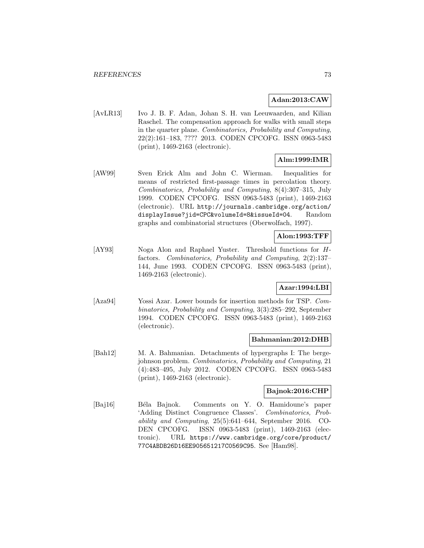#### **Adan:2013:CAW**

[AvLR13] Ivo J. B. F. Adan, Johan S. H. van Leeuwaarden, and Kilian Raschel. The compensation approach for walks with small steps in the quarter plane. Combinatorics, Probability and Computing, 22(2):161–183, ???? 2013. CODEN CPCOFG. ISSN 0963-5483 (print), 1469-2163 (electronic).

## **Alm:1999:IMR**

[AW99] Sven Erick Alm and John C. Wierman. Inequalities for means of restricted first-passage times in percolation theory. Combinatorics, Probability and Computing, 8(4):307–315, July 1999. CODEN CPCOFG. ISSN 0963-5483 (print), 1469-2163 (electronic). URL http://journals.cambridge.org/action/ displayIssue?jid=CPC&volumeId=8&issueId=04. Random graphs and combinatorial structures (Oberwolfach, 1997).

## **Alon:1993:TFF**

[AY93] Noga Alon and Raphael Yuster. Threshold functions for Hfactors. Combinatorics, Probability and Computing, 2(2):137– 144, June 1993. CODEN CPCOFG. ISSN 0963-5483 (print), 1469-2163 (electronic).

#### **Azar:1994:LBI**

[Aza94] Yossi Azar. Lower bounds for insertion methods for TSP. Combinatorics, Probability and Computing, 3(3):285–292, September 1994. CODEN CPCOFG. ISSN 0963-5483 (print), 1469-2163 (electronic).

#### **Bahmanian:2012:DHB**

[Bah12] M. A. Bahmanian. Detachments of hypergraphs I: The bergejohnson problem. Combinatorics, Probability and Computing, 21 (4):483–495, July 2012. CODEN CPCOFG. ISSN 0963-5483 (print), 1469-2163 (electronic).

#### **Bajnok:2016:CHP**

[Baj16] Béla Bajnok. Comments on Y. O. Hamidoune's paper 'Adding Distinct Congruence Classes'. Combinatorics, Probability and Computing, 25(5):641–644, September 2016. CO-DEN CPCOFG. ISSN 0963-5483 (print), 1469-2163 (electronic). URL https://www.cambridge.org/core/product/ 77C4ABDB26D16EE905651217C0569C95. See [Ham98].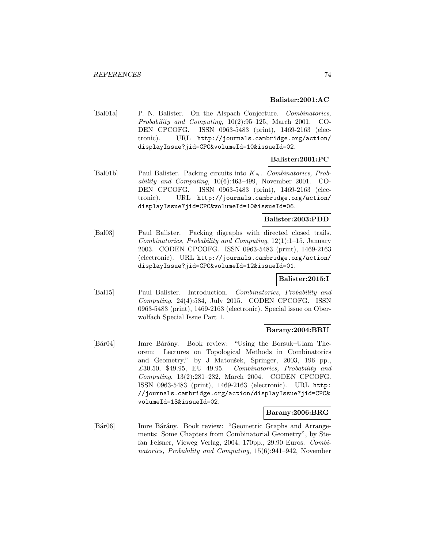#### **Balister:2001:AC**

[Bal01a] P. N. Balister. On the Alspach Conjecture. Combinatorics, Probability and Computing, 10(2):95–125, March 2001. CO-DEN CPCOFG. ISSN 0963-5483 (print), 1469-2163 (electronic). URL http://journals.cambridge.org/action/ displayIssue?jid=CPC&volumeId=10&issueId=02.

## **Balister:2001:PC**

[Bal01b] Paul Balister. Packing circuits into  $K_N$ . Combinatorics, Probability and Computing, 10(6):463–499, November 2001. CO-DEN CPCOFG. ISSN 0963-5483 (print), 1469-2163 (electronic). URL http://journals.cambridge.org/action/ displayIssue?jid=CPC&volumeId=10&issueId=06.

### **Balister:2003:PDD**

[Bal03] Paul Balister. Packing digraphs with directed closed trails. Combinatorics, Probability and Computing, 12(1):1–15, January 2003. CODEN CPCOFG. ISSN 0963-5483 (print), 1469-2163 (electronic). URL http://journals.cambridge.org/action/ displayIssue?jid=CPC&volumeId=12&issueId=01.

#### **Balister:2015:I**

[Bal15] Paul Balister. Introduction. Combinatorics, Probability and Computing, 24(4):584, July 2015. CODEN CPCOFG. ISSN 0963-5483 (print), 1469-2163 (electronic). Special issue on Oberwolfach Special Issue Part 1.

#### **Barany:2004:BRU**

[Bár04] Imre Bárány. Book review: "Using the Borsuk–Ulam Theorem: Lectures on Topological Methods in Combinatorics and Geometry," by J Matoušek, Springer, 2003, 196 pp., £30.50, \$49.95, EU 49.95. Combinatorics, Probability and Computing, 13(2):281–282, March 2004. CODEN CPCOFG. ISSN 0963-5483 (print), 1469-2163 (electronic). URL http: //journals.cambridge.org/action/displayIssue?jid=CPC& volumeId=13&issueId=02.

#### **Barany:2006:BRG**

[Bár06] Imre Bárány. Book review: "Geometric Graphs and Arrangements: Some Chapters from Combinatorial Geometry", by Stefan Felsner, Vieweg Verlag, 2004, 170pp., 29.90 Euros. Combinatorics, Probability and Computing, 15(6):941–942, November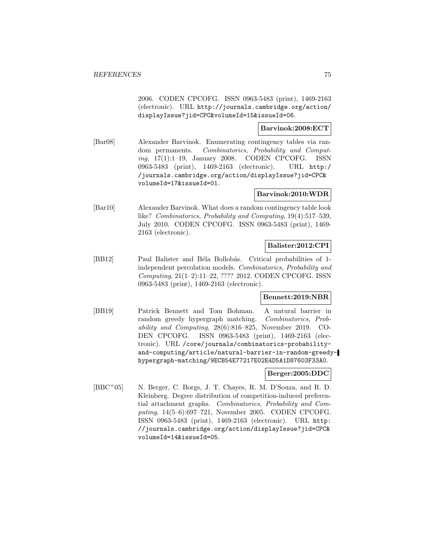2006. CODEN CPCOFG. ISSN 0963-5483 (print), 1469-2163 (electronic). URL http://journals.cambridge.org/action/ displayIssue?jid=CPC&volumeId=15&issueId=06.

## **Barvinok:2008:ECT**

[Bar08] Alexander Barvinok. Enumerating contingency tables via random permanents. Combinatorics, Probability and Computing, 17(1):1–19, January 2008. CODEN CPCOFG. ISSN 0963-5483 (print), 1469-2163 (electronic). URL http:/ /journals.cambridge.org/action/displayIssue?jid=CPC& volumeId=17&issueId=01.

#### **Barvinok:2010:WDR**

[Bar10] Alexander Barvinok. What does a random contingency table look like? Combinatorics, Probability and Computing, 19(4):517–539, July 2010. CODEN CPCOFG. ISSN 0963-5483 (print), 1469- 2163 (electronic).

## **Balister:2012:CPI**

[BB12] Paul Balister and Béla Bollobás. Critical probabilities of 1independent percolation models. Combinatorics, Probability and Computing, 21(1–2):11–22, ???? 2012. CODEN CPCOFG. ISSN 0963-5483 (print), 1469-2163 (electronic).

#### **Bennett:2019:NBR**

[BB19] Patrick Bennett and Tom Bohman. A natural barrier in random greedy hypergraph matching. Combinatorics, Probability and Computing, 28(6):816–825, November 2019. CO-DEN CPCOFG. ISSN 0963-5483 (print), 1469-2163 (electronic). URL /core/journals/combinatorics-probabilityand-computing/article/natural-barrier-in-random-greedyhypergraph-matching/9ECB54E77217E02E4D5A1D87603F33A0.

#### **Berger:2005:DDC**

[BBC<sup>+</sup>05] N. Berger, C. Borgs, J. T. Chayes, R. M. D'Souza, and R. D. Kleinberg. Degree distribution of competition-induced preferential attachment graphs. Combinatorics, Probability and Computing, 14(5–6):697–721, November 2005. CODEN CPCOFG. ISSN 0963-5483 (print), 1469-2163 (electronic). URL http: //journals.cambridge.org/action/displayIssue?jid=CPC& volumeId=14&issueId=05.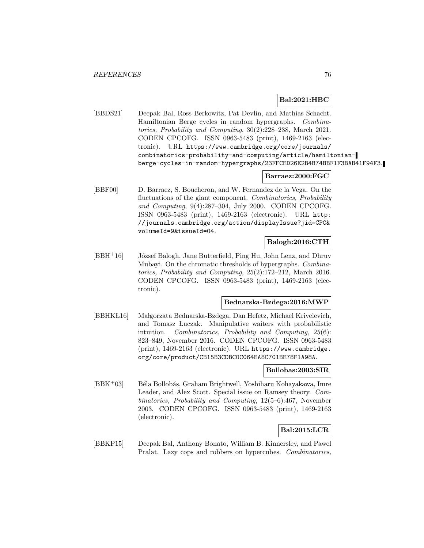## **Bal:2021:HBC**

[BBDS21] Deepak Bal, Ross Berkowitz, Pat Devlin, and Mathias Schacht. Hamiltonian Berge cycles in random hypergraphs. Combinatorics, Probability and Computing, 30(2):228–238, March 2021. CODEN CPCOFG. ISSN 0963-5483 (print), 1469-2163 (electronic). URL https://www.cambridge.org/core/journals/ combinatorics-probability-and-computing/article/hamiltonianberge-cycles-in-random-hypergraphs/23FFCED26E2B4B74BBF1F3BAB41F94F3.

#### **Barraez:2000:FGC**

[BBF00] D. Barraez, S. Boucheron, and W. Fernandez de la Vega. On the fluctuations of the giant component. Combinatorics, Probability and Computing, 9(4):287–304, July 2000. CODEN CPCOFG. ISSN 0963-5483 (print), 1469-2163 (electronic). URL http: //journals.cambridge.org/action/displayIssue?jid=CPC& volumeId=9&issueId=04.

## **Balogh:2016:CTH**

 $[BBH<sup>+</sup>16]$  József Balogh, Jane Butterfield, Ping Hu, John Lenz, and Dhruv Mubayi. On the chromatic thresholds of hypergraphs. Combinatorics, Probability and Computing, 25(2):172–212, March 2016. CODEN CPCOFG. ISSN 0963-5483 (print), 1469-2163 (electronic).

### **Bednarska-Bzdega:2016:MWP**

[BBHKL16] Małgorzata Bednarska-Bzdęga, Dan Hefetz, Michael Krivelevich, and Tomasz Luczak. Manipulative waiters with probabilistic intuition. Combinatorics, Probability and Computing, 25(6): 823–849, November 2016. CODEN CPCOFG. ISSN 0963-5483 (print), 1469-2163 (electronic). URL https://www.cambridge. org/core/product/CB15B3CDBC0C064EA8C701BE78F1A98A.

#### **Bollobas:2003:SIR**

[BBK<sup>+</sup>03] Béla Bollobás, Graham Brightwell, Yoshiharu Kohayakawa, Imre Leader, and Alex Scott. Special issue on Ramsey theory. Combinatorics, Probability and Computing, 12(5–6):467, November 2003. CODEN CPCOFG. ISSN 0963-5483 (print), 1469-2163 (electronic).

## **Bal:2015:LCR**

[BBKP15] Deepak Bal, Anthony Bonato, William B. Kinnersley, and Pawel Pralat. Lazy cops and robbers on hypercubes. Combinatorics,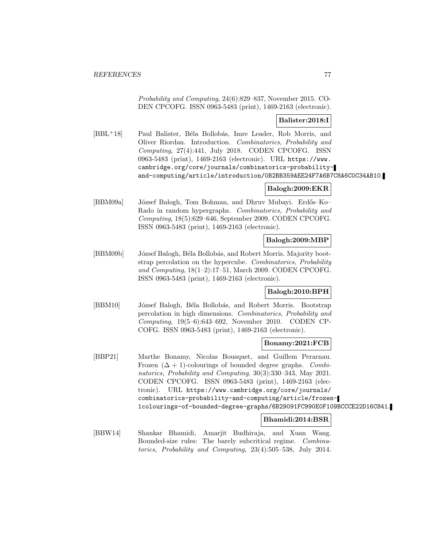Probability and Computing, 24(6):829–837, November 2015. CO-DEN CPCOFG. ISSN 0963-5483 (print), 1469-2163 (electronic).

## **Balister:2018:I**

[BBL<sup>+</sup>18] Paul Balister, Béla Bollobás, Imre Leader, Rob Morris, and Oliver Riordan. Introduction. Combinatorics, Probability and Computing, 27(4):441, July 2018. CODEN CPCOFG. ISSN 0963-5483 (print), 1469-2163 (electronic). URL https://www. cambridge.org/core/journals/combinatorics-probabilityand-computing/article/introduction/0B2BB359AEE24F7A6B7C8A6C0C34AB10.

### **Balogh:2009:EKR**

[BBM09a] József Balogh, Tom Bohman, and Dhruv Mubayi. Erdős–Ko– Rado in random hypergraphs. Combinatorics, Probability and Computing, 18(5):629–646, September 2009. CODEN CPCOFG. ISSN 0963-5483 (print), 1469-2163 (electronic).

### **Balogh:2009:MBP**

[BBM09b] József Balogh, Béla Bollobás, and Robert Morris. Majority bootstrap percolation on the hypercube. Combinatorics, Probability and Computing, 18(1–2):17–51, March 2009. CODEN CPCOFG. ISSN 0963-5483 (print), 1469-2163 (electronic).

#### **Balogh:2010:BPH**

[BBM10] József Balogh, Béla Bollobás, and Robert Morris. Bootstrap percolation in high dimensions. Combinatorics, Probability and Computing, 19(5–6):643–692, November 2010. CODEN CP-COFG. ISSN 0963-5483 (print), 1469-2163 (electronic).

#### **Bonamy:2021:FCB**

[BBP21] Marthe Bonamy, Nicolas Bousquet, and Guillem Perarnau. Frozen  $(\Delta + 1)$ -colourings of bounded degree graphs. Combinatorics, Probability and Computing, 30(3):330–343, May 2021. CODEN CPCOFG. ISSN 0963-5483 (print), 1469-2163 (electronic). URL https://www.cambridge.org/core/journals/ combinatorics-probability-and-computing/article/frozen-1colourings-of-bounded-degree-graphs/6B29091FC990E0F109BCCCE22D16C841.

## **Bhamidi:2014:BSR**

[BBW14] Shankar Bhamidi, Amarjit Budhiraja, and Xuan Wang. Bounded-size rules: The barely subcritical regime. Combinatorics, Probability and Computing, 23(4):505–538, July 2014.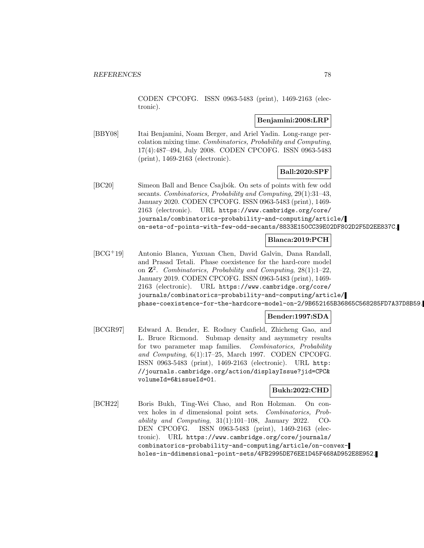CODEN CPCOFG. ISSN 0963-5483 (print), 1469-2163 (electronic).

#### **Benjamini:2008:LRP**

[BBY08] Itai Benjamini, Noam Berger, and Ariel Yadin. Long-range percolation mixing time. Combinatorics, Probability and Computing, 17(4):487–494, July 2008. CODEN CPCOFG. ISSN 0963-5483 (print), 1469-2163 (electronic).

### **Ball:2020:SPF**

[BC20] Simeon Ball and Bence Csajbók. On sets of points with few odd secants. Combinatorics, Probability and Computing, 29(1):31–43, January 2020. CODEN CPCOFG. ISSN 0963-5483 (print), 1469- 2163 (electronic). URL https://www.cambridge.org/core/ journals/combinatorics-probability-and-computing/article/ on-sets-of-points-with-few-odd-secants/8833E150CC39E02DF802D2F5D2EE837C.

### **Blanca:2019:PCH**

[BCG<sup>+</sup>19] Antonio Blanca, Yuxuan Chen, David Galvin, Dana Randall, and Prasad Tetali. Phase coexistence for the hard-core model on **Z**<sup>2</sup>. Combinatorics, Probability and Computing, 28(1):1–22, January 2019. CODEN CPCOFG. ISSN 0963-5483 (print), 1469- 2163 (electronic). URL https://www.cambridge.org/core/ journals/combinatorics-probability-and-computing/article/ phase-coexistence-for-the-hardcore-model-on-2/9B652165B36865C568285FD7A37D8B59.

## **Bender:1997:SDA**

[BCGR97] Edward A. Bender, E. Rodney Canfield, Zhicheng Gao, and L. Bruce Ricmond. Submap density and asymmetry results for two parameter map families. Combinatorics, Probability and Computing, 6(1):17–25, March 1997. CODEN CPCOFG. ISSN 0963-5483 (print), 1469-2163 (electronic). URL http: //journals.cambridge.org/action/displayIssue?jid=CPC& volumeId=6&issueId=01.

## **Bukh:2022:CHD**

[BCH22] Boris Bukh, Ting-Wei Chao, and Ron Holzman. On convex holes in d dimensional point sets. Combinatorics, Probability and Computing, 31(1):101–108, January 2022. CO-DEN CPCOFG. ISSN 0963-5483 (print), 1469-2163 (electronic). URL https://www.cambridge.org/core/journals/ combinatorics-probability-and-computing/article/on-convexholes-in-ddimensional-point-sets/4FB2995DE76EE1D45F468AD952E8E952.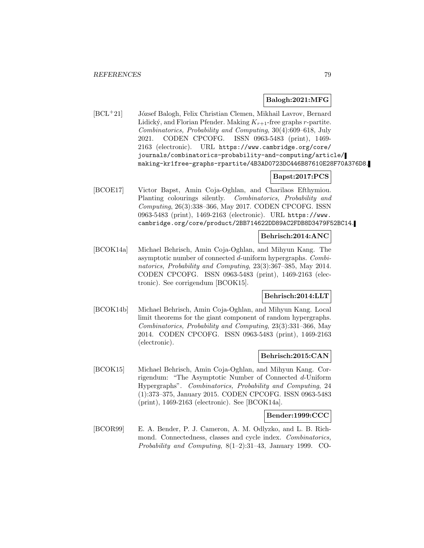#### **Balogh:2021:MFG**

[BCL<sup>+</sup>21] József Balogh, Felix Christian Clemen, Mikhail Lavrov, Bernard Lidický, and Florian Pfender. Making  $K_{r+1}$ -free graphs r-partite. Combinatorics, Probability and Computing, 30(4):609–618, July 2021. CODEN CPCOFG. ISSN 0963-5483 (print), 1469- 2163 (electronic). URL https://www.cambridge.org/core/ journals/combinatorics-probability-and-computing/article/ making-kr1free-graphs-rpartite/4B3AD0723DC446B87610E28F70A376D8.

### **Bapst:2017:PCS**

[BCOE17] Victor Bapst, Amin Coja-Oghlan, and Charilaos Efthymiou. Planting colourings silently. Combinatorics, Probability and Computing, 26(3):338–366, May 2017. CODEN CPCOFG. ISSN 0963-5483 (print), 1469-2163 (electronic). URL https://www. cambridge.org/core/product/2BB714622DD89AC2FDB8D3479F52BC14.

#### **Behrisch:2014:ANC**

[BCOK14a] Michael Behrisch, Amin Coja-Oghlan, and Mihyun Kang. The asymptotic number of connected d-uniform hypergraphs. Combinatorics, Probability and Computing, 23(3):367–385, May 2014. CODEN CPCOFG. ISSN 0963-5483 (print), 1469-2163 (electronic). See corrigendum [BCOK15].

#### **Behrisch:2014:LLT**

[BCOK14b] Michael Behrisch, Amin Coja-Oghlan, and Mihyun Kang. Local limit theorems for the giant component of random hypergraphs. Combinatorics, Probability and Computing, 23(3):331–366, May 2014. CODEN CPCOFG. ISSN 0963-5483 (print), 1469-2163 (electronic).

#### **Behrisch:2015:CAN**

[BCOK15] Michael Behrisch, Amin Coja-Oghlan, and Mihyun Kang. Corrigendum: "The Asymptotic Number of Connected d-Uniform Hypergraphs". Combinatorics, Probability and Computing, 24 (1):373–375, January 2015. CODEN CPCOFG. ISSN 0963-5483 (print), 1469-2163 (electronic). See [BCOK14a].

#### **Bender:1999:CCC**

[BCOR99] E. A. Bender, P. J. Cameron, A. M. Odlyzko, and L. B. Richmond. Connectedness, classes and cycle index. Combinatorics, Probability and Computing, 8(1–2):31–43, January 1999. CO-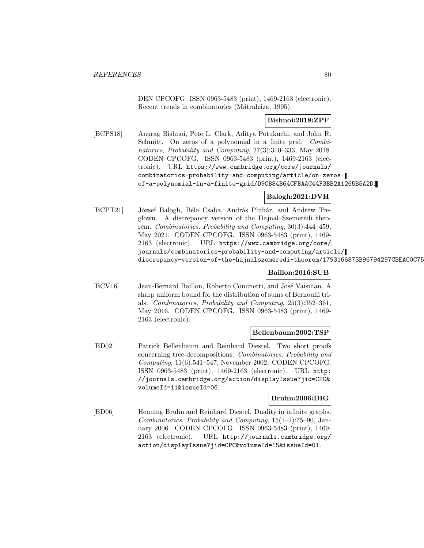DEN CPCOFG. ISSN 0963-5483 (print), 1469-2163 (electronic). Recent trends in combinatorics (Mátraháza, 1995).

## **Bishnoi:2018:ZPF**

[BCPS18] Anurag Bishnoi, Pete L. Clark, Aditya Potukuchi, and John R. Schmitt. On zeros of a polynomial in a finite grid. Combinatorics, Probability and Computing, 27(3):310–333, May 2018. CODEN CPCOFG. ISSN 0963-5483 (print), 1469-2163 (electronic). URL https://www.cambridge.org/core/journals/ combinatorics-probability-and-computing/article/on-zerosof-a-polynomial-in-a-finite-grid/D9CB84B64CFBAAC44F3BB2A1265B5A2D.

## **Balogh:2021:DVH**

[BCPT21] József Balogh, Béla Csaba, András Pluhár, and Andrew Treglown. A discrepancy version of the Hajnal–Szemerédi theorem. Combinatorics, Probability and Computing, 30(3):444–459, May 2021. CODEN CPCOFG. ISSN 0963-5483 (print), 1469- 2163 (electronic). URL https://www.cambridge.org/core/ journals/combinatorics-probability-and-computing/article/ discrepancy-version-of-the-hajnalszemeredi-theorem/1793166873B96794297CBEAC0C75

## **Baillon:2016:SUB**

[BCV16] Jean-Bernard Baillon, Roberto Cominetti, and José Vaisman. A sharp uniform bound for the distribution of sums of Bernoulli trials. Combinatorics, Probability and Computing, 25(3):352–361, May 2016. CODEN CPCOFG. ISSN 0963-5483 (print), 1469- 2163 (electronic).

## **Bellenbaum:2002:TSP**

[BD02] Patrick Bellenbaum and Reinhard Diestel. Two short proofs concerning tree-decompositions. Combinatorics, Probability and Computing, 11(6):541–547, November 2002. CODEN CPCOFG. ISSN 0963-5483 (print), 1469-2163 (electronic). URL http: //journals.cambridge.org/action/displayIssue?jid=CPC& volumeId=11&issueId=06.

## **Bruhn:2006:DIG**

[BD06] Henning Bruhn and Reinhard Diestel. Duality in infinite graphs. Combinatorics, Probability and Computing, 15(1–2):75–90, January 2006. CODEN CPCOFG. ISSN 0963-5483 (print), 1469- 2163 (electronic). URL http://journals.cambridge.org/ action/displayIssue?jid=CPC&volumeId=15&issueId=01.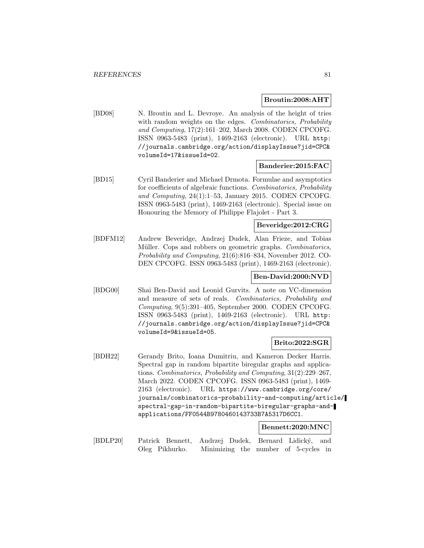#### **Broutin:2008:AHT**

[BD08] N. Broutin and L. Devroye. An analysis of the height of tries with random weights on the edges. Combinatorics, Probability and Computing, 17(2):161–202, March 2008. CODEN CPCOFG. ISSN 0963-5483 (print), 1469-2163 (electronic). URL http: //journals.cambridge.org/action/displayIssue?jid=CPC& volumeId=17&issueId=02.

### **Banderier:2015:FAC**

[BD15] Cyril Banderier and Michael Drmota. Formulae and asymptotics for coefficients of algebraic functions. Combinatorics, Probability and Computing, 24(1):1–53, January 2015. CODEN CPCOFG. ISSN 0963-5483 (print), 1469-2163 (electronic). Special issue on Honouring the Memory of Philippe Flajolet - Part 3.

## **Beveridge:2012:CRG**

[BDFM12] Andrew Beveridge, Andrzej Dudek, Alan Frieze, and Tobias Müller. Cops and robbers on geometric graphs. Combinatorics, Probability and Computing, 21(6):816–834, November 2012. CO-DEN CPCOFG. ISSN 0963-5483 (print), 1469-2163 (electronic).

#### **Ben-David:2000:NVD**

[BDG00] Shai Ben-David and Leonid Gurvits. A note on VC-dimension and measure of sets of reals. Combinatorics, Probability and Computing, 9(5):391–405, September 2000. CODEN CPCOFG. ISSN 0963-5483 (print), 1469-2163 (electronic). URL http: //journals.cambridge.org/action/displayIssue?jid=CPC& volumeId=9&issueId=05.

### **Brito:2022:SGR**

[BDH22] Gerandy Brito, Ioana Dumitriu, and Kameron Decker Harris. Spectral gap in random bipartite biregular graphs and applications. Combinatorics, Probability and Computing, 31(2):229–267, March 2022. CODEN CPCOFG. ISSN 0963-5483 (print), 1469- 2163 (electronic). URL https://www.cambridge.org/core/ journals/combinatorics-probability-and-computing/article/ spectral-gap-in-random-bipartite-biregular-graphs-andapplications/FF0544B9780460143733B7A5317D6CC1.

#### **Bennett:2020:MNC**

[BDLP20] Patrick Bennett, Andrzej Dudek, Bernard Lidický, and Oleg Pikhurko. Minimizing the number of 5-cycles in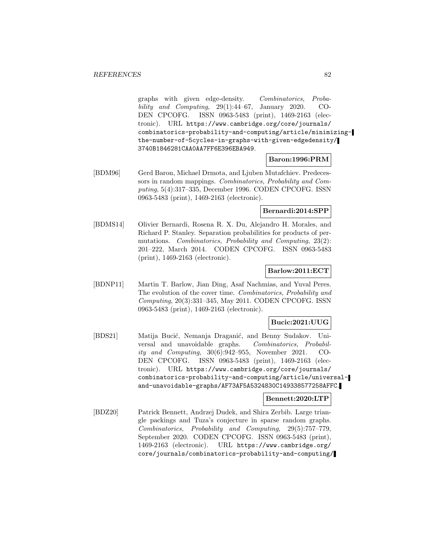graphs with given edge-density. Combinatorics, Probability and Computing,  $29(1):44-67$ , January 2020. CO-DEN CPCOFG. ISSN 0963-5483 (print), 1469-2163 (electronic). URL https://www.cambridge.org/core/journals/ combinatorics-probability-and-computing/article/minimizingthe-number-of-5cycles-in-graphs-with-given-edgedensity/ 3740B1846281CAA0AA7FF6E396EBA949.

## **Baron:1996:PRM**

[BDM96] Gerd Baron, Michael Drmota, and Ljuben Mutafchiev. Predecessors in random mappings. Combinatorics, Probability and Computing, 5(4):317–335, December 1996. CODEN CPCOFG. ISSN 0963-5483 (print), 1469-2163 (electronic).

#### **Bernardi:2014:SPP**

[BDMS14] Olivier Bernardi, Rosena R. X. Du, Alejandro H. Morales, and Richard P. Stanley. Separation probabilities for products of permutations. Combinatorics, Probability and Computing, 23(2): 201–222, March 2014. CODEN CPCOFG. ISSN 0963-5483 (print), 1469-2163 (electronic).

#### **Barlow:2011:ECT**

[BDNP11] Martin T. Barlow, Jian Ding, Asaf Nachmias, and Yuval Peres. The evolution of the cover time. Combinatorics, Probability and Computing, 20(3):331–345, May 2011. CODEN CPCOFG. ISSN 0963-5483 (print), 1469-2163 (electronic).

#### **Bucic:2021:UUG**

[BDS21] Matija Bucić, Nemanja Draganić, and Benny Sudakov. Universal and unavoidable graphs. Combinatorics, Probability and Computing, 30(6):942–955, November 2021. CO-DEN CPCOFG. ISSN 0963-5483 (print), 1469-2163 (electronic). URL https://www.cambridge.org/core/journals/ combinatorics-probability-and-computing/article/universaland-unavoidable-graphs/AF73AF5A5324830C149338577258AFFC.

### **Bennett:2020:LTP**

[BDZ20] Patrick Bennett, Andrzej Dudek, and Shira Zerbib. Large triangle packings and Tuza's conjecture in sparse random graphs. Combinatorics, Probability and Computing, 29(5):757–779, September 2020. CODEN CPCOFG. ISSN 0963-5483 (print), 1469-2163 (electronic). URL https://www.cambridge.org/ core/journals/combinatorics-probability-and-computing/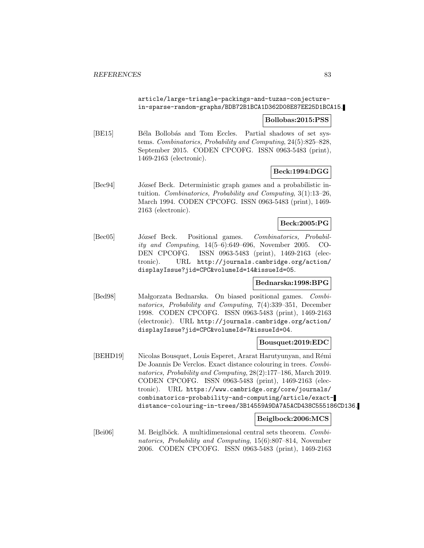#### article/large-triangle-packings-and-tuzas-conjecturein-sparse-random-graphs/BDB72B1BCA1D362D08E87EE25D1BCA15.

#### **Bollobas:2015:PSS**

[BE15] Béla Bollobás and Tom Eccles. Partial shadows of set systems. Combinatorics, Probability and Computing, 24(5):825–828, September 2015. CODEN CPCOFG. ISSN 0963-5483 (print), 1469-2163 (electronic).

## **Beck:1994:DGG**

[Bec94] József Beck. Deterministic graph games and a probabilistic intuition. Combinatorics, Probability and Computing, 3(1):13–26, March 1994. CODEN CPCOFG. ISSN 0963-5483 (print), 1469- 2163 (electronic).

#### **Beck:2005:PG**

[Bec05] József Beck. Positional games. Combinatorics, Probability and Computing, 14(5–6):649–696, November 2005. CO-DEN CPCOFG. ISSN 0963-5483 (print), 1469-2163 (electronic). URL http://journals.cambridge.org/action/ displayIssue?jid=CPC&volumeId=14&issueId=05.

### **Bednarska:1998:BPG**

[Bed98] Malgorzata Bednarska. On biased positional games. Combinatorics, Probability and Computing, 7(4):339–351, December 1998. CODEN CPCOFG. ISSN 0963-5483 (print), 1469-2163 (electronic). URL http://journals.cambridge.org/action/ displayIssue?jid=CPC&volumeId=7&issueId=04.

### **Bousquet:2019:EDC**

[BEHD19] Nicolas Bousquet, Louis Esperet, Ararat Harutyunyan, and Rémi De Joannis De Verclos. Exact distance colouring in trees. Combinatorics, Probability and Computing, 28(2):177–186, March 2019. CODEN CPCOFG. ISSN 0963-5483 (print), 1469-2163 (electronic). URL https://www.cambridge.org/core/journals/ combinatorics-probability-and-computing/article/exactdistance-colouring-in-trees/3B14559A9DA7A5ACD438C555186CD136.

#### **Beiglbock:2006:MCS**

[Bei06] M. Beiglböck. A multidimensional central sets theorem. Combinatorics, Probability and Computing, 15(6):807–814, November 2006. CODEN CPCOFG. ISSN 0963-5483 (print), 1469-2163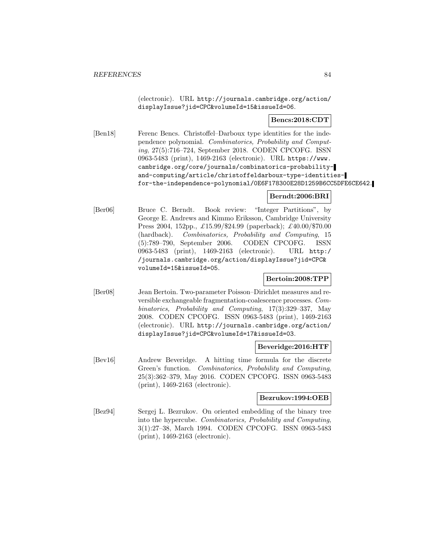(electronic). URL http://journals.cambridge.org/action/ displayIssue?jid=CPC&volumeId=15&issueId=06.

### **Bencs:2018:CDT**

[Ben18] Ferenc Bencs. Christoffel–Darboux type identities for the independence polynomial. Combinatorics, Probability and Computing, 27(5):716–724, September 2018. CODEN CPCOFG. ISSN 0963-5483 (print), 1469-2163 (electronic). URL https://www. cambridge.org/core/journals/combinatorics-probabilityand-computing/article/christoffeldarboux-type-identitiesfor-the-independence-polynomial/0E6F178300E28D1259B6CC5DFE6CE642.

### **Berndt:2006:BRI**

[Ber06] Bruce C. Berndt. Book review: "Integer Partitions", by George E. Andrews and Kimmo Eriksson, Cambridge University Press 2004, 152pp., £15.99/\$24.99 (paperback); £40.00/\$70.00 (hardback). Combinatorics, Probability and Computing, 15 (5):789–790, September 2006. CODEN CPCOFG. ISSN 0963-5483 (print), 1469-2163 (electronic). URL http:/ /journals.cambridge.org/action/displayIssue?jid=CPC& volumeId=15&issueId=05.

#### **Bertoin:2008:TPP**

[Ber08] Jean Bertoin. Two-parameter Poisson–Dirichlet measures and reversible exchangeable fragmentation-coalescence processes. Combinatorics, Probability and Computing, 17(3):329–337, May 2008. CODEN CPCOFG. ISSN 0963-5483 (print), 1469-2163 (electronic). URL http://journals.cambridge.org/action/ displayIssue?jid=CPC&volumeId=17&issueId=03.

#### **Beveridge:2016:HTF**

[Bev16] Andrew Beveridge. A hitting time formula for the discrete Green's function. Combinatorics, Probability and Computing, 25(3):362–379, May 2016. CODEN CPCOFG. ISSN 0963-5483 (print), 1469-2163 (electronic).

#### **Bezrukov:1994:OEB**

[Bez94] Sergej L. Bezrukov. On oriented embedding of the binary tree into the hypercube. Combinatorics, Probability and Computing, 3(1):27–38, March 1994. CODEN CPCOFG. ISSN 0963-5483 (print), 1469-2163 (electronic).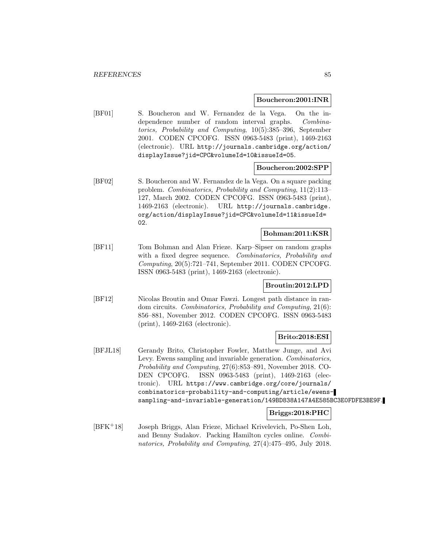#### **Boucheron:2001:INR**

[BF01] S. Boucheron and W. Fernandez de la Vega. On the independence number of random interval graphs. Combinatorics, Probability and Computing, 10(5):385–396, September 2001. CODEN CPCOFG. ISSN 0963-5483 (print), 1469-2163 (electronic). URL http://journals.cambridge.org/action/ displayIssue?jid=CPC&volumeId=10&issueId=05.

#### **Boucheron:2002:SPP**

[BF02] S. Boucheron and W. Fernandez de la Vega. On a square packing problem. Combinatorics, Probability and Computing, 11(2):113– 127, March 2002. CODEN CPCOFG. ISSN 0963-5483 (print), 1469-2163 (electronic). URL http://journals.cambridge. org/action/displayIssue?jid=CPC&volumeId=11&issueId= 02.

#### **Bohman:2011:KSR**

[BF11] Tom Bohman and Alan Frieze. Karp–Sipser on random graphs with a fixed degree sequence. Combinatorics, Probability and Computing, 20(5):721–741, September 2011. CODEN CPCOFG. ISSN 0963-5483 (print), 1469-2163 (electronic).

## **Broutin:2012:LPD**

[BF12] Nicolas Broutin and Omar Fawzi. Longest path distance in random circuits. Combinatorics, Probability and Computing, 21(6): 856–881, November 2012. CODEN CPCOFG. ISSN 0963-5483 (print), 1469-2163 (electronic).

#### **Brito:2018:ESI**

[BFJL18] Gerandy Brito, Christopher Fowler, Matthew Junge, and Avi Levy. Ewens sampling and invariable generation. Combinatorics, Probability and Computing, 27(6):853–891, November 2018. CO-DEN CPCOFG. ISSN 0963-5483 (print), 1469-2163 (electronic). URL https://www.cambridge.org/core/journals/ combinatorics-probability-and-computing/article/ewenssampling-and-invariable-generation/149BD838A147A4E585BC3E0FDFE3BE9F.

#### **Briggs:2018:PHC**

[BFK<sup>+</sup>18] Joseph Briggs, Alan Frieze, Michael Krivelevich, Po-Shen Loh, and Benny Sudakov. Packing Hamilton cycles online. Combinatorics, Probability and Computing, 27(4):475–495, July 2018.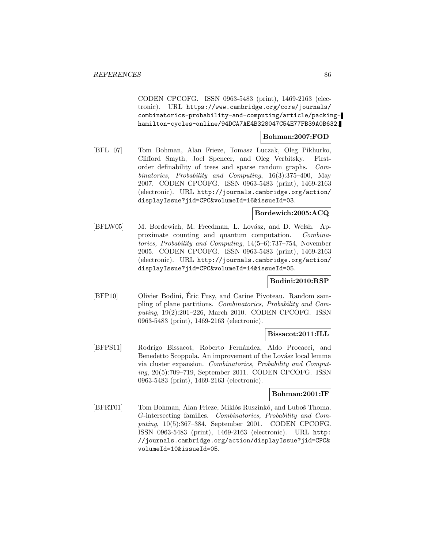CODEN CPCOFG. ISSN 0963-5483 (print), 1469-2163 (electronic). URL https://www.cambridge.org/core/journals/ combinatorics-probability-and-computing/article/packinghamilton-cycles-online/94DCA7AE4B328047C54E77FB39A0B632.

### **Bohman:2007:FOD**

[BFL<sup>+</sup>07] Tom Bohman, Alan Frieze, Tomasz Luczak, Oleg Pikhurko, Clifford Smyth, Joel Spencer, and Oleg Verbitsky. Firstorder definability of trees and sparse random graphs. Combinatorics, Probability and Computing, 16(3):375–400, May 2007. CODEN CPCOFG. ISSN 0963-5483 (print), 1469-2163 (electronic). URL http://journals.cambridge.org/action/ displayIssue?jid=CPC&volumeId=16&issueId=03.

### **Bordewich:2005:ACQ**

[BFLW05] M. Bordewich, M. Freedman, L. Lovász, and D. Welsh. Approximate counting and quantum computation. Combinatorics, Probability and Computing, 14(5–6):737–754, November 2005. CODEN CPCOFG. ISSN 0963-5483 (print), 1469-2163 (electronic). URL http://journals.cambridge.org/action/ displayIssue?jid=CPC&volumeId=14&issueId=05.

### **Bodini:2010:RSP**

[BFP10] Olivier Bodini, Éric Fusy, and Carine Pivoteau. Random sampling of plane partitions. Combinatorics, Probability and Computing, 19(2):201–226, March 2010. CODEN CPCOFG. ISSN 0963-5483 (print), 1469-2163 (electronic).

#### **Bissacot:2011:ILL**

[BFPS11] Rodrigo Bissacot, Roberto Fernández, Aldo Procacci, and Benedetto Scoppola. An improvement of the Lovász local lemma via cluster expansion. Combinatorics, Probability and Computing, 20(5):709–719, September 2011. CODEN CPCOFG. ISSN 0963-5483 (print), 1469-2163 (electronic).

#### **Bohman:2001:IF**

[BFRT01] Tom Bohman, Alan Frieze, Miklós Ruszinkó, and Luboš Thoma. G-intersecting families. Combinatorics, Probability and Computing, 10(5):367–384, September 2001. CODEN CPCOFG. ISSN 0963-5483 (print), 1469-2163 (electronic). URL http: //journals.cambridge.org/action/displayIssue?jid=CPC& volumeId=10&issueId=05.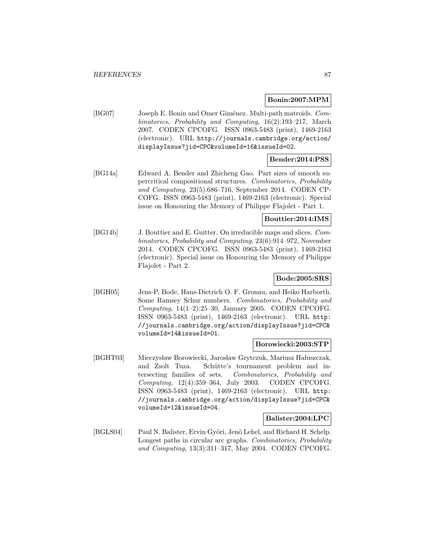### **Bonin:2007:MPM**

[BG07] Joseph E. Bonin and Omer Giménez. Multi-path matroids. Combinatorics, Probability and Computing, 16(2):193–217, March 2007. CODEN CPCOFG. ISSN 0963-5483 (print), 1469-2163 (electronic). URL http://journals.cambridge.org/action/ displayIssue?jid=CPC&volumeId=16&issueId=02.

### **Bender:2014:PSS**

[BG14a] Edward A. Bender and Zhicheng Gao. Part sizes of smooth supercritical compositional structures. Combinatorics, Probability and Computing, 23(5):686–716, September 2014. CODEN CP-COFG. ISSN 0963-5483 (print), 1469-2163 (electronic). Special issue on Honouring the Memory of Philippe Flajolet - Part 1.

### **Bouttier:2014:IMS**

[BG14b] J. Bouttier and E. Guitter. On irreducible maps and slices. Combinatorics, Probability and Computing, 23(6):914–972, November 2014. CODEN CPCOFG. ISSN 0963-5483 (print), 1469-2163 (electronic). Special issue on Honouring the Memory of Philippe Flajolet - Part 2.

#### **Bode:2005:SRS**

[BGH05] Jens-P. Bode, Hans-Dietrich O. F. Gronau, and Heiko Harborth. Some Ramsey Schur numbers. Combinatorics, Probability and Computing,  $14(1-2):25-30$ , January 2005. CODEN CPCOFG. ISSN 0963-5483 (print), 1469-2163 (electronic). URL http: //journals.cambridge.org/action/displayIssue?jid=CPC& volumeId=14&issueId=01.

#### **Borowiecki:2003:STP**

[BGHT03] Mieczysław Borowiecki, Jarosław Grytczuk, Mariusz Hałuszczak, and Zsolt Tuza. Schütte's tournament problem and intersecting families of sets. Combinatorics, Probability and Computing, 12(4):359–364, July 2003. CODEN CPCOFG. ISSN 0963-5483 (print), 1469-2163 (electronic). URL http: //journals.cambridge.org/action/displayIssue?jid=CPC& volumeId=12&issueId=04.

#### **Balister:2004:LPC**

[BGLS04] Paul N. Balister, Ervin Györi, Jenö Lehel, and Richard H. Schelp. Longest paths in circular arc graphs. Combinatorics, Probability and Computing, 13(3):311–317, May 2004. CODEN CPCOFG.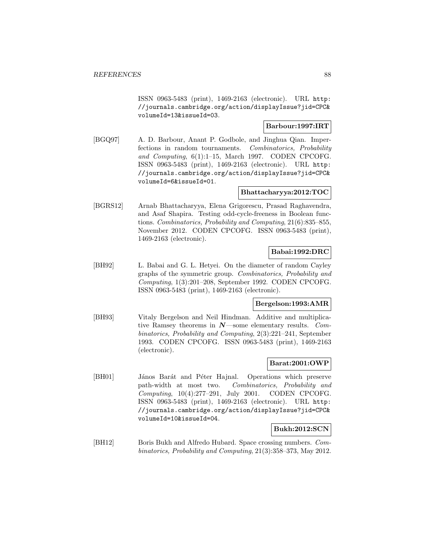ISSN 0963-5483 (print), 1469-2163 (electronic). URL http: //journals.cambridge.org/action/displayIssue?jid=CPC& volumeId=13&issueId=03.

### **Barbour:1997:IRT**

[BGQ97] A. D. Barbour, Anant P. Godbole, and Jinghua Qian. Imperfections in random tournaments. Combinatorics, Probability and Computing, 6(1):1–15, March 1997. CODEN CPCOFG. ISSN 0963-5483 (print), 1469-2163 (electronic). URL http: //journals.cambridge.org/action/displayIssue?jid=CPC& volumeId=6&issueId=01.

### **Bhattacharyya:2012:TOC**

[BGRS12] Arnab Bhattacharyya, Elena Grigorescu, Prasad Raghavendra, and Asaf Shapira. Testing odd-cycle-freeness in Boolean functions. Combinatorics, Probability and Computing, 21(6):835–855, November 2012. CODEN CPCOFG. ISSN 0963-5483 (print), 1469-2163 (electronic).

### **Babai:1992:DRC**

[BH92] L. Babai and G. L. Hetyei. On the diameter of random Cayley graphs of the symmetric group. Combinatorics, Probability and Computing, 1(3):201–208, September 1992. CODEN CPCOFG. ISSN 0963-5483 (print), 1469-2163 (electronic).

### **Bergelson:1993:AMR**

[BH93] Vitaly Bergelson and Neil Hindman. Additive and multiplicative Ramsey theorems in *N*—some elementary results. Combinatorics, Probability and Computing, 2(3):221–241, September 1993. CODEN CPCOFG. ISSN 0963-5483 (print), 1469-2163 (electronic).

#### **Barat:2001:OWP**

[BH01] János Barát and Péter Hajnal. Operations which preserve path-width at most two. Combinatorics, Probability and Computing, 10(4):277–291, July 2001. CODEN CPCOFG. ISSN 0963-5483 (print), 1469-2163 (electronic). URL http: //journals.cambridge.org/action/displayIssue?jid=CPC& volumeId=10&issueId=04.

### **Bukh:2012:SCN**

[BH12] Boris Bukh and Alfredo Hubard. Space crossing numbers. Combinatorics, Probability and Computing, 21(3):358–373, May 2012.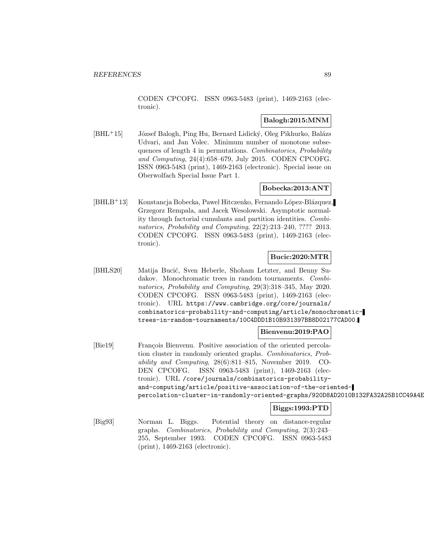CODEN CPCOFG. ISSN 0963-5483 (print), 1469-2163 (electronic).

## **Balogh:2015:MNM**

 $[BHL+15]$  József Balogh, Ping Hu, Bernard Lidický, Oleg Pikhurko, Balázs Udvari, and Jan Volec. Minimum number of monotone subsequences of length 4 in permutations. Combinatorics, Probability and Computing, 24(4):658–679, July 2015. CODEN CPCOFG. ISSN 0963-5483 (print), 1469-2163 (electronic). Special issue on Oberwolfach Special Issue Part 1.

## **Bobecka:2013:ANT**

[BHLB<sup>+</sup>13] Konstancja Bobecka, Pawel Hitczenko, Fernando López-Blázquez, Grzegorz Rempala, and Jacek Wesolowski. Asymptotic normality through factorial cumulants and partition identities. Combinatorics, Probability and Computing, 22(2):213–240, ???? 2013. CODEN CPCOFG. ISSN 0963-5483 (print), 1469-2163 (electronic).

### **Bucic:2020:MTR**

[BHLS20] Matija Bucić, Sven Heberle, Shoham Letzter, and Benny Sudakov. Monochromatic trees in random tournaments. Combinatorics, Probability and Computing, 29(3):318–345, May 2020. CODEN CPCOFG. ISSN 0963-5483 (print), 1469-2163 (electronic). URL https://www.cambridge.org/core/journals/ combinatorics-probability-and-computing/article/monochromatictrees-in-random-tournaments/10C4DDD1B10B931397BB8D02177CAD00.

#### **Bienvenu:2019:PAO**

[Bie19] François Bienvenu. Positive association of the oriented percolation cluster in randomly oriented graphs. Combinatorics, Probability and Computing, 28(6):811–815, November 2019. CO-DEN CPCOFG. ISSN 0963-5483 (print), 1469-2163 (electronic). URL /core/journals/combinatorics-probabilityand-computing/article/positive-association-of-the-orientedpercolation-cluster-in-randomly-oriented-graphs/920D8AD2010B132FA32A25B1CC49A4E

## **Biggs:1993:PTD**

[Big93] Norman L. Biggs. Potential theory on distance-regular graphs. Combinatorics, Probability and Computing, 2(3):243– 255, September 1993. CODEN CPCOFG. ISSN 0963-5483 (print), 1469-2163 (electronic).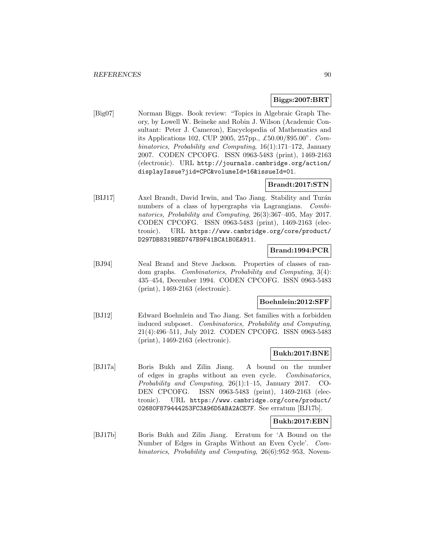#### **Biggs:2007:BRT**

[Big07] Norman Biggs. Book review: "Topics in Algebraic Graph Theory, by Lowell W. Beineke and Robin J. Wilson (Academic Consultant: Peter J. Cameron), Encyclopedia of Mathematics and its Applications 102, CUP 2005, 257pp., £50.00/\$95.00". Combinatorics, Probability and Computing, 16(1):171–172, January 2007. CODEN CPCOFG. ISSN 0963-5483 (print), 1469-2163 (electronic). URL http://journals.cambridge.org/action/ displayIssue?jid=CPC&volumeId=16&issueId=01.

## **Brandt:2017:STN**

[BIJ17] Axel Brandt, David Irwin, and Tao Jiang. Stability and Turán numbers of a class of hypergraphs via Lagrangians. Combinatorics, Probability and Computing, 26(3):367–405, May 2017. CODEN CPCOFG. ISSN 0963-5483 (print), 1469-2163 (electronic). URL https://www.cambridge.org/core/product/ D297DB8319BED747B9F41BCA1B0EA911.

## **Brand:1994:PCR**

[BJ94] Neal Brand and Steve Jackson. Properties of classes of random graphs. Combinatorics, Probability and Computing, 3(4): 435–454, December 1994. CODEN CPCOFG. ISSN 0963-5483 (print), 1469-2163 (electronic).

#### **Boehnlein:2012:SFF**

[BJ12] Edward Boehnlein and Tao Jiang. Set families with a forbidden induced subposet. Combinatorics, Probability and Computing, 21(4):496–511, July 2012. CODEN CPCOFG. ISSN 0963-5483 (print), 1469-2163 (electronic).

## **Bukh:2017:BNE**

[BJ17a] Boris Bukh and Zilin Jiang. A bound on the number of edges in graphs without an even cycle. Combinatorics, Probability and Computing, 26(1):1–15, January 2017. CO-DEN CPCOFG. ISSN 0963-5483 (print), 1469-2163 (electronic). URL https://www.cambridge.org/core/product/ 02680F879444253FC3A96D5ABA2ACE7F. See erratum [BJ17b].

#### **Bukh:2017:EBN**

[BJ17b] Boris Bukh and Zilin Jiang. Erratum for 'A Bound on the Number of Edges in Graphs Without an Even Cycle'. Combinatorics, Probability and Computing, 26(6):952–953, Novem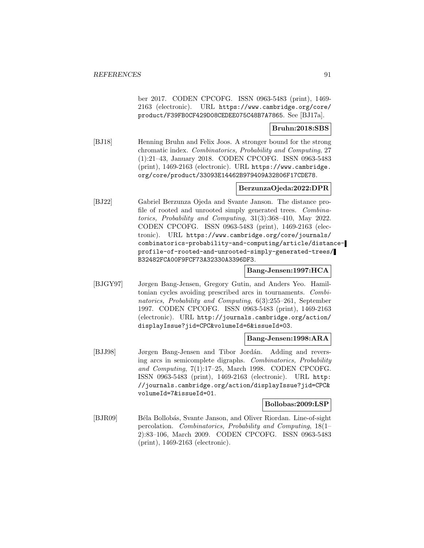ber 2017. CODEN CPCOFG. ISSN 0963-5483 (print), 1469- 2163 (electronic). URL https://www.cambridge.org/core/ product/F39FB0CF429D08CEDEE075C48B7A7865. See [BJ17a].

#### **Bruhn:2018:SBS**

[BJ18] Henning Bruhn and Felix Joos. A stronger bound for the strong chromatic index. Combinatorics, Probability and Computing, 27 (1):21–43, January 2018. CODEN CPCOFG. ISSN 0963-5483 (print), 1469-2163 (electronic). URL https://www.cambridge. org/core/product/33093E14462B979409A32806F17CDE78.

## **BerzunzaOjeda:2022:DPR**

[BJ22] Gabriel Berzunza Ojeda and Svante Janson. The distance profile of rooted and unrooted simply generated trees. Combinatorics, Probability and Computing, 31(3):368–410, May 2022. CODEN CPCOFG. ISSN 0963-5483 (print), 1469-2163 (electronic). URL https://www.cambridge.org/core/journals/ combinatorics-probability-and-computing/article/distanceprofile-of-rooted-and-unrooted-simply-generated-trees/ B32482FCA00F9FCF73A32330A3396DF3.

### **Bang-Jensen:1997:HCA**

[BJGY97] Jørgen Bang-Jensen, Gregory Gutin, and Anders Yeo. Hamiltonian cycles avoiding prescribed arcs in tournaments. Combinatorics, Probability and Computing, 6(3):255–261, September 1997. CODEN CPCOFG. ISSN 0963-5483 (print), 1469-2163 (electronic). URL http://journals.cambridge.org/action/ displayIssue?jid=CPC&volumeId=6&issueId=03.

#### **Bang-Jensen:1998:ARA**

[BJJ98] Jørgen Bang-Jensen and Tibor Jordán. Adding and reversing arcs in semicomplete digraphs. Combinatorics, Probability and Computing, 7(1):17–25, March 1998. CODEN CPCOFG. ISSN 0963-5483 (print), 1469-2163 (electronic). URL http: //journals.cambridge.org/action/displayIssue?jid=CPC& volumeId=7&issueId=01.

#### **Bollobas:2009:LSP**

[BJR09] Béla Bollobás, Svante Janson, and Oliver Riordan. Line-of-sight percolation. Combinatorics, Probability and Computing, 18(1– 2):83–106, March 2009. CODEN CPCOFG. ISSN 0963-5483 (print), 1469-2163 (electronic).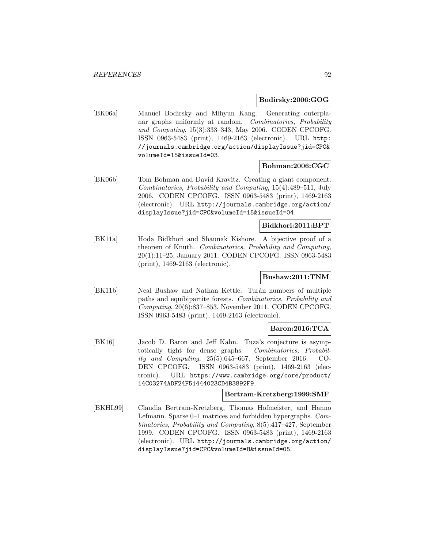#### **Bodirsky:2006:GOG**

[BK06a] Manuel Bodirsky and Mihyun Kang. Generating outerplanar graphs uniformly at random. Combinatorics, Probability and Computing, 15(3):333–343, May 2006. CODEN CPCOFG. ISSN 0963-5483 (print), 1469-2163 (electronic). URL http: //journals.cambridge.org/action/displayIssue?jid=CPC& volumeId=15&issueId=03.

#### **Bohman:2006:CGC**

[BK06b] Tom Bohman and David Kravitz. Creating a giant component. Combinatorics, Probability and Computing, 15(4):489–511, July 2006. CODEN CPCOFG. ISSN 0963-5483 (print), 1469-2163 (electronic). URL http://journals.cambridge.org/action/ displayIssue?jid=CPC&volumeId=15&issueId=04.

### **Bidkhori:2011:BPT**

[BK11a] Hoda Bidkhori and Shaunak Kishore. A bijective proof of a theorem of Knuth. Combinatorics, Probability and Computing, 20(1):11–25, January 2011. CODEN CPCOFG. ISSN 0963-5483 (print), 1469-2163 (electronic).

## **Bushaw:2011:TNM**

[BK11b] Neal Bushaw and Nathan Kettle. Turán numbers of multiple paths and equibipartite forests. Combinatorics, Probability and Computing, 20(6):837–853, November 2011. CODEN CPCOFG. ISSN 0963-5483 (print), 1469-2163 (electronic).

#### **Baron:2016:TCA**

[BK16] Jacob D. Baron and Jeff Kahn. Tuza's conjecture is asymptotically tight for dense graphs. Combinatorics, Probability and Computing, 25(5):645–667, September 2016. CO-DEN CPCOFG. ISSN 0963-5483 (print), 1469-2163 (electronic). URL https://www.cambridge.org/core/product/ 14C03274ADF24F51444023CD4B3892F9.

#### **Bertram-Kretzberg:1999:SMF**

[BKHL99] Claudia Bertram-Kretzberg, Thomas Hofmeister, and Hanno Lefmann. Sparse 0–1 matrices and forbidden hypergraphs. Combinatorics, Probability and Computing, 8(5):417–427, September 1999. CODEN CPCOFG. ISSN 0963-5483 (print), 1469-2163 (electronic). URL http://journals.cambridge.org/action/ displayIssue?jid=CPC&volumeId=8&issueId=05.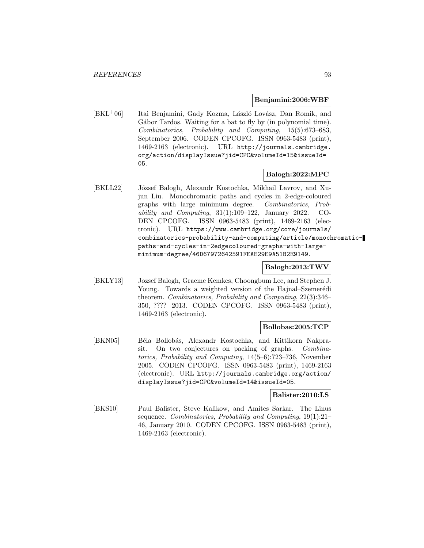#### **Benjamini:2006:WBF**

[BKL<sup>+</sup>06] Itai Benjamini, Gady Kozma, László Lovász, Dan Romik, and Gábor Tardos. Waiting for a bat to fly by (in polynomial time). Combinatorics, Probability and Computing, 15(5):673–683, September 2006. CODEN CPCOFG. ISSN 0963-5483 (print), 1469-2163 (electronic). URL http://journals.cambridge. org/action/displayIssue?jid=CPC&volumeId=15&issueId= 05.

### **Balogh:2022:MPC**

[BKLL22] József Balogh, Alexandr Kostochka, Mikhail Lavrov, and Xujun Liu. Monochromatic paths and cycles in 2-edge-coloured graphs with large minimum degree. Combinatorics, Probability and Computing,  $31(1):109-122$ , January 2022. CO-DEN CPCOFG. ISSN 0963-5483 (print), 1469-2163 (electronic). URL https://www.cambridge.org/core/journals/ combinatorics-probability-and-computing/article/monochromaticpaths-and-cycles-in-2edgecoloured-graphs-with-largeminimum-degree/46D67972642591FEAE29E9A51B2E9149.

#### **Balogh:2013:TWV**

[BKLY13] Jozsef Balogh, Graeme Kemkes, Choongbum Lee, and Stephen J. Young. Towards a weighted version of the Hajnal–Szemerédi theorem. Combinatorics, Probability and Computing, 22(3):346– 350, ???? 2013. CODEN CPCOFG. ISSN 0963-5483 (print), 1469-2163 (electronic).

#### **Bollobas:2005:TCP**

[BKN05] Béla Bollobás, Alexandr Kostochka, and Kittikorn Nakprasit. On two conjectures on packing of graphs. Combinatorics, Probability and Computing, 14(5–6):723–736, November 2005. CODEN CPCOFG. ISSN 0963-5483 (print), 1469-2163 (electronic). URL http://journals.cambridge.org/action/ displayIssue?jid=CPC&volumeId=14&issueId=05.

### **Balister:2010:LS**

[BKS10] Paul Balister, Steve Kalikow, and Amites Sarkar. The Linus sequence. Combinatorics, Probability and Computing, 19(1):21– 46, January 2010. CODEN CPCOFG. ISSN 0963-5483 (print), 1469-2163 (electronic).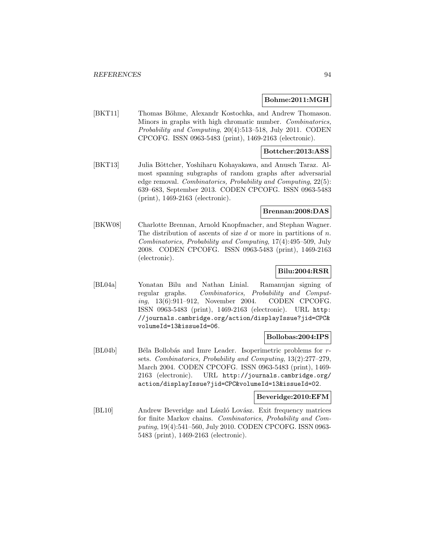#### **Bohme:2011:MGH**

[BKT11] Thomas Böhme, Alexandr Kostochka, and Andrew Thomason. Minors in graphs with high chromatic number. Combinatorics, Probability and Computing, 20(4):513–518, July 2011. CODEN CPCOFG. ISSN 0963-5483 (print), 1469-2163 (electronic).

#### **Bottcher:2013:ASS**

[BKT13] Julia Böttcher, Yoshiharu Kohayakawa, and Anusch Taraz. Almost spanning subgraphs of random graphs after adversarial edge removal. Combinatorics, Probability and Computing, 22(5): 639–683, September 2013. CODEN CPCOFG. ISSN 0963-5483 (print), 1469-2163 (electronic).

#### **Brennan:2008:DAS**

[BKW08] Charlotte Brennan, Arnold Knopfmacher, and Stephan Wagner. The distribution of ascents of size  $d$  or more in partitions of  $n$ . Combinatorics, Probability and Computing, 17(4):495–509, July 2008. CODEN CPCOFG. ISSN 0963-5483 (print), 1469-2163 (electronic).

#### **Bilu:2004:RSR**

[BL04a] Yonatan Bilu and Nathan Linial. Ramanujan signing of regular graphs. Combinatorics, Probability and Computing, 13(6):911–912, November 2004. CODEN CPCOFG. ISSN 0963-5483 (print), 1469-2163 (electronic). URL http: //journals.cambridge.org/action/displayIssue?jid=CPC& volumeId=13&issueId=06.

#### **Bollobas:2004:IPS**

[BL04b] Béla Bollobás and Imre Leader. Isoperimetric problems for rsets. Combinatorics, Probability and Computing, 13(2):277–279, March 2004. CODEN CPCOFG. ISSN 0963-5483 (print), 1469- 2163 (electronic). URL http://journals.cambridge.org/ action/displayIssue?jid=CPC&volumeId=13&issueId=02.

#### **Beveridge:2010:EFM**

[BL10] Andrew Beveridge and László Lovász. Exit frequency matrices for finite Markov chains. Combinatorics, Probability and Computing, 19(4):541–560, July 2010. CODEN CPCOFG. ISSN 0963- 5483 (print), 1469-2163 (electronic).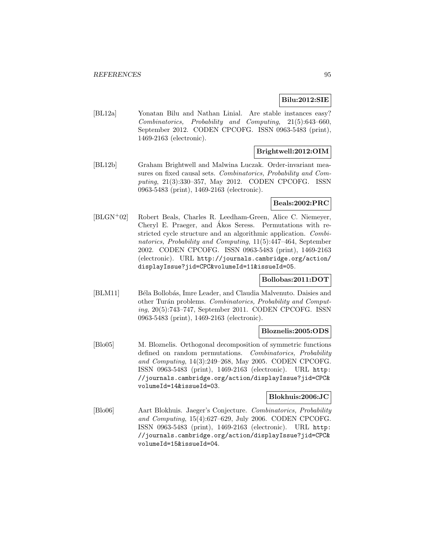## **Bilu:2012:SIE**

[BL12a] Yonatan Bilu and Nathan Linial. Are stable instances easy? Combinatorics, Probability and Computing, 21(5):643–660, September 2012. CODEN CPCOFG. ISSN 0963-5483 (print), 1469-2163 (electronic).

## **Brightwell:2012:OIM**

[BL12b] Graham Brightwell and Malwina Luczak. Order-invariant measures on fixed causal sets. Combinatorics, Probability and Computing, 21(3):330–357, May 2012. CODEN CPCOFG. ISSN 0963-5483 (print), 1469-2163 (electronic).

#### **Beals:2002:PRC**

[BLGN<sup>+</sup>02] Robert Beals, Charles R. Leedham-Green, Alice C. Niemeyer, Cheryl E. Praeger, and Ákos Seress. Permutations with restricted cycle structure and an algorithmic application. Combinatorics, Probability and Computing, 11(5):447–464, September 2002. CODEN CPCOFG. ISSN 0963-5483 (print), 1469-2163 (electronic). URL http://journals.cambridge.org/action/ displayIssue?jid=CPC&volumeId=11&issueId=05.

## **Bollobas:2011:DOT**

[BLM11] Béla Bollobás, Imre Leader, and Claudia Malvenuto. Daisies and other Turán problems. Combinatorics, Probability and Computing, 20(5):743–747, September 2011. CODEN CPCOFG. ISSN 0963-5483 (print), 1469-2163 (electronic).

#### **Bloznelis:2005:ODS**

[Blo05] M. Bloznelis. Orthogonal decomposition of symmetric functions defined on random permutations. Combinatorics, Probability and Computing, 14(3):249–268, May 2005. CODEN CPCOFG. ISSN 0963-5483 (print), 1469-2163 (electronic). URL http: //journals.cambridge.org/action/displayIssue?jid=CPC& volumeId=14&issueId=03.

#### **Blokhuis:2006:JC**

[Blo06] Aart Blokhuis. Jaeger's Conjecture. Combinatorics, Probability and Computing, 15(4):627–629, July 2006. CODEN CPCOFG. ISSN 0963-5483 (print), 1469-2163 (electronic). URL http: //journals.cambridge.org/action/displayIssue?jid=CPC& volumeId=15&issueId=04.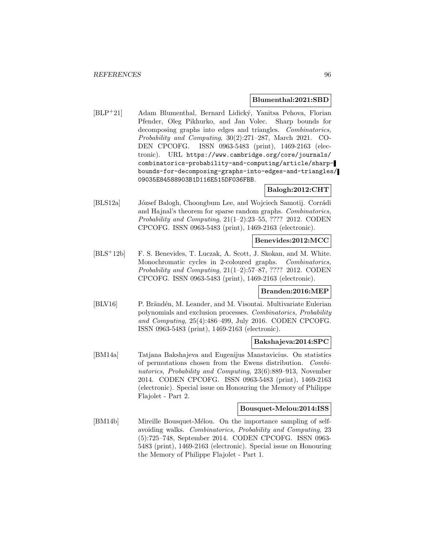#### **Blumenthal:2021:SBD**

[BLP<sup>+</sup>21] Adam Blumenthal, Bernard Lidick´y, Yanitsa Pehova, Florian Pfender, Oleg Pikhurko, and Jan Volec. Sharp bounds for decomposing graphs into edges and triangles. Combinatorics, Probability and Computing, 30(2):271–287, March 2021. CO-DEN CPCOFG. ISSN 0963-5483 (print), 1469-2163 (electronic). URL https://www.cambridge.org/core/journals/ combinatorics-probability-and-computing/article/sharpbounds-for-decomposing-graphs-into-edges-and-triangles/ 09035E84588903B1D116E515DF036FBB.

#### **Balogh:2012:CHT**

[BLS12a] József Balogh, Choongbum Lee, and Wojciech Samotij. Corrádi and Hajnal's theorem for sparse random graphs. Combinatorics, Probability and Computing, 21(1–2):23–55, ???? 2012. CODEN CPCOFG. ISSN 0963-5483 (print), 1469-2163 (electronic).

#### **Benevides:2012:MCC**

[BLS<sup>+</sup>12b] F. S. Benevides, T. Luczak, A. Scott, J. Skokan, and M. White. Monochromatic cycles in 2-coloured graphs. Combinatorics, Probability and Computing, 21(1–2):57–87, ???? 2012. CODEN CPCOFG. ISSN 0963-5483 (print), 1469-2163 (electronic).

#### **Branden:2016:MEP**

[BLV16] P. Brändén, M. Leander, and M. Visontai. Multivariate Eulerian polynomials and exclusion processes. Combinatorics, Probability and Computing, 25(4):486–499, July 2016. CODEN CPCOFG. ISSN 0963-5483 (print), 1469-2163 (electronic).

### **Bakshajeva:2014:SPC**

[BM14a] Tatjana Bakshajeva and Eugenijus Manstavicius. On statistics of permutations chosen from the Ewens distribution. Combinatorics, Probability and Computing, 23(6):889–913, November 2014. CODEN CPCOFG. ISSN 0963-5483 (print), 1469-2163 (electronic). Special issue on Honouring the Memory of Philippe Flajolet - Part 2.

#### **Bousquet-Melou:2014:ISS**

[BM14b] Mireille Bousquet-Mélou. On the importance sampling of selfavoiding walks. Combinatorics, Probability and Computing, 23 (5):725–748, September 2014. CODEN CPCOFG. ISSN 0963- 5483 (print), 1469-2163 (electronic). Special issue on Honouring the Memory of Philippe Flajolet - Part 1.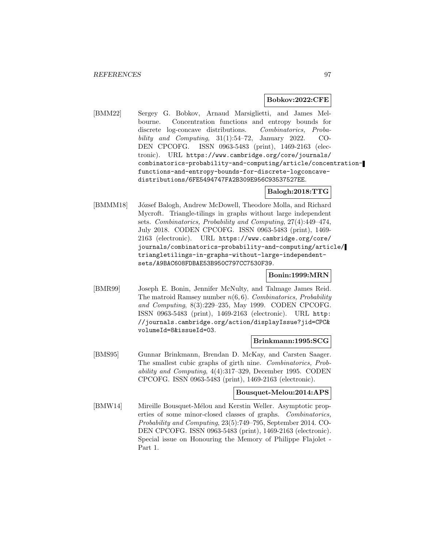#### **Bobkov:2022:CFE**

[BMM22] Sergey G. Bobkov, Arnaud Marsiglietti, and James Melbourne. Concentration functions and entropy bounds for discrete log-concave distributions. Combinatorics, Probability and Computing,  $31(1):54-72$ , January 2022. CO-DEN CPCOFG. ISSN 0963-5483 (print), 1469-2163 (electronic). URL https://www.cambridge.org/core/journals/ combinatorics-probability-and-computing/article/concentrationfunctions-and-entropy-bounds-for-discrete-logconcavedistributions/6FE5494747FA2B309E956C93537527EE.

## **Balogh:2018:TTG**

[BMMM18] József Balogh, Andrew McDowell, Theodore Molla, and Richard Mycroft. Triangle-tilings in graphs without large independent sets. Combinatorics, Probability and Computing, 27(4):449–474, July 2018. CODEN CPCOFG. ISSN 0963-5483 (print), 1469- 2163 (electronic). URL https://www.cambridge.org/core/ journals/combinatorics-probability-and-computing/article/ triangletilings-in-graphs-without-large-independentsets/A9BAC608FDBAE53B950C797CC7530F39.

### **Bonin:1999:MRN**

[BMR99] Joseph E. Bonin, Jennifer McNulty, and Talmage James Reid. The matroid Ramsey number  $n(6, 6)$ . Combinatorics, Probability and Computing, 8(3):229–235, May 1999. CODEN CPCOFG. ISSN 0963-5483 (print), 1469-2163 (electronic). URL http: //journals.cambridge.org/action/displayIssue?jid=CPC& volumeId=8&issueId=03.

#### **Brinkmann:1995:SCG**

[BMS95] Gunnar Brinkmann, Brendan D. McKay, and Carsten Saager. The smallest cubic graphs of girth nine. Combinatorics, Probability and Computing, 4(4):317–329, December 1995. CODEN CPCOFG. ISSN 0963-5483 (print), 1469-2163 (electronic).

#### **Bousquet-Melou:2014:APS**

[BMW14] Mireille Bousquet-Mélou and Kerstin Weller. Asymptotic properties of some minor-closed classes of graphs. Combinatorics, Probability and Computing, 23(5):749–795, September 2014. CO-DEN CPCOFG. ISSN 0963-5483 (print), 1469-2163 (electronic). Special issue on Honouring the Memory of Philippe Flajolet - Part 1.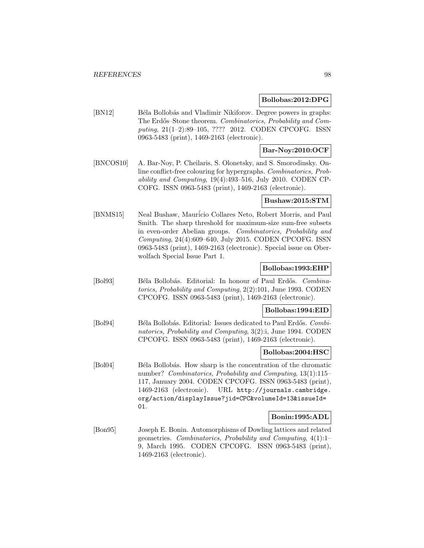#### **Bollobas:2012:DPG**

[BN12] Béla Bollobás and Vladimir Nikiforov. Degree powers in graphs: The Erdős–Stone theorem. Combinatorics, Probability and Computing, 21(1–2):89–105, ???? 2012. CODEN CPCOFG. ISSN 0963-5483 (print), 1469-2163 (electronic).

## **Bar-Noy:2010:OCF**

[BNCOS10] A. Bar-Noy, P. Cheilaris, S. Olonetsky, and S. Smorodinsky. Online conflict-free colouring for hypergraphs. Combinatorics, Probability and Computing, 19(4):493–516, July 2010. CODEN CP-COFG. ISSN 0963-5483 (print), 1469-2163 (electronic).

#### **Bushaw:2015:STM**

[BNMS15] Neal Bushaw, Mauricio Collares Neto, Robert Morris, and Paul Smith. The sharp threshold for maximum-size sum-free subsets in even-order Abelian groups. Combinatorics, Probability and Computing, 24(4):609–640, July 2015. CODEN CPCOFG. ISSN 0963-5483 (print), 1469-2163 (electronic). Special issue on Oberwolfach Special Issue Part 1.

#### **Bollobas:1993:EHP**

[Bol93] Béla Bollobás. Editorial: In honour of Paul Erdős. Combinatorics, Probability and Computing, 2(2):101, June 1993. CODEN CPCOFG. ISSN 0963-5483 (print), 1469-2163 (electronic).

#### **Bollobas:1994:EID**

[Bol94] Béla Bollobás. Editorial: Issues dedicated to Paul Erdős. Combinatorics, Probability and Computing, 3(2):i, June 1994. CODEN CPCOFG. ISSN 0963-5483 (print), 1469-2163 (electronic).

#### **Bollobas:2004:HSC**

[Bol04] Béla Bollobás. How sharp is the concentration of the chromatic number? Combinatorics, Probability and Computing, 13(1):115– 117, January 2004. CODEN CPCOFG. ISSN 0963-5483 (print), 1469-2163 (electronic). URL http://journals.cambridge. org/action/displayIssue?jid=CPC&volumeId=13&issueId= 01.

#### **Bonin:1995:ADL**

[Bon95] Joseph E. Bonin. Automorphisms of Dowling lattices and related geometries. Combinatorics, Probability and Computing, 4(1):1– 9, March 1995. CODEN CPCOFG. ISSN 0963-5483 (print), 1469-2163 (electronic).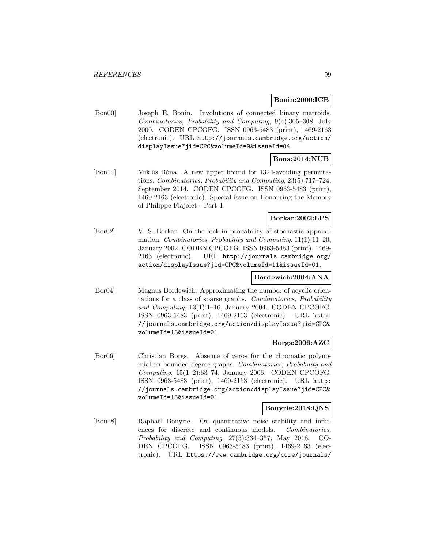### **Bonin:2000:ICB**

[Bon00] Joseph E. Bonin. Involutions of connected binary matroids. Combinatorics, Probability and Computing, 9(4):305–308, July 2000. CODEN CPCOFG. ISSN 0963-5483 (print), 1469-2163 (electronic). URL http://journals.cambridge.org/action/ displayIssue?jid=CPC&volumeId=9&issueId=04.

## **Bona:2014:NUB**

[Bon14] Miklos Bona. A new upper bound for 1324-avoiding permutations. Combinatorics, Probability and Computing, 23(5):717–724, September 2014. CODEN CPCOFG. ISSN 0963-5483 (print), 1469-2163 (electronic). Special issue on Honouring the Memory of Philippe Flajolet - Part 1.

## **Borkar:2002:LPS**

[Bor02] V. S. Borkar. On the lock-in probability of stochastic approximation. Combinatorics, Probability and Computing, 11(1):11–20, January 2002. CODEN CPCOFG. ISSN 0963-5483 (print), 1469- 2163 (electronic). URL http://journals.cambridge.org/ action/displayIssue?jid=CPC&volumeId=11&issueId=01.

## **Bordewich:2004:ANA**

[Bor04] Magnus Bordewich. Approximating the number of acyclic orientations for a class of sparse graphs. Combinatorics, Probability and Computing, 13(1):1–16, January 2004. CODEN CPCOFG. ISSN 0963-5483 (print), 1469-2163 (electronic). URL http: //journals.cambridge.org/action/displayIssue?jid=CPC& volumeId=13&issueId=01.

## **Borgs:2006:AZC**

[Bor06] Christian Borgs. Absence of zeros for the chromatic polynomial on bounded degree graphs. Combinatorics, Probability and Computing,  $15(1-2):63-74$ , January 2006. CODEN CPCOFG. ISSN 0963-5483 (print), 1469-2163 (electronic). URL http: //journals.cambridge.org/action/displayIssue?jid=CPC& volumeId=15&issueId=01.

#### **Bouyrie:2018:QNS**

[Bou18] Raphaël Bouyrie. On quantitative noise stability and influences for discrete and continuous models. Combinatorics, Probability and Computing, 27(3):334–357, May 2018. CO-DEN CPCOFG. ISSN 0963-5483 (print), 1469-2163 (electronic). URL https://www.cambridge.org/core/journals/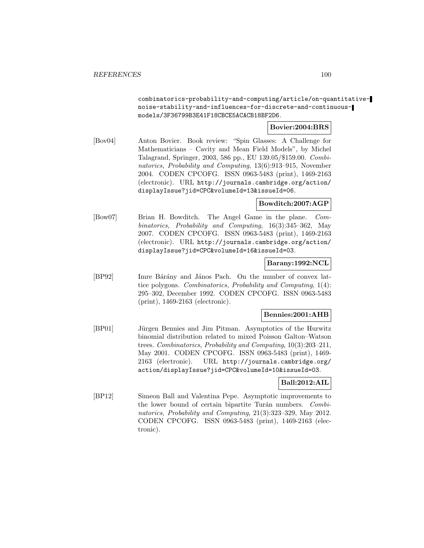combinatorics-probability-and-computing/article/on-quantitativenoise-stability-and-influences-for-discrete-and-continuousmodels/3F36799B3E41F18CBCE5ACACB18BF2D6.

### **Bovier:2004:BRS**

[Bov04] Anton Bovier. Book review: "Spin Glasses: A Challenge for Mathematicians – Cavity and Mean Field Models", by Michel Talagrand, Springer, 2003, 586 pp., EU 139.05/\$159.00. Combinatorics, Probability and Computing, 13(6):913–915, November 2004. CODEN CPCOFG. ISSN 0963-5483 (print), 1469-2163 (electronic). URL http://journals.cambridge.org/action/ displayIssue?jid=CPC&volumeId=13&issueId=06.

### **Bowditch:2007:AGP**

[Bow07] Brian H. Bowditch. The Angel Game in the plane. Combinatorics, Probability and Computing, 16(3):345–362, May 2007. CODEN CPCOFG. ISSN 0963-5483 (print), 1469-2163 (electronic). URL http://journals.cambridge.org/action/ displayIssue?jid=CPC&volumeId=16&issueId=03.

#### **Barany:1992:NCL**

[BP92] Imre Bárány and János Pach. On the number of convex lattice polygons. Combinatorics, Probability and Computing, 1(4): 295–302, December 1992. CODEN CPCOFG. ISSN 0963-5483 (print), 1469-2163 (electronic).

#### **Bennies:2001:AHB**

[BP01] Jürgen Bennies and Jim Pitman. Asymptotics of the Hurwitz binomial distribution related to mixed Poisson Galton–Watson trees. Combinatorics, Probability and Computing, 10(3):203–211, May 2001. CODEN CPCOFG. ISSN 0963-5483 (print), 1469- 2163 (electronic). URL http://journals.cambridge.org/ action/displayIssue?jid=CPC&volumeId=10&issueId=03.

#### **Ball:2012:AIL**

[BP12] Simeon Ball and Valentina Pepe. Asymptotic improvements to the lower bound of certain bipartite Turán numbers. Combinatorics, Probability and Computing, 21(3):323–329, May 2012. CODEN CPCOFG. ISSN 0963-5483 (print), 1469-2163 (electronic).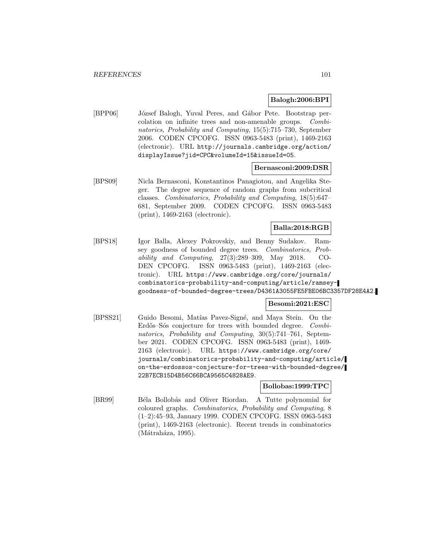### **Balogh:2006:BPI**

[BPP06] József Balogh, Yuval Peres, and Gábor Pete. Bootstrap percolation on infinite trees and non-amenable groups. Combinatorics, Probability and Computing, 15(5):715–730, September 2006. CODEN CPCOFG. ISSN 0963-5483 (print), 1469-2163 (electronic). URL http://journals.cambridge.org/action/ displayIssue?jid=CPC&volumeId=15&issueId=05.

#### **Bernasconi:2009:DSR**

[BPS09] Nicla Bernasconi, Konstantinos Panagiotou, and Angelika Steger. The degree sequence of random graphs from subcritical classes. Combinatorics, Probability and Computing, 18(5):647– 681, September 2009. CODEN CPCOFG. ISSN 0963-5483 (print), 1469-2163 (electronic).

## **Balla:2018:RGB**

[BPS18] Igor Balla, Alexey Pokrovskiy, and Benny Sudakov. Ramsey goodness of bounded degree trees. Combinatorics, Probability and Computing, 27(3):289–309, May 2018. CO-DEN CPCOFG. ISSN 0963-5483 (print), 1469-2163 (electronic). URL https://www.cambridge.org/core/journals/ combinatorics-probability-and-computing/article/ramseygoodness-of-bounded-degree-trees/D4361A3055FE5FBE06BC3357DF28E4A2.

#### **Besomi:2021:ESC**

[BPSS21] Guido Besomi, Matías Pavez-Signé, and Maya Stein. On the Erdős–Sós conjecture for trees with bounded degree. Combinatorics, Probability and Computing, 30(5):741–761, September 2021. CODEN CPCOFG. ISSN 0963-5483 (print), 1469- 2163 (electronic). URL https://www.cambridge.org/core/ journals/combinatorics-probability-and-computing/article/ on-the-erdossos-conjecture-for-trees-with-bounded-degree/ 22B7ECB15D4B56C66BCA9565C4828AE9.

**Bollobas:1999:TPC**

[BR99] Béla Bollobás and Oliver Riordan. A Tutte polynomial for coloured graphs. Combinatorics, Probability and Computing, 8 (1–2):45–93, January 1999. CODEN CPCOFG. ISSN 0963-5483 (print), 1469-2163 (electronic). Recent trends in combinatorics  $(Mátraháza, 1995).$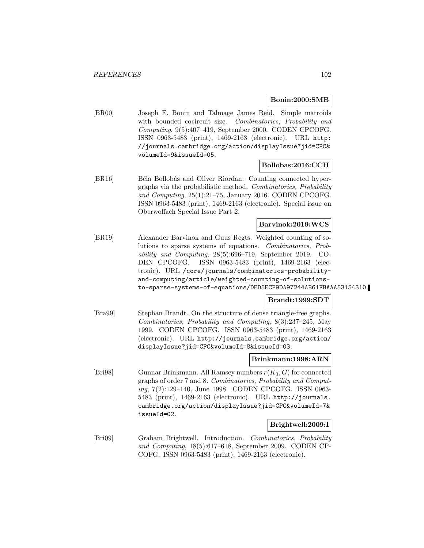### **Bonin:2000:SMB**

[BR00] Joseph E. Bonin and Talmage James Reid. Simple matroids with bounded cocircuit size. Combinatorics, Probability and Computing, 9(5):407–419, September 2000. CODEN CPCOFG. ISSN 0963-5483 (print), 1469-2163 (electronic). URL http: //journals.cambridge.org/action/displayIssue?jid=CPC& volumeId=9&issueId=05.

### **Bollobas:2016:CCH**

[BR16] Béla Bollobás and Oliver Riordan. Counting connected hypergraphs via the probabilistic method. Combinatorics, Probability and Computing, 25(1):21–75, January 2016. CODEN CPCOFG. ISSN 0963-5483 (print), 1469-2163 (electronic). Special issue on Oberwolfach Special Issue Part 2.

### **Barvinok:2019:WCS**

[BR19] Alexander Barvinok and Guus Regts. Weighted counting of solutions to sparse systems of equations. Combinatorics, Probability and Computing, 28(5):696–719, September 2019. CO-DEN CPCOFG. ISSN 0963-5483 (print), 1469-2163 (electronic). URL /core/journals/combinatorics-probabilityand-computing/article/weighted-counting-of-solutionsto-sparse-systems-of-equations/DED5ECF9DA97244AB61FBAAA53154310.

#### **Brandt:1999:SDT**

[Bra99] Stephan Brandt. On the structure of dense triangle-free graphs. Combinatorics, Probability and Computing, 8(3):237–245, May 1999. CODEN CPCOFG. ISSN 0963-5483 (print), 1469-2163 (electronic). URL http://journals.cambridge.org/action/ displayIssue?jid=CPC&volumeId=8&issueId=03.

#### **Brinkmann:1998:ARN**

[Bri98] Gunnar Brinkmann. All Ramsey numbers  $r(K_3, G)$  for connected graphs of order 7 and 8. Combinatorics, Probability and Computing, 7(2):129–140, June 1998. CODEN CPCOFG. ISSN 0963- 5483 (print), 1469-2163 (electronic). URL http://journals. cambridge.org/action/displayIssue?jid=CPC&volumeId=7& issueId=02.

#### **Brightwell:2009:I**

[Bri09] Graham Brightwell. Introduction. Combinatorics, Probability and Computing, 18(5):617–618, September 2009. CODEN CP-COFG. ISSN 0963-5483 (print), 1469-2163 (electronic).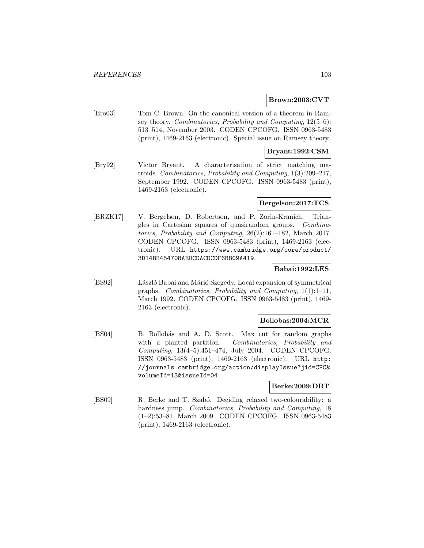#### **Brown:2003:CVT**

[Bro03] Tom C. Brown. On the canonical version of a theorem in Ramsey theory. Combinatorics, Probability and Computing, 12(5–6): 513–514, November 2003. CODEN CPCOFG. ISSN 0963-5483 (print), 1469-2163 (electronic). Special issue on Ramsey theory.

#### **Bryant:1992:CSM**

[Bry92] Victor Bryant. A characterisation of strict matching matroids. Combinatorics, Probability and Computing, 1(3):209–217, September 1992. CODEN CPCOFG. ISSN 0963-5483 (print), 1469-2163 (electronic).

#### **Bergelson:2017:TCS**

[BRZK17] V. Bergelson, D. Robertson, and P. Zorin-Kranich. Triangles in Cartesian squares of quasirandom groups. Combinatorics, Probability and Computing, 26(2):161–182, March 2017. CODEN CPCOFG. ISSN 0963-5483 (print), 1469-2163 (electronic). URL https://www.cambridge.org/core/product/ 3D14BB454708AE0CDACDCDF6B809A419.

### **Babai:1992:LES**

[BS92] László Babai and Márió Szegedy. Local expansion of symmetrical graphs. Combinatorics, Probability and Computing,  $1(1):1-11$ , March 1992. CODEN CPCOFG. ISSN 0963-5483 (print), 1469- 2163 (electronic).

#### **Bollobas:2004:MCR**

[BS04] B. Bollobás and A. D. Scott. Max cut for random graphs with a planted partition. Combinatorics, Probability and Computing, 13(4–5):451–474, July 2004. CODEN CPCOFG. ISSN 0963-5483 (print), 1469-2163 (electronic). URL http: //journals.cambridge.org/action/displayIssue?jid=CPC& volumeId=13&issueId=04.

#### **Berke:2009:DRT**

[BS09] R. Berke and T. Szabó. Deciding relaxed two-colourability: a hardness jump. Combinatorics, Probability and Computing, 18 (1–2):53–81, March 2009. CODEN CPCOFG. ISSN 0963-5483 (print), 1469-2163 (electronic).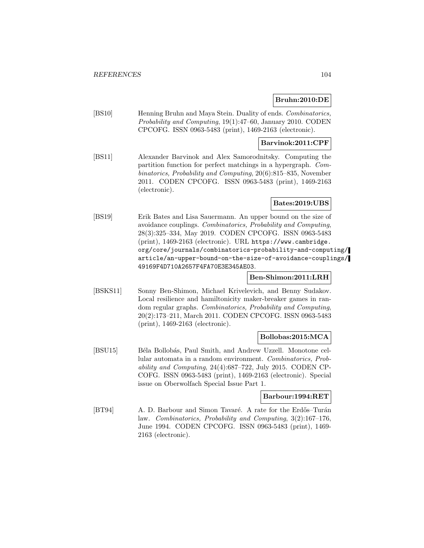### **Bruhn:2010:DE**

[BS10] Henning Bruhn and Maya Stein. Duality of ends. Combinatorics, Probability and Computing, 19(1):47–60, January 2010. CODEN CPCOFG. ISSN 0963-5483 (print), 1469-2163 (electronic).

### **Barvinok:2011:CPF**

[BS11] Alexander Barvinok and Alex Samorodnitsky. Computing the partition function for perfect matchings in a hypergraph. Combinatorics, Probability and Computing, 20(6):815–835, November 2011. CODEN CPCOFG. ISSN 0963-5483 (print), 1469-2163 (electronic).

#### **Bates:2019:UBS**

[BS19] Erik Bates and Lisa Sauermann. An upper bound on the size of avoidance couplings. Combinatorics, Probability and Computing, 28(3):325–334, May 2019. CODEN CPCOFG. ISSN 0963-5483 (print), 1469-2163 (electronic). URL https://www.cambridge. org/core/journals/combinatorics-probability-and-computing/ article/an-upper-bound-on-the-size-of-avoidance-couplings/ 49169F4D710A2657F4FA70E3E345AE03.

### **Ben-Shimon:2011:LRH**

[BSKS11] Sonny Ben-Shimon, Michael Krivelevich, and Benny Sudakov. Local resilience and hamiltonicity maker-breaker games in random regular graphs. Combinatorics, Probability and Computing, 20(2):173–211, March 2011. CODEN CPCOFG. ISSN 0963-5483 (print), 1469-2163 (electronic).

#### **Bollobas:2015:MCA**

[BSU15] Béla Bollobás, Paul Smith, and Andrew Uzzell. Monotone cellular automata in a random environment. Combinatorics, Probability and Computing, 24(4):687–722, July 2015. CODEN CP-COFG. ISSN 0963-5483 (print), 1469-2163 (electronic). Special issue on Oberwolfach Special Issue Part 1.

#### **Barbour:1994:RET**

[BT94] A. D. Barbour and Simon Tavaré. A rate for the Erdős–Turán law. Combinatorics, Probability and Computing, 3(2):167–176, June 1994. CODEN CPCOFG. ISSN 0963-5483 (print), 1469- 2163 (electronic).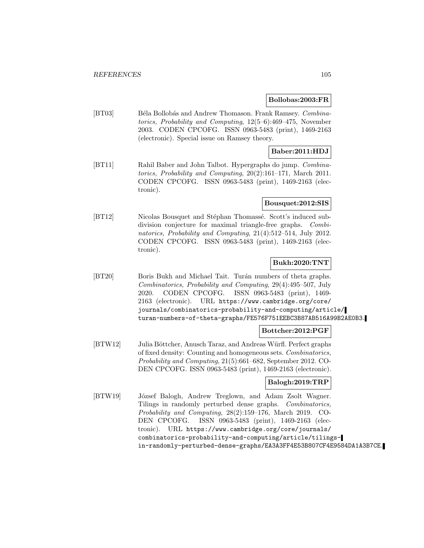#### **Bollobas:2003:FR**

[BT03] Béla Bollobás and Andrew Thomason. Frank Ramsey. Combinatorics, Probability and Computing, 12(5–6):469–475, November 2003. CODEN CPCOFG. ISSN 0963-5483 (print), 1469-2163 (electronic). Special issue on Ramsey theory.

### **Baber:2011:HDJ**

[BT11] Rahil Baber and John Talbot. Hypergraphs do jump. Combinatorics, Probability and Computing, 20(2):161–171, March 2011. CODEN CPCOFG. ISSN 0963-5483 (print), 1469-2163 (electronic).

#### **Bousquet:2012:SIS**

[BT12] Nicolas Bousquet and Stéphan Thomassé. Scott's induced subdivision conjecture for maximal triangle-free graphs. Combinatorics, Probability and Computing, 21(4):512–514, July 2012. CODEN CPCOFG. ISSN 0963-5483 (print), 1469-2163 (electronic).

## **Bukh:2020:TNT**

[BT20] Boris Bukh and Michael Tait. Turán numbers of theta graphs. Combinatorics, Probability and Computing, 29(4):495–507, July 2020. CODEN CPCOFG. ISSN 0963-5483 (print), 1469- 2163 (electronic). URL https://www.cambridge.org/core/ journals/combinatorics-probability-and-computing/article/ turan-numbers-of-theta-graphs/FE576F751EEBC3B87AB516A99B2AE0B3.

#### **Bottcher:2012:PGF**

[BTW12] Julia Böttcher, Anusch Taraz, and Andreas Würfl. Perfect graphs of fixed density: Counting and homogeneous sets. Combinatorics, Probability and Computing, 21(5):661–682, September 2012. CO-DEN CPCOFG. ISSN 0963-5483 (print), 1469-2163 (electronic).

## **Balogh:2019:TRP**

[BTW19] József Balogh, Andrew Treglown, and Adam Zsolt Wagner. Tilings in randomly perturbed dense graphs. Combinatorics, Probability and Computing, 28(2):159–176, March 2019. CO-DEN CPCOFG. ISSN 0963-5483 (print), 1469-2163 (electronic). URL https://www.cambridge.org/core/journals/ combinatorics-probability-and-computing/article/tilingsin-randomly-perturbed-dense-graphs/EA3A3FF4E53B807CF4E9584DA1A3B7CE.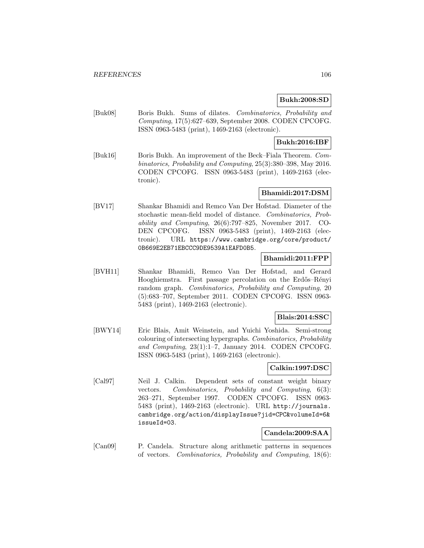### **Bukh:2008:SD**

[Buk08] Boris Bukh. Sums of dilates. Combinatorics, Probability and Computing, 17(5):627–639, September 2008. CODEN CPCOFG. ISSN 0963-5483 (print), 1469-2163 (electronic).

### **Bukh:2016:IBF**

[Buk16] Boris Bukh. An improvement of the Beck–Fiala Theorem. Combinatorics, Probability and Computing, 25(3):380–398, May 2016. CODEN CPCOFG. ISSN 0963-5483 (print), 1469-2163 (electronic).

## **Bhamidi:2017:DSM**

[BV17] Shankar Bhamidi and Remco Van Der Hofstad. Diameter of the stochastic mean-field model of distance. Combinatorics, Probability and Computing, 26(6):797–825, November 2017. CO-DEN CPCOFG. ISSN 0963-5483 (print), 1469-2163 (electronic). URL https://www.cambridge.org/core/product/ 0B669E2EB71EBCCC9DE9539A1EAFD0B5.

### **Bhamidi:2011:FPP**

[BVH11] Shankar Bhamidi, Remco Van Der Hofstad, and Gerard Hooghiemstra. First passage percolation on the Erdős–Rényi random graph. Combinatorics, Probability and Computing, 20 (5):683–707, September 2011. CODEN CPCOFG. ISSN 0963- 5483 (print), 1469-2163 (electronic).

### **Blais:2014:SSC**

[BWY14] Eric Blais, Amit Weinstein, and Yuichi Yoshida. Semi-strong colouring of intersecting hypergraphs. Combinatorics, Probability and Computing, 23(1):1–7, January 2014. CODEN CPCOFG. ISSN 0963-5483 (print), 1469-2163 (electronic).

#### **Calkin:1997:DSC**

[Cal97] Neil J. Calkin. Dependent sets of constant weight binary vectors. Combinatorics, Probability and Computing, 6(3): 263–271, September 1997. CODEN CPCOFG. ISSN 0963- 5483 (print), 1469-2163 (electronic). URL http://journals. cambridge.org/action/displayIssue?jid=CPC&volumeId=6& issueId=03.

## **Candela:2009:SAA**

[Can09] P. Candela. Structure along arithmetic patterns in sequences of vectors. Combinatorics, Probability and Computing, 18(6):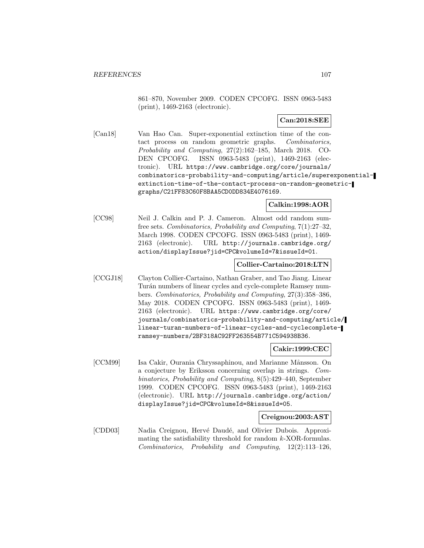861–870, November 2009. CODEN CPCOFG. ISSN 0963-5483 (print), 1469-2163 (electronic).

### **Can:2018:SEE**

[Can18] Van Hao Can. Super-exponential extinction time of the contact process on random geometric graphs. Combinatorics, Probability and Computing, 27(2):162–185, March 2018. CO-DEN CPCOFG. ISSN 0963-5483 (print), 1469-2163 (electronic). URL https://www.cambridge.org/core/journals/ combinatorics-probability-and-computing/article/superexponentialextinction-time-of-the-contact-process-on-random-geometricgraphs/C21FF83C60F8BAA5CD0DD834E4076169.

**Calkin:1998:AOR**

[CC98] Neil J. Calkin and P. J. Cameron. Almost odd random sumfree sets. Combinatorics, Probability and Computing, 7(1):27–32, March 1998. CODEN CPCOFG. ISSN 0963-5483 (print), 1469- 2163 (electronic). URL http://journals.cambridge.org/ action/displayIssue?jid=CPC&volumeId=7&issueId=01.

#### **Collier-Cartaino:2018:LTN**

[CCGJ18] Clayton Collier-Cartaino, Nathan Graber, and Tao Jiang. Linear Turán numbers of linear cycles and cycle-complete Ramsey numbers. Combinatorics, Probability and Computing, 27(3):358–386, May 2018. CODEN CPCOFG. ISSN 0963-5483 (print), 1469- 2163 (electronic). URL https://www.cambridge.org/core/ journals/combinatorics-probability-and-computing/article/ linear-turan-numbers-of-linear-cycles-and-cyclecompleteramsey-numbers/2BF318AC92FF263554B771C594938B36.

#### **Cakir:1999:CEC**

[CCM99] Isa Cakir, Ourania Chryssaphinou, and Marianne M˚ansson. On a conjecture by Eriksson concerning overlap in strings. Combinatorics, Probability and Computing, 8(5):429–440, September 1999. CODEN CPCOFG. ISSN 0963-5483 (print), 1469-2163 (electronic). URL http://journals.cambridge.org/action/ displayIssue?jid=CPC&volumeId=8&issueId=05.

#### **Creignou:2003:AST**

[CDD03] Nadia Creignou, Hervé Daudé, and Olivier Dubois. Approximating the satisfiability threshold for random k-XOR-formulas. Combinatorics, Probability and Computing, 12(2):113–126,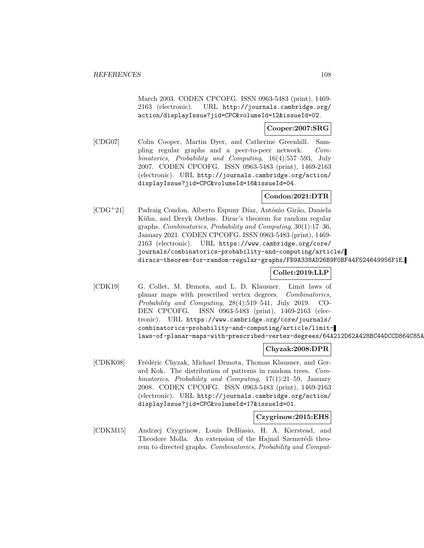March 2003. CODEN CPCOFG. ISSN 0963-5483 (print), 1469- 2163 (electronic). URL http://journals.cambridge.org/ action/displayIssue?jid=CPC&volumeId=12&issueId=02.

### **Cooper:2007:SRG**

[CDG07] Colin Cooper, Martin Dyer, and Catherine Greenhill. Sampling regular graphs and a peer-to-peer network. Combinatorics, Probability and Computing, 16(4):557–593, July 2007. CODEN CPCOFG. ISSN 0963-5483 (print), 1469-2163 (electronic). URL http://journals.cambridge.org/action/ displayIssue?jid=CPC&volumeId=16&issueId=04.

### **Condon:2021:DTR**

 $[CDG+21]$  Padraig Condon, Alberto Espuny Díaz, António Girão, Daniela Kühn, and Deryk Osthus. Dirac's theorem for random regular graphs. Combinatorics, Probability and Computing, 30(1):17–36, January 2021. CODEN CPCOFG. ISSN 0963-5483 (print), 1469- 2163 (electronic). URL https://www.cambridge.org/core/ journals/combinatorics-probability-and-computing/article/ diracs-theorem-for-random-regular-graphs/FB9A338AD26B9F0BF44F524649956F1E.

# **Collet:2019:LLP**

[CDK19] G. Collet, M. Drmota, and L. D. Klausner. Limit laws of planar maps with prescribed vertex degrees. Combinatorics, Probability and Computing, 28(4):519–541, July 2019. CO-DEN CPCOFG. ISSN 0963-5483 (print), 1469-2163 (electronic). URL https://www.cambridge.org/core/journals/ combinatorics-probability-and-computing/article/limitlaws-of-planar-maps-with-prescribed-vertex-degrees/64A212D62A428BC44DCCD864C85A

## **Chyzak:2008:DPR**

[CDKK08] Frédéric Chyzak, Michael Drmota, Thomas Klausner, and Gerard Kok. The distribution of patterns in random trees. Combinatorics, Probability and Computing, 17(1):21–59, January 2008. CODEN CPCOFG. ISSN 0963-5483 (print), 1469-2163 (electronic). URL http://journals.cambridge.org/action/ displayIssue?jid=CPC&volumeId=17&issueId=01.

## **Czygrinow:2015:EHS**

[CDKM15] Andrzej Czygrinow, Louis DeBiasio, H. A. Kierstead, and Theodore Molla. An extension of the Hajnal–Szemerédi theorem to directed graphs. Combinatorics, Probability and Comput-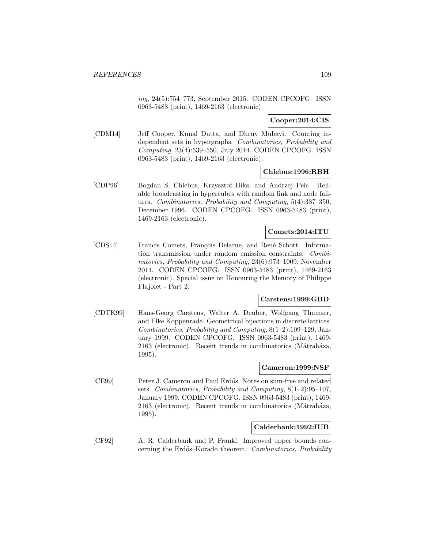ing, 24(5):754–773, September 2015. CODEN CPCOFG. ISSN 0963-5483 (print), 1469-2163 (electronic).

## **Cooper:2014:CIS**

[CDM14] Jeff Cooper, Kunal Dutta, and Dhruv Mubayi. Counting independent sets in hypergraphs. Combinatorics, Probability and Computing, 23(4):539–550, July 2014. CODEN CPCOFG. ISSN 0963-5483 (print), 1469-2163 (electronic).

#### **Chlebus:1996:RBH**

[CDP96] Bogdan S. Chlebus, Krzysztof Diks, and Andrzej Pelc. Reliable broadcasting in hypercubes with random link and node failures. Combinatorics, Probability and Computing, 5(4):337–350, December 1996. CODEN CPCOFG. ISSN 0963-5483 (print), 1469-2163 (electronic).

### **Comets:2014:ITU**

[CDS14] Francis Comets, François Delarue, and René Schott. Information transmission under random emission constraints. Combinatorics, Probability and Computing, 23(6):973–1009, November 2014. CODEN CPCOFG. ISSN 0963-5483 (print), 1469-2163 (electronic). Special issue on Honouring the Memory of Philippe Flajolet - Part 2.

### **Carstens:1999:GBD**

[CDTK99] Hans-Georg Carstens, Walter A. Deuber, Wolfgang Thumser, and Elke Koppenrade. Geometrical bijections in discrete lattices. Combinatorics, Probability and Computing, 8(1–2):109–129, January 1999. CODEN CPCOFG. ISSN 0963-5483 (print), 1469- 2163 (electronic). Recent trends in combinatorics (Mátraháza, 1995).

# **Cameron:1999:NSF**

[CE99] Peter J. Cameron and Paul Erd˝os. Notes on sum-free and related sets. Combinatorics, Probability and Computing, 8(1–2):95–107, January 1999. CODEN CPCOFG. ISSN 0963-5483 (print), 1469- 2163 (electronic). Recent trends in combinatorics (Mátraháza, 1995).

### **Calderbank:1992:IUB**

[CF92] A. R. Calderbank and P. Frankl. Improved upper bounds concerning the Erdős–Korado theorem. Combinatorics, Probability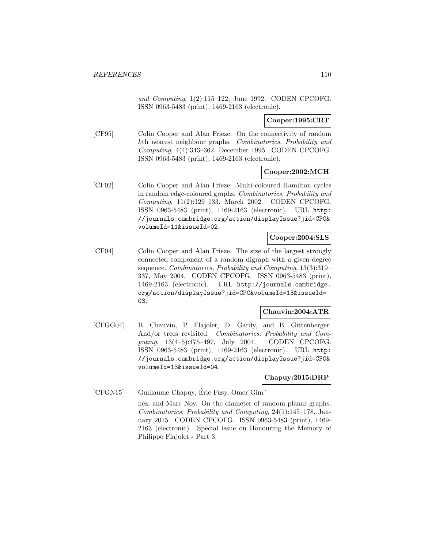and Computing, 1(2):115–122, June 1992. CODEN CPCOFG. ISSN 0963-5483 (print), 1469-2163 (electronic).

**Cooper:1995:CRT**

[CF95] Colin Cooper and Alan Frieze. On the connectivity of random kth nearest neighbour graphs. Combinatorics, Probability and Computing, 4(4):343–362, December 1995. CODEN CPCOFG. ISSN 0963-5483 (print), 1469-2163 (electronic).

### **Cooper:2002:MCH**

[CF02] Colin Cooper and Alan Frieze. Multi-coloured Hamilton cycles in random edge-coloured graphs. Combinatorics, Probability and Computing, 11(2):129–133, March 2002. CODEN CPCOFG. ISSN 0963-5483 (print), 1469-2163 (electronic). URL http: //journals.cambridge.org/action/displayIssue?jid=CPC& volumeId=11&issueId=02.

### **Cooper:2004:SLS**

[CF04] Colin Cooper and Alan Frieze. The size of the largest strongly connected component of a random digraph with a given degree sequence. Combinatorics, Probability and Computing, 13(3):319– 337, May 2004. CODEN CPCOFG. ISSN 0963-5483 (print), 1469-2163 (electronic). URL http://journals.cambridge. org/action/displayIssue?jid=CPC&volumeId=13&issueId= 03.

## **Chauvin:2004:ATR**

[CFGG04] B. Chauvin, P. Flajolet, D. Gardy, and B. Gittenberger. And/or trees revisited. Combinatorics, Probability and Computing, 13(4–5):475–497, July 2004. CODEN CPCOFG. ISSN 0963-5483 (print), 1469-2163 (electronic). URL http: //journals.cambridge.org/action/displayIssue?jid=CPC& volumeId=13&issueId=04.

#### **Chapuy:2015:DRP**

[CFGN15] Guillaume Chapuy, Eric Fusy, Omer Gim´ ´

nez, and Marc Noy. On the diameter of random planar graphs. Combinatorics, Probability and Computing, 24(1):145–178, January 2015. CODEN CPCOFG. ISSN 0963-5483 (print), 1469- 2163 (electronic). Special issue on Honouring the Memory of Philippe Flajolet - Part 3.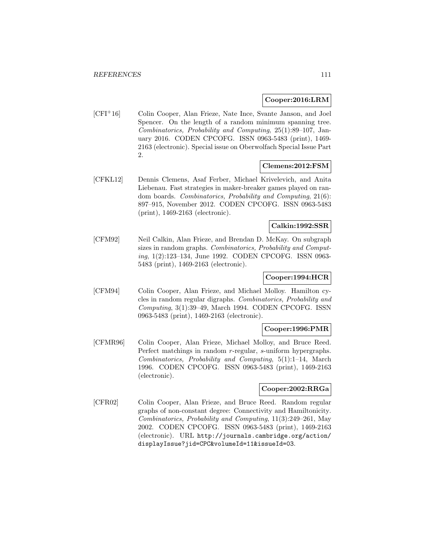### **Cooper:2016:LRM**

[CFI<sup>+</sup>16] Colin Cooper, Alan Frieze, Nate Ince, Svante Janson, and Joel Spencer. On the length of a random minimum spanning tree. Combinatorics, Probability and Computing, 25(1):89–107, January 2016. CODEN CPCOFG. ISSN 0963-5483 (print), 1469- 2163 (electronic). Special issue on Oberwolfach Special Issue Part 2.

## **Clemens:2012:FSM**

[CFKL12] Dennis Clemens, Asaf Ferber, Michael Krivelevich, and Anita Liebenau. Fast strategies in maker-breaker games played on random boards. Combinatorics, Probability and Computing, 21(6): 897–915, November 2012. CODEN CPCOFG. ISSN 0963-5483 (print), 1469-2163 (electronic).

# **Calkin:1992:SSR**

[CFM92] Neil Calkin, Alan Frieze, and Brendan D. McKay. On subgraph sizes in random graphs. Combinatorics, Probability and Computing, 1(2):123–134, June 1992. CODEN CPCOFG. ISSN 0963- 5483 (print), 1469-2163 (electronic).

# **Cooper:1994:HCR**

[CFM94] Colin Cooper, Alan Frieze, and Michael Molloy. Hamilton cycles in random regular digraphs. Combinatorics, Probability and Computing, 3(1):39–49, March 1994. CODEN CPCOFG. ISSN 0963-5483 (print), 1469-2163 (electronic).

# **Cooper:1996:PMR**

[CFMR96] Colin Cooper, Alan Frieze, Michael Molloy, and Bruce Reed. Perfect matchings in random r-regular, s-uniform hypergraphs. Combinatorics, Probability and Computing, 5(1):1–14, March 1996. CODEN CPCOFG. ISSN 0963-5483 (print), 1469-2163 (electronic).

## **Cooper:2002:RRGa**

[CFR02] Colin Cooper, Alan Frieze, and Bruce Reed. Random regular graphs of non-constant degree: Connectivity and Hamiltonicity. Combinatorics, Probability and Computing, 11(3):249–261, May 2002. CODEN CPCOFG. ISSN 0963-5483 (print), 1469-2163 (electronic). URL http://journals.cambridge.org/action/ displayIssue?jid=CPC&volumeId=11&issueId=03.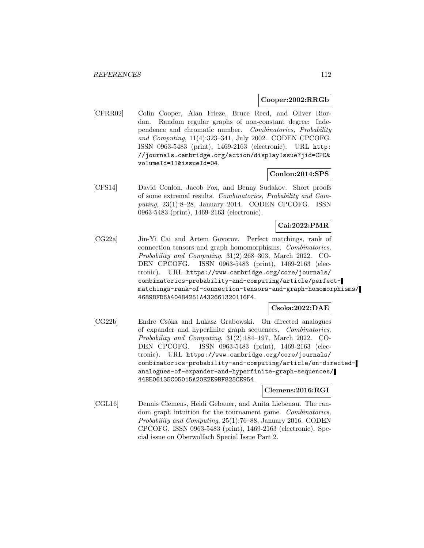#### **Cooper:2002:RRGb**

[CFRR02] Colin Cooper, Alan Frieze, Bruce Reed, and Oliver Riordan. Random regular graphs of non-constant degree: Independence and chromatic number. Combinatorics, Probability and Computing, 11(4):323–341, July 2002. CODEN CPCOFG. ISSN 0963-5483 (print), 1469-2163 (electronic). URL http: //journals.cambridge.org/action/displayIssue?jid=CPC& volumeId=11&issueId=04.

# **Conlon:2014:SPS**

[CFS14] David Conlon, Jacob Fox, and Benny Sudakov. Short proofs of some extremal results. Combinatorics, Probability and Computing, 23(1):8–28, January 2014. CODEN CPCOFG. ISSN 0963-5483 (print), 1469-2163 (electronic).

# **Cai:2022:PMR**

[CG22a] Jin-Yi Cai and Artem Govorov. Perfect matchings, rank of connection tensors and graph homomorphisms. Combinatorics, Probability and Computing, 31(2):268–303, March 2022. CO-DEN CPCOFG. ISSN 0963-5483 (print), 1469-2163 (electronic). URL https://www.cambridge.org/core/journals/ combinatorics-probability-and-computing/article/perfectmatchings-rank-of-connection-tensors-and-graph-homomorphisms/ 46898FD6A40484251A432661320116F4.

### **Csoka:2022:DAE**

[CG22b] Endre Csóka and Lukasz Grabowski. On directed analogues of expander and hyperfinite graph sequences. Combinatorics, Probability and Computing, 31(2):184–197, March 2022. CO-DEN CPCOFG. ISSN 0963-5483 (print), 1469-2163 (electronic). URL https://www.cambridge.org/core/journals/ combinatorics-probability-and-computing/article/on-directedanalogues-of-expander-and-hyperfinite-graph-sequences/ 44BE06135C05015A20E2E9BF825CE954.

### **Clemens:2016:RGI**

[CGL16] Dennis Clemens, Heidi Gebauer, and Anita Liebenau. The random graph intuition for the tournament game. Combinatorics, Probability and Computing, 25(1):76–88, January 2016. CODEN CPCOFG. ISSN 0963-5483 (print), 1469-2163 (electronic). Special issue on Oberwolfach Special Issue Part 2.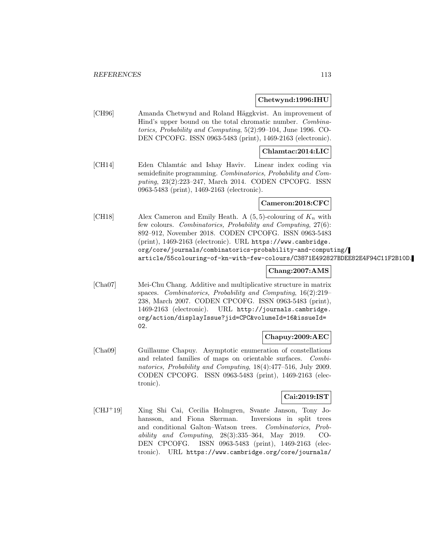#### **Chetwynd:1996:IHU**

[CH96] Amanda Chetwynd and Roland Häggkvist. An improvement of Hind's upper bound on the total chromatic number. Combinatorics, Probability and Computing, 5(2):99–104, June 1996. CO-DEN CPCOFG. ISSN 0963-5483 (print), 1469-2163 (electronic).

## **Chlamtac:2014:LIC**

[CH14] Eden Chlamtác and Ishay Haviv. Linear index coding via semidefinite programming. Combinatorics, Probability and Computing, 23(2):223–247, March 2014. CODEN CPCOFG. ISSN 0963-5483 (print), 1469-2163 (electronic).

### **Cameron:2018:CFC**

[CH18] Alex Cameron and Emily Heath. A  $(5, 5)$ -colouring of  $K_n$  with few colours. Combinatorics, Probability and Computing, 27(6): 892–912, November 2018. CODEN CPCOFG. ISSN 0963-5483 (print), 1469-2163 (electronic). URL https://www.cambridge. org/core/journals/combinatorics-probability-and-computing/ article/55colouring-of-kn-with-few-colours/C3871E492827BDEE82E4F94C11F2B10D.

### **Chang:2007:AMS**

[Cha07] Mei-Chu Chang. Additive and multiplicative structure in matrix spaces. Combinatorics, Probability and Computing, 16(2):219– 238, March 2007. CODEN CPCOFG. ISSN 0963-5483 (print), 1469-2163 (electronic). URL http://journals.cambridge. org/action/displayIssue?jid=CPC&volumeId=16&issueId= 02.

## **Chapuy:2009:AEC**

[Cha09] Guillaume Chapuy. Asymptotic enumeration of constellations and related families of maps on orientable surfaces. Combinatorics, Probability and Computing, 18(4):477–516, July 2009. CODEN CPCOFG. ISSN 0963-5483 (print), 1469-2163 (electronic).

### **Cai:2019:IST**

[CHJ<sup>+</sup>19] Xing Shi Cai, Cecilia Holmgren, Svante Janson, Tony Johansson, and Fiona Skerman. Inversions in split trees and conditional Galton–Watson trees. Combinatorics, Probability and Computing, 28(3):335–364, May 2019. CO-DEN CPCOFG. ISSN 0963-5483 (print), 1469-2163 (electronic). URL https://www.cambridge.org/core/journals/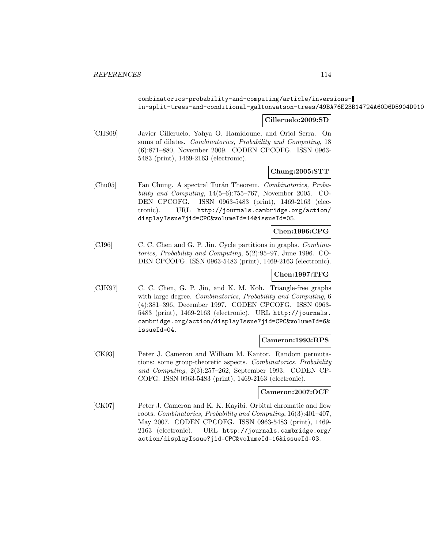# combinatorics-probability-and-computing/article/inversionsin-split-trees-and-conditional-galtonwatson-trees/49BA76E23B14724A60D6D5904D910

### **Cilleruelo:2009:SD**

[CHS09] Javier Cilleruelo, Yahya O. Hamidoune, and Oriol Serra. On sums of dilates. Combinatorics, Probability and Computing, 18 (6):871–880, November 2009. CODEN CPCOFG. ISSN 0963- 5483 (print), 1469-2163 (electronic).

## **Chung:2005:STT**

[Chu05] Fan Chung. A spectral Turán Theorem. Combinatorics, Probability and Computing, 14(5–6):755–767, November 2005. CO-DEN CPCOFG. ISSN 0963-5483 (print), 1469-2163 (electronic). URL http://journals.cambridge.org/action/ displayIssue?jid=CPC&volumeId=14&issueId=05.

## **Chen:1996:CPG**

[CJ96] C. C. Chen and G. P. Jin. Cycle partitions in graphs. Combinatorics, Probability and Computing, 5(2):95–97, June 1996. CO-DEN CPCOFG. ISSN 0963-5483 (print), 1469-2163 (electronic).

# **Chen:1997:TFG**

[CJK97] C. C. Chen, G. P. Jin, and K. M. Koh. Triangle-free graphs with large degree. Combinatorics, Probability and Computing, 6 (4):381–396, December 1997. CODEN CPCOFG. ISSN 0963- 5483 (print), 1469-2163 (electronic). URL http://journals. cambridge.org/action/displayIssue?jid=CPC&volumeId=6& issueId=04.

#### **Cameron:1993:RPS**

[CK93] Peter J. Cameron and William M. Kantor. Random permutations: some group-theoretic aspects. Combinatorics, Probability and Computing, 2(3):257–262, September 1993. CODEN CP-COFG. ISSN 0963-5483 (print), 1469-2163 (electronic).

### **Cameron:2007:OCF**

[CK07] Peter J. Cameron and K. K. Kayibi. Orbital chromatic and flow roots. Combinatorics, Probability and Computing, 16(3):401–407, May 2007. CODEN CPCOFG. ISSN 0963-5483 (print), 1469- 2163 (electronic). URL http://journals.cambridge.org/ action/displayIssue?jid=CPC&volumeId=16&issueId=03.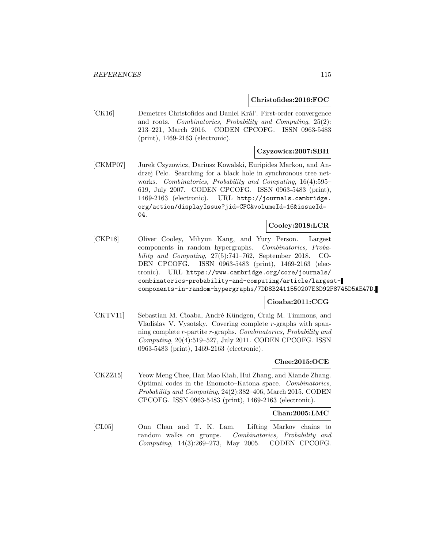#### **Christofides:2016:FOC**

[CK16] Demetres Christofides and Daniel Král'. First-order convergence and roots. Combinatorics, Probability and Computing, 25(2): 213–221, March 2016. CODEN CPCOFG. ISSN 0963-5483 (print), 1469-2163 (electronic).

### **Czyzowicz:2007:SBH**

[CKMP07] Jurek Czyzowicz, Dariusz Kowalski, Euripides Markou, and Andrzej Pelc. Searching for a black hole in synchronous tree networks. Combinatorics, Probability and Computing, 16(4):595– 619, July 2007. CODEN CPCOFG. ISSN 0963-5483 (print), 1469-2163 (electronic). URL http://journals.cambridge. org/action/displayIssue?jid=CPC&volumeId=16&issueId= 04.

## **Cooley:2018:LCR**

[CKP18] Oliver Cooley, Mihyun Kang, and Yury Person. Largest components in random hypergraphs. Combinatorics, Probability and Computing, 27(5):741–762, September 2018. CO-DEN CPCOFG. ISSN 0963-5483 (print), 1469-2163 (electronic). URL https://www.cambridge.org/core/journals/ combinatorics-probability-and-computing/article/largestcomponents-in-random-hypergraphs/7DD8B2411550207E3D92F8745D5AE47D.

### **Cioaba:2011:CCG**

[CKTV11] Sebastian M. Cioaba, André Kündgen, Craig M. Timmons, and Vladislav V. Vysotsky. Covering complete r-graphs with spanning complete r-partite r-graphs. Combinatorics, Probability and Computing, 20(4):519–527, July 2011. CODEN CPCOFG. ISSN 0963-5483 (print), 1469-2163 (electronic).

### **Chee:2015:OCE**

[CKZZ15] Yeow Meng Chee, Han Mao Kiah, Hui Zhang, and Xiande Zhang. Optimal codes in the Enomoto–Katona space. Combinatorics, Probability and Computing, 24(2):382–406, March 2015. CODEN CPCOFG. ISSN 0963-5483 (print), 1469-2163 (electronic).

### **Chan:2005:LMC**

[CL05] Onn Chan and T. K. Lam. Lifting Markov chains to random walks on groups. Combinatorics, Probability and Computing, 14(3):269–273, May 2005. CODEN CPCOFG.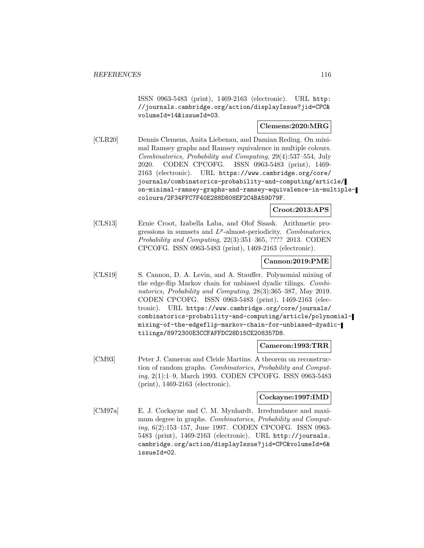ISSN 0963-5483 (print), 1469-2163 (electronic). URL http: //journals.cambridge.org/action/displayIssue?jid=CPC& volumeId=14&issueId=03.

## **Clemens:2020:MRG**

[CLR20] Dennis Clemens, Anita Liebenau, and Damian Reding. On minimal Ramsey graphs and Ramsey equivalence in multiple colours. Combinatorics, Probability and Computing, 29(4):537–554, July 2020. CODEN CPCOFG. ISSN 0963-5483 (print), 1469- 2163 (electronic). URL https://www.cambridge.org/core/ journals/combinatorics-probability-and-computing/article/ on-minimal-ramsey-graphs-and-ramsey-equivalence-in-multiplecolours/2F34FFC7F40E288D808EF2C4BA59D79F.

### **Croot:2013:APS**

[CLS13] Ernie Croot, Izabella Laba, and Olof Sisask. Arithmetic progressions in sumsets and  $L^p$ -almost-periodicity. Combinatorics, Probability and Computing, 22(3):351–365, ???? 2013. CODEN CPCOFG. ISSN 0963-5483 (print), 1469-2163 (electronic).

## **Cannon:2019:PME**

[CLS19] S. Cannon, D. A. Levin, and A. Stauffer. Polynomial mixing of the edge-flip Markov chain for unbiased dyadic tilings. Combinatorics, Probability and Computing, 28(3):365–387, May 2019. CODEN CPCOFG. ISSN 0963-5483 (print), 1469-2163 (electronic). URL https://www.cambridge.org/core/journals/ combinatorics-probability-and-computing/article/polynomialmixing-of-the-edgeflip-markov-chain-for-unbiased-dyadictilings/8972300E3CCFAFFDC28D15CE208357D8.

#### **Cameron:1993:TRR**

[CM93] Peter J. Cameron and Cleide Martins. A theorem on reconstruction of random graphs. Combinatorics, Probability and Computing, 2(1):1–9, March 1993. CODEN CPCOFG. ISSN 0963-5483 (print), 1469-2163 (electronic).

### **Cockayne:1997:IMD**

[CM97a] E. J. Cockayne and C. M. Mynhardt. Irredundance and maximum degree in graphs. Combinatorics, Probability and Computing, 6(2):153–157, June 1997. CODEN CPCOFG. ISSN 0963- 5483 (print), 1469-2163 (electronic). URL http://journals. cambridge.org/action/displayIssue?jid=CPC&volumeId=6& issueId=02.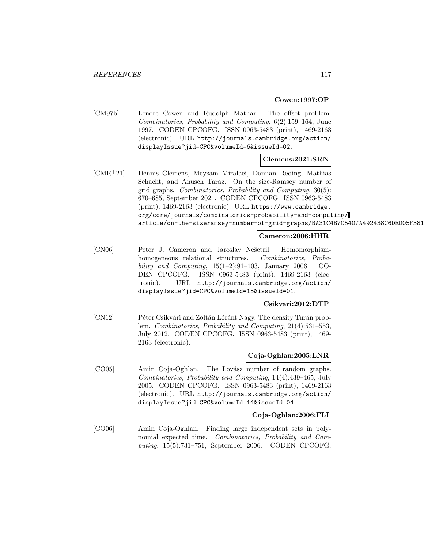#### **Cowen:1997:OP**

[CM97b] Lenore Cowen and Rudolph Mathar. The offset problem. Combinatorics, Probability and Computing, 6(2):159–164, June 1997. CODEN CPCOFG. ISSN 0963-5483 (print), 1469-2163 (electronic). URL http://journals.cambridge.org/action/ displayIssue?jid=CPC&volumeId=6&issueId=02.

### **Clemens:2021:SRN**

[CMR<sup>+</sup>21] Dennis Clemens, Meysam Miralaei, Damian Reding, Mathias Schacht, and Anusch Taraz. On the size-Ramsey number of grid graphs. Combinatorics, Probability and Computing, 30(5): 670–685, September 2021. CODEN CPCOFG. ISSN 0963-5483 (print), 1469-2163 (electronic). URL https://www.cambridge. org/core/journals/combinatorics-probability-and-computing/ article/on-the-sizeramsey-number-of-grid-graphs/BA31C4B7C5407A492438C6DED05F381

### **Cameron:2006:HHR**

[CN06] Peter J. Cameron and Jaroslav Nešetril. Homomorphismhomogeneous relational structures. Combinatorics, Probability and Computing,  $15(1-2):91-103$ , January 2006. CO-DEN CPCOFG. ISSN 0963-5483 (print), 1469-2163 (electronic). URL http://journals.cambridge.org/action/ displayIssue?jid=CPC&volumeId=15&issueId=01.

### **Csikvari:2012:DTP**

[CN12] Péter Csikvári and Zoltán Lóránt Nagy. The density Turán problem. Combinatorics, Probability and Computing, 21(4):531–553, July 2012. CODEN CPCOFG. ISSN 0963-5483 (print), 1469- 2163 (electronic).

# **Coja-Oghlan:2005:LNR**

[CO05] Amin Coja-Oghlan. The Lovász number of random graphs. Combinatorics, Probability and Computing, 14(4):439–465, July 2005. CODEN CPCOFG. ISSN 0963-5483 (print), 1469-2163 (electronic). URL http://journals.cambridge.org/action/ displayIssue?jid=CPC&volumeId=14&issueId=04.

# **Coja-Oghlan:2006:FLI**

[CO06] Amin Coja-Oghlan. Finding large independent sets in polynomial expected time. Combinatorics, Probability and Computing, 15(5):731–751, September 2006. CODEN CPCOFG.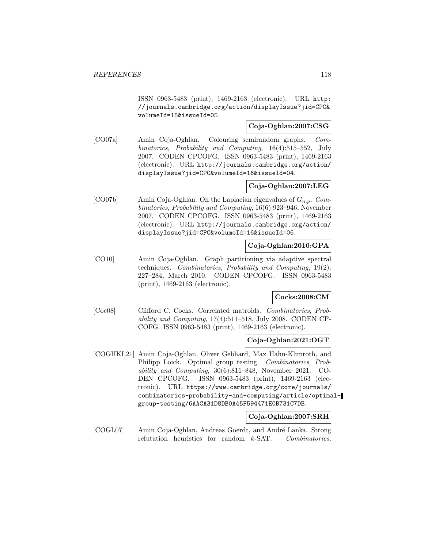ISSN 0963-5483 (print), 1469-2163 (electronic). URL http: //journals.cambridge.org/action/displayIssue?jid=CPC& volumeId=15&issueId=05.

# **Coja-Oghlan:2007:CSG**

[CO07a] Amin Coja-Oghlan. Colouring semirandom graphs. Combinatorics, Probability and Computing, 16(4):515–552, July 2007. CODEN CPCOFG. ISSN 0963-5483 (print), 1469-2163 (electronic). URL http://journals.cambridge.org/action/ displayIssue?jid=CPC&volumeId=16&issueId=04.

# **Coja-Oghlan:2007:LEG**

[CO07b] Amin Coja-Oghlan. On the Laplacian eigenvalues of  $G_{n,p}$ . Combinatorics, Probability and Computing, 16(6):923–946, November 2007. CODEN CPCOFG. ISSN 0963-5483 (print), 1469-2163 (electronic). URL http://journals.cambridge.org/action/ displayIssue?jid=CPC&volumeId=16&issueId=06.

# **Coja-Oghlan:2010:GPA**

[CO10] Amin Coja-Oghlan. Graph partitioning via adaptive spectral techniques. Combinatorics, Probability and Computing, 19(2): 227–284, March 2010. CODEN CPCOFG. ISSN 0963-5483 (print), 1469-2163 (electronic).

# **Cocks:2008:CM**

[Coc08] Clifford C. Cocks. Correlated matroids. Combinatorics, Probability and Computing, 17(4):511–518, July 2008. CODEN CP-COFG. ISSN 0963-5483 (print), 1469-2163 (electronic).

# **Coja-Oghlan:2021:OGT**

[COGHKL21] Amin Coja-Oghlan, Oliver Gebhard, Max Hahn-Klimroth, and Philipp Loick. Optimal group testing. Combinatorics, Probability and Computing, 30(6):811–848, November 2021. CO-DEN CPCOFG. ISSN 0963-5483 (print), 1469-2163 (electronic). URL https://www.cambridge.org/core/journals/ combinatorics-probability-and-computing/article/optimalgroup-testing/6AACA31D8DB0A45F594471E0B731C7DB.

# **Coja-Oghlan:2007:SRH**

[COGL07] Amin Coja-Oghlan, Andreas Goerdt, and André Lanka. Strong refutation heuristics for random k-SAT. Combinatorics,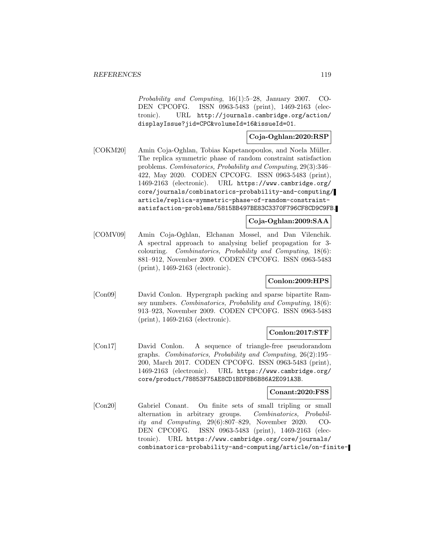Probability and Computing, 16(1):5–28, January 2007. CO-DEN CPCOFG. ISSN 0963-5483 (print), 1469-2163 (electronic). URL http://journals.cambridge.org/action/ displayIssue?jid=CPC&volumeId=16&issueId=01.

## **Coja-Oghlan:2020:RSP**

[COKM20] Amin Coja-Oghlan, Tobias Kapetanopoulos, and Noela Müller. The replica symmetric phase of random constraint satisfaction problems. Combinatorics, Probability and Computing, 29(3):346– 422, May 2020. CODEN CPCOFG. ISSN 0963-5483 (print), 1469-2163 (electronic). URL https://www.cambridge.org/ core/journals/combinatorics-probability-and-computing/ article/replica-symmetric-phase-of-random-constraintsatisfaction-problems/5815BB497BE83C3370F796CF8CD9C9FB.

# **Coja-Oghlan:2009:SAA**

[COMV09] Amin Coja-Oghlan, Elchanan Mossel, and Dan Vilenchik. A spectral approach to analysing belief propagation for 3 colouring. Combinatorics, Probability and Computing, 18(6): 881–912, November 2009. CODEN CPCOFG. ISSN 0963-5483 (print), 1469-2163 (electronic).

### **Conlon:2009:HPS**

[Con09] David Conlon. Hypergraph packing and sparse bipartite Ramsey numbers. Combinatorics, Probability and Computing, 18(6): 913–923, November 2009. CODEN CPCOFG. ISSN 0963-5483 (print), 1469-2163 (electronic).

### **Conlon:2017:STF**

[Con17] David Conlon. A sequence of triangle-free pseudorandom graphs. Combinatorics, Probability and Computing, 26(2):195– 200, March 2017. CODEN CPCOFG. ISSN 0963-5483 (print), 1469-2163 (electronic). URL https://www.cambridge.org/ core/product/78853F75AE8CD1BDF8B6B86A2E091A3B.

#### **Conant:2020:FSS**

[Con20] Gabriel Conant. On finite sets of small tripling or small alternation in arbitrary groups. Combinatorics, Probability and Computing, 29(6):807–829, November 2020. CO-DEN CPCOFG. ISSN 0963-5483 (print), 1469-2163 (electronic). URL https://www.cambridge.org/core/journals/ combinatorics-probability-and-computing/article/on-finite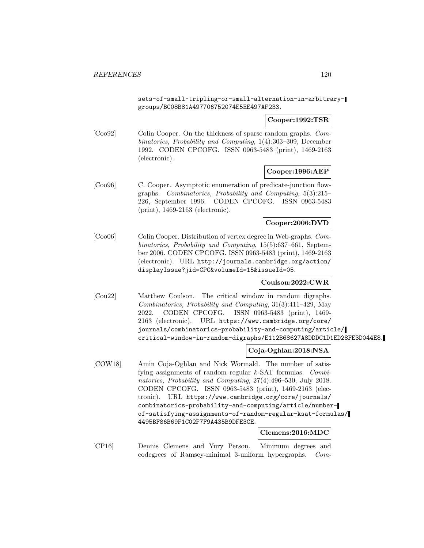sets-of-small-tripling-or-small-alternation-in-arbitrarygroups/BC08B81A497706752074E5EE497AF233.

### **Cooper:1992:TSR**

[Coo92] Colin Cooper. On the thickness of sparse random graphs. Combinatorics, Probability and Computing, 1(4):303–309, December 1992. CODEN CPCOFG. ISSN 0963-5483 (print), 1469-2163 (electronic).

### **Cooper:1996:AEP**

[Coo96] C. Cooper. Asymptotic enumeration of predicate-junction flowgraphs. Combinatorics, Probability and Computing, 5(3):215– 226, September 1996. CODEN CPCOFG. ISSN 0963-5483 (print), 1469-2163 (electronic).

### **Cooper:2006:DVD**

[Coo06] Colin Cooper. Distribution of vertex degree in Web-graphs. Combinatorics, Probability and Computing, 15(5):637–661, September 2006. CODEN CPCOFG. ISSN 0963-5483 (print), 1469-2163 (electronic). URL http://journals.cambridge.org/action/ displayIssue?jid=CPC&volumeId=15&issueId=05.

### **Coulson:2022:CWR**

[Cou22] Matthew Coulson. The critical window in random digraphs. Combinatorics, Probability and Computing, 31(3):411–429, May 2022. CODEN CPCOFG. ISSN 0963-5483 (print), 1469- 2163 (electronic). URL https://www.cambridge.org/core/ journals/combinatorics-probability-and-computing/article/ critical-window-in-random-digraphs/E112B68627A8DDDC1D1ED28FE3D044E8.

# **Coja-Oghlan:2018:NSA**

[COW18] Amin Coja-Oghlan and Nick Wormald. The number of satisfying assignments of random regular k-SAT formulas. Combinatorics, Probability and Computing, 27(4):496–530, July 2018. CODEN CPCOFG. ISSN 0963-5483 (print), 1469-2163 (electronic). URL https://www.cambridge.org/core/journals/ combinatorics-probability-and-computing/article/numberof-satisfying-assignments-of-random-regular-ksat-formulas/ 4495BF86B69F1C02F7F9A435B9DFE3CE.

# **Clemens:2016:MDC**

[CP16] Dennis Clemens and Yury Person. Minimum degrees and codegrees of Ramsey-minimal 3-uniform hypergraphs. Com-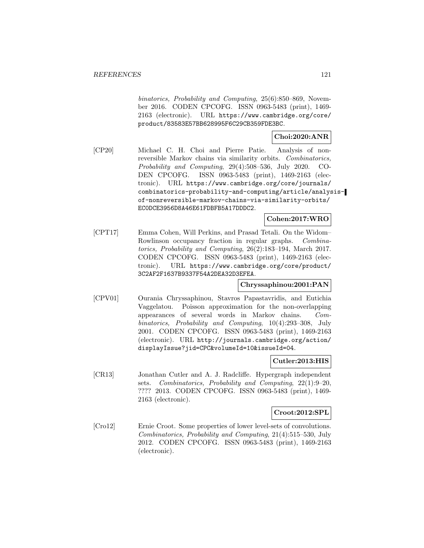binatorics, Probability and Computing, 25(6):850–869, November 2016. CODEN CPCOFG. ISSN 0963-5483 (print), 1469- 2163 (electronic). URL https://www.cambridge.org/core/ product/83583E57BB628995F6C29CB359FDE3BC.

# **Choi:2020:ANR**

[CP20] Michael C. H. Choi and Pierre Patie. Analysis of nonreversible Markov chains via similarity orbits. Combinatorics, Probability and Computing, 29(4):508–536, July 2020. CO-DEN CPCOFG. ISSN 0963-5483 (print), 1469-2163 (electronic). URL https://www.cambridge.org/core/journals/ combinatorics-probability-and-computing/article/analysisof-nonreversible-markov-chains-via-similarity-orbits/ EC0DCE3956D8A46E61FDBFB5A17DDDC2.

### **Cohen:2017:WRO**

[CPT17] Emma Cohen, Will Perkins, and Prasad Tetali. On the Widom– Rowlinson occupancy fraction in regular graphs. Combinatorics, Probability and Computing, 26(2):183–194, March 2017. CODEN CPCOFG. ISSN 0963-5483 (print), 1469-2163 (electronic). URL https://www.cambridge.org/core/product/ 3C2AF2F1637B9337F54A2DEA32D3EFEA.

### **Chryssaphinou:2001:PAN**

[CPV01] Ourania Chryssaphinou, Stavros Papastavridis, and Eutichia Vaggelatou. Poisson approximation for the non-overlapping appearances of several words in Markov chains. Combinatorics, Probability and Computing, 10(4):293–308, July 2001. CODEN CPCOFG. ISSN 0963-5483 (print), 1469-2163 (electronic). URL http://journals.cambridge.org/action/ displayIssue?jid=CPC&volumeId=10&issueId=04.

### **Cutler:2013:HIS**

[CR13] Jonathan Cutler and A. J. Radcliffe. Hypergraph independent sets. Combinatorics, Probability and Computing, 22(1):9–20, ???? 2013. CODEN CPCOFG. ISSN 0963-5483 (print), 1469- 2163 (electronic).

### **Croot:2012:SPL**

[Cro12] Ernie Croot. Some properties of lower level-sets of convolutions. Combinatorics, Probability and Computing, 21(4):515–530, July 2012. CODEN CPCOFG. ISSN 0963-5483 (print), 1469-2163 (electronic).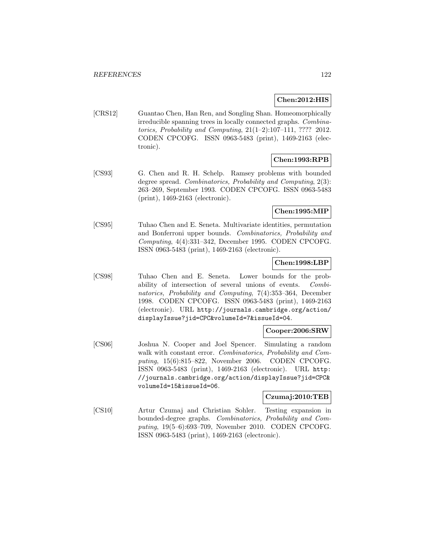# **Chen:2012:HIS**

[CRS12] Guantao Chen, Han Ren, and Songling Shan. Homeomorphically irreducible spanning trees in locally connected graphs. Combinatorics, Probability and Computing,  $21(1-2):107-111$ , ???? 2012. CODEN CPCOFG. ISSN 0963-5483 (print), 1469-2163 (electronic).

# **Chen:1993:RPB**

[CS93] G. Chen and R. H. Schelp. Ramsey problems with bounded degree spread. Combinatorics, Probability and Computing, 2(3): 263–269, September 1993. CODEN CPCOFG. ISSN 0963-5483 (print), 1469-2163 (electronic).

## **Chen:1995:MIP**

[CS95] Tuhao Chen and E. Seneta. Multivariate identities, permutation and Bonferroni upper bounds. Combinatorics, Probability and Computing, 4(4):331–342, December 1995. CODEN CPCOFG. ISSN 0963-5483 (print), 1469-2163 (electronic).

## **Chen:1998:LBP**

[CS98] Tuhao Chen and E. Seneta. Lower bounds for the probability of intersection of several unions of events. Combinatorics, Probability and Computing, 7(4):353–364, December 1998. CODEN CPCOFG. ISSN 0963-5483 (print), 1469-2163 (electronic). URL http://journals.cambridge.org/action/ displayIssue?jid=CPC&volumeId=7&issueId=04.

### **Cooper:2006:SRW**

[CS06] Joshua N. Cooper and Joel Spencer. Simulating a random walk with constant error. Combinatorics, Probability and Computing, 15(6):815–822, November 2006. CODEN CPCOFG. ISSN 0963-5483 (print), 1469-2163 (electronic). URL http: //journals.cambridge.org/action/displayIssue?jid=CPC& volumeId=15&issueId=06.

### **Czumaj:2010:TEB**

[CS10] Artur Czumaj and Christian Sohler. Testing expansion in bounded-degree graphs. Combinatorics, Probability and Computing, 19(5–6):693–709, November 2010. CODEN CPCOFG. ISSN 0963-5483 (print), 1469-2163 (electronic).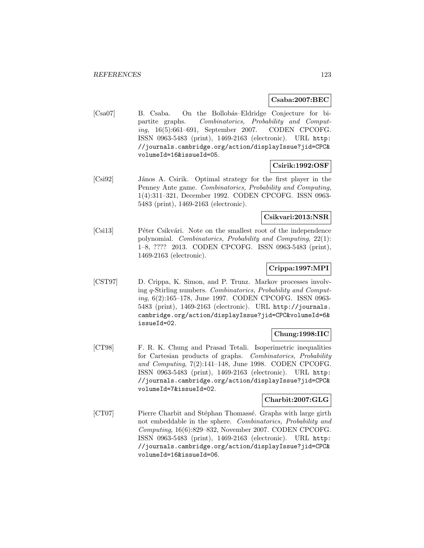## **Csaba:2007:BEC**

[Csa07] B. Csaba. On the Bollobás–Eldridge Conjecture for bipartite graphs. Combinatorics, Probability and Computing, 16(5):661–691, September 2007. CODEN CPCOFG. ISSN 0963-5483 (print), 1469-2163 (electronic). URL http: //journals.cambridge.org/action/displayIssue?jid=CPC& volumeId=16&issueId=05.

# **Csirik:1992:OSF**

[Csi92] János A. Csirik. Optimal strategy for the first player in the Penney Ante game. Combinatorics, Probability and Computing, 1(4):311–321, December 1992. CODEN CPCOFG. ISSN 0963- 5483 (print), 1469-2163 (electronic).

## **Csikvari:2013:NSR**

[Csi13] Péter Csikvári. Note on the smallest root of the independence polynomial. Combinatorics, Probability and Computing, 22(1): 1–8, ???? 2013. CODEN CPCOFG. ISSN 0963-5483 (print), 1469-2163 (electronic).

# **Crippa:1997:MPI**

[CST97] D. Crippa, K. Simon, and P. Trunz. Markov processes involving q-Stirling numbers. Combinatorics, Probability and Computing, 6(2):165–178, June 1997. CODEN CPCOFG. ISSN 0963- 5483 (print), 1469-2163 (electronic). URL http://journals. cambridge.org/action/displayIssue?jid=CPC&volumeId=6& issueId=02.

# **Chung:1998:IIC**

[CT98] F. R. K. Chung and Prasad Tetali. Isoperimetric inequalities for Cartesian products of graphs. Combinatorics, Probability and Computing, 7(2):141–148, June 1998. CODEN CPCOFG. ISSN 0963-5483 (print), 1469-2163 (electronic). URL http: //journals.cambridge.org/action/displayIssue?jid=CPC& volumeId=7&issueId=02.

### **Charbit:2007:GLG**

[CT07] Pierre Charbit and Stéphan Thomassé. Graphs with large girth not embeddable in the sphere. Combinatorics, Probability and Computing, 16(6):829–832, November 2007. CODEN CPCOFG. ISSN 0963-5483 (print), 1469-2163 (electronic). URL http: //journals.cambridge.org/action/displayIssue?jid=CPC& volumeId=16&issueId=06.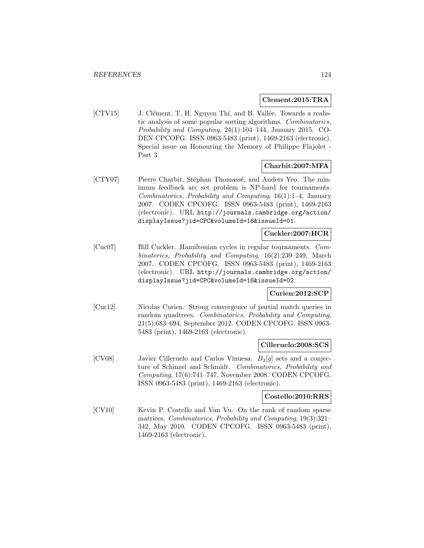#### **Clement:2015:TRA**

[CTV15] J. Clément, T. H. Nguyen Thi, and B. Vallée. Towards a realistic analysis of some popular sorting algorithms. Combinatorics, Probability and Computing, 24(1):104–144, January 2015. CO-DEN CPCOFG. ISSN 0963-5483 (print), 1469-2163 (electronic). Special issue on Honouring the Memory of Philippe Flajolet - Part 3.

## **Charbit:2007:MFA**

[CTY07] Pierre Charbit, Stéphan Thomassé, and Anders Yeo. The minimum feedback arc set problem is NP-hard for tournaments. Combinatorics, Probability and Computing, 16(1):1–4, January 2007. CODEN CPCOFG. ISSN 0963-5483 (print), 1469-2163 (electronic). URL http://journals.cambridge.org/action/ displayIssue?jid=CPC&volumeId=16&issueId=01.

# **Cuckler:2007:HCR**

[Cuc07] Bill Cuckler. Hamiltonian cycles in regular tournaments. Combinatorics, Probability and Computing, 16(2):239–249, March 2007. CODEN CPCOFG. ISSN 0963-5483 (print), 1469-2163 (electronic). URL http://journals.cambridge.org/action/ displayIssue?jid=CPC&volumeId=16&issueId=02.

### **Curien:2012:SCP**

[Cur12] Nicolas Curien. Strong convergence of partial match queries in random quadtrees. Combinatorics, Probability and Computing, 21(5):683–694, September 2012. CODEN CPCOFG. ISSN 0963- 5483 (print), 1469-2163 (electronic).

### **Cilleruelo:2008:SCS**

[CV08] Javier Cilleruelo and Carlos Vinuesa.  $B_2[g]$  sets and a conjecture of Schinzel and Schmidt. Combinatorics, Probability and Computing, 17(6):741–747, November 2008. CODEN CPCOFG. ISSN 0963-5483 (print), 1469-2163 (electronic).

#### **Costello:2010:RRS**

[CV10] Kevin P. Costello and Van Vu. On the rank of random sparse matrices. Combinatorics, Probability and Computing, 19(3):321– 342, May 2010. CODEN CPCOFG. ISSN 0963-5483 (print), 1469-2163 (electronic).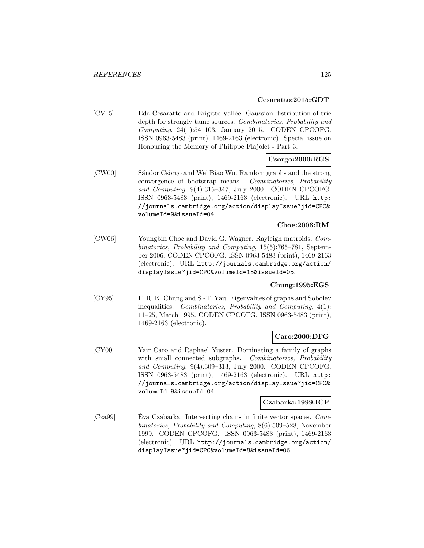### **Cesaratto:2015:GDT**

[CV15] Eda Cesaratto and Brigitte Vallée. Gaussian distribution of trie depth for strongly tame sources. Combinatorics, Probability and Computing, 24(1):54–103, January 2015. CODEN CPCOFG. ISSN 0963-5483 (print), 1469-2163 (electronic). Special issue on Honouring the Memory of Philippe Flajolet - Part 3.

# **Csorgo:2000:RGS**

[CW00] Sándor Csörgo and Wei Biao Wu. Random graphs and the strong convergence of bootstrap means. Combinatorics, Probability and Computing, 9(4):315–347, July 2000. CODEN CPCOFG. ISSN 0963-5483 (print), 1469-2163 (electronic). URL http: //journals.cambridge.org/action/displayIssue?jid=CPC& volumeId=9&issueId=04.

# **Choe:2006:RM**

[CW06] Youngbin Choe and David G. Wagner. Rayleigh matroids. Combinatorics, Probability and Computing, 15(5):765–781, September 2006. CODEN CPCOFG. ISSN 0963-5483 (print), 1469-2163 (electronic). URL http://journals.cambridge.org/action/ displayIssue?jid=CPC&volumeId=15&issueId=05.

# **Chung:1995:EGS**

[CY95] F. R. K. Chung and S.-T. Yau. Eigenvalues of graphs and Sobolev inequalities. Combinatorics, Probability and Computing, 4(1): 11–25, March 1995. CODEN CPCOFG. ISSN 0963-5483 (print), 1469-2163 (electronic).

# **Caro:2000:DFG**

[CY00] Yair Caro and Raphael Yuster. Dominating a family of graphs with small connected subgraphs. Combinatorics, Probability and Computing, 9(4):309–313, July 2000. CODEN CPCOFG. ISSN 0963-5483 (print), 1469-2163 (electronic). URL http: //journals.cambridge.org/action/displayIssue?jid=CPC& volumeId=9&issueId=04.

### **Czabarka:1999:ICF**

[Cza99] Eva Czabarka. Intersecting chains in finite vector spaces. Combinatorics, Probability and Computing, 8(6):509–528, November 1999. CODEN CPCOFG. ISSN 0963-5483 (print), 1469-2163 (electronic). URL http://journals.cambridge.org/action/ displayIssue?jid=CPC&volumeId=8&issueId=06.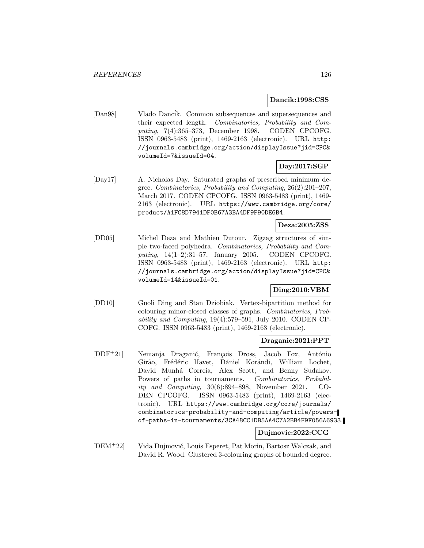#### **Dancik:1998:CSS**

[Dan98] Vlado Dancik. Common subsequences and supersequences and their expected length. Combinatorics, Probability and Computing, 7(4):365–373, December 1998. CODEN CPCOFG. ISSN 0963-5483 (print), 1469-2163 (electronic). URL http: //journals.cambridge.org/action/displayIssue?jid=CPC& volumeId=7&issueId=04.

# **Day:2017:SGP**

[Day17] A. Nicholas Day. Saturated graphs of prescribed minimum degree. Combinatorics, Probability and Computing, 26(2):201–207, March 2017. CODEN CPCOFG. ISSN 0963-5483 (print), 1469- 2163 (electronic). URL https://www.cambridge.org/core/ product/A1FC8D7941DF0B67A3BA4DF9F90DE6B4.

### **Deza:2005:ZSS**

[DD05] Michel Deza and Mathieu Dutour. Zigzag structures of simple two-faced polyhedra. Combinatorics, Probability and Computing, 14(1–2):31–57, January 2005. CODEN CPCOFG. ISSN 0963-5483 (print), 1469-2163 (electronic). URL http: //journals.cambridge.org/action/displayIssue?jid=CPC& volumeId=14&issueId=01.

# **Ding:2010:VBM**

[DD10] Guoli Ding and Stan Dziobiak. Vertex-bipartition method for colouring minor-closed classes of graphs. Combinatorics, Probability and Computing, 19(4):579–591, July 2010. CODEN CP-COFG. ISSN 0963-5483 (print), 1469-2163 (electronic).

#### **Draganic:2021:PPT**

[DDF<sup>+</sup>21] Nemanja Draganić, François Dross, Jacob Fox, António Girão, Frédéric Havet, Dániel Korándi, William Lochet, David Munhá Correia, Alex Scott, and Benny Sudakov. Powers of paths in tournaments. Combinatorics, Probability and Computing, 30(6):894–898, November 2021. CO-DEN CPCOFG. ISSN 0963-5483 (print), 1469-2163 (electronic). URL https://www.cambridge.org/core/journals/ combinatorics-probability-and-computing/article/powersof-paths-in-tournaments/3CA48CC1DB5AA4C7A2BB4F9F056A6933.

### **Dujmovic:2022:CCG**

[DEM<sup>+</sup>22] Vida Dujmović, Louis Esperet, Pat Morin, Bartosz Walczak, and David R. Wood. Clustered 3-colouring graphs of bounded degree.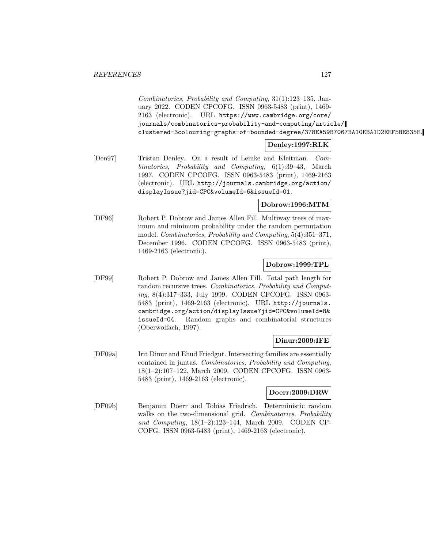Combinatorics, Probability and Computing, 31(1):123–135, January 2022. CODEN CPCOFG. ISSN 0963-5483 (print), 1469- 2163 (electronic). URL https://www.cambridge.org/core/ journals/combinatorics-probability-and-computing/article/ clustered-3colouring-graphs-of-bounded-degree/378EA59B7067BA10EBA1D2EEF5BE835E.

# **Denley:1997:RLK**

[Den97] Tristan Denley. On a result of Lemke and Kleitman. Combinatorics, Probability and Computing, 6(1):39–43, March 1997. CODEN CPCOFG. ISSN 0963-5483 (print), 1469-2163 (electronic). URL http://journals.cambridge.org/action/ displayIssue?jid=CPC&volumeId=6&issueId=01.

# **Dobrow:1996:MTM**

[DF96] Robert P. Dobrow and James Allen Fill. Multiway trees of maximum and minimum probability under the random permutation model. Combinatorics, Probability and Computing, 5(4):351–371, December 1996. CODEN CPCOFG. ISSN 0963-5483 (print), 1469-2163 (electronic).

# **Dobrow:1999:TPL**

[DF99] Robert P. Dobrow and James Allen Fill. Total path length for random recursive trees. Combinatorics, Probability and Computing, 8(4):317–333, July 1999. CODEN CPCOFG. ISSN 0963- 5483 (print), 1469-2163 (electronic). URL http://journals. cambridge.org/action/displayIssue?jid=CPC&volumeId=8& issueId=04. Random graphs and combinatorial structures (Oberwolfach, 1997).

### **Dinur:2009:IFE**

[DF09a] Irit Dinur and Ehud Friedgut. Intersecting families are essentially contained in juntas. Combinatorics, Probability and Computing, 18(1–2):107–122, March 2009. CODEN CPCOFG. ISSN 0963- 5483 (print), 1469-2163 (electronic).

### **Doerr:2009:DRW**

[DF09b] Benjamin Doerr and Tobias Friedrich. Deterministic random walks on the two-dimensional grid. Combinatorics, Probability and Computing, 18(1–2):123–144, March 2009. CODEN CP-COFG. ISSN 0963-5483 (print), 1469-2163 (electronic).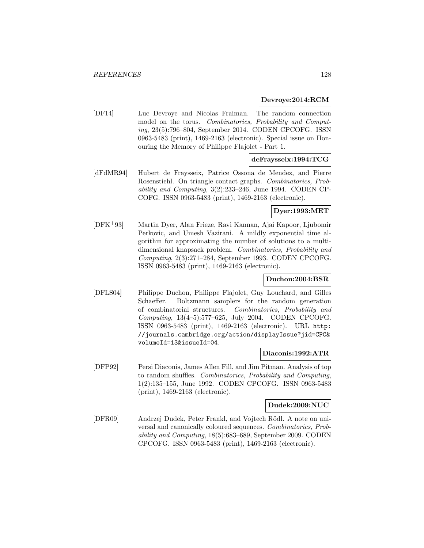#### **Devroye:2014:RCM**

[DF14] Luc Devroye and Nicolas Fraiman. The random connection model on the torus. Combinatorics, Probability and Computing, 23(5):796–804, September 2014. CODEN CPCOFG. ISSN 0963-5483 (print), 1469-2163 (electronic). Special issue on Honouring the Memory of Philippe Flajolet - Part 1.

## **deFraysseix:1994:TCG**

[dFdMR94] Hubert de Fraysseix, Patrice Ossona de Mendez, and Pierre Rosenstiehl. On triangle contact graphs. Combinatorics, Probability and Computing, 3(2):233–246, June 1994. CODEN CP-COFG. ISSN 0963-5483 (print), 1469-2163 (electronic).

## **Dyer:1993:MET**

[DFK<sup>+</sup>93] Martin Dyer, Alan Frieze, Ravi Kannan, Ajai Kapoor, Ljubomir Perkovic, and Umesh Vazirani. A mildly exponential time algorithm for approximating the number of solutions to a multidimensional knapsack problem. Combinatorics, Probability and Computing, 2(3):271–284, September 1993. CODEN CPCOFG. ISSN 0963-5483 (print), 1469-2163 (electronic).

### **Duchon:2004:BSR**

[DFLS04] Philippe Duchon, Philippe Flajolet, Guy Louchard, and Gilles Schaeffer. Boltzmann samplers for the random generation of combinatorial structures. Combinatorics, Probability and Computing, 13(4–5):577–625, July 2004. CODEN CPCOFG. ISSN 0963-5483 (print), 1469-2163 (electronic). URL http: //journals.cambridge.org/action/displayIssue?jid=CPC& volumeId=13&issueId=04.

## **Diaconis:1992:ATR**

[DFP92] Persi Diaconis, James Allen Fill, and Jim Pitman. Analysis of top to random shuffles. Combinatorics, Probability and Computing, 1(2):135–155, June 1992. CODEN CPCOFG. ISSN 0963-5483 (print), 1469-2163 (electronic).

#### **Dudek:2009:NUC**

[DFR09] Andrzej Dudek, Peter Frankl, and Vojtech Rödl. A note on universal and canonically coloured sequences. Combinatorics, Probability and Computing, 18(5):683–689, September 2009. CODEN CPCOFG. ISSN 0963-5483 (print), 1469-2163 (electronic).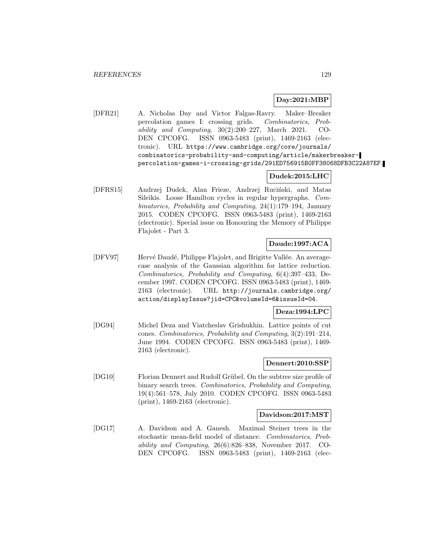# **Day:2021:MBP**

[DFR21] A. Nicholas Day and Victor Falgas-Ravry. Maker–Breaker percolation games I: crossing grids. Combinatorics, Probability and Computing,  $30(2):200-227$ , March 2021. CO-DEN CPCOFG. ISSN 0963-5483 (print), 1469-2163 (electronic). URL https://www.cambridge.org/core/journals/ combinatorics-probability-and-computing/article/makerbreakerpercolation-games-i-crossing-grids/291ED756915B0FF38068DFB3C22A87EF.

# **Dudek:2015:LHC**

[DFRS15] Andrzej Dudek, Alan Frieze, Andrzej Ruciński, and Matas Sileikis. Loose Hamilton cycles in regular hypergraphs. Combinatorics, Probability and Computing, 24(1):179–194, January 2015. CODEN CPCOFG. ISSN 0963-5483 (print), 1469-2163 (electronic). Special issue on Honouring the Memory of Philippe Flajolet - Part 3.

# **Daude:1997:ACA**

[DFV97] Hervé Daudé, Philippe Flajolet, and Brigitte Vallée. An averagecase analysis of the Gaussian algorithm for lattice reduction. Combinatorics, Probability and Computing, 6(4):397–433, December 1997. CODEN CPCOFG. ISSN 0963-5483 (print), 1469- 2163 (electronic). URL http://journals.cambridge.org/ action/displayIssue?jid=CPC&volumeId=6&issueId=04.

### **Deza:1994:LPC**

[DG94] Michel Deza and Viatcheslav Grishukhin. Lattice points of cut cones. Combinatorics, Probability and Computing, 3(2):191–214, June 1994. CODEN CPCOFG. ISSN 0963-5483 (print), 1469- 2163 (electronic).

#### **Dennert:2010:SSP**

[DG10] Florian Dennert and Rudolf Grübel. On the subtree size profile of binary search trees. Combinatorics, Probability and Computing, 19(4):561–578, July 2010. CODEN CPCOFG. ISSN 0963-5483 (print), 1469-2163 (electronic).

### **Davidson:2017:MST**

[DG17] A. Davidson and A. Ganesh. Maximal Steiner trees in the stochastic mean-field model of distance. Combinatorics, Probability and Computing, 26(6):826–838, November 2017. CO-DEN CPCOFG. ISSN 0963-5483 (print), 1469-2163 (elec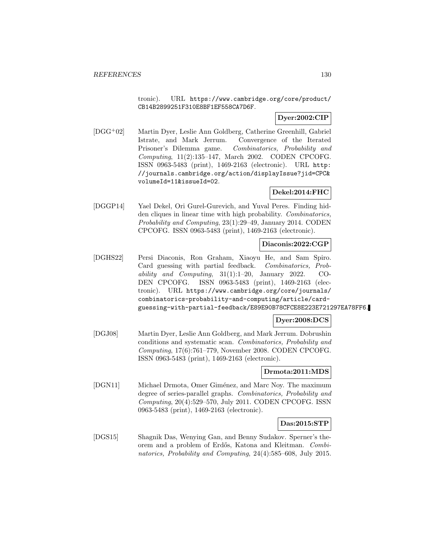tronic). URL https://www.cambridge.org/core/product/ CB14B2899251F310E8BF1EF558CA7D6F.

# **Dyer:2002:CIP**

[DGG<sup>+</sup>02] Martin Dyer, Leslie Ann Goldberg, Catherine Greenhill, Gabriel Istrate, and Mark Jerrum. Convergence of the Iterated Prisoner's Dilemma game. Combinatorics, Probability and Computing, 11(2):135–147, March 2002. CODEN CPCOFG. ISSN 0963-5483 (print), 1469-2163 (electronic). URL http: //journals.cambridge.org/action/displayIssue?jid=CPC& volumeId=11&issueId=02.

# **Dekel:2014:FHC**

[DGGP14] Yael Dekel, Ori Gurel-Gurevich, and Yuval Peres. Finding hidden cliques in linear time with high probability. Combinatorics, Probability and Computing, 23(1):29–49, January 2014. CODEN CPCOFG. ISSN 0963-5483 (print), 1469-2163 (electronic).

### **Diaconis:2022:CGP**

[DGHS22] Persi Diaconis, Ron Graham, Xiaoyu He, and Sam Spiro. Card guessing with partial feedback. Combinatorics, Probability and Computing, 31(1):1–20, January 2022. CO-DEN CPCOFG. ISSN 0963-5483 (print), 1469-2163 (electronic). URL https://www.cambridge.org/core/journals/ combinatorics-probability-and-computing/article/cardguessing-with-partial-feedback/E89E90B78CFCE8E223E721297EA78FF6.

## **Dyer:2008:DCS**

[DGJ08] Martin Dyer, Leslie Ann Goldberg, and Mark Jerrum. Dobrushin conditions and systematic scan. Combinatorics, Probability and Computing, 17(6):761–779, November 2008. CODEN CPCOFG. ISSN 0963-5483 (print), 1469-2163 (electronic).

### **Drmota:2011:MDS**

[DGN11] Michael Drmota, Omer Giménez, and Marc Noy. The maximum degree of series-parallel graphs. Combinatorics, Probability and Computing, 20(4):529–570, July 2011. CODEN CPCOFG. ISSN 0963-5483 (print), 1469-2163 (electronic).

# **Das:2015:STP**

[DGS15] Shagnik Das, Wenying Gan, and Benny Sudakov. Sperner's theorem and a problem of Erd˝os, Katona and Kleitman. Combinatorics, Probability and Computing, 24(4):585–608, July 2015.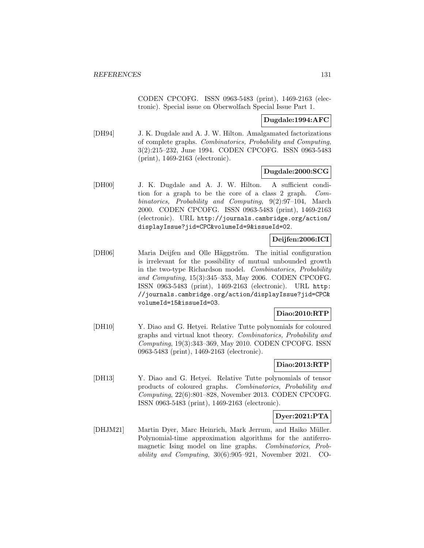CODEN CPCOFG. ISSN 0963-5483 (print), 1469-2163 (electronic). Special issue on Oberwolfach Special Issue Part 1.

### **Dugdale:1994:AFC**

[DH94] J. K. Dugdale and A. J. W. Hilton. Amalgamated factorizations of complete graphs. Combinatorics, Probability and Computing, 3(2):215–232, June 1994. CODEN CPCOFG. ISSN 0963-5483 (print), 1469-2163 (electronic).

## **Dugdale:2000:SCG**

[DH00] J. K. Dugdale and A. J. W. Hilton. A sufficient condition for a graph to be the core of a class 2 graph. Combinatorics, Probability and Computing, 9(2):97–104, March 2000. CODEN CPCOFG. ISSN 0963-5483 (print), 1469-2163 (electronic). URL http://journals.cambridge.org/action/ displayIssue?jid=CPC&volumeId=9&issueId=02.

# **Deijfen:2006:ICI**

[DH06] Maria Deijfen and Olle Häggström. The initial configuration is irrelevant for the possibility of mutual unbounded growth in the two-type Richardson model. Combinatorics, Probability and Computing, 15(3):345–353, May 2006. CODEN CPCOFG. ISSN 0963-5483 (print), 1469-2163 (electronic). URL http: //journals.cambridge.org/action/displayIssue?jid=CPC& volumeId=15&issueId=03.

### **Diao:2010:RTP**

[DH10] Y. Diao and G. Hetyei. Relative Tutte polynomials for coloured graphs and virtual knot theory. Combinatorics, Probability and Computing, 19(3):343–369, May 2010. CODEN CPCOFG. ISSN 0963-5483 (print), 1469-2163 (electronic).

### **Diao:2013:RTP**

[DH13] Y. Diao and G. Hetyei. Relative Tutte polynomials of tensor products of coloured graphs. Combinatorics, Probability and Computing, 22(6):801–828, November 2013. CODEN CPCOFG. ISSN 0963-5483 (print), 1469-2163 (electronic).

# **Dyer:2021:PTA**

[DHJM21] Martin Dyer, Marc Heinrich, Mark Jerrum, and Haiko Müller. Polynomial-time approximation algorithms for the antiferromagnetic Ising model on line graphs. Combinatorics, Probability and Computing, 30(6):905–921, November 2021. CO-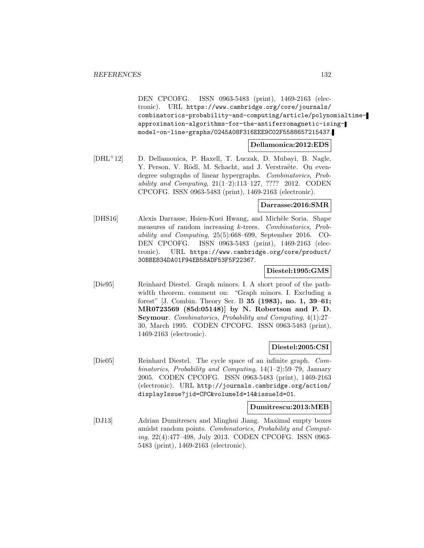DEN CPCOFG. ISSN 0963-5483 (print), 1469-2163 (electronic). URL https://www.cambridge.org/core/journals/ combinatorics-probability-and-computing/article/polynomialtimeapproximation-algorithms-for-the-antiferromagnetic-isingmodel-on-line-graphs/0245A08F316EEE9C02F5588657215437.

### **Dellamonica:2012:EDS**

[DHL<sup>+</sup>12] D. Dellamonica, P. Haxell, T. Luczak, D. Mubayi, B. Nagle, Y. Person, V. Rödl, M. Schacht, and J. Verstraëte. On evendegree subgraphs of linear hypergraphs. Combinatorics, Probability and Computing,  $21(1-2):113-127$ , ???? 2012. CODEN CPCOFG. ISSN 0963-5483 (print), 1469-2163 (electronic).

### **Darrasse:2016:SMR**

[DHS16] Alexis Darrasse, Hsien-Kuei Hwang, and Mich`ele Soria. Shape measures of random increasing k-trees. Combinatorics, Probability and Computing, 25(5):668–699, September 2016. CO-DEN CPCOFG. ISSN 0963-5483 (print), 1469-2163 (electronic). URL https://www.cambridge.org/core/product/ 30BBE834DA01F94EB58ADF53F5F22367.

#### **Diestel:1995:GMS**

[Die95] Reinhard Diestel. Graph minors. I. A short proof of the pathwidth theorem. comment on: "Graph minors. I. Excluding a forest" [J. Combin. Theory Ser. B **35 (1983), no. 1, 39–61; MR0723569 (85d:05148)] by N. Robertson and P. D. Seymour**. Combinatorics, Probability and Computing, 4(1):27– 30, March 1995. CODEN CPCOFG. ISSN 0963-5483 (print), 1469-2163 (electronic).

### **Diestel:2005:CSI**

[Die05] Reinhard Diestel. The cycle space of an infinite graph. Combinatorics, Probability and Computing, 14(1–2):59–79, January 2005. CODEN CPCOFG. ISSN 0963-5483 (print), 1469-2163 (electronic). URL http://journals.cambridge.org/action/ displayIssue?jid=CPC&volumeId=14&issueId=01.

#### **Dumitrescu:2013:MEB**

[DJ13] Adrian Dumitrescu and Minghui Jiang. Maximal empty boxes amidst random points. Combinatorics, Probability and Computing, 22(4):477–498, July 2013. CODEN CPCOFG. ISSN 0963- 5483 (print), 1469-2163 (electronic).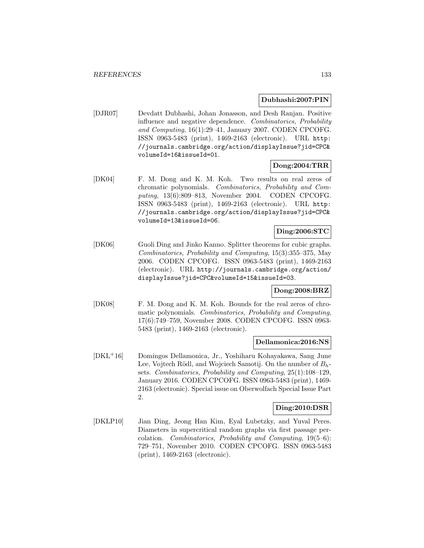### **Dubhashi:2007:PIN**

[DJR07] Devdatt Dubhashi, Johan Jonasson, and Desh Ranjan. Positive influence and negative dependence. Combinatorics, Probability and Computing, 16(1):29–41, January 2007. CODEN CPCOFG. ISSN 0963-5483 (print), 1469-2163 (electronic). URL http: //journals.cambridge.org/action/displayIssue?jid=CPC& volumeId=16&issueId=01.

# **Dong:2004:TRR**

[DK04] F. M. Dong and K. M. Koh. Two results on real zeros of chromatic polynomials. Combinatorics, Probability and Computing, 13(6):809–813, November 2004. CODEN CPCOFG. ISSN 0963-5483 (print), 1469-2163 (electronic). URL http: //journals.cambridge.org/action/displayIssue?jid=CPC& volumeId=13&issueId=06.

## **Ding:2006:STC**

[DK06] Guoli Ding and Jinko Kanno. Splitter theorems for cubic graphs. Combinatorics, Probability and Computing, 15(3):355–375, May 2006. CODEN CPCOFG. ISSN 0963-5483 (print), 1469-2163 (electronic). URL http://journals.cambridge.org/action/ displayIssue?jid=CPC&volumeId=15&issueId=03.

# **Dong:2008:BRZ**

[DK08] F. M. Dong and K. M. Koh. Bounds for the real zeros of chromatic polynomials. Combinatorics, Probability and Computing, 17(6):749–759, November 2008. CODEN CPCOFG. ISSN 0963- 5483 (print), 1469-2163 (electronic).

#### **Dellamonica:2016:NS**

[DKL<sup>+</sup>16] Domingos Dellamonica, Jr., Yoshiharu Kohayakawa, Sang June Lee, Vojtech Rödl, and Wojciech Samotij. On the number of  $B_h$ sets. Combinatorics, Probability and Computing, 25(1):108–129, January 2016. CODEN CPCOFG. ISSN 0963-5483 (print), 1469- 2163 (electronic). Special issue on Oberwolfach Special Issue Part 2.

#### **Ding:2010:DSR**

[DKLP10] Jian Ding, Jeong Han Kim, Eyal Lubetzky, and Yuval Peres. Diameters in supercritical random graphs via first passage percolation. Combinatorics, Probability and Computing, 19(5–6): 729–751, November 2010. CODEN CPCOFG. ISSN 0963-5483 (print), 1469-2163 (electronic).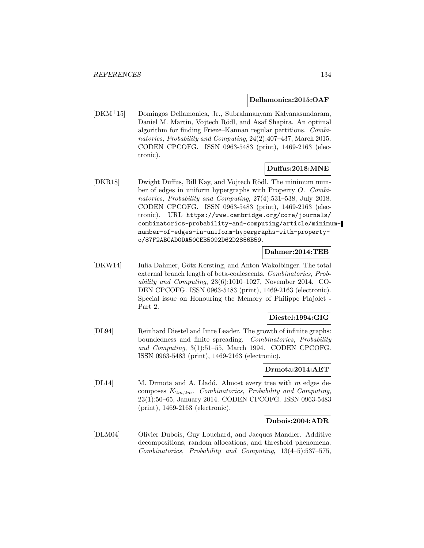#### **Dellamonica:2015:OAF**

[DKM<sup>+</sup>15] Domingos Dellamonica, Jr., Subrahmanyam Kalyanasundaram, Daniel M. Martin, Vojtech Rödl, and Asaf Shapira. An optimal algorithm for finding Frieze–Kannan regular partitions. Combinatorics, Probability and Computing, 24(2):407–437, March 2015. CODEN CPCOFG. ISSN 0963-5483 (print), 1469-2163 (electronic).

#### **Duffus:2018:MNE**

[DKR18] Dwight Duffus, Bill Kay, and Vojtech Rödl. The minimum number of edges in uniform hypergraphs with Property O. Combinatorics, Probability and Computing, 27(4):531–538, July 2018. CODEN CPCOFG. ISSN 0963-5483 (print), 1469-2163 (electronic). URL https://www.cambridge.org/core/journals/ combinatorics-probability-and-computing/article/minimumnumber-of-edges-in-uniform-hypergraphs-with-propertyo/87F2ABCAD0DA50CEB5092D62D2856B59.

# **Dahmer:2014:TEB**

[DKW14] Iulia Dahmer, Götz Kersting, and Anton Wakolbinger. The total external branch length of beta-coalescents. Combinatorics, Probability and Computing, 23(6):1010–1027, November 2014. CO-DEN CPCOFG. ISSN 0963-5483 (print), 1469-2163 (electronic). Special issue on Honouring the Memory of Philippe Flajolet - Part 2.

# **Diestel:1994:GIG**

[DL94] Reinhard Diestel and Imre Leader. The growth of infinite graphs: boundedness and finite spreading. Combinatorics, Probability and Computing, 3(1):51–55, March 1994. CODEN CPCOFG. ISSN 0963-5483 (print), 1469-2163 (electronic).

### **Drmota:2014:AET**

[DL14] M. Drmota and A. Lladó. Almost every tree with  $m$  edges decomposes  $K_{2m,2m}$ . Combinatorics, Probability and Computing, 23(1):50–65, January 2014. CODEN CPCOFG. ISSN 0963-5483 (print), 1469-2163 (electronic).

#### **Dubois:2004:ADR**

[DLM04] Olivier Dubois, Guy Louchard, and Jacques Mandler. Additive decompositions, random allocations, and threshold phenomena. Combinatorics, Probability and Computing, 13(4–5):537–575,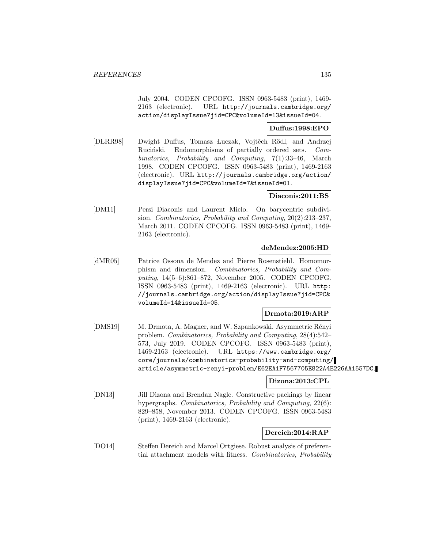July 2004. CODEN CPCOFG. ISSN 0963-5483 (print), 1469- 2163 (electronic). URL http://journals.cambridge.org/ action/displayIssue?jid=CPC&volumeId=13&issueId=04.

### **Duffus:1998:EPO**

[DLRR98] Dwight Duffus, Tomasz Luczak, Vojtěch Rödl, and Andrzej Ruciński. Endomorphisms of partially ordered sets. Combinatorics, Probability and Computing, 7(1):33–46, March 1998. CODEN CPCOFG. ISSN 0963-5483 (print), 1469-2163 (electronic). URL http://journals.cambridge.org/action/ displayIssue?jid=CPC&volumeId=7&issueId=01.

### **Diaconis:2011:BS**

[DM11] Persi Diaconis and Laurent Miclo. On barycentric subdivision. Combinatorics, Probability and Computing, 20(2):213–237, March 2011. CODEN CPCOFG. ISSN 0963-5483 (print), 1469- 2163 (electronic).

### **deMendez:2005:HD**

[dMR05] Patrice Ossona de Mendez and Pierre Rosenstiehl. Homomorphism and dimension. Combinatorics, Probability and Computing, 14(5–6):861–872, November 2005. CODEN CPCOFG. ISSN 0963-5483 (print), 1469-2163 (electronic). URL http: //journals.cambridge.org/action/displayIssue?jid=CPC& volumeId=14&issueId=05.

### **Drmota:2019:ARP**

[DMS19] M. Drmota, A. Magner, and W. Szpankowski. Asymmetric Rényi problem. Combinatorics, Probability and Computing, 28(4):542– 573, July 2019. CODEN CPCOFG. ISSN 0963-5483 (print), 1469-2163 (electronic). URL https://www.cambridge.org/ core/journals/combinatorics-probability-and-computing/ article/asymmetric-renyi-problem/E62EA1F7567705E822A4E226AA1557DC.

# **Dizona:2013:CPL**

[DN13] Jill Dizona and Brendan Nagle. Constructive packings by linear hypergraphs. *Combinatorics, Probability and Computing*, 22(6): 829–858, November 2013. CODEN CPCOFG. ISSN 0963-5483 (print), 1469-2163 (electronic).

### **Dereich:2014:RAP**

[DO14] Steffen Dereich and Marcel Ortgiese. Robust analysis of preferential attachment models with fitness. Combinatorics, Probability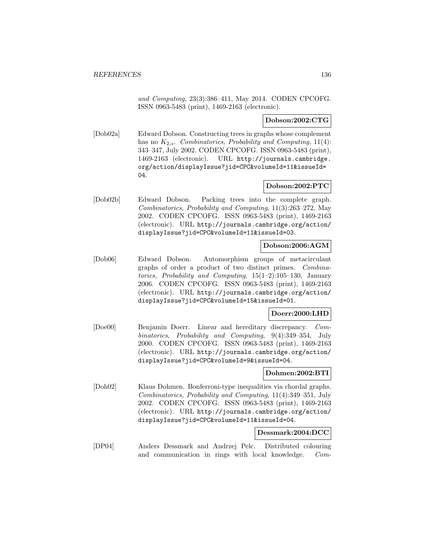and Computing, 23(3):386–411, May 2014. CODEN CPCOFG. ISSN 0963-5483 (print), 1469-2163 (electronic).

**Dobson:2002:CTG**

[Dob02a] Edward Dobson. Constructing trees in graphs whose complement has no  $K_{2,s}$ . Combinatorics, Probability and Computing, 11(4): 343–347, July 2002. CODEN CPCOFG. ISSN 0963-5483 (print), 1469-2163 (electronic). URL http://journals.cambridge. org/action/displayIssue?jid=CPC&volumeId=11&issueId= 04.

### **Dobson:2002:PTC**

[Dob02b] Edward Dobson. Packing trees into the complete graph. Combinatorics, Probability and Computing, 11(3):263–272, May 2002. CODEN CPCOFG. ISSN 0963-5483 (print), 1469-2163 (electronic). URL http://journals.cambridge.org/action/ displayIssue?jid=CPC&volumeId=11&issueId=03.

### **Dobson:2006:AGM**

[Dob06] Edward Dobson. Automorphism groups of metacirculant graphs of order a product of two distinct primes. Combinatorics, Probability and Computing, 15(1–2):105–130, January 2006. CODEN CPCOFG. ISSN 0963-5483 (print), 1469-2163 (electronic). URL http://journals.cambridge.org/action/ displayIssue?jid=CPC&volumeId=15&issueId=01.

### **Doerr:2000:LHD**

[Doe00] Benjamin Doerr. Linear and hereditary discrepancy. Combinatorics, Probability and Computing, 9(4):349–354, July 2000. CODEN CPCOFG. ISSN 0963-5483 (print), 1469-2163 (electronic). URL http://journals.cambridge.org/action/ displayIssue?jid=CPC&volumeId=9&issueId=04.

#### **Dohmen:2002:BTI**

[Doh02] Klaus Dohmen. Bonferroni-type inequalities via chordal graphs. Combinatorics, Probability and Computing, 11(4):349–351, July 2002. CODEN CPCOFG. ISSN 0963-5483 (print), 1469-2163 (electronic). URL http://journals.cambridge.org/action/ displayIssue?jid=CPC&volumeId=11&issueId=04.

#### **Dessmark:2004:DCC**

[DP04] Anders Dessmark and Andrzej Pelc. Distributed colouring and communication in rings with local knowledge. Com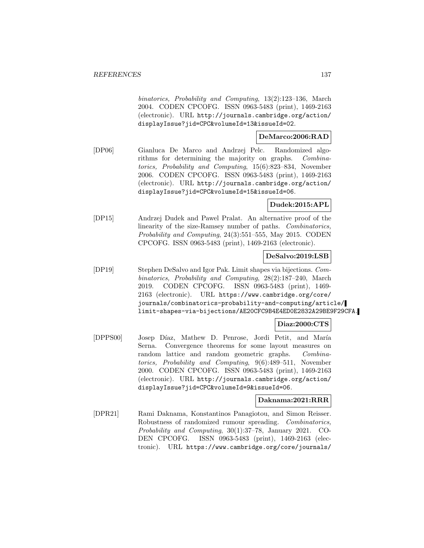binatorics, Probability and Computing, 13(2):123–136, March 2004. CODEN CPCOFG. ISSN 0963-5483 (print), 1469-2163 (electronic). URL http://journals.cambridge.org/action/ displayIssue?jid=CPC&volumeId=13&issueId=02.

## **DeMarco:2006:RAD**

[DP06] Gianluca De Marco and Andrzej Pelc. Randomized algorithms for determining the majority on graphs. Combinatorics, Probability and Computing, 15(6):823–834, November 2006. CODEN CPCOFG. ISSN 0963-5483 (print), 1469-2163 (electronic). URL http://journals.cambridge.org/action/ displayIssue?jid=CPC&volumeId=15&issueId=06.

# **Dudek:2015:APL**

[DP15] Andrzej Dudek and Pawel Pralat. An alternative proof of the linearity of the size-Ramsey number of paths. Combinatorics, Probability and Computing, 24(3):551–555, May 2015. CODEN CPCOFG. ISSN 0963-5483 (print), 1469-2163 (electronic).

## **DeSalvo:2019:LSB**

[DP19] Stephen DeSalvo and Igor Pak. Limit shapes via bijections. Combinatorics, Probability and Computing, 28(2):187–240, March 2019. CODEN CPCOFG. ISSN 0963-5483 (print), 1469- 2163 (electronic). URL https://www.cambridge.org/core/ journals/combinatorics-probability-and-computing/article/ limit-shapes-via-bijections/AE20CFC9B4E4ED0E2832A29BE9F29CFA.

### **Diaz:2000:CTS**

[DPPS00] Josep Díaz, Mathew D. Penrose, Jordi Petit, and María Serna. Convergence theorems for some layout measures on random lattice and random geometric graphs. Combinatorics, Probability and Computing, 9(6):489–511, November 2000. CODEN CPCOFG. ISSN 0963-5483 (print), 1469-2163 (electronic). URL http://journals.cambridge.org/action/ displayIssue?jid=CPC&volumeId=9&issueId=06.

# **Daknama:2021:RRR**

[DPR21] Rami Daknama, Konstantinos Panagiotou, and Simon Reisser. Robustness of randomized rumour spreading. Combinatorics, Probability and Computing, 30(1):37–78, January 2021. CO-DEN CPCOFG. ISSN 0963-5483 (print), 1469-2163 (electronic). URL https://www.cambridge.org/core/journals/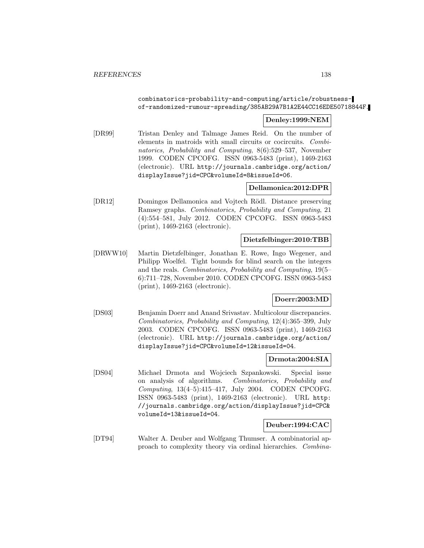## combinatorics-probability-and-computing/article/robustnessof-randomized-rumour-spreading/385AB29A7B1A2E44CC16EDE50718844F.

## **Denley:1999:NEM**

[DR99] Tristan Denley and Talmage James Reid. On the number of elements in matroids with small circuits or cocircuits. Combinatorics, Probability and Computing, 8(6):529–537, November 1999. CODEN CPCOFG. ISSN 0963-5483 (print), 1469-2163 (electronic). URL http://journals.cambridge.org/action/ displayIssue?jid=CPC&volumeId=8&issueId=06.

### **Dellamonica:2012:DPR**

[DR12] Domingos Dellamonica and Vojtech Rödl. Distance preserving Ramsey graphs. Combinatorics, Probability and Computing, 21 (4):554–581, July 2012. CODEN CPCOFG. ISSN 0963-5483 (print), 1469-2163 (electronic).

# **Dietzfelbinger:2010:TBB**

[DRWW10] Martin Dietzfelbinger, Jonathan E. Rowe, Ingo Wegener, and Philipp Woelfel. Tight bounds for blind search on the integers and the reals. Combinatorics, Probability and Computing, 19(5– 6):711–728, November 2010. CODEN CPCOFG. ISSN 0963-5483 (print), 1469-2163 (electronic).

### **Doerr:2003:MD**

[DS03] Benjamin Doerr and Anand Srivastav. Multicolour discrepancies. Combinatorics, Probability and Computing, 12(4):365–399, July 2003. CODEN CPCOFG. ISSN 0963-5483 (print), 1469-2163 (electronic). URL http://journals.cambridge.org/action/ displayIssue?jid=CPC&volumeId=12&issueId=04.

#### **Drmota:2004:SIA**

[DS04] Michael Drmota and Wojciech Szpankowski. Special issue on analysis of algorithms. Combinatorics, Probability and Computing, 13(4–5):415–417, July 2004. CODEN CPCOFG. ISSN 0963-5483 (print), 1469-2163 (electronic). URL http: //journals.cambridge.org/action/displayIssue?jid=CPC& volumeId=13&issueId=04.

### **Deuber:1994:CAC**

[DT94] Walter A. Deuber and Wolfgang Thumser. A combinatorial approach to complexity theory via ordinal hierarchies. Combina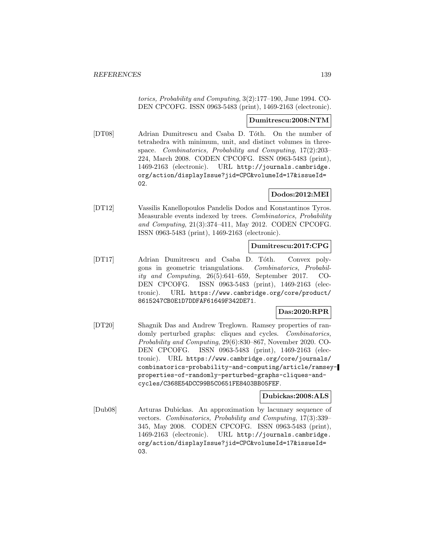torics, Probability and Computing, 3(2):177–190, June 1994. CO-DEN CPCOFG. ISSN 0963-5483 (print), 1469-2163 (electronic).

#### **Dumitrescu:2008:NTM**

[DT08] Adrian Dumitrescu and Csaba D. Tóth. On the number of tetrahedra with minimum, unit, and distinct volumes in threespace. Combinatorics, Probability and Computing, 17(2):203– 224, March 2008. CODEN CPCOFG. ISSN 0963-5483 (print), 1469-2163 (electronic). URL http://journals.cambridge. org/action/displayIssue?jid=CPC&volumeId=17&issueId= 02.

# **Dodos:2012:MEI**

[DT12] Vassilis Kanellopoulos Pandelis Dodos and Konstantinos Tyros. Measurable events indexed by trees. Combinatorics, Probability and Computing, 21(3):374–411, May 2012. CODEN CPCOFG. ISSN 0963-5483 (print), 1469-2163 (electronic).

### **Dumitrescu:2017:CPG**

[DT17] Adrian Dumitrescu and Csaba D. Tóth. Convex polygons in geometric triangulations. Combinatorics, Probability and Computing, 26(5):641–659, September 2017. CO-DEN CPCOFG. ISSN 0963-5483 (print), 1469-2163 (electronic). URL https://www.cambridge.org/core/product/ 8615247CB0E1D7DDFAF61649F342DE71.

# **Das:2020:RPR**

[DT20] Shagnik Das and Andrew Treglown. Ramsey properties of randomly perturbed graphs: cliques and cycles. *Combinatorics*, Probability and Computing, 29(6):830–867, November 2020. CO-DEN CPCOFG. ISSN 0963-5483 (print), 1469-2163 (electronic). URL https://www.cambridge.org/core/journals/ combinatorics-probability-and-computing/article/ramseyproperties-of-randomly-perturbed-graphs-cliques-andcycles/C368E54DCC99B5C0651FE8403BB05FEF.

### **Dubickas:2008:ALS**

[Dub08] Arturas Dubickas. An approximation by lacunary sequence of vectors. Combinatorics, Probability and Computing, 17(3):339– 345, May 2008. CODEN CPCOFG. ISSN 0963-5483 (print), 1469-2163 (electronic). URL http://journals.cambridge. org/action/displayIssue?jid=CPC&volumeId=17&issueId= 03.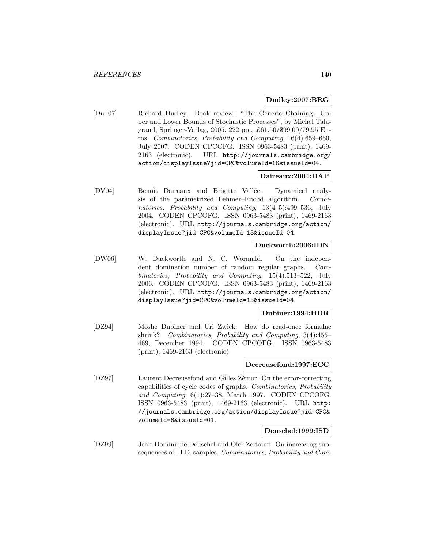#### **Dudley:2007:BRG**

[Dud07] Richard Dudley. Book review: "The Generic Chaining: Upper and Lower Bounds of Stochastic Processes", by Michel Talagrand, Springer-Verlag, 2005, 222 pp., £61.50/\$99.00/79.95 Euros. Combinatorics, Probability and Computing, 16(4):659–660, July 2007. CODEN CPCOFG. ISSN 0963-5483 (print), 1469- 2163 (electronic). URL http://journals.cambridge.org/ action/displayIssue?jid=CPC&volumeId=16&issueId=04.

#### **Daireaux:2004:DAP**

[DV04] Benoît Daireaux and Brigitte Vallée. Dynamical analysis of the parametrized Lehmer–Euclid algorithm. Combinatorics, Probability and Computing, 13(4–5):499–536, July 2004. CODEN CPCOFG. ISSN 0963-5483 (print), 1469-2163 (electronic). URL http://journals.cambridge.org/action/ displayIssue?jid=CPC&volumeId=13&issueId=04.

#### **Duckworth:2006:IDN**

[DW06] W. Duckworth and N. C. Wormald. On the independent domination number of random regular graphs. Combinatorics, Probability and Computing, 15(4):513–522, July 2006. CODEN CPCOFG. ISSN 0963-5483 (print), 1469-2163 (electronic). URL http://journals.cambridge.org/action/ displayIssue?jid=CPC&volumeId=15&issueId=04.

#### **Dubiner:1994:HDR**

[DZ94] Moshe Dubiner and Uri Zwick. How do read-once formulae shrink? Combinatorics, Probability and Computing, 3(4):455– 469, December 1994. CODEN CPCOFG. ISSN 0963-5483 (print), 1469-2163 (electronic).

#### **Decreusefond:1997:ECC**

[DZ97] Laurent Decreusefond and Gilles Zémor. On the error-correcting capabilities of cycle codes of graphs. Combinatorics, Probability and Computing, 6(1):27–38, March 1997. CODEN CPCOFG. ISSN 0963-5483 (print), 1469-2163 (electronic). URL http: //journals.cambridge.org/action/displayIssue?jid=CPC& volumeId=6&issueId=01.

#### **Deuschel:1999:ISD**

[DZ99] Jean-Dominique Deuschel and Ofer Zeitouni. On increasing subsequences of I.I.D. samples. Combinatorics, Probability and Com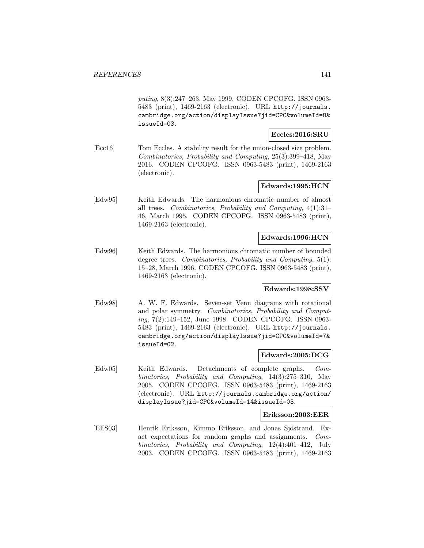puting, 8(3):247–263, May 1999. CODEN CPCOFG. ISSN 0963- 5483 (print), 1469-2163 (electronic). URL http://journals. cambridge.org/action/displayIssue?jid=CPC&volumeId=8& issueId=03.

**Eccles:2016:SRU**

[Ecc16] Tom Eccles. A stability result for the union-closed size problem. Combinatorics, Probability and Computing, 25(3):399–418, May 2016. CODEN CPCOFG. ISSN 0963-5483 (print), 1469-2163 (electronic).

# **Edwards:1995:HCN**

[Edw95] Keith Edwards. The harmonious chromatic number of almost all trees. Combinatorics, Probability and Computing, 4(1):31– 46, March 1995. CODEN CPCOFG. ISSN 0963-5483 (print), 1469-2163 (electronic).

### **Edwards:1996:HCN**

[Edw96] Keith Edwards. The harmonious chromatic number of bounded degree trees. Combinatorics, Probability and Computing, 5(1): 15–28, March 1996. CODEN CPCOFG. ISSN 0963-5483 (print), 1469-2163 (electronic).

#### **Edwards:1998:SSV**

[Edw98] A. W. F. Edwards. Seven-set Venn diagrams with rotational and polar symmetry. Combinatorics, Probability and Computing, 7(2):149–152, June 1998. CODEN CPCOFG. ISSN 0963- 5483 (print), 1469-2163 (electronic). URL http://journals. cambridge.org/action/displayIssue?jid=CPC&volumeId=7& issueId=02.

#### **Edwards:2005:DCG**

[Edw05] Keith Edwards. Detachments of complete graphs. Combinatorics, Probability and Computing, 14(3):275–310, May 2005. CODEN CPCOFG. ISSN 0963-5483 (print), 1469-2163 (electronic). URL http://journals.cambridge.org/action/ displayIssue?jid=CPC&volumeId=14&issueId=03.

#### **Eriksson:2003:EER**

[EES03] Henrik Eriksson, Kimmo Eriksson, and Jonas Sjöstrand. Exact expectations for random graphs and assignments. Combinatorics, Probability and Computing, 12(4):401–412, July 2003. CODEN CPCOFG. ISSN 0963-5483 (print), 1469-2163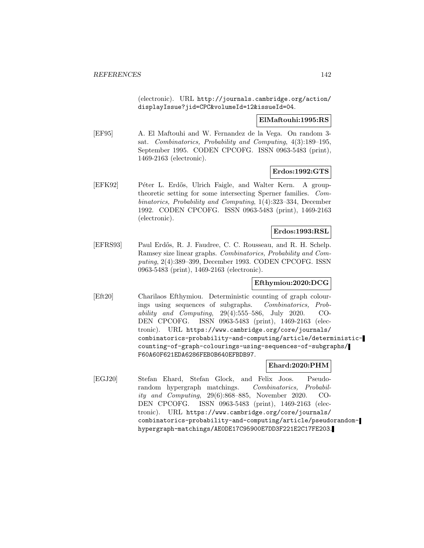(electronic). URL http://journals.cambridge.org/action/ displayIssue?jid=CPC&volumeId=12&issueId=04.

#### **ElMaftouhi:1995:RS**

[EF95] A. El Maftouhi and W. Fernandez de la Vega. On random 3 sat. Combinatorics, Probability and Computing, 4(3):189–195, September 1995. CODEN CPCOFG. ISSN 0963-5483 (print), 1469-2163 (electronic).

## **Erdos:1992:GTS**

[EFK92] Péter L. Erdős, Ulrich Faigle, and Walter Kern. A grouptheoretic setting for some intersecting Sperner families. Combinatorics, Probability and Computing, 1(4):323–334, December 1992. CODEN CPCOFG. ISSN 0963-5483 (print), 1469-2163 (electronic).

#### **Erdos:1993:RSL**

[EFRS93] Paul Erd˝os, R. J. Faudree, C. C. Rousseau, and R. H. Schelp. Ramsey size linear graphs. Combinatorics, Probability and Computing, 2(4):389–399, December 1993. CODEN CPCOFG. ISSN 0963-5483 (print), 1469-2163 (electronic).

### **Efthymiou:2020:DCG**

[Eft20] Charilaos Efthymiou. Deterministic counting of graph colourings using sequences of subgraphs. Combinatorics, Probability and Computing, 29(4):555–586, July 2020. CO-DEN CPCOFG. ISSN 0963-5483 (print), 1469-2163 (electronic). URL https://www.cambridge.org/core/journals/ combinatorics-probability-and-computing/article/deterministiccounting-of-graph-colourings-using-sequences-of-subgraphs/ F60A60F621EDA6286FEB0B640EFBDB97.

# **Ehard:2020:PHM**

[EGJ20] Stefan Ehard, Stefan Glock, and Felix Joos. Pseudorandom hypergraph matchings. Combinatorics, Probability and Computing, 29(6):868–885, November 2020. CO-DEN CPCOFG. ISSN 0963-5483 (print), 1469-2163 (electronic). URL https://www.cambridge.org/core/journals/ combinatorics-probability-and-computing/article/pseudorandomhypergraph-matchings/AE0DE17C95900E7DD3F221E2C17FE203.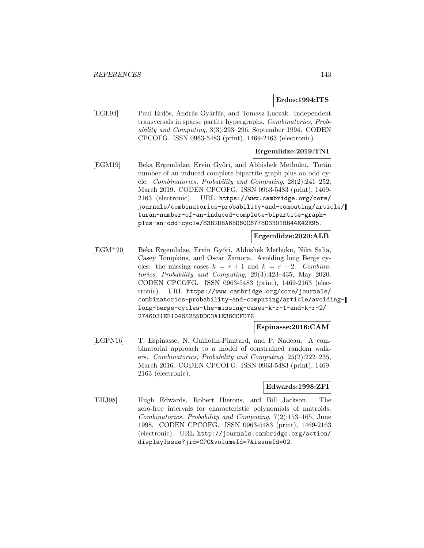#### **Erdos:1994:ITS**

[EGL94] Paul Erdős, András Gyárfás, and Tomasz Luczak. Independent transversals in sparse partite hypergraphs. Combinatorics, Probability and Computing, 3(3):293–296, September 1994. CODEN CPCOFG. ISSN 0963-5483 (print), 1469-2163 (electronic).

# **Ergemlidze:2019:TNI**

[EGM19] Beka Ergemlidze, Ervin Győri, and Abhishek Methuku. Turán number of an induced complete bipartite graph plus an odd cycle. Combinatorics, Probability and Computing, 28(2):241–252, March 2019. CODEN CPCOFG. ISSN 0963-5483 (print), 1469- 2163 (electronic). URL https://www.cambridge.org/core/ journals/combinatorics-probability-and-computing/article/ turan-number-of-an-induced-complete-bipartite-graphplus-an-odd-cycle/83B2DBA6BD60C6778D3B01BB44E42E95.

### **Ergemlidze:2020:ALB**

[EGM<sup>+</sup>20] Beka Ergemlidze, Ervin Gy˝ori, Abhishek Methuku, Nika Salia, Casey Tompkins, and Oscar Zamora. Avoiding long Berge cycles: the missing cases  $k = r + 1$  and  $k = r + 2$ . Combinatorics, Probability and Computing, 29(3):423–435, May 2020. CODEN CPCOFG. ISSN 0963-5483 (print), 1469-2163 (electronic). URL https://www.cambridge.org/core/journals/ combinatorics-probability-and-computing/article/avoidinglong-berge-cycles-the-missing-cases-k-r-1-and-k-r-2/ 2746031EF10465255DDC3A1E36CCFD76.

### **Espinasse:2016:CAM**

[EGPN16] T. Espinasse, N. Guillotin-Plantard, and P. Nadeau. A combinatorial approach to a model of constrained random walkers. Combinatorics, Probability and Computing, 25(2):222–235, March 2016. CODEN CPCOFG. ISSN 0963-5483 (print), 1469- 2163 (electronic).

#### **Edwards:1998:ZFI**

[EHJ98] Hugh Edwards, Robert Hierons, and Bill Jackson. The zero-free intervals for characteristic polynomials of matroids. Combinatorics, Probability and Computing, 7(2):153–165, June 1998. CODEN CPCOFG. ISSN 0963-5483 (print), 1469-2163 (electronic). URL http://journals.cambridge.org/action/ displayIssue?jid=CPC&volumeId=7&issueId=02.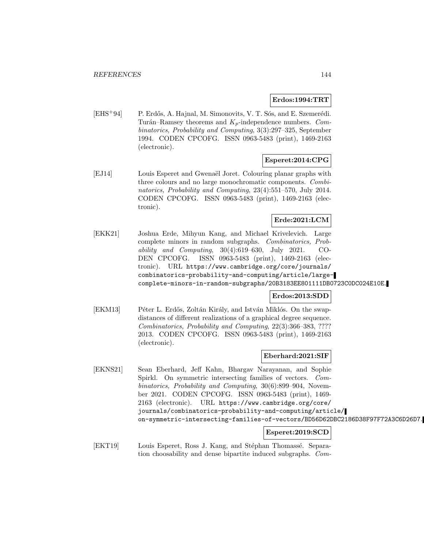#### **Erdos:1994:TRT**

[EHS<sup>+</sup>94] P. Erdős, A. Hajnal, M. Simonovits, V. T. Sós, and E. Szemerédi. Turán–Ramsey theorems and  $K_p$ -independence numbers. Combinatorics, Probability and Computing, 3(3):297–325, September 1994. CODEN CPCOFG. ISSN 0963-5483 (print), 1469-2163 (electronic).

## **Esperet:2014:CPG**

[EJ14] Louis Esperet and Gwenaël Joret. Colouring planar graphs with three colours and no large monochromatic components. Combinatorics, Probability and Computing, 23(4):551–570, July 2014. CODEN CPCOFG. ISSN 0963-5483 (print), 1469-2163 (electronic).

## **Erde:2021:LCM**

[EKK21] Joshua Erde, Mihyun Kang, and Michael Krivelevich. Large complete minors in random subgraphs. Combinatorics, Probability and Computing, 30(4):619–630, July 2021. CO-DEN CPCOFG. ISSN 0963-5483 (print), 1469-2163 (electronic). URL https://www.cambridge.org/core/journals/ combinatorics-probability-and-computing/article/largecomplete-minors-in-random-subgraphs/20B3183EE801111DB0723C0DC024E10E.

## **Erdos:2013:SDD**

[EKM13] Péter L. Erdős, Zoltán Király, and István Miklós. On the swapdistances of different realizations of a graphical degree sequence. Combinatorics, Probability and Computing, 22(3):366–383, ???? 2013. CODEN CPCOFG. ISSN 0963-5483 (print), 1469-2163 (electronic).

### **Eberhard:2021:SIF**

[EKNS21] Sean Eberhard, Jeff Kahn, Bhargav Narayanan, and Sophie Spirkl. On symmetric intersecting families of vectors. Combinatorics, Probability and Computing, 30(6):899–904, November 2021. CODEN CPCOFG. ISSN 0963-5483 (print), 1469- 2163 (electronic). URL https://www.cambridge.org/core/ journals/combinatorics-probability-and-computing/article/ on-symmetric-intersecting-families-of-vectors/BD56D62DBC2186D38F97F72A3C6D26D7.

# **Esperet:2019:SCD**

[EKT19] Louis Esperet, Ross J. Kang, and Stéphan Thomassé. Separation choosability and dense bipartite induced subgraphs. Com-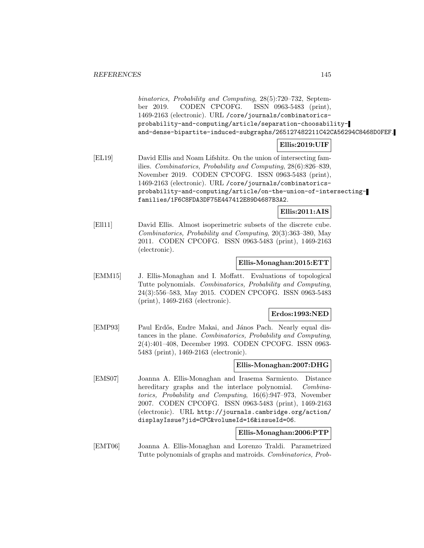binatorics, Probability and Computing, 28(5):720–732, September 2019. CODEN CPCOFG. ISSN 0963-5483 (print), 1469-2163 (electronic). URL /core/journals/combinatoricsprobability-and-computing/article/separation-choosabilityand-dense-bipartite-induced-subgraphs/265127482211C42CA56294C8468D0FEF.

## **Ellis:2019:UIF**

[EL19] David Ellis and Noam Lifshitz. On the union of intersecting families. Combinatorics, Probability and Computing, 28(6):826–839, November 2019. CODEN CPCOFG. ISSN 0963-5483 (print), 1469-2163 (electronic). URL /core/journals/combinatoricsprobability-and-computing/article/on-the-union-of-intersectingfamilies/1F6C8FDA3DF75E447412E89D4687B3A2.

## **Ellis:2011:AIS**

[Ell11] David Ellis. Almost isoperimetric subsets of the discrete cube. Combinatorics, Probability and Computing, 20(3):363–380, May 2011. CODEN CPCOFG. ISSN 0963-5483 (print), 1469-2163 (electronic).

## **Ellis-Monaghan:2015:ETT**

[EMM15] J. Ellis-Monaghan and I. Moffatt. Evaluations of topological Tutte polynomials. Combinatorics, Probability and Computing, 24(3):556–583, May 2015. CODEN CPCOFG. ISSN 0963-5483 (print), 1469-2163 (electronic).

### **Erdos:1993:NED**

[EMP93] Paul Erdős, Endre Makai, and János Pach. Nearly equal distances in the plane. Combinatorics, Probability and Computing, 2(4):401–408, December 1993. CODEN CPCOFG. ISSN 0963- 5483 (print), 1469-2163 (electronic).

### **Ellis-Monaghan:2007:DHG**

[EMS07] Joanna A. Ellis-Monaghan and Irasema Sarmiento. Distance hereditary graphs and the interlace polynomial. Combinatorics, Probability and Computing, 16(6):947–973, November 2007. CODEN CPCOFG. ISSN 0963-5483 (print), 1469-2163 (electronic). URL http://journals.cambridge.org/action/ displayIssue?jid=CPC&volumeId=16&issueId=06.

### **Ellis-Monaghan:2006:PTP**

[EMT06] Joanna A. Ellis-Monaghan and Lorenzo Traldi. Parametrized Tutte polynomials of graphs and matroids. Combinatorics, Prob-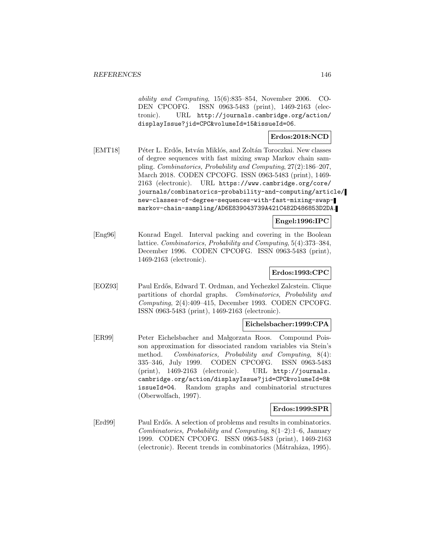ability and Computing, 15(6):835–854, November 2006. CO-DEN CPCOFG. ISSN 0963-5483 (print), 1469-2163 (electronic). URL http://journals.cambridge.org/action/ displayIssue?jid=CPC&volumeId=15&issueId=06.

## **Erdos:2018:NCD**

[EMT18] Péter L. Erdős, István Miklós, and Zoltán Toroczkai. New classes of degree sequences with fast mixing swap Markov chain sampling. Combinatorics, Probability and Computing, 27(2):186–207, March 2018. CODEN CPCOFG. ISSN 0963-5483 (print), 1469- 2163 (electronic). URL https://www.cambridge.org/core/ journals/combinatorics-probability-and-computing/article/ new-classes-of-degree-sequences-with-fast-mixing-swapmarkov-chain-sampling/AD6E839043739A421C482D486853D2DA.

## **Engel:1996:IPC**

[Eng96] Konrad Engel. Interval packing and covering in the Boolean lattice. Combinatorics, Probability and Computing, 5(4):373–384, December 1996. CODEN CPCOFG. ISSN 0963-5483 (print), 1469-2163 (electronic).

## **Erdos:1993:CPC**

[EOZ93] Paul Erd˝os, Edward T. Ordman, and Yechezkel Zalcstein. Clique partitions of chordal graphs. Combinatorics, Probability and Computing, 2(4):409–415, December 1993. CODEN CPCOFG. ISSN 0963-5483 (print), 1469-2163 (electronic).

## **Eichelsbacher:1999:CPA**

[ER99] Peter Eichelsbacher and Malgorzata Roos. Compound Poisson approximation for dissociated random variables via Stein's method. Combinatorics, Probability and Computing, 8(4): 335–346, July 1999. CODEN CPCOFG. ISSN 0963-5483 (print), 1469-2163 (electronic). URL http://journals. cambridge.org/action/displayIssue?jid=CPC&volumeId=8& issueId=04. Random graphs and combinatorial structures (Oberwolfach, 1997).

### **Erdos:1999:SPR**

[Erd99] Paul Erdős. A selection of problems and results in combinatorics. Combinatorics, Probability and Computing, 8(1–2):1–6, January 1999. CODEN CPCOFG. ISSN 0963-5483 (print), 1469-2163 (electronic). Recent trends in combinatorics (Mátraháza, 1995).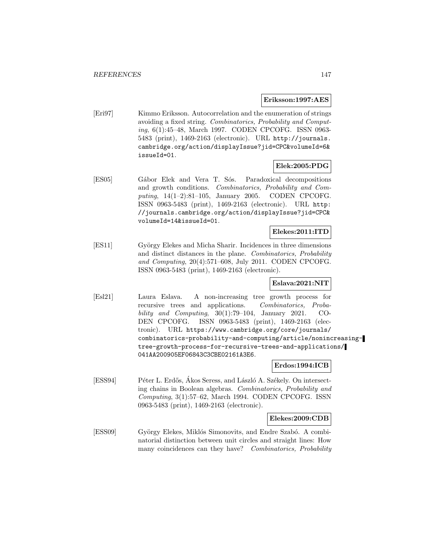#### **Eriksson:1997:AES**

[Eri97] Kimmo Eriksson. Autocorrelation and the enumeration of strings avoiding a fixed string. Combinatorics, Probability and Computing, 6(1):45–48, March 1997. CODEN CPCOFG. ISSN 0963- 5483 (print), 1469-2163 (electronic). URL http://journals. cambridge.org/action/displayIssue?jid=CPC&volumeId=6& issueId=01.

### **Elek:2005:PDG**

[ES05] Gábor Elek and Vera T. Sós. Paradoxical decompositions and growth conditions. Combinatorics, Probability and Computing, 14(1–2):81–105, January 2005. CODEN CPCOFG. ISSN 0963-5483 (print), 1469-2163 (electronic). URL http: //journals.cambridge.org/action/displayIssue?jid=CPC& volumeId=14&issueId=01.

#### **Elekes:2011:ITD**

[ES11] György Elekes and Micha Sharir. Incidences in three dimensions and distinct distances in the plane. Combinatorics, Probability and Computing, 20(4):571–608, July 2011. CODEN CPCOFG. ISSN 0963-5483 (print), 1469-2163 (electronic).

## **Eslava:2021:NIT**

[Esl21] Laura Eslava. A non-increasing tree growth process for recursive trees and applications. Combinatorics, Probability and Computing,  $30(1)$ :79–104, January 2021. CO-DEN CPCOFG. ISSN 0963-5483 (print), 1469-2163 (electronic). URL https://www.cambridge.org/core/journals/ combinatorics-probability-and-computing/article/nonincreasingtree-growth-process-for-recursive-trees-and-applications/ 041AA200905EF06843C3CBE02161A3E6.

## **Erdos:1994:ICB**

[ESS94] Péter L. Erdős, Ákos Seress, and László A. Székely. On intersecting chains in Boolean algebras. Combinatorics, Probability and Computing, 3(1):57–62, March 1994. CODEN CPCOFG. ISSN 0963-5483 (print), 1469-2163 (electronic).

### **Elekes:2009:CDB**

[ESS09] György Elekes, Miklós Simonovits, and Endre Szabó. A combinatorial distinction between unit circles and straight lines: How many coincidences can they have? Combinatorics, Probability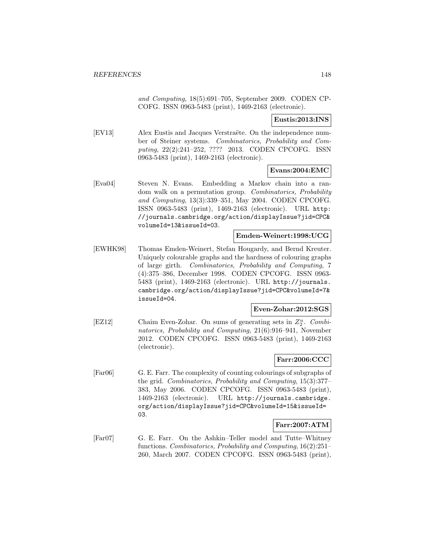and Computing, 18(5):691–705, September 2009. CODEN CP-COFG. ISSN 0963-5483 (print), 1469-2163 (electronic).

#### **Eustis:2013:INS**

[EV13] Alex Eustis and Jacques Verstraëte. On the independence number of Steiner systems. Combinatorics, Probability and Computing, 22(2):241–252, ???? 2013. CODEN CPCOFG. ISSN 0963-5483 (print), 1469-2163 (electronic).

## **Evans:2004:EMC**

[Eva04] Steven N. Evans. Embedding a Markov chain into a random walk on a permutation group. Combinatorics, Probability and Computing, 13(3):339–351, May 2004. CODEN CPCOFG. ISSN 0963-5483 (print), 1469-2163 (electronic). URL http: //journals.cambridge.org/action/displayIssue?jid=CPC& volumeId=13&issueId=03.

#### **Emden-Weinert:1998:UCG**

[EWHK98] Thomas Emden-Weinert, Stefan Hougardy, and Bernd Kreuter. Uniquely colourable graphs and the hardness of colouring graphs of large girth. Combinatorics, Probability and Computing, 7 (4):375–386, December 1998. CODEN CPCOFG. ISSN 0963- 5483 (print), 1469-2163 (electronic). URL http://journals. cambridge.org/action/displayIssue?jid=CPC&volumeId=7& issueId=04.

## **Even-Zohar:2012:SGS**

[EZ12] Chaim Even-Zohar. On sums of generating sets in  $Z_2^n$ . Combinatorics, Probability and Computing, 21(6):916–941, November 2012. CODEN CPCOFG. ISSN 0963-5483 (print), 1469-2163 (electronic).

### **Farr:2006:CCC**

[Far06] G. E. Farr. The complexity of counting colourings of subgraphs of the grid. Combinatorics, Probability and Computing, 15(3):377– 383, May 2006. CODEN CPCOFG. ISSN 0963-5483 (print), 1469-2163 (electronic). URL http://journals.cambridge. org/action/displayIssue?jid=CPC&volumeId=15&issueId= 03.

### **Farr:2007:ATM**

[Far07] G. E. Farr. On the Ashkin–Teller model and Tutte–Whitney functions. Combinatorics, Probability and Computing, 16(2):251– 260, March 2007. CODEN CPCOFG. ISSN 0963-5483 (print),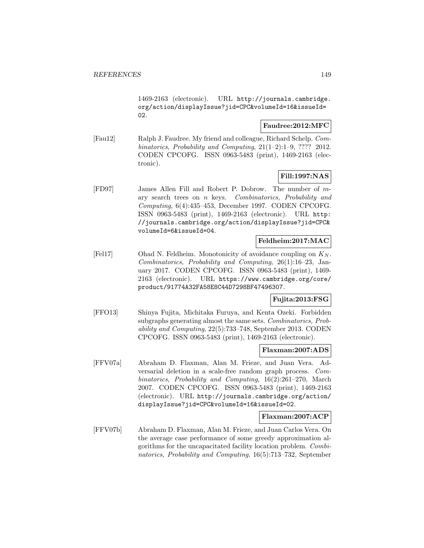1469-2163 (electronic). URL http://journals.cambridge. org/action/displayIssue?jid=CPC&volumeId=16&issueId= 02.

## **Faudree:2012:MFC**

[Fau12] Ralph J. Faudree. My friend and colleague, Richard Schelp. Combinatorics, Probability and Computing,  $21(1-2):1-9$ , ???? 2012. CODEN CPCOFG. ISSN 0963-5483 (print), 1469-2163 (electronic).

# **Fill:1997:NAS**

[FD97] James Allen Fill and Robert P. Dobrow. The number of mary search trees on n keys. Combinatorics, Probability and Computing, 6(4):435–453, December 1997. CODEN CPCOFG. ISSN 0963-5483 (print), 1469-2163 (electronic). URL http: //journals.cambridge.org/action/displayIssue?jid=CPC& volumeId=6&issueId=04.

## **Feldheim:2017:MAC**

[Fel17] Ohad N. Feldheim. Monotonicity of avoidance coupling on  $K_N$ . Combinatorics, Probability and Computing, 26(1):16–23, January 2017. CODEN CPCOFG. ISSN 0963-5483 (print), 1469- 2163 (electronic). URL https://www.cambridge.org/core/ product/91774A32FA58E8C44D7298BF47496307.

## **Fujita:2013:FSG**

[FFO13] Shinya Fujita, Michitaka Furuya, and Kenta Ozeki. Forbidden subgraphs generating almost the same sets. Combinatorics, Probability and Computing, 22(5):733–748, September 2013. CODEN CPCOFG. ISSN 0963-5483 (print), 1469-2163 (electronic).

### **Flaxman:2007:ADS**

[FFV07a] Abraham D. Flaxman, Alan M. Frieze, and Juan Vera. Adversarial deletion in a scale-free random graph process. Combinatorics, Probability and Computing, 16(2):261–270, March 2007. CODEN CPCOFG. ISSN 0963-5483 (print), 1469-2163 (electronic). URL http://journals.cambridge.org/action/ displayIssue?jid=CPC&volumeId=16&issueId=02.

### **Flaxman:2007:ACP**

[FFV07b] Abraham D. Flaxman, Alan M. Frieze, and Juan Carlos Vera. On the average case performance of some greedy approximation algorithms for the uncapacitated facility location problem. Combinatorics, Probability and Computing, 16(5):713–732, September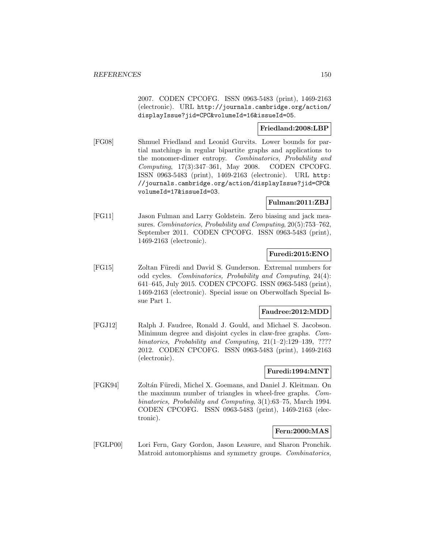2007. CODEN CPCOFG. ISSN 0963-5483 (print), 1469-2163 (electronic). URL http://journals.cambridge.org/action/ displayIssue?jid=CPC&volumeId=16&issueId=05.

### **Friedland:2008:LBP**

[FG08] Shmuel Friedland and Leonid Gurvits. Lower bounds for partial matchings in regular bipartite graphs and applications to the monomer-dimer entropy. Combinatorics, Probability and Computing, 17(3):347–361, May 2008. CODEN CPCOFG. ISSN 0963-5483 (print), 1469-2163 (electronic). URL http: //journals.cambridge.org/action/displayIssue?jid=CPC& volumeId=17&issueId=03.

#### **Fulman:2011:ZBJ**

[FG11] Jason Fulman and Larry Goldstein. Zero biasing and jack measures. Combinatorics, Probability and Computing, 20(5):753–762, September 2011. CODEN CPCOFG. ISSN 0963-5483 (print), 1469-2163 (electronic).

### **Furedi:2015:ENO**

[FG15] Zoltan Füredi and David S. Gunderson. Extremal numbers for odd cycles. Combinatorics, Probability and Computing, 24(4): 641–645, July 2015. CODEN CPCOFG. ISSN 0963-5483 (print), 1469-2163 (electronic). Special issue on Oberwolfach Special Issue Part 1.

### **Faudree:2012:MDD**

[FGJ12] Ralph J. Faudree, Ronald J. Gould, and Michael S. Jacobson. Minimum degree and disjoint cycles in claw-free graphs. Combinatorics, Probability and Computing, 21(1–2):129–139, ???? 2012. CODEN CPCOFG. ISSN 0963-5483 (print), 1469-2163 (electronic).

### **Furedi:1994:MNT**

[FGK94] Zoltán Füredi, Michel X. Goemans, and Daniel J. Kleitman. On the maximum number of triangles in wheel-free graphs. Combinatorics, Probability and Computing, 3(1):63–75, March 1994. CODEN CPCOFG. ISSN 0963-5483 (print), 1469-2163 (electronic).

### **Fern:2000:MAS**

[FGLP00] Lori Fern, Gary Gordon, Jason Leasure, and Sharon Pronchik. Matroid automorphisms and symmetry groups. Combinatorics,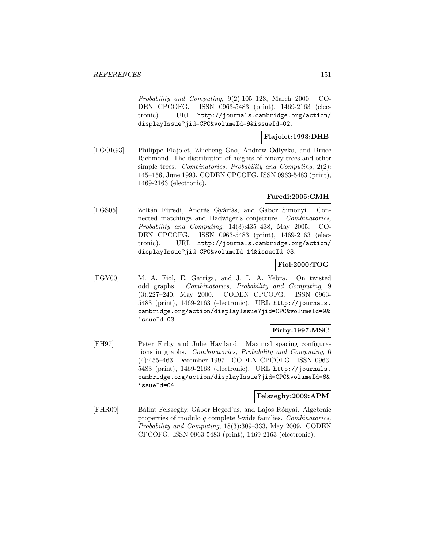Probability and Computing, 9(2):105–123, March 2000. CO-DEN CPCOFG. ISSN 0963-5483 (print), 1469-2163 (electronic). URL http://journals.cambridge.org/action/ displayIssue?jid=CPC&volumeId=9&issueId=02.

## **Flajolet:1993:DHB**

[FGOR93] Philippe Flajolet, Zhicheng Gao, Andrew Odlyzko, and Bruce Richmond. The distribution of heights of binary trees and other simple trees. Combinatorics, Probability and Computing, 2(2): 145–156, June 1993. CODEN CPCOFG. ISSN 0963-5483 (print), 1469-2163 (electronic).

### **Furedi:2005:CMH**

[FGS05] Zoltán Füredi, András Gyárfás, and Gábor Simonyi. Connected matchings and Hadwiger's conjecture. Combinatorics, Probability and Computing, 14(3):435–438, May 2005. CO-DEN CPCOFG. ISSN 0963-5483 (print), 1469-2163 (electronic). URL http://journals.cambridge.org/action/ displayIssue?jid=CPC&volumeId=14&issueId=03.

### **Fiol:2000:TOG**

[FGY00] M. A. Fiol, E. Garriga, and J. L. A. Yebra. On twisted odd graphs. Combinatorics, Probability and Computing, 9 (3):227–240, May 2000. CODEN CPCOFG. ISSN 0963- 5483 (print), 1469-2163 (electronic). URL http://journals. cambridge.org/action/displayIssue?jid=CPC&volumeId=9& issueId=03.

## **Firby:1997:MSC**

[FH97] Peter Firby and Julie Haviland. Maximal spacing configurations in graphs. Combinatorics, Probability and Computing, 6 (4):455–463, December 1997. CODEN CPCOFG. ISSN 0963- 5483 (print), 1469-2163 (electronic). URL http://journals. cambridge.org/action/displayIssue?jid=CPC&volumeId=6& issueId=04.

### **Felszeghy:2009:APM**

[FHR09] Bálint Felszeghy, Gábor Heged'us, and Lajos Rónyai. Algebraic properties of modulo q complete l-wide families. Combinatorics, Probability and Computing, 18(3):309–333, May 2009. CODEN CPCOFG. ISSN 0963-5483 (print), 1469-2163 (electronic).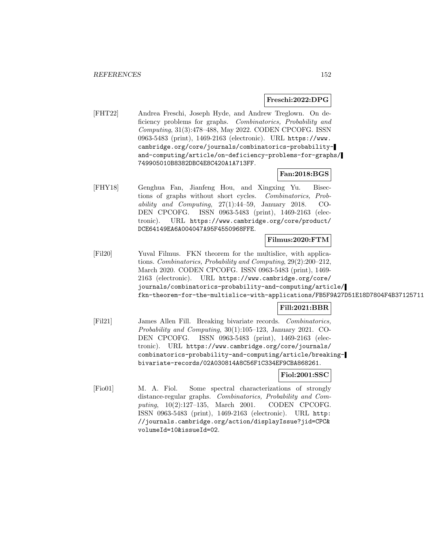#### **Freschi:2022:DPG**

[FHT22] Andrea Freschi, Joseph Hyde, and Andrew Treglown. On deficiency problems for graphs. Combinatorics, Probability and Computing, 31(3):478–488, May 2022. CODEN CPCOFG. ISSN 0963-5483 (print), 1469-2163 (electronic). URL https://www. cambridge.org/core/journals/combinatorics-probabilityand-computing/article/on-deficiency-problems-for-graphs/ 749905010B8382DBC4E8C420A1A713FF.

## **Fan:2018:BGS**

[FHY18] Genghua Fan, Jianfeng Hou, and Xingxing Yu. Bisections of graphs without short cycles. Combinatorics, Probability and Computing, 27(1):44–59, January 2018. CO-DEN CPCOFG. ISSN 0963-5483 (print), 1469-2163 (electronic). URL https://www.cambridge.org/core/product/ DCE64149EA6A004047A95F4550968FFE.

## **Filmus:2020:FTM**

[Fil20] Yuval Filmus. FKN theorem for the multislice, with applications. Combinatorics, Probability and Computing, 29(2):200–212, March 2020. CODEN CPCOFG. ISSN 0963-5483 (print), 1469- 2163 (electronic). URL https://www.cambridge.org/core/ journals/combinatorics-probability-and-computing/article/ fkn-theorem-for-the-multislice-with-applications/FB5F9A27D51E18D7804F4B37125711

## **Fill:2021:BBR**

[Fil21] James Allen Fill. Breaking bivariate records. Combinatorics, Probability and Computing, 30(1):105–123, January 2021. CO-DEN CPCOFG. ISSN 0963-5483 (print), 1469-2163 (electronic). URL https://www.cambridge.org/core/journals/ combinatorics-probability-and-computing/article/breakingbivariate-records/02A030814A8C56F1C334EF9CBA868261.

# **Fiol:2001:SSC**

[Fio01] M. A. Fiol. Some spectral characterizations of strongly distance-regular graphs. Combinatorics, Probability and Computing, 10(2):127–135, March 2001. CODEN CPCOFG. ISSN 0963-5483 (print), 1469-2163 (electronic). URL http: //journals.cambridge.org/action/displayIssue?jid=CPC& volumeId=10&issueId=02.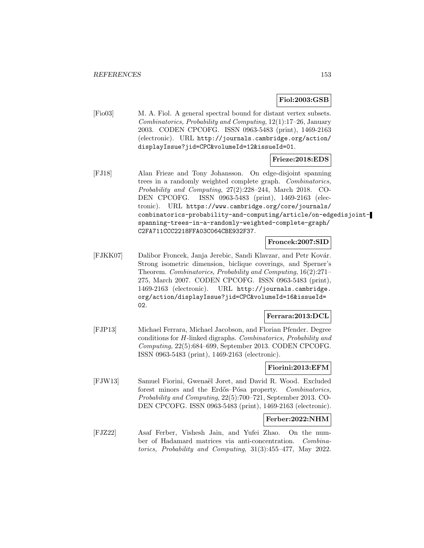## **Fiol:2003:GSB**

[Fio03] M. A. Fiol. A general spectral bound for distant vertex subsets. Combinatorics, Probability and Computing, 12(1):17–26, January 2003. CODEN CPCOFG. ISSN 0963-5483 (print), 1469-2163 (electronic). URL http://journals.cambridge.org/action/ displayIssue?jid=CPC&volumeId=12&issueId=01.

## **Frieze:2018:EDS**

[FJ18] Alan Frieze and Tony Johansson. On edge-disjoint spanning trees in a randomly weighted complete graph. Combinatorics, Probability and Computing, 27(2):228–244, March 2018. CO-DEN CPCOFG. ISSN 0963-5483 (print), 1469-2163 (electronic). URL https://www.cambridge.org/core/journals/ combinatorics-probability-and-computing/article/on-edgedisjointspanning-trees-in-a-randomly-weighted-complete-graph/ C2FA711CCC2218FFA03C064CBE932F37.

### **Froncek:2007:SID**

[FJKK07] Dalibor Froncek, Janja Jerebic, Sandi Klavzar, and Petr Kovár. Strong isometric dimension, biclique coverings, and Sperner's Theorem. Combinatorics, Probability and Computing, 16(2):271– 275, March 2007. CODEN CPCOFG. ISSN 0963-5483 (print), 1469-2163 (electronic). URL http://journals.cambridge. org/action/displayIssue?jid=CPC&volumeId=16&issueId= 02.

#### **Ferrara:2013:DCL**

[FJP13] Michael Ferrara, Michael Jacobson, and Florian Pfender. Degree conditions for H-linked digraphs. Combinatorics, Probability and Computing, 22(5):684–699, September 2013. CODEN CPCOFG. ISSN 0963-5483 (print), 1469-2163 (electronic).

## **Fiorini:2013:EFM**

[FJW13] Samuel Fiorini, Gwenaël Joret, and David R. Wood. Excluded forest minors and the Erdős–Pósa property. Combinatorics, Probability and Computing, 22(5):700–721, September 2013. CO-DEN CPCOFG. ISSN 0963-5483 (print), 1469-2163 (electronic).

#### **Ferber:2022:NHM**

[FJZ22] Asaf Ferber, Vishesh Jain, and Yufei Zhao. On the number of Hadamard matrices via anti-concentration. Combinatorics, Probability and Computing, 31(3):455–477, May 2022.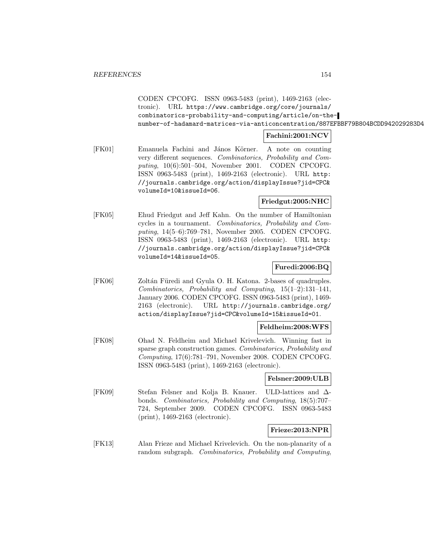CODEN CPCOFG. ISSN 0963-5483 (print), 1469-2163 (electronic). URL https://www.cambridge.org/core/journals/ combinatorics-probability-and-computing/article/on-thenumber-of-hadamard-matrices-via-anticoncentration/887EFBBF79B804BCDD942029283D4

## **Fachini:2001:NCV**

[FK01] Emanuela Fachini and János Körner. A note on counting very different sequences. Combinatorics, Probability and Computing, 10(6):501–504, November 2001. CODEN CPCOFG. ISSN 0963-5483 (print), 1469-2163 (electronic). URL http: //journals.cambridge.org/action/displayIssue?jid=CPC& volumeId=10&issueId=06.

### **Friedgut:2005:NHC**

[FK05] Ehud Friedgut and Jeff Kahn. On the number of Hamiltonian cycles in a tournament. Combinatorics, Probability and Computing, 14(5–6):769–781, November 2005. CODEN CPCOFG. ISSN 0963-5483 (print), 1469-2163 (electronic). URL http: //journals.cambridge.org/action/displayIssue?jid=CPC& volumeId=14&issueId=05.

### **Furedi:2006:BQ**

[FK06] Zoltán Füredi and Gyula O. H. Katona. 2-bases of quadruples. Combinatorics, Probability and Computing, 15(1–2):131–141, January 2006. CODEN CPCOFG. ISSN 0963-5483 (print), 1469- 2163 (electronic). URL http://journals.cambridge.org/ action/displayIssue?jid=CPC&volumeId=15&issueId=01.

## **Feldheim:2008:WFS**

[FK08] Ohad N. Feldheim and Michael Krivelevich. Winning fast in sparse graph construction games. Combinatorics, Probability and Computing, 17(6):781–791, November 2008. CODEN CPCOFG. ISSN 0963-5483 (print), 1469-2163 (electronic).

### **Felsner:2009:ULB**

[FK09] Stefan Felsner and Kolja B. Knauer. ULD-lattices and ∆ bonds. Combinatorics, Probability and Computing, 18(5):707– 724, September 2009. CODEN CPCOFG. ISSN 0963-5483 (print), 1469-2163 (electronic).

## **Frieze:2013:NPR**

[FK13] Alan Frieze and Michael Krivelevich. On the non-planarity of a random subgraph. Combinatorics, Probability and Computing,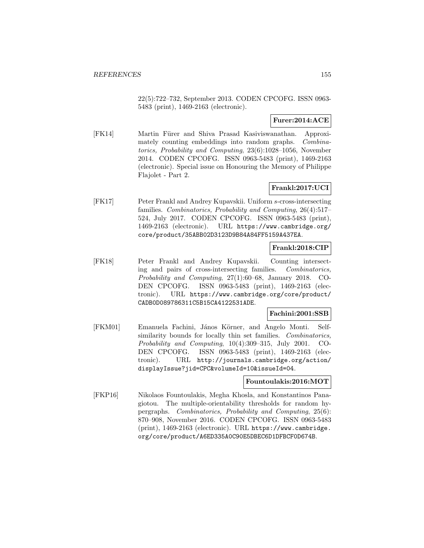22(5):722–732, September 2013. CODEN CPCOFG. ISSN 0963- 5483 (print), 1469-2163 (electronic).

# **Furer:2014:ACE**

[FK14] Martin Fürer and Shiva Prasad Kasiviswanathan. Approximately counting embeddings into random graphs. Combinatorics, Probability and Computing, 23(6):1028–1056, November 2014. CODEN CPCOFG. ISSN 0963-5483 (print), 1469-2163 (electronic). Special issue on Honouring the Memory of Philippe Flajolet - Part 2.

# **Frankl:2017:UCI**

[FK17] Peter Frankl and Andrey Kupavskii. Uniform s-cross-intersecting families. Combinatorics, Probability and Computing, 26(4):517– 524, July 2017. CODEN CPCOFG. ISSN 0963-5483 (print), 1469-2163 (electronic). URL https://www.cambridge.org/ core/product/35ABB02D3123D9B84A84FF5159A437EA.

## **Frankl:2018:CIP**

[FK18] Peter Frankl and Andrey Kupavskii. Counting intersecting and pairs of cross-intersecting families. Combinatorics, Probability and Computing, 27(1):60–68, January 2018. CO-DEN CPCOFG. ISSN 0963-5483 (print), 1469-2163 (electronic). URL https://www.cambridge.org/core/product/ CADB0D089786311C5B15CA4122531ADE.

### **Fachini:2001:SSB**

[FKM01] Emanuela Fachini, János Körner, and Angelo Monti. Selfsimilarity bounds for locally thin set families. Combinatorics, Probability and Computing, 10(4):309–315, July 2001. CO-DEN CPCOFG. ISSN 0963-5483 (print), 1469-2163 (electronic). URL http://journals.cambridge.org/action/ displayIssue?jid=CPC&volumeId=10&issueId=04.

### **Fountoulakis:2016:MOT**

[FKP16] Nikolaos Fountoulakis, Megha Khosla, and Konstantinos Panagiotou. The multiple-orientability thresholds for random hypergraphs. Combinatorics, Probability and Computing, 25(6): 870–908, November 2016. CODEN CPCOFG. ISSN 0963-5483 (print), 1469-2163 (electronic). URL https://www.cambridge. org/core/product/A6ED335A0C90E5DBEC6D1DFBCF0D674B.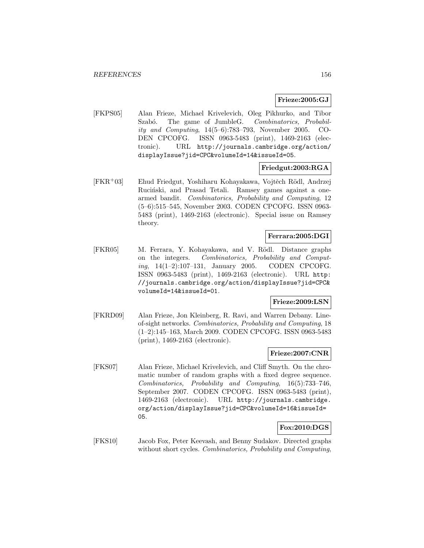## **Frieze:2005:GJ**

[FKPS05] Alan Frieze, Michael Krivelevich, Oleg Pikhurko, and Tibor Szabó. The game of JumbleG. Combinatorics, Probability and Computing, 14(5–6):783–793, November 2005. CO-DEN CPCOFG. ISSN 0963-5483 (print), 1469-2163 (electronic). URL http://journals.cambridge.org/action/ displayIssue?jid=CPC&volumeId=14&issueId=05.

## **Friedgut:2003:RGA**

[FKR+03] Ehud Friedgut, Yoshiharu Kohayakawa, Vojtěch Rödl, Andrzej Ruciński, and Prasad Tetali. Ramsey games against a onearmed bandit. Combinatorics, Probability and Computing, 12 (5–6):515–545, November 2003. CODEN CPCOFG. ISSN 0963- 5483 (print), 1469-2163 (electronic). Special issue on Ramsey theory.

## **Ferrara:2005:DGI**

[FKR05] M. Ferrara, Y. Kohayakawa, and V. Rödl. Distance graphs on the integers. Combinatorics, Probability and Computing, 14(1–2):107–131, January 2005. CODEN CPCOFG. ISSN 0963-5483 (print), 1469-2163 (electronic). URL http: //journals.cambridge.org/action/displayIssue?jid=CPC& volumeId=14&issueId=01.

### **Frieze:2009:LSN**

[FKRD09] Alan Frieze, Jon Kleinberg, R. Ravi, and Warren Debany. Lineof-sight networks. Combinatorics, Probability and Computing, 18 (1–2):145–163, March 2009. CODEN CPCOFG. ISSN 0963-5483 (print), 1469-2163 (electronic).

# **Frieze:2007:CNR**

[FKS07] Alan Frieze, Michael Krivelevich, and Cliff Smyth. On the chromatic number of random graphs with a fixed degree sequence. Combinatorics, Probability and Computing, 16(5):733–746, September 2007. CODEN CPCOFG. ISSN 0963-5483 (print), 1469-2163 (electronic). URL http://journals.cambridge. org/action/displayIssue?jid=CPC&volumeId=16&issueId= 05.

### **Fox:2010:DGS**

[FKS10] Jacob Fox, Peter Keevash, and Benny Sudakov. Directed graphs without short cycles. Combinatorics, Probability and Computing,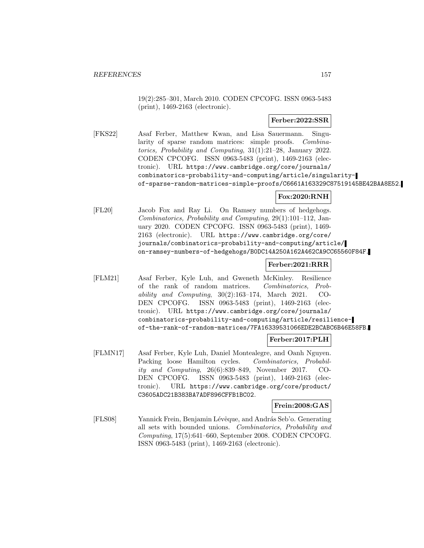19(2):285–301, March 2010. CODEN CPCOFG. ISSN 0963-5483 (print), 1469-2163 (electronic).

## **Ferber:2022:SSR**

[FKS22] Asaf Ferber, Matthew Kwan, and Lisa Sauermann. Singularity of sparse random matrices: simple proofs. Combinatorics, Probability and Computing, 31(1):21–28, January 2022. CODEN CPCOFG. ISSN 0963-5483 (print), 1469-2163 (electronic). URL https://www.cambridge.org/core/journals/ combinatorics-probability-and-computing/article/singularityof-sparse-random-matrices-simple-proofs/C6661A163329C87519145BE42BAA8E52.

# **Fox:2020:RNH**

[FL20] Jacob Fox and Ray Li. On Ramsey numbers of hedgehogs. Combinatorics, Probability and Computing, 29(1):101–112, January 2020. CODEN CPCOFG. ISSN 0963-5483 (print), 1469- 2163 (electronic). URL https://www.cambridge.org/core/ journals/combinatorics-probability-and-computing/article/ on-ramsey-numbers-of-hedgehogs/B0DC14A250A162A462CA9CC65560F84F.

# **Ferber:2021:RRR**

[FLM21] Asaf Ferber, Kyle Luh, and Gweneth McKinley. Resilience of the rank of random matrices. Combinatorics, Probability and Computing,  $30(2):163-174$ , March 2021. CO-DEN CPCOFG. ISSN 0963-5483 (print), 1469-2163 (electronic). URL https://www.cambridge.org/core/journals/ combinatorics-probability-and-computing/article/resilienceof-the-rank-of-random-matrices/7FA16339531066EDE2BCABC6B46E58FB.

## **Ferber:2017:PLH**

[FLMN17] Asaf Ferber, Kyle Luh, Daniel Montealegre, and Oanh Nguyen. Packing loose Hamilton cycles. Combinatorics, Probability and Computing, 26(6):839–849, November 2017. CO-DEN CPCOFG. ISSN 0963-5483 (print), 1469-2163 (electronic). URL https://www.cambridge.org/core/product/ C3605ADC21B383BA7ADF896CFFB1BC02.

### **Frein:2008:GAS**

[FLS08] Yannick Frein, Benjamin Lévêque, and András Seb'o. Generating all sets with bounded unions. Combinatorics, Probability and Computing, 17(5):641–660, September 2008. CODEN CPCOFG. ISSN 0963-5483 (print), 1469-2163 (electronic).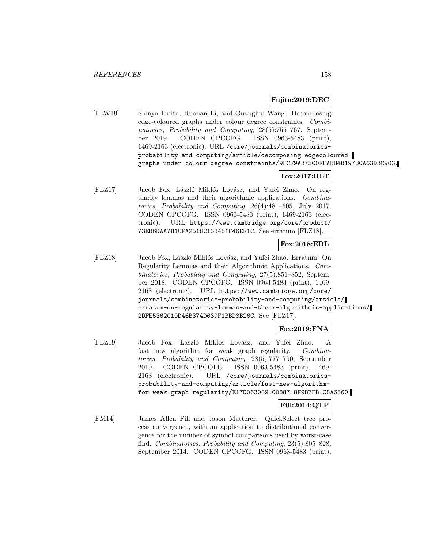## **Fujita:2019:DEC**

[FLW19] Shinya Fujita, Ruonan Li, and Guanghui Wang. Decomposing edge-coloured graphs under colour degree constraints. Combinatorics, Probability and Computing, 28(5):755–767, September 2019. CODEN CPCOFG. ISSN 0963-5483 (print), 1469-2163 (electronic). URL /core/journals/combinatoricsprobability-and-computing/article/decomposing-edgecolouredgraphs-under-colour-degree-constraints/9FCF9A373C0FFABB4B1978CA63D3C903.

## **Fox:2017:RLT**

[FLZ17] Jacob Fox, László Miklós Lovász, and Yufei Zhao. On regularity lemmas and their algorithmic applications. Combinatorics, Probability and Computing, 26(4):481–505, July 2017. CODEN CPCOFG. ISSN 0963-5483 (print), 1469-2163 (electronic). URL https://www.cambridge.org/core/product/ 73EB6DAA7B1CFA2518C13B451F46EF1C. See erratum [FLZ18].

## **Fox:2018:ERL**

[FLZ18] Jacob Fox, László Miklós Lovász, and Yufei Zhao. Erratum: On Regularity Lemmas and their Algorithmic Applications. Combinatorics, Probability and Computing, 27(5):851–852, September 2018. CODEN CPCOFG. ISSN 0963-5483 (print), 1469- 2163 (electronic). URL https://www.cambridge.org/core/ journals/combinatorics-probability-and-computing/article/ erratum-on-regularity-lemmas-and-their-algorithmic-applications/ 2DFE5362C10D46B374D639F1BBD3B26C. See [FLZ17].

## **Fox:2019:FNA**

[FLZ19] Jacob Fox, László Miklós Lovász, and Yufei Zhao. A fast new algorithm for weak graph regularity. Combinatorics, Probability and Computing, 28(5):777–790, September 2019. CODEN CPCOFG. ISSN 0963-5483 (print), 1469- 2163 (electronic). URL /core/journals/combinatoricsprobability-and-computing/article/fast-new-algorithmfor-weak-graph-regularity/E17D06308910088718F987EB1C8A6560.

## **Fill:2014:QTP**

[FM14] James Allen Fill and Jason Matterer. QuickSelect tree process convergence, with an application to distributional convergence for the number of symbol comparisons used by worst-case find. Combinatorics, Probability and Computing, 23(5):805–828, September 2014. CODEN CPCOFG. ISSN 0963-5483 (print),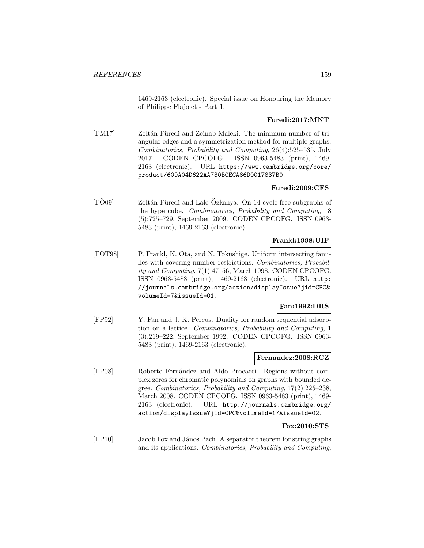1469-2163 (electronic). Special issue on Honouring the Memory of Philippe Flajolet - Part 1.

# **Furedi:2017:MNT**

[FM17] Zoltán Füredi and Zeinab Maleki. The minimum number of triangular edges and a symmetrization method for multiple graphs. Combinatorics, Probability and Computing, 26(4):525–535, July 2017. CODEN CPCOFG. ISSN 0963-5483 (print), 1469- 2163 (electronic). URL https://www.cambridge.org/core/ product/609A04D622AA730BCECA86D0017837B0.

## **Furedi:2009:CFS**

[FÖ09] Zoltán Füredi and Lale Özkahya. On 14-cycle-free subgraphs of the hypercube. Combinatorics, Probability and Computing, 18 (5):725–729, September 2009. CODEN CPCOFG. ISSN 0963- 5483 (print), 1469-2163 (electronic).

## **Frankl:1998:UIF**

[FOT98] P. Frankl, K. Ota, and N. Tokushige. Uniform intersecting families with covering number restrictions. Combinatorics, Probability and Computing, 7(1):47–56, March 1998. CODEN CPCOFG. ISSN 0963-5483 (print), 1469-2163 (electronic). URL http: //journals.cambridge.org/action/displayIssue?jid=CPC& volumeId=7&issueId=01.

### **Fan:1992:DRS**

[FP92] Y. Fan and J. K. Percus. Duality for random sequential adsorption on a lattice. Combinatorics, Probability and Computing, 1 (3):219–222, September 1992. CODEN CPCOFG. ISSN 0963- 5483 (print), 1469-2163 (electronic).

## **Fernandez:2008:RCZ**

[FP08] Roberto Fernández and Aldo Procacci. Regions without complex zeros for chromatic polynomials on graphs with bounded degree. Combinatorics, Probability and Computing, 17(2):225–238, March 2008. CODEN CPCOFG. ISSN 0963-5483 (print), 1469- 2163 (electronic). URL http://journals.cambridge.org/ action/displayIssue?jid=CPC&volumeId=17&issueId=02.

## **Fox:2010:STS**

[FP10] Jacob Fox and János Pach. A separator theorem for string graphs and its applications. Combinatorics, Probability and Computing,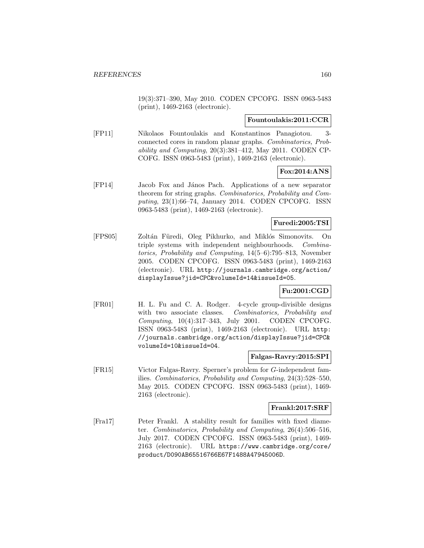19(3):371–390, May 2010. CODEN CPCOFG. ISSN 0963-5483 (print), 1469-2163 (electronic).

## **Fountoulakis:2011:CCR**

[FP11] Nikolaos Fountoulakis and Konstantinos Panagiotou. 3 connected cores in random planar graphs. Combinatorics, Probability and Computing, 20(3):381–412, May 2011. CODEN CP-COFG. ISSN 0963-5483 (print), 1469-2163 (electronic).

## **Fox:2014:ANS**

[FP14] Jacob Fox and J´anos Pach. Applications of a new separator theorem for string graphs. Combinatorics, Probability and Computing, 23(1):66–74, January 2014. CODEN CPCOFG. ISSN 0963-5483 (print), 1469-2163 (electronic).

## **Furedi:2005:TSI**

[FPS05] Zoltán Füredi, Oleg Pikhurko, and Miklós Simonovits. On triple systems with independent neighbourhoods. Combinatorics, Probability and Computing, 14(5–6):795–813, November 2005. CODEN CPCOFG. ISSN 0963-5483 (print), 1469-2163 (electronic). URL http://journals.cambridge.org/action/ displayIssue?jid=CPC&volumeId=14&issueId=05.

## **Fu:2001:CGD**

[FR01] H. L. Fu and C. A. Rodger. 4-cycle group-divisible designs with two associate classes. Combinatorics, Probability and Computing, 10(4):317–343, July 2001. CODEN CPCOFG. ISSN 0963-5483 (print), 1469-2163 (electronic). URL http: //journals.cambridge.org/action/displayIssue?jid=CPC& volumeId=10&issueId=04.

### **Falgas-Ravry:2015:SPI**

[FR15] Victor Falgas-Ravry. Sperner's problem for G-independent families. Combinatorics, Probability and Computing, 24(3):528–550, May 2015. CODEN CPCOFG. ISSN 0963-5483 (print), 1469- 2163 (electronic).

#### **Frankl:2017:SRF**

[Fra17] Peter Frankl. A stability result for families with fixed diameter. Combinatorics, Probability and Computing, 26(4):506–516, July 2017. CODEN CPCOFG. ISSN 0963-5483 (print), 1469- 2163 (electronic). URL https://www.cambridge.org/core/ product/D090AB65516766E67F1488A47945006D.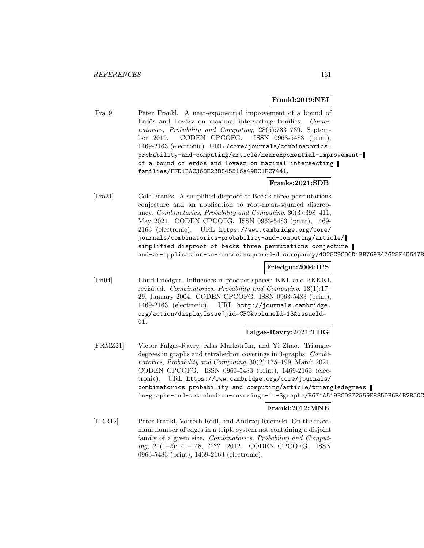## **Frankl:2019:NEI**

[Fra19] Peter Frankl. A near-exponential improvement of a bound of Erdős and Lovász on maximal intersecting families. Combinatorics, Probability and Computing, 28(5):733–739, September 2019. CODEN CPCOFG. ISSN 0963-5483 (print), 1469-2163 (electronic). URL /core/journals/combinatoricsprobability-and-computing/article/nearexponential-improvementof-a-bound-of-erdos-and-lovasz-on-maximal-intersectingfamilies/FFD1BAC368E23B845516A49BC1FC7441.

## **Franks:2021:SDB**

[Fra21] Cole Franks. A simplified disproof of Beck's three permutations conjecture and an application to root-mean-squared discrepancy. Combinatorics, Probability and Computing, 30(3):398–411, May 2021. CODEN CPCOFG. ISSN 0963-5483 (print), 1469- 2163 (electronic). URL https://www.cambridge.org/core/ journals/combinatorics-probability-and-computing/article/ simplified-disproof-of-becks-three-permutations-conjectureand-an-application-to-rootmeansquared-discrepancy/4025C9CD6D1BB769B47625F4D647B

## **Friedgut:2004:IPS**

[Fri04] Ehud Friedgut. Influences in product spaces: KKL and BKKKL revisited. Combinatorics, Probability and Computing, 13(1):17– 29, January 2004. CODEN CPCOFG. ISSN 0963-5483 (print), 1469-2163 (electronic). URL http://journals.cambridge. org/action/displayIssue?jid=CPC&volumeId=13&issueId= 01.

**Falgas-Ravry:2021:TDG**

[FRMZ21] Victor Falgas-Ravry, Klas Markström, and Yi Zhao. Triangledegrees in graphs and tetrahedron coverings in 3-graphs. Combinatorics, Probability and Computing, 30(2):175–199, March 2021. CODEN CPCOFG. ISSN 0963-5483 (print), 1469-2163 (electronic). URL https://www.cambridge.org/core/journals/ combinatorics-probability-and-computing/article/triangledegreesin-graphs-and-tetrahedron-coverings-in-3graphs/B671A519BCD972559E885DB6E4B2B50C

## **Frankl:2012:MNE**

[FRR12] Peter Frankl, Vojtech Rödl, and Andrzej Ruciński. On the maximum number of edges in a triple system not containing a disjoint family of a given size. Combinatorics, Probability and Computing, 21(1–2):141–148, ???? 2012. CODEN CPCOFG. ISSN 0963-5483 (print), 1469-2163 (electronic).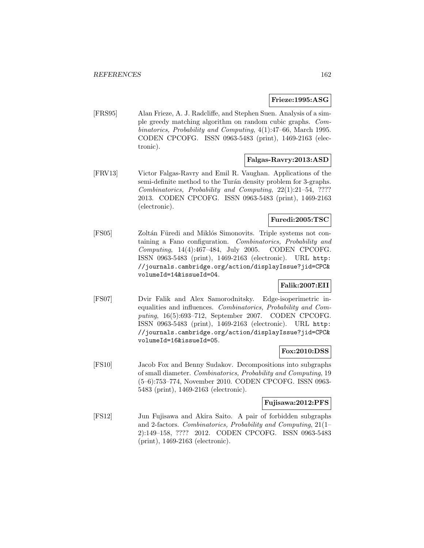## **Frieze:1995:ASG**

[FRS95] Alan Frieze, A. J. Radcliffe, and Stephen Suen. Analysis of a simple greedy matching algorithm on random cubic graphs. Combinatorics, Probability and Computing, 4(1):47–66, March 1995. CODEN CPCOFG. ISSN 0963-5483 (print), 1469-2163 (electronic).

# **Falgas-Ravry:2013:ASD**

[FRV13] Victor Falgas-Ravry and Emil R. Vaughan. Applications of the semi-definite method to the Turán density problem for 3-graphs. Combinatorics, Probability and Computing, 22(1):21–54, ???? 2013. CODEN CPCOFG. ISSN 0963-5483 (print), 1469-2163 (electronic).

## **Furedi:2005:TSC**

[FS05] Zoltán Füredi and Miklós Simonovits. Triple systems not containing a Fano configuration. Combinatorics, Probability and Computing, 14(4):467–484, July 2005. CODEN CPCOFG. ISSN 0963-5483 (print), 1469-2163 (electronic). URL http: //journals.cambridge.org/action/displayIssue?jid=CPC& volumeId=14&issueId=04.

# **Falik:2007:EII**

[FS07] Dvir Falik and Alex Samorodnitsky. Edge-isoperimetric inequalities and influences. Combinatorics, Probability and Computing, 16(5):693–712, September 2007. CODEN CPCOFG. ISSN 0963-5483 (print), 1469-2163 (electronic). URL http: //journals.cambridge.org/action/displayIssue?jid=CPC& volumeId=16&issueId=05.

### **Fox:2010:DSS**

[FS10] Jacob Fox and Benny Sudakov. Decompositions into subgraphs of small diameter. Combinatorics, Probability and Computing, 19 (5–6):753–774, November 2010. CODEN CPCOFG. ISSN 0963- 5483 (print), 1469-2163 (electronic).

## **Fujisawa:2012:PFS**

[FS12] Jun Fujisawa and Akira Saito. A pair of forbidden subgraphs and 2-factors. Combinatorics, Probability and Computing, 21(1– 2):149–158, ???? 2012. CODEN CPCOFG. ISSN 0963-5483 (print), 1469-2163 (electronic).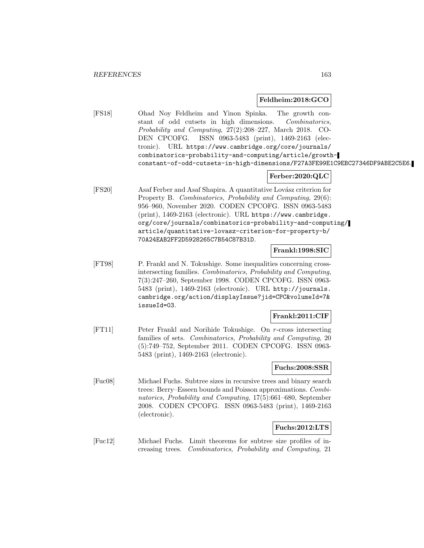#### **Feldheim:2018:GCO**

[FS18] Ohad Noy Feldheim and Yinon Spinka. The growth constant of odd cutsets in high dimensions. Combinatorics, Probability and Computing, 27(2):208–227, March 2018. CO-DEN CPCOFG. ISSN 0963-5483 (print), 1469-2163 (electronic). URL https://www.cambridge.org/core/journals/ combinatorics-probability-and-computing/article/growthconstant-of-odd-cutsets-in-high-dimensions/F27A3FE99E1C9EBC27346DF9ABE2C5E6.

### **Ferber:2020:QLC**

[FS20] Asaf Ferber and Asaf Shapira. A quantitative Lovász criterion for Property B. Combinatorics, Probability and Computing, 29(6): 956–960, November 2020. CODEN CPCOFG. ISSN 0963-5483 (print), 1469-2163 (electronic). URL https://www.cambridge. org/core/journals/combinatorics-probability-and-computing/ article/quantitative-lovasz-criterion-for-property-b/ 70A24EAB2FF2D5928265C7B54C87B31D.

# **Frankl:1998:SIC**

[FT98] P. Frankl and N. Tokushige. Some inequalities concerning crossintersecting families. Combinatorics, Probability and Computing, 7(3):247–260, September 1998. CODEN CPCOFG. ISSN 0963- 5483 (print), 1469-2163 (electronic). URL http://journals. cambridge.org/action/displayIssue?jid=CPC&volumeId=7& issueId=03.

#### **Frankl:2011:CIF**

[FT11] Peter Frankl and Norihide Tokushige. On r-cross intersecting families of sets. Combinatorics, Probability and Computing, 20 (5):749–752, September 2011. CODEN CPCOFG. ISSN 0963- 5483 (print), 1469-2163 (electronic).

## **Fuchs:2008:SSR**

[Fuc08] Michael Fuchs. Subtree sizes in recursive trees and binary search trees: Berry–Esseen bounds and Poisson approximations. Combinatorics, Probability and Computing, 17(5):661–680, September 2008. CODEN CPCOFG. ISSN 0963-5483 (print), 1469-2163 (electronic).

### **Fuchs:2012:LTS**

[Fuc12] Michael Fuchs. Limit theorems for subtree size profiles of increasing trees. Combinatorics, Probability and Computing, 21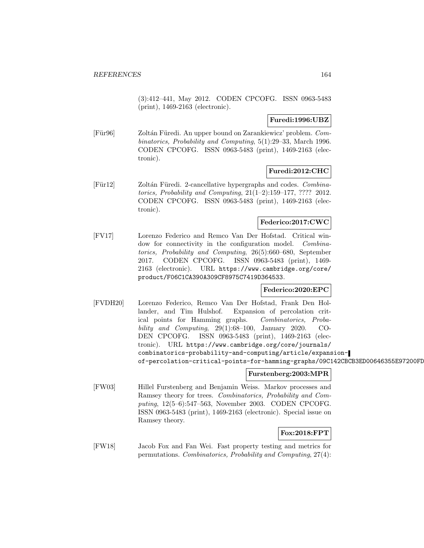(3):412–441, May 2012. CODEN CPCOFG. ISSN 0963-5483 (print), 1469-2163 (electronic).

## **Furedi:1996:UBZ**

[Für96] Zoltán Füredi. An upper bound on Zarankiewicz' problem. Combinatorics, Probability and Computing, 5(1):29–33, March 1996. CODEN CPCOFG. ISSN 0963-5483 (print), 1469-2163 (electronic).

# **Furedi:2012:CHC**

[Für12] Zoltán Füredi. 2-cancellative hypergraphs and codes. Combinatorics, Probability and Computing, 21(1–2):159–177, ???? 2012. CODEN CPCOFG. ISSN 0963-5483 (print), 1469-2163 (electronic).

## **Federico:2017:CWC**

[FV17] Lorenzo Federico and Remco Van Der Hofstad. Critical window for connectivity in the configuration model. Combinatorics, Probability and Computing, 26(5):660–680, September 2017. CODEN CPCOFG. ISSN 0963-5483 (print), 1469- 2163 (electronic). URL https://www.cambridge.org/core/ product/F06C1CA390A309CF8975C7419D364533.

### **Federico:2020:EPC**

[FVDH20] Lorenzo Federico, Remco Van Der Hofstad, Frank Den Hollander, and Tim Hulshof. Expansion of percolation critical points for Hamming graphs. Combinatorics, Probability and Computing,  $29(1):68-100$ , January 2020. CO-DEN CPCOFG. ISSN 0963-5483 (print), 1469-2163 (electronic). URL https://www.cambridge.org/core/journals/ combinatorics-probability-and-computing/article/expansionof-percolation-critical-points-for-hamming-graphs/09C142CBCB3ED00646355E97200FD

### **Furstenberg:2003:MPR**

[FW03] Hillel Furstenberg and Benjamin Weiss. Markov processes and Ramsey theory for trees. Combinatorics, Probability and Computing, 12(5–6):547–563, November 2003. CODEN CPCOFG. ISSN 0963-5483 (print), 1469-2163 (electronic). Special issue on Ramsey theory.

# **Fox:2018:FPT**

[FW18] Jacob Fox and Fan Wei. Fast property testing and metrics for permutations. Combinatorics, Probability and Computing, 27(4):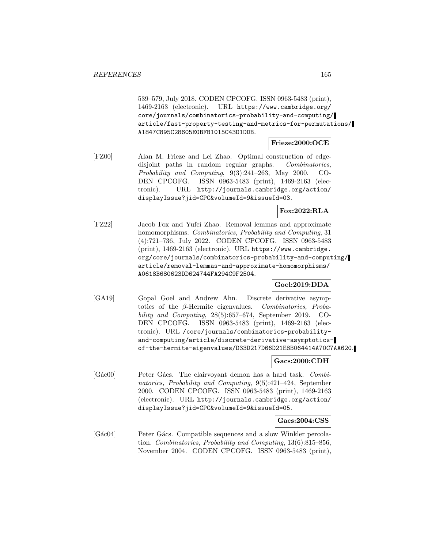539–579, July 2018. CODEN CPCOFG. ISSN 0963-5483 (print), 1469-2163 (electronic). URL https://www.cambridge.org/ core/journals/combinatorics-probability-and-computing/ article/fast-property-testing-and-metrics-for-permutations/ A1847C895C28605E0BFB1015C43D1DDB.

## **Frieze:2000:OCE**

[FZ00] Alan M. Frieze and Lei Zhao. Optimal construction of edgedisjoint paths in random regular graphs. Combinatorics, Probability and Computing, 9(3):241–263, May 2000. CO-DEN CPCOFG. ISSN 0963-5483 (print), 1469-2163 (electronic). URL http://journals.cambridge.org/action/ displayIssue?jid=CPC&volumeId=9&issueId=03.

## **Fox:2022:RLA**

[FZ22] Jacob Fox and Yufei Zhao. Removal lemmas and approximate homomorphisms. Combinatorics, Probability and Computing, 31 (4):721–736, July 2022. CODEN CPCOFG. ISSN 0963-5483 (print), 1469-2163 (electronic). URL https://www.cambridge. org/core/journals/combinatorics-probability-and-computing/ article/removal-lemmas-and-approximate-homomorphisms/ A0618B680623DD624744FA294C9F2504.

## **Goel:2019:DDA**

[GA19] Gopal Goel and Andrew Ahn. Discrete derivative asymptotics of the β-Hermite eigenvalues. Combinatorics, Probability and Computing, 28(5):657–674, September 2019. CO-DEN CPCOFG. ISSN 0963-5483 (print), 1469-2163 (electronic). URL /core/journals/combinatorics-probabilityand-computing/article/discrete-derivative-asymptoticsof-the-hermite-eigenvalues/D33D217D66D21E8B064414A70C7AA620.

## **Gacs:2000:CDH**

[Gác00] Peter Gács. The clairvoyant demon has a hard task. Combinatorics, Probability and Computing, 9(5):421–424, September 2000. CODEN CPCOFG. ISSN 0963-5483 (print), 1469-2163 (electronic). URL http://journals.cambridge.org/action/ displayIssue?jid=CPC&volumeId=9&issueId=05.

### **Gacs:2004:CSS**

[Gác04] Peter Gács. Compatible sequences and a slow Winkler percolation. Combinatorics, Probability and Computing, 13(6):815–856, November 2004. CODEN CPCOFG. ISSN 0963-5483 (print),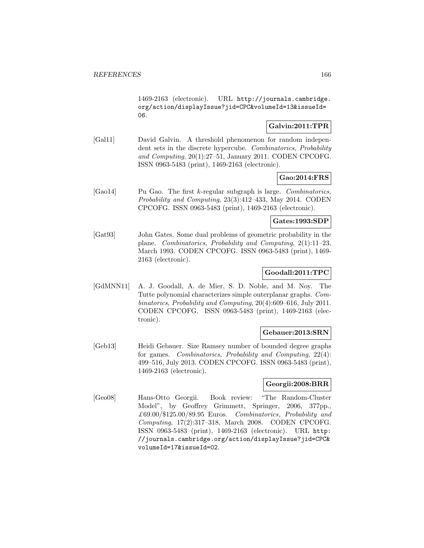1469-2163 (electronic). URL http://journals.cambridge. org/action/displayIssue?jid=CPC&volumeId=13&issueId= 06.

# **Galvin:2011:TPR**

[Gal11] David Galvin. A threshold phenomenon for random independent sets in the discrete hypercube. Combinatorics, Probability and Computing, 20(1):27–51, January 2011. CODEN CPCOFG. ISSN 0963-5483 (print), 1469-2163 (electronic).

**Gao:2014:FRS**

 $[Ga014]$  Pu Gao. The first k-regular subgraph is large. Combinatorics, Probability and Computing, 23(3):412–433, May 2014. CODEN CPCOFG. ISSN 0963-5483 (print), 1469-2163 (electronic).

#### **Gates:1993:SDP**

[Gat93] John Gates. Some dual problems of geometric probability in the plane. Combinatorics, Probability and Computing, 2(1):11–23, March 1993. CODEN CPCOFG. ISSN 0963-5483 (print), 1469- 2163 (electronic).

# **Goodall:2011:TPC**

[GdMNN11] A. J. Goodall, A. de Mier, S. D. Noble, and M. Noy. The Tutte polynomial characterizes simple outerplanar graphs. Combinatorics, Probability and Computing, 20(4):609–616, July 2011. CODEN CPCOFG. ISSN 0963-5483 (print), 1469-2163 (electronic).

### **Gebauer:2013:SRN**

[Geb13] Heidi Gebauer. Size Ramsey number of bounded degree graphs for games. Combinatorics, Probability and Computing, 22(4): 499–516, July 2013. CODEN CPCOFG. ISSN 0963-5483 (print), 1469-2163 (electronic).

## **Georgii:2008:BRR**

[Geo08] Hans-Otto Georgii. Book review: "The Random-Cluster Model", by Geoffrey Grimmett, Springer, 2006, 377pp.,  $£69.00$ /\$125.00/89.95 Euros. Combinatorics, Probability and Computing, 17(2):317–318, March 2008. CODEN CPCOFG. ISSN 0963-5483 (print), 1469-2163 (electronic). URL http: //journals.cambridge.org/action/displayIssue?jid=CPC& volumeId=17&issueId=02.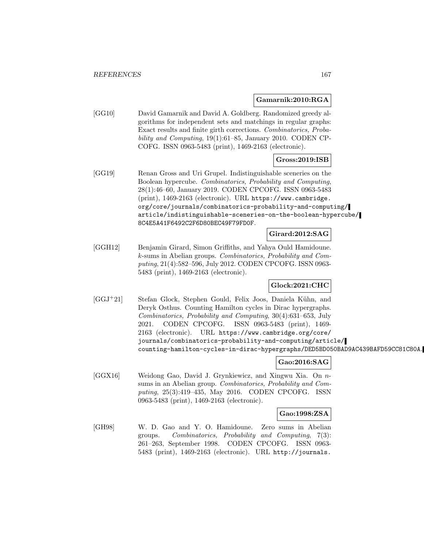#### **Gamarnik:2010:RGA**

[GG10] David Gamarnik and David A. Goldberg. Randomized greedy algorithms for independent sets and matchings in regular graphs: Exact results and finite girth corrections. Combinatorics, Probability and Computing, 19(1):61–85, January 2010. CODEN CP-COFG. ISSN 0963-5483 (print), 1469-2163 (electronic).

### **Gross:2019:ISB**

[GG19] Renan Gross and Uri Grupel. Indistinguishable sceneries on the Boolean hypercube. Combinatorics, Probability and Computing, 28(1):46–60, January 2019. CODEN CPCOFG. ISSN 0963-5483 (print), 1469-2163 (electronic). URL https://www.cambridge. org/core/journals/combinatorics-probability-and-computing/ article/indistinguishable-sceneries-on-the-boolean-hypercube/ 8C4E5A41F6492C2F6D80BEC49F79FD0F.

#### **Girard:2012:SAG**

[GGH12] Benjamin Girard, Simon Griffiths, and Yahya Ould Hamidoune. k-sums in Abelian groups. Combinatorics, Probability and Computing, 21(4):582–596, July 2012. CODEN CPCOFG. ISSN 0963- 5483 (print), 1469-2163 (electronic).

**Glock:2021:CHC**

[GGJ<sup>+</sup>21] Stefan Glock, Stephen Gould, Felix Joos, Daniela K¨uhn, and Deryk Osthus. Counting Hamilton cycles in Dirac hypergraphs. Combinatorics, Probability and Computing, 30(4):631–653, July 2021. CODEN CPCOFG. ISSN 0963-5483 (print), 1469- 2163 (electronic). URL https://www.cambridge.org/core/ journals/combinatorics-probability-and-computing/article/ counting-hamilton-cycles-in-dirac-hypergraphs/DED5BD050BAD9AC439BAFD59CC81C80A.

## **Gao:2016:SAG**

[GGX16] Weidong Gao, David J. Grynkiewicz, and Xingwu Xia. On nsums in an Abelian group. Combinatorics, Probability and Computing, 25(3):419–435, May 2016. CODEN CPCOFG. ISSN 0963-5483 (print), 1469-2163 (electronic).

## **Gao:1998:ZSA**

[GH98] W. D. Gao and Y. O. Hamidoune. Zero sums in Abelian groups. Combinatorics, Probability and Computing, 7(3): 261–263, September 1998. CODEN CPCOFG. ISSN 0963- 5483 (print), 1469-2163 (electronic). URL http://journals.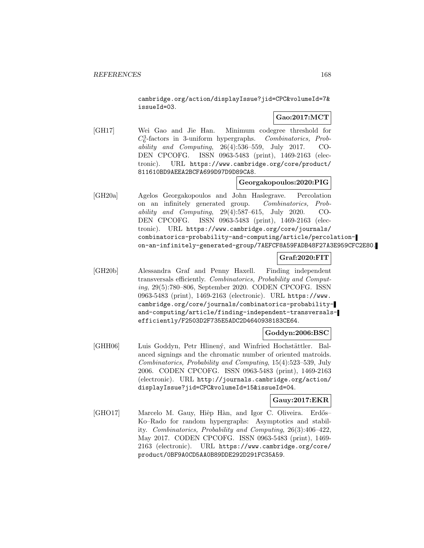cambridge.org/action/displayIssue?jid=CPC&volumeId=7& issueId=03.

# **Gao:2017:MCT**

[GH17] Wei Gao and Jie Han. Minimum codegree threshold for  $C_6^3$ -factors in 3-uniform hypergraphs. Combinatorics, Probability and Computing,  $26(4):536-559$ , July 2017. CO-DEN CPCOFG. ISSN 0963-5483 (print), 1469-2163 (electronic). URL https://www.cambridge.org/core/product/ 811610BD9AEEA2BCFA699D97D9D89CA8.

# **Georgakopoulos:2020:PIG**

[GH20a] Agelos Georgakopoulos and John Haslegrave. Percolation on an infinitely generated group. Combinatorics, Probability and Computing, 29(4):587–615, July 2020. CO-DEN CPCOFG. ISSN 0963-5483 (print), 1469-2163 (electronic). URL https://www.cambridge.org/core/journals/ combinatorics-probability-and-computing/article/percolationon-an-infinitely-generated-group/7AEFCF8A59FADB48F27A3E959CFC2E80.

# **Graf:2020:FIT**

[GH20b] Alessandra Graf and Penny Haxell. Finding independent transversals efficiently. Combinatorics, Probability and Computing, 29(5):780–806, September 2020. CODEN CPCOFG. ISSN 0963-5483 (print), 1469-2163 (electronic). URL https://www. cambridge.org/core/journals/combinatorics-probabilityand-computing/article/finding-independent-transversalsefficiently/F2503D2F735E5ADC2D4640938183CE64.

## **Goddyn:2006:BSC**

[GHH06] Luis Goddyn, Petr Hlinený, and Winfried Hochstättler. Balanced signings and the chromatic number of oriented matroids. Combinatorics, Probability and Computing, 15(4):523–539, July 2006. CODEN CPCOFG. ISSN 0963-5483 (print), 1469-2163 (electronic). URL http://journals.cambridge.org/action/ displayIssue?jid=CPC&volumeId=15&issueId=04.

### **Gauy:2017:EKR**

[GHO17] Marcelo M. Gauy, Hiệp Hàn, and Igor C. Oliveira. Erdős– Ko–Rado for random hypergraphs: Asymptotics and stability. Combinatorics, Probability and Computing, 26(3):406–422, May 2017. CODEN CPCOFG. ISSN 0963-5483 (print), 1469- 2163 (electronic). URL https://www.cambridge.org/core/ product/0BF9A0CD5AA0B89DDE292D291FC35A59.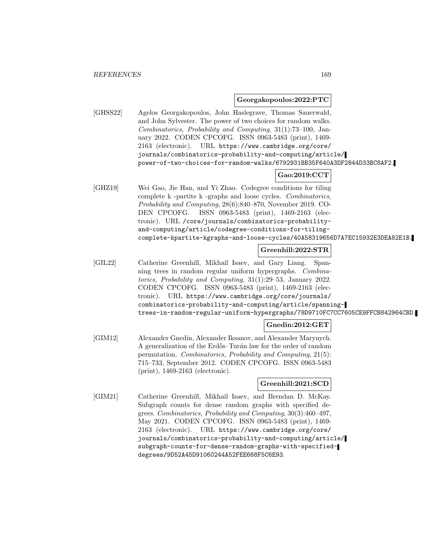#### **Georgakopoulos:2022:PTC**

[GHSS22] Agelos Georgakopoulos, John Haslegrave, Thomas Sauerwald, and John Sylvester. The power of two choices for random walks. Combinatorics, Probability and Computing, 31(1):73–100, January 2022. CODEN CPCOFG. ISSN 0963-5483 (print), 1469- 2163 (electronic). URL https://www.cambridge.org/core/ journals/combinatorics-probability-and-computing/article/ power-of-two-choices-for-random-walks/6792931BB35F640A3DF2844D33BC8AF2.

# **Gao:2019:CCT**

[GHZ19] Wei Gao, Jie Han, and Yi Zhao. Codegree conditions for tiling complete k -partite k -graphs and loose cycles. Combinatorics, Probability and Computing, 28(6):840–870, November 2019. CO-DEN CPCOFG. ISSN 0963-5483 (print), 1469-2163 (electronic). URL /core/journals/combinatorics-probabilityand-computing/article/codegree-conditions-for-tilingcomplete-kpartite-kgraphs-and-loose-cycles/40A58319656D7A7EC15932E3DEA82E1B.

# **Greenhill:2022:STR**

[GIL22] Catherine Greenhill, Mikhail Isaev, and Gary Liang. Spanning trees in random regular uniform hypergraphs. Combinatorics, Probability and Computing, 31(1):29–53, January 2022. CODEN CPCOFG. ISSN 0963-5483 (print), 1469-2163 (electronic). URL https://www.cambridge.org/core/journals/ combinatorics-probability-and-computing/article/spanningtrees-in-random-regular-uniform-hypergraphs/78D9710FC7CC7605CE9FFCB842964CBD.

## **Gnedin:2012:GET**

[GIM12] Alexander Gnedin, Alexander Iksanov, and Alexander Marynych. A generalization of the Erdős–Turán law for the order of random permutation. Combinatorics, Probability and Computing, 21(5): 715–733, September 2012. CODEN CPCOFG. ISSN 0963-5483 (print), 1469-2163 (electronic).

### **Greenhill:2021:SCD**

[GIM21] Catherine Greenhill, Mikhail Isaev, and Brendan D. McKay. Subgraph counts for dense random graphs with specified degrees. Combinatorics, Probability and Computing, 30(3):460–497, May 2021. CODEN CPCOFG. ISSN 0963-5483 (print), 1469- 2163 (electronic). URL https://www.cambridge.org/core/ journals/combinatorics-probability-and-computing/article/ subgraph-counts-for-dense-random-graphs-with-specifieddegrees/9D52A45D91060244A52FEE668F5C6E93.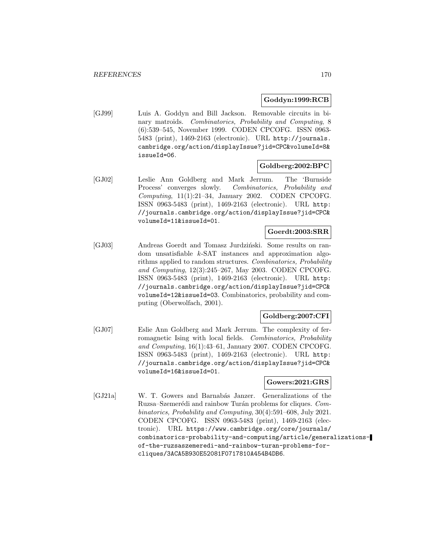## **Goddyn:1999:RCB**

[GJ99] Luis A. Goddyn and Bill Jackson. Removable circuits in binary matroids. Combinatorics, Probability and Computing, 8 (6):539–545, November 1999. CODEN CPCOFG. ISSN 0963- 5483 (print), 1469-2163 (electronic). URL http://journals. cambridge.org/action/displayIssue?jid=CPC&volumeId=8& issueId=06.

## **Goldberg:2002:BPC**

[GJ02] Leslie Ann Goldberg and Mark Jerrum. The 'Burnside Process' converges slowly. Combinatorics, Probability and Computing, 11(1):21–34, January 2002. CODEN CPCOFG. ISSN 0963-5483 (print), 1469-2163 (electronic). URL http: //journals.cambridge.org/action/displayIssue?jid=CPC& volumeId=11&issueId=01.

### **Goerdt:2003:SRR**

[GJ03] Andreas Goerdt and Tomasz Jurdziński. Some results on random unsatisfiable k-SAT instances and approximation algorithms applied to random structures. Combinatorics, Probability and Computing, 12(3):245–267, May 2003. CODEN CPCOFG. ISSN 0963-5483 (print), 1469-2163 (electronic). URL http: //journals.cambridge.org/action/displayIssue?jid=CPC& volumeId=12&issueId=03. Combinatorics, probability and computing (Oberwolfach, 2001).

## **Goldberg:2007:CFI**

[GJ07] Eslie Ann Goldberg and Mark Jerrum. The complexity of ferromagnetic Ising with local fields. Combinatorics, Probability and Computing, 16(1):43–61, January 2007. CODEN CPCOFG. ISSN 0963-5483 (print), 1469-2163 (electronic). URL http: //journals.cambridge.org/action/displayIssue?jid=CPC& volumeId=16&issueId=01.

## **Gowers:2021:GRS**

[GJ21a] W. T. Gowers and Barnabás Janzer. Generalizations of the Ruzsa–Szemerédi and rainbow Turán problems for cliques. Combinatorics, Probability and Computing, 30(4):591–608, July 2021. CODEN CPCOFG. ISSN 0963-5483 (print), 1469-2163 (electronic). URL https://www.cambridge.org/core/journals/ combinatorics-probability-and-computing/article/generalizationsof-the-ruzsaszemeredi-and-rainbow-turan-problems-forcliques/3ACA5B930E52081F0717810A454B4DB6.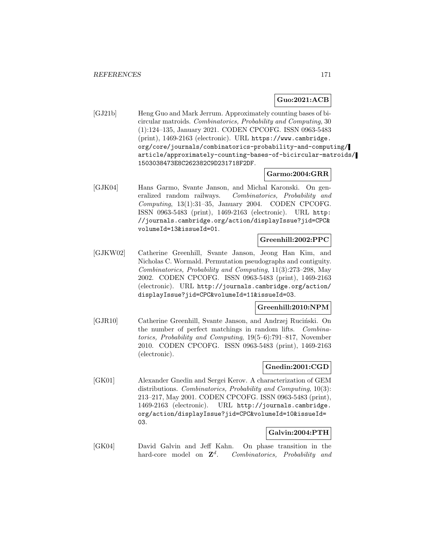## **Guo:2021:ACB**

[GJ21b] Heng Guo and Mark Jerrum. Approximately counting bases of bicircular matroids. Combinatorics, Probability and Computing, 30 (1):124–135, January 2021. CODEN CPCOFG. ISSN 0963-5483 (print), 1469-2163 (electronic). URL https://www.cambridge. org/core/journals/combinatorics-probability-and-computing/ article/approximately-counting-bases-of-bicircular-matroids/ 1503038473E8C262382C9D231718F2DF.

#### **Garmo:2004:GRR**

[GJK04] Hans Garmo, Svante Janson, and Michal Karonski. On generalized random railways. Combinatorics, Probability and Computing,  $13(1):31-35$ , January 2004. CODEN CPCOFG. ISSN 0963-5483 (print), 1469-2163 (electronic). URL http: //journals.cambridge.org/action/displayIssue?jid=CPC& volumeId=13&issueId=01.

# **Greenhill:2002:PPC**

[GJKW02] Catherine Greenhill, Svante Janson, Jeong Han Kim, and Nicholas C. Wormald. Permutation pseudographs and contiguity. Combinatorics, Probability and Computing, 11(3):273–298, May 2002. CODEN CPCOFG. ISSN 0963-5483 (print), 1469-2163 (electronic). URL http://journals.cambridge.org/action/ displayIssue?jid=CPC&volumeId=11&issueId=03.

# **Greenhill:2010:NPM**

[GJR10] Catherine Greenhill, Svante Janson, and Andrzej Ruciński. On the number of perfect matchings in random lifts. Combinatorics, Probability and Computing, 19(5–6):791–817, November 2010. CODEN CPCOFG. ISSN 0963-5483 (print), 1469-2163 (electronic).

## **Gnedin:2001:CGD**

[GK01] Alexander Gnedin and Sergei Kerov. A characterization of GEM distributions. Combinatorics, Probability and Computing, 10(3): 213–217, May 2001. CODEN CPCOFG. ISSN 0963-5483 (print), 1469-2163 (electronic). URL http://journals.cambridge. org/action/displayIssue?jid=CPC&volumeId=10&issueId= 03.

### **Galvin:2004:PTH**

[GK04] David Galvin and Jeff Kahn. On phase transition in the hard-core model on  $\mathbb{Z}^d$ . Combinatorics, Probability and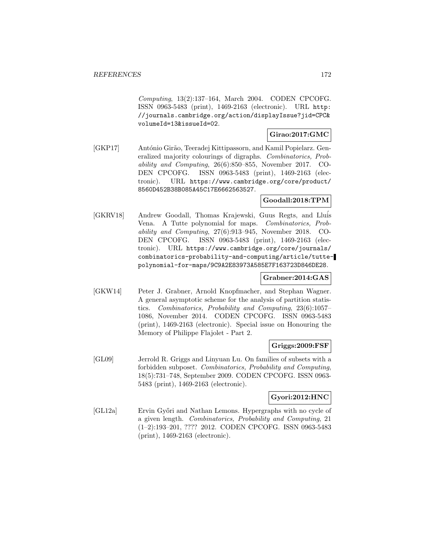Computing, 13(2):137–164, March 2004. CODEN CPCOFG. ISSN 0963-5483 (print), 1469-2163 (electronic). URL http: //journals.cambridge.org/action/displayIssue?jid=CPC& volumeId=13&issueId=02.

### **Girao:2017:GMC**

[GKP17] António Girão, Teeradej Kittipassorn, and Kamil Popielarz. Generalized majority colourings of digraphs. Combinatorics, Probability and Computing, 26(6):850–855, November 2017. CO-DEN CPCOFG. ISSN 0963-5483 (print), 1469-2163 (electronic). URL https://www.cambridge.org/core/product/ 8560D452B38B085A45C17E6662563527.

## **Goodall:2018:TPM**

[GKRV18] Andrew Goodall, Thomas Krajewski, Guus Regts, and Llu´is Vena. A Tutte polynomial for maps. Combinatorics, Probability and Computing, 27(6):913–945, November 2018. CO-DEN CPCOFG. ISSN 0963-5483 (print), 1469-2163 (electronic). URL https://www.cambridge.org/core/journals/ combinatorics-probability-and-computing/article/tuttepolynomial-for-maps/9C9A2E83973A585E7F163723D846DE28.

## **Grabner:2014:GAS**

[GKW14] Peter J. Grabner, Arnold Knopfmacher, and Stephan Wagner. A general asymptotic scheme for the analysis of partition statistics. Combinatorics, Probability and Computing, 23(6):1057– 1086, November 2014. CODEN CPCOFG. ISSN 0963-5483 (print), 1469-2163 (electronic). Special issue on Honouring the Memory of Philippe Flajolet - Part 2.

## **Griggs:2009:FSF**

[GL09] Jerrold R. Griggs and Linyuan Lu. On families of subsets with a forbidden subposet. Combinatorics, Probability and Computing, 18(5):731–748, September 2009. CODEN CPCOFG. ISSN 0963- 5483 (print), 1469-2163 (electronic).

# **Gyori:2012:HNC**

[GL12a] Ervin Győri and Nathan Lemons. Hypergraphs with no cycle of a given length. Combinatorics, Probability and Computing, 21 (1–2):193–201, ???? 2012. CODEN CPCOFG. ISSN 0963-5483 (print), 1469-2163 (electronic).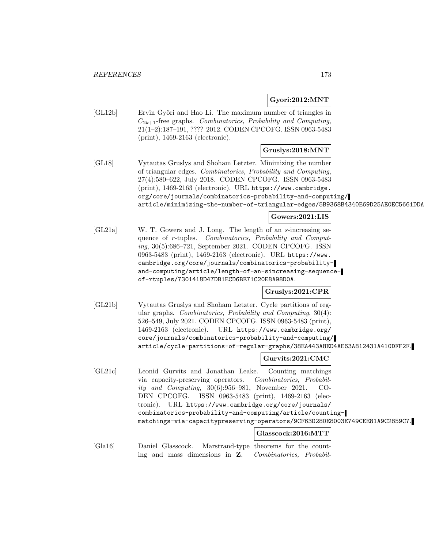## **Gyori:2012:MNT**

[GL12b] Ervin Győri and Hao Li. The maximum number of triangles in  $C_{2k+1}$ -free graphs. Combinatorics, Probability and Computing, 21(1–2):187–191, ???? 2012. CODEN CPCOFG. ISSN 0963-5483 (print), 1469-2163 (electronic).

## **Gruslys:2018:MNT**

[GL18] Vytautas Gruslys and Shoham Letzter. Minimizing the number of triangular edges. Combinatorics, Probability and Computing, 27(4):580–622, July 2018. CODEN CPCOFG. ISSN 0963-5483 (print), 1469-2163 (electronic). URL https://www.cambridge. org/core/journals/combinatorics-probability-and-computing/ article/minimizing-the-number-of-triangular-edges/5B9368B4340E69D25AE0EC5661DDA

## **Gowers:2021:LIS**

[GL21a] W. T. Gowers and J. Long. The length of an s-increasing sequence of r-tuples. Combinatorics, Probability and Computing, 30(5):686–721, September 2021. CODEN CPCOFG. ISSN 0963-5483 (print), 1469-2163 (electronic). URL https://www. cambridge.org/core/journals/combinatorics-probabilityand-computing/article/length-of-an-sincreasing-sequenceof-rtuples/7301418D47DB1ECD6BE71C20E8A98D0A.

### **Gruslys:2021:CPR**

[GL21b] Vytautas Gruslys and Shoham Letzter. Cycle partitions of regular graphs. Combinatorics, Probability and Computing, 30(4): 526–549, July 2021. CODEN CPCOFG. ISSN 0963-5483 (print), 1469-2163 (electronic). URL https://www.cambridge.org/ core/journals/combinatorics-probability-and-computing/ article/cycle-partitions-of-regular-graphs/38EA443A8ED4AE63A812431A410DFF2F.

### **Gurvits:2021:CMC**

[GL21c] Leonid Gurvits and Jonathan Leake. Counting matchings via capacity-preserving operators. Combinatorics, Probability and Computing, 30(6):956–981, November 2021. CO-DEN CPCOFG. ISSN 0963-5483 (print), 1469-2163 (electronic). URL https://www.cambridge.org/core/journals/ combinatorics-probability-and-computing/article/countingmatchings-via-capacitypreserving-operators/9CF63D280E8003E749CEE81A9C2859C7.

## **Glasscock:2016:MTT**

[Gla16] Daniel Glasscock. Marstrand-type theorems for the counting and mass dimensions in **Z**. Combinatorics, Probabil-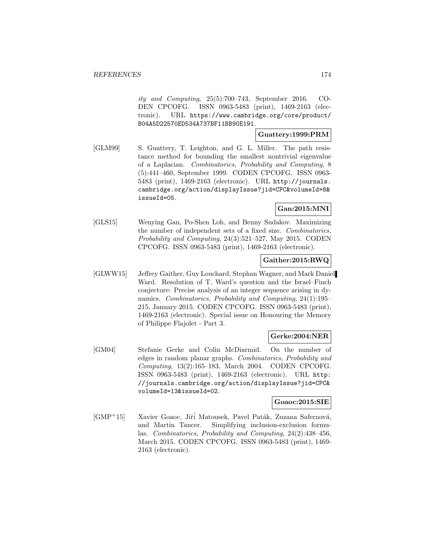ity and Computing, 25(5):700–743, September 2016. CO-DEN CPCOFG. ISSN 0963-5483 (print), 1469-2163 (electronic). URL https://www.cambridge.org/core/product/ B04A5D22570ED534A737BF11BB90E191.

#### **Guattery:1999:PRM**

[GLM99] S. Guattery, T. Leighton, and G. L. Miller. The path resistance method for bounding the smallest nontrivial eigenvalue of a Laplacian. Combinatorics, Probability and Computing, 8 (5):441–460, September 1999. CODEN CPCOFG. ISSN 0963- 5483 (print), 1469-2163 (electronic). URL http://journals. cambridge.org/action/displayIssue?jid=CPC&volumeId=8& issueId=05.

# **Gan:2015:MNI**

[GLS15] Wenying Gan, Po-Shen Loh, and Benny Sudakov. Maximizing the number of independent sets of a fixed size. Combinatorics, Probability and Computing, 24(3):521–527, May 2015. CODEN CPCOFG. ISSN 0963-5483 (print), 1469-2163 (electronic).

## **Gaither:2015:RWQ**

[GLWW15] Jeffrey Gaither, Guy Louchard, Stephan Wagner, and Mark Daniel Ward. Resolution of T. Ward's question and the Israel–Finch conjecture: Precise analysis of an integer sequence arising in dynamics. Combinatorics, Probability and Computing, 24(1):195– 215, January 2015. CODEN CPCOFG. ISSN 0963-5483 (print), 1469-2163 (electronic). Special issue on Honouring the Memory of Philippe Flajolet - Part 3.

### **Gerke:2004:NER**

[GM04] Stefanie Gerke and Colin McDiarmid. On the number of edges in random planar graphs. Combinatorics, Probability and Computing, 13(2):165–183, March 2004. CODEN CPCOFG. ISSN 0963-5483 (print), 1469-2163 (electronic). URL http: //journals.cambridge.org/action/displayIssue?jid=CPC& volumeId=13&issueId=02.

#### **Goaoc:2015:SIE**

[GMP+15] Xavier Goaoc, Jiří Matousek, Pavel Paták, Zuzana Safernová, and Martin Tancer. Simplifying inclusion-exclusion formulas. Combinatorics, Probability and Computing, 24(2):438–456, March 2015. CODEN CPCOFG. ISSN 0963-5483 (print), 1469- 2163 (electronic).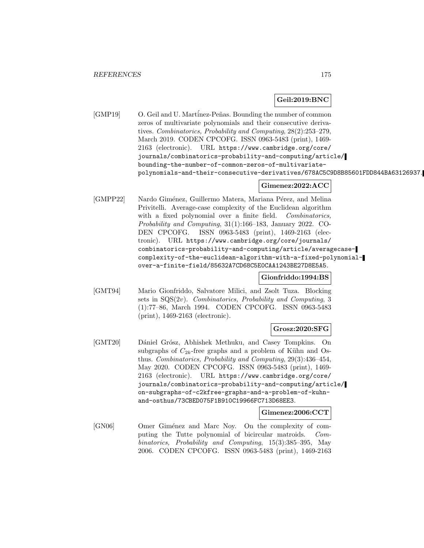## **Geil:2019:BNC**

[GMP19] O. Geil and U. Martinez-Peñas. Bounding the number of common zeros of multivariate polynomials and their consecutive derivatives. Combinatorics, Probability and Computing, 28(2):253–279, March 2019. CODEN CPCOFG. ISSN 0963-5483 (print), 1469- 2163 (electronic). URL https://www.cambridge.org/core/ journals/combinatorics-probability-and-computing/article/ bounding-the-number-of-common-zeros-of-multivariatepolynomials-and-their-consecutive-derivatives/678AC5C9D8B85601FDD844BA63126937.

# **Gimenez:2022:ACC**

[GMPP22] Nardo Giménez, Guillermo Matera, Mariana Pérez, and Melina Privitelli. Average-case complexity of the Euclidean algorithm with a fixed polynomial over a finite field. Combinatorics, Probability and Computing, 31(1):166–183, January 2022. CO-DEN CPCOFG. ISSN 0963-5483 (print), 1469-2163 (electronic). URL https://www.cambridge.org/core/journals/ combinatorics-probability-and-computing/article/averagecasecomplexity-of-the-euclidean-algorithm-with-a-fixed-polynomialover-a-finite-field/85632A7CD68C5E0CAA1243BE27D8E5A5.

## **Gionfriddo:1994:BS**

[GMT94] Mario Gionfriddo, Salvatore Milici, and Zsolt Tuza. Blocking sets in  $SQS(2v)$ . Combinatorics, Probability and Computing, 3 (1):77–86, March 1994. CODEN CPCOFG. ISSN 0963-5483 (print), 1469-2163 (electronic).

## **Grosz:2020:SFG**

[GMT20] Dániel Grósz, Abhishek Methuku, and Casey Tompkins. On subgraphs of  $C_{2k}$ -free graphs and a problem of Kühn and Osthus. Combinatorics, Probability and Computing, 29(3):436–454, May 2020. CODEN CPCOFG. ISSN 0963-5483 (print), 1469- 2163 (electronic). URL https://www.cambridge.org/core/ journals/combinatorics-probability-and-computing/article/ on-subgraphs-of-c2kfree-graphs-and-a-problem-of-kuhnand-osthus/73CBED075F1B910C19966FC713D68EE3.

### **Gimenez:2006:CCT**

[GN06] Omer Giménez and Marc Noy. On the complexity of computing the Tutte polynomial of bicircular matroids. Combinatorics, Probability and Computing, 15(3):385–395, May 2006. CODEN CPCOFG. ISSN 0963-5483 (print), 1469-2163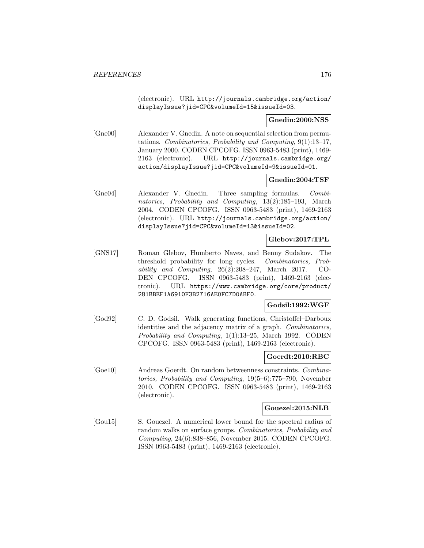(electronic). URL http://journals.cambridge.org/action/ displayIssue?jid=CPC&volumeId=15&issueId=03.

## **Gnedin:2000:NSS**

[Gne00] Alexander V. Gnedin. A note on sequential selection from permutations. Combinatorics, Probability and Computing, 9(1):13–17, January 2000. CODEN CPCOFG. ISSN 0963-5483 (print), 1469- 2163 (electronic). URL http://journals.cambridge.org/ action/displayIssue?jid=CPC&volumeId=9&issueId=01.

### **Gnedin:2004:TSF**

[Gne04] Alexander V. Gnedin. Three sampling formulas. Combinatorics, Probability and Computing, 13(2):185–193, March 2004. CODEN CPCOFG. ISSN 0963-5483 (print), 1469-2163 (electronic). URL http://journals.cambridge.org/action/ displayIssue?jid=CPC&volumeId=13&issueId=02.

# **Glebov:2017:TPL**

[GNS17] Roman Glebov, Humberto Naves, and Benny Sudakov. The threshold probability for long cycles. Combinatorics, Probability and Computing, 26(2):208–247, March 2017. CO-DEN CPCOFG. ISSN 0963-5483 (print), 1469-2163 (electronic). URL https://www.cambridge.org/core/product/ 281BBEF1A6910F3B2716AE0FC7D0ABF0.

### **Godsil:1992:WGF**

[God92] C. D. Godsil. Walk generating functions, Christoffel–Darboux identities and the adjacency matrix of a graph. Combinatorics, Probability and Computing, 1(1):13–25, March 1992. CODEN CPCOFG. ISSN 0963-5483 (print), 1469-2163 (electronic).

#### **Goerdt:2010:RBC**

[Goe10] Andreas Goerdt. On random betweenness constraints. Combinatorics, Probability and Computing, 19(5–6):775–790, November 2010. CODEN CPCOFG. ISSN 0963-5483 (print), 1469-2163 (electronic).

#### **Gouezel:2015:NLB**

[Gou15] S. Gouezel. A numerical lower bound for the spectral radius of random walks on surface groups. Combinatorics, Probability and Computing, 24(6):838–856, November 2015. CODEN CPCOFG. ISSN 0963-5483 (print), 1469-2163 (electronic).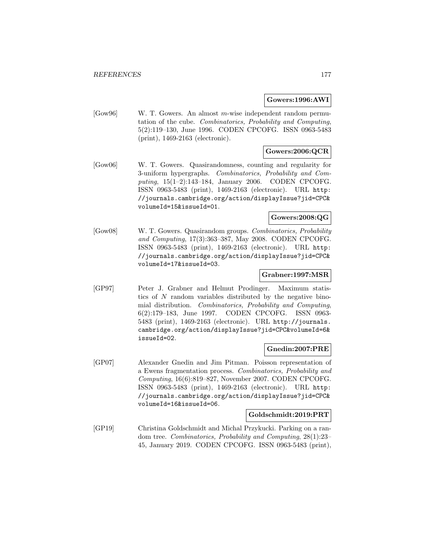#### **Gowers:1996:AWI**

[Gow96] W. T. Gowers. An almost m-wise independent random permutation of the cube. Combinatorics, Probability and Computing, 5(2):119–130, June 1996. CODEN CPCOFG. ISSN 0963-5483 (print), 1469-2163 (electronic).

## **Gowers:2006:QCR**

[Gow06] W. T. Gowers. Quasirandomness, counting and regularity for 3-uniform hypergraphs. Combinatorics, Probability and Computing, 15(1–2):143–184, January 2006. CODEN CPCOFG. ISSN 0963-5483 (print), 1469-2163 (electronic). URL http: //journals.cambridge.org/action/displayIssue?jid=CPC& volumeId=15&issueId=01.

## **Gowers:2008:QG**

[Gow08] W. T. Gowers. Quasirandom groups. Combinatorics, Probability and Computing, 17(3):363–387, May 2008. CODEN CPCOFG. ISSN 0963-5483 (print), 1469-2163 (electronic). URL http: //journals.cambridge.org/action/displayIssue?jid=CPC& volumeId=17&issueId=03.

## **Grabner:1997:MSR**

[GP97] Peter J. Grabner and Helmut Prodinger. Maximum statistics of  $N$  random variables distributed by the negative binomial distribution. Combinatorics, Probability and Computing, 6(2):179–183, June 1997. CODEN CPCOFG. ISSN 0963- 5483 (print), 1469-2163 (electronic). URL http://journals. cambridge.org/action/displayIssue?jid=CPC&volumeId=6& issueId=02.

#### **Gnedin:2007:PRE**

[GP07] Alexander Gnedin and Jim Pitman. Poisson representation of a Ewens fragmentation process. Combinatorics, Probability and Computing, 16(6):819–827, November 2007. CODEN CPCOFG. ISSN 0963-5483 (print), 1469-2163 (electronic). URL http: //journals.cambridge.org/action/displayIssue?jid=CPC& volumeId=16&issueId=06.

### **Goldschmidt:2019:PRT**

[GP19] Christina Goldschmidt and Michal Przykucki. Parking on a random tree. Combinatorics, Probability and Computing, 28(1):23– 45, January 2019. CODEN CPCOFG. ISSN 0963-5483 (print),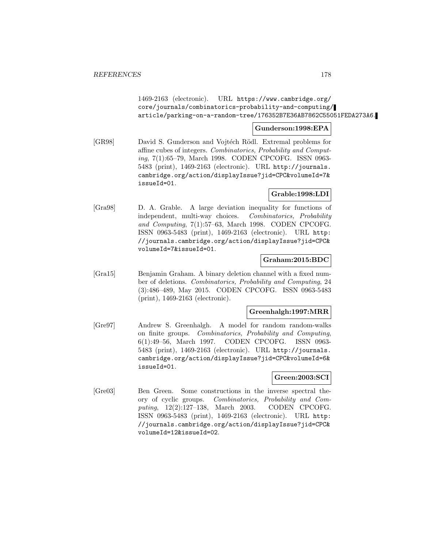1469-2163 (electronic). URL https://www.cambridge.org/ core/journals/combinatorics-probability-and-computing/ article/parking-on-a-random-tree/176352B7E36AB7862C55051FEDA273A6.

#### **Gunderson:1998:EPA**

[GR98] David S. Gunderson and Vojtéch Rödl. Extremal problems for affine cubes of integers. Combinatorics, Probability and Computing, 7(1):65–79, March 1998. CODEN CPCOFG. ISSN 0963- 5483 (print), 1469-2163 (electronic). URL http://journals. cambridge.org/action/displayIssue?jid=CPC&volumeId=7& issueId=01.

## **Grable:1998:LDI**

[Gra98] D. A. Grable. A large deviation inequality for functions of independent, multi-way choices. Combinatorics, Probability and Computing, 7(1):57–63, March 1998. CODEN CPCOFG. ISSN 0963-5483 (print), 1469-2163 (electronic). URL http: //journals.cambridge.org/action/displayIssue?jid=CPC& volumeId=7&issueId=01.

#### **Graham:2015:BDC**

[Gra15] Benjamin Graham. A binary deletion channel with a fixed number of deletions. Combinatorics, Probability and Computing, 24 (3):486–489, May 2015. CODEN CPCOFG. ISSN 0963-5483 (print), 1469-2163 (electronic).

### **Greenhalgh:1997:MRR**

[Gre97] Andrew S. Greenhalgh. A model for random random-walks on finite groups. Combinatorics, Probability and Computing, 6(1):49–56, March 1997. CODEN CPCOFG. ISSN 0963- 5483 (print), 1469-2163 (electronic). URL http://journals. cambridge.org/action/displayIssue?jid=CPC&volumeId=6& issueId=01.

### **Green:2003:SCI**

[Gre03] Ben Green. Some constructions in the inverse spectral theory of cyclic groups. Combinatorics, Probability and Computing, 12(2):127–138, March 2003. CODEN CPCOFG. ISSN 0963-5483 (print), 1469-2163 (electronic). URL http: //journals.cambridge.org/action/displayIssue?jid=CPC& volumeId=12&issueId=02.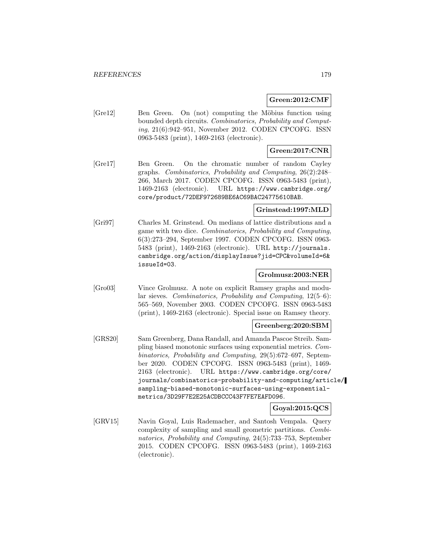## **Green:2012:CMF**

[Green. Ben Green. On (not) computing the Möbius function using bounded depth circuits. Combinatorics, Probability and Computing, 21(6):942–951, November 2012. CODEN CPCOFG. ISSN 0963-5483 (print), 1469-2163 (electronic).

## **Green:2017:CNR**

[Gre17] Ben Green. On the chromatic number of random Cayley graphs. Combinatorics, Probability and Computing, 26(2):248– 266, March 2017. CODEN CPCOFG. ISSN 0963-5483 (print), 1469-2163 (electronic). URL https://www.cambridge.org/ core/product/72DEF972689BE6AC69BAC24775610BAB.

## **Grinstead:1997:MLD**

[Gri97] Charles M. Grinstead. On medians of lattice distributions and a game with two dice. Combinatorics, Probability and Computing, 6(3):273–294, September 1997. CODEN CPCOFG. ISSN 0963- 5483 (print), 1469-2163 (electronic). URL http://journals. cambridge.org/action/displayIssue?jid=CPC&volumeId=6& issueId=03.

## **Grolmusz:2003:NER**

[Gro03] Vince Grolmusz. A note on explicit Ramsey graphs and modular sieves. Combinatorics, Probability and Computing, 12(5–6): 565–569, November 2003. CODEN CPCOFG. ISSN 0963-5483 (print), 1469-2163 (electronic). Special issue on Ramsey theory.

### **Greenberg:2020:SBM**

[GRS20] Sam Greenberg, Dana Randall, and Amanda Pascoe Streib. Sampling biased monotonic surfaces using exponential metrics. Combinatorics, Probability and Computing, 29(5):672–697, September 2020. CODEN CPCOFG. ISSN 0963-5483 (print), 1469- 2163 (electronic). URL https://www.cambridge.org/core/ journals/combinatorics-probability-and-computing/article/ sampling-biased-monotonic-surfaces-using-exponentialmetrics/3D29F7E2E25ACDBCCC43F7FE7EAFD096.

## **Goyal:2015:QCS**

[GRV15] Navin Goyal, Luis Rademacher, and Santosh Vempala. Query complexity of sampling and small geometric partitions. Combinatorics, Probability and Computing, 24(5):733–753, September 2015. CODEN CPCOFG. ISSN 0963-5483 (print), 1469-2163 (electronic).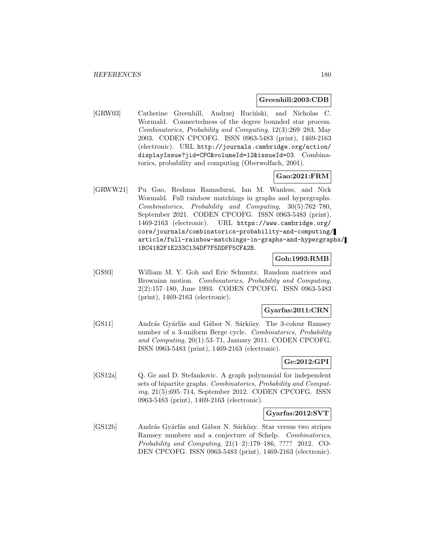#### **Greenhill:2003:CDB**

[GRW03] Catherine Greenhill, Andrzej Ruciński, and Nicholas C. Wormald. Connectedness of the degree bounded star process. Combinatorics, Probability and Computing, 12(3):269–283, May 2003. CODEN CPCOFG. ISSN 0963-5483 (print), 1469-2163 (electronic). URL http://journals.cambridge.org/action/ displayIssue?jid=CPC&volumeId=12&issueId=03. Combinatorics, probability and computing (Oberwolfach, 2001).

## **Gao:2021:FRM**

[GRWW21] Pu Gao, Reshma Ramadurai, Ian M. Wanless, and Nick Wormald. Full rainbow matchings in graphs and hypergraphs. Combinatorics, Probability and Computing, 30(5):762–780, September 2021. CODEN CPCOFG. ISSN 0963-5483 (print), 1469-2163 (electronic). URL https://www.cambridge.org/ core/journals/combinatorics-probability-and-computing/ article/full-rainbow-matchings-in-graphs-and-hypergraphs/ 1BC41B2F1E233C134DF7F5DDFF5CFA2B.

#### **Goh:1993:RMB**

[GS93] William M. Y. Goh and Eric Schmutz. Random matrices and Brownian motion. Combinatorics, Probability and Computing, 2(2):157–180, June 1993. CODEN CPCOFG. ISSN 0963-5483 (print), 1469-2163 (electronic).

### **Gyarfas:2011:CRN**

[GS11] András Gyárfás and Gábor N. Sárközy. The 3-colour Ramsey number of a 3-uniform Berge cycle. Combinatorics, Probability and Computing, 20(1):53–71, January 2011. CODEN CPCOFG. ISSN 0963-5483 (print), 1469-2163 (electronic).

## **Ge:2012:GPI**

[GS12a] Q. Ge and D. Stefankovic. A graph polynomial for independent sets of bipartite graphs. Combinatorics, Probability and Computing, 21(5):695–714, September 2012. CODEN CPCOFG. ISSN 0963-5483 (print), 1469-2163 (electronic).

### **Gyarfas:2012:SVT**

[GS12b] András Gyárfás and Gábor N. Sárközy. Star versus two stripes Ramsey numbers and a conjecture of Schelp. Combinatorics, Probability and Computing, 21(1–2):179–186, ???? 2012. CO-DEN CPCOFG. ISSN 0963-5483 (print), 1469-2163 (electronic).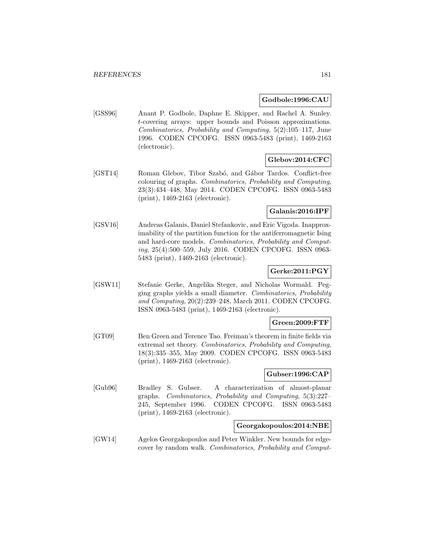#### **Godbole:1996:CAU**

[GSS96] Anant P. Godbole, Daphne E. Skipper, and Rachel A. Sunley. t-covering arrays: upper bounds and Poisson approximations. Combinatorics, Probability and Computing, 5(2):105–117, June 1996. CODEN CPCOFG. ISSN 0963-5483 (print), 1469-2163 (electronic).

# **Glebov:2014:CFC**

[GST14] Roman Glebov, Tibor Szabó, and Gábor Tardos. Conflict-free colouring of graphs. Combinatorics, Probability and Computing, 23(3):434–448, May 2014. CODEN CPCOFG. ISSN 0963-5483 (print), 1469-2163 (electronic).

## **Galanis:2016:IPF**

[GSV16] Andreas Galanis, Daniel Stefankovic, and Eric Vigoda. Inapproximability of the partition function for the antiferromagnetic Ising and hard-core models. Combinatorics, Probability and Computing, 25(4):500–559, July 2016. CODEN CPCOFG. ISSN 0963- 5483 (print), 1469-2163 (electronic).

# **Gerke:2011:PGY**

[GSW11] Stefanie Gerke, Angelika Steger, and Nicholas Wormald. Pegging graphs yields a small diameter. Combinatorics, Probability and Computing, 20(2):239–248, March 2011. CODEN CPCOFG. ISSN 0963-5483 (print), 1469-2163 (electronic).

## **Green:2009:FTF**

[GT09] Ben Green and Terence Tao. Freiman's theorem in finite fields via extremal set theory. Combinatorics, Probability and Computing, 18(3):335–355, May 2009. CODEN CPCOFG. ISSN 0963-5483 (print), 1469-2163 (electronic).

#### **Gubser:1996:CAP**

[Gub96] Bradley S. Gubser. A characterization of almost-planar graphs. Combinatorics, Probability and Computing, 5(3):227– 245, September 1996. CODEN CPCOFG. ISSN 0963-5483 (print), 1469-2163 (electronic).

## **Georgakopoulos:2014:NBE**

[GW14] Agelos Georgakopoulos and Peter Winkler. New bounds for edgecover by random walk. Combinatorics, Probability and Comput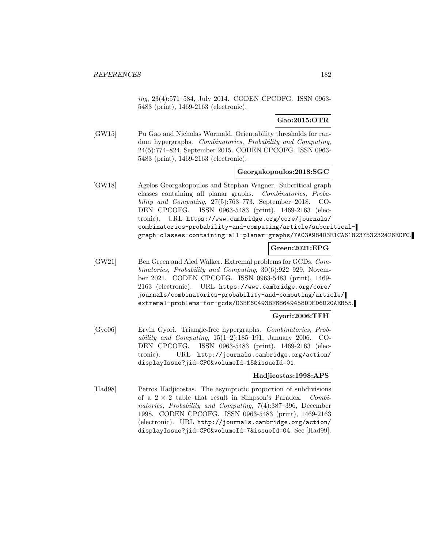ing, 23(4):571–584, July 2014. CODEN CPCOFG. ISSN 0963- 5483 (print), 1469-2163 (electronic).

## **Gao:2015:OTR**

[GW15] Pu Gao and Nicholas Wormald. Orientability thresholds for random hypergraphs. Combinatorics, Probability and Computing, 24(5):774–824, September 2015. CODEN CPCOFG. ISSN 0963- 5483 (print), 1469-2163 (electronic).

## **Georgakopoulos:2018:SGC**

[GW18] Agelos Georgakopoulos and Stephan Wagner. Subcritical graph classes containing all planar graphs. Combinatorics, Probability and Computing, 27(5):763–773, September 2018. CO-DEN CPCOFG. ISSN 0963-5483 (print), 1469-2163 (electronic). URL https://www.cambridge.org/core/journals/ combinatorics-probability-and-computing/article/subcriticalgraph-classes-containing-all-planar-graphs/7A03A98403E1CA61823753232426ECFC.

# **Green:2021:EPG**

[GW21] Ben Green and Aled Walker. Extremal problems for GCDs. Combinatorics, Probability and Computing, 30(6):922–929, November 2021. CODEN CPCOFG. ISSN 0963-5483 (print), 1469- 2163 (electronic). URL https://www.cambridge.org/core/ journals/combinatorics-probability-and-computing/article/ extremal-problems-for-gcds/D3BE6C493BF68649458DDED6D20AEB55.

## **Gyori:2006:TFH**

[Gyo06] Ervin Gyori. Triangle-free hypergraphs. Combinatorics, Probability and Computing,  $15(1-2):185-191$ , January 2006. CO-DEN CPCOFG. ISSN 0963-5483 (print), 1469-2163 (electronic). URL http://journals.cambridge.org/action/ displayIssue?jid=CPC&volumeId=15&issueId=01.

## **Hadjicostas:1998:APS**

[Had98] Petros Hadjicostas. The asymptotic proportion of subdivisions of a  $2 \times 2$  table that result in Simpson's Paradox. Combinatorics, Probability and Computing, 7(4):387–396, December 1998. CODEN CPCOFG. ISSN 0963-5483 (print), 1469-2163 (electronic). URL http://journals.cambridge.org/action/ displayIssue?jid=CPC&volumeId=7&issueId=04. See [Had99].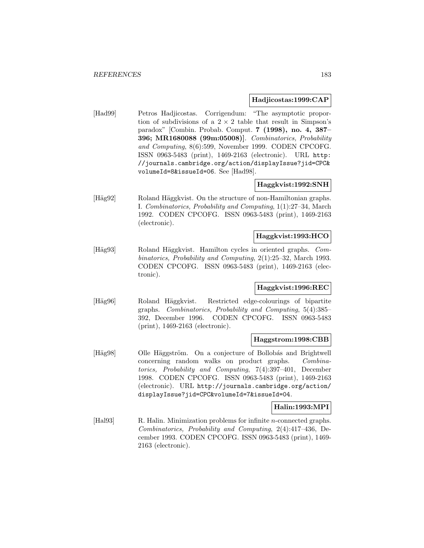### **Hadjicostas:1999:CAP**

[Had99] Petros Hadjicostas. Corrigendum: "The asymptotic proportion of subdivisions of a  $2 \times 2$  table that result in Simpson's paradox" [Combin. Probab. Comput. **7 (1998), no. 4, 387– 396; MR1680088 (99m:05008)]**. Combinatorics, Probability and Computing, 8(6):599, November 1999. CODEN CPCOFG. ISSN 0963-5483 (print), 1469-2163 (electronic). URL http: //journals.cambridge.org/action/displayIssue?jid=CPC& volumeId=8&issueId=06. See [Had98].

## **Haggkvist:1992:SNH**

[Häg92] Roland Häggkvist. On the structure of non-Hamiltonian graphs. I. Combinatorics, Probability and Computing, 1(1):27–34, March 1992. CODEN CPCOFG. ISSN 0963-5483 (print), 1469-2163 (electronic).

### **Haggkvist:1993:HCO**

[Häg93] Roland Häggkvist. Hamilton cycles in oriented graphs. Combinatorics, Probability and Computing, 2(1):25–32, March 1993. CODEN CPCOFG. ISSN 0963-5483 (print), 1469-2163 (electronic).

## **Haggkvist:1996:REC**

[Häg96] Roland Häggkvist. Restricted edge-colourings of bipartite graphs. Combinatorics, Probability and Computing, 5(4):385– 392, December 1996. CODEN CPCOFG. ISSN 0963-5483 (print), 1469-2163 (electronic).

#### **Haggstrom:1998:CBB**

[Häg98] Olle Häggström. On a conjecture of Bollobás and Brightwell concerning random walks on product graphs. Combinatorics, Probability and Computing, 7(4):397–401, December 1998. CODEN CPCOFG. ISSN 0963-5483 (print), 1469-2163 (electronic). URL http://journals.cambridge.org/action/ displayIssue?jid=CPC&volumeId=7&issueId=04.

## **Halin:1993:MPI**

[Hal93] R. Halin. Minimization problems for infinite *n*-connected graphs. Combinatorics, Probability and Computing, 2(4):417–436, December 1993. CODEN CPCOFG. ISSN 0963-5483 (print), 1469- 2163 (electronic).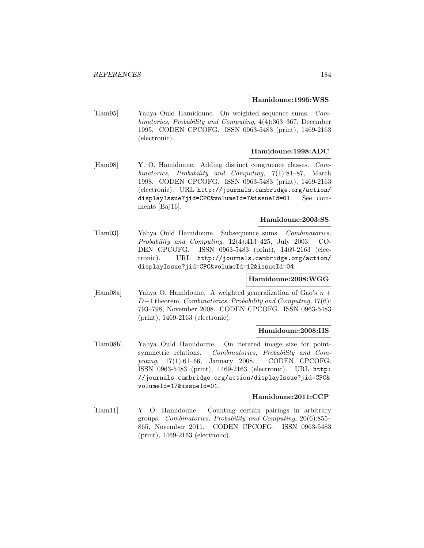### **Hamidoune:1995:WSS**

[Ham95] Yahya Ould Hamidoune. On weighted sequence sums. Combinatorics, Probability and Computing, 4(4):363–367, December 1995. CODEN CPCOFG. ISSN 0963-5483 (print), 1469-2163 (electronic).

## **Hamidoune:1998:ADC**

[Ham98] Y. O. Hamidoune. Adding distinct congruence classes. Combinatorics, Probability and Computing, 7(1):81–87, March 1998. CODEN CPCOFG. ISSN 0963-5483 (print), 1469-2163 (electronic). URL http://journals.cambridge.org/action/ displayIssue?jid=CPC&volumeId=7&issueId=01. See comments [Baj16].

# **Hamidoune:2003:SS**

[Ham03] Yahya Ould Hamidoune. Subsequence sums. Combinatorics, Probability and Computing, 12(4):413–425, July 2003. CO-DEN CPCOFG. ISSN 0963-5483 (print), 1469-2163 (electronic). URL http://journals.cambridge.org/action/ displayIssue?jid=CPC&volumeId=12&issueId=04.

## **Hamidoune:2008:WGG**

[Ham08a] Yahya O. Hamidoune. A weighted generalization of Gao's  $n +$ D−1 theorem. Combinatorics, Probability and Computing, 17(6): 793–798, November 2008. CODEN CPCOFG. ISSN 0963-5483 (print), 1469-2163 (electronic).

### **Hamidoune:2008:IIS**

[Ham08b] Yahya Ould Hamidoune. On iterated image size for pointsymmetric relations. Combinatorics, Probability and Computing, 17(1):61–66, January 2008. CODEN CPCOFG. ISSN 0963-5483 (print), 1469-2163 (electronic). URL http: //journals.cambridge.org/action/displayIssue?jid=CPC& volumeId=17&issueId=01.

#### **Hamidoune:2011:CCP**

[Ham11] Y. O. Hamidoune. Counting certain pairings in arbitrary groups. Combinatorics, Probability and Computing, 20(6):855– 865, November 2011. CODEN CPCOFG. ISSN 0963-5483 (print), 1469-2163 (electronic).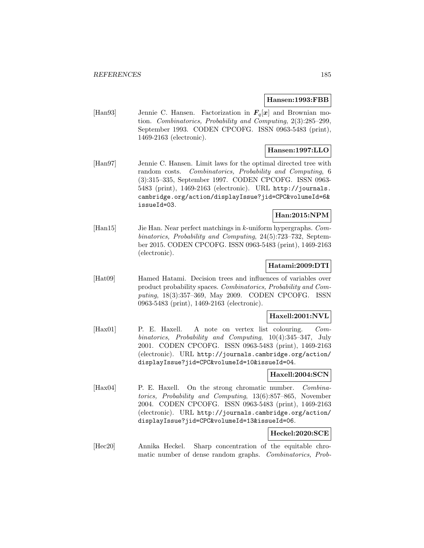#### **Hansen:1993:FBB**

[Han93] Jennie C. Hansen. Factorization in  $F_q[x]$  and Brownian motion. Combinatorics, Probability and Computing, 2(3):285–299, September 1993. CODEN CPCOFG. ISSN 0963-5483 (print), 1469-2163 (electronic).

## **Hansen:1997:LLO**

[Han97] Jennie C. Hansen. Limit laws for the optimal directed tree with random costs. Combinatorics, Probability and Computing, 6 (3):315–335, September 1997. CODEN CPCOFG. ISSN 0963- 5483 (print), 1469-2163 (electronic). URL http://journals. cambridge.org/action/displayIssue?jid=CPC&volumeId=6& issueId=03.

## **Han:2015:NPM**

[Han15] Jie Han. Near perfect matchings in k-uniform hypergraphs. Combinatorics, Probability and Computing, 24(5):723–732, September 2015. CODEN CPCOFG. ISSN 0963-5483 (print), 1469-2163 (electronic).

## **Hatami:2009:DTI**

[Hat09] Hamed Hatami. Decision trees and influences of variables over product probability spaces. Combinatorics, Probability and Computing, 18(3):357–369, May 2009. CODEN CPCOFG. ISSN 0963-5483 (print), 1469-2163 (electronic).

### **Haxell:2001:NVL**

[Hax01] P. E. Haxell. A note on vertex list colouring. Combinatorics, Probability and Computing, 10(4):345–347, July 2001. CODEN CPCOFG. ISSN 0963-5483 (print), 1469-2163 (electronic). URL http://journals.cambridge.org/action/ displayIssue?jid=CPC&volumeId=10&issueId=04.

### **Haxell:2004:SCN**

[Hax04] P. E. Haxell. On the strong chromatic number. Combinatorics, Probability and Computing, 13(6):857–865, November 2004. CODEN CPCOFG. ISSN 0963-5483 (print), 1469-2163 (electronic). URL http://journals.cambridge.org/action/ displayIssue?jid=CPC&volumeId=13&issueId=06.

# **Heckel:2020:SCE**

[Hec20] Annika Heckel. Sharp concentration of the equitable chromatic number of dense random graphs. Combinatorics, Prob-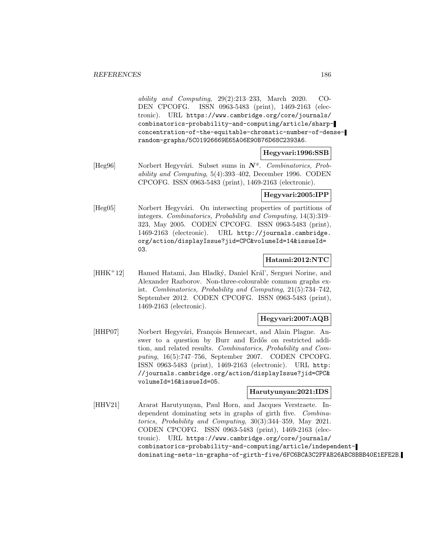ability and Computing, 29(2):213–233, March 2020. CO-DEN CPCOFG. ISSN 0963-5483 (print), 1469-2163 (electronic). URL https://www.cambridge.org/core/journals/ combinatorics-probability-and-computing/article/sharpconcentration-of-the-equitable-chromatic-number-of-denserandom-graphs/5C01926669E65A06E90B76D68C2393A6.

#### **Hegyvari:1996:SSB**

[Heg96] Norbert Hegyv´ari. Subset sums in *N*. Combinatorics, Probability and Computing, 5(4):393–402, December 1996. CODEN CPCOFG. ISSN 0963-5483 (print), 1469-2163 (electronic).

## **Hegyvari:2005:IPP**

[Heg05] Norbert Hegyvári. On intersecting properties of partitions of integers. Combinatorics, Probability and Computing, 14(3):319– 323, May 2005. CODEN CPCOFG. ISSN 0963-5483 (print), 1469-2163 (electronic). URL http://journals.cambridge. org/action/displayIssue?jid=CPC&volumeId=14&issueId= 03.

# **Hatami:2012:NTC**

[HHK<sup>+</sup>12] Hamed Hatami, Jan Hladký, Daniel Král', Serguei Norine, and Alexander Razborov. Non-three-colourable common graphs exist. Combinatorics, Probability and Computing, 21(5):734–742, September 2012. CODEN CPCOFG. ISSN 0963-5483 (print), 1469-2163 (electronic).

## **Hegyvari:2007:AQB**

[HHP07] Norbert Hegyvári, François Hennecart, and Alain Plagne. Answer to a question by Burr and Erdős on restricted addition, and related results. Combinatorics, Probability and Computing, 16(5):747–756, September 2007. CODEN CPCOFG. ISSN 0963-5483 (print), 1469-2163 (electronic). URL http: //journals.cambridge.org/action/displayIssue?jid=CPC& volumeId=16&issueId=05.

## **Harutyunyan:2021:IDS**

[HHV21] Ararat Harutyunyan, Paul Horn, and Jacques Verstraete. Independent dominating sets in graphs of girth five. Combinatorics, Probability and Computing, 30(3):344–359, May 2021. CODEN CPCOFG. ISSN 0963-5483 (print), 1469-2163 (electronic). URL https://www.cambridge.org/core/journals/ combinatorics-probability-and-computing/article/independentdominating-sets-in-graphs-of-girth-five/6FC6BCA3C2FFAB26ABC8BBB40E1EFE2B.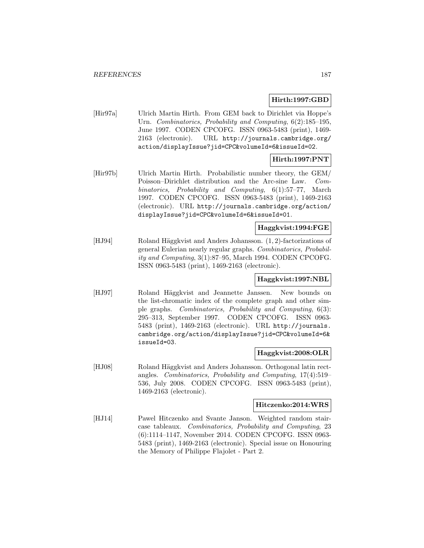## **Hirth:1997:GBD**

[Hir97a] Ulrich Martin Hirth. From GEM back to Dirichlet via Hoppe's Urn. Combinatorics, Probability and Computing, 6(2):185–195, June 1997. CODEN CPCOFG. ISSN 0963-5483 (print), 1469- 2163 (electronic). URL http://journals.cambridge.org/ action/displayIssue?jid=CPC&volumeId=6&issueId=02.

# **Hirth:1997:PNT**

[Hir97b] Ulrich Martin Hirth. Probabilistic number theory, the GEM/ Poisson–Dirichlet distribution and the Arc-sine Law. Combinatorics, Probability and Computing, 6(1):57–77, March 1997. CODEN CPCOFG. ISSN 0963-5483 (print), 1469-2163 (electronic). URL http://journals.cambridge.org/action/ displayIssue?jid=CPC&volumeId=6&issueId=01.

## **Haggkvist:1994:FGE**

[HJ94] Roland Häggkvist and Anders Johansson. (1, 2)-factorizations of general Eulerian nearly regular graphs. Combinatorics, Probability and Computing, 3(1):87–95, March 1994. CODEN CPCOFG. ISSN 0963-5483 (print), 1469-2163 (electronic).

# **Haggkvist:1997:NBL**

[HJ97] Roland Häggkvist and Jeannette Janssen. New bounds on the list-chromatic index of the complete graph and other simple graphs. Combinatorics, Probability and Computing, 6(3): 295–313, September 1997. CODEN CPCOFG. ISSN 0963- 5483 (print), 1469-2163 (electronic). URL http://journals. cambridge.org/action/displayIssue?jid=CPC&volumeId=6& issueId=03.

## **Haggkvist:2008:OLR**

[HJ08] Roland Häggkvist and Anders Johansson. Orthogonal latin rectangles. Combinatorics, Probability and Computing, 17(4):519– 536, July 2008. CODEN CPCOFG. ISSN 0963-5483 (print), 1469-2163 (electronic).

## **Hitczenko:2014:WRS**

[HJ14] Pawel Hitczenko and Svante Janson. Weighted random staircase tableaux. Combinatorics, Probability and Computing, 23 (6):1114–1147, November 2014. CODEN CPCOFG. ISSN 0963- 5483 (print), 1469-2163 (electronic). Special issue on Honouring the Memory of Philippe Flajolet - Part 2.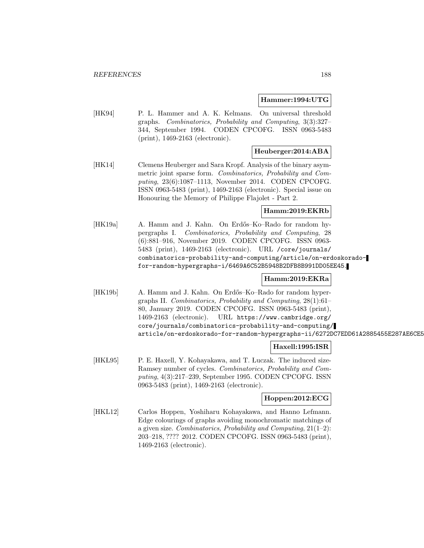#### **Hammer:1994:UTG**

[HK94] P. L. Hammer and A. K. Kelmans. On universal threshold graphs. Combinatorics, Probability and Computing, 3(3):327– 344, September 1994. CODEN CPCOFG. ISSN 0963-5483 (print), 1469-2163 (electronic).

## **Heuberger:2014:ABA**

[HK14] Clemens Heuberger and Sara Kropf. Analysis of the binary asymmetric joint sparse form. Combinatorics, Probability and Computing, 23(6):1087–1113, November 2014. CODEN CPCOFG. ISSN 0963-5483 (print), 1469-2163 (electronic). Special issue on Honouring the Memory of Philippe Flajolet - Part 2.

## **Hamm:2019:EKRb**

[HK19a] A. Hamm and J. Kahn. On Erdős–Ko–Rado for random hypergraphs I. Combinatorics, Probability and Computing, 28 (6):881–916, November 2019. CODEN CPCOFG. ISSN 0963- 5483 (print), 1469-2163 (electronic). URL /core/journals/ combinatorics-probability-and-computing/article/on-erdoskoradofor-random-hypergraphs-i/6469A6C52B5948B2DFB8B991DD05EE45.

## **Hamm:2019:EKRa**

[HK19b] A. Hamm and J. Kahn. On Erdős–Ko–Rado for random hypergraphs II. Combinatorics, Probability and Computing, 28(1):61– 80, January 2019. CODEN CPCOFG. ISSN 0963-5483 (print), 1469-2163 (electronic). URL https://www.cambridge.org/ core/journals/combinatorics-probability-and-computing/ article/on-erdoskorado-for-random-hypergraphs-ii/6272DC7EDD61A2885455E287AE6CE5

## **Haxell:1995:ISR**

[HKL95] P. E. Haxell, Y. Kohayakawa, and T. Luczak. The induced size-Ramsey number of cycles. Combinatorics, Probability and Computing, 4(3):217–239, September 1995. CODEN CPCOFG. ISSN 0963-5483 (print), 1469-2163 (electronic).

## **Hoppen:2012:ECG**

[HKL12] Carlos Hoppen, Yoshiharu Kohayakawa, and Hanno Lefmann. Edge colourings of graphs avoiding monochromatic matchings of a given size. Combinatorics, Probability and Computing,  $21(1-2)$ : 203–218, ???? 2012. CODEN CPCOFG. ISSN 0963-5483 (print), 1469-2163 (electronic).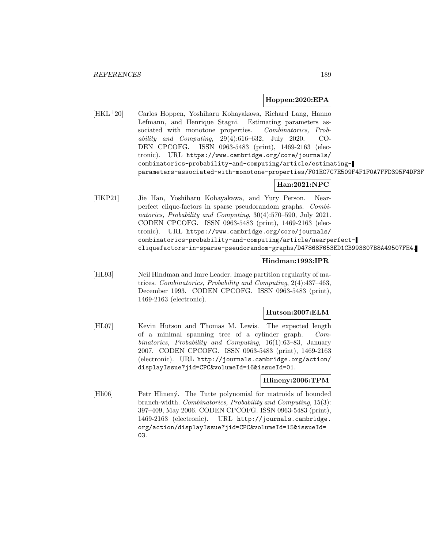## **Hoppen:2020:EPA**

[HKL<sup>+</sup>20] Carlos Hoppen, Yoshiharu Kohayakawa, Richard Lang, Hanno Lefmann, and Henrique Stagni. Estimating parameters associated with monotone properties. Combinatorics, Probability and Computing, 29(4):616–632, July 2020. CO-DEN CPCOFG. ISSN 0963-5483 (print), 1469-2163 (electronic). URL https://www.cambridge.org/core/journals/ combinatorics-probability-and-computing/article/estimatingparameters-associated-with-monotone-properties/F01EC7C7E509F4F1F0A7FFD395F4DF3F

# **Han:2021:NPC**

[HKP21] Jie Han, Yoshiharu Kohayakawa, and Yury Person. Nearperfect clique-factors in sparse pseudorandom graphs. Combinatorics, Probability and Computing, 30(4):570–590, July 2021. CODEN CPCOFG. ISSN 0963-5483 (print), 1469-2163 (electronic). URL https://www.cambridge.org/core/journals/ combinatorics-probability-and-computing/article/nearperfectcliquefactors-in-sparse-pseudorandom-graphs/D47868F653ED1CB993807B8A49507FE4.

## **Hindman:1993:IPR**

[HL93] Neil Hindman and Imre Leader. Image partition regularity of matrices. Combinatorics, Probability and Computing, 2(4):437–463, December 1993. CODEN CPCOFG. ISSN 0963-5483 (print), 1469-2163 (electronic).

## **Hutson:2007:ELM**

[HL07] Kevin Hutson and Thomas M. Lewis. The expected length of a minimal spanning tree of a cylinder graph. Combinatorics, Probability and Computing, 16(1):63–83, January 2007. CODEN CPCOFG. ISSN 0963-5483 (print), 1469-2163 (electronic). URL http://journals.cambridge.org/action/ displayIssue?jid=CPC&volumeId=16&issueId=01.

## **Hlineny:2006:TPM**

[Hli06] Petr Hlinen´y. The Tutte polynomial for matroids of bounded branch-width. Combinatorics, Probability and Computing, 15(3): 397–409, May 2006. CODEN CPCOFG. ISSN 0963-5483 (print), 1469-2163 (electronic). URL http://journals.cambridge. org/action/displayIssue?jid=CPC&volumeId=15&issueId= 03.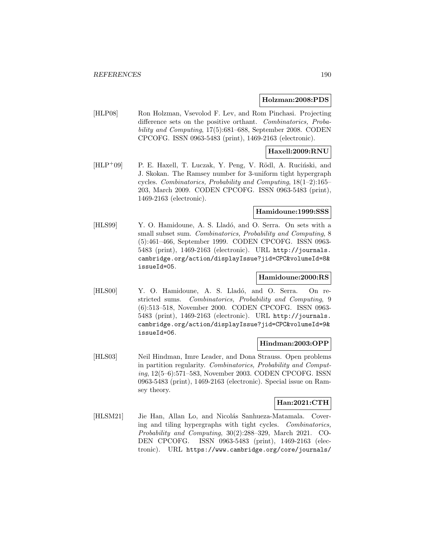#### **Holzman:2008:PDS**

[HLP08] Ron Holzman, Vsevolod F. Lev, and Rom Pinchasi. Projecting difference sets on the positive orthant. Combinatorics, Probability and Computing, 17(5):681–688, September 2008. CODEN CPCOFG. ISSN 0963-5483 (print), 1469-2163 (electronic).

## **Haxell:2009:RNU**

[HLP+09] P. E. Haxell, T. Luczak, Y. Peng, V. Rödl, A. Ruciński, and J. Skokan. The Ramsey number for 3-uniform tight hypergraph cycles. Combinatorics, Probability and Computing, 18(1–2):165– 203, March 2009. CODEN CPCOFG. ISSN 0963-5483 (print), 1469-2163 (electronic).

#### **Hamidoune:1999:SSS**

[HLS99] Y. O. Hamidoune, A. S. Lladó, and O. Serra. On sets with a small subset sum. Combinatorics, Probability and Computing, 8 (5):461–466, September 1999. CODEN CPCOFG. ISSN 0963- 5483 (print), 1469-2163 (electronic). URL http://journals. cambridge.org/action/displayIssue?jid=CPC&volumeId=8& issueId=05.

## **Hamidoune:2000:RS**

[HLS00] Y. O. Hamidoune, A. S. Lladó, and O. Serra. On restricted sums. Combinatorics, Probability and Computing, 9 (6):513–518, November 2000. CODEN CPCOFG. ISSN 0963- 5483 (print), 1469-2163 (electronic). URL http://journals. cambridge.org/action/displayIssue?jid=CPC&volumeId=9& issueId=06.

## **Hindman:2003:OPP**

[HLS03] Neil Hindman, Imre Leader, and Dona Strauss. Open problems in partition regularity. Combinatorics, Probability and Computing, 12(5–6):571–583, November 2003. CODEN CPCOFG. ISSN 0963-5483 (print), 1469-2163 (electronic). Special issue on Ramsey theory.

## **Han:2021:CTH**

[HLSM21] Jie Han, Allan Lo, and Nicolás Sanhueza-Matamala. Covering and tiling hypergraphs with tight cycles. Combinatorics, Probability and Computing, 30(2):288–329, March 2021. CO-DEN CPCOFG. ISSN 0963-5483 (print), 1469-2163 (electronic). URL https://www.cambridge.org/core/journals/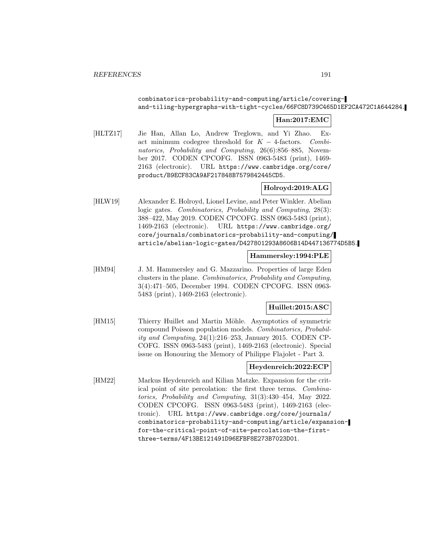## combinatorics-probability-and-computing/article/coveringand-tiling-hypergraphs-with-tight-cycles/66FC8D739C465D1EF2CA472C1A644284.

## **Han:2017:EMC**

[HLTZ17] Jie Han, Allan Lo, Andrew Treglown, and Yi Zhao. Exact minimum codegree threshold for  $K - 4$ -factors. Combinatorics, Probability and Computing, 26(6):856–885, November 2017. CODEN CPCOFG. ISSN 0963-5483 (print), 1469- 2163 (electronic). URL https://www.cambridge.org/core/ product/B9ECF83CA9AF217848B7579842445CD5.

## **Holroyd:2019:ALG**

[HLW19] Alexander E. Holroyd, Lionel Levine, and Peter Winkler. Abelian logic gates. Combinatorics, Probability and Computing, 28(3): 388–422, May 2019. CODEN CPCOFG. ISSN 0963-5483 (print), 1469-2163 (electronic). URL https://www.cambridge.org/ core/journals/combinatorics-probability-and-computing/ article/abelian-logic-gates/D427801293A8606B14D447136774D5B5.

## **Hammersley:1994:PLE**

[HM94] J. M. Hammersley and G. Mazzarino. Properties of large Eden clusters in the plane. Combinatorics, Probability and Computing, 3(4):471–505, December 1994. CODEN CPCOFG. ISSN 0963- 5483 (print), 1469-2163 (electronic).

## **Huillet:2015:ASC**

[HM15] Thierry Huillet and Martin Möhle. Asymptotics of symmetric compound Poisson population models. Combinatorics, Probability and Computing, 24(1):216–253, January 2015. CODEN CP-COFG. ISSN 0963-5483 (print), 1469-2163 (electronic). Special issue on Honouring the Memory of Philippe Flajolet - Part 3.

## **Heydenreich:2022:ECP**

[HM22] Markus Heydenreich and Kilian Matzke. Expansion for the critical point of site percolation: the first three terms. Combinatorics, Probability and Computing, 31(3):430–454, May 2022. CODEN CPCOFG. ISSN 0963-5483 (print), 1469-2163 (electronic). URL https://www.cambridge.org/core/journals/ combinatorics-probability-and-computing/article/expansionfor-the-critical-point-of-site-percolation-the-firstthree-terms/4F13BE121491D96EFBF8E273B7023D01.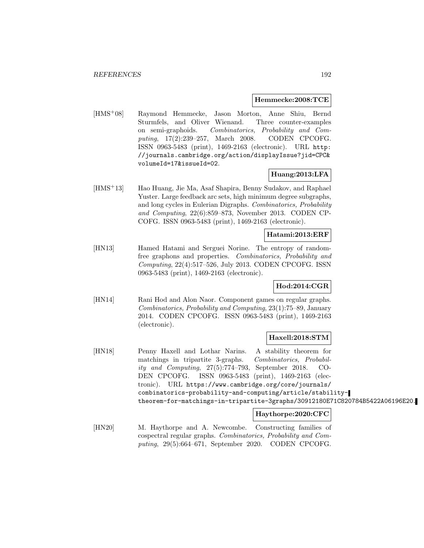### **Hemmecke:2008:TCE**

[HMS<sup>+</sup>08] Raymond Hemmecke, Jason Morton, Anne Shiu, Bernd Sturmfels, and Oliver Wienand. Three counter-examples on semi-graphoids. Combinatorics, Probability and Computing, 17(2):239–257, March 2008. CODEN CPCOFG. ISSN 0963-5483 (print), 1469-2163 (electronic). URL http: //journals.cambridge.org/action/displayIssue?jid=CPC& volumeId=17&issueId=02.

## **Huang:2013:LFA**

[HMS<sup>+</sup>13] Hao Huang, Jie Ma, Asaf Shapira, Benny Sudakov, and Raphael Yuster. Large feedback arc sets, high minimum degree subgraphs, and long cycles in Eulerian Digraphs. Combinatorics, Probability and Computing, 22(6):859–873, November 2013. CODEN CP-COFG. ISSN 0963-5483 (print), 1469-2163 (electronic).

## **Hatami:2013:ERF**

[HN13] Hamed Hatami and Serguei Norine. The entropy of randomfree graphons and properties. Combinatorics, Probability and Computing, 22(4):517–526, July 2013. CODEN CPCOFG. ISSN 0963-5483 (print), 1469-2163 (electronic).

## **Hod:2014:CGR**

[HN14] Rani Hod and Alon Naor. Component games on regular graphs. Combinatorics, Probability and Computing, 23(1):75–89, January 2014. CODEN CPCOFG. ISSN 0963-5483 (print), 1469-2163 (electronic).

#### **Haxell:2018:STM**

[HN18] Penny Haxell and Lothar Narins. A stability theorem for matchings in tripartite 3-graphs. Combinatorics, Probability and Computing, 27(5):774–793, September 2018. CO-DEN CPCOFG. ISSN 0963-5483 (print), 1469-2163 (electronic). URL https://www.cambridge.org/core/journals/ combinatorics-probability-and-computing/article/stabilitytheorem-for-matchings-in-tripartite-3graphs/30912180E71C820784B5422A06196E20.

## **Haythorpe:2020:CFC**

[HN20] M. Haythorpe and A. Newcombe. Constructing families of cospectral regular graphs. Combinatorics, Probability and Computing, 29(5):664–671, September 2020. CODEN CPCOFG.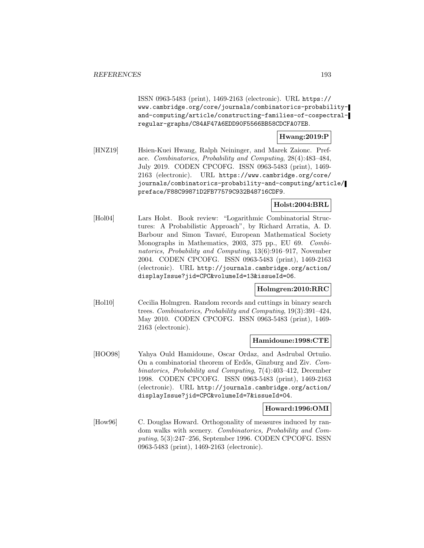ISSN 0963-5483 (print), 1469-2163 (electronic). URL https:// www.cambridge.org/core/journals/combinatorics-probabilityand-computing/article/constructing-families-of-cospectralregular-graphs/C84AF47A6EDD90F5566BB58CDCFA07EB.

## **Hwang:2019:P**

[HNZ19] Hsien-Kuei Hwang, Ralph Neininger, and Marek Zaionc. Preface. Combinatorics, Probability and Computing, 28(4):483–484, July 2019. CODEN CPCOFG. ISSN 0963-5483 (print), 1469- 2163 (electronic). URL https://www.cambridge.org/core/ journals/combinatorics-probability-and-computing/article/ preface/F88C99871D2FB77579C932B48716CDF9.

# **Holst:2004:BRL**

[Hol04] Lars Holst. Book review: "Logarithmic Combinatorial Structures: A Probabilistic Approach", by Richard Arratia, A. D. Barbour and Simon Tavaré, European Mathematical Society Monographs in Mathematics, 2003, 375 pp., EU 69. Combinatorics, Probability and Computing, 13(6):916–917, November 2004. CODEN CPCOFG. ISSN 0963-5483 (print), 1469-2163 (electronic). URL http://journals.cambridge.org/action/ displayIssue?jid=CPC&volumeId=13&issueId=06.

## **Holmgren:2010:RRC**

[Hol10] Cecilia Holmgren. Random records and cuttings in binary search trees. Combinatorics, Probability and Computing, 19(3):391–424, May 2010. CODEN CPCOFG. ISSN 0963-5483 (print), 1469- 2163 (electronic).

## **Hamidoune:1998:CTE**

[HOO98] Yahya Ould Hamidoune, Oscar Ordaz, and Asdrubal Ortuño. On a combinatorial theorem of Erdős, Ginzburg and Ziv. Combinatorics, Probability and Computing, 7(4):403–412, December 1998. CODEN CPCOFG. ISSN 0963-5483 (print), 1469-2163 (electronic). URL http://journals.cambridge.org/action/ displayIssue?jid=CPC&volumeId=7&issueId=04.

#### **Howard:1996:OMI**

[How96] C. Douglas Howard. Orthogonality of measures induced by random walks with scenery. Combinatorics, Probability and Computing, 5(3):247–256, September 1996. CODEN CPCOFG. ISSN 0963-5483 (print), 1469-2163 (electronic).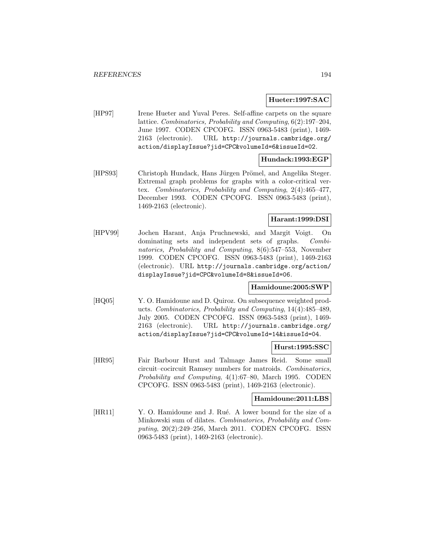## **Hueter:1997:SAC**

[HP97] Irene Hueter and Yuval Peres. Self-affine carpets on the square lattice. Combinatorics, Probability and Computing, 6(2):197–204, June 1997. CODEN CPCOFG. ISSN 0963-5483 (print), 1469- 2163 (electronic). URL http://journals.cambridge.org/ action/displayIssue?jid=CPC&volumeId=6&issueId=02.

## **Hundack:1993:EGP**

[HPS93] Christoph Hundack, Hans Jürgen Prömel, and Angelika Steger. Extremal graph problems for graphs with a color-critical vertex. Combinatorics, Probability and Computing, 2(4):465–477, December 1993. CODEN CPCOFG. ISSN 0963-5483 (print), 1469-2163 (electronic).

## **Harant:1999:DSI**

[HPV99] Jochen Harant, Anja Pruchnewski, and Margit Voigt. On dominating sets and independent sets of graphs. Combinatorics, Probability and Computing, 8(6):547–553, November 1999. CODEN CPCOFG. ISSN 0963-5483 (print), 1469-2163 (electronic). URL http://journals.cambridge.org/action/ displayIssue?jid=CPC&volumeId=8&issueId=06.

## **Hamidoune:2005:SWP**

[HQ05] Y. O. Hamidoune and D. Quiroz. On subsequence weighted products. Combinatorics, Probability and Computing, 14(4):485–489, July 2005. CODEN CPCOFG. ISSN 0963-5483 (print), 1469- 2163 (electronic). URL http://journals.cambridge.org/ action/displayIssue?jid=CPC&volumeId=14&issueId=04.

#### **Hurst:1995:SSC**

[HR95] Fair Barbour Hurst and Talmage James Reid. Some small circuit–cocircuit Ramsey numbers for matroids. Combinatorics, Probability and Computing, 4(1):67–80, March 1995. CODEN CPCOFG. ISSN 0963-5483 (print), 1469-2163 (electronic).

## **Hamidoune:2011:LBS**

[HR11] Y. O. Hamidoune and J. Rué. A lower bound for the size of a Minkowski sum of dilates. Combinatorics, Probability and Computing, 20(2):249–256, March 2011. CODEN CPCOFG. ISSN 0963-5483 (print), 1469-2163 (electronic).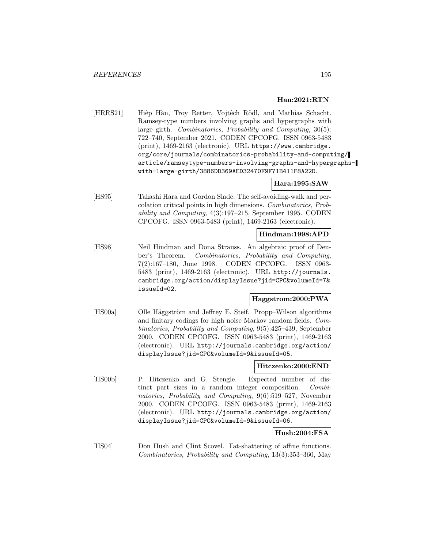## **Han:2021:RTN**

[HRRS21] Hiệp Hàn, Troy Retter, Vojtêch Rödl, and Mathias Schacht. Ramsey-type numbers involving graphs and hypergraphs with large girth. Combinatorics, Probability and Computing, 30(5): 722–740, September 2021. CODEN CPCOFG. ISSN 0963-5483 (print), 1469-2163 (electronic). URL https://www.cambridge. org/core/journals/combinatorics-probability-and-computing/ article/ramseytype-numbers-involving-graphs-and-hypergraphswith-large-girth/3886DD369AED32470F9F71B411F8A22D.

## **Hara:1995:SAW**

[HS95] Takashi Hara and Gordon Slade. The self-avoiding-walk and percolation critical points in high dimensions. Combinatorics, Probability and Computing, 4(3):197–215, September 1995. CODEN CPCOFG. ISSN 0963-5483 (print), 1469-2163 (electronic).

### **Hindman:1998:APD**

[HS98] Neil Hindman and Dona Strauss. An algebraic proof of Deuber's Theorem. Combinatorics, Probability and Computing, 7(2):167–180, June 1998. CODEN CPCOFG. ISSN 0963- 5483 (print), 1469-2163 (electronic). URL http://journals. cambridge.org/action/displayIssue?jid=CPC&volumeId=7& issueId=02.

## **Haggstrom:2000:PWA**

[HS00a] Olle Häggström and Jeffrey E. Steif. Propp–Wilson algorithms and finitary codings for high noise Markov random fields. Combinatorics, Probability and Computing, 9(5):425–439, September 2000. CODEN CPCOFG. ISSN 0963-5483 (print), 1469-2163 (electronic). URL http://journals.cambridge.org/action/ displayIssue?jid=CPC&volumeId=9&issueId=05.

## **Hitczenko:2000:END**

[HS00b] P. Hitczenko and G. Stengle. Expected number of distinct part sizes in a random integer composition. Combinatorics, Probability and Computing, 9(6):519–527, November 2000. CODEN CPCOFG. ISSN 0963-5483 (print), 1469-2163 (electronic). URL http://journals.cambridge.org/action/ displayIssue?jid=CPC&volumeId=9&issueId=06.

## **Hush:2004:FSA**

[HS04] Don Hush and Clint Scovel. Fat-shattering of affine functions. Combinatorics, Probability and Computing, 13(3):353–360, May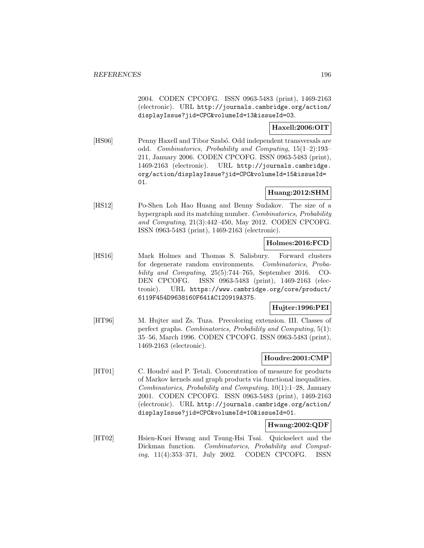2004. CODEN CPCOFG. ISSN 0963-5483 (print), 1469-2163 (electronic). URL http://journals.cambridge.org/action/ displayIssue?jid=CPC&volumeId=13&issueId=03.

## **Haxell:2006:OIT**

[HS06] Penny Haxell and Tibor Szabó. Odd independent transversals are odd. Combinatorics, Probability and Computing, 15(1–2):193– 211, January 2006. CODEN CPCOFG. ISSN 0963-5483 (print), 1469-2163 (electronic). URL http://journals.cambridge. org/action/displayIssue?jid=CPC&volumeId=15&issueId= 01.

## **Huang:2012:SHM**

[HS12] Po-Shen Loh Hao Huang and Benny Sudakov. The size of a hypergraph and its matching number. Combinatorics, Probability and Computing, 21(3):442–450, May 2012. CODEN CPCOFG. ISSN 0963-5483 (print), 1469-2163 (electronic).

## **Holmes:2016:FCD**

[HS16] Mark Holmes and Thomas S. Salisbury. Forward clusters for degenerate random environments. Combinatorics, Probability and Computing, 25(5):744–765, September 2016. CO-DEN CPCOFG. ISSN 0963-5483 (print), 1469-2163 (electronic). URL https://www.cambridge.org/core/product/ 6119F454D9638160F641AC120919A375.

## **Hujter:1996:PEI**

[HT96] M. Hujter and Zs. Tuza. Precoloring extension. III. Classes of perfect graphs. Combinatorics, Probability and Computing, 5(1): 35–56, March 1996. CODEN CPCOFG. ISSN 0963-5483 (print), 1469-2163 (electronic).

## **Houdre:2001:CMP**

[HT01] C. Houdré and P. Tetali. Concentration of measure for products of Markov kernels and graph products via functional inequalities. Combinatorics, Probability and Computing, 10(1):1–28, January 2001. CODEN CPCOFG. ISSN 0963-5483 (print), 1469-2163 (electronic). URL http://journals.cambridge.org/action/ displayIssue?jid=CPC&volumeId=10&issueId=01.

## **Hwang:2002:QDF**

[HT02] Hsien-Kuei Hwang and Tsung-Hsi Tsai. Quickselect and the Dickman function. Combinatorics, Probability and Computing, 11(4):353–371, July 2002. CODEN CPCOFG. ISSN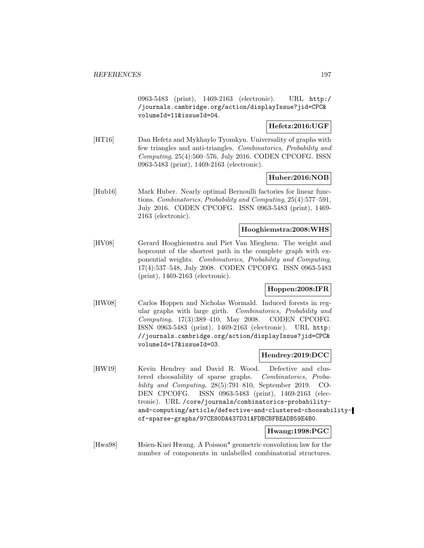0963-5483 (print), 1469-2163 (electronic). URL http:/ /journals.cambridge.org/action/displayIssue?jid=CPC& volumeId=11&issueId=04.

## **Hefetz:2016:UGF**

[HT16] Dan Hefetz and Mykhaylo Tyomkyn. Universality of graphs with few triangles and anti-triangles. Combinatorics, Probability and Computing, 25(4):560–576, July 2016. CODEN CPCOFG. ISSN 0963-5483 (print), 1469-2163 (electronic).

## **Huber:2016:NOB**

[Hub16] Mark Huber. Nearly optimal Bernoulli factories for linear functions. Combinatorics, Probability and Computing, 25(4):577–591, July 2016. CODEN CPCOFG. ISSN 0963-5483 (print), 1469- 2163 (electronic).

## **Hooghiemstra:2008:WHS**

[HV08] Gerard Hooghiemstra and Piet Van Mieghem. The weight and hopcount of the shortest path in the complete graph with exponential weights. Combinatorics, Probability and Computing, 17(4):537–548, July 2008. CODEN CPCOFG. ISSN 0963-5483 (print), 1469-2163 (electronic).

## **Hoppen:2008:IFR**

[HW08] Carlos Hoppen and Nicholas Wormald. Induced forests in regular graphs with large girth. Combinatorics, Probability and Computing, 17(3):389–410, May 2008. CODEN CPCOFG. ISSN 0963-5483 (print), 1469-2163 (electronic). URL http: //journals.cambridge.org/action/displayIssue?jid=CPC& volumeId=17&issueId=03.

## **Hendrey:2019:DCC**

[HW19] Kevin Hendrey and David R. Wood. Defective and clustered choosability of sparse graphs. Combinatorics, Probability and Computing, 28(5):791–810, September 2019. CO-DEN CPCOFG. ISSN 0963-5483 (print), 1469-2163 (electronic). URL /core/journals/combinatorics-probabilityand-computing/article/defective-and-clustered-choosabilityof-sparse-graphs/97CE80DA437D31AFDBCBFBEADB59E4B0.

### **Hwang:1998:PGC**

[Hwa98] Hsien-Kuei Hwang. A Poisson\* geometric convolution law for the number of components in unlabelled combinatorial structures.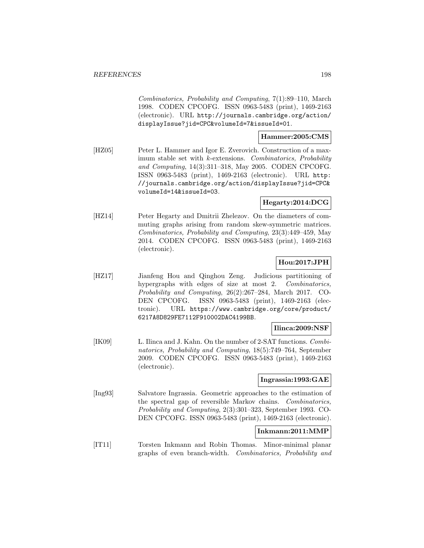Combinatorics, Probability and Computing, 7(1):89–110, March 1998. CODEN CPCOFG. ISSN 0963-5483 (print), 1469-2163 (electronic). URL http://journals.cambridge.org/action/ displayIssue?jid=CPC&volumeId=7&issueId=01.

## **Hammer:2005:CMS**

[HZ05] Peter L. Hammer and Igor E. Zverovich. Construction of a maximum stable set with k-extensions. Combinatorics, Probability and Computing, 14(3):311–318, May 2005. CODEN CPCOFG. ISSN 0963-5483 (print), 1469-2163 (electronic). URL http: //journals.cambridge.org/action/displayIssue?jid=CPC& volumeId=14&issueId=03.

#### **Hegarty:2014:DCG**

[HZ14] Peter Hegarty and Dmitrii Zhelezov. On the diameters of commuting graphs arising from random skew-symmetric matrices. Combinatorics, Probability and Computing, 23(3):449–459, May 2014. CODEN CPCOFG. ISSN 0963-5483 (print), 1469-2163 (electronic).

# **Hou:2017:JPH**

[HZ17] Jianfeng Hou and Qinghou Zeng. Judicious partitioning of hypergraphs with edges of size at most 2. Combinatorics, Probability and Computing, 26(2):267–284, March 2017. CO-DEN CPCOFG. ISSN 0963-5483 (print), 1469-2163 (electronic). URL https://www.cambridge.org/core/product/ 6217A8D829FE7112F910002DAC4199BB.

#### **Ilinca:2009:NSF**

[IK09] L. Ilinca and J. Kahn. On the number of 2-SAT functions. *Combi*natorics, Probability and Computing, 18(5):749–764, September 2009. CODEN CPCOFG. ISSN 0963-5483 (print), 1469-2163 (electronic).

## **Ingrassia:1993:GAE**

[Ing93] Salvatore Ingrassia. Geometric approaches to the estimation of the spectral gap of reversible Markov chains. Combinatorics, Probability and Computing, 2(3):301–323, September 1993. CO-DEN CPCOFG. ISSN 0963-5483 (print), 1469-2163 (electronic).

#### **Inkmann:2011:MMP**

[IT11] Torsten Inkmann and Robin Thomas. Minor-minimal planar graphs of even branch-width. Combinatorics, Probability and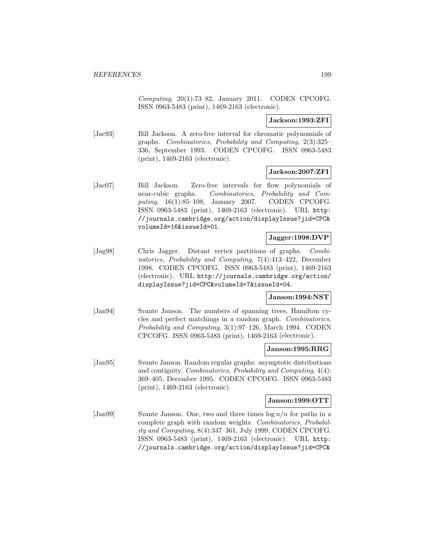Computing,  $20(1)$ :73–82, January 2011. CODEN CPCOFG. ISSN 0963-5483 (print), 1469-2163 (electronic).

**Jackson:1993:ZFI**

[Jac93] Bill Jackson. A zero-free interval for chromatic polynomials of graphs. Combinatorics, Probability and Computing, 2(3):325– 336, September 1993. CODEN CPCOFG. ISSN 0963-5483 (print), 1469-2163 (electronic).

## **Jackson:2007:ZFI**

[Jac07] Bill Jackson. Zero-free intervals for flow polynomials of near-cubic graphs. Combinatorics, Probability and Computing, 16(1):85-108, January 2007. CODEN CPCOFG. ISSN 0963-5483 (print), 1469-2163 (electronic). URL http: //journals.cambridge.org/action/displayIssue?jid=CPC& volumeId=16&issueId=01.

## **Jagger:1998:DVP**

[Jag98] Chris Jagger. Distant vertex partitions of graphs. Combinatorics, Probability and Computing, 7(4):413–422, December 1998. CODEN CPCOFG. ISSN 0963-5483 (print), 1469-2163 (electronic). URL http://journals.cambridge.org/action/ displayIssue?jid=CPC&volumeId=7&issueId=04.

## **Janson:1994:NST**

[Jan94] Svante Janson. The numbers of spanning trees, Hamilton cycles and perfect matchings in a random graph. Combinatorics, Probability and Computing, 3(1):97–126, March 1994. CODEN CPCOFG. ISSN 0963-5483 (print), 1469-2163 (electronic).

## **Janson:1995:RRG**

[Jan95] Svante Janson. Random regular graphs: asymptotic distributions and contiguity. Combinatorics, Probability and Computing, 4(4): 369–405, December 1995. CODEN CPCOFG. ISSN 0963-5483 (print), 1469-2163 (electronic).

## **Janson:1999:OTT**

[Jan99] Svante Janson. One, two and three times  $\log n/n$  for paths in a complete graph with random weights. Combinatorics, Probability and Computing, 8(4):347–361, July 1999. CODEN CPCOFG. ISSN 0963-5483 (print), 1469-2163 (electronic). URL http: //journals.cambridge.org/action/displayIssue?jid=CPC&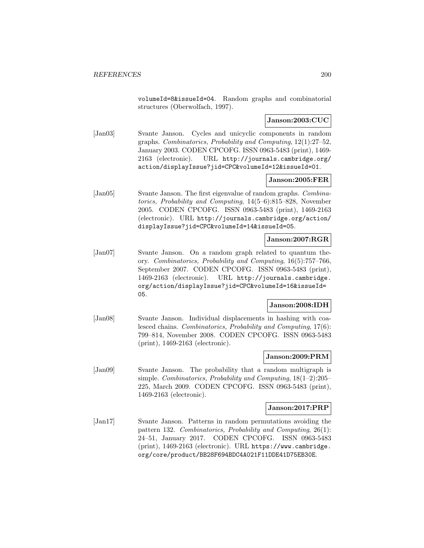volumeId=8&issueId=04. Random graphs and combinatorial structures (Oberwolfach, 1997).

## **Janson:2003:CUC**

[Jan03] Svante Janson. Cycles and unicyclic components in random graphs. Combinatorics, Probability and Computing, 12(1):27–52, January 2003. CODEN CPCOFG. ISSN 0963-5483 (print), 1469- 2163 (electronic). URL http://journals.cambridge.org/ action/displayIssue?jid=CPC&volumeId=12&issueId=01.

## **Janson:2005:FER**

[Jan05] Svante Janson. The first eigenvalue of random graphs. *Combina*torics, Probability and Computing, 14(5–6):815–828, November 2005. CODEN CPCOFG. ISSN 0963-5483 (print), 1469-2163 (electronic). URL http://journals.cambridge.org/action/ displayIssue?jid=CPC&volumeId=14&issueId=05.

## **Janson:2007:RGR**

[Jan07] Svante Janson. On a random graph related to quantum theory. Combinatorics, Probability and Computing, 16(5):757–766, September 2007. CODEN CPCOFG. ISSN 0963-5483 (print), 1469-2163 (electronic). URL http://journals.cambridge. org/action/displayIssue?jid=CPC&volumeId=16&issueId= 05.

## **Janson:2008:IDH**

[Jan08] Svante Janson. Individual displacements in hashing with coalesced chains. Combinatorics, Probability and Computing, 17(6): 799–814, November 2008. CODEN CPCOFG. ISSN 0963-5483 (print), 1469-2163 (electronic).

#### **Janson:2009:PRM**

[Jan09] Svante Janson. The probability that a random multigraph is simple. Combinatorics, Probability and Computing, 18(1–2):205– 225, March 2009. CODEN CPCOFG. ISSN 0963-5483 (print), 1469-2163 (electronic).

#### **Janson:2017:PRP**

[Jan17] Svante Janson. Patterns in random permutations avoiding the pattern 132. Combinatorics, Probability and Computing, 26(1): 24–51, January 2017. CODEN CPCOFG. ISSN 0963-5483 (print), 1469-2163 (electronic). URL https://www.cambridge. org/core/product/BB28F694BDC4A021F11DDE41D75EB30E.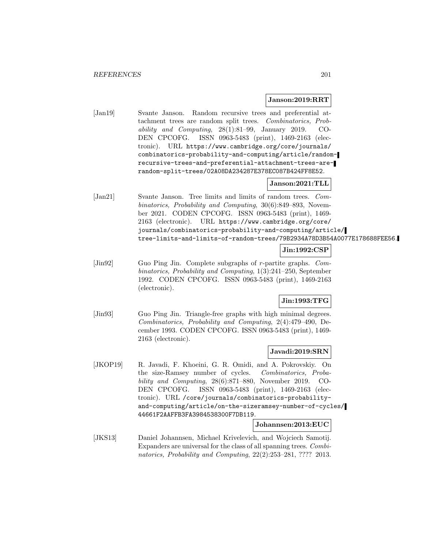### **Janson:2019:RRT**

[Jan19] Svante Janson. Random recursive trees and preferential attachment trees are random split trees. Combinatorics, Probability and Computing, 28(1):81–99, January 2019. CO-DEN CPCOFG. ISSN 0963-5483 (print), 1469-2163 (electronic). URL https://www.cambridge.org/core/journals/ combinatorics-probability-and-computing/article/randomrecursive-trees-and-preferential-attachment-trees-arerandom-split-trees/02A08DA234287E378EC087B424FF8E52.

# **Janson:2021:TLL**

[Jan21] Svante Janson. Tree limits and limits of random trees. Combinatorics, Probability and Computing, 30(6):849–893, November 2021. CODEN CPCOFG. ISSN 0963-5483 (print), 1469- 2163 (electronic). URL https://www.cambridge.org/core/ journals/combinatorics-probability-and-computing/article/ tree-limits-and-limits-of-random-trees/79B2934A78D3B54A0077E178688FEE56.

# **Jin:1992:CSP**

[Jin92] Guo Ping Jin. Complete subgraphs of r-partite graphs. Combinatorics, Probability and Computing, 1(3):241–250, September 1992. CODEN CPCOFG. ISSN 0963-5483 (print), 1469-2163 (electronic).

## **Jin:1993:TFG**

[Jin93] Guo Ping Jin. Triangle-free graphs with high minimal degrees. Combinatorics, Probability and Computing, 2(4):479–490, December 1993. CODEN CPCOFG. ISSN 0963-5483 (print), 1469- 2163 (electronic).

## **Javadi:2019:SRN**

[JKOP19] R. Javadi, F. Khoeini, G. R. Omidi, and A. Pokrovskiy. On the size-Ramsey number of cycles. Combinatorics, Probability and Computing, 28(6):871–880, November 2019. CO-DEN CPCOFG. ISSN 0963-5483 (print), 1469-2163 (electronic). URL /core/journals/combinatorics-probabilityand-computing/article/on-the-sizeramsey-number-of-cycles/ 44661F2AAFFB3FA3984538300F7DB119.

#### **Johannsen:2013:EUC**

[JKS13] Daniel Johannsen, Michael Krivelevich, and Wojciech Samotij. Expanders are universal for the class of all spanning trees. Combinatorics, Probability and Computing, 22(2):253–281, ???? 2013.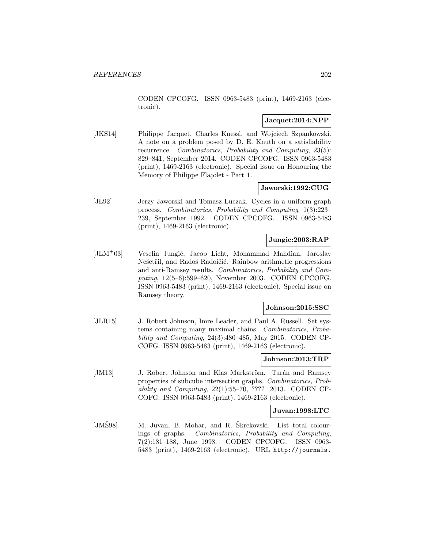CODEN CPCOFG. ISSN 0963-5483 (print), 1469-2163 (electronic).

## **Jacquet:2014:NPP**

[JKS14] Philippe Jacquet, Charles Knessl, and Wojciech Szpankowski. A note on a problem posed by D. E. Knuth on a satisfiability recurrence. Combinatorics, Probability and Computing, 23(5): 829–841, September 2014. CODEN CPCOFG. ISSN 0963-5483 (print), 1469-2163 (electronic). Special issue on Honouring the Memory of Philippe Flajolet - Part 1.

## **Jaworski:1992:CUG**

[JL92] Jerzy Jaworski and Tomasz Luczak. Cycles in a uniform graph process. Combinatorics, Probability and Computing, 1(3):223– 239, September 1992. CODEN CPCOFG. ISSN 0963-5483 (print), 1469-2163 (electronic).

# **Jungic:2003:RAP**

 $[JLM<sup>+</sup>03]$  Veselin Jungić, Jacob Licht, Mohammad Mahdian, Jaroslav Nešetřil, and Radoš Radoičić. Rainbow arithmetic progressions and anti-Ramsey results. Combinatorics, Probability and Computing, 12(5–6):599–620, November 2003. CODEN CPCOFG. ISSN 0963-5483 (print), 1469-2163 (electronic). Special issue on Ramsey theory.

## **Johnson:2015:SSC**

[JLR15] J. Robert Johnson, Imre Leader, and Paul A. Russell. Set systems containing many maximal chains. Combinatorics, Probability and Computing, 24(3):480–485, May 2015. CODEN CP-COFG. ISSN 0963-5483 (print), 1469-2163 (electronic).

### **Johnson:2013:TRP**

[JM13] J. Robert Johnson and Klas Markström. Turán and Ramsey properties of subcube intersection graphs. Combinatorics, Probability and Computing,  $22(1):55-70$ , ???? 2013. CODEN CP-COFG. ISSN 0963-5483 (print), 1469-2163 (electronic).

## **Juvan:1998:LTC**

[JMŠ98] M. Juvan, B. Mohar, and R. Škrekovski. List total colourings of graphs. Combinatorics, Probability and Computing, 7(2):181–188, June 1998. CODEN CPCOFG. ISSN 0963- 5483 (print), 1469-2163 (electronic). URL http://journals.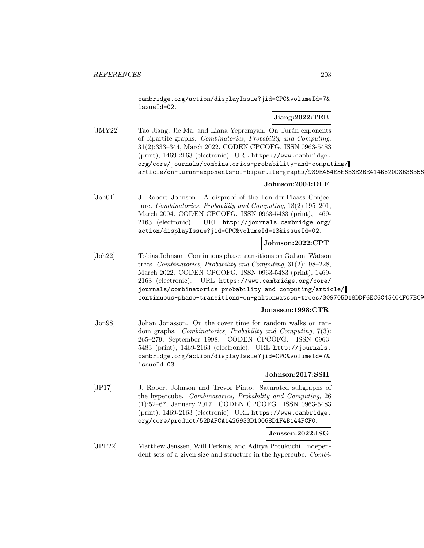cambridge.org/action/displayIssue?jid=CPC&volumeId=7& issueId=02.

# **Jiang:2022:TEB**

[JMY22] Tao Jiang, Jie Ma, and Liana Yepremyan. On Turán exponents of bipartite graphs. Combinatorics, Probability and Computing, 31(2):333–344, March 2022. CODEN CPCOFG. ISSN 0963-5483 (print), 1469-2163 (electronic). URL https://www.cambridge. org/core/journals/combinatorics-probability-and-computing/ article/on-turan-exponents-of-bipartite-graphs/939E454E5E6B3E2BE414B820D3B36B56

# **Johnson:2004:DFF**

[Joh04] J. Robert Johnson. A disproof of the Fon-der-Flaass Conjecture. Combinatorics, Probability and Computing, 13(2):195–201, March 2004. CODEN CPCOFG. ISSN 0963-5483 (print), 1469- 2163 (electronic). URL http://journals.cambridge.org/ action/displayIssue?jid=CPC&volumeId=13&issueId=02.

## **Johnson:2022:CPT**

[Joh22] Tobias Johnson. Continuous phase transitions on Galton–Watson trees. Combinatorics, Probability and Computing, 31(2):198–228, March 2022. CODEN CPCOFG. ISSN 0963-5483 (print), 1469- 2163 (electronic). URL https://www.cambridge.org/core/ journals/combinatorics-probability-and-computing/article/ continuous-phase-transitions-on-galtonwatson-trees/309705D18DDF6EC6C45404F07BC9

## **Jonasson:1998:CTR**

[Jon98] Johan Jonasson. On the cover time for random walks on random graphs. Combinatorics, Probability and Computing, 7(3): 265–279, September 1998. CODEN CPCOFG. ISSN 0963- 5483 (print), 1469-2163 (electronic). URL http://journals. cambridge.org/action/displayIssue?jid=CPC&volumeId=7& issueId=03.

## **Johnson:2017:SSH**

[JP17] J. Robert Johnson and Trevor Pinto. Saturated subgraphs of the hypercube. Combinatorics, Probability and Computing, 26 (1):52–67, January 2017. CODEN CPCOFG. ISSN 0963-5483 (print), 1469-2163 (electronic). URL https://www.cambridge. org/core/product/52DAFCA1426933D10068D1F4B144FCF0.

## **Jenssen:2022:ISG**

[JPP22] Matthew Jenssen, Will Perkins, and Aditya Potukuchi. Independent sets of a given size and structure in the hypercube. Combi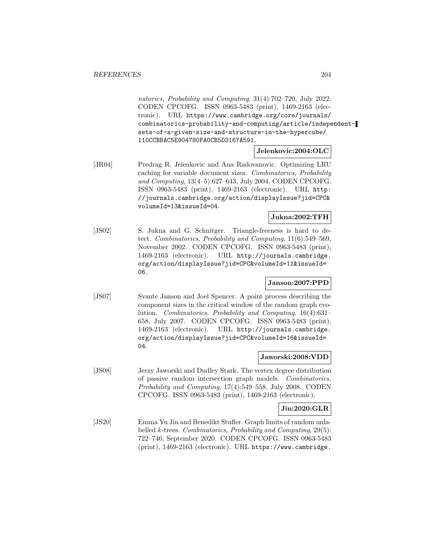natorics, Probability and Computing, 31(4):702–720, July 2022. CODEN CPCOFG. ISSN 0963-5483 (print), 1469-2163 (electronic). URL https://www.cambridge.org/core/journals/ combinatorics-probability-and-computing/article/independentsets-of-a-given-size-and-structure-in-the-hypercube/ 110CCBBAC5E904780FA0CB5D3167A591.

#### **Jelenkovic:2004:OLC**

[JR04] Predrag R. Jelenkovic and Ana Radovanovic. Optimizing LRU caching for variable document sizes. Combinatorics, Probability and Computing, 13(4–5):627–643, July 2004. CODEN CPCOFG. ISSN 0963-5483 (print), 1469-2163 (electronic). URL http: //journals.cambridge.org/action/displayIssue?jid=CPC& volumeId=13&issueId=04.

## **Jukna:2002:TFH**

[JS02] S. Jukna and G. Schnitger. Triangle-freeness is hard to detect. Combinatorics, Probability and Computing, 11(6):549–569, November 2002. CODEN CPCOFG. ISSN 0963-5483 (print), 1469-2163 (electronic). URL http://journals.cambridge. org/action/displayIssue?jid=CPC&volumeId=11&issueId= 06.

## **Janson:2007:PPD**

[JS07] Svante Janson and Joel Spencer. A point process describing the component sizes in the critical window of the random graph evolution. Combinatorics, Probability and Computing, 16(4):631– 658, July 2007. CODEN CPCOFG. ISSN 0963-5483 (print), 1469-2163 (electronic). URL http://journals.cambridge. org/action/displayIssue?jid=CPC&volumeId=16&issueId= 04.

## **Jaworski:2008:VDD**

[JS08] Jerzy Jaworski and Dudley Stark. The vertex degree distribution of passive random intersection graph models. Combinatorics, Probability and Computing, 17(4):549–558, July 2008. CODEN CPCOFG. ISSN 0963-5483 (print), 1469-2163 (electronic).

## **Jin:2020:GLR**

[JS20] Emma Yu Jin and Benedikt Stufler. Graph limits of random unlabelled k-trees. Combinatorics, Probability and Computing, 29(5): 722–746, September 2020. CODEN CPCOFG. ISSN 0963-5483 (print), 1469-2163 (electronic). URL https://www.cambridge.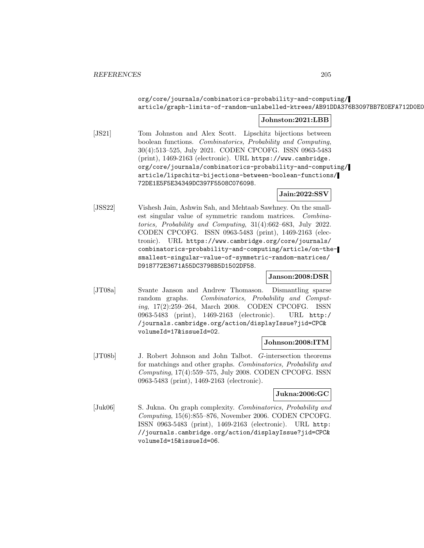## org/core/journals/combinatorics-probability-and-computing/ article/graph-limits-of-random-unlabelled-ktrees/AB91DDA376B3097BB7E0EFA712D0E0

## **Johnston:2021:LBB**

[JS21] Tom Johnston and Alex Scott. Lipschitz bijections between boolean functions. Combinatorics, Probability and Computing, 30(4):513–525, July 2021. CODEN CPCOFG. ISSN 0963-5483 (print), 1469-2163 (electronic). URL https://www.cambridge. org/core/journals/combinatorics-probability-and-computing/ article/lipschitz-bijections-between-boolean-functions/ 72DE1E5F5E34349DC397F5508C076098.

## **Jain:2022:SSV**

[JSS22] Vishesh Jain, Ashwin Sah, and Mehtaab Sawhney. On the smallest singular value of symmetric random matrices. Combinatorics, Probability and Computing, 31(4):662–683, July 2022. CODEN CPCOFG. ISSN 0963-5483 (print), 1469-2163 (electronic). URL https://www.cambridge.org/core/journals/ combinatorics-probability-and-computing/article/on-thesmallest-singular-value-of-symmetric-random-matrices/ D918772E3671A55DC3798B5D1502DF58.

## **Janson:2008:DSR**

[JT08a] Svante Janson and Andrew Thomason. Dismantling sparse random graphs. Combinatorics, Probability and Computing, 17(2):259–264, March 2008. CODEN CPCOFG. ISSN 0963-5483 (print), 1469-2163 (electronic). URL http:/ /journals.cambridge.org/action/displayIssue?jid=CPC& volumeId=17&issueId=02.

## **Johnson:2008:ITM**

[JT08b] J. Robert Johnson and John Talbot. G-intersection theorems for matchings and other graphs. Combinatorics, Probability and Computing, 17(4):559–575, July 2008. CODEN CPCOFG. ISSN 0963-5483 (print), 1469-2163 (electronic).

## **Jukna:2006:GC**

[Juk06] S. Jukna. On graph complexity. Combinatorics, Probability and Computing, 15(6):855–876, November 2006. CODEN CPCOFG. ISSN 0963-5483 (print), 1469-2163 (electronic). URL http: //journals.cambridge.org/action/displayIssue?jid=CPC& volumeId=15&issueId=06.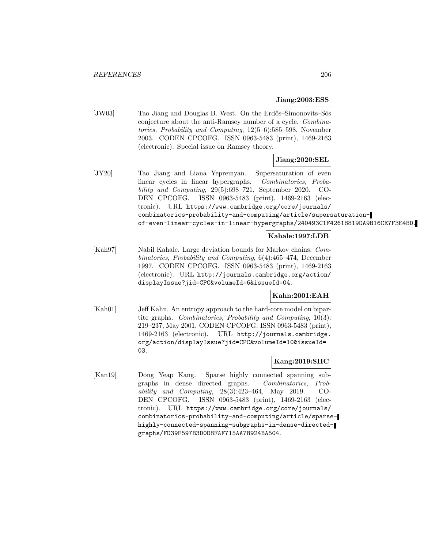## **Jiang:2003:ESS**

[JW03] Tao Jiang and Douglas B. West. On the Erdős–Simonovits–Sós conjecture about the anti-Ramsey number of a cycle. Combinatorics, Probability and Computing, 12(5–6):585–598, November 2003. CODEN CPCOFG. ISSN 0963-5483 (print), 1469-2163 (electronic). Special issue on Ramsey theory.

## **Jiang:2020:SEL**

[JY20] Tao Jiang and Liana Yepremyan. Supersaturation of even linear cycles in linear hypergraphs. Combinatorics, Probability and Computing, 29(5):698–721, September 2020. CO-DEN CPCOFG. ISSN 0963-5483 (print), 1469-2163 (electronic). URL https://www.cambridge.org/core/journals/ combinatorics-probability-and-computing/article/supersaturationof-even-linear-cycles-in-linear-hypergraphs/240493C1F42618819DA9B16CE7F3E4BD.

## **Kahale:1997:LDB**

[Kah97] Nabil Kahale. Large deviation bounds for Markov chains. Combinatorics, Probability and Computing, 6(4):465–474, December 1997. CODEN CPCOFG. ISSN 0963-5483 (print), 1469-2163 (electronic). URL http://journals.cambridge.org/action/ displayIssue?jid=CPC&volumeId=6&issueId=04.

## **Kahn:2001:EAH**

[Kah01] Jeff Kahn. An entropy approach to the hard-core model on bipartite graphs. Combinatorics, Probability and Computing, 10(3): 219–237, May 2001. CODEN CPCOFG. ISSN 0963-5483 (print), 1469-2163 (electronic). URL http://journals.cambridge. org/action/displayIssue?jid=CPC&volumeId=10&issueId= 03.

## **Kang:2019:SHC**

[Kan19] Dong Yeap Kang. Sparse highly connected spanning subgraphs in dense directed graphs. Combinatorics, Probability and Computing, 28(3):423–464, May 2019. CO-DEN CPCOFG. ISSN 0963-5483 (print), 1469-2163 (electronic). URL https://www.cambridge.org/core/journals/ combinatorics-probability-and-computing/article/sparsehighly-connected-spanning-subgraphs-in-dense-directedgraphs/FD39F597B3D0D8FAF715AA78924BA504.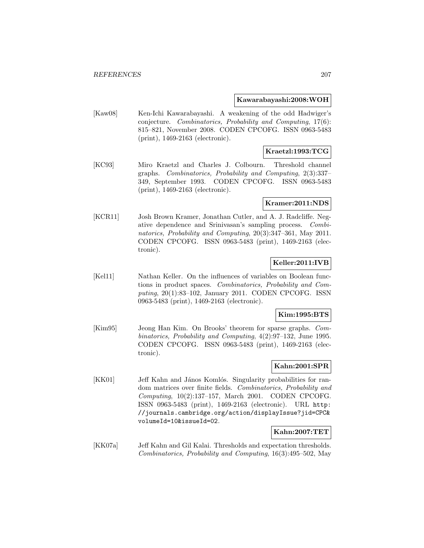#### **Kawarabayashi:2008:WOH**

[Kaw08] Ken-Ichi Kawarabayashi. A weakening of the odd Hadwiger's conjecture. Combinatorics, Probability and Computing, 17(6): 815–821, November 2008. CODEN CPCOFG. ISSN 0963-5483 (print), 1469-2163 (electronic).

## **Kraetzl:1993:TCG**

[KC93] Miro Kraetzl and Charles J. Colbourn. Threshold channel graphs. Combinatorics, Probability and Computing, 2(3):337– 349, September 1993. CODEN CPCOFG. ISSN 0963-5483 (print), 1469-2163 (electronic).

### **Kramer:2011:NDS**

[KCR11] Josh Brown Kramer, Jonathan Cutler, and A. J. Radcliffe. Negative dependence and Srinivasan's sampling process. Combinatorics, Probability and Computing, 20(3):347–361, May 2011. CODEN CPCOFG. ISSN 0963-5483 (print), 1469-2163 (electronic).

# **Keller:2011:IVB**

[Kel11] Nathan Keller. On the influences of variables on Boolean functions in product spaces. Combinatorics, Probability and Computing, 20(1):83–102, January 2011. CODEN CPCOFG. ISSN 0963-5483 (print), 1469-2163 (electronic).

## **Kim:1995:BTS**

[Kim95] Jeong Han Kim. On Brooks' theorem for sparse graphs. Combinatorics, Probability and Computing, 4(2):97–132, June 1995. CODEN CPCOFG. ISSN 0963-5483 (print), 1469-2163 (electronic).

## **Kahn:2001:SPR**

[KK01] Jeff Kahn and János Komlós. Singularity probabilities for random matrices over finite fields. Combinatorics, Probability and Computing, 10(2):137–157, March 2001. CODEN CPCOFG. ISSN 0963-5483 (print), 1469-2163 (electronic). URL http: //journals.cambridge.org/action/displayIssue?jid=CPC& volumeId=10&issueId=02.

## **Kahn:2007:TET**

[KK07a] Jeff Kahn and Gil Kalai. Thresholds and expectation thresholds. Combinatorics, Probability and Computing, 16(3):495–502, May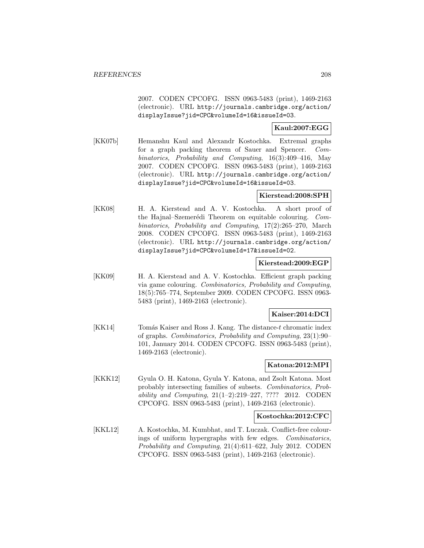2007. CODEN CPCOFG. ISSN 0963-5483 (print), 1469-2163 (electronic). URL http://journals.cambridge.org/action/ displayIssue?jid=CPC&volumeId=16&issueId=03.

## **Kaul:2007:EGG**

[KK07b] Hemanshu Kaul and Alexandr Kostochka. Extremal graphs for a graph packing theorem of Sauer and Spencer. Combinatorics, Probability and Computing, 16(3):409–416, May 2007. CODEN CPCOFG. ISSN 0963-5483 (print), 1469-2163 (electronic). URL http://journals.cambridge.org/action/ displayIssue?jid=CPC&volumeId=16&issueId=03.

## **Kierstead:2008:SPH**

[KK08] H. A. Kierstead and A. V. Kostochka. A short proof of the Hajnal–Szemerédi Theorem on equitable colouring. Combinatorics, Probability and Computing, 17(2):265–270, March 2008. CODEN CPCOFG. ISSN 0963-5483 (print), 1469-2163 (electronic). URL http://journals.cambridge.org/action/ displayIssue?jid=CPC&volumeId=17&issueId=02.

### **Kierstead:2009:EGP**

[KK09] H. A. Kierstead and A. V. Kostochka. Efficient graph packing via game colouring. Combinatorics, Probability and Computing, 18(5):765–774, September 2009. CODEN CPCOFG. ISSN 0963- 5483 (print), 1469-2163 (electronic).

## **Kaiser:2014:DCI**

[KK14] Tomás Kaiser and Ross J. Kang. The distance-t chromatic index of graphs. Combinatorics, Probability and Computing, 23(1):90– 101, January 2014. CODEN CPCOFG. ISSN 0963-5483 (print), 1469-2163 (electronic).

## **Katona:2012:MPI**

[KKK12] Gyula O. H. Katona, Gyula Y. Katona, and Zsolt Katona. Most probably intersecting families of subsets. Combinatorics, Probability and Computing, 21(1–2):219–227, ???? 2012. CODEN CPCOFG. ISSN 0963-5483 (print), 1469-2163 (electronic).

## **Kostochka:2012:CFC**

[KKL12] A. Kostochka, M. Kumbhat, and T. Luczak. Conflict-free colourings of uniform hypergraphs with few edges. Combinatorics, Probability and Computing, 21(4):611–622, July 2012. CODEN CPCOFG. ISSN 0963-5483 (print), 1469-2163 (electronic).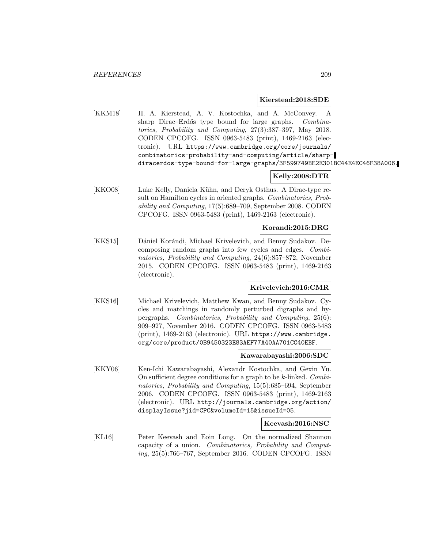#### **Kierstead:2018:SDE**

[KKM18] H. A. Kierstead, A. V. Kostochka, and A. McConvey. A sharp Dirac–Erdős type bound for large graphs. Combinatorics, Probability and Computing, 27(3):387–397, May 2018. CODEN CPCOFG. ISSN 0963-5483 (print), 1469-2163 (electronic). URL https://www.cambridge.org/core/journals/ combinatorics-probability-and-computing/article/sharpdiracerdos-type-bound-for-large-graphs/3F599749BE2E301BC44E4EC46F38A006.

## **Kelly:2008:DTR**

[KKO08] Luke Kelly, Daniela Kühn, and Deryk Osthus. A Dirac-type result on Hamilton cycles in oriented graphs. Combinatorics, Probability and Computing, 17(5):689–709, September 2008. CODEN CPCOFG. ISSN 0963-5483 (print), 1469-2163 (electronic).

## **Korandi:2015:DRG**

[KKS15] Dániel Korándi, Michael Krivelevich, and Benny Sudakov. Decomposing random graphs into few cycles and edges. Combinatorics, Probability and Computing, 24(6):857–872, November 2015. CODEN CPCOFG. ISSN 0963-5483 (print), 1469-2163 (electronic).

## **Krivelevich:2016:CMR**

[KKS16] Michael Krivelevich, Matthew Kwan, and Benny Sudakov. Cycles and matchings in randomly perturbed digraphs and hypergraphs. Combinatorics, Probability and Computing, 25(6): 909–927, November 2016. CODEN CPCOFG. ISSN 0963-5483 (print), 1469-2163 (electronic). URL https://www.cambridge. org/core/product/0B9450323E83AEF77A40AA701CC40EBF.

#### **Kawarabayashi:2006:SDC**

[KKY06] Ken-Ichi Kawarabayashi, Alexandr Kostochka, and Gexin Yu. On sufficient degree conditions for a graph to be  $k$ -linked. Combinatorics, Probability and Computing, 15(5):685–694, September 2006. CODEN CPCOFG. ISSN 0963-5483 (print), 1469-2163 (electronic). URL http://journals.cambridge.org/action/ displayIssue?jid=CPC&volumeId=15&issueId=05.

#### **Keevash:2016:NSC**

[KL16] Peter Keevash and Eoin Long. On the normalized Shannon capacity of a union. Combinatorics, Probability and Computing, 25(5):766–767, September 2016. CODEN CPCOFG. ISSN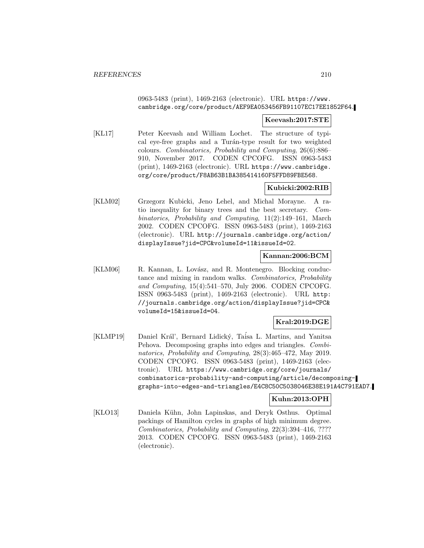## 0963-5483 (print), 1469-2163 (electronic). URL https://www. cambridge.org/core/product/AEF9EA053456FB91107EC17EE1852F64.

## **Keevash:2017:STE**

[KL17] Peter Keevash and William Lochet. The structure of typical eye-free graphs and a Turán-type result for two weighted colours. Combinatorics, Probability and Computing, 26(6):886– 910, November 2017. CODEN CPCOFG. ISSN 0963-5483 (print), 1469-2163 (electronic). URL https://www.cambridge. org/core/product/F8AB63B1BA385414160F5FFD89FBE568.

# **Kubicki:2002:RIB**

[KLM02] Grzegorz Kubicki, Jeno Lehel, and Michal Morayne. A ratio inequality for binary trees and the best secretary. Combinatorics, Probability and Computing, 11(2):149–161, March 2002. CODEN CPCOFG. ISSN 0963-5483 (print), 1469-2163 (electronic). URL http://journals.cambridge.org/action/ displayIssue?jid=CPC&volumeId=11&issueId=02.

## **Kannan:2006:BCM**

[KLM06] R. Kannan, L. Lovász, and R. Montenegro. Blocking conductance and mixing in random walks. Combinatorics, Probability and Computing, 15(4):541–570, July 2006. CODEN CPCOFG. ISSN 0963-5483 (print), 1469-2163 (electronic). URL http: //journals.cambridge.org/action/displayIssue?jid=CPC& volumeId=15&issueId=04.

## **Kral:2019:DGE**

[KLMP19] Daniel Král', Bernard Lidický, Taísa L. Martins, and Yanitsa Pehova. Decomposing graphs into edges and triangles. Combinatorics, Probability and Computing, 28(3):465–472, May 2019. CODEN CPCOFG. ISSN 0963-5483 (print), 1469-2163 (electronic). URL https://www.cambridge.org/core/journals/ combinatorics-probability-and-computing/article/decomposinggraphs-into-edges-and-triangles/E4C8C50C5038046E38E191A4C791EAD7.

# **Kuhn:2013:OPH**

[KLO13] Daniela Kühn, John Lapinskas, and Deryk Osthus. Optimal packings of Hamilton cycles in graphs of high minimum degree. Combinatorics, Probability and Computing, 22(3):394–416, ???? 2013. CODEN CPCOFG. ISSN 0963-5483 (print), 1469-2163 (electronic).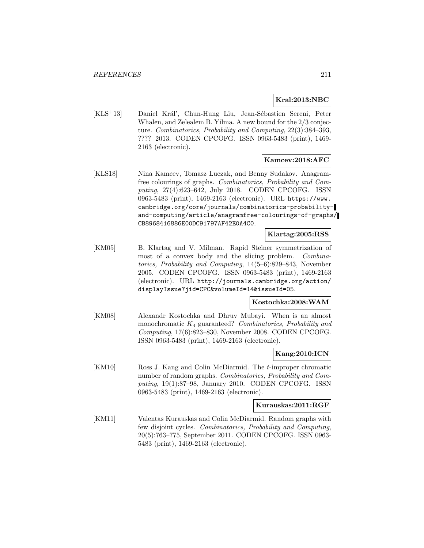## **Kral:2013:NBC**

[KLS<sup>+</sup>13] Daniel Král', Chun-Hung Liu, Jean-Sébastien Sereni, Peter Whalen, and Zelealem B. Yilma. A new bound for the 2/3 conjecture. Combinatorics, Probability and Computing, 22(3):384–393, ???? 2013. CODEN CPCOFG. ISSN 0963-5483 (print), 1469- 2163 (electronic).

# **Kamcev:2018:AFC**

[KLS18] Nina Kamcev, Tomasz Luczak, and Benny Sudakov. Anagramfree colourings of graphs. Combinatorics, Probability and Computing, 27(4):623–642, July 2018. CODEN CPCOFG. ISSN 0963-5483 (print), 1469-2163 (electronic). URL https://www. cambridge.org/core/journals/combinatorics-probabilityand-computing/article/anagramfree-colourings-of-graphs/ CB8968416886E00DC91797AF42E0A4C0.

## **Klartag:2005:RSS**

[KM05] B. Klartag and V. Milman. Rapid Steiner symmetrization of most of a convex body and the slicing problem. Combinatorics, Probability and Computing, 14(5–6):829–843, November 2005. CODEN CPCOFG. ISSN 0963-5483 (print), 1469-2163 (electronic). URL http://journals.cambridge.org/action/ displayIssue?jid=CPC&volumeId=14&issueId=05.

## **Kostochka:2008:WAM**

[KM08] Alexandr Kostochka and Dhruv Mubayi. When is an almost monochromatic  $K_4$  guaranteed? Combinatorics, Probability and Computing, 17(6):823–830, November 2008. CODEN CPCOFG. ISSN 0963-5483 (print), 1469-2163 (electronic).

## **Kang:2010:ICN**

[KM10] Ross J. Kang and Colin McDiarmid. The t-improper chromatic number of random graphs. Combinatorics, Probability and Computing, 19(1):87–98, January 2010. CODEN CPCOFG. ISSN 0963-5483 (print), 1469-2163 (electronic).

#### **Kurauskas:2011:RGF**

[KM11] Valentas Kurauskas and Colin McDiarmid. Random graphs with few disjoint cycles. Combinatorics, Probability and Computing, 20(5):763–775, September 2011. CODEN CPCOFG. ISSN 0963- 5483 (print), 1469-2163 (electronic).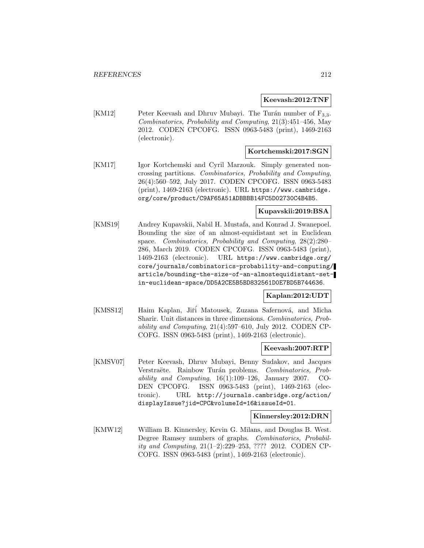### **Keevash:2012:TNF**

[KM12] Peter Keevash and Dhruv Mubayi. The Turán number of  $F_{3,3}$ . Combinatorics, Probability and Computing, 21(3):451–456, May 2012. CODEN CPCOFG. ISSN 0963-5483 (print), 1469-2163 (electronic).

## **Kortchemski:2017:SGN**

[KM17] Igor Kortchemski and Cyril Marzouk. Simply generated noncrossing partitions. Combinatorics, Probability and Computing, 26(4):560–592, July 2017. CODEN CPCOFG. ISSN 0963-5483 (print), 1469-2163 (electronic). URL https://www.cambridge. org/core/product/C9AF65A51ADBBBB14FC5D02730C4B4B5.

#### **Kupavskii:2019:BSA**

[KMS19] Andrey Kupavskii, Nabil H. Mustafa, and Konrad J. Swanepoel. Bounding the size of an almost-equidistant set in Euclidean space. Combinatorics, Probability and Computing, 28(2):280– 286, March 2019. CODEN CPCOFG. ISSN 0963-5483 (print), 1469-2163 (electronic). URL https://www.cambridge.org/ core/journals/combinatorics-probability-and-computing/ article/bounding-the-size-of-an-almostequidistant-setin-euclidean-space/DD5A2CE5B5BD832561D0E7BD5B744636.

#### **Kaplan:2012:UDT**

[KMSS12] Haim Kaplan, Jiří Matousek, Zuzana Safernová, and Micha Sharir. Unit distances in three dimensions. Combinatorics, Probability and Computing, 21(4):597–610, July 2012. CODEN CP-COFG. ISSN 0963-5483 (print), 1469-2163 (electronic).

## **Keevash:2007:RTP**

[KMSV07] Peter Keevash, Dhruv Mubayi, Benny Sudakov, and Jacques Verstraëte. Rainbow Turán problems. Combinatorics, Probability and Computing,  $16(1):109-126$ , January 2007. CO-DEN CPCOFG. ISSN 0963-5483 (print), 1469-2163 (electronic). URL http://journals.cambridge.org/action/ displayIssue?jid=CPC&volumeId=16&issueId=01.

#### **Kinnersley:2012:DRN**

[KMW12] William B. Kinnersley, Kevin G. Milans, and Douglas B. West. Degree Ramsey numbers of graphs. Combinatorics, Probability and Computing, 21(1–2):229–253, ???? 2012. CODEN CP-COFG. ISSN 0963-5483 (print), 1469-2163 (electronic).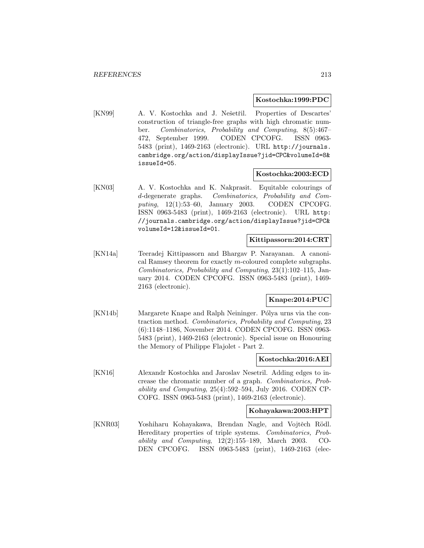#### **Kostochka:1999:PDC**

[KN99] A. V. Kostochka and J. Nešetřil. Properties of Descartes' construction of triangle-free graphs with high chromatic number. Combinatorics, Probability and Computing, 8(5):467– 472, September 1999. CODEN CPCOFG. ISSN 0963- 5483 (print), 1469-2163 (electronic). URL http://journals. cambridge.org/action/displayIssue?jid=CPC&volumeId=8& issueId=05.

## **Kostochka:2003:ECD**

[KN03] A. V. Kostochka and K. Nakprasit. Equitable colourings of d-degenerate graphs. Combinatorics, Probability and Computing, 12(1):53–60, January 2003. CODEN CPCOFG. ISSN 0963-5483 (print), 1469-2163 (electronic). URL http: //journals.cambridge.org/action/displayIssue?jid=CPC& volumeId=12&issueId=01.

## **Kittipassorn:2014:CRT**

[KN14a] Teeradej Kittipassorn and Bhargav P. Narayanan. A canonical Ramsey theorem for exactly m-coloured complete subgraphs. Combinatorics, Probability and Computing, 23(1):102–115, January 2014. CODEN CPCOFG. ISSN 0963-5483 (print), 1469- 2163 (electronic).

## **Knape:2014:PUC**

[KN14b] Margarete Knape and Ralph Neininger. Pólya urns via the contraction method. Combinatorics, Probability and Computing, 23 (6):1148–1186, November 2014. CODEN CPCOFG. ISSN 0963- 5483 (print), 1469-2163 (electronic). Special issue on Honouring the Memory of Philippe Flajolet - Part 2.

### **Kostochka:2016:AEI**

[KN16] Alexandr Kostochka and Jaroslav Nesetril. Adding edges to increase the chromatic number of a graph. Combinatorics, Probability and Computing, 25(4):592–594, July 2016. CODEN CP-COFG. ISSN 0963-5483 (print), 1469-2163 (electronic).

## **Kohayakawa:2003:HPT**

[KNR03] Yoshiharu Kohayakawa, Brendan Nagle, and Vojtěch Rödl. Hereditary properties of triple systems. Combinatorics, Probability and Computing, 12(2):155–189, March 2003. CO-DEN CPCOFG. ISSN 0963-5483 (print), 1469-2163 (elec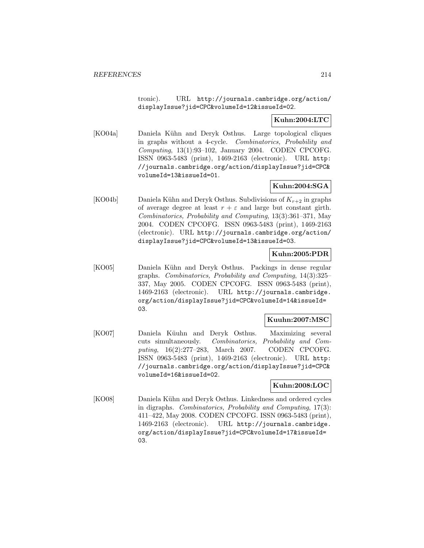tronic). URL http://journals.cambridge.org/action/ displayIssue?jid=CPC&volumeId=12&issueId=02.

# **Kuhn:2004:LTC**

[KO04a] Daniela Kühn and Deryk Osthus. Large topological cliques in graphs without a 4-cycle. Combinatorics, Probability and Computing, 13(1):93–102, January 2004. CODEN CPCOFG. ISSN 0963-5483 (print), 1469-2163 (electronic). URL http: //journals.cambridge.org/action/displayIssue?jid=CPC& volumeId=13&issueId=01.

# **Kuhn:2004:SGA**

[KO04b] Daniela Kühn and Deryk Osthus. Subdivisions of  $K_{r+2}$  in graphs of average degree at least  $r + \varepsilon$  and large but constant girth. Combinatorics, Probability and Computing, 13(3):361–371, May 2004. CODEN CPCOFG. ISSN 0963-5483 (print), 1469-2163 (electronic). URL http://journals.cambridge.org/action/ displayIssue?jid=CPC&volumeId=13&issueId=03.

## **Kuhn:2005:PDR**

[KO05] Daniela Kühn and Deryk Osthus. Packings in dense regular graphs. Combinatorics, Probability and Computing, 14(3):325– 337, May 2005. CODEN CPCOFG. ISSN 0963-5483 (print), 1469-2163 (electronic). URL http://journals.cambridge. org/action/displayIssue?jid=CPC&volumeId=14&issueId= 03.

## **Kuuhn:2007:MSC**

[KO07] Daniela Küuhn and Deryk Osthus. Maximizing several cuts simultaneously. Combinatorics, Probability and Computing, 16(2):277–283, March 2007. CODEN CPCOFG. ISSN 0963-5483 (print), 1469-2163 (electronic). URL http: //journals.cambridge.org/action/displayIssue?jid=CPC& volumeId=16&issueId=02.

## **Kuhn:2008:LOC**

[KO08] Daniela Kühn and Deryk Osthus. Linkedness and ordered cycles in digraphs. Combinatorics, Probability and Computing, 17(3): 411–422, May 2008. CODEN CPCOFG. ISSN 0963-5483 (print), 1469-2163 (electronic). URL http://journals.cambridge. org/action/displayIssue?jid=CPC&volumeId=17&issueId= 03.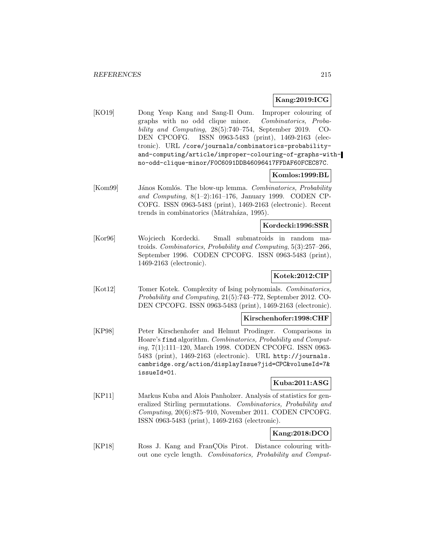## **Kang:2019:ICG**

[KO19] Dong Yeap Kang and Sang-Il Oum. Improper colouring of graphs with no odd clique minor. Combinatorics, Probability and Computing, 28(5):740–754, September 2019. CO-DEN CPCOFG. ISSN 0963-5483 (print), 1469-2163 (electronic). URL /core/journals/combinatorics-probabilityand-computing/article/improper-colouring-of-graphs-withno-odd-clique-minor/F0C6091DDB46096417FFDAF60FCEC87C.

## **Komlos:1999:BL**

[Kom99] János Komlós. The blow-up lemma. Combinatorics, Probability and Computing, 8(1–2):161–176, January 1999. CODEN CP-COFG. ISSN 0963-5483 (print), 1469-2163 (electronic). Recent trends in combinatorics (Mátraháza, 1995).

#### **Kordecki:1996:SSR**

[Kor96] Wojciech Kordecki. Small submatroids in random matroids. Combinatorics, Probability and Computing, 5(3):257–266, September 1996. CODEN CPCOFG. ISSN 0963-5483 (print), 1469-2163 (electronic).

## **Kotek:2012:CIP**

[Kot12] Tomer Kotek. Complexity of Ising polynomials. Combinatorics, Probability and Computing, 21(5):743–772, September 2012. CO-DEN CPCOFG. ISSN 0963-5483 (print), 1469-2163 (electronic).

## **Kirschenhofer:1998:CHF**

[KP98] Peter Kirschenhofer and Helmut Prodinger. Comparisons in Hoare's find algorithm. Combinatorics, Probability and Computing, 7(1):111–120, March 1998. CODEN CPCOFG. ISSN 0963- 5483 (print), 1469-2163 (electronic). URL http://journals. cambridge.org/action/displayIssue?jid=CPC&volumeId=7& issueId=01.

## **Kuba:2011:ASG**

[KP11] Markus Kuba and Alois Panholzer. Analysis of statistics for generalized Stirling permutations. Combinatorics, Probability and Computing, 20(6):875–910, November 2011. CODEN CPCOFG. ISSN 0963-5483 (print), 1469-2163 (electronic).

# **Kang:2018:DCO**

[KP18] Ross J. Kang and Fran COis Pirot. Distance colouring without one cycle length. Combinatorics, Probability and Comput-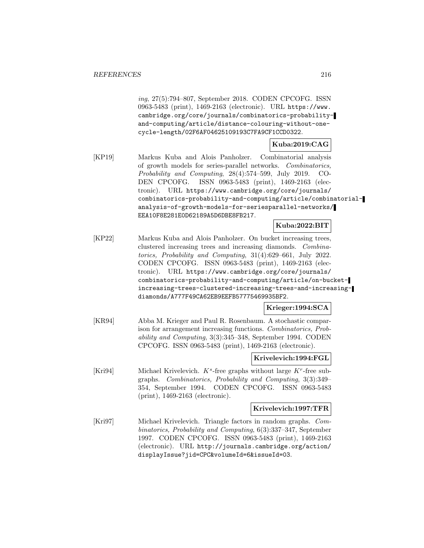ing, 27(5):794–807, September 2018. CODEN CPCOFG. ISSN 0963-5483 (print), 1469-2163 (electronic). URL https://www. cambridge.org/core/journals/combinatorics-probabilityand-computing/article/distance-colouring-without-onecycle-length/02F6AF04625109193C7FA9CF1CCD0322.

## **Kuba:2019:CAG**

[KP19] Markus Kuba and Alois Panholzer. Combinatorial analysis of growth models for series-parallel networks. Combinatorics, Probability and Computing, 28(4):574–599, July 2019. CO-DEN CPCOFG. ISSN 0963-5483 (print), 1469-2163 (electronic). URL https://www.cambridge.org/core/journals/ combinatorics-probability-and-computing/article/combinatorialanalysis-of-growth-models-for-seriesparallel-networks/ EEA10F8E281E0D62189A5D6DBE8FB217.

#### **Kuba:2022:BIT**

[KP22] Markus Kuba and Alois Panholzer. On bucket increasing trees, clustered increasing trees and increasing diamonds. Combinatorics, Probability and Computing, 31(4):629–661, July 2022. CODEN CPCOFG. ISSN 0963-5483 (print), 1469-2163 (electronic). URL https://www.cambridge.org/core/journals/ combinatorics-probability-and-computing/article/on-bucketincreasing-trees-clustered-increasing-trees-and-increasingdiamonds/A777F49CA62EB9EEFB57775469935BF2.

## **Krieger:1994:SCA**

[KR94] Abba M. Krieger and Paul R. Rosenbaum. A stochastic comparison for arrangement increasing functions. Combinatorics, Probability and Computing, 3(3):345–348, September 1994. CODEN CPCOFG. ISSN 0963-5483 (print), 1469-2163 (electronic).

### **Krivelevich:1994:FGL**

[Kri94] Michael Krivelevich.  $K^s$ -free graphs without large  $K^r$ -free subgraphs. Combinatorics, Probability and Computing, 3(3):349– 354, September 1994. CODEN CPCOFG. ISSN 0963-5483 (print), 1469-2163 (electronic).

#### **Krivelevich:1997:TFR**

[Kri97] Michael Krivelevich. Triangle factors in random graphs. Combinatorics, Probability and Computing, 6(3):337–347, September 1997. CODEN CPCOFG. ISSN 0963-5483 (print), 1469-2163 (electronic). URL http://journals.cambridge.org/action/ displayIssue?jid=CPC&volumeId=6&issueId=03.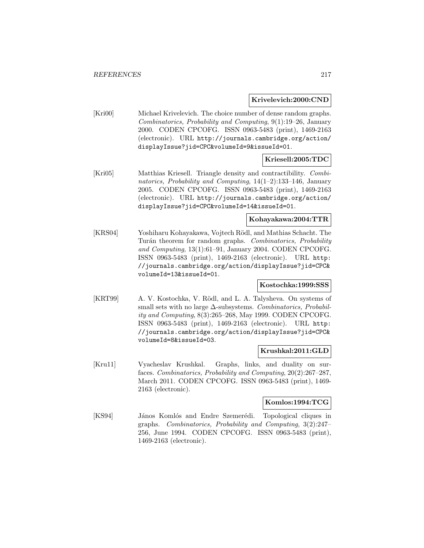#### **Krivelevich:2000:CND**

[Kri00] Michael Krivelevich. The choice number of dense random graphs. Combinatorics, Probability and Computing, 9(1):19–26, January 2000. CODEN CPCOFG. ISSN 0963-5483 (print), 1469-2163 (electronic). URL http://journals.cambridge.org/action/ displayIssue?jid=CPC&volumeId=9&issueId=01.

## **Kriesell:2005:TDC**

[Kri05] Matthias Kriesell. Triangle density and contractibility. Combinatorics, Probability and Computing,  $14(1-2)$ :133-146, January 2005. CODEN CPCOFG. ISSN 0963-5483 (print), 1469-2163 (electronic). URL http://journals.cambridge.org/action/ displayIssue?jid=CPC&volumeId=14&issueId=01.

## **Kohayakawa:2004:TTR**

[KRS04] Yoshiharu Kohayakawa, Vojtech Rödl, and Mathias Schacht. The Turán theorem for random graphs. Combinatorics, Probability and Computing, 13(1):61–91, January 2004. CODEN CPCOFG. ISSN 0963-5483 (print), 1469-2163 (electronic). URL http: //journals.cambridge.org/action/displayIssue?jid=CPC& volumeId=13&issueId=01.

### **Kostochka:1999:SSS**

[KRT99] A. V. Kostochka, V. Rödl, and L. A. Talysheva. On systems of small sets with no large  $\Delta$ -subsystems. Combinatorics, Probability and Computing, 8(3):265–268, May 1999. CODEN CPCOFG. ISSN 0963-5483 (print), 1469-2163 (electronic). URL http: //journals.cambridge.org/action/displayIssue?jid=CPC& volumeId=8&issueId=03.

#### **Krushkal:2011:GLD**

[Kru11] Vyacheslav Krushkal. Graphs, links, and duality on surfaces. Combinatorics, Probability and Computing, 20(2):267–287, March 2011. CODEN CPCOFG. ISSN 0963-5483 (print), 1469- 2163 (electronic).

#### **Komlos:1994:TCG**

[KS94] János Komlós and Endre Szemerédi. Topological cliques in graphs. Combinatorics, Probability and Computing, 3(2):247– 256, June 1994. CODEN CPCOFG. ISSN 0963-5483 (print), 1469-2163 (electronic).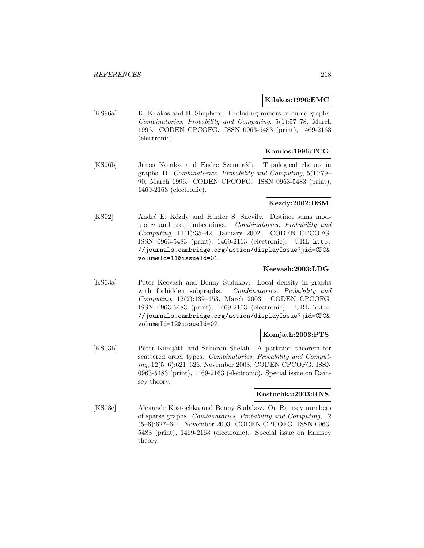#### **Kilakos:1996:EMC**

[KS96a] K. Kilakos and B. Shepherd. Excluding minors in cubic graphs. Combinatorics, Probability and Computing, 5(1):57–78, March 1996. CODEN CPCOFG. ISSN 0963-5483 (print), 1469-2163 (electronic).

## **Komlos:1996:TCG**

[KS96b] János Komlós and Endre Szemerédi. Topological cliques in graphs. II. Combinatorics, Probability and Computing, 5(1):79– 90, March 1996. CODEN CPCOFG. ISSN 0963-5483 (print), 1469-2163 (electronic).

#### **Kezdy:2002:DSM**

[KS02] André E. Kézdy and Hunter S. Snevily. Distinct sums modulo n and tree embeddings. Combinatorics, Probability and  $Computing, 11(1):35–42, January 2002. CODEN CPCOFG.$ ISSN 0963-5483 (print), 1469-2163 (electronic). URL http: //journals.cambridge.org/action/displayIssue?jid=CPC& volumeId=11&issueId=01.

#### **Keevash:2003:LDG**

[KS03a] Peter Keevash and Benny Sudakov. Local density in graphs with forbidden subgraphs. Combinatorics, Probability and Computing, 12(2):139–153, March 2003. CODEN CPCOFG. ISSN 0963-5483 (print), 1469-2163 (electronic). URL http: //journals.cambridge.org/action/displayIssue?jid=CPC& volumeId=12&issueId=02.

#### **Komjath:2003:PTS**

[KS03b] Péter Komjáth and Saharon Shelah. A partition theorem for scattered order types. Combinatorics, Probability and Computing, 12(5–6):621–626, November 2003. CODEN CPCOFG. ISSN 0963-5483 (print), 1469-2163 (electronic). Special issue on Ramsey theory.

#### **Kostochka:2003:RNS**

[KS03c] Alexandr Kostochka and Benny Sudakov. On Ramsey numbers of sparse graphs. Combinatorics, Probability and Computing, 12 (5–6):627–641, November 2003. CODEN CPCOFG. ISSN 0963- 5483 (print), 1469-2163 (electronic). Special issue on Ramsey theory.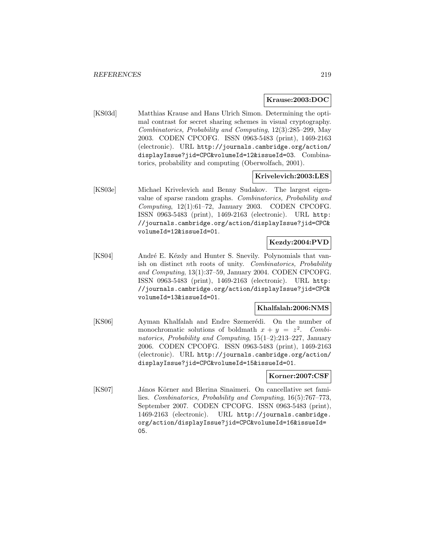#### **Krause:2003:DOC**

[KS03d] Matthias Krause and Hans Ulrich Simon. Determining the optimal contrast for secret sharing schemes in visual cryptography. Combinatorics, Probability and Computing, 12(3):285–299, May 2003. CODEN CPCOFG. ISSN 0963-5483 (print), 1469-2163 (electronic). URL http://journals.cambridge.org/action/ displayIssue?jid=CPC&volumeId=12&issueId=03. Combinatorics, probability and computing (Oberwolfach, 2001).

#### **Krivelevich:2003:LES**

[KS03e] Michael Krivelevich and Benny Sudakov. The largest eigenvalue of sparse random graphs. Combinatorics, Probability and Computing, 12(1):61–72, January 2003. CODEN CPCOFG. ISSN 0963-5483 (print), 1469-2163 (electronic). URL http: //journals.cambridge.org/action/displayIssue?jid=CPC& volumeId=12&issueId=01.

#### **Kezdy:2004:PVD**

[KS04] André E. Kézdy and Hunter S. Snevily. Polynomials that vanish on distinct nth roots of unity. Combinatorics, Probability and Computing, 13(1):37–59, January 2004. CODEN CPCOFG. ISSN 0963-5483 (print), 1469-2163 (electronic). URL http: //journals.cambridge.org/action/displayIssue?jid=CPC& volumeId=13&issueId=01.

#### **Khalfalah:2006:NMS**

[KS06] Ayman Khalfalah and Endre Szemerédi. On the number of monochromatic solutions of boldmath  $x + y = z^2$ . Combinatorics, Probability and Computing,  $15(1-2):213-227$ , January 2006. CODEN CPCOFG. ISSN 0963-5483 (print), 1469-2163 (electronic). URL http://journals.cambridge.org/action/ displayIssue?jid=CPC&volumeId=15&issueId=01.

#### **Korner:2007:CSF**

[KS07] János Körner and Blerina Sinaimeri. On cancellative set families. Combinatorics, Probability and Computing, 16(5):767–773, September 2007. CODEN CPCOFG. ISSN 0963-5483 (print), 1469-2163 (electronic). URL http://journals.cambridge. org/action/displayIssue?jid=CPC&volumeId=16&issueId= 05.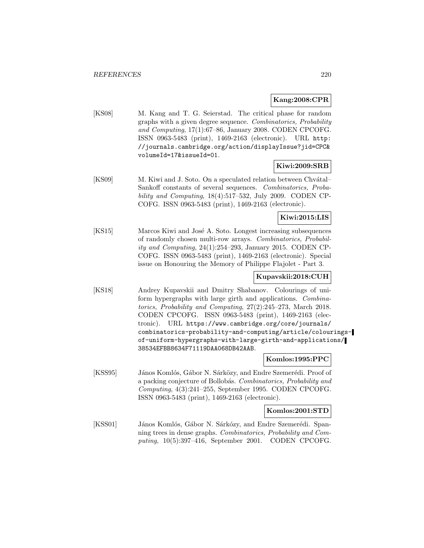## **Kang:2008:CPR**

[KS08] M. Kang and T. G. Seierstad. The critical phase for random graphs with a given degree sequence. Combinatorics, Probability and Computing, 17(1):67–86, January 2008. CODEN CPCOFG. ISSN 0963-5483 (print), 1469-2163 (electronic). URL http: //journals.cambridge.org/action/displayIssue?jid=CPC& volumeId=17&issueId=01.

## **Kiwi:2009:SRB**

[KS09] M. Kiwi and J. Soto. On a speculated relation between Chvátal– Sankoff constants of several sequences. Combinatorics, Probability and Computing, 18(4):517–532, July 2009. CODEN CP-COFG. ISSN 0963-5483 (print), 1469-2163 (electronic).

**Kiwi:2015:LIS**

[KS15] Marcos Kiwi and José A. Soto. Longest increasing subsequences of randomly chosen multi-row arrays. Combinatorics, Probability and Computing, 24(1):254–293, January 2015. CODEN CP-COFG. ISSN 0963-5483 (print), 1469-2163 (electronic). Special issue on Honouring the Memory of Philippe Flajolet - Part 3.

## **Kupavskii:2018:CUH**

[KS18] Andrey Kupavskii and Dmitry Shabanov. Colourings of uniform hypergraphs with large girth and applications. Combinatorics, Probability and Computing, 27(2):245–273, March 2018. CODEN CPCOFG. ISSN 0963-5483 (print), 1469-2163 (electronic). URL https://www.cambridge.org/core/journals/ combinatorics-probability-and-computing/article/colouringsof-uniform-hypergraphs-with-large-girth-and-applications/ 38534EFBB8634F71119DAA068DB42AAB.

#### **Komlos:1995:PPC**

[KSS95] János Komlós, Gábor N. Sárközy, and Endre Szemerédi. Proof of a packing conjecture of Bollobás. Combinatorics, Probability and Computing, 4(3):241–255, September 1995. CODEN CPCOFG. ISSN 0963-5483 (print), 1469-2163 (electronic).

#### **Komlos:2001:STD**

[KSS01] János Komlós, Gábor N. Sárkózy, and Endre Szemerédi. Spanning trees in dense graphs. Combinatorics, Probability and Computing, 10(5):397–416, September 2001. CODEN CPCOFG.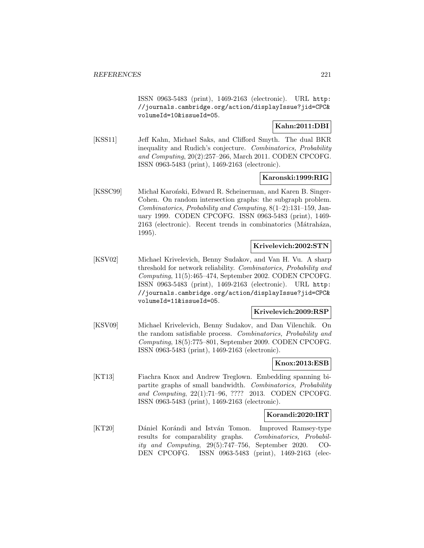ISSN 0963-5483 (print), 1469-2163 (electronic). URL http: //journals.cambridge.org/action/displayIssue?jid=CPC& volumeId=10&issueId=05.

## **Kahn:2011:DBI**

[KSS11] Jeff Kahn, Michael Saks, and Clifford Smyth. The dual BKR inequality and Rudich's conjecture. Combinatorics, Probability and Computing, 20(2):257–266, March 2011. CODEN CPCOFG. ISSN 0963-5483 (print), 1469-2163 (electronic).

## **Karonski:1999:RIG**

[KSSC99] Michał Karoński, Edward R. Scheinerman, and Karen B. Singer-Cohen. On random intersection graphs: the subgraph problem. Combinatorics, Probability and Computing, 8(1–2):131–159, January 1999. CODEN CPCOFG. ISSN 0963-5483 (print), 1469- 2163 (electronic). Recent trends in combinatorics (Mátraháza, 1995).

#### **Krivelevich:2002:STN**

[KSV02] Michael Krivelevich, Benny Sudakov, and Van H. Vu. A sharp threshold for network reliability. Combinatorics, Probability and Computing, 11(5):465–474, September 2002. CODEN CPCOFG. ISSN 0963-5483 (print), 1469-2163 (electronic). URL http: //journals.cambridge.org/action/displayIssue?jid=CPC& volumeId=11&issueId=05.

#### **Krivelevich:2009:RSP**

[KSV09] Michael Krivelevich, Benny Sudakov, and Dan Vilenchik. On the random satisfiable process. Combinatorics, Probability and Computing, 18(5):775–801, September 2009. CODEN CPCOFG. ISSN 0963-5483 (print), 1469-2163 (electronic).

#### **Knox:2013:ESB**

[KT13] Fiachra Knox and Andrew Treglown. Embedding spanning bipartite graphs of small bandwidth. Combinatorics, Probability and Computing, 22(1):71–96, ???? 2013. CODEN CPCOFG. ISSN 0963-5483 (print), 1469-2163 (electronic).

#### **Korandi:2020:IRT**

[KT20] Dániel Korándi and István Tomon. Improved Ramsey-type results for comparability graphs. Combinatorics, Probability and Computing, 29(5):747–756, September 2020. CO-DEN CPCOFG. ISSN 0963-5483 (print), 1469-2163 (elec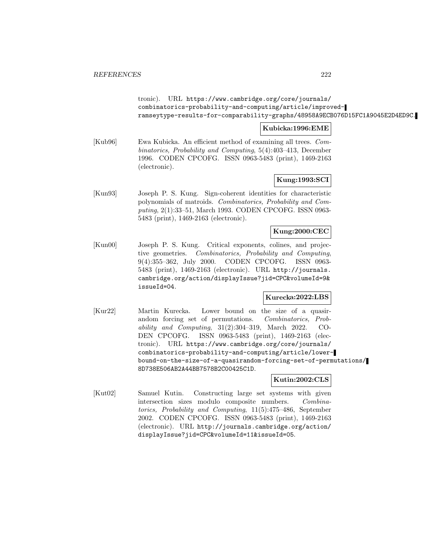tronic). URL https://www.cambridge.org/core/journals/ combinatorics-probability-and-computing/article/improvedramseytype-results-for-comparability-graphs/48958A9ECB076D15FC1A9045E2D4ED9C.

## **Kubicka:1996:EME**

[Kub96] Ewa Kubicka. An efficient method of examining all trees. Combinatorics, Probability and Computing, 5(4):403–413, December 1996. CODEN CPCOFG. ISSN 0963-5483 (print), 1469-2163 (electronic).

## **Kung:1993:SCI**

[Kun93] Joseph P. S. Kung. Sign-coherent identities for characteristic polynomials of matroids. Combinatorics, Probability and Computing, 2(1):33–51, March 1993. CODEN CPCOFG. ISSN 0963- 5483 (print), 1469-2163 (electronic).

#### **Kung:2000:CEC**

[Kun00] Joseph P. S. Kung. Critical exponents, colines, and projective geometries. Combinatorics, Probability and Computing, 9(4):355–362, July 2000. CODEN CPCOFG. ISSN 0963- 5483 (print), 1469-2163 (electronic). URL http://journals. cambridge.org/action/displayIssue?jid=CPC&volumeId=9& issueId=04.

## **Kurecka:2022:LBS**

[Kur22] Martin Kurecka. Lower bound on the size of a quasirandom forcing set of permutations. Combinatorics, Probability and Computing, 31(2):304–319, March 2022. CO-DEN CPCOFG. ISSN 0963-5483 (print), 1469-2163 (electronic). URL https://www.cambridge.org/core/journals/ combinatorics-probability-and-computing/article/lowerbound-on-the-size-of-a-quasirandom-forcing-set-of-permutations/ 8D738E506AB2A44BB7578B2C00425C1D.

## **Kutin:2002:CLS**

[Kut02] Samuel Kutin. Constructing large set systems with given intersection sizes modulo composite numbers. Combinatorics, Probability and Computing, 11(5):475–486, September 2002. CODEN CPCOFG. ISSN 0963-5483 (print), 1469-2163 (electronic). URL http://journals.cambridge.org/action/ displayIssue?jid=CPC&volumeId=11&issueId=05.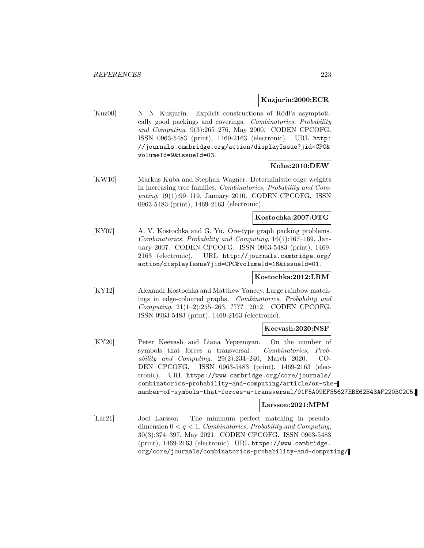#### **Kuzjurin:2000:ECR**

[Kuz00] N. N. Kuzjurin. Explicit constructions of Rödl's asymptotically good packings and coverings. Combinatorics, Probability and Computing, 9(3):265–276, May 2000. CODEN CPCOFG. ISSN 0963-5483 (print), 1469-2163 (electronic). URL http: //journals.cambridge.org/action/displayIssue?jid=CPC& volumeId=9&issueId=03.

## **Kuba:2010:DEW**

[KW10] Markus Kuba and Stephan Wagner. Deterministic edge weights in increasing tree families. Combinatorics, Probability and Computing, 19(1):99–119, January 2010. CODEN CPCOFG. ISSN 0963-5483 (print), 1469-2163 (electronic).

## **Kostochka:2007:OTG**

[KY07] A. V. Kostochka and G. Yu. Ore-type graph packing problems. Combinatorics, Probability and Computing, 16(1):167–169, January 2007. CODEN CPCOFG. ISSN 0963-5483 (print), 1469- 2163 (electronic). URL http://journals.cambridge.org/ action/displayIssue?jid=CPC&volumeId=16&issueId=01.

## **Kostochka:2012:LRM**

[KY12] Alexandr Kostochka and Matthew Yancey. Large rainbow matchings in edge-coloured graphs. Combinatorics, Probability and Computing, 21(1–2):255–263, ???? 2012. CODEN CPCOFG. ISSN 0963-5483 (print), 1469-2163 (electronic).

#### **Keevash:2020:NSF**

[KY20] Peter Keevash and Liana Yepremyan. On the number of symbols that forces a transversal. Combinatorics, Probability and Computing,  $29(2):234-240$ , March 2020. CO-DEN CPCOFG. ISSN 0963-5483 (print), 1469-2163 (electronic). URL https://www.cambridge.org/core/journals/ combinatorics-probability-and-computing/article/on-thenumber-of-symbols-that-forces-a-transversal/91F5A09EF35627EBE62B43AF220BC2C5.

#### **Larsson:2021:MPM**

[Lar21] Joel Larsson. The minimum perfect matching in pseudodimension  $0 < q < 1$ . Combinatorics, Probability and Computing, 30(3):374–397, May 2021. CODEN CPCOFG. ISSN 0963-5483 (print), 1469-2163 (electronic). URL https://www.cambridge. org/core/journals/combinatorics-probability-and-computing/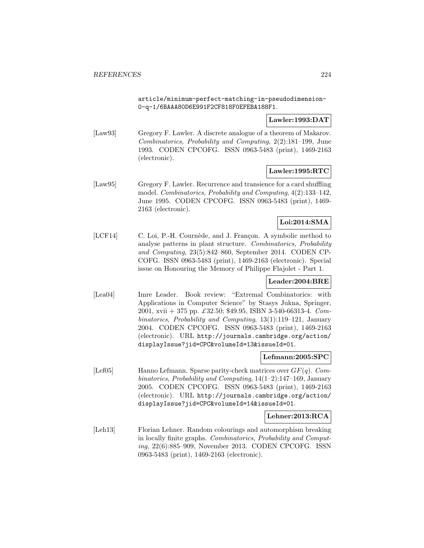article/minimum-perfect-matching-in-pseudodimension-0-q-1/6BAAA80D6E991F2CF818F0EFEBA188F1.

## **Lawler:1993:DAT**

[Law93] Gregory F. Lawler. A discrete analogue of a theorem of Makarov. Combinatorics, Probability and Computing, 2(2):181–199, June 1993. CODEN CPCOFG. ISSN 0963-5483 (print), 1469-2163 (electronic).

## **Lawler:1995:RTC**

[Law95] Gregory F. Lawler. Recurrence and transience for a card shuffling model. Combinatorics, Probability and Computing, 4(2):133–142, June 1995. CODEN CPCOFG. ISSN 0963-5483 (print), 1469- 2163 (electronic).

## **Loi:2014:SMA**

[LCF14] C. Loi, P.-H. Cournède, and J. Françon. A symbolic method to analyse patterns in plant structure. Combinatorics, Probability and Computing, 23(5):842–860, September 2014. CODEN CP-COFG. ISSN 0963-5483 (print), 1469-2163 (electronic). Special issue on Honouring the Memory of Philippe Flajolet - Part 1.

#### **Leader:2004:BRE**

[Lea04] Imre Leader. Book review: "Extremal Combinatorics: with Applications in Computer Science" by Stasys Jukna, Springer, 2001, xvii + 375 pp. £32.50; \$49.95, ISBN 3-540-66313-4. Combinatorics, Probability and Computing, 13(1):119–121, January 2004. CODEN CPCOFG. ISSN 0963-5483 (print), 1469-2163 (electronic). URL http://journals.cambridge.org/action/ displayIssue?jid=CPC&volumeId=13&issueId=01.

#### **Lefmann:2005:SPC**

[Lef05] Hanno Lefmann. Sparse parity-check matrices over  $GF(q)$ . Combinatorics, Probability and Computing, 14(1–2):147–169, January 2005. CODEN CPCOFG. ISSN 0963-5483 (print), 1469-2163 (electronic). URL http://journals.cambridge.org/action/ displayIssue?jid=CPC&volumeId=14&issueId=01.

## **Lehner:2013:RCA**

[Leh13] Florian Lehner. Random colourings and automorphism breaking in locally finite graphs. Combinatorics, Probability and Computing, 22(6):885–909, November 2013. CODEN CPCOFG. ISSN 0963-5483 (print), 1469-2163 (electronic).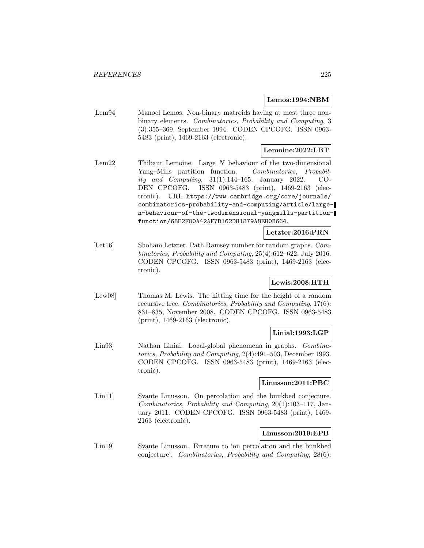#### **Lemos:1994:NBM**

[Lem94] Manoel Lemos. Non-binary matroids having at most three nonbinary elements. Combinatorics, Probability and Computing, 3 (3):355–369, September 1994. CODEN CPCOFG. ISSN 0963- 5483 (print), 1469-2163 (electronic).

## **Lemoine:2022:LBT**

[Lem22] Thibaut Lemoine. Large N behaviour of the two-dimensional Yang–Mills partition function. Combinatorics, Probability and Computing, 31(1):144–165, January 2022. CO-DEN CPCOFG. ISSN 0963-5483 (print), 1469-2163 (electronic). URL https://www.cambridge.org/core/journals/ combinatorics-probability-and-computing/article/largen-behaviour-of-the-twodimensional-yangmills-partitionfunction/68E2F00A42AF7D162D81879A8E80B664.

#### **Letzter:2016:PRN**

[Let16] Shoham Letzter. Path Ramsey number for random graphs. Combinatorics, Probability and Computing, 25(4):612–622, July 2016. CODEN CPCOFG. ISSN 0963-5483 (print), 1469-2163 (electronic).

#### **Lewis:2008:HTH**

[Lew08] Thomas M. Lewis. The hitting time for the height of a random recursive tree. Combinatorics, Probability and Computing, 17(6): 831–835, November 2008. CODEN CPCOFG. ISSN 0963-5483 (print), 1469-2163 (electronic).

## **Linial:1993:LGP**

[Lin93] Nathan Linial. Local-global phenomena in graphs. Combinatorics, Probability and Computing, 2(4):491–503, December 1993. CODEN CPCOFG. ISSN 0963-5483 (print), 1469-2163 (electronic).

#### **Linusson:2011:PBC**

[Lin11] Svante Linusson. On percolation and the bunkbed conjecture. Combinatorics, Probability and Computing, 20(1):103–117, January 2011. CODEN CPCOFG. ISSN 0963-5483 (print), 1469- 2163 (electronic).

## **Linusson:2019:EPB**

[Lin19] Svante Linusson. Erratum to 'on percolation and the bunkbed conjecture'. Combinatorics, Probability and Computing, 28(6):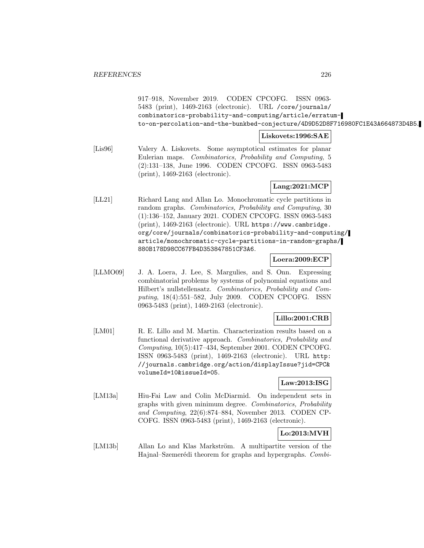917–918, November 2019. CODEN CPCOFG. ISSN 0963- 5483 (print), 1469-2163 (electronic). URL /core/journals/ combinatorics-probability-and-computing/article/erratumto-on-percolation-and-the-bunkbed-conjecture/4D9D52D8F716980FC1E43A664873D4B5.

## **Liskovets:1996:SAE**

[Lis96] Valery A. Liskovets. Some asymptotical estimates for planar Eulerian maps. Combinatorics, Probability and Computing, 5 (2):131–138, June 1996. CODEN CPCOFG. ISSN 0963-5483 (print), 1469-2163 (electronic).

# **Lang:2021:MCP**

[LL21] Richard Lang and Allan Lo. Monochromatic cycle partitions in random graphs. Combinatorics, Probability and Computing, 30 (1):136–152, January 2021. CODEN CPCOFG. ISSN 0963-5483 (print), 1469-2163 (electronic). URL https://www.cambridge. org/core/journals/combinatorics-probability-and-computing/ article/monochromatic-cycle-partitions-in-random-graphs/ 880B178D98CC67FB4D353847851CF3A6.

#### **Loera:2009:ECP**

[LLMO09] J. A. Loera, J. Lee, S. Margulies, and S. Onn. Expressing combinatorial problems by systems of polynomial equations and Hilbert's nullstellensatz. Combinatorics, Probability and Computing, 18(4):551–582, July 2009. CODEN CPCOFG. ISSN 0963-5483 (print), 1469-2163 (electronic).

## **Lillo:2001:CRB**

[LM01] R. E. Lillo and M. Martin. Characterization results based on a functional derivative approach. Combinatorics, Probability and Computing, 10(5):417–434, September 2001. CODEN CPCOFG. ISSN 0963-5483 (print), 1469-2163 (electronic). URL http: //journals.cambridge.org/action/displayIssue?jid=CPC& volumeId=10&issueId=05.

## **Law:2013:ISG**

[LM13a] Hiu-Fai Law and Colin McDiarmid. On independent sets in graphs with given minimum degree. Combinatorics, Probability and Computing, 22(6):874–884, November 2013. CODEN CP-COFG. ISSN 0963-5483 (print), 1469-2163 (electronic).

**Lo:2013:MVH**

[LM13b] Allan Lo and Klas Markström. A multipartite version of the Hajnal–Szemerédi theorem for graphs and hypergraphs. Combi-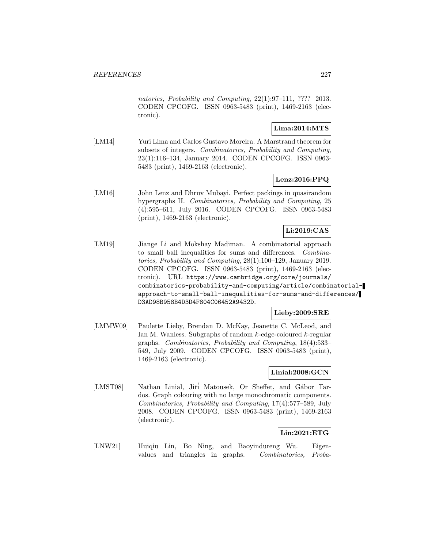natorics, Probability and Computing, 22(1):97–111, ???? 2013. CODEN CPCOFG. ISSN 0963-5483 (print), 1469-2163 (electronic).

## **Lima:2014:MTS**

[LM14] Yuri Lima and Carlos Gustavo Moreira. A Marstrand theorem for subsets of integers. Combinatorics, Probability and Computing, 23(1):116–134, January 2014. CODEN CPCOFG. ISSN 0963- 5483 (print), 1469-2163 (electronic).

## **Lenz:2016:PPQ**

[LM16] John Lenz and Dhruv Mubayi. Perfect packings in quasirandom hypergraphs II. Combinatorics, Probability and Computing, 25 (4):595–611, July 2016. CODEN CPCOFG. ISSN 0963-5483 (print), 1469-2163 (electronic).

# **Li:2019:CAS**

[LM19] Jiange Li and Mokshay Madiman. A combinatorial approach to small ball inequalities for sums and differences. Combinatorics, Probability and Computing, 28(1):100–129, January 2019. CODEN CPCOFG. ISSN 0963-5483 (print), 1469-2163 (electronic). URL https://www.cambridge.org/core/journals/ combinatorics-probability-and-computing/article/combinatorialapproach-to-small-ball-inequalities-for-sums-and-differences/ D3AD98B958B4D3D4F804C06452A9432D.

#### **Lieby:2009:SRE**

[LMMW09] Paulette Lieby, Brendan D. McKay, Jeanette C. McLeod, and Ian M. Wanless. Subgraphs of random k-edge-coloured k-regular graphs. Combinatorics, Probability and Computing, 18(4):533– 549, July 2009. CODEN CPCOFG. ISSN 0963-5483 (print), 1469-2163 (electronic).

#### **Linial:2008:GCN**

[LMST08] Nathan Linial, Jiři Matousek, Or Sheffet, and Gábor Tardos. Graph colouring with no large monochromatic components. Combinatorics, Probability and Computing, 17(4):577–589, July 2008. CODEN CPCOFG. ISSN 0963-5483 (print), 1469-2163 (electronic).

## **Lin:2021:ETG**

[LNW21] Huiqiu Lin, Bo Ning, and Baoyindureng Wu. Eigenvalues and triangles in graphs. Combinatorics, Proba-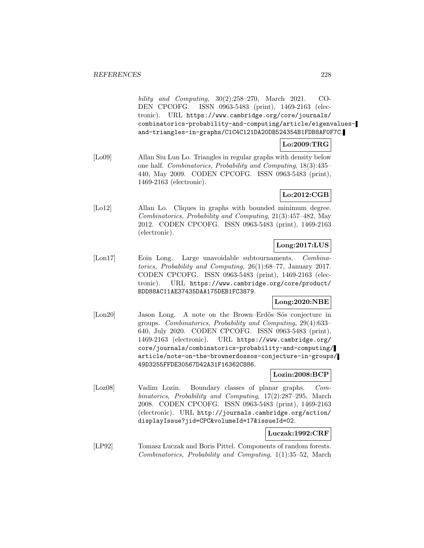bility and Computing, 30(2):258–270, March 2021. CO-DEN CPCOFG. ISSN 0963-5483 (print), 1469-2163 (electronic). URL https://www.cambridge.org/core/journals/ combinatorics-probability-and-computing/article/eigenvaluesand-triangles-in-graphs/C1C4C121DA20DB524354B1FDB8AF0F7C.

#### **Lo:2009:TRG**

[Lo09] Allan Siu Lun Lo. Triangles in regular graphs with density below one half. Combinatorics, Probability and Computing, 18(3):435– 440, May 2009. CODEN CPCOFG. ISSN 0963-5483 (print), 1469-2163 (electronic).

#### **Lo:2012:CGB**

[Lo12] Allan Lo. Cliques in graphs with bounded minimum degree. Combinatorics, Probability and Computing, 21(3):457–482, May 2012. CODEN CPCOFG. ISSN 0963-5483 (print), 1469-2163 (electronic).

## **Long:2017:LUS**

[Lon17] Eoin Long. Large unavoidable subtournaments. Combinatorics, Probability and Computing, 26(1):68–77, January 2017. CODEN CPCOFG. ISSN 0963-5483 (print), 1469-2163 (electronic). URL https://www.cambridge.org/core/product/ BDD88AC11AE37435DAA175DEB1FC3879.

#### **Long:2020:NBE**

[Lon20] Jason Long. A note on the Brown–Erdős–Sós conjecture in groups. Combinatorics, Probability and Computing, 29(4):633– 640, July 2020. CODEN CPCOFG. ISSN 0963-5483 (print), 1469-2163 (electronic). URL https://www.cambridge.org/ core/journals/combinatorics-probability-and-computing/ article/note-on-the-brownerdossos-conjecture-in-groups/ 49D3255FFDE30567D42A31F16362C886.

#### **Lozin:2008:BCP**

[Loz08] Vadim Lozin. Boundary classes of planar graphs. Combinatorics, Probability and Computing, 17(2):287–295, March 2008. CODEN CPCOFG. ISSN 0963-5483 (print), 1469-2163 (electronic). URL http://journals.cambridge.org/action/ displayIssue?jid=CPC&volumeId=17&issueId=02.

#### **Luczak:1992:CRF**

[ LP92] Tomasz Luczak and Boris Pittel. Components of random forests. Combinatorics, Probability and Computing, 1(1):35–52, March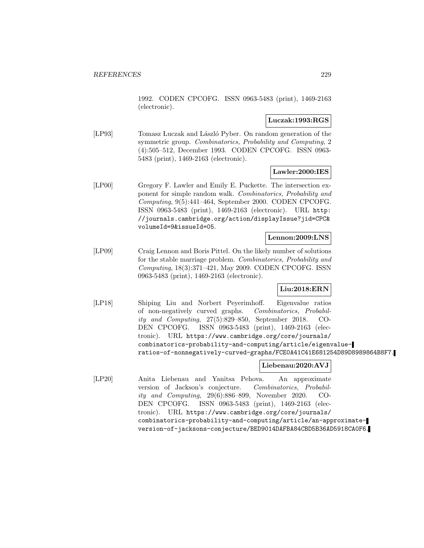1992. CODEN CPCOFG. ISSN 0963-5483 (print), 1469-2163 (electronic).

#### **Luczak:1993:RGS**

[LP93] Tomasz Luczak and László Pyber. On random generation of the symmetric group. Combinatorics, Probability and Computing, 2 (4):505–512, December 1993. CODEN CPCOFG. ISSN 0963- 5483 (print), 1469-2163 (electronic).

## **Lawler:2000:IES**

[LP00] Gregory F. Lawler and Emily E. Puckette. The intersection exponent for simple random walk. Combinatorics, Probability and Computing, 9(5):441–464, September 2000. CODEN CPCOFG. ISSN 0963-5483 (print), 1469-2163 (electronic). URL http: //journals.cambridge.org/action/displayIssue?jid=CPC& volumeId=9&issueId=05.

#### **Lennon:2009:LNS**

[LP09] Craig Lennon and Boris Pittel. On the likely number of solutions for the stable marriage problem. Combinatorics, Probability and Computing, 18(3):371–421, May 2009. CODEN CPCOFG. ISSN 0963-5483 (print), 1469-2163 (electronic).

#### **Liu:2018:ERN**

[LP18] Shiping Liu and Norbert Peyerimhoff. Eigenvalue ratios of non-negatively curved graphs. Combinatorics, Probability and Computing, 27(5):829–850, September 2018. CO-DEN CPCOFG. ISSN 0963-5483 (print), 1469-2163 (electronic). URL https://www.cambridge.org/core/journals/ combinatorics-probability-and-computing/article/eigenvalueratios-of-nonnegatively-curved-graphs/FCE0A41C41E681254D89D8989864B8F7.

# **Liebenau:2020:AVJ**

[LP20] Anita Liebenau and Yanitsa Pehova. An approximate version of Jackson's conjecture. Combinatorics, Probability and Computing, 29(6):886–899, November 2020. CO-DEN CPCOFG. ISSN 0963-5483 (print), 1469-2163 (electronic). URL https://www.cambridge.org/core/journals/ combinatorics-probability-and-computing/article/an-approximateversion-of-jacksons-conjecture/BED9014DAFBA84CBD5B36AD5918CA0F6.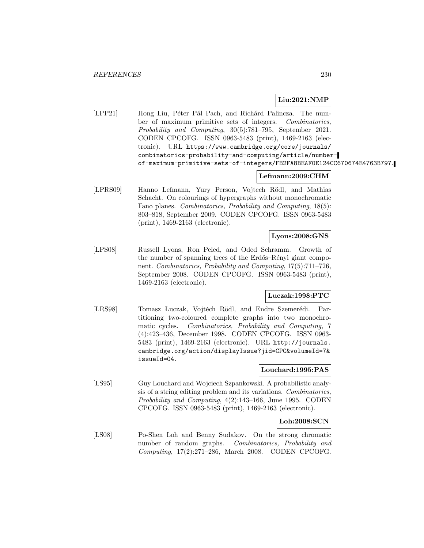## **Liu:2021:NMP**

[LPP21] Hong Liu, Péter Pál Pach, and Richárd Palincza. The number of maximum primitive sets of integers. Combinatorics, Probability and Computing, 30(5):781–795, September 2021. CODEN CPCOFG. ISSN 0963-5483 (print), 1469-2163 (electronic). URL https://www.cambridge.org/core/journals/ combinatorics-probability-and-computing/article/numberof-maximum-primitive-sets-of-integers/FB2FA8BEAF0E124CC670674E4763B797.

#### **Lefmann:2009:CHM**

[LPRS09] Hanno Lefmann, Yury Person, Vojtech Rödl, and Mathias Schacht. On colourings of hypergraphs without monochromatic Fano planes. Combinatorics, Probability and Computing, 18(5): 803–818, September 2009. CODEN CPCOFG. ISSN 0963-5483 (print), 1469-2163 (electronic).

## **Lyons:2008:GNS**

[LPS08] Russell Lyons, Ron Peled, and Oded Schramm. Growth of the number of spanning trees of the Erdős–Rényi giant component. Combinatorics, Probability and Computing, 17(5):711–726, September 2008. CODEN CPCOFG. ISSN 0963-5483 (print), 1469-2163 (electronic).

#### **Luczak:1998:PTC**

[LRS98] Tomasz Luczak, Vojtěch Rödl, and Endre Szemerédi. Partitioning two-coloured complete graphs into two monochromatic cycles. Combinatorics, Probability and Computing, 7 (4):423–436, December 1998. CODEN CPCOFG. ISSN 0963- 5483 (print), 1469-2163 (electronic). URL http://journals. cambridge.org/action/displayIssue?jid=CPC&volumeId=7& issueId=04.

#### **Louchard:1995:PAS**

[LS95] Guy Louchard and Wojciech Szpankowski. A probabilistic analysis of a string editing problem and its variations. Combinatorics, Probability and Computing, 4(2):143–166, June 1995. CODEN CPCOFG. ISSN 0963-5483 (print), 1469-2163 (electronic).

## **Loh:2008:SCN**

[LS08] Po-Shen Loh and Benny Sudakov. On the strong chromatic number of random graphs. Combinatorics, Probability and Computing, 17(2):271–286, March 2008. CODEN CPCOFG.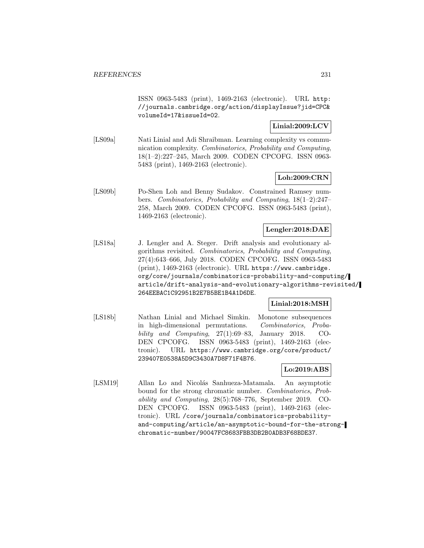ISSN 0963-5483 (print), 1469-2163 (electronic). URL http: //journals.cambridge.org/action/displayIssue?jid=CPC& volumeId=17&issueId=02.

## **Linial:2009:LCV**

[LS09a] Nati Linial and Adi Shraibman. Learning complexity vs communication complexity. Combinatorics, Probability and Computing, 18(1–2):227–245, March 2009. CODEN CPCOFG. ISSN 0963- 5483 (print), 1469-2163 (electronic).

## **Loh:2009:CRN**

[LS09b] Po-Shen Loh and Benny Sudakov. Constrained Ramsey numbers. Combinatorics, Probability and Computing, 18(1–2):247– 258, March 2009. CODEN CPCOFG. ISSN 0963-5483 (print), 1469-2163 (electronic).

## **Lengler:2018:DAE**

[LS18a] J. Lengler and A. Steger. Drift analysis and evolutionary algorithms revisited. Combinatorics, Probability and Computing, 27(4):643–666, July 2018. CODEN CPCOFG. ISSN 0963-5483 (print), 1469-2163 (electronic). URL https://www.cambridge. org/core/journals/combinatorics-probability-and-computing/ article/drift-analysis-and-evolutionary-algorithms-revisited/ 264EEBAC1C92951B2E7B5BE1B4A1D6DE.

#### **Linial:2018:MSH**

[LS18b] Nathan Linial and Michael Simkin. Monotone subsequences in high-dimensional permutations. Combinatorics, Probability and Computing,  $27(1):69-83$ , January 2018. CO-DEN CPCOFG. ISSN 0963-5483 (print), 1469-2163 (electronic). URL https://www.cambridge.org/core/product/ 239407E0538A5D9C3430A7D8F71F4B76.

## **Lo:2019:ABS**

[LSM19] Allan Lo and Nicolás Sanhueza-Matamala. An asymptotic bound for the strong chromatic number. Combinatorics, Probability and Computing, 28(5):768–776, September 2019. CO-DEN CPCOFG. ISSN 0963-5483 (print), 1469-2163 (electronic). URL /core/journals/combinatorics-probabilityand-computing/article/an-asymptotic-bound-for-the-strongchromatic-number/90047FC8683FBB3DB2B0ADB3F68BDE37.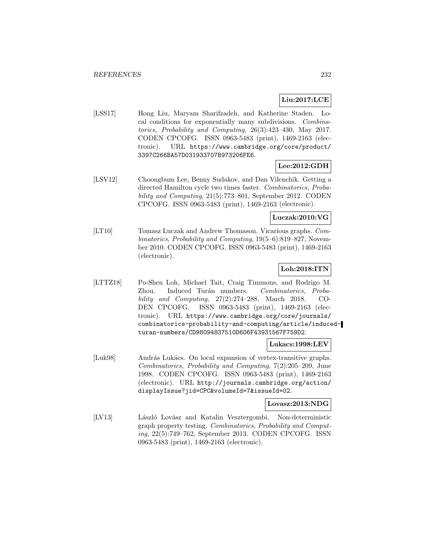# **Liu:2017:LCE**

[LSS17] Hong Liu, Maryam Sharifzadeh, and Katherine Staden. Local conditions for exponentially many subdivisions. Combinatorics, Probability and Computing, 26(3):423–430, May 2017. CODEN CPCOFG. ISSN 0963-5483 (print), 1469-2163 (electronic). URL https://www.cambridge.org/core/product/ 3397C266BA57D031933707B973206FE6.

## **Lee:2012:GDH**

[LSV12] Choongbum Lee, Benny Sudakov, and Dan Vilenchik. Getting a directed Hamilton cycle two times faster. Combinatorics, Probability and Computing, 21(5):773–801, September 2012. CODEN CPCOFG. ISSN 0963-5483 (print), 1469-2163 (electronic).

## **Luczak:2010:VG**

[LT10] Tomasz Luczak and Andrew Thomason. Vicarious graphs. Combinatorics, Probability and Computing, 19(5–6):819–827, November 2010. CODEN CPCOFG. ISSN 0963-5483 (print), 1469-2163 (electronic).

## **Loh:2018:ITN**

[LTTZ18] Po-Shen Loh, Michael Tait, Craig Timmons, and Rodrigo M. Zhou. Induced Turán numbers. Combinatorics, Probability and Computing, 27(2):274–288, March 2018. CO-DEN CPCOFG. ISSN 0963-5483 (print), 1469-2163 (electronic). URL https://www.cambridge.org/core/journals/ combinatorics-probability-and-computing/article/inducedturan-numbers/CD98094837510D606F43931567F759D2.

#### **Lukacs:1998:LEV**

[Luk98] András Lukács. On local expansion of vertex-transitive graphs. Combinatorics, Probability and Computing, 7(2):205–209, June 1998. CODEN CPCOFG. ISSN 0963-5483 (print), 1469-2163 (electronic). URL http://journals.cambridge.org/action/ displayIssue?jid=CPC&volumeId=7&issueId=02.

#### **Lovasz:2013:NDG**

[LV13] László Lovász and Katalin Vesztergombi. Non-deterministic graph property testing. Combinatorics, Probability and Computing, 22(5):749–762, September 2013. CODEN CPCOFG. ISSN 0963-5483 (print), 1469-2163 (electronic).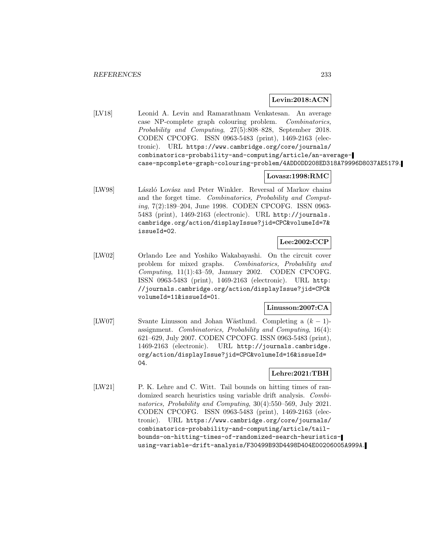#### **Levin:2018:ACN**

[LV18] Leonid A. Levin and Ramarathnam Venkatesan. An average case NP-complete graph colouring problem. Combinatorics, Probability and Computing, 27(5):808–828, September 2018. CODEN CPCOFG. ISSN 0963-5483 (print), 1469-2163 (electronic). URL https://www.cambridge.org/core/journals/ combinatorics-probability-and-computing/article/an-averagecase-npcomplete-graph-colouring-problem/4ADD0DD208ED318A79996D8037AE5179.

#### **Lovasz:1998:RMC**

[LW98] László Lovász and Peter Winkler. Reversal of Markov chains and the forget time. Combinatorics, Probability and Computing, 7(2):189–204, June 1998. CODEN CPCOFG. ISSN 0963- 5483 (print), 1469-2163 (electronic). URL http://journals. cambridge.org/action/displayIssue?jid=CPC&volumeId=7& issueId=02.

## **Lee:2002:CCP**

[LW02] Orlando Lee and Yoshiko Wakabayashi. On the circuit cover problem for mixed graphs. Combinatorics, Probability and Computing, 11(1):43–59, January 2002. CODEN CPCOFG. ISSN 0963-5483 (print), 1469-2163 (electronic). URL http: //journals.cambridge.org/action/displayIssue?jid=CPC& volumeId=11&issueId=01.

#### **Linusson:2007:CA**

[LW07] Svante Linusson and Johan Wästlund. Completing a  $(k-1)$ assignment. Combinatorics, Probability and Computing, 16(4): 621–629, July 2007. CODEN CPCOFG. ISSN 0963-5483 (print), 1469-2163 (electronic). URL http://journals.cambridge. org/action/displayIssue?jid=CPC&volumeId=16&issueId= 04.

## **Lehre:2021:TBH**

[LW21] P. K. Lehre and C. Witt. Tail bounds on hitting times of randomized search heuristics using variable drift analysis. Combinatorics, Probability and Computing, 30(4):550–569, July 2021. CODEN CPCOFG. ISSN 0963-5483 (print), 1469-2163 (electronic). URL https://www.cambridge.org/core/journals/ combinatorics-probability-and-computing/article/tailbounds-on-hitting-times-of-randomized-search-heuristicsusing-variable-drift-analysis/F30499B93D4498D404E00206005A999A.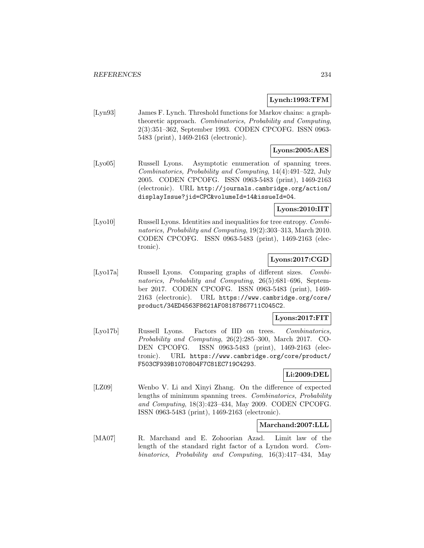## **Lynch:1993:TFM**

[Lyn93] James F. Lynch. Threshold functions for Markov chains: a graphtheoretic approach. Combinatorics, Probability and Computing, 2(3):351–362, September 1993. CODEN CPCOFG. ISSN 0963- 5483 (print), 1469-2163 (electronic).

## **Lyons:2005:AES**

[Lyo05] Russell Lyons. Asymptotic enumeration of spanning trees. Combinatorics, Probability and Computing, 14(4):491–522, July 2005. CODEN CPCOFG. ISSN 0963-5483 (print), 1469-2163 (electronic). URL http://journals.cambridge.org/action/ displayIssue?jid=CPC&volumeId=14&issueId=04.

# **Lyons:2010:IIT**

[Lyo10] Russell Lyons. Identities and inequalities for tree entropy. *Combi*natorics, Probability and Computing, 19(2):303–313, March 2010. CODEN CPCOFG. ISSN 0963-5483 (print), 1469-2163 (electronic).

## **Lyons:2017:CGD**

[Lyo17a] Russell Lyons. Comparing graphs of different sizes. Combinatorics, Probability and Computing, 26(5):681–696, September 2017. CODEN CPCOFG. ISSN 0963-5483 (print), 1469- 2163 (electronic). URL https://www.cambridge.org/core/ product/34ED4563F8621AF08187867711C045C2.

## **Lyons:2017:FIT**

[Lyo17b] Russell Lyons. Factors of IID on trees. Combinatorics, Probability and Computing, 26(2):285–300, March 2017. CO-DEN CPCOFG. ISSN 0963-5483 (print), 1469-2163 (electronic). URL https://www.cambridge.org/core/product/ F503CF939B1070804F7C81EC719C4293.

#### **Li:2009:DEL**

[LZ09] Wenbo V. Li and Xinyi Zhang. On the difference of expected lengths of minimum spanning trees. Combinatorics, Probability and Computing, 18(3):423–434, May 2009. CODEN CPCOFG. ISSN 0963-5483 (print), 1469-2163 (electronic).

#### **Marchand:2007:LLL**

[MA07] R. Marchand and E. Zohoorian Azad. Limit law of the length of the standard right factor of a Lyndon word. Combinatorics, Probability and Computing, 16(3):417–434, May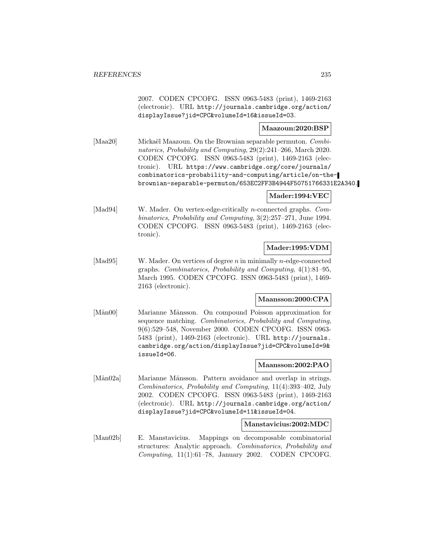2007. CODEN CPCOFG. ISSN 0963-5483 (print), 1469-2163 (electronic). URL http://journals.cambridge.org/action/ displayIssue?jid=CPC&volumeId=16&issueId=03.

#### **Maazoun:2020:BSP**

[Maa20] Mickaël Maazoun. On the Brownian separable permuton. Combinatorics, Probability and Computing, 29(2):241–266, March 2020. CODEN CPCOFG. ISSN 0963-5483 (print), 1469-2163 (electronic). URL https://www.cambridge.org/core/journals/ combinatorics-probability-and-computing/article/on-thebrownian-separable-permuton/653EC2FF3B4944F50751766331E2A340.

## **Mader:1994:VEC**

[Mad94] W. Mader. On vertex-edge-critically n-connected graphs. Combinatorics, Probability and Computing, 3(2):257–271, June 1994. CODEN CPCOFG. ISSN 0963-5483 (print), 1469-2163 (electronic).

#### **Mader:1995:VDM**

[Mad95] W. Mader. On vertices of degree *n* in minimally *n*-edge-connected graphs. Combinatorics, Probability and Computing, 4(1):81–95, March 1995. CODEN CPCOFG. ISSN 0963-5483 (print), 1469- 2163 (electronic).

## **Maansson:2000:CPA**

[Mån00] Marianne Månsson. On compound Poisson approximation for sequence matching. Combinatorics, Probability and Computing, 9(6):529–548, November 2000. CODEN CPCOFG. ISSN 0963- 5483 (print), 1469-2163 (electronic). URL http://journals. cambridge.org/action/displayIssue?jid=CPC&volumeId=9& issueId=06.

#### **Maansson:2002:PAO**

[Mån02a] Marianne Månsson. Pattern avoidance and overlap in strings. Combinatorics, Probability and Computing, 11(4):393–402, July 2002. CODEN CPCOFG. ISSN 0963-5483 (print), 1469-2163 (electronic). URL http://journals.cambridge.org/action/ displayIssue?jid=CPC&volumeId=11&issueId=04.

#### **Manstavicius:2002:MDC**

[Man02b] E. Manstavicius. Mappings on decomposable combinatorial structures: Analytic approach. Combinatorics, Probability and  $Computing, 11(1):61–78, January 2002. CODEN CPCOFG.$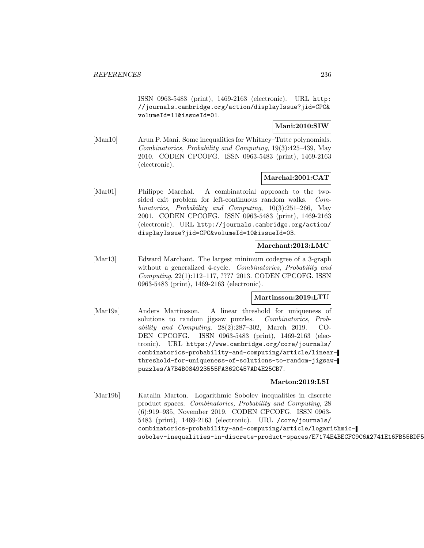ISSN 0963-5483 (print), 1469-2163 (electronic). URL http: //journals.cambridge.org/action/displayIssue?jid=CPC& volumeId=11&issueId=01.

## **Mani:2010:SIW**

[Man10] Arun P. Mani. Some inequalities for Whitney–Tutte polynomials. Combinatorics, Probability and Computing, 19(3):425–439, May 2010. CODEN CPCOFG. ISSN 0963-5483 (print), 1469-2163 (electronic).

## **Marchal:2001:CAT**

[Mar01] Philippe Marchal. A combinatorial approach to the twosided exit problem for left-continuous random walks. Combinatorics, Probability and Computing, 10(3):251–266, May 2001. CODEN CPCOFG. ISSN 0963-5483 (print), 1469-2163 (electronic). URL http://journals.cambridge.org/action/ displayIssue?jid=CPC&volumeId=10&issueId=03.

#### **Marchant:2013:LMC**

[Mar13] Edward Marchant. The largest minimum codegree of a 3-graph without a generalized 4-cycle. Combinatorics, Probability and Computing, 22(1):112–117, ???? 2013. CODEN CPCOFG. ISSN 0963-5483 (print), 1469-2163 (electronic).

#### **Martinsson:2019:LTU**

[Mar19a] Anders Martinsson. A linear threshold for uniqueness of solutions to random jigsaw puzzles. Combinatorics, Probability and Computing, 28(2):287–302, March 2019. CO-DEN CPCOFG. ISSN 0963-5483 (print), 1469-2163 (electronic). URL https://www.cambridge.org/core/journals/ combinatorics-probability-and-computing/article/linearthreshold-for-uniqueness-of-solutions-to-random-jigsawpuzzles/A7B4B084923555FA362C457AD4E25CB7.

#### **Marton:2019:LSI**

[Mar19b] Katalin Marton. Logarithmic Sobolev inequalities in discrete product spaces. Combinatorics, Probability and Computing, 28 (6):919–935, November 2019. CODEN CPCOFG. ISSN 0963- 5483 (print), 1469-2163 (electronic). URL /core/journals/ combinatorics-probability-and-computing/article/logarithmicsobolev-inequalities-in-discrete-product-spaces/E7174E4BECFC9C6A2741E16FB55BDF5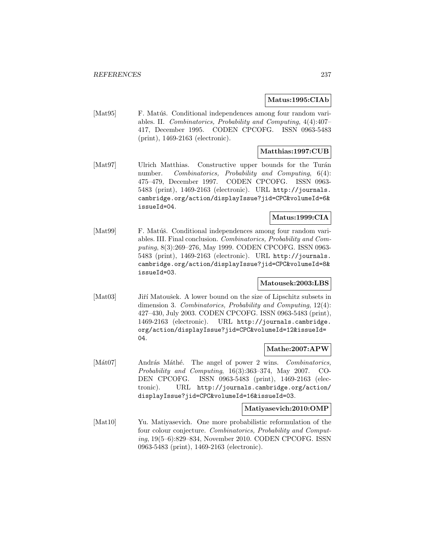#### **Matus:1995:CIAb**

[Mat95] F. Matúš. Conditional independences among four random variables. II. Combinatorics, Probability and Computing, 4(4):407– 417, December 1995. CODEN CPCOFG. ISSN 0963-5483 (print), 1469-2163 (electronic).

## **Matthias:1997:CUB**

[Mat97] Ulrich Matthias. Constructive upper bounds for the Turán number. Combinatorics, Probability and Computing, 6(4): 475–479, December 1997. CODEN CPCOFG. ISSN 0963- 5483 (print), 1469-2163 (electronic). URL http://journals. cambridge.org/action/displayIssue?jid=CPC&volumeId=6& issueId=04.

## **Matus:1999:CIA**

[Mat99] F. Matúš. Conditional independences among four random variables. III. Final conclusion. Combinatorics, Probability and Computing, 8(3):269–276, May 1999. CODEN CPCOFG. ISSN 0963- 5483 (print), 1469-2163 (electronic). URL http://journals. cambridge.org/action/displayIssue?jid=CPC&volumeId=8& issueId=03.

#### **Matousek:2003:LBS**

[Mat03] Jiří Matoušek. A lower bound on the size of Lipschitz subsets in dimension 3. Combinatorics, Probability and Computing, 12(4): 427–430, July 2003. CODEN CPCOFG. ISSN 0963-5483 (print), 1469-2163 (electronic). URL http://journals.cambridge. org/action/displayIssue?jid=CPC&volumeId=12&issueId= 04.

#### **Mathe:2007:APW**

 $[MAt07]$  András Máthé. The angel of power 2 wins. Combinatorics, Probability and Computing, 16(3):363–374, May 2007. CO-DEN CPCOFG. ISSN 0963-5483 (print), 1469-2163 (electronic). URL http://journals.cambridge.org/action/ displayIssue?jid=CPC&volumeId=16&issueId=03.

#### **Matiyasevich:2010:OMP**

[Mat10] Yu. Matiyasevich. One more probabilistic reformulation of the four colour conjecture. Combinatorics, Probability and Computing, 19(5–6):829–834, November 2010. CODEN CPCOFG. ISSN 0963-5483 (print), 1469-2163 (electronic).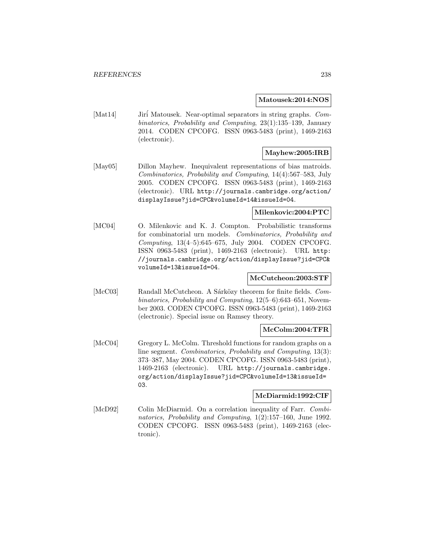#### **Matousek:2014:NOS**

[Mat14] Jiri Matousek. Near-optimal separators in string graphs. Combinatorics, Probability and Computing, 23(1):135–139, January 2014. CODEN CPCOFG. ISSN 0963-5483 (print), 1469-2163 (electronic).

## **Mayhew:2005:IRB**

[May05] Dillon Mayhew. Inequivalent representations of bias matroids. Combinatorics, Probability and Computing, 14(4):567–583, July 2005. CODEN CPCOFG. ISSN 0963-5483 (print), 1469-2163 (electronic). URL http://journals.cambridge.org/action/ displayIssue?jid=CPC&volumeId=14&issueId=04.

## **Milenkovic:2004:PTC**

[MC04] O. Milenkovic and K. J. Compton. Probabilistic transforms for combinatorial urn models. Combinatorics, Probability and Computing, 13(4–5):645–675, July 2004. CODEN CPCOFG. ISSN 0963-5483 (print), 1469-2163 (electronic). URL http: //journals.cambridge.org/action/displayIssue?jid=CPC& volumeId=13&issueId=04.

#### **McCutcheon:2003:STF**

[McC03] Randall McCutcheon. A Sárközy theorem for finite fields. Combinatorics, Probability and Computing, 12(5–6):643–651, November 2003. CODEN CPCOFG. ISSN 0963-5483 (print), 1469-2163 (electronic). Special issue on Ramsey theory.

#### **McColm:2004:TFR**

[McC04] Gregory L. McColm. Threshold functions for random graphs on a line segment. Combinatorics, Probability and Computing, 13(3): 373–387, May 2004. CODEN CPCOFG. ISSN 0963-5483 (print), 1469-2163 (electronic). URL http://journals.cambridge. org/action/displayIssue?jid=CPC&volumeId=13&issueId= 03.

#### **McDiarmid:1992:CIF**

[McD92] Colin McDiarmid. On a correlation inequality of Farr. Combinatorics, Probability and Computing, 1(2):157–160, June 1992. CODEN CPCOFG. ISSN 0963-5483 (print), 1469-2163 (electronic).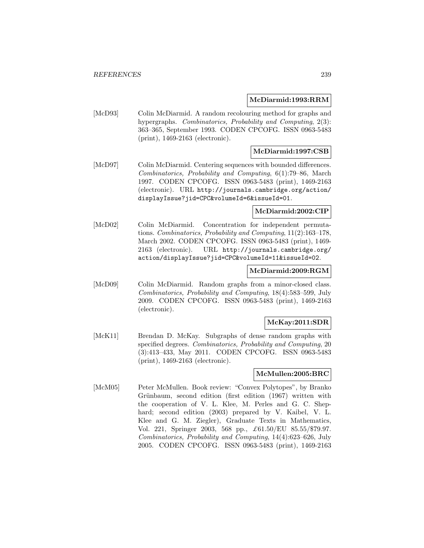#### **McDiarmid:1993:RRM**

[McD93] Colin McDiarmid. A random recolouring method for graphs and hypergraphs. Combinatorics, Probability and Computing, 2(3): 363–365, September 1993. CODEN CPCOFG. ISSN 0963-5483 (print), 1469-2163 (electronic).

## **McDiarmid:1997:CSB**

[McD97] Colin McDiarmid. Centering sequences with bounded differences. Combinatorics, Probability and Computing, 6(1):79–86, March 1997. CODEN CPCOFG. ISSN 0963-5483 (print), 1469-2163 (electronic). URL http://journals.cambridge.org/action/ displayIssue?jid=CPC&volumeId=6&issueId=01.

## **McDiarmid:2002:CIP**

[McD02] Colin McDiarmid. Concentration for independent permutations. Combinatorics, Probability and Computing, 11(2):163–178, March 2002. CODEN CPCOFG. ISSN 0963-5483 (print), 1469- 2163 (electronic). URL http://journals.cambridge.org/ action/displayIssue?jid=CPC&volumeId=11&issueId=02.

## **McDiarmid:2009:RGM**

[McD09] Colin McDiarmid. Random graphs from a minor-closed class. Combinatorics, Probability and Computing, 18(4):583–599, July 2009. CODEN CPCOFG. ISSN 0963-5483 (print), 1469-2163 (electronic).

#### **McKay:2011:SDR**

[McK11] Brendan D. McKay. Subgraphs of dense random graphs with specified degrees. Combinatorics, Probability and Computing, 20 (3):413–433, May 2011. CODEN CPCOFG. ISSN 0963-5483 (print), 1469-2163 (electronic).

#### **McMullen:2005:BRC**

[McM05] Peter McMullen. Book review: "Convex Polytopes", by Branko Grünbaum, second edition (first edition (1967) written with the cooperation of V. L. Klee, M. Perles and G. C. Shephard; second edition (2003) prepared by V. Kaibel, V. L. Klee and G. M. Ziegler), Graduate Texts in Mathematics, Vol. 221, Springer 2003, 568 pp., £61.50/EU 85.55/\$79.97. Combinatorics, Probability and Computing, 14(4):623–626, July 2005. CODEN CPCOFG. ISSN 0963-5483 (print), 1469-2163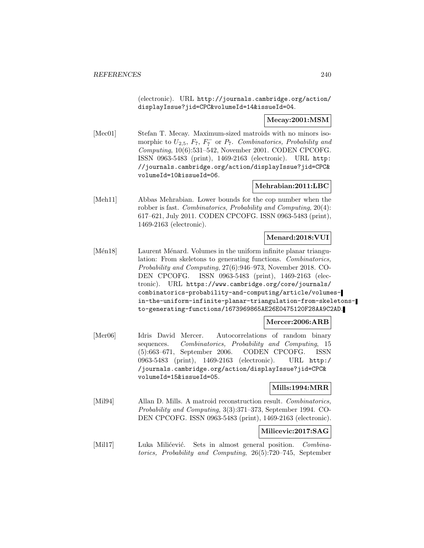(electronic). URL http://journals.cambridge.org/action/ displayIssue?jid=CPC&volumeId=14&issueId=04.

#### **Mecay:2001:MSM**

[Mec01] Stefan T. Mecay. Maximum-sized matroids with no minors isomorphic to  $U_{2,5}$ ,  $F_7$ ,  $F_7^-$  or  $P_7$ . Combinatorics, Probability and Computing, 10(6):531–542, November 2001. CODEN CPCOFG. ISSN 0963-5483 (print), 1469-2163 (electronic). URL http: //journals.cambridge.org/action/displayIssue?jid=CPC& volumeId=10&issueId=06.

## **Mehrabian:2011:LBC**

[Meh11] Abbas Mehrabian. Lower bounds for the cop number when the robber is fast. Combinatorics, Probability and Computing, 20(4): 617–621, July 2011. CODEN CPCOFG. ISSN 0963-5483 (print), 1469-2163 (electronic).

#### **Menard:2018:VUI**

[Mén18] Laurent Ménard. Volumes in the uniform infinite planar triangulation: From skeletons to generating functions. Combinatorics, Probability and Computing, 27(6):946–973, November 2018. CO-DEN CPCOFG. ISSN 0963-5483 (print), 1469-2163 (electronic). URL https://www.cambridge.org/core/journals/ combinatorics-probability-and-computing/article/volumesin-the-uniform-infinite-planar-triangulation-from-skeletonsto-generating-functions/1673969865AE26E0475120F28AA9C2AD.

#### **Mercer:2006:ARB**

[Mer06] Idris David Mercer. Autocorrelations of random binary sequences. Combinatorics, Probability and Computing, 15 (5):663–671, September 2006. CODEN CPCOFG. ISSN 0963-5483 (print), 1469-2163 (electronic). URL http:/ /journals.cambridge.org/action/displayIssue?jid=CPC& volumeId=15&issueId=05.

**Mills:1994:MRR**

[Mil94] Allan D. Mills. A matroid reconstruction result. Combinatorics, Probability and Computing, 3(3):371–373, September 1994. CO-DEN CPCOFG. ISSN 0963-5483 (print), 1469-2163 (electronic).

## **Milicevic:2017:SAG**

[Mil17] Luka Milićević. Sets in almost general position. Combinatorics, Probability and Computing, 26(5):720–745, September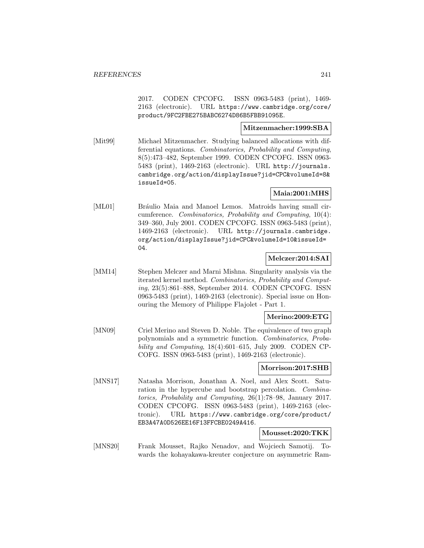2017. CODEN CPCOFG. ISSN 0963-5483 (print), 1469- 2163 (electronic). URL https://www.cambridge.org/core/ product/9FC2FBE275BABC6274D86B5FBB91095E.

## **Mitzenmacher:1999:SBA**

[Mit99] Michael Mitzenmacher. Studying balanced allocations with differential equations. Combinatorics, Probability and Computing, 8(5):473–482, September 1999. CODEN CPCOFG. ISSN 0963- 5483 (print), 1469-2163 (electronic). URL http://journals. cambridge.org/action/displayIssue?jid=CPC&volumeId=8& issueId=05.

## **Maia:2001:MHS**

[ML01] Bráulio Maia and Manoel Lemos. Matroids having small circumference. Combinatorics, Probability and Computing, 10(4): 349–360, July 2001. CODEN CPCOFG. ISSN 0963-5483 (print), 1469-2163 (electronic). URL http://journals.cambridge. org/action/displayIssue?jid=CPC&volumeId=10&issueId= 04.

## **Melczer:2014:SAI**

[MM14] Stephen Melczer and Marni Mishna. Singularity analysis via the iterated kernel method. Combinatorics, Probability and Computing, 23(5):861–888, September 2014. CODEN CPCOFG. ISSN 0963-5483 (print), 1469-2163 (electronic). Special issue on Honouring the Memory of Philippe Flajolet - Part 1.

#### **Merino:2009:ETG**

[MN09] Criel Merino and Steven D. Noble. The equivalence of two graph polynomials and a symmetric function. Combinatorics, Probability and Computing, 18(4):601–615, July 2009. CODEN CP-COFG. ISSN 0963-5483 (print), 1469-2163 (electronic).

## **Morrison:2017:SHB**

[MNS17] Natasha Morrison, Jonathan A. Noel, and Alex Scott. Saturation in the hypercube and bootstrap percolation. Combinatorics, Probability and Computing, 26(1):78–98, January 2017. CODEN CPCOFG. ISSN 0963-5483 (print), 1469-2163 (electronic). URL https://www.cambridge.org/core/product/ EB3A47A0D526EE16F13FFCBE0249A416.

## **Mousset:2020:TKK**

[MNS20] Frank Mousset, Rajko Nenadov, and Wojciech Samotij. Towards the kohayakawa-kreuter conjecture on asymmetric Ram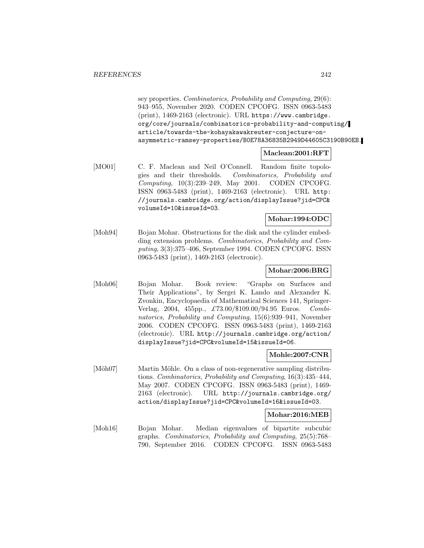sey properties. Combinatorics, Probability and Computing, 29(6): 943–955, November 2020. CODEN CPCOFG. ISSN 0963-5483 (print), 1469-2163 (electronic). URL https://www.cambridge. org/core/journals/combinatorics-probability-and-computing/ article/towards-the-kohayakawakreuter-conjecture-onasymmetric-ramsey-properties/B0E78A36835B2949D44605C3190B90EB.

#### **Maclean:2001:RFT**

[MO01] C. F. Maclean and Neil O'Connell. Random finite topologies and their thresholds. Combinatorics, Probability and Computing, 10(3):239–249, May 2001. CODEN CPCOFG. ISSN 0963-5483 (print), 1469-2163 (electronic). URL http: //journals.cambridge.org/action/displayIssue?jid=CPC& volumeId=10&issueId=03.

#### **Mohar:1994:ODC**

[Moh94] Bojan Mohar. Obstructions for the disk and the cylinder embedding extension problems. Combinatorics, Probability and Computing, 3(3):375–406, September 1994. CODEN CPCOFG. ISSN 0963-5483 (print), 1469-2163 (electronic).

#### **Mohar:2006:BRG**

[Moh06] Bojan Mohar. Book review: "Graphs on Surfaces and Their Applications", by Sergei K. Lando and Alexander K. Zvonkin, Encyclopaedia of Mathematical Sciences 141, Springer-Verlag, 2004, 455pp., £73.00/\$109.00/94.95 Euros. Combinatorics, Probability and Computing, 15(6):939–941, November 2006. CODEN CPCOFG. ISSN 0963-5483 (print), 1469-2163 (electronic). URL http://journals.cambridge.org/action/ displayIssue?jid=CPC&volumeId=15&issueId=06.

#### **Mohle:2007:CNR**

[Möh07] Martin Möhle. On a class of non-regenerative sampling distributions. Combinatorics, Probability and Computing, 16(3):435–444, May 2007. CODEN CPCOFG. ISSN 0963-5483 (print), 1469- 2163 (electronic). URL http://journals.cambridge.org/ action/displayIssue?jid=CPC&volumeId=16&issueId=03.

#### **Mohar:2016:MEB**

[Moh16] Bojan Mohar. Median eigenvalues of bipartite subcubic graphs. Combinatorics, Probability and Computing, 25(5):768– 790, September 2016. CODEN CPCOFG. ISSN 0963-5483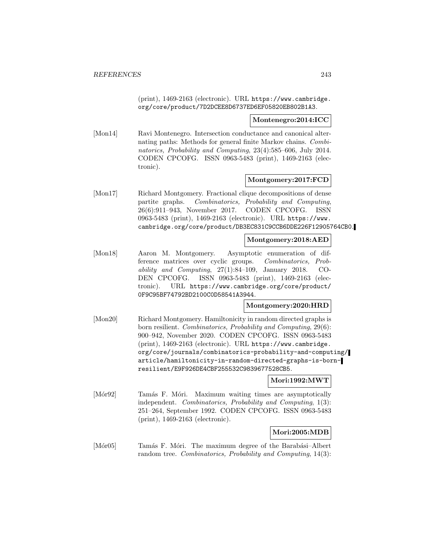(print), 1469-2163 (electronic). URL https://www.cambridge. org/core/product/7D2DCEE8D6737ED6EF05820EB802B1A3.

#### **Montenegro:2014:ICC**

[Mon14] Ravi Montenegro. Intersection conductance and canonical alternating paths: Methods for general finite Markov chains. Combinatorics, Probability and Computing, 23(4):585–606, July 2014. CODEN CPCOFG. ISSN 0963-5483 (print), 1469-2163 (electronic).

## **Montgomery:2017:FCD**

[Mon17] Richard Montgomery. Fractional clique decompositions of dense partite graphs. Combinatorics, Probability and Computing, 26(6):911–943, November 2017. CODEN CPCOFG. ISSN 0963-5483 (print), 1469-2163 (electronic). URL https://www. cambridge.org/core/product/DB3EC831C9CCB6DDE226F12905764CB0.

## **Montgomery:2018:AED**

[Mon18] Aaron M. Montgomery. Asymptotic enumeration of difference matrices over cyclic groups. Combinatorics, Probability and Computing, 27(1):84–109, January 2018. CO-DEN CPCOFG. ISSN 0963-5483 (print), 1469-2163 (electronic). URL https://www.cambridge.org/core/product/ 0F9C95BF74792BD2100C0D58541A3944.

#### **Montgomery:2020:HRD**

[Mon20] Richard Montgomery. Hamiltonicity in random directed graphs is born resilient. Combinatorics, Probability and Computing, 29(6): 900–942, November 2020. CODEN CPCOFG. ISSN 0963-5483 (print), 1469-2163 (electronic). URL https://www.cambridge. org/core/journals/combinatorics-probability-and-computing/ article/hamiltonicity-in-random-directed-graphs-is-bornresilient/E9F926DE4CBF255532C9839677528CB5.

#### **Mori:1992:MWT**

[Mor92] Tamás F. Móri. Maximum waiting times are asymptotically independent. Combinatorics, Probability and Computing, 1(3): 251–264, September 1992. CODEN CPCOFG. ISSN 0963-5483 (print), 1469-2163 (electronic).

#### **Mori:2005:MDB**

[Mór05] Tamás F. Móri. The maximum degree of the Barabási–Albert random tree. Combinatorics, Probability and Computing, 14(3):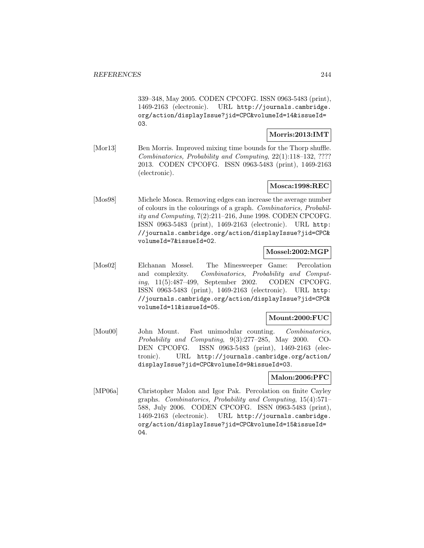339–348, May 2005. CODEN CPCOFG. ISSN 0963-5483 (print), 1469-2163 (electronic). URL http://journals.cambridge. org/action/displayIssue?jid=CPC&volumeId=14&issueId= 03.

#### **Morris:2013:IMT**

[Mor13] Ben Morris. Improved mixing time bounds for the Thorp shuffle. Combinatorics, Probability and Computing, 22(1):118–132, ???? 2013. CODEN CPCOFG. ISSN 0963-5483 (print), 1469-2163 (electronic).

## **Mosca:1998:REC**

[Mos98] Michele Mosca. Removing edges can increase the average number of colours in the colourings of a graph. Combinatorics, Probability and Computing, 7(2):211–216, June 1998. CODEN CPCOFG. ISSN 0963-5483 (print), 1469-2163 (electronic). URL http: //journals.cambridge.org/action/displayIssue?jid=CPC& volumeId=7&issueId=02.

## **Mossel:2002:MGP**

[Mos02] Elchanan Mossel. The Minesweeper Game: Percolation and complexity. Combinatorics, Probability and Computing, 11(5):487–499, September 2002. CODEN CPCOFG. ISSN 0963-5483 (print), 1469-2163 (electronic). URL http: //journals.cambridge.org/action/displayIssue?jid=CPC& volumeId=11&issueId=05.

#### **Mount:2000:FUC**

[Mou00] John Mount. Fast unimodular counting. Combinatorics, Probability and Computing, 9(3):277–285, May 2000. CO-DEN CPCOFG. ISSN 0963-5483 (print), 1469-2163 (electronic). URL http://journals.cambridge.org/action/ displayIssue?jid=CPC&volumeId=9&issueId=03.

#### **Malon:2006:PFC**

[MP06a] Christopher Malon and Igor Pak. Percolation on finite Cayley graphs. Combinatorics, Probability and Computing, 15(4):571– 588, July 2006. CODEN CPCOFG. ISSN 0963-5483 (print), 1469-2163 (electronic). URL http://journals.cambridge. org/action/displayIssue?jid=CPC&volumeId=15&issueId= 04.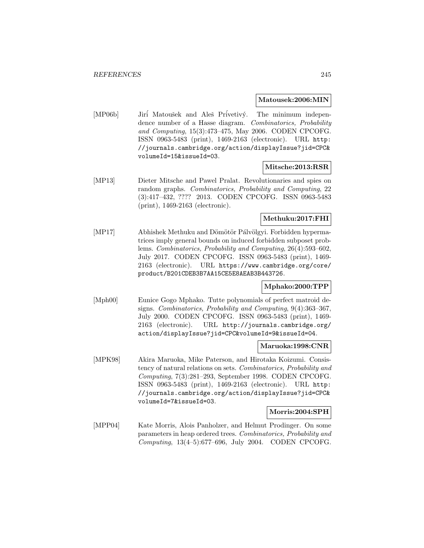#### **Matousek:2006:MIN**

[MP06b] Jirí Matoušek and Aleš Prívetivý. The minimum independence number of a Hasse diagram. Combinatorics, Probability and Computing, 15(3):473–475, May 2006. CODEN CPCOFG. ISSN 0963-5483 (print), 1469-2163 (electronic). URL http: //journals.cambridge.org/action/displayIssue?jid=CPC& volumeId=15&issueId=03.

#### **Mitsche:2013:RSR**

[MP13] Dieter Mitsche and Pawel Pralat. Revolutionaries and spies on random graphs. Combinatorics, Probability and Computing, 22 (3):417–432, ???? 2013. CODEN CPCOFG. ISSN 0963-5483 (print), 1469-2163 (electronic).

## **Methuku:2017:FHI**

[MP17] Abhishek Methuku and Dömötör Pálvölgyi. Forbidden hypermatrices imply general bounds on induced forbidden subposet problems. Combinatorics, Probability and Computing, 26(4):593–602, July 2017. CODEN CPCOFG. ISSN 0963-5483 (print), 1469- 2163 (electronic). URL https://www.cambridge.org/core/ product/B201CDEB3B7AA15CE5E8AEAB3B443726.

## **Mphako:2000:TPP**

[Mph00] Eunice Gogo Mphako. Tutte polynomials of perfect matroid designs. Combinatorics, Probability and Computing, 9(4):363–367, July 2000. CODEN CPCOFG. ISSN 0963-5483 (print), 1469- 2163 (electronic). URL http://journals.cambridge.org/ action/displayIssue?jid=CPC&volumeId=9&issueId=04.

#### **Maruoka:1998:CNR**

[MPK98] Akira Maruoka, Mike Paterson, and Hirotaka Koizumi. Consistency of natural relations on sets. Combinatorics, Probability and Computing, 7(3):281–293, September 1998. CODEN CPCOFG. ISSN 0963-5483 (print), 1469-2163 (electronic). URL http: //journals.cambridge.org/action/displayIssue?jid=CPC& volumeId=7&issueId=03.

#### **Morris:2004:SPH**

[MPP04] Kate Morris, Alois Panholzer, and Helmut Prodinger. On some parameters in heap ordered trees. Combinatorics, Probability and Computing, 13(4–5):677–696, July 2004. CODEN CPCOFG.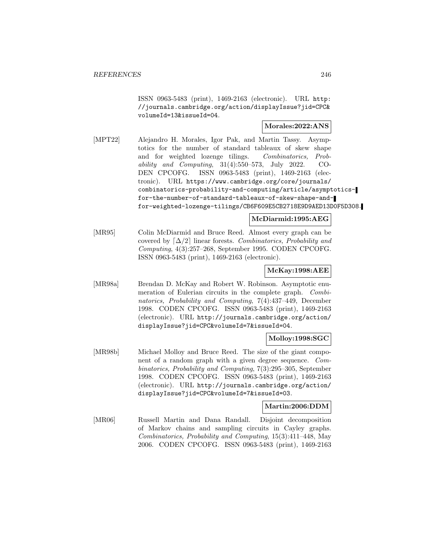ISSN 0963-5483 (print), 1469-2163 (electronic). URL http: //journals.cambridge.org/action/displayIssue?jid=CPC& volumeId=13&issueId=04.

## **Morales:2022:ANS**

[MPT22] Alejandro H. Morales, Igor Pak, and Martin Tassy. Asymptotics for the number of standard tableaux of skew shape and for weighted lozenge tilings. Combinatorics, Probability and Computing, 31(4):550–573, July 2022. CO-DEN CPCOFG. ISSN 0963-5483 (print), 1469-2163 (electronic). URL https://www.cambridge.org/core/journals/ combinatorics-probability-and-computing/article/asymptoticsfor-the-number-of-standard-tableaux-of-skew-shape-andfor-weighted-lozenge-tilings/CB6F609E5CB2718E9D9AED13D0F5D308.

## **McDiarmid:1995:AEG**

[MR95] Colin McDiarmid and Bruce Reed. Almost every graph can be covered by  $\lceil \Delta/2 \rceil$  linear forests. Combinatorics, Probability and Computing, 4(3):257–268, September 1995. CODEN CPCOFG. ISSN 0963-5483 (print), 1469-2163 (electronic).

## **McKay:1998:AEE**

[MR98a] Brendan D. McKay and Robert W. Robinson. Asymptotic enumeration of Eulerian circuits in the complete graph. Combinatorics, Probability and Computing, 7(4):437–449, December 1998. CODEN CPCOFG. ISSN 0963-5483 (print), 1469-2163 (electronic). URL http://journals.cambridge.org/action/ displayIssue?jid=CPC&volumeId=7&issueId=04.

## **Molloy:1998:SGC**

[MR98b] Michael Molloy and Bruce Reed. The size of the giant component of a random graph with a given degree sequence. Combinatorics, Probability and Computing, 7(3):295–305, September 1998. CODEN CPCOFG. ISSN 0963-5483 (print), 1469-2163 (electronic). URL http://journals.cambridge.org/action/ displayIssue?jid=CPC&volumeId=7&issueId=03.

#### **Martin:2006:DDM**

[MR06] Russell Martin and Dana Randall. Disjoint decomposition of Markov chains and sampling circuits in Cayley graphs. Combinatorics, Probability and Computing, 15(3):411–448, May 2006. CODEN CPCOFG. ISSN 0963-5483 (print), 1469-2163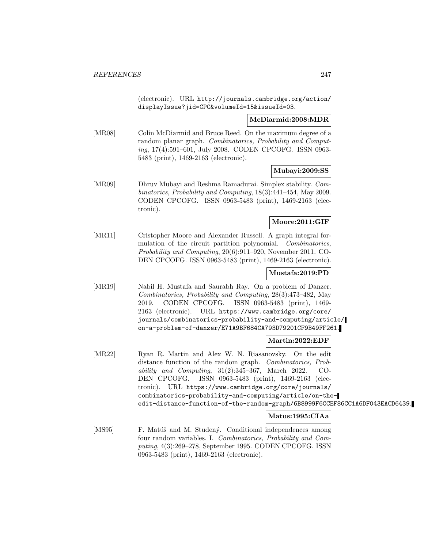(electronic). URL http://journals.cambridge.org/action/ displayIssue?jid=CPC&volumeId=15&issueId=03.

#### **McDiarmid:2008:MDR**

[MR08] Colin McDiarmid and Bruce Reed. On the maximum degree of a random planar graph. Combinatorics, Probability and Computing, 17(4):591–601, July 2008. CODEN CPCOFG. ISSN 0963- 5483 (print), 1469-2163 (electronic).

## **Mubayi:2009:SS**

[MR09] Dhruv Mubayi and Reshma Ramadurai. Simplex stability. Combinatorics, Probability and Computing, 18(3):441–454, May 2009. CODEN CPCOFG. ISSN 0963-5483 (print), 1469-2163 (electronic).

## **Moore:2011:GIF**

[MR11] Cristopher Moore and Alexander Russell. A graph integral formulation of the circuit partition polynomial. Combinatorics, Probability and Computing, 20(6):911–920, November 2011. CO-DEN CPCOFG. ISSN 0963-5483 (print), 1469-2163 (electronic).

## **Mustafa:2019:PD**

[MR19] Nabil H. Mustafa and Saurabh Ray. On a problem of Danzer. Combinatorics, Probability and Computing, 28(3):473–482, May 2019. CODEN CPCOFG. ISSN 0963-5483 (print), 1469- 2163 (electronic). URL https://www.cambridge.org/core/ journals/combinatorics-probability-and-computing/article/ on-a-problem-of-danzer/E71A9BF684CA793D79201CF9B49FF261.

## **Martin:2022:EDF**

[MR22] Ryan R. Martin and Alex W. N. Riasanovsky. On the edit distance function of the random graph. *Combinatorics*, *Prob*ability and Computing,  $31(2):345-367$ , March 2022. CO-DEN CPCOFG. ISSN 0963-5483 (print), 1469-2163 (electronic). URL https://www.cambridge.org/core/journals/ combinatorics-probability-and-computing/article/on-theedit-distance-function-of-the-random-graph/6B8999F6CCEF86CC1A6DF043EACD6439.

## **Matus:1995:CIAa**

[MS95] F. Matúš and M. Studený. Conditional independences among four random variables. I. Combinatorics, Probability and Computing, 4(3):269–278, September 1995. CODEN CPCOFG. ISSN 0963-5483 (print), 1469-2163 (electronic).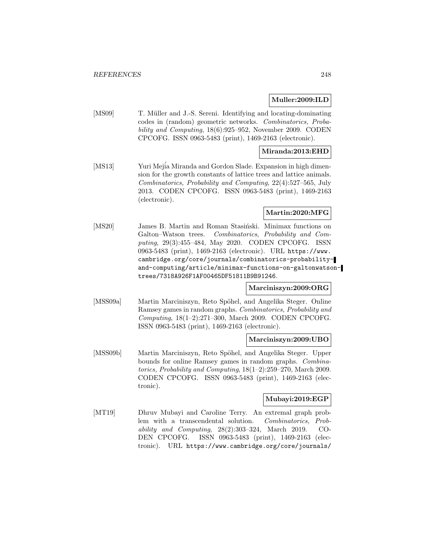## **Muller:2009:ILD**

[MS09] T. Müller and J.-S. Sereni. Identifying and locating-dominating codes in (random) geometric networks. Combinatorics, Probability and Computing, 18(6):925–952, November 2009. CODEN CPCOFG. ISSN 0963-5483 (print), 1469-2163 (electronic).

#### **Miranda:2013:EHD**

[MS13] Yuri Mejia Miranda and Gordon Slade. Expansion in high dimension for the growth constants of lattice trees and lattice animals. Combinatorics, Probability and Computing, 22(4):527–565, July 2013. CODEN CPCOFG. ISSN 0963-5483 (print), 1469-2163 (electronic).

## **Martin:2020:MFG**

[MS20] James B. Martin and Roman Stasiński. Minimax functions on Galton–Watson trees. Combinatorics, Probability and Computing, 29(3):455–484, May 2020. CODEN CPCOFG. ISSN 0963-5483 (print), 1469-2163 (electronic). URL https://www. cambridge.org/core/journals/combinatorics-probabilityand-computing/article/minimax-functions-on-galtonwatsontrees/7318A926F1AF00465DF51811B9B91246.

#### **Marciniszyn:2009:ORG**

[MSS09a] Martin Marciniszyn, Reto Spöhel, and Angelika Steger. Online Ramsey games in random graphs. Combinatorics, Probability and Computing, 18(1–2):271–300, March 2009. CODEN CPCOFG. ISSN 0963-5483 (print), 1469-2163 (electronic).

#### **Marciniszyn:2009:UBO**

[MSS09b] Martin Marciniszyn, Reto Spöhel, and Angelika Steger. Upper bounds for online Ramsey games in random graphs. Combinatorics, Probability and Computing, 18(1–2):259–270, March 2009. CODEN CPCOFG. ISSN 0963-5483 (print), 1469-2163 (electronic).

#### **Mubayi:2019:EGP**

[MT19] Dhruv Mubayi and Caroline Terry. An extremal graph problem with a transcendental solution. Combinatorics, Probability and Computing, 28(2):303–324, March 2019. CO-DEN CPCOFG. ISSN 0963-5483 (print), 1469-2163 (electronic). URL https://www.cambridge.org/core/journals/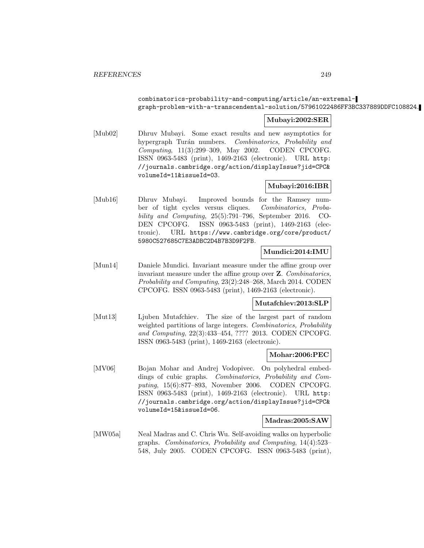## combinatorics-probability-and-computing/article/an-extremalgraph-problem-with-a-transcendental-solution/57961022486FF3BC337889DDFC108824.

#### **Mubayi:2002:SER**

[Mub02] Dhruv Mubayi. Some exact results and new asymptotics for hypergraph Turán numbers. Combinatorics, Probability and Computing, 11(3):299–309, May 2002. CODEN CPCOFG. ISSN 0963-5483 (print), 1469-2163 (electronic). URL http: //journals.cambridge.org/action/displayIssue?jid=CPC& volumeId=11&issueId=03.

## **Mubayi:2016:IBR**

[Mub16] Dhruv Mubayi. Improved bounds for the Ramsey number of tight cycles versus cliques. Combinatorics, Probability and Computing, 25(5):791–796, September 2016. CO-DEN CPCOFG. ISSN 0963-5483 (print), 1469-2163 (electronic). URL https://www.cambridge.org/core/product/ 5980C527685C7E3ADBC2D4B7B3D9F2FB.

## **Mundici:2014:IMU**

[Mun14] Daniele Mundici. Invariant measure under the affine group over invariant measure under the affine group over **Z**. Combinatorics, Probability and Computing, 23(2):248–268, March 2014. CODEN CPCOFG. ISSN 0963-5483 (print), 1469-2163 (electronic).

#### **Mutafchiev:2013:SLP**

[Mut13] Ljuben Mutafchiev. The size of the largest part of random weighted partitions of large integers. Combinatorics, Probability and Computing, 22(3):433–454, ???? 2013. CODEN CPCOFG. ISSN 0963-5483 (print), 1469-2163 (electronic).

#### **Mohar:2006:PEC**

[MV06] Bojan Mohar and Andrej Vodopivec. On polyhedral embeddings of cubic graphs. Combinatorics, Probability and Computing, 15(6):877–893, November 2006. CODEN CPCOFG. ISSN 0963-5483 (print), 1469-2163 (electronic). URL http: //journals.cambridge.org/action/displayIssue?jid=CPC& volumeId=15&issueId=06.

#### **Madras:2005:SAW**

[MW05a] Neal Madras and C. Chris Wu. Self-avoiding walks on hyperbolic graphs. Combinatorics, Probability and Computing, 14(4):523– 548, July 2005. CODEN CPCOFG. ISSN 0963-5483 (print),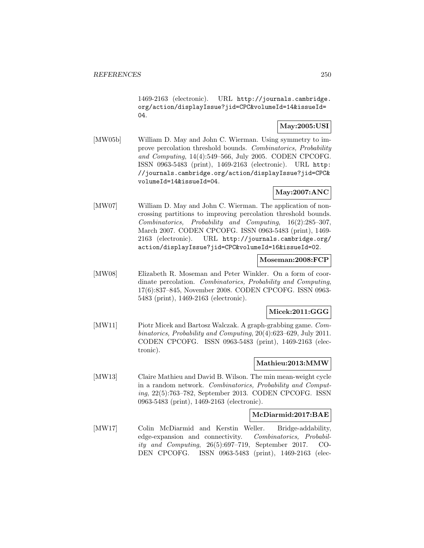1469-2163 (electronic). URL http://journals.cambridge. org/action/displayIssue?jid=CPC&volumeId=14&issueId= 04.

# **May:2005:USI**

[MW05b] William D. May and John C. Wierman. Using symmetry to improve percolation threshold bounds. Combinatorics, Probability and Computing, 14(4):549–566, July 2005. CODEN CPCOFG. ISSN 0963-5483 (print), 1469-2163 (electronic). URL http: //journals.cambridge.org/action/displayIssue?jid=CPC& volumeId=14&issueId=04.

# **May:2007:ANC**

[MW07] William D. May and John C. Wierman. The application of noncrossing partitions to improving percolation threshold bounds. Combinatorics, Probability and Computing, 16(2):285–307, March 2007. CODEN CPCOFG. ISSN 0963-5483 (print), 1469- 2163 (electronic). URL http://journals.cambridge.org/ action/displayIssue?jid=CPC&volumeId=16&issueId=02.

#### **Moseman:2008:FCP**

[MW08] Elizabeth R. Moseman and Peter Winkler. On a form of coordinate percolation. Combinatorics, Probability and Computing, 17(6):837–845, November 2008. CODEN CPCOFG. ISSN 0963- 5483 (print), 1469-2163 (electronic).

#### **Micek:2011:GGG**

[MW11] Piotr Micek and Bartosz Walczak. A graph-grabbing game. Combinatorics, Probability and Computing, 20(4):623–629, July 2011. CODEN CPCOFG. ISSN 0963-5483 (print), 1469-2163 (electronic).

#### **Mathieu:2013:MMW**

[MW13] Claire Mathieu and David B. Wilson. The min mean-weight cycle in a random network. Combinatorics, Probability and Computing, 22(5):763–782, September 2013. CODEN CPCOFG. ISSN 0963-5483 (print), 1469-2163 (electronic).

#### **McDiarmid:2017:BAE**

[MW17] Colin McDiarmid and Kerstin Weller. Bridge-addability, edge-expansion and connectivity. Combinatorics, Probability and Computing, 26(5):697–719, September 2017. CO-DEN CPCOFG. ISSN 0963-5483 (print), 1469-2163 (elec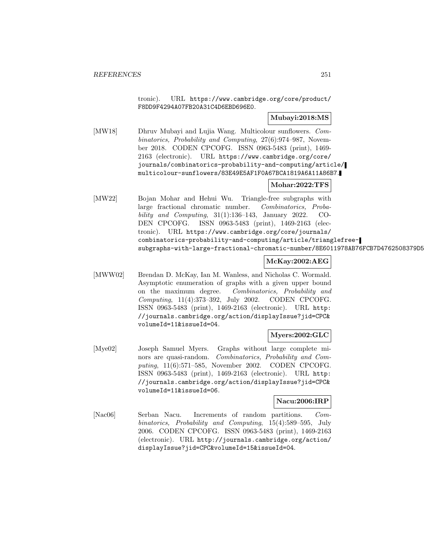tronic). URL https://www.cambridge.org/core/product/ F8DD9F4294A07FB20A31C4D6EBD696E0.

## **Mubayi:2018:MS**

[MW18] Dhruv Mubayi and Lujia Wang. Multicolour sunflowers. Combinatorics, Probability and Computing, 27(6):974–987, November 2018. CODEN CPCOFG. ISSN 0963-5483 (print), 1469- 2163 (electronic). URL https://www.cambridge.org/core/ journals/combinatorics-probability-and-computing/article/ multicolour-sunflowers/83E49E5AF1F0A67BCA1819A6A11A86B7.

# **Mohar:2022:TFS**

[MW22] Bojan Mohar and Hehui Wu. Triangle-free subgraphs with large fractional chromatic number. Combinatorics, Probability and Computing,  $31(1):136-143$ , January 2022. CO-DEN CPCOFG. ISSN 0963-5483 (print), 1469-2163 (electronic). URL https://www.cambridge.org/core/journals/ combinatorics-probability-and-computing/article/trianglefreesubgraphs-with-large-fractional-chromatic-number/8E6011978AB76FCB7D4762508379D5

## **McKay:2002:AEG**

[MWW02] Brendan D. McKay, Ian M. Wanless, and Nicholas C. Wormald. Asymptotic enumeration of graphs with a given upper bound on the maximum degree. Combinatorics, Probability and Computing, 11(4):373–392, July 2002. CODEN CPCOFG. ISSN 0963-5483 (print), 1469-2163 (electronic). URL http: //journals.cambridge.org/action/displayIssue?jid=CPC& volumeId=11&issueId=04.

#### **Myers:2002:GLC**

[Mye02] Joseph Samuel Myers. Graphs without large complete minors are quasi-random. Combinatorics, Probability and Computing, 11(6):571–585, November 2002. CODEN CPCOFG. ISSN 0963-5483 (print), 1469-2163 (electronic). URL http: //journals.cambridge.org/action/displayIssue?jid=CPC& volumeId=11&issueId=06.

#### **Nacu:2006:IRP**

[Nac06] Serban Nacu. Increments of random partitions. Combinatorics, Probability and Computing, 15(4):589–595, July 2006. CODEN CPCOFG. ISSN 0963-5483 (print), 1469-2163 (electronic). URL http://journals.cambridge.org/action/ displayIssue?jid=CPC&volumeId=15&issueId=04.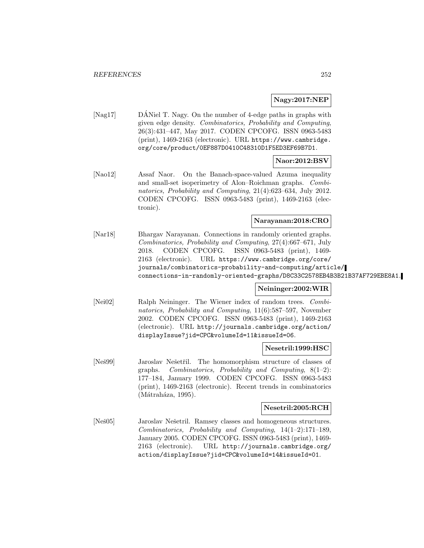## **Nagy:2017:NEP**

[Nag17] DANiel T. Nagy. On the number of 4-edge paths in graphs with ´ given edge density. Combinatorics, Probability and Computing, 26(3):431–447, May 2017. CODEN CPCOFG. ISSN 0963-5483 (print), 1469-2163 (electronic). URL https://www.cambridge. org/core/product/0EF887D0410C48310D1F5ED3EF69B7D1.

#### **Naor:2012:BSV**

[Nao12] Assaf Naor. On the Banach-space-valued Azuma inequality and small-set isoperimetry of Alon–Roichman graphs. Combinatorics, Probability and Computing, 21(4):623–634, July 2012. CODEN CPCOFG. ISSN 0963-5483 (print), 1469-2163 (electronic).

#### **Narayanan:2018:CRO**

[Nar18] Bhargav Narayanan. Connections in randomly oriented graphs. Combinatorics, Probability and Computing, 27(4):667–671, July 2018. CODEN CPCOFG. ISSN 0963-5483 (print), 1469- 2163 (electronic). URL https://www.cambridge.org/core/ journals/combinatorics-probability-and-computing/article/ connections-in-randomly-oriented-graphs/D8C33C2578EB4B3B21B37AF729EBE8A1.

## **Neininger:2002:WIR**

[Nei02] Ralph Neininger. The Wiener index of random trees. Combinatorics, Probability and Computing, 11(6):587–597, November 2002. CODEN CPCOFG. ISSN 0963-5483 (print), 1469-2163 (electronic). URL http://journals.cambridge.org/action/ displayIssue?jid=CPC&volumeId=11&issueId=06.

#### **Nesetril:1999:HSC**

[Neš99] Jaroslav Nešetřil. The homomorphism structure of classes of graphs. Combinatorics, Probability and Computing, 8(1–2): 177–184, January 1999. CODEN CPCOFG. ISSN 0963-5483 (print), 1469-2163 (electronic). Recent trends in combinatorics  $(Mátraháza, 1995).$ 

#### **Nesetril:2005:RCH**

[Neš05] Jaroslav Nešetril. Ramsey classes and homogeneous structures. Combinatorics, Probability and Computing, 14(1–2):171–189, January 2005. CODEN CPCOFG. ISSN 0963-5483 (print), 1469- 2163 (electronic). URL http://journals.cambridge.org/ action/displayIssue?jid=CPC&volumeId=14&issueId=01.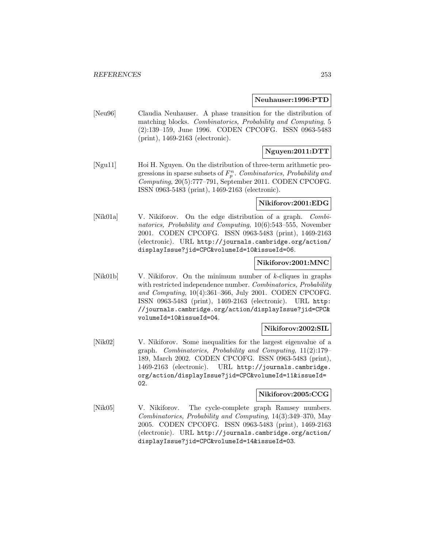### **Neuhauser:1996:PTD**

[Neu96] Claudia Neuhauser. A phase transition for the distribution of matching blocks. Combinatorics, Probability and Computing, 5 (2):139–159, June 1996. CODEN CPCOFG. ISSN 0963-5483 (print), 1469-2163 (electronic).

# **Nguyen:2011:DTT**

[Ngu11] Hoi H. Nguyen. On the distribution of three-term arithmetic progressions in sparse subsets of  $F_p^n$ . Combinatorics, Probability and Computing, 20(5):777–791, September 2011. CODEN CPCOFG. ISSN 0963-5483 (print), 1469-2163 (electronic).

### **Nikiforov:2001:EDG**

[Nik01a] V. Nikiforov. On the edge distribution of a graph. Combinatorics, Probability and Computing, 10(6):543–555, November 2001. CODEN CPCOFG. ISSN 0963-5483 (print), 1469-2163 (electronic). URL http://journals.cambridge.org/action/ displayIssue?jid=CPC&volumeId=10&issueId=06.

### **Nikiforov:2001:MNC**

[Nik01b] V. Nikiforov. On the minimum number of k-cliques in graphs with restricted independence number. Combinatorics, Probability and Computing, 10(4):361–366, July 2001. CODEN CPCOFG. ISSN 0963-5483 (print), 1469-2163 (electronic). URL http: //journals.cambridge.org/action/displayIssue?jid=CPC& volumeId=10&issueId=04.

#### **Nikiforov:2002:SIL**

[Nik02] V. Nikiforov. Some inequalities for the largest eigenvalue of a graph. Combinatorics, Probability and Computing, 11(2):179– 189, March 2002. CODEN CPCOFG. ISSN 0963-5483 (print), 1469-2163 (electronic). URL http://journals.cambridge. org/action/displayIssue?jid=CPC&volumeId=11&issueId= 02.

#### **Nikiforov:2005:CCG**

[Nik05] V. Nikiforov. The cycle-complete graph Ramsey numbers. Combinatorics, Probability and Computing, 14(3):349–370, May 2005. CODEN CPCOFG. ISSN 0963-5483 (print), 1469-2163 (electronic). URL http://journals.cambridge.org/action/ displayIssue?jid=CPC&volumeId=14&issueId=03.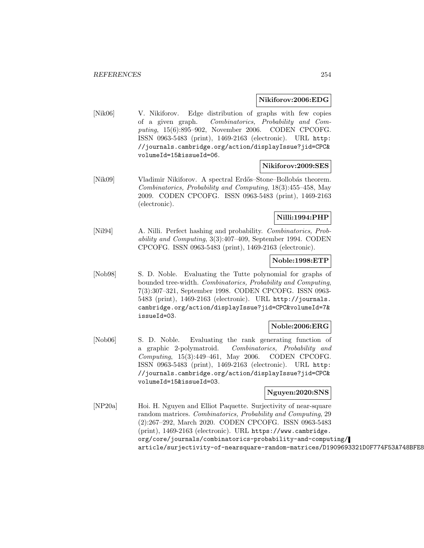### **Nikiforov:2006:EDG**

[Nik06] V. Nikiforov. Edge distribution of graphs with few copies of a given graph. Combinatorics, Probability and Computing, 15(6):895–902, November 2006. CODEN CPCOFG. ISSN 0963-5483 (print), 1469-2163 (electronic). URL http: //journals.cambridge.org/action/displayIssue?jid=CPC& volumeId=15&issueId=06.

### **Nikiforov:2009:SES**

[Nik09] Vladimir Nikiforov. A spectral Erdős–Stone–Bollobás theorem. Combinatorics, Probability and Computing, 18(3):455–458, May 2009. CODEN CPCOFG. ISSN 0963-5483 (print), 1469-2163 (electronic).

### **Nilli:1994:PHP**

[Nil94] A. Nilli. Perfect hashing and probability. Combinatorics, Probability and Computing, 3(3):407–409, September 1994. CODEN CPCOFG. ISSN 0963-5483 (print), 1469-2163 (electronic).

### **Noble:1998:ETP**

[Nob98] S. D. Noble. Evaluating the Tutte polynomial for graphs of bounded tree-width. Combinatorics, Probability and Computing, 7(3):307–321, September 1998. CODEN CPCOFG. ISSN 0963- 5483 (print), 1469-2163 (electronic). URL http://journals. cambridge.org/action/displayIssue?jid=CPC&volumeId=7& issueId=03.

### **Noble:2006:ERG**

[Nob06] S. D. Noble. Evaluating the rank generating function of a graphic 2-polymatroid. Combinatorics, Probability and Computing, 15(3):449–461, May 2006. CODEN CPCOFG. ISSN 0963-5483 (print), 1469-2163 (electronic). URL http: //journals.cambridge.org/action/displayIssue?jid=CPC& volumeId=15&issueId=03.

#### **Nguyen:2020:SNS**

[NP20a] Hoi. H. Nguyen and Elliot Paquette. Surjectivity of near-square random matrices. Combinatorics, Probability and Computing, 29 (2):267–292, March 2020. CODEN CPCOFG. ISSN 0963-5483 (print), 1469-2163 (electronic). URL https://www.cambridge. org/core/journals/combinatorics-probability-and-computing/ article/surjectivity-of-nearsquare-random-matrices/D1909693321D0F774F53A748BFE8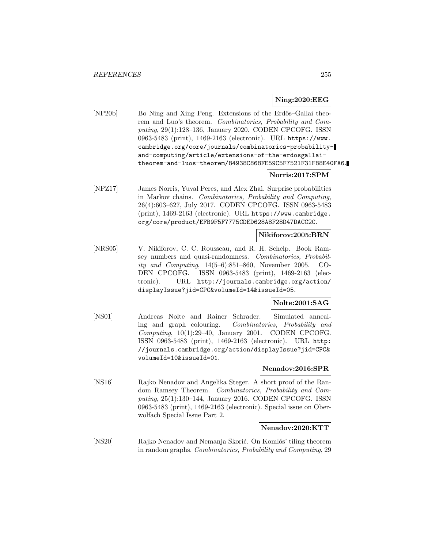### **Ning:2020:EEG**

[NP20b] Bo Ning and Xing Peng. Extensions of the Erdős–Gallai theorem and Luo's theorem. Combinatorics, Probability and Computing, 29(1):128–136, January 2020. CODEN CPCOFG. ISSN 0963-5483 (print), 1469-2163 (electronic). URL https://www. cambridge.org/core/journals/combinatorics-probabilityand-computing/article/extensions-of-the-erdosgallaitheorem-and-luos-theorem/84938C868FE59C5F7521F31F88E40FA6.

### **Norris:2017:SPM**

[NPZ17] James Norris, Yuval Peres, and Alex Zhai. Surprise probabilities in Markov chains. Combinatorics, Probability and Computing, 26(4):603–627, July 2017. CODEN CPCOFG. ISSN 0963-5483 (print), 1469-2163 (electronic). URL https://www.cambridge. org/core/product/EFB9F5F7775CDED628A8F28D47DACC2C.

### **Nikiforov:2005:BRN**

[NRS05] V. Nikiforov, C. C. Rousseau, and R. H. Schelp. Book Ramsey numbers and quasi-randomness. Combinatorics, Probability and Computing, 14(5–6):851–860, November 2005. CO-DEN CPCOFG. ISSN 0963-5483 (print), 1469-2163 (electronic). URL http://journals.cambridge.org/action/ displayIssue?jid=CPC&volumeId=14&issueId=05.

# **Nolte:2001:SAG**

[NS01] Andreas Nolte and Rainer Schrader. Simulated annealing and graph colouring. Combinatorics, Probability and Computing,  $10(1):29-40$ , January 2001. CODEN CPCOFG. ISSN 0963-5483 (print), 1469-2163 (electronic). URL http: //journals.cambridge.org/action/displayIssue?jid=CPC& volumeId=10&issueId=01.

### **Nenadov:2016:SPR**

[NS16] Rajko Nenadov and Angelika Steger. A short proof of the Random Ramsey Theorem. Combinatorics, Probability and Computing, 25(1):130–144, January 2016. CODEN CPCOFG. ISSN 0963-5483 (print), 1469-2163 (electronic). Special issue on Oberwolfach Special Issue Part 2.

#### **Nenadov:2020:KTT**

[NS20] Rajko Nenadov and Nemanja Skorić. On Komlós' tiling theorem in random graphs. Combinatorics, Probability and Computing, 29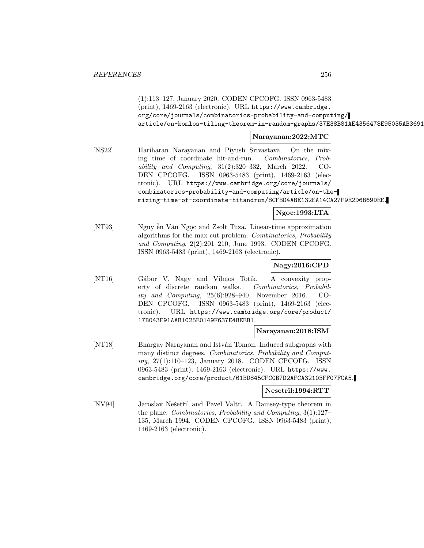(1):113–127, January 2020. CODEN CPCOFG. ISSN 0963-5483 (print), 1469-2163 (electronic). URL https://www.cambridge. org/core/journals/combinatorics-probability-and-computing/ article/on-komlos-tiling-theorem-in-random-graphs/37E38B81AE4356478E95035AB3691

# **Narayanan:2022:MTC**

[NS22] Hariharan Narayanan and Piyush Srivastava. On the mixing time of coordinate hit-and-run. Combinatorics, Probability and Computing, 31(2):320–332, March 2022. CO-DEN CPCOFG. ISSN 0963-5483 (print), 1469-2163 (electronic). URL https://www.cambridge.org/core/journals/ combinatorics-probability-and-computing/article/on-themixing-time-of-coordinate-hitandrun/8CFBD4ABE132EA14CA27F9E2D6B69DEE.

# **Ngoc:1993:LTA**

[NT93] Nguy ễn Văn Ngọc and Zsolt Tuza. Linear-time approximation algorithms for the max cut problem. Combinatorics, Probability and Computing, 2(2):201–210, June 1993. CODEN CPCOFG. ISSN 0963-5483 (print), 1469-2163 (electronic).

# **Nagy:2016:CPD**

[NT16] Gábor V. Nagy and Vilmos Totik. A convexity property of discrete random walks. Combinatorics, Probability and Computing, 25(6):928–940, November 2016. CO-DEN CPCOFG. ISSN 0963-5483 (print), 1469-2163 (electronic). URL https://www.cambridge.org/core/product/ 17B043E91AAB1025E0149F637E48EEB1.

## **Narayanan:2018:ISM**

[NT18] Bhargav Narayanan and István Tomon. Induced subgraphs with many distinct degrees. Combinatorics, Probability and Computing, 27(1):110–123, January 2018. CODEN CPCOFG. ISSN 0963-5483 (print), 1469-2163 (electronic). URL https://www. cambridge.org/core/product/61BD845CFC0B7D2AFCA32103FF07FCA5.

### **Nesetril:1994:RTT**

[NV94] Jaroslav Nešetřil and Pavel Valtr. A Ramsey-type theorem in the plane. Combinatorics, Probability and Computing, 3(1):127– 135, March 1994. CODEN CPCOFG. ISSN 0963-5483 (print), 1469-2163 (electronic).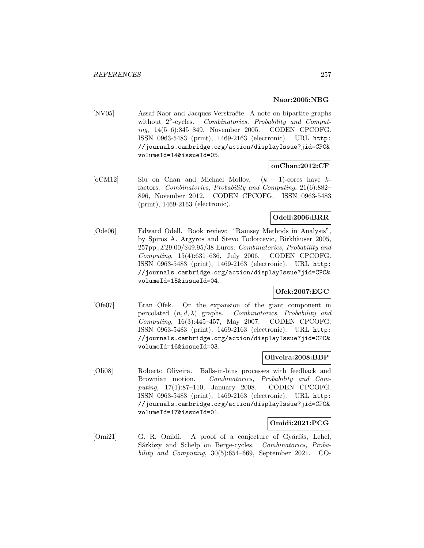# **Naor:2005:NBG**

[NV05] Assaf Naor and Jacques Verstraëte. A note on bipartite graphs without  $2^k$ -cycles. Combinatorics, Probability and Computing, 14(5–6):845–849, November 2005. CODEN CPCOFG. ISSN 0963-5483 (print), 1469-2163 (electronic). URL http: //journals.cambridge.org/action/displayIssue?jid=CPC& volumeId=14&issueId=05.

# **onChan:2012:CF**

 $[oCM12]$  Siu on Chan and Michael Molloy.  $(k + 1)$ -cores have kfactors. Combinatorics, Probability and Computing, 21(6):882– 896, November 2012. CODEN CPCOFG. ISSN 0963-5483 (print), 1469-2163 (electronic).

# **Odell:2006:BRR**

[Ode06] Edward Odell. Book review: "Ramsey Methods in Analysis", by Spiros A. Argyros and Stevo Todorcevic, Birkhäuser 2005,  $257pp.,\pounds29.00/\pounds49.95/38$  Euros. Combinatorics, Probability and Computing, 15(4):631–636, July 2006. CODEN CPCOFG. ISSN 0963-5483 (print), 1469-2163 (electronic). URL http: //journals.cambridge.org/action/displayIssue?jid=CPC& volumeId=15&issueId=04.

# **Ofek:2007:EGC**

[Ofe07] Eran Ofek. On the expansion of the giant component in percolated  $(n, d, \lambda)$  graphs. Combinatorics, Probability and Computing, 16(3):445–457, May 2007. CODEN CPCOFG. ISSN 0963-5483 (print), 1469-2163 (electronic). URL http: //journals.cambridge.org/action/displayIssue?jid=CPC& volumeId=16&issueId=03.

### **Oliveira:2008:BBP**

[Oli08] Roberto Oliveira. Balls-in-bins processes with feedback and Brownian motion. Combinatorics, Probability and Computing, 17(1):87–110, January 2008. CODEN CPCOFG. ISSN 0963-5483 (print), 1469-2163 (electronic). URL http: //journals.cambridge.org/action/displayIssue?jid=CPC& volumeId=17&issueId=01.

### **Omidi:2021:PCG**

[Omi21] G. R. Omidi. A proof of a conjecture of Gyárfás, Lehel, Sárközy and Schelp on Berge-cycles. Combinatorics, Probability and Computing, 30(5):654–669, September 2021. CO-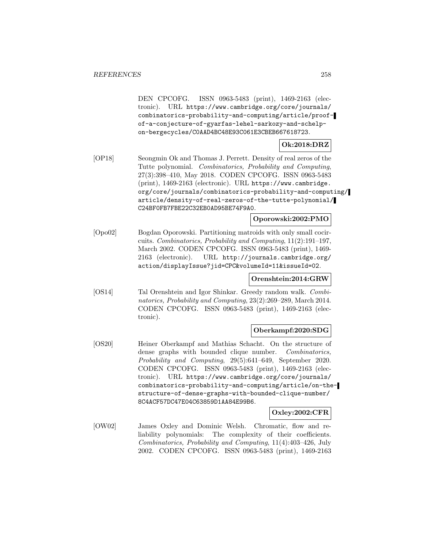DEN CPCOFG. ISSN 0963-5483 (print), 1469-2163 (electronic). URL https://www.cambridge.org/core/journals/ combinatorics-probability-and-computing/article/proofof-a-conjecture-of-gyarfas-lehel-sarkozy-and-schelpon-bergecycles/C0AAD4BC48E93C061E3CBEB667618723.

# **Ok:2018:DRZ**

[OP18] Seongmin Ok and Thomas J. Perrett. Density of real zeros of the Tutte polynomial. Combinatorics, Probability and Computing, 27(3):398–410, May 2018. CODEN CPCOFG. ISSN 0963-5483 (print), 1469-2163 (electronic). URL https://www.cambridge. org/core/journals/combinatorics-probability-and-computing/ article/density-of-real-zeros-of-the-tutte-polynomial/ C24BF0FB7FBE22C32EB0AD95BE74F9A0.

### **Oporowski:2002:PMO**

[Opo02] Bogdan Oporowski. Partitioning matroids with only small cocircuits. Combinatorics, Probability and Computing, 11(2):191–197, March 2002. CODEN CPCOFG. ISSN 0963-5483 (print), 1469- 2163 (electronic). URL http://journals.cambridge.org/ action/displayIssue?jid=CPC&volumeId=11&issueId=02.

# **Orenshtein:2014:GRW**

[OS14] Tal Orenshtein and Igor Shinkar. Greedy random walk. Combinatorics, Probability and Computing, 23(2):269–289, March 2014. CODEN CPCOFG. ISSN 0963-5483 (print), 1469-2163 (electronic).

### **Oberkampf:2020:SDG**

[OS20] Heiner Oberkampf and Mathias Schacht. On the structure of dense graphs with bounded clique number. Combinatorics, Probability and Computing, 29(5):641–649, September 2020. CODEN CPCOFG. ISSN 0963-5483 (print), 1469-2163 (electronic). URL https://www.cambridge.org/core/journals/ combinatorics-probability-and-computing/article/on-thestructure-of-dense-graphs-with-bounded-clique-number/ 8C4ACF57DC47E04C63859D1AA84E99B6.

### **Oxley:2002:CFR**

[OW02] James Oxley and Dominic Welsh. Chromatic, flow and reliability polynomials: The complexity of their coefficients. Combinatorics, Probability and Computing, 11(4):403–426, July 2002. CODEN CPCOFG. ISSN 0963-5483 (print), 1469-2163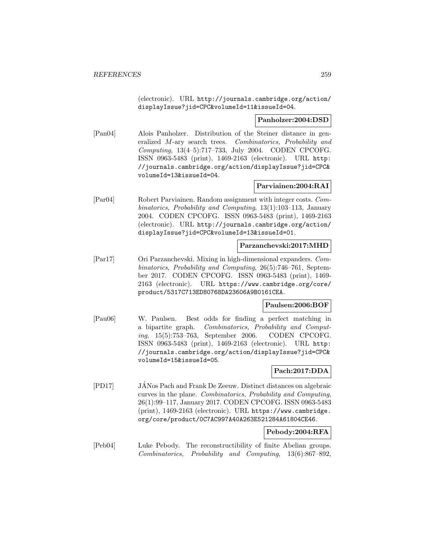(electronic). URL http://journals.cambridge.org/action/ displayIssue?jid=CPC&volumeId=11&issueId=04.

### **Panholzer:2004:DSD**

[Pan04] Alois Panholzer. Distribution of the Steiner distance in generalized M-ary search trees. Combinatorics, Probability and Computing, 13(4–5):717–733, July 2004. CODEN CPCOFG. ISSN 0963-5483 (print), 1469-2163 (electronic). URL http: //journals.cambridge.org/action/displayIssue?jid=CPC& volumeId=13&issueId=04.

# **Parviainen:2004:RAI**

[Par04] Robert Parviainen. Random assignment with integer costs. Combinatorics, Probability and Computing, 13(1):103–113, January 2004. CODEN CPCOFG. ISSN 0963-5483 (print), 1469-2163 (electronic). URL http://journals.cambridge.org/action/ displayIssue?jid=CPC&volumeId=13&issueId=01.

### **Parzanchevski:2017:MHD**

[Par17] Ori Parzanchevski. Mixing in high-dimensional expanders. Combinatorics, Probability and Computing, 26(5):746–761, September 2017. CODEN CPCOFG. ISSN 0963-5483 (print), 1469- 2163 (electronic). URL https://www.cambridge.org/core/ product/5317C713ED80768DA23606A9B0161CEA.

### **Paulsen:2006:BOF**

[Pau06] W. Paulsen. Best odds for finding a perfect matching in a bipartite graph. Combinatorics, Probability and Computing, 15(5):753–763, September 2006. CODEN CPCOFG. ISSN 0963-5483 (print), 1469-2163 (electronic). URL http: //journals.cambridge.org/action/displayIssue?jid=CPC& volumeId=15&issueId=05.

### **Pach:2017:DDA**

[PD17] JANos Pach and Frank De Zeeuw. Distinct distances on algebraic ´ curves in the plane. Combinatorics, Probability and Computing, 26(1):99–117, January 2017. CODEN CPCOFG. ISSN 0963-5483 (print), 1469-2163 (electronic). URL https://www.cambridge. org/core/product/0C7AC997A40A263E521284A61804CE46.

#### **Pebody:2004:RFA**

[Peb04] Luke Pebody. The reconstructibility of finite Abelian groups. Combinatorics, Probability and Computing, 13(6):867–892,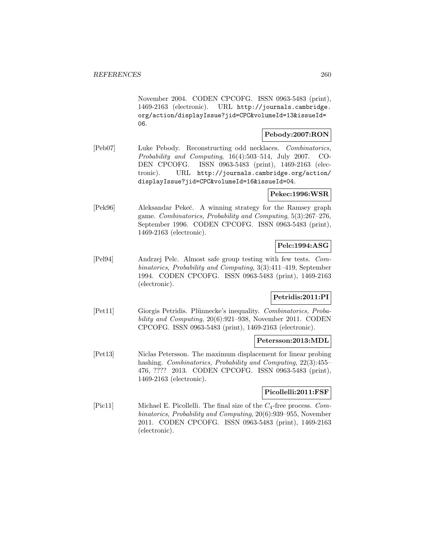November 2004. CODEN CPCOFG. ISSN 0963-5483 (print), 1469-2163 (electronic). URL http://journals.cambridge. org/action/displayIssue?jid=CPC&volumeId=13&issueId= 06.

### **Pebody:2007:RON**

[Peb07] Luke Pebody. Reconstructing odd necklaces. Combinatorics, Probability and Computing, 16(4):503–514, July 2007. CO-DEN CPCOFG. ISSN 0963-5483 (print), 1469-2163 (electronic). URL http://journals.cambridge.org/action/ displayIssue?jid=CPC&volumeId=16&issueId=04.

# **Pekec:1996:WSR**

[Pek96] Aleksandar Pekeˇc. A winning strategy for the Ramsey graph game. Combinatorics, Probability and Computing, 5(3):267–276, September 1996. CODEN CPCOFG. ISSN 0963-5483 (print), 1469-2163 (electronic).

# **Pelc:1994:ASG**

[Pel94] Andrzej Pelc. Almost safe group testing with few tests. Combinatorics, Probability and Computing, 3(3):411–419, September 1994. CODEN CPCOFG. ISSN 0963-5483 (print), 1469-2163 (electronic).

# **Petridis:2011:PI**

[Pet11] Giorgis Petridis. Plünnecke's inequality. Combinatorics, Probability and Computing, 20(6):921–938, November 2011. CODEN CPCOFG. ISSN 0963-5483 (print), 1469-2163 (electronic).

# **Petersson:2013:MDL**

[Pet13] Niclas Petersson. The maximum displacement for linear probing hashing. Combinatorics, Probability and Computing, 22(3):455– 476, ???? 2013. CODEN CPCOFG. ISSN 0963-5483 (print), 1469-2163 (electronic).

# **Picollelli:2011:FSF**

[Pic11] Michael E. Picollelli. The final size of the  $C_4$ -free process. Combinatorics, Probability and Computing, 20(6):939–955, November 2011. CODEN CPCOFG. ISSN 0963-5483 (print), 1469-2163 (electronic).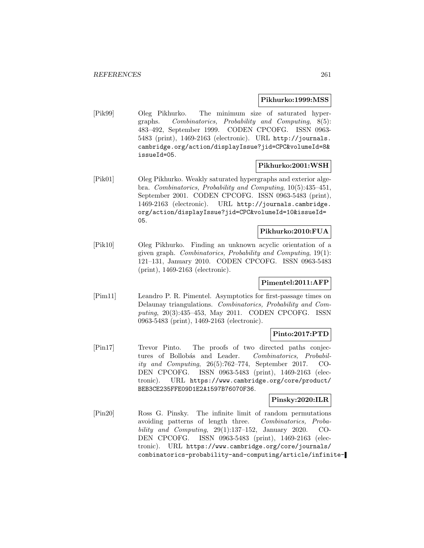### **Pikhurko:1999:MSS**

[Pik99] Oleg Pikhurko. The minimum size of saturated hypergraphs. Combinatorics, Probability and Computing, 8(5): 483–492, September 1999. CODEN CPCOFG. ISSN 0963- 5483 (print), 1469-2163 (electronic). URL http://journals. cambridge.org/action/displayIssue?jid=CPC&volumeId=8& issueId=05.

# **Pikhurko:2001:WSH**

[Pik01] Oleg Pikhurko. Weakly saturated hypergraphs and exterior algebra. Combinatorics, Probability and Computing, 10(5):435–451, September 2001. CODEN CPCOFG. ISSN 0963-5483 (print), 1469-2163 (electronic). URL http://journals.cambridge. org/action/displayIssue?jid=CPC&volumeId=10&issueId= 05.

# **Pikhurko:2010:FUA**

[Pik10] Oleg Pikhurko. Finding an unknown acyclic orientation of a given graph. Combinatorics, Probability and Computing, 19(1): 121–131, January 2010. CODEN CPCOFG. ISSN 0963-5483 (print), 1469-2163 (electronic).

### **Pimentel:2011:AFP**

[Pim11] Leandro P. R. Pimentel. Asymptotics for first-passage times on Delaunay triangulations. Combinatorics, Probability and Computing, 20(3):435–453, May 2011. CODEN CPCOFG. ISSN 0963-5483 (print), 1469-2163 (electronic).

## **Pinto:2017:PTD**

[Pin17] Trevor Pinto. The proofs of two directed paths conjectures of Bollobás and Leader. Combinatorics, Probability and Computing, 26(5):762–774, September 2017. CO-DEN CPCOFG. ISSN 0963-5483 (print), 1469-2163 (electronic). URL https://www.cambridge.org/core/product/ BEB3CE235FFE09D1E2A1597B76070F36.

# **Pinsky:2020:ILR**

[Pin20] Ross G. Pinsky. The infinite limit of random permutations avoiding patterns of length three. Combinatorics, Probability and Computing, 29(1):137–152, January 2020. CO-DEN CPCOFG. ISSN 0963-5483 (print), 1469-2163 (electronic). URL https://www.cambridge.org/core/journals/ combinatorics-probability-and-computing/article/infinite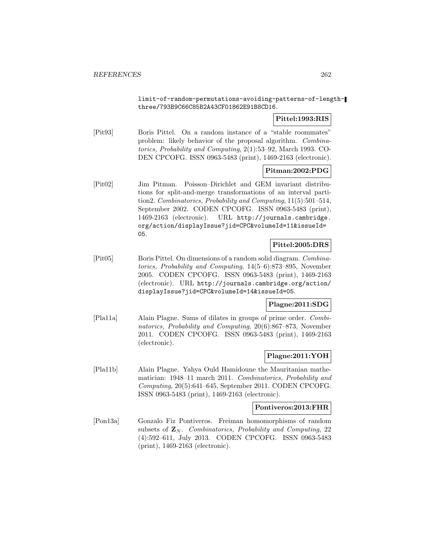limit-of-random-permutations-avoiding-patterns-of-lengththree/793B9C66C85B2A43CF01862E91B8CD16.

## **Pittel:1993:RIS**

[Pit93] Boris Pittel. On a random instance of a "stable roommates" problem: likely behavior of the proposal algorithm. Combinatorics, Probability and Computing, 2(1):53–92, March 1993. CO-DEN CPCOFG. ISSN 0963-5483 (print), 1469-2163 (electronic).

# **Pitman:2002:PDG**

[Pit02] Jim Pitman. Poisson–Dirichlet and GEM invariant distributions for split-and-merge transformations of an interval partition2. Combinatorics, Probability and Computing, 11(5):501–514, September 2002. CODEN CPCOFG. ISSN 0963-5483 (print), 1469-2163 (electronic). URL http://journals.cambridge. org/action/displayIssue?jid=CPC&volumeId=11&issueId= 05.

# **Pittel:2005:DRS**

[Pit05] Boris Pittel. On dimensions of a random solid diagram. Combinatorics, Probability and Computing, 14(5–6):873–895, November 2005. CODEN CPCOFG. ISSN 0963-5483 (print), 1469-2163 (electronic). URL http://journals.cambridge.org/action/ displayIssue?jid=CPC&volumeId=14&issueId=05.

# **Plagne:2011:SDG**

[Pla11a] Alain Plagne. Sums of dilates in groups of prime order. Combinatorics, Probability and Computing, 20(6):867–873, November 2011. CODEN CPCOFG. ISSN 0963-5483 (print), 1469-2163 (electronic).

### **Plagne:2011:YOH**

[Pla11b] Alain Plagne. Yahya Ould Hamidoune the Mauritanian mathematician: 1948–11 march 2011. Combinatorics, Probability and Computing, 20(5):641–645, September 2011. CODEN CPCOFG. ISSN 0963-5483 (print), 1469-2163 (electronic).

#### **Pontiveros:2013:FHR**

[Pon13a] Gonzalo Fiz Pontiveros. Freiman homomorphisms of random subsets of  $\mathbf{Z}_N$ . Combinatorics, Probability and Computing, 22 (4):592–611, July 2013. CODEN CPCOFG. ISSN 0963-5483 (print), 1469-2163 (electronic).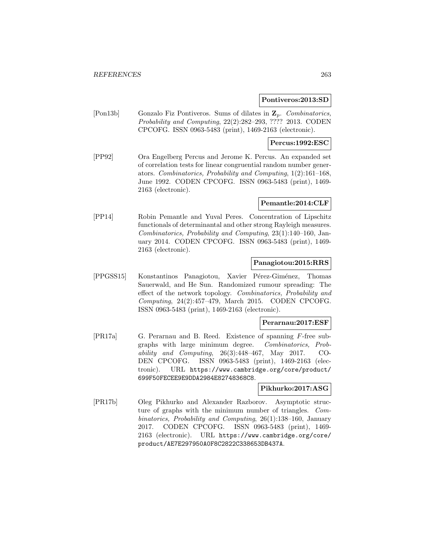### **Pontiveros:2013:SD**

[Pon13b] Gonzalo Fiz Pontiveros. Sums of dilates in **Z**p. Combinatorics, Probability and Computing, 22(2):282–293, ???? 2013. CODEN CPCOFG. ISSN 0963-5483 (print), 1469-2163 (electronic).

# **Percus:1992:ESC**

[PP92] Ora Engelberg Percus and Jerome K. Percus. An expanded set of correlation tests for linear congruential random number generators. Combinatorics, Probability and Computing, 1(2):161–168, June 1992. CODEN CPCOFG. ISSN 0963-5483 (print), 1469- 2163 (electronic).

### **Pemantle:2014:CLF**

[PP14] Robin Pemantle and Yuval Peres. Concentration of Lipschitz functionals of determinantal and other strong Rayleigh measures. Combinatorics, Probability and Computing, 23(1):140–160, January 2014. CODEN CPCOFG. ISSN 0963-5483 (print), 1469- 2163 (electronic).

# **Panagiotou:2015:RRS**

[PPGSS15] Konstantinos Panagiotou, Xavier Pérez-Giménez, Thomas Sauerwald, and He Sun. Randomized rumour spreading: The effect of the network topology. Combinatorics, Probability and Computing, 24(2):457–479, March 2015. CODEN CPCOFG. ISSN 0963-5483 (print), 1469-2163 (electronic).

### **Perarnau:2017:ESF**

[PR17a] G. Perarnau and B. Reed. Existence of spanning F-free subgraphs with large minimum degree. Combinatorics, Probability and Computing, 26(3):448–467, May 2017. CO-DEN CPCOFG. ISSN 0963-5483 (print), 1469-2163 (electronic). URL https://www.cambridge.org/core/product/ 699F50FECEE9E9DDA2984E82748368C8.

### **Pikhurko:2017:ASG**

[PR17b] Oleg Pikhurko and Alexander Razborov. Asymptotic structure of graphs with the minimum number of triangles. Combinatorics, Probability and Computing, 26(1):138–160, January 2017. CODEN CPCOFG. ISSN 0963-5483 (print), 1469- 2163 (electronic). URL https://www.cambridge.org/core/ product/AE7E297950A0F8C2822C338653DB437A.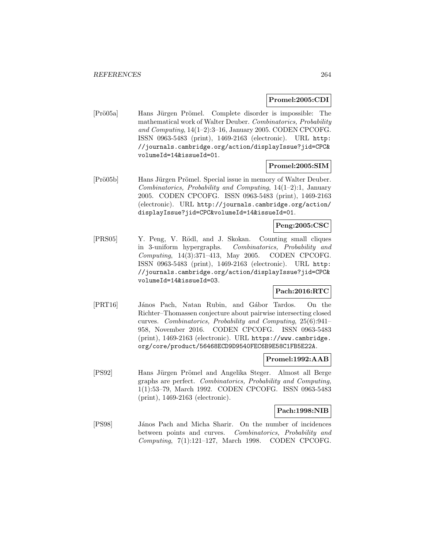# **Promel:2005:CDI**

[Prö05a] Hans Jürgen Prömel. Complete disorder is impossible: The mathematical work of Walter Deuber. Combinatorics, Probability and Computing, 14(1–2):3–16, January 2005. CODEN CPCOFG. ISSN 0963-5483 (print), 1469-2163 (electronic). URL http: //journals.cambridge.org/action/displayIssue?jid=CPC& volumeId=14&issueId=01.

# **Promel:2005:SIM**

[Prö05b] Hans Jürgen Prömel. Special issue in memory of Walter Deuber. Combinatorics, Probability and Computing, 14(1–2):1, January 2005. CODEN CPCOFG. ISSN 0963-5483 (print), 1469-2163 (electronic). URL http://journals.cambridge.org/action/ displayIssue?jid=CPC&volumeId=14&issueId=01.

# **Peng:2005:CSC**

[PRS05] Y. Peng, V. R¨odl, and J. Skokan. Counting small cliques in 3-uniform hypergraphs. Combinatorics, Probability and Computing, 14(3):371–413, May 2005. CODEN CPCOFG. ISSN 0963-5483 (print), 1469-2163 (electronic). URL http: //journals.cambridge.org/action/displayIssue?jid=CPC& volumeId=14&issueId=03.

# **Pach:2016:RTC**

[PRT16] János Pach, Natan Rubin, and Gábor Tardos. On the Richter–Thomassen conjecture about pairwise intersecting closed curves. Combinatorics, Probability and Computing, 25(6):941– 958, November 2016. CODEN CPCOFG. ISSN 0963-5483 (print), 1469-2163 (electronic). URL https://www.cambridge. org/core/product/56468ECD9D9540FEC6B9E58C1FB5E22A.

### **Promel:1992:AAB**

[PS92] Hans Jürgen Prömel and Angelika Steger. Almost all Berge graphs are perfect. Combinatorics, Probability and Computing, 1(1):53–79, March 1992. CODEN CPCOFG. ISSN 0963-5483 (print), 1469-2163 (electronic).

# **Pach:1998:NIB**

[PS98] János Pach and Micha Sharir. On the number of incidences between points and curves. Combinatorics, Probability and Computing, 7(1):121–127, March 1998. CODEN CPCOFG.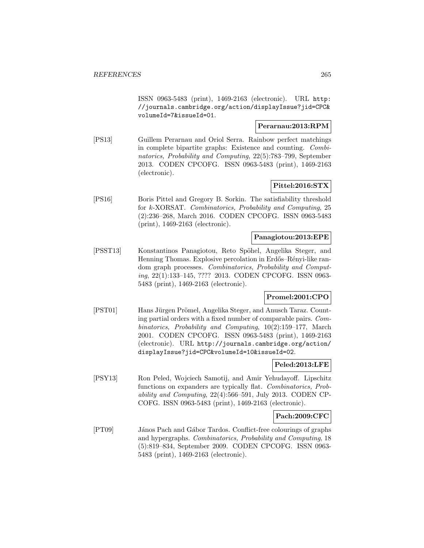ISSN 0963-5483 (print), 1469-2163 (electronic). URL http: //journals.cambridge.org/action/displayIssue?jid=CPC& volumeId=7&issueId=01.

# **Perarnau:2013:RPM**

[PS13] Guillem Perarnau and Oriol Serra. Rainbow perfect matchings in complete bipartite graphs: Existence and counting. Combinatorics, Probability and Computing, 22(5):783–799, September 2013. CODEN CPCOFG. ISSN 0963-5483 (print), 1469-2163 (electronic).

# **Pittel:2016:STX**

[PS16] Boris Pittel and Gregory B. Sorkin. The satisfiability threshold for k-XORSAT. Combinatorics, Probability and Computing, 25 (2):236–268, March 2016. CODEN CPCOFG. ISSN 0963-5483 (print), 1469-2163 (electronic).

### **Panagiotou:2013:EPE**

[PSST13] Konstantinos Panagiotou, Reto Spöhel, Angelika Steger, and Henning Thomas. Explosive percolation in Erdős–Rényi-like random graph processes. Combinatorics, Probability and Computing, 22(1):133–145, ???? 2013. CODEN CPCOFG. ISSN 0963- 5483 (print), 1469-2163 (electronic).

# **Promel:2001:CPO**

[PST01] Hans Jürgen Prömel, Angelika Steger, and Anusch Taraz. Counting partial orders with a fixed number of comparable pairs. Combinatorics, Probability and Computing, 10(2):159–177, March 2001. CODEN CPCOFG. ISSN 0963-5483 (print), 1469-2163 (electronic). URL http://journals.cambridge.org/action/ displayIssue?jid=CPC&volumeId=10&issueId=02.

# **Peled:2013:LFE**

[PSY13] Ron Peled, Wojciech Samotij, and Amir Yehudayoff. Lipschitz functions on expanders are typically flat. Combinatorics, Probability and Computing, 22(4):566–591, July 2013. CODEN CP-COFG. ISSN 0963-5483 (print), 1469-2163 (electronic).

### **Pach:2009:CFC**

[PT09] János Pach and Gábor Tardos. Conflict-free colourings of graphs and hypergraphs. Combinatorics, Probability and Computing, 18 (5):819–834, September 2009. CODEN CPCOFG. ISSN 0963- 5483 (print), 1469-2163 (electronic).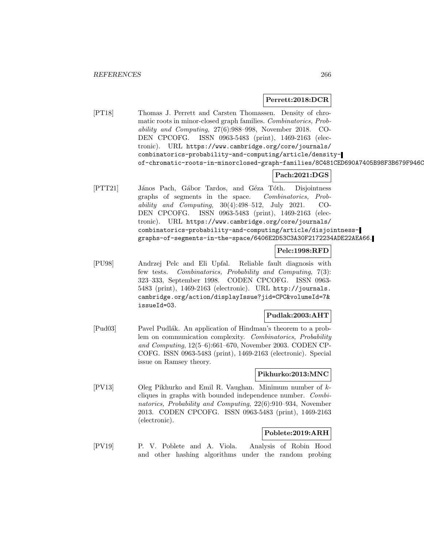### **Perrett:2018:DCR**

[PT18] Thomas J. Perrett and Carsten Thomassen. Density of chromatic roots in minor-closed graph families. Combinatorics, Probability and Computing, 27(6):988–998, November 2018. CO-DEN CPCOFG. ISSN 0963-5483 (print), 1469-2163 (electronic). URL https://www.cambridge.org/core/journals/ combinatorics-probability-and-computing/article/densityof-chromatic-roots-in-minorclosed-graph-families/8C481CED690A7405B98F3B679F946C

# **Pach:2021:DGS**

[PTT21] János Pach, Gábor Tardos, and Géza Tóth. Disjointness graphs of segments in the space. Combinatorics, Probability and Computing, 30(4):498–512, July 2021. CO-DEN CPCOFG. ISSN 0963-5483 (print), 1469-2163 (electronic). URL https://www.cambridge.org/core/journals/ combinatorics-probability-and-computing/article/disjointnessgraphs-of-segments-in-the-space/6406E2D53C3A30F2172234ADE22AEA66.

# **Pelc:1998:RFD**

[PU98] Andrzej Pelc and Eli Upfal. Reliable fault diagnosis with few tests. Combinatorics, Probability and Computing, 7(3): 323–333, September 1998. CODEN CPCOFG. ISSN 0963- 5483 (print), 1469-2163 (electronic). URL http://journals. cambridge.org/action/displayIssue?jid=CPC&volumeId=7& issueId=03.

### **Pudlak:2003:AHT**

[Pud03] Pavel Pudlák. An application of Hindman's theorem to a problem on communication complexity. Combinatorics, Probability and Computing, 12(5–6):661–670, November 2003. CODEN CP-COFG. ISSN 0963-5483 (print), 1469-2163 (electronic). Special issue on Ramsey theory.

### **Pikhurko:2013:MNC**

[PV13] Oleg Pikhurko and Emil R. Vaughan. Minimum number of kcliques in graphs with bounded independence number. Combinatorics, Probability and Computing, 22(6):910–934, November 2013. CODEN CPCOFG. ISSN 0963-5483 (print), 1469-2163 (electronic).

# **Poblete:2019:ARH**

[PV19] P. V. Poblete and A. Viola. Analysis of Robin Hood and other hashing algorithms under the random probing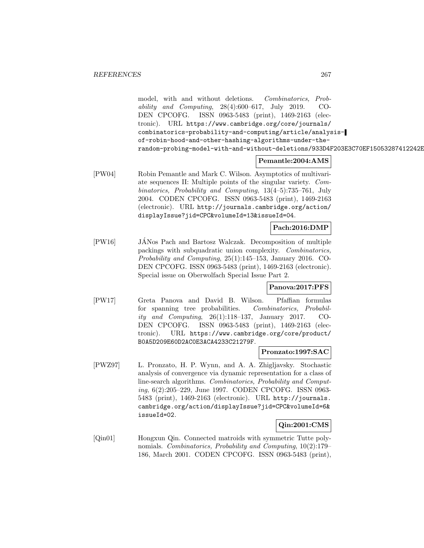model, with and without deletions. Combinatorics, Probability and Computing, 28(4):600–617, July 2019. CO-DEN CPCOFG. ISSN 0963-5483 (print), 1469-2163 (electronic). URL https://www.cambridge.org/core/journals/ combinatorics-probability-and-computing/article/analysisof-robin-hood-and-other-hashing-algorithms-under-therandom-probing-model-with-and-without-deletions/933D4F203E3C70EF15053287412242E

# **Pemantle:2004:AMS**

[PW04] Robin Pemantle and Mark C. Wilson. Asymptotics of multivariate sequences II: Multiple points of the singular variety. Combinatorics, Probability and Computing, 13(4–5):735–761, July 2004. CODEN CPCOFG. ISSN 0963-5483 (print), 1469-2163 (electronic). URL http://journals.cambridge.org/action/ displayIssue?jid=CPC&volumeId=13&issueId=04.

# **Pach:2016:DMP**

[PW16] JANos Pach and Bartosz Walczak. Decomposition of multiple ´ packings with subquadratic union complexity. Combinatorics, Probability and Computing, 25(1):145–153, January 2016. CO-DEN CPCOFG. ISSN 0963-5483 (print), 1469-2163 (electronic). Special issue on Oberwolfach Special Issue Part 2.

### **Panova:2017:PFS**

[PW17] Greta Panova and David B. Wilson. Pfaffian formulas for spanning tree probabilities. Combinatorics, Probability and Computing, 26(1):118–137, January 2017. CO-DEN CPCOFG. ISSN 0963-5483 (print), 1469-2163 (electronic). URL https://www.cambridge.org/core/product/ B0A5D209E60D2AC0E3ACA4233C21279F.

### **Pronzato:1997:SAC**

[PWZ97] L. Pronzato, H. P. Wynn, and A. A. Zhigljavsky. Stochastic analysis of convergence via dynamic representation for a class of line-search algorithms. Combinatorics, Probability and Computing, 6(2):205–229, June 1997. CODEN CPCOFG. ISSN 0963- 5483 (print), 1469-2163 (electronic). URL http://journals. cambridge.org/action/displayIssue?jid=CPC&volumeId=6& issueId=02.

### **Qin:2001:CMS**

[Qin01] Hongxun Qin. Connected matroids with symmetric Tutte polynomials. Combinatorics, Probability and Computing, 10(2):179– 186, March 2001. CODEN CPCOFG. ISSN 0963-5483 (print),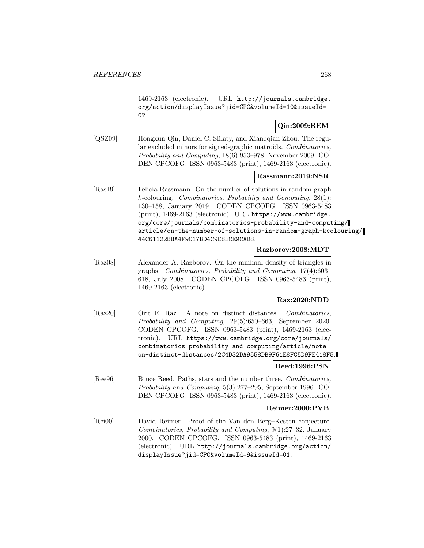1469-2163 (electronic). URL http://journals.cambridge. org/action/displayIssue?jid=CPC&volumeId=10&issueId= 02.

# **Qin:2009:REM**

[QSZ09] Hongxun Qin, Daniel C. Slilaty, and Xianqqian Zhou. The regular excluded minors for signed-graphic matroids. Combinatorics, Probability and Computing, 18(6):953–978, November 2009. CO-DEN CPCOFG. ISSN 0963-5483 (print), 1469-2163 (electronic).

# **Rassmann:2019:NSR**

[Ras19] Felicia Rassmann. On the number of solutions in random graph k-colouring. Combinatorics, Probability and Computing, 28(1): 130–158, January 2019. CODEN CPCOFG. ISSN 0963-5483 (print), 1469-2163 (electronic). URL https://www.cambridge. org/core/journals/combinatorics-probability-and-computing/ article/on-the-number-of-solutions-in-random-graph-kcolouring/ 44C61122BBA4F9C17BD4C9E8ECE9CAD8.

# **Razborov:2008:MDT**

[Raz08] Alexander A. Razborov. On the minimal density of triangles in graphs. Combinatorics, Probability and Computing, 17(4):603– 618, July 2008. CODEN CPCOFG. ISSN 0963-5483 (print), 1469-2163 (electronic).

# **Raz:2020:NDD**

[Raz20] Orit E. Raz. A note on distinct distances. Combinatorics, Probability and Computing, 29(5):650–663, September 2020. CODEN CPCOFG. ISSN 0963-5483 (print), 1469-2163 (electronic). URL https://www.cambridge.org/core/journals/ combinatorics-probability-and-computing/article/noteon-distinct-distances/2C4D32DA9558DB9F61E8FC5D9FE418F5.

# **Reed:1996:PSN**

[Ree96] Bruce Reed. Paths, stars and the number three. Combinatorics, Probability and Computing, 5(3):277–295, September 1996. CO-DEN CPCOFG. ISSN 0963-5483 (print), 1469-2163 (electronic).

## **Reimer:2000:PVB**

[Rei00] David Reimer. Proof of the Van den Berg–Kesten conjecture. Combinatorics, Probability and Computing, 9(1):27–32, January 2000. CODEN CPCOFG. ISSN 0963-5483 (print), 1469-2163 (electronic). URL http://journals.cambridge.org/action/ displayIssue?jid=CPC&volumeId=9&issueId=01.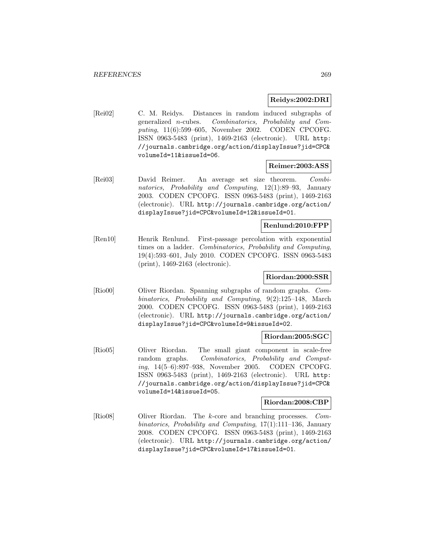# **Reidys:2002:DRI**

[Rei02] C. M. Reidys. Distances in random induced subgraphs of generalized n-cubes. Combinatorics, Probability and Computing, 11(6):599–605, November 2002. CODEN CPCOFG. ISSN 0963-5483 (print), 1469-2163 (electronic). URL http: //journals.cambridge.org/action/displayIssue?jid=CPC& volumeId=11&issueId=06.

# **Reimer:2003:ASS**

[Rei03] David Reimer. An average set size theorem. Combinatorics, Probability and Computing, 12(1):89–93, January 2003. CODEN CPCOFG. ISSN 0963-5483 (print), 1469-2163 (electronic). URL http://journals.cambridge.org/action/ displayIssue?jid=CPC&volumeId=12&issueId=01.

## **Renlund:2010:FPP**

[Ren10] Henrik Renlund. First-passage percolation with exponential times on a ladder. Combinatorics, Probability and Computing, 19(4):593–601, July 2010. CODEN CPCOFG. ISSN 0963-5483 (print), 1469-2163 (electronic).

# **Riordan:2000:SSR**

[Rio00] Oliver Riordan. Spanning subgraphs of random graphs. Combinatorics, Probability and Computing, 9(2):125–148, March 2000. CODEN CPCOFG. ISSN 0963-5483 (print), 1469-2163 (electronic). URL http://journals.cambridge.org/action/ displayIssue?jid=CPC&volumeId=9&issueId=02.

### **Riordan:2005:SGC**

[Rio05] Oliver Riordan. The small giant component in scale-free random graphs. Combinatorics, Probability and Computing, 14(5–6):897–938, November 2005. CODEN CPCOFG. ISSN 0963-5483 (print), 1469-2163 (electronic). URL http: //journals.cambridge.org/action/displayIssue?jid=CPC& volumeId=14&issueId=05.

## **Riordan:2008:CBP**

[Rio08] Oliver Riordan. The k-core and branching processes. Combinatorics, Probability and Computing, 17(1):111–136, January 2008. CODEN CPCOFG. ISSN 0963-5483 (print), 1469-2163 (electronic). URL http://journals.cambridge.org/action/ displayIssue?jid=CPC&volumeId=17&issueId=01.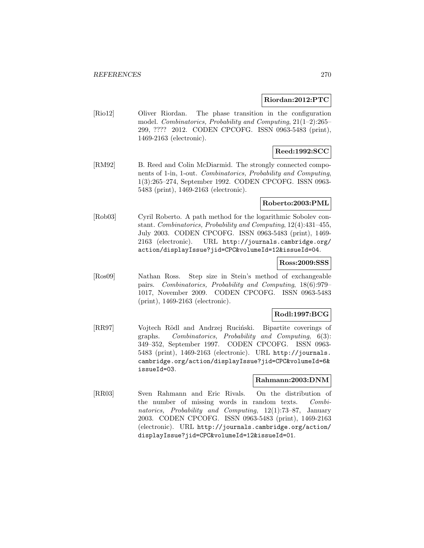### **Riordan:2012:PTC**

[Rio12] Oliver Riordan. The phase transition in the configuration model. Combinatorics, Probability and Computing, 21(1–2):265– 299, ???? 2012. CODEN CPCOFG. ISSN 0963-5483 (print), 1469-2163 (electronic).

# **Reed:1992:SCC**

[RM92] B. Reed and Colin McDiarmid. The strongly connected components of 1-in, 1-out. Combinatorics, Probability and Computing, 1(3):265–274, September 1992. CODEN CPCOFG. ISSN 0963- 5483 (print), 1469-2163 (electronic).

### **Roberto:2003:PML**

[Rob03] Cyril Roberto. A path method for the logarithmic Sobolev constant. Combinatorics, Probability and Computing, 12(4):431–455, July 2003. CODEN CPCOFG. ISSN 0963-5483 (print), 1469- 2163 (electronic). URL http://journals.cambridge.org/ action/displayIssue?jid=CPC&volumeId=12&issueId=04.

### **Ross:2009:SSS**

[Ros09] Nathan Ross. Step size in Stein's method of exchangeable pairs. Combinatorics, Probability and Computing, 18(6):979– 1017, November 2009. CODEN CPCOFG. ISSN 0963-5483 (print), 1469-2163 (electronic).

### **Rodl:1997:BCG**

[RR97] Vojtech Rödl and Andrzej Ruciński. Bipartite coverings of graphs. Combinatorics, Probability and Computing, 6(3): 349–352, September 1997. CODEN CPCOFG. ISSN 0963- 5483 (print), 1469-2163 (electronic). URL http://journals. cambridge.org/action/displayIssue?jid=CPC&volumeId=6& issueId=03.

# **Rahmann:2003:DNM**

[RR03] Sven Rahmann and Eric Rivals. On the distribution of the number of missing words in random texts. Combinatorics, Probability and Computing, 12(1):73–87, January 2003. CODEN CPCOFG. ISSN 0963-5483 (print), 1469-2163 (electronic). URL http://journals.cambridge.org/action/ displayIssue?jid=CPC&volumeId=12&issueId=01.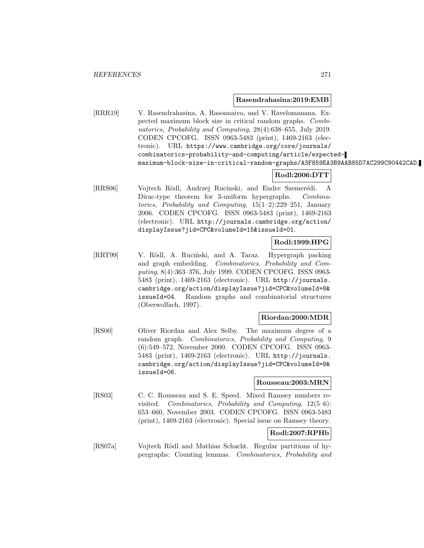#### **Rasendrahasina:2019:EMB**

[RRR19] V. Rasendrahasina, A. Rasoanaivo, and V. Ravelomanana. Expected maximum block size in critical random graphs. Combinatorics, Probability and Computing, 28(4):638–655, July 2019. CODEN CPCOFG. ISSN 0963-5483 (print), 1469-2163 (electronic). URL https://www.cambridge.org/core/journals/ combinatorics-probability-and-computing/article/expectedmaximum-block-size-in-critical-random-graphs/A3F859EA3B9AAB85D7AC299C90442CAD.

# **Rodl:2006:DTT**

[RRS06] Vojtech Rödl, Andrzej Rucinski, and Endre Szemerédi. A Dirac-type theorem for 3-uniform hypergraphs. Combinatorics, Probability and Computing, 15(1–2):229–251, January 2006. CODEN CPCOFG. ISSN 0963-5483 (print), 1469-2163 (electronic). URL http://journals.cambridge.org/action/ displayIssue?jid=CPC&volumeId=15&issueId=01.

# **Rodl:1999:HPG**

[RRT99] V. Rödl, A. Ruciński, and A. Taraz. Hypergraph packing and graph embedding. Combinatorics, Probability and Computing, 8(4):363–376, July 1999. CODEN CPCOFG. ISSN 0963- 5483 (print), 1469-2163 (electronic). URL http://journals. cambridge.org/action/displayIssue?jid=CPC&volumeId=8& issueId=04. Random graphs and combinatorial structures (Oberwolfach, 1997).

#### **Riordan:2000:MDR**

[RS00] Oliver Riordan and Alex Selby. The maximum degree of a random graph. Combinatorics, Probability and Computing, 9 (6):549–572, November 2000. CODEN CPCOFG. ISSN 0963- 5483 (print), 1469-2163 (electronic). URL http://journals. cambridge.org/action/displayIssue?jid=CPC&volumeId=9& issueId=06.

#### **Rousseau:2003:MRN**

[RS03] C. C. Rousseau and S. E. Speed. Mixed Ramsey numbers revisited. Combinatorics, Probability and Computing, 12(5–6): 653–660, November 2003. CODEN CPCOFG. ISSN 0963-5483 (print), 1469-2163 (electronic). Special issue on Ramsey theory.

# **Rodl:2007:RPHb**

[RS07a] Vojtech Rödl and Mathias Schacht. Regular partitions of hypergraphs: Counting lemmas. Combinatorics, Probability and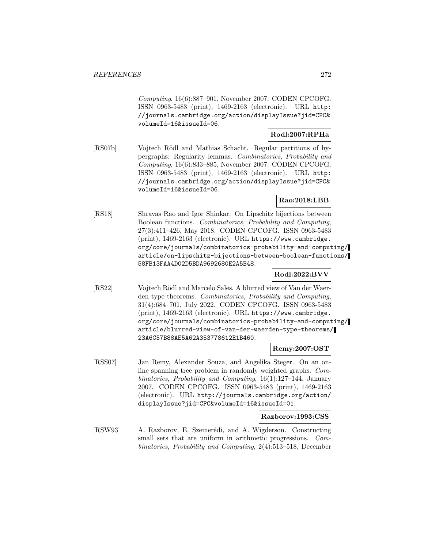Computing, 16(6):887–901, November 2007. CODEN CPCOFG. ISSN 0963-5483 (print), 1469-2163 (electronic). URL http: //journals.cambridge.org/action/displayIssue?jid=CPC& volumeId=16&issueId=06.

# **Rodl:2007:RPHa**

[RS07b] Vojtech Rödl and Mathias Schacht. Regular partitions of hypergraphs: Regularity lemmas. Combinatorics, Probability and Computing, 16(6):833–885, November 2007. CODEN CPCOFG. ISSN 0963-5483 (print), 1469-2163 (electronic). URL http: //journals.cambridge.org/action/displayIssue?jid=CPC& volumeId=16&issueId=06.

# **Rao:2018:LBB**

[RS18] Shravas Rao and Igor Shinkar. On Lipschitz bijections between Boolean functions. Combinatorics, Probability and Computing, 27(3):411–426, May 2018. CODEN CPCOFG. ISSN 0963-5483 (print), 1469-2163 (electronic). URL https://www.cambridge. org/core/journals/combinatorics-probability-and-computing/ article/on-lipschitz-bijections-between-boolean-functions/ 58FB13FAA4D02D5BDA9692680E2A5B48.

# **Rodl:2022:BVV**

[RS22] Vojtech Rödl and Marcelo Sales. A blurred view of Van der Waerden type theorems. Combinatorics, Probability and Computing, 31(4):684–701, July 2022. CODEN CPCOFG. ISSN 0963-5483 (print), 1469-2163 (electronic). URL https://www.cambridge. org/core/journals/combinatorics-probability-and-computing/ article/blurred-view-of-van-der-waerden-type-theorems/ 23A6C57B88AE5A62A353778612E1B460.

### **Remy:2007:OST**

[RSS07] Jan Remy, Alexander Souza, and Angelika Steger. On an online spanning tree problem in randomly weighted graphs. Combinatorics, Probability and Computing, 16(1):127–144, January 2007. CODEN CPCOFG. ISSN 0963-5483 (print), 1469-2163 (electronic). URL http://journals.cambridge.org/action/ displayIssue?jid=CPC&volumeId=16&issueId=01.

### **Razborov:1993:CSS**

[RSW93] A. Razborov, E. Szemerédi, and A. Wigderson. Constructing small sets that are uniform in arithmetic progressions. Combinatorics, Probability and Computing, 2(4):513–518, December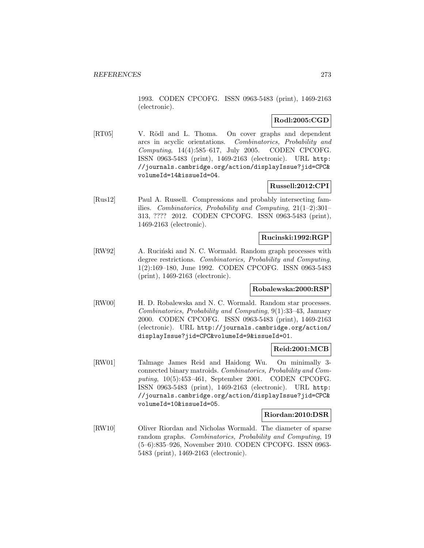1993. CODEN CPCOFG. ISSN 0963-5483 (print), 1469-2163 (electronic).

# **Rodl:2005:CGD**

[RT05] V. Rödl and L. Thoma. On cover graphs and dependent arcs in acyclic orientations. Combinatorics, Probability and Computing, 14(4):585–617, July 2005. CODEN CPCOFG. ISSN 0963-5483 (print), 1469-2163 (electronic). URL http: //journals.cambridge.org/action/displayIssue?jid=CPC& volumeId=14&issueId=04.

# **Russell:2012:CPI**

[Rus12] Paul A. Russell. Compressions and probably intersecting families. Combinatorics, Probability and Computing, 21(1–2):301– 313, ???? 2012. CODEN CPCOFG. ISSN 0963-5483 (print), 1469-2163 (electronic).

### **Rucinski:1992:RGP**

[RW92] A. Ruciński and N. C. Wormald. Random graph processes with degree restrictions. Combinatorics, Probability and Computing, 1(2):169–180, June 1992. CODEN CPCOFG. ISSN 0963-5483 (print), 1469-2163 (electronic).

# **Robalewska:2000:RSP**

[RW00] H. D. Robalewska and N. C. Wormald. Random star processes. Combinatorics, Probability and Computing, 9(1):33–43, January 2000. CODEN CPCOFG. ISSN 0963-5483 (print), 1469-2163 (electronic). URL http://journals.cambridge.org/action/ displayIssue?jid=CPC&volumeId=9&issueId=01.

### **Reid:2001:MCB**

[RW01] Talmage James Reid and Haidong Wu. On minimally 3 connected binary matroids. Combinatorics, Probability and Computing, 10(5):453–461, September 2001. CODEN CPCOFG. ISSN 0963-5483 (print), 1469-2163 (electronic). URL http: //journals.cambridge.org/action/displayIssue?jid=CPC& volumeId=10&issueId=05.

### **Riordan:2010:DSR**

[RW10] Oliver Riordan and Nicholas Wormald. The diameter of sparse random graphs. Combinatorics, Probability and Computing, 19 (5–6):835–926, November 2010. CODEN CPCOFG. ISSN 0963- 5483 (print), 1469-2163 (electronic).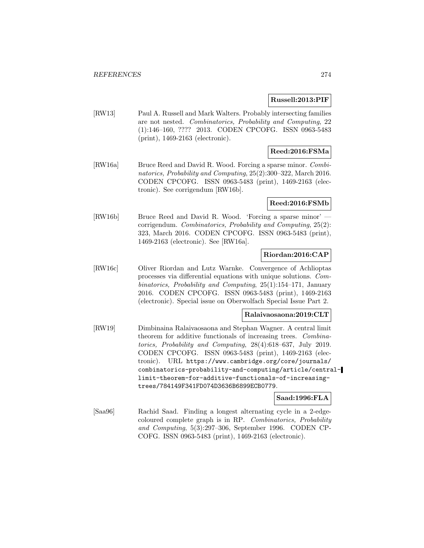### **Russell:2013:PIF**

[RW13] Paul A. Russell and Mark Walters. Probably intersecting families are not nested. Combinatorics, Probability and Computing, 22 (1):146–160, ???? 2013. CODEN CPCOFG. ISSN 0963-5483 (print), 1469-2163 (electronic).

# **Reed:2016:FSMa**

[RW16a] Bruce Reed and David R. Wood. Forcing a sparse minor. Combinatorics, Probability and Computing, 25(2):300–322, March 2016. CODEN CPCOFG. ISSN 0963-5483 (print), 1469-2163 (electronic). See corrigendum [RW16b].

## **Reed:2016:FSMb**

[RW16b] Bruce Reed and David R. Wood. 'Forcing a sparse minor' corrigendum. Combinatorics, Probability and Computing, 25(2): 323, March 2016. CODEN CPCOFG. ISSN 0963-5483 (print), 1469-2163 (electronic). See [RW16a].

# **Riordan:2016:CAP**

[RW16c] Oliver Riordan and Lutz Warnke. Convergence of Achlioptas processes via differential equations with unique solutions. Combinatorics, Probability and Computing, 25(1):154–171, January 2016. CODEN CPCOFG. ISSN 0963-5483 (print), 1469-2163 (electronic). Special issue on Oberwolfach Special Issue Part 2.

### **Ralaivaosaona:2019:CLT**

[RW19] Dimbinaina Ralaivaosaona and Stephan Wagner. A central limit theorem for additive functionals of increasing trees. Combinatorics, Probability and Computing, 28(4):618–637, July 2019. CODEN CPCOFG. ISSN 0963-5483 (print), 1469-2163 (electronic). URL https://www.cambridge.org/core/journals/ combinatorics-probability-and-computing/article/centrallimit-theorem-for-additive-functionals-of-increasingtrees/784149F341FD074D3636B6899ECB0779.

### **Saad:1996:FLA**

[Saa96] Rachid Saad. Finding a longest alternating cycle in a 2-edgecoloured complete graph is in RP. Combinatorics, Probability and Computing, 5(3):297–306, September 1996. CODEN CP-COFG. ISSN 0963-5483 (print), 1469-2163 (electronic).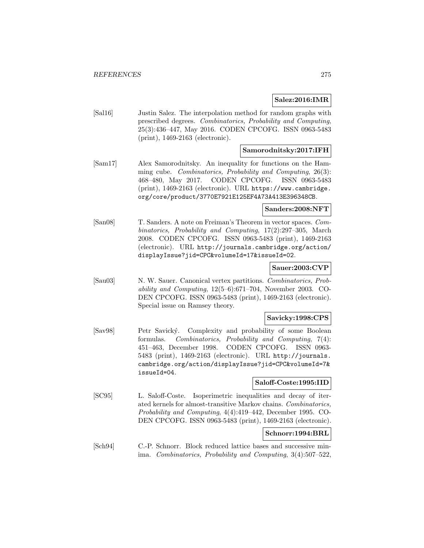## **Salez:2016:IMR**

[Sal16] Justin Salez. The interpolation method for random graphs with prescribed degrees. Combinatorics, Probability and Computing, 25(3):436–447, May 2016. CODEN CPCOFG. ISSN 0963-5483 (print), 1469-2163 (electronic).

# **Samorodnitsky:2017:IFH**

[Sam17] Alex Samorodnitsky. An inequality for functions on the Hamming cube. Combinatorics, Probability and Computing, 26(3): 468–480, May 2017. CODEN CPCOFG. ISSN 0963-5483 (print), 1469-2163 (electronic). URL https://www.cambridge. org/core/product/3770E7921E125EF4A73A413E396348CB.

### **Sanders:2008:NFT**

[San08] T. Sanders. A note on Freiman's Theorem in vector spaces. Combinatorics, Probability and Computing, 17(2):297–305, March 2008. CODEN CPCOFG. ISSN 0963-5483 (print), 1469-2163 (electronic). URL http://journals.cambridge.org/action/ displayIssue?jid=CPC&volumeId=17&issueId=02.

# **Sauer:2003:CVP**

[Sau03] N. W. Sauer. Canonical vertex partitions. Combinatorics, Probability and Computing, 12(5–6):671–704, November 2003. CO-DEN CPCOFG. ISSN 0963-5483 (print), 1469-2163 (electronic). Special issue on Ramsey theory.

# **Savicky:1998:CPS**

[Sav98] Petr Savický. Complexity and probability of some Boolean formulas. Combinatorics, Probability and Computing, 7(4): 451–463, December 1998. CODEN CPCOFG. ISSN 0963- 5483 (print), 1469-2163 (electronic). URL http://journals. cambridge.org/action/displayIssue?jid=CPC&volumeId=7& issueId=04.

### **Saloff-Coste:1995:IID**

[SC95] L. Saloff-Coste. Isoperimetric inequalities and decay of iterated kernels for almost-transitive Markov chains. Combinatorics, Probability and Computing, 4(4):419–442, December 1995. CO-DEN CPCOFG. ISSN 0963-5483 (print), 1469-2163 (electronic).

# **Schnorr:1994:BRL**

[Sch94] C.-P. Schnorr. Block reduced lattice bases and successive minima. Combinatorics, Probability and Computing, 3(4):507–522,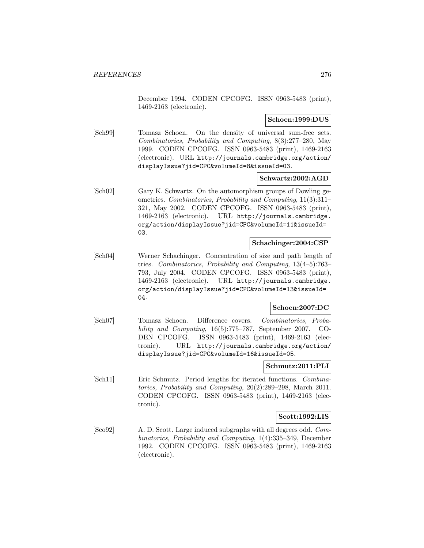December 1994. CODEN CPCOFG. ISSN 0963-5483 (print), 1469-2163 (electronic).

### **Schoen:1999:DUS**

[Sch99] Tomasz Schoen. On the density of universal sum-free sets. Combinatorics, Probability and Computing, 8(3):277–280, May 1999. CODEN CPCOFG. ISSN 0963-5483 (print), 1469-2163 (electronic). URL http://journals.cambridge.org/action/ displayIssue?jid=CPC&volumeId=8&issueId=03.

### **Schwartz:2002:AGD**

[Sch02] Gary K. Schwartz. On the automorphism groups of Dowling geometries. Combinatorics, Probability and Computing, 11(3):311– 321, May 2002. CODEN CPCOFG. ISSN 0963-5483 (print), 1469-2163 (electronic). URL http://journals.cambridge. org/action/displayIssue?jid=CPC&volumeId=11&issueId= 03.

# **Schachinger:2004:CSP**

[Sch04] Werner Schachinger. Concentration of size and path length of tries. Combinatorics, Probability and Computing, 13(4–5):763– 793, July 2004. CODEN CPCOFG. ISSN 0963-5483 (print), 1469-2163 (electronic). URL http://journals.cambridge. org/action/displayIssue?jid=CPC&volumeId=13&issueId= 04.

# **Schoen:2007:DC**

[Sch07] Tomasz Schoen. Difference covers. Combinatorics, Probability and Computing, 16(5):775–787, September 2007. CO-DEN CPCOFG. ISSN 0963-5483 (print), 1469-2163 (electronic). URL http://journals.cambridge.org/action/ displayIssue?jid=CPC&volumeId=16&issueId=05.

### **Schmutz:2011:PLI**

[Sch11] Eric Schmutz. Period lengths for iterated functions. Combinatorics, Probability and Computing, 20(2):289–298, March 2011. CODEN CPCOFG. ISSN 0963-5483 (print), 1469-2163 (electronic).

### **Scott:1992:LIS**

[Sco92] A. D. Scott. Large induced subgraphs with all degrees odd. Combinatorics, Probability and Computing, 1(4):335–349, December 1992. CODEN CPCOFG. ISSN 0963-5483 (print), 1469-2163 (electronic).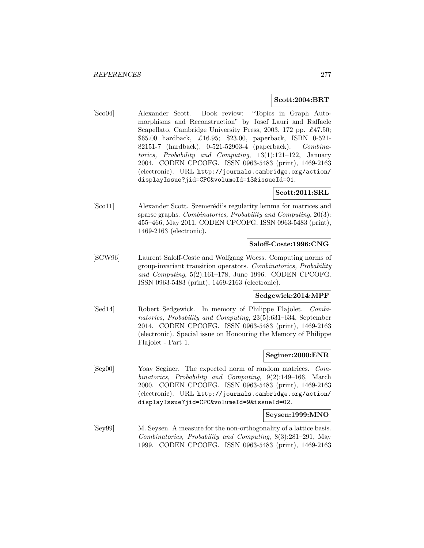### **Scott:2004:BRT**

[Sco04] Alexander Scott. Book review: "Topics in Graph Automorphisms and Reconstruction" by Josef Lauri and Raffaele Scapellato, Cambridge University Press, 2003, 172 pp. £47.50; \$65.00 hardback, £16.95; \$23.00, paperback, ISBN 0-521- 82151-7 (hardback), 0-521-52903-4 (paperback). Combinatorics, Probability and Computing, 13(1):121–122, January 2004. CODEN CPCOFG. ISSN 0963-5483 (print), 1469-2163 (electronic). URL http://journals.cambridge.org/action/ displayIssue?jid=CPC&volumeId=13&issueId=01.

## **Scott:2011:SRL**

[Sco11] Alexander Scott. Szemerédi's regularity lemma for matrices and sparse graphs. Combinatorics, Probability and Computing, 20(3): 455–466, May 2011. CODEN CPCOFG. ISSN 0963-5483 (print), 1469-2163 (electronic).

## **Saloff-Coste:1996:CNG**

[SCW96] Laurent Saloff-Coste and Wolfgang Woess. Computing norms of group-invariant transition operators. Combinatorics, Probability and Computing, 5(2):161–178, June 1996. CODEN CPCOFG. ISSN 0963-5483 (print), 1469-2163 (electronic).

# **Sedgewick:2014:MPF**

[Sed14] Robert Sedgewick. In memory of Philippe Flajolet. Combinatorics, Probability and Computing, 23(5):631–634, September 2014. CODEN CPCOFG. ISSN 0963-5483 (print), 1469-2163 (electronic). Special issue on Honouring the Memory of Philippe Flajolet - Part 1.

### **Seginer:2000:ENR**

[Seg00] Yoav Seginer. The expected norm of random matrices. Combinatorics, Probability and Computing, 9(2):149–166, March 2000. CODEN CPCOFG. ISSN 0963-5483 (print), 1469-2163 (electronic). URL http://journals.cambridge.org/action/ displayIssue?jid=CPC&volumeId=9&issueId=02.

### **Seysen:1999:MNO**

[Sey99] M. Seysen. A measure for the non-orthogonality of a lattice basis. Combinatorics, Probability and Computing, 8(3):281–291, May 1999. CODEN CPCOFG. ISSN 0963-5483 (print), 1469-2163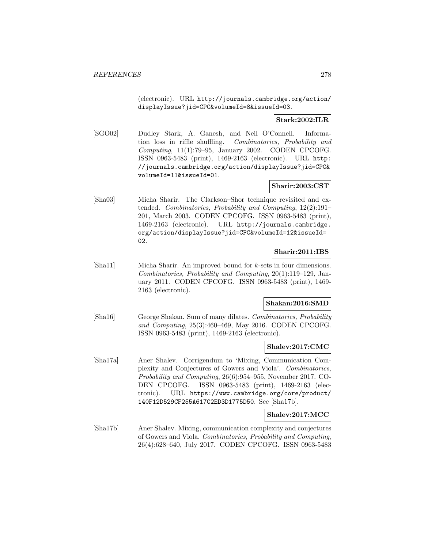(electronic). URL http://journals.cambridge.org/action/ displayIssue?jid=CPC&volumeId=8&issueId=03.

# **Stark:2002:ILR**

[SGO02] Dudley Stark, A. Ganesh, and Neil O'Connell. Information loss in riffle shuffling. Combinatorics, Probability and Computing, 11(1):79–95, January 2002. CODEN CPCOFG. ISSN 0963-5483 (print), 1469-2163 (electronic). URL http: //journals.cambridge.org/action/displayIssue?jid=CPC& volumeId=11&issueId=01.

# **Sharir:2003:CST**

[Sha03] Micha Sharir. The Clarkson–Shor technique revisited and extended. Combinatorics, Probability and Computing, 12(2):191– 201, March 2003. CODEN CPCOFG. ISSN 0963-5483 (print), 1469-2163 (electronic). URL http://journals.cambridge. org/action/displayIssue?jid=CPC&volumeId=12&issueId= 02.

# **Sharir:2011:IBS**

[Sha11] Micha Sharir. An improved bound for k-sets in four dimensions. Combinatorics, Probability and Computing, 20(1):119–129, January 2011. CODEN CPCOFG. ISSN 0963-5483 (print), 1469- 2163 (electronic).

# **Shakan:2016:SMD**

[Sha16] George Shakan. Sum of many dilates. Combinatorics, Probability and Computing, 25(3):460–469, May 2016. CODEN CPCOFG. ISSN 0963-5483 (print), 1469-2163 (electronic).

### **Shalev:2017:CMC**

[Sha17a] Aner Shalev. Corrigendum to 'Mixing, Communication Complexity and Conjectures of Gowers and Viola'. Combinatorics, Probability and Computing, 26(6):954–955, November 2017. CO-DEN CPCOFG. ISSN 0963-5483 (print), 1469-2163 (electronic). URL https://www.cambridge.org/core/product/ 140F12D529CF255A617C2ED3D1775D50. See [Sha17b].

# **Shalev:2017:MCC**

[Sha17b] Aner Shalev. Mixing, communication complexity and conjectures of Gowers and Viola. Combinatorics, Probability and Computing, 26(4):628–640, July 2017. CODEN CPCOFG. ISSN 0963-5483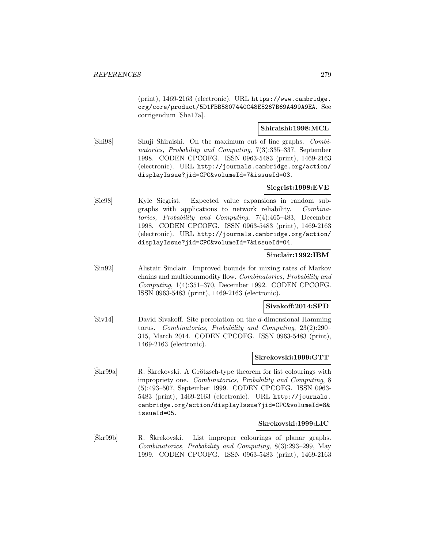(print), 1469-2163 (electronic). URL https://www.cambridge. org/core/product/5D1FBB5807440C48E5267B69A499A9EA. See corrigendum [Sha17a].

# **Shiraishi:1998:MCL**

[Shi98] Shuji Shiraishi. On the maximum cut of line graphs. Combinatorics, Probability and Computing, 7(3):335–337, September 1998. CODEN CPCOFG. ISSN 0963-5483 (print), 1469-2163 (electronic). URL http://journals.cambridge.org/action/ displayIssue?jid=CPC&volumeId=7&issueId=03.

# **Siegrist:1998:EVE**

[Sie98] Kyle Siegrist. Expected value expansions in random subgraphs with applications to network reliability. Combinatorics, Probability and Computing, 7(4):465–483, December 1998. CODEN CPCOFG. ISSN 0963-5483 (print), 1469-2163 (electronic). URL http://journals.cambridge.org/action/ displayIssue?jid=CPC&volumeId=7&issueId=04.

# **Sinclair:1992:IBM**

[Sin92] Alistair Sinclair. Improved bounds for mixing rates of Markov chains and multicommodity flow. Combinatorics, Probability and Computing, 1(4):351–370, December 1992. CODEN CPCOFG. ISSN 0963-5483 (print), 1469-2163 (electronic).

### **Sivakoff:2014:SPD**

[Siv14] David Sivakoff. Site percolation on the d-dimensional Hamming torus. Combinatorics, Probability and Computing, 23(2):290– 315, March 2014. CODEN CPCOFG. ISSN 0963-5483 (print), 1469-2163 (electronic).

## **Skrekovski:1999:GTT**

 $[\text{Škr99a}]$  R.  $\text{Škrekovski}$ . A Grötzsch-type theorem for list colourings with impropriety one. Combinatorics, Probability and Computing, 8 (5):493–507, September 1999. CODEN CPCOFG. ISSN 0963- 5483 (print), 1469-2163 (electronic). URL http://journals. cambridge.org/action/displayIssue?jid=CPC&volumeId=8& issueId=05.

### **Skrekovski:1999:LIC**

[Škr99b] R. Škrekovski. List improper colourings of planar graphs. Combinatorics, Probability and Computing, 8(3):293–299, May 1999. CODEN CPCOFG. ISSN 0963-5483 (print), 1469-2163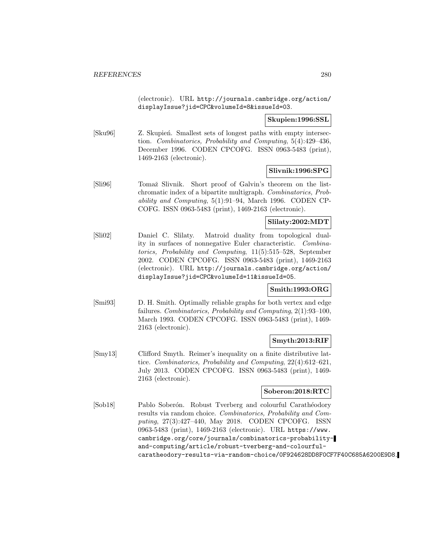(electronic). URL http://journals.cambridge.org/action/ displayIssue?jid=CPC&volumeId=8&issueId=03.

## **Skupien:1996:SSL**

[Sku96] Z. Skupien. Smallest sets of longest paths with empty intersection. Combinatorics, Probability and Computing, 5(4):429–436, December 1996. CODEN CPCOFG. ISSN 0963-5483 (print), 1469-2163 (electronic).

# **Slivnik:1996:SPG**

[Sli96] Tomaˇz Slivnik. Short proof of Galvin's theorem on the listchromatic index of a bipartite multigraph. Combinatorics, Probability and Computing, 5(1):91–94, March 1996. CODEN CP-COFG. ISSN 0963-5483 (print), 1469-2163 (electronic).

# **Slilaty:2002:MDT**

[Sli02] Daniel C. Slilaty. Matroid duality from topological duality in surfaces of nonnegative Euler characteristic. Combinatorics, Probability and Computing, 11(5):515–528, September 2002. CODEN CPCOFG. ISSN 0963-5483 (print), 1469-2163 (electronic). URL http://journals.cambridge.org/action/ displayIssue?jid=CPC&volumeId=11&issueId=05.

# **Smith:1993:ORG**

[Smi93] D. H. Smith. Optimally reliable graphs for both vertex and edge failures. Combinatorics, Probability and Computing, 2(1):93–100, March 1993. CODEN CPCOFG. ISSN 0963-5483 (print), 1469- 2163 (electronic).

# **Smyth:2013:RIF**

[Smy13] Clifford Smyth. Reimer's inequality on a finite distributive lattice. Combinatorics, Probability and Computing, 22(4):612–621, July 2013. CODEN CPCOFG. ISSN 0963-5483 (print), 1469- 2163 (electronic).

# **Soberon:2018:RTC**

[Sob18] Pablo Soberón. Robust Tverberg and colourful Carathéodory results via random choice. Combinatorics, Probability and Computing, 27(3):427–440, May 2018. CODEN CPCOFG. ISSN 0963-5483 (print), 1469-2163 (electronic). URL https://www. cambridge.org/core/journals/combinatorics-probabilityand-computing/article/robust-tverberg-and-colourfulcaratheodory-results-via-random-choice/0F924628DD8F0CF7F40C685A6200E9D8.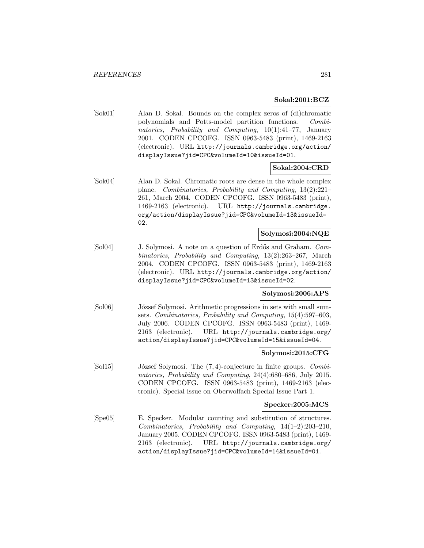### **Sokal:2001:BCZ**

[Sok01] Alan D. Sokal. Bounds on the complex zeros of (di)chromatic polynomials and Potts-model partition functions. Combinatorics, Probability and Computing, 10(1):41–77, January 2001. CODEN CPCOFG. ISSN 0963-5483 (print), 1469-2163 (electronic). URL http://journals.cambridge.org/action/ displayIssue?jid=CPC&volumeId=10&issueId=01.

### **Sokal:2004:CRD**

[Sok04] Alan D. Sokal. Chromatic roots are dense in the whole complex plane. Combinatorics, Probability and Computing, 13(2):221– 261, March 2004. CODEN CPCOFG. ISSN 0963-5483 (print), 1469-2163 (electronic). URL http://journals.cambridge. org/action/displayIssue?jid=CPC&volumeId=13&issueId= 02.

## **Solymosi:2004:NQE**

[Sol04] J. Solymosi. A note on a question of Erdős and Graham. Combinatorics, Probability and Computing, 13(2):263–267, March 2004. CODEN CPCOFG. ISSN 0963-5483 (print), 1469-2163 (electronic). URL http://journals.cambridge.org/action/ displayIssue?jid=CPC&volumeId=13&issueId=02.

### **Solymosi:2006:APS**

[Sol06] József Solymosi. Arithmetic progressions in sets with small sumsets. Combinatorics, Probability and Computing, 15(4):597–603, July 2006. CODEN CPCOFG. ISSN 0963-5483 (print), 1469- 2163 (electronic). URL http://journals.cambridge.org/ action/displayIssue?jid=CPC&volumeId=15&issueId=04.

### **Solymosi:2015:CFG**

 $[Sol15]$  József Solymosi. The  $(7, 4)$ -conjecture in finite groups. Combinatorics, Probability and Computing, 24(4):680–686, July 2015. CODEN CPCOFG. ISSN 0963-5483 (print), 1469-2163 (electronic). Special issue on Oberwolfach Special Issue Part 1.

#### **Specker:2005:MCS**

[Spe05] E. Specker. Modular counting and substitution of structures. Combinatorics, Probability and Computing, 14(1–2):203–210, January 2005. CODEN CPCOFG. ISSN 0963-5483 (print), 1469- 2163 (electronic). URL http://journals.cambridge.org/ action/displayIssue?jid=CPC&volumeId=14&issueId=01.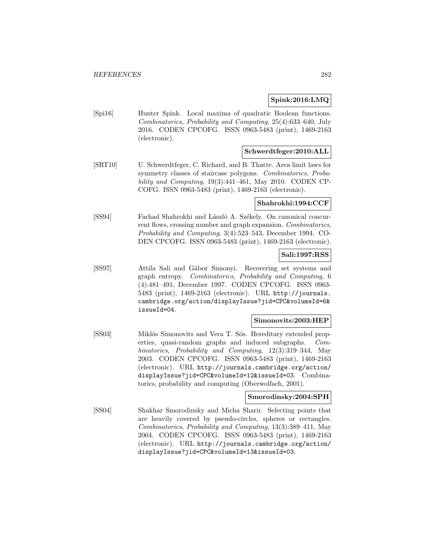## **Spink:2016:LMQ**

[Spi16] Hunter Spink. Local maxima of quadratic Boolean functions. Combinatorics, Probability and Computing, 25(4):633–640, July 2016. CODEN CPCOFG. ISSN 0963-5483 (print), 1469-2163 (electronic).

# **Schwerdtfeger:2010:ALL**

[SRT10] U. Schwerdtfeger, C. Richard, and B. Thatte. Area limit laws for symmetry classes of staircase polygons. Combinatorics, Probability and Computing, 19(3):441–461, May 2010. CODEN CP-COFG. ISSN 0963-5483 (print), 1469-2163 (electronic).

# **Shahrokhi:1994:CCF**

[SS94] Farhad Shahrokhi and László A. Székely. On canonical concurrent flows, crossing number and graph expansion. Combinatorics, Probability and Computing, 3(4):523–543, December 1994. CO-DEN CPCOFG. ISSN 0963-5483 (print), 1469-2163 (electronic).

# **Sali:1997:RSS**

[SS97] Attila Sali and Gábor Simonyi. Recovering set systems and graph entropy. Combinatorics, Probability and Computing, 6 (4):481–491, December 1997. CODEN CPCOFG. ISSN 0963- 5483 (print), 1469-2163 (electronic). URL http://journals. cambridge.org/action/displayIssue?jid=CPC&volumeId=6& issueId=04.

### **Simonovits:2003:HEP**

[SS03] Miklós Simonovits and Vera T. Sós. Hereditary extended properties, quasi-random graphs and induced subgraphs. Combinatorics, Probability and Computing, 12(3):319–344, May 2003. CODEN CPCOFG. ISSN 0963-5483 (print), 1469-2163 (electronic). URL http://journals.cambridge.org/action/ displayIssue?jid=CPC&volumeId=12&issueId=03. Combinatorics, probability and computing (Oberwolfach, 2001).

#### **Smorodinsky:2004:SPH**

[SS04] Shakhar Smorodinsky and Micha Sharir. Selecting points that are heavily covered by pseudo-circles, spheres or rectangles. Combinatorics, Probability and Computing, 13(3):389–411, May 2004. CODEN CPCOFG. ISSN 0963-5483 (print), 1469-2163 (electronic). URL http://journals.cambridge.org/action/ displayIssue?jid=CPC&volumeId=13&issueId=03.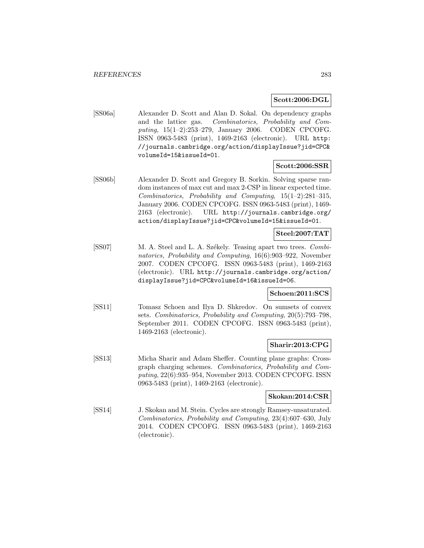## **Scott:2006:DGL**

[SS06a] Alexander D. Scott and Alan D. Sokal. On dependency graphs and the lattice gas. Combinatorics, Probability and Computing, 15(1–2):253–279, January 2006. CODEN CPCOFG. ISSN 0963-5483 (print), 1469-2163 (electronic). URL http: //journals.cambridge.org/action/displayIssue?jid=CPC& volumeId=15&issueId=01.

### **Scott:2006:SSR**

[SS06b] Alexander D. Scott and Gregory B. Sorkin. Solving sparse random instances of max cut and max 2-CSP in linear expected time. Combinatorics, Probability and Computing, 15(1–2):281–315, January 2006. CODEN CPCOFG. ISSN 0963-5483 (print), 1469- 2163 (electronic). URL http://journals.cambridge.org/ action/displayIssue?jid=CPC&volumeId=15&issueId=01.

# **Steel:2007:TAT**

[SS07] M. A. Steel and L. A. Székely. Teasing apart two trees. Combinatorics, Probability and Computing, 16(6):903–922, November 2007. CODEN CPCOFG. ISSN 0963-5483 (print), 1469-2163 (electronic). URL http://journals.cambridge.org/action/ displayIssue?jid=CPC&volumeId=16&issueId=06.

### **Schoen:2011:SCS**

[SS11] Tomasz Schoen and Ilya D. Shkredov. On sumsets of convex sets. Combinatorics, Probability and Computing, 20(5):793–798, September 2011. CODEN CPCOFG. ISSN 0963-5483 (print), 1469-2163 (electronic).

# **Sharir:2013:CPG**

[SS13] Micha Sharir and Adam Sheffer. Counting plane graphs: Crossgraph charging schemes. Combinatorics, Probability and Computing, 22(6):935–954, November 2013. CODEN CPCOFG. ISSN 0963-5483 (print), 1469-2163 (electronic).

### **Skokan:2014:CSR**

[SS14] J. Skokan and M. Stein. Cycles are strongly Ramsey-unsaturated. Combinatorics, Probability and Computing, 23(4):607–630, July 2014. CODEN CPCOFG. ISSN 0963-5483 (print), 1469-2163 (electronic).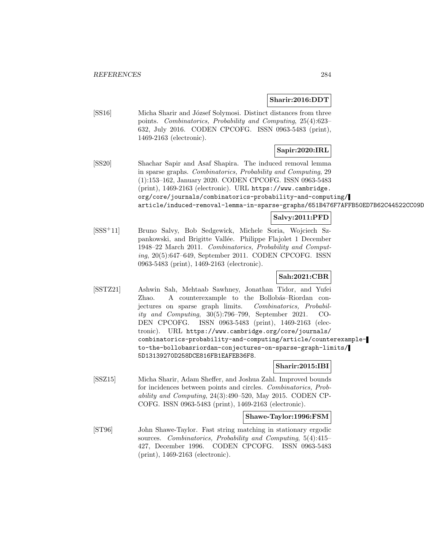### **Sharir:2016:DDT**

[SS16] Micha Sharir and József Solymosi. Distinct distances from three points. Combinatorics, Probability and Computing, 25(4):623– 632, July 2016. CODEN CPCOFG. ISSN 0963-5483 (print), 1469-2163 (electronic).

# **Sapir:2020:IRL**

[SS20] Shachar Sapir and Asaf Shapira. The induced removal lemma in sparse graphs. Combinatorics, Probability and Computing, 29 (1):153–162, January 2020. CODEN CPCOFG. ISSN 0963-5483 (print), 1469-2163 (electronic). URL https://www.cambridge. org/core/journals/combinatorics-probability-and-computing/ article/induced-removal-lemma-in-sparse-graphs/651B476F7AFFB50ED7B62C44522CC09D

# **Salvy:2011:PFD**

[SSS<sup>+</sup>11] Bruno Salvy, Bob Sedgewick, Michele Soria, Wojciech Szpankowski, and Brigitte Vall´ee. Philippe Flajolet 1 December 1948–22 March 2011. Combinatorics, Probability and Computing, 20(5):647–649, September 2011. CODEN CPCOFG. ISSN 0963-5483 (print), 1469-2163 (electronic).

# **Sah:2021:CBR**

[SSTZ21] Ashwin Sah, Mehtaab Sawhney, Jonathan Tidor, and Yufei Zhao. A counterexample to the Bollobás–Riordan conjectures on sparse graph limits. Combinatorics, Probability and Computing, 30(5):796–799, September 2021. CO-DEN CPCOFG. ISSN 0963-5483 (print), 1469-2163 (electronic). URL https://www.cambridge.org/core/journals/ combinatorics-probability-and-computing/article/counterexampleto-the-bollobasriordan-conjectures-on-sparse-graph-limits/ 5D13139270D258DCE816FB1EAFEB36F8.

### **Sharir:2015:IBI**

[SSZ15] Micha Sharir, Adam Sheffer, and Joshua Zahl. Improved bounds for incidences between points and circles. Combinatorics, Probability and Computing, 24(3):490–520, May 2015. CODEN CP-COFG. ISSN 0963-5483 (print), 1469-2163 (electronic).

### **Shawe-Taylor:1996:FSM**

[ST96] John Shawe-Taylor. Fast string matching in stationary ergodic sources. Combinatorics, Probability and Computing, 5(4):415– 427, December 1996. CODEN CPCOFG. ISSN 0963-5483 (print), 1469-2163 (electronic).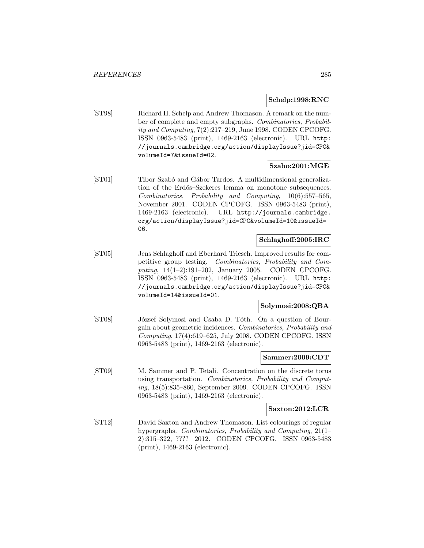# **Schelp:1998:RNC**

[ST98] Richard H. Schelp and Andrew Thomason. A remark on the number of complete and empty subgraphs. Combinatorics, Probability and Computing, 7(2):217–219, June 1998. CODEN CPCOFG. ISSN 0963-5483 (print), 1469-2163 (electronic). URL http: //journals.cambridge.org/action/displayIssue?jid=CPC& volumeId=7&issueId=02.

# **Szabo:2001:MGE**

[ST01] Tibor Szabó and Gábor Tardos. A multidimensional generalization of the Erdős–Szekeres lemma on monotone subsequences. Combinatorics, Probability and Computing, 10(6):557–565, November 2001. CODEN CPCOFG. ISSN 0963-5483 (print), 1469-2163 (electronic). URL http://journals.cambridge. org/action/displayIssue?jid=CPC&volumeId=10&issueId= 06.

# **Schlaghoff:2005:IRC**

[ST05] Jens Schlaghoff and Eberhard Triesch. Improved results for competitive group testing. Combinatorics, Probability and Computing, 14(1–2):191–202, January 2005. CODEN CPCOFG. ISSN 0963-5483 (print), 1469-2163 (electronic). URL http: //journals.cambridge.org/action/displayIssue?jid=CPC& volumeId=14&issueId=01.

### **Solymosi:2008:QBA**

[ST08] József Solymosi and Csaba D. Tóth. On a question of Bourgain about geometric incidences. Combinatorics, Probability and Computing, 17(4):619–625, July 2008. CODEN CPCOFG. ISSN 0963-5483 (print), 1469-2163 (electronic).

#### **Sammer:2009:CDT**

[ST09] M. Sammer and P. Tetali. Concentration on the discrete torus using transportation. Combinatorics, Probability and Computing, 18(5):835–860, September 2009. CODEN CPCOFG. ISSN 0963-5483 (print), 1469-2163 (electronic).

### **Saxton:2012:LCR**

[ST12] David Saxton and Andrew Thomason. List colourings of regular hypergraphs. Combinatorics, Probability and Computing, 21(1-2):315–322, ???? 2012. CODEN CPCOFG. ISSN 0963-5483 (print), 1469-2163 (electronic).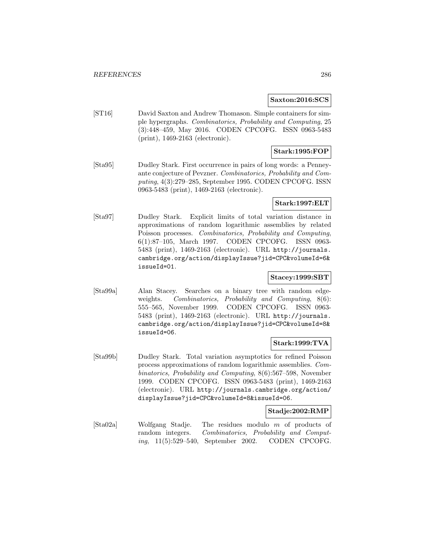### **Saxton:2016:SCS**

[ST16] David Saxton and Andrew Thomason. Simple containers for simple hypergraphs. Combinatorics, Probability and Computing, 25 (3):448–459, May 2016. CODEN CPCOFG. ISSN 0963-5483 (print), 1469-2163 (electronic).

# **Stark:1995:FOP**

[Sta95] Dudley Stark. First occurrence in pairs of long words: a Penneyante conjecture of Pevzner. Combinatorics, Probability and Computing, 4(3):279–285, September 1995. CODEN CPCOFG. ISSN 0963-5483 (print), 1469-2163 (electronic).

# **Stark:1997:ELT**

[Sta97] Dudley Stark. Explicit limits of total variation distance in approximations of random logarithmic assemblies by related Poisson processes. Combinatorics, Probability and Computing, 6(1):87–105, March 1997. CODEN CPCOFG. ISSN 0963- 5483 (print), 1469-2163 (electronic). URL http://journals. cambridge.org/action/displayIssue?jid=CPC&volumeId=6& issueId=01.

# **Stacey:1999:SBT**

[Sta99a] Alan Stacey. Searches on a binary tree with random edgeweights. Combinatorics, Probability and Computing, 8(6): 555–565, November 1999. CODEN CPCOFG. ISSN 0963- 5483 (print), 1469-2163 (electronic). URL http://journals. cambridge.org/action/displayIssue?jid=CPC&volumeId=8& issueId=06.

# **Stark:1999:TVA**

[Sta99b] Dudley Stark. Total variation asymptotics for refined Poisson process approximations of random logarithmic assemblies. Combinatorics, Probability and Computing, 8(6):567–598, November 1999. CODEN CPCOFG. ISSN 0963-5483 (print), 1469-2163 (electronic). URL http://journals.cambridge.org/action/ displayIssue?jid=CPC&volumeId=8&issueId=06.

## **Stadje:2002:RMP**

[Sta02a] Wolfgang Stadje. The residues modulo m of products of random integers. Combinatorics, Probability and Computing, 11(5):529–540, September 2002. CODEN CPCOFG.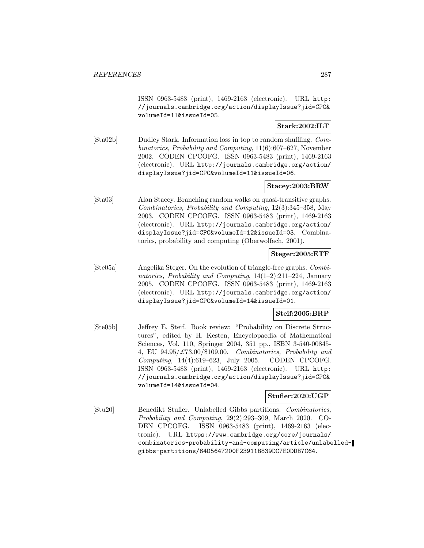ISSN 0963-5483 (print), 1469-2163 (electronic). URL http: //journals.cambridge.org/action/displayIssue?jid=CPC& volumeId=11&issueId=05.

# **Stark:2002:ILT**

[Sta02b] Dudley Stark. Information loss in top to random shuffling. Combinatorics, Probability and Computing, 11(6):607–627, November 2002. CODEN CPCOFG. ISSN 0963-5483 (print), 1469-2163 (electronic). URL http://journals.cambridge.org/action/ displayIssue?jid=CPC&volumeId=11&issueId=06.

# **Stacey:2003:BRW**

[Sta03] Alan Stacey. Branching random walks on quasi-transitive graphs. Combinatorics, Probability and Computing, 12(3):345–358, May 2003. CODEN CPCOFG. ISSN 0963-5483 (print), 1469-2163 (electronic). URL http://journals.cambridge.org/action/ displayIssue?jid=CPC&volumeId=12&issueId=03. Combinatorics, probability and computing (Oberwolfach, 2001).

# **Steger:2005:ETF**

[Ste05a] Angelika Steger. On the evolution of triangle-free graphs. Combinatorics, Probability and Computing,  $14(1-2):211-224$ , January 2005. CODEN CPCOFG. ISSN 0963-5483 (print), 1469-2163 (electronic). URL http://journals.cambridge.org/action/ displayIssue?jid=CPC&volumeId=14&issueId=01.

### **Steif:2005:BRP**

[Ste05b] Jeffrey E. Steif. Book review: "Probability on Discrete Structures", edited by H. Kesten, Encyclopaedia of Mathematical Sciences, Vol. 110, Springer 2004, 351 pp., ISBN 3-540-00845- 4, EU  $94.95/\text{\textsterling}73.00/\text{\textsterling}109.00$ . Combinatorics, Probability and Computing, 14(4):619–623, July 2005. CODEN CPCOFG. ISSN 0963-5483 (print), 1469-2163 (electronic). URL http: //journals.cambridge.org/action/displayIssue?jid=CPC& volumeId=14&issueId=04.

### **Stufler:2020:UGP**

[Stu20] Benedikt Stufler. Unlabelled Gibbs partitions. Combinatorics, Probability and Computing, 29(2):293–309, March 2020. CO-DEN CPCOFG. ISSN 0963-5483 (print), 1469-2163 (electronic). URL https://www.cambridge.org/core/journals/ combinatorics-probability-and-computing/article/unlabelledgibbs-partitions/64D5647200F23911B839DC7E0DDB7C64.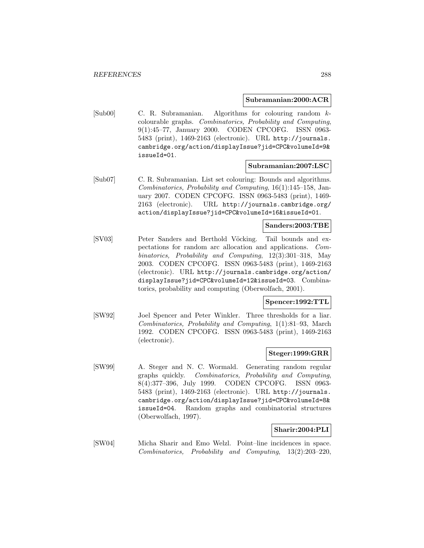### **Subramanian:2000:ACR**

[Sub00] C. R. Subramanian. Algorithms for colouring random kcolourable graphs. Combinatorics, Probability and Computing, 9(1):45–77, January 2000. CODEN CPCOFG. ISSN 0963- 5483 (print), 1469-2163 (electronic). URL http://journals. cambridge.org/action/displayIssue?jid=CPC&volumeId=9& issueId=01.

### **Subramanian:2007:LSC**

[Sub07] C. R. Subramanian. List set colouring: Bounds and algorithms. Combinatorics, Probability and Computing, 16(1):145–158, January 2007. CODEN CPCOFG. ISSN 0963-5483 (print), 1469- 2163 (electronic). URL http://journals.cambridge.org/ action/displayIssue?jid=CPC&volumeId=16&issueId=01.

## **Sanders:2003:TBE**

[SV03] Peter Sanders and Berthold Vöcking. Tail bounds and expectations for random arc allocation and applications. Combinatorics, Probability and Computing, 12(3):301–318, May 2003. CODEN CPCOFG. ISSN 0963-5483 (print), 1469-2163 (electronic). URL http://journals.cambridge.org/action/ displayIssue?jid=CPC&volumeId=12&issueId=03. Combinatorics, probability and computing (Oberwolfach, 2001).

### **Spencer:1992:TTL**

[SW92] Joel Spencer and Peter Winkler. Three thresholds for a liar. Combinatorics, Probability and Computing, 1(1):81–93, March 1992. CODEN CPCOFG. ISSN 0963-5483 (print), 1469-2163 (electronic).

# **Steger:1999:GRR**

[SW99] A. Steger and N. C. Wormald. Generating random regular graphs quickly. Combinatorics, Probability and Computing, 8(4):377–396, July 1999. CODEN CPCOFG. ISSN 0963- 5483 (print), 1469-2163 (electronic). URL http://journals. cambridge.org/action/displayIssue?jid=CPC&volumeId=8& issueId=04. Random graphs and combinatorial structures (Oberwolfach, 1997).

### **Sharir:2004:PLI**

[SW04] Micha Sharir and Emo Welzl. Point–line incidences in space. Combinatorics, Probability and Computing, 13(2):203–220,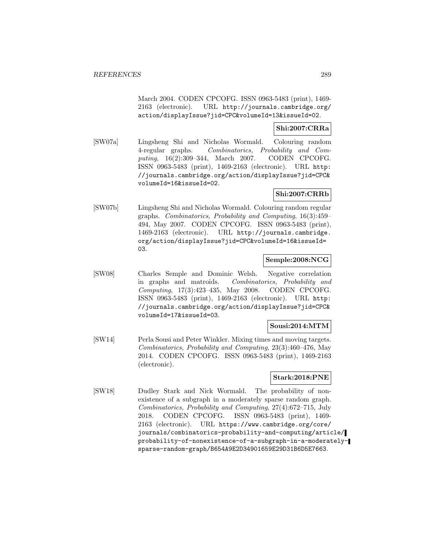March 2004. CODEN CPCOFG. ISSN 0963-5483 (print), 1469- 2163 (electronic). URL http://journals.cambridge.org/ action/displayIssue?jid=CPC&volumeId=13&issueId=02.

## **Shi:2007:CRRa**

[SW07a] Lingsheng Shi and Nicholas Wormald. Colouring random 4-regular graphs. Combinatorics, Probability and Computing, 16(2):309–344, March 2007. CODEN CPCOFG. ISSN 0963-5483 (print), 1469-2163 (electronic). URL http: //journals.cambridge.org/action/displayIssue?jid=CPC& volumeId=16&issueId=02.

# **Shi:2007:CRRb**

[SW07b] Lingsheng Shi and Nicholas Wormald. Colouring random regular graphs. Combinatorics, Probability and Computing, 16(3):459– 494, May 2007. CODEN CPCOFG. ISSN 0963-5483 (print), 1469-2163 (electronic). URL http://journals.cambridge. org/action/displayIssue?jid=CPC&volumeId=16&issueId= 03.

### **Semple:2008:NCG**

[SW08] Charles Semple and Dominic Welsh. Negative correlation in graphs and matroids. Combinatorics, Probability and Computing, 17(3):423–435, May 2008. CODEN CPCOFG. ISSN 0963-5483 (print), 1469-2163 (electronic). URL http: //journals.cambridge.org/action/displayIssue?jid=CPC& volumeId=17&issueId=03.

## **Sousi:2014:MTM**

[SW14] Perla Sousi and Peter Winkler. Mixing times and moving targets. Combinatorics, Probability and Computing, 23(3):460–476, May 2014. CODEN CPCOFG. ISSN 0963-5483 (print), 1469-2163 (electronic).

## **Stark:2018:PNE**

[SW18] Dudley Stark and Nick Wormald. The probability of nonexistence of a subgraph in a moderately sparse random graph. Combinatorics, Probability and Computing, 27(4):672–715, July 2018. CODEN CPCOFG. ISSN 0963-5483 (print), 1469- 2163 (electronic). URL https://www.cambridge.org/core/ journals/combinatorics-probability-and-computing/article/ probability-of-nonexistence-of-a-subgraph-in-a-moderatelysparse-random-graph/B654A9E2D34901659E29D31B6D5E7663.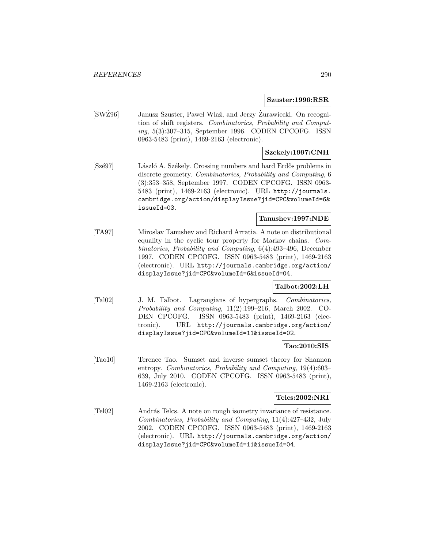#### **Szuster:1996:RSR**

[SWZ96] Janusz Szuster, Paweł Wlaź, and Jerzy Zurawiecki. On recognition of shift registers. Combinatorics, Probability and Computing, 5(3):307–315, September 1996. CODEN CPCOFG. ISSN 0963-5483 (print), 1469-2163 (electronic).

## **Szekely:1997:CNH**

[Szé97] László A. Székely. Crossing numbers and hard Erdős problems in discrete geometry. Combinatorics, Probability and Computing, 6 (3):353–358, September 1997. CODEN CPCOFG. ISSN 0963- 5483 (print), 1469-2163 (electronic). URL http://journals. cambridge.org/action/displayIssue?jid=CPC&volumeId=6& issueId=03.

#### **Tanushev:1997:NDE**

[TA97] Miroslav Tanushev and Richard Arratia. A note on distributional equality in the cyclic tour property for Markov chains. Combinatorics, Probability and Computing, 6(4):493–496, December 1997. CODEN CPCOFG. ISSN 0963-5483 (print), 1469-2163 (electronic). URL http://journals.cambridge.org/action/ displayIssue?jid=CPC&volumeId=6&issueId=04.

## **Talbot:2002:LH**

[Tal02] J. M. Talbot. Lagrangians of hypergraphs. Combinatorics, Probability and Computing, 11(2):199–216, March 2002. CO-DEN CPCOFG. ISSN 0963-5483 (print), 1469-2163 (electronic). URL http://journals.cambridge.org/action/ displayIssue?jid=CPC&volumeId=11&issueId=02.

#### **Tao:2010:SIS**

[Tao10] Terence Tao. Sumset and inverse sumset theory for Shannon entropy. Combinatorics, Probability and Computing, 19(4):603– 639, July 2010. CODEN CPCOFG. ISSN 0963-5483 (print), 1469-2163 (electronic).

#### **Telcs:2002:NRI**

[Tel02] András Telcs. A note on rough isometry invariance of resistance. Combinatorics, Probability and Computing, 11(4):427–432, July 2002. CODEN CPCOFG. ISSN 0963-5483 (print), 1469-2163 (electronic). URL http://journals.cambridge.org/action/ displayIssue?jid=CPC&volumeId=11&issueId=04.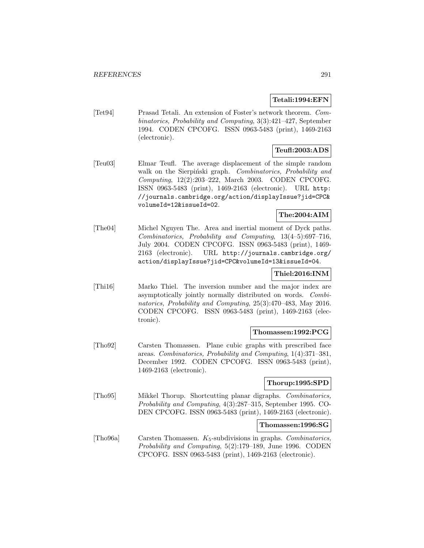## **Tetali:1994:EFN**

[Tet94] Prasad Tetali. An extension of Foster's network theorem. Combinatorics, Probability and Computing, 3(3):421–427, September 1994. CODEN CPCOFG. ISSN 0963-5483 (print), 1469-2163 (electronic).

# **Teufl:2003:ADS**

[Teu03] Elmar Teufl. The average displacement of the simple random walk on the Sierpiński graph. Combinatorics, Probability and Computing, 12(2):203–222, March 2003. CODEN CPCOFG. ISSN 0963-5483 (print), 1469-2163 (electronic). URL http: //journals.cambridge.org/action/displayIssue?jid=CPC& volumeId=12&issueId=02.

## **The:2004:AIM**

[The04] Michel Nguyen The. Area and inertial moment of Dyck paths. Combinatorics, Probability and Computing, 13(4–5):697–716, July 2004. CODEN CPCOFG. ISSN 0963-5483 (print), 1469- 2163 (electronic). URL http://journals.cambridge.org/ action/displayIssue?jid=CPC&volumeId=13&issueId=04.

# **Thiel:2016:INM**

[Thi16] Marko Thiel. The inversion number and the major index are asymptotically jointly normally distributed on words. Combinatorics, Probability and Computing, 25(3):470–483, May 2016. CODEN CPCOFG. ISSN 0963-5483 (print), 1469-2163 (electronic).

## **Thomassen:1992:PCG**

[Tho92] Carsten Thomassen. Plane cubic graphs with prescribed face areas. Combinatorics, Probability and Computing, 1(4):371–381, December 1992. CODEN CPCOFG. ISSN 0963-5483 (print), 1469-2163 (electronic).

## **Thorup:1995:SPD**

[Tho95] Mikkel Thorup. Shortcutting planar digraphs. Combinatorics, Probability and Computing, 4(3):287–315, September 1995. CO-DEN CPCOFG. ISSN 0963-5483 (print), 1469-2163 (electronic).

## **Thomassen:1996:SG**

[Tho96a] Carsten Thomassen. K5-subdivisions in graphs. Combinatorics, Probability and Computing, 5(2):179–189, June 1996. CODEN CPCOFG. ISSN 0963-5483 (print), 1469-2163 (electronic).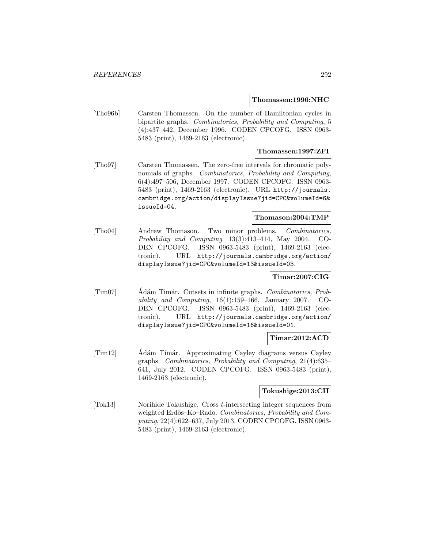### **Thomassen:1996:NHC**

[Tho96b] Carsten Thomassen. On the number of Hamiltonian cycles in bipartite graphs. Combinatorics, Probability and Computing, 5 (4):437–442, December 1996. CODEN CPCOFG. ISSN 0963- 5483 (print), 1469-2163 (electronic).

### **Thomassen:1997:ZFI**

[Tho97] Carsten Thomassen. The zero-free intervals for chromatic polynomials of graphs. *Combinatorics*, *Probability and Computing*, 6(4):497–506, December 1997. CODEN CPCOFG. ISSN 0963- 5483 (print), 1469-2163 (electronic). URL http://journals. cambridge.org/action/displayIssue?jid=CPC&volumeId=6& issueId=04.

## **Thomason:2004:TMP**

[Tho04] Andrew Thomason. Two minor problems. Combinatorics, Probability and Computing, 13(3):413–414, May 2004. CO-DEN CPCOFG. ISSN 0963-5483 (print), 1469-2163 (electronic). URL http://journals.cambridge.org/action/ displayIssue?jid=CPC&volumeId=13&issueId=03.

## **Timar:2007:CIG**

[Tim07] Adám Timár. Cutsets in infinite graphs. Combinatorics, Probability and Computing, 16(1):159–166, January 2007. CO-DEN CPCOFG. ISSN 0963-5483 (print), 1469-2163 (electronic). URL http://journals.cambridge.org/action/ displayIssue?jid=CPC&volumeId=16&issueId=01.

## **Timar:2012:ACD**

[Tim12] Adám Timár. Approximating Cayley diagrams versus Cayley graphs. Combinatorics, Probability and Computing, 21(4):635– 641, July 2012. CODEN CPCOFG. ISSN 0963-5483 (print), 1469-2163 (electronic).

## **Tokushige:2013:CII**

[Tok13] Norihide Tokushige. Cross t-intersecting integer sequences from weighted Erdős–Ko–Rado. Combinatorics, Probability and Computing, 22(4):622–637, July 2013. CODEN CPCOFG. ISSN 0963- 5483 (print), 1469-2163 (electronic).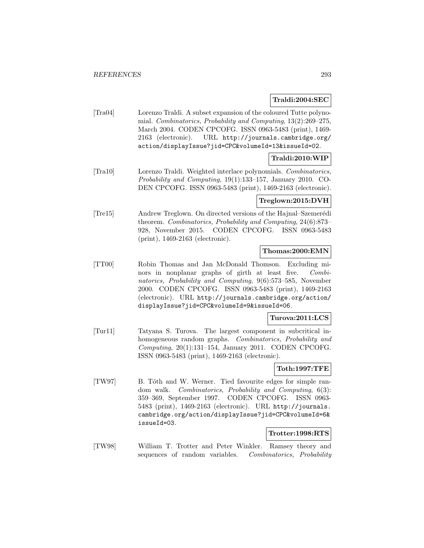## **Traldi:2004:SEC**

[Tra04] Lorenzo Traldi. A subset expansion of the coloured Tutte polynomial. Combinatorics, Probability and Computing, 13(2):269–275, March 2004. CODEN CPCOFG. ISSN 0963-5483 (print), 1469- 2163 (electronic). URL http://journals.cambridge.org/ action/displayIssue?jid=CPC&volumeId=13&issueId=02.

## **Traldi:2010:WIP**

[Tra10] Lorenzo Traldi. Weighted interlace polynomials. Combinatorics, Probability and Computing, 19(1):133–157, January 2010. CO-DEN CPCOFG. ISSN 0963-5483 (print), 1469-2163 (electronic).

## **Treglown:2015:DVH**

[Tre15] Andrew Treglown. On directed versions of the Hajnal–Szemerédi theorem. Combinatorics, Probability and Computing, 24(6):873– 928, November 2015. CODEN CPCOFG. ISSN 0963-5483 (print), 1469-2163 (electronic).

### **Thomas:2000:EMN**

[TT00] Robin Thomas and Jan McDonald Thomson. Excluding minors in nonplanar graphs of girth at least five. Combinatorics, Probability and Computing, 9(6):573–585, November 2000. CODEN CPCOFG. ISSN 0963-5483 (print), 1469-2163 (electronic). URL http://journals.cambridge.org/action/ displayIssue?jid=CPC&volumeId=9&issueId=06.

## **Turova:2011:LCS**

[Tur11] Tatyana S. Turova. The largest component in subcritical inhomogeneous random graphs. Combinatorics, Probability and Computing, 20(1):131–154, January 2011. CODEN CPCOFG. ISSN 0963-5483 (print), 1469-2163 (electronic).

## **Toth:1997:TFE**

[TW97] B. Tóth and W. Werner. Tied favourite edges for simple random walk. Combinatorics, Probability and Computing, 6(3): 359–369, September 1997. CODEN CPCOFG. ISSN 0963- 5483 (print), 1469-2163 (electronic). URL http://journals. cambridge.org/action/displayIssue?jid=CPC&volumeId=6& issueId=03.

## **Trotter:1998:RTS**

[TW98] William T. Trotter and Peter Winkler. Ramsey theory and sequences of random variables. Combinatorics, Probability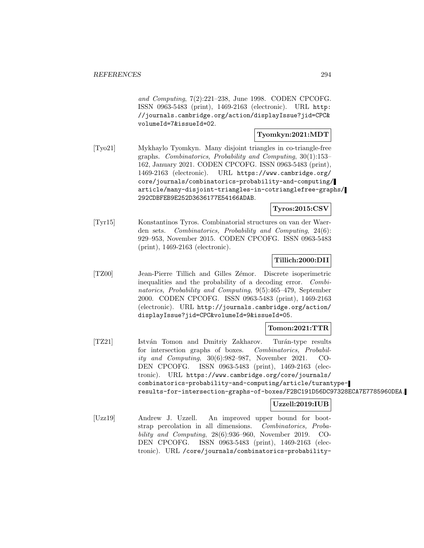and Computing, 7(2):221–238, June 1998. CODEN CPCOFG. ISSN 0963-5483 (print), 1469-2163 (electronic). URL http: //journals.cambridge.org/action/displayIssue?jid=CPC& volumeId=7&issueId=02.

## **Tyomkyn:2021:MDT**

[Tyo21] Mykhaylo Tyomkyn. Many disjoint triangles in co-triangle-free graphs. Combinatorics, Probability and Computing, 30(1):153– 162, January 2021. CODEN CPCOFG. ISSN 0963-5483 (print), 1469-2163 (electronic). URL https://www.cambridge.org/ core/journals/combinatorics-probability-and-computing/ article/many-disjoint-triangles-in-cotrianglefree-graphs/ 292CDBFEB9E252D3636177E54166ADAB.

## **Tyros:2015:CSV**

[Tyr15] Konstantinos Tyros. Combinatorial structures on van der Waerden sets. Combinatorics, Probability and Computing, 24(6): 929–953, November 2015. CODEN CPCOFG. ISSN 0963-5483 (print), 1469-2163 (electronic).

## **Tillich:2000:DII**

[TZ00] Jean-Pierre Tillich and Gilles Zémor. Discrete isoperimetric inequalities and the probability of a decoding error. Combinatorics, Probability and Computing, 9(5):465–479, September 2000. CODEN CPCOFG. ISSN 0963-5483 (print), 1469-2163 (electronic). URL http://journals.cambridge.org/action/ displayIssue?jid=CPC&volumeId=9&issueId=05.

## **Tomon:2021:TTR**

[TZ21] István Tomon and Dmitriy Zakharov. Turán-type results for intersection graphs of boxes. Combinatorics, Probability and Computing, 30(6):982–987, November 2021. CO-DEN CPCOFG. ISSN 0963-5483 (print), 1469-2163 (electronic). URL https://www.cambridge.org/core/journals/ combinatorics-probability-and-computing/article/turantyperesults-for-intersection-graphs-of-boxes/F2BC191D56DC97328ECA7E7785960DEA.

## **Uzzell:2019:IUB**

[Uzz19] Andrew J. Uzzell. An improved upper bound for bootstrap percolation in all dimensions. Combinatorics, Probability and Computing, 28(6):936–960, November 2019. CO-DEN CPCOFG. ISSN 0963-5483 (print), 1469-2163 (electronic). URL /core/journals/combinatorics-probability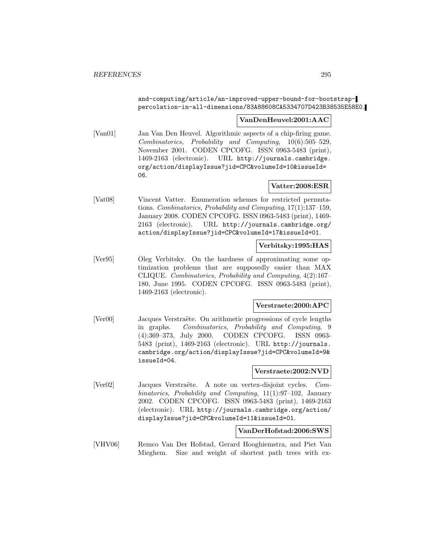and-computing/article/an-improved-upper-bound-for-bootstrappercolation-in-all-dimensions/83A88608CA5334707D423B38535E58E0.

## **VanDenHeuvel:2001:AAC**

[Van01] Jan Van Den Heuvel. Algorithmic aspects of a chip-firing game. Combinatorics, Probability and Computing, 10(6):505–529, November 2001. CODEN CPCOFG. ISSN 0963-5483 (print), 1469-2163 (electronic). URL http://journals.cambridge. org/action/displayIssue?jid=CPC&volumeId=10&issueId= 06.

## **Vatter:2008:ESR**

[Vat08] Vincent Vatter. Enumeration schemes for restricted permutations. Combinatorics, Probability and Computing, 17(1):137–159, January 2008. CODEN CPCOFG. ISSN 0963-5483 (print), 1469- 2163 (electronic). URL http://journals.cambridge.org/ action/displayIssue?jid=CPC&volumeId=17&issueId=01.

#### **Verbitsky:1995:HAS**

[Ver95] Oleg Verbitsky. On the hardness of approximating some optimization problems that are supposedly easier than MAX CLIQUE. Combinatorics, Probability and Computing, 4(2):167– 180, June 1995. CODEN CPCOFG. ISSN 0963-5483 (print), 1469-2163 (electronic).

#### **Verstraete:2000:APC**

[Ver00] Jacques Verstraëte. On arithmetic progressions of cycle lengths in graphs. Combinatorics, Probability and Computing, 9 (4):369–373, July 2000. CODEN CPCOFG. ISSN 0963- 5483 (print), 1469-2163 (electronic). URL http://journals. cambridge.org/action/displayIssue?jid=CPC&volumeId=9& issueId=04.

#### **Verstraete:2002:NVD**

[Ver02] Jacques Verstraëte. A note on vertex-disjoint cycles. Combinatorics, Probability and Computing, 11(1):97–102, January 2002. CODEN CPCOFG. ISSN 0963-5483 (print), 1469-2163 (electronic). URL http://journals.cambridge.org/action/ displayIssue?jid=CPC&volumeId=11&issueId=01.

## **VanDerHofstad:2006:SWS**

[VHV06] Remco Van Der Hofstad, Gerard Hooghiemstra, and Piet Van Mieghem. Size and weight of shortest path trees with ex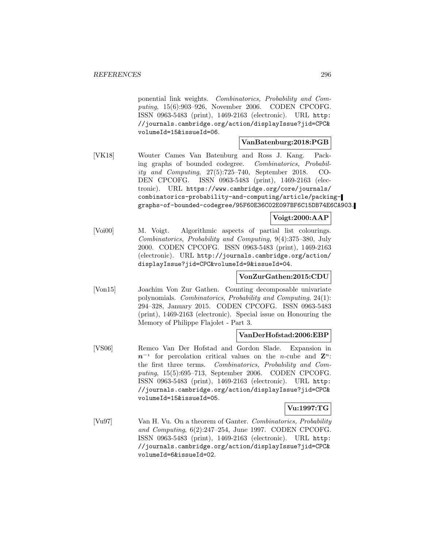ponential link weights. Combinatorics, Probability and Computing, 15(6):903–926, November 2006. CODEN CPCOFG. ISSN 0963-5483 (print), 1469-2163 (electronic). URL http: //journals.cambridge.org/action/displayIssue?jid=CPC& volumeId=15&issueId=06.

## **VanBatenburg:2018:PGB**

[VK18] Wouter Cames Van Batenburg and Ross J. Kang. Packing graphs of bounded codegree. Combinatorics, Probability and Computing, 27(5):725–740, September 2018. CO-DEN CPCOFG. ISSN 0963-5483 (print), 1469-2163 (electronic). URL https://www.cambridge.org/core/journals/ combinatorics-probability-and-computing/article/packinggraphs-of-bounded-codegree/95F60E36C02E097BF6C15DB74E6CA903.

## **Voigt:2000:AAP**

[Voi00] M. Voigt. Algorithmic aspects of partial list colourings. Combinatorics, Probability and Computing, 9(4):375–380, July 2000. CODEN CPCOFG. ISSN 0963-5483 (print), 1469-2163 (electronic). URL http://journals.cambridge.org/action/ displayIssue?jid=CPC&volumeId=9&issueId=04.

## **VonZurGathen:2015:CDU**

[Von15] Joachim Von Zur Gathen. Counting decomposable univariate polynomials. Combinatorics, Probability and Computing, 24(1): 294–328, January 2015. CODEN CPCOFG. ISSN 0963-5483 (print), 1469-2163 (electronic). Special issue on Honouring the Memory of Philippe Flajolet - Part 3.

## **VanDerHofstad:2006:EBP**

[VS06] Remco Van Der Hofstad and Gordon Slade. Expansion in  $n^{-1}$  for percolation critical values on the n-cube and  $\mathbf{Z}^n$ . the first three terms. Combinatorics, Probability and Computing, 15(5):695–713, September 2006. CODEN CPCOFG. ISSN 0963-5483 (print), 1469-2163 (electronic). URL http: //journals.cambridge.org/action/displayIssue?jid=CPC& volumeId=15&issueId=05.

## **Vu:1997:TG**

[Vu97] Van H. Vu. On a theorem of Ganter. Combinatorics, Probability and Computing, 6(2):247–254, June 1997. CODEN CPCOFG. ISSN 0963-5483 (print), 1469-2163 (electronic). URL http: //journals.cambridge.org/action/displayIssue?jid=CPC& volumeId=6&issueId=02.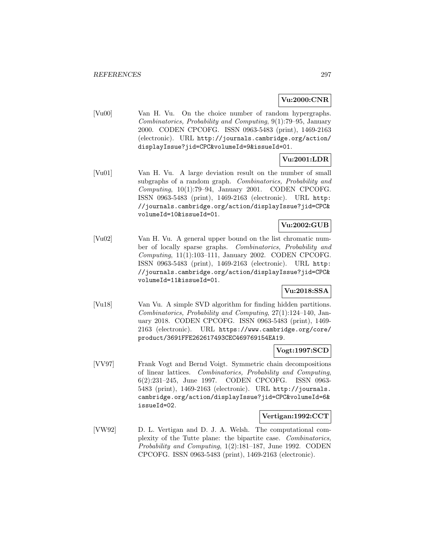## **Vu:2000:CNR**

[Vu00] Van H. Vu. On the choice number of random hypergraphs. Combinatorics, Probability and Computing, 9(1):79–95, January 2000. CODEN CPCOFG. ISSN 0963-5483 (print), 1469-2163 (electronic). URL http://journals.cambridge.org/action/ displayIssue?jid=CPC&volumeId=9&issueId=01.

# **Vu:2001:LDR**

[Vu01] Van H. Vu. A large deviation result on the number of small subgraphs of a random graph. Combinatorics, Probability and Computing,  $10(1)$ :79–94, January 2001. CODEN CPCOFG. ISSN 0963-5483 (print), 1469-2163 (electronic). URL http: //journals.cambridge.org/action/displayIssue?jid=CPC& volumeId=10&issueId=01.

# **Vu:2002:GUB**

[Vu02] Van H. Vu. A general upper bound on the list chromatic number of locally sparse graphs. Combinatorics, Probability and Computing, 11(1):103–111, January 2002. CODEN CPCOFG. ISSN 0963-5483 (print), 1469-2163 (electronic). URL http: //journals.cambridge.org/action/displayIssue?jid=CPC& volumeId=11&issueId=01.

## **Vu:2018:SSA**

[Vu18] Van Vu. A simple SVD algorithm for finding hidden partitions. Combinatorics, Probability and Computing, 27(1):124–140, January 2018. CODEN CPCOFG. ISSN 0963-5483 (print), 1469- 2163 (electronic). URL https://www.cambridge.org/core/ product/3691FFE262617493CEC469769154EA19.

## **Vogt:1997:SCD**

[VV97] Frank Vogt and Bernd Voigt. Symmetric chain decompositions of linear lattices. Combinatorics, Probability and Computing, 6(2):231–245, June 1997. CODEN CPCOFG. ISSN 0963- 5483 (print), 1469-2163 (electronic). URL http://journals. cambridge.org/action/displayIssue?jid=CPC&volumeId=6& issueId=02.

#### **Vertigan:1992:CCT**

[VW92] D. L. Vertigan and D. J. A. Welsh. The computational complexity of the Tutte plane: the bipartite case. Combinatorics, Probability and Computing, 1(2):181–187, June 1992. CODEN CPCOFG. ISSN 0963-5483 (print), 1469-2163 (electronic).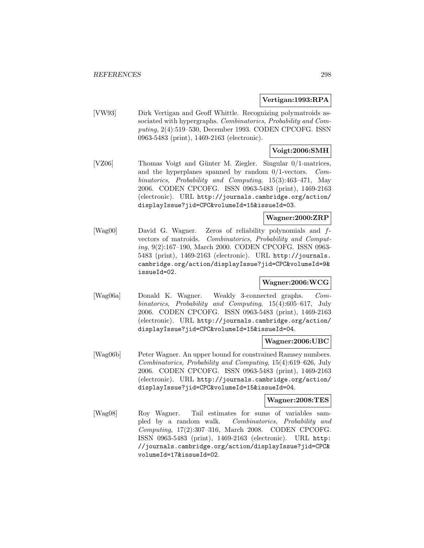## **Vertigan:1993:RPA**

[VW93] Dirk Vertigan and Geoff Whittle. Recognizing polymatroids associated with hypergraphs. Combinatorics, Probability and Computing, 2(4):519–530, December 1993. CODEN CPCOFG. ISSN 0963-5483 (print), 1469-2163 (electronic).

## **Voigt:2006:SMH**

[VZ06] Thomas Voigt and Günter M. Ziegler. Singular 0/1-matrices, and the hyperplanes spanned by random 0/1-vectors. Combinatorics, Probability and Computing, 15(3):463–471, May 2006. CODEN CPCOFG. ISSN 0963-5483 (print), 1469-2163 (electronic). URL http://journals.cambridge.org/action/ displayIssue?jid=CPC&volumeId=15&issueId=03.

## **Wagner:2000:ZRP**

[Wag00] David G. Wagner. Zeros of reliability polynomials and fvectors of matroids. Combinatorics, Probability and Computing, 9(2):167–190, March 2000. CODEN CPCOFG. ISSN 0963- 5483 (print), 1469-2163 (electronic). URL http://journals. cambridge.org/action/displayIssue?jid=CPC&volumeId=9& issueId=02.

## **Wagner:2006:WCG**

[Wag06a] Donald K. Wagner. Weakly 3-connected graphs. Combinatorics, Probability and Computing, 15(4):605–617, July 2006. CODEN CPCOFG. ISSN 0963-5483 (print), 1469-2163 (electronic). URL http://journals.cambridge.org/action/ displayIssue?jid=CPC&volumeId=15&issueId=04.

## **Wagner:2006:UBC**

[Wag06b] Peter Wagner. An upper bound for constrained Ramsey numbers. Combinatorics, Probability and Computing, 15(4):619–626, July 2006. CODEN CPCOFG. ISSN 0963-5483 (print), 1469-2163 (electronic). URL http://journals.cambridge.org/action/ displayIssue?jid=CPC&volumeId=15&issueId=04.

## **Wagner:2008:TES**

[Wag08] Roy Wagner. Tail estimates for sums of variables sampled by a random walk. Combinatorics, Probability and Computing, 17(2):307–316, March 2008. CODEN CPCOFG. ISSN 0963-5483 (print), 1469-2163 (electronic). URL http: //journals.cambridge.org/action/displayIssue?jid=CPC& volumeId=17&issueId=02.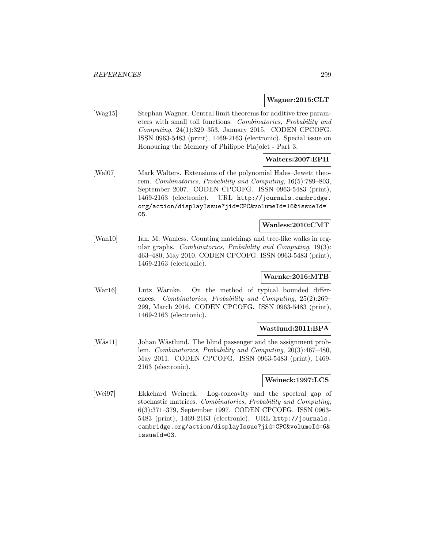#### **Wagner:2015:CLT**

[Wag15] Stephan Wagner. Central limit theorems for additive tree parameters with small toll functions. Combinatorics, Probability and Computing, 24(1):329–353, January 2015. CODEN CPCOFG. ISSN 0963-5483 (print), 1469-2163 (electronic). Special issue on Honouring the Memory of Philippe Flajolet - Part 3.

## **Walters:2007:EPH**

[Wal07] Mark Walters. Extensions of the polynomial Hales–Jewett theorem. Combinatorics, Probability and Computing, 16(5):789–803, September 2007. CODEN CPCOFG. ISSN 0963-5483 (print), 1469-2163 (electronic). URL http://journals.cambridge. org/action/displayIssue?jid=CPC&volumeId=16&issueId= 05.

## **Wanless:2010:CMT**

[Wan10] Ian. M. Wanless. Counting matchings and tree-like walks in regular graphs. Combinatorics, Probability and Computing, 19(3): 463–480, May 2010. CODEN CPCOFG. ISSN 0963-5483 (print), 1469-2163 (electronic).

## **Warnke:2016:MTB**

[War16] Lutz Warnke. On the method of typical bounded differences. Combinatorics, Probability and Computing, 25(2):269– 299, March 2016. CODEN CPCOFG. ISSN 0963-5483 (print), 1469-2163 (electronic).

## **Wastlund:2011:BPA**

[Wäs11] Johan Wästlund. The blind passenger and the assignment problem. Combinatorics, Probability and Computing, 20(3):467–480, May 2011. CODEN CPCOFG. ISSN 0963-5483 (print), 1469- 2163 (electronic).

## **Weineck:1997:LCS**

[Wei97] Ekkehard Weineck. Log-concavity and the spectral gap of stochastic matrices. Combinatorics, Probability and Computing, 6(3):371–379, September 1997. CODEN CPCOFG. ISSN 0963- 5483 (print), 1469-2163 (electronic). URL http://journals. cambridge.org/action/displayIssue?jid=CPC&volumeId=6& issueId=03.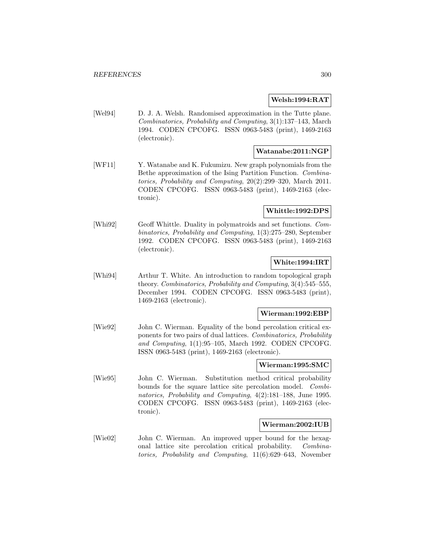## **Welsh:1994:RAT**

[Wel94] D. J. A. Welsh. Randomised approximation in the Tutte plane. Combinatorics, Probability and Computing, 3(1):137–143, March 1994. CODEN CPCOFG. ISSN 0963-5483 (print), 1469-2163 (electronic).

## **Watanabe:2011:NGP**

[WF11] Y. Watanabe and K. Fukumizu. New graph polynomials from the Bethe approximation of the Ising Partition Function. Combinatorics, Probability and Computing, 20(2):299–320, March 2011. CODEN CPCOFG. ISSN 0963-5483 (print), 1469-2163 (electronic).

## **Whittle:1992:DPS**

[Whi92] Geoff Whittle. Duality in polymatroids and set functions. Combinatorics, Probability and Computing, 1(3):275–280, September 1992. CODEN CPCOFG. ISSN 0963-5483 (print), 1469-2163 (electronic).

## **White:1994:IRT**

[Whi94] Arthur T. White. An introduction to random topological graph theory. Combinatorics, Probability and Computing, 3(4):545–555, December 1994. CODEN CPCOFG. ISSN 0963-5483 (print), 1469-2163 (electronic).

## **Wierman:1992:EBP**

[Wie92] John C. Wierman. Equality of the bond percolation critical exponents for two pairs of dual lattices. Combinatorics, Probability and Computing, 1(1):95–105, March 1992. CODEN CPCOFG. ISSN 0963-5483 (print), 1469-2163 (electronic).

## **Wierman:1995:SMC**

[Wie95] John C. Wierman. Substitution method critical probability bounds for the square lattice site percolation model. Combinatorics, Probability and Computing, 4(2):181–188, June 1995. CODEN CPCOFG. ISSN 0963-5483 (print), 1469-2163 (electronic).

## **Wierman:2002:IUB**

[Wie02] John C. Wierman. An improved upper bound for the hexagonal lattice site percolation critical probability. Combinatorics, Probability and Computing, 11(6):629–643, November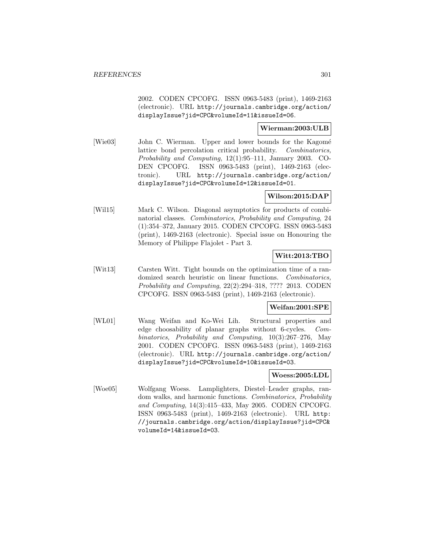2002. CODEN CPCOFG. ISSN 0963-5483 (print), 1469-2163 (electronic). URL http://journals.cambridge.org/action/ displayIssue?jid=CPC&volumeId=11&issueId=06.

## **Wierman:2003:ULB**

[Wie03] John C. Wierman. Upper and lower bounds for the Kagomé lattice bond percolation critical probability. Combinatorics, Probability and Computing, 12(1):95–111, January 2003. CO-DEN CPCOFG. ISSN 0963-5483 (print), 1469-2163 (electronic). URL http://journals.cambridge.org/action/ displayIssue?jid=CPC&volumeId=12&issueId=01.

## **Wilson:2015:DAP**

[Wil15] Mark C. Wilson. Diagonal asymptotics for products of combinatorial classes. Combinatorics, Probability and Computing, 24 (1):354–372, January 2015. CODEN CPCOFG. ISSN 0963-5483 (print), 1469-2163 (electronic). Special issue on Honouring the Memory of Philippe Flajolet - Part 3.

## **Witt:2013:TBO**

[Wit13] Carsten Witt. Tight bounds on the optimization time of a randomized search heuristic on linear functions. Combinatorics, Probability and Computing, 22(2):294–318, ???? 2013. CODEN CPCOFG. ISSN 0963-5483 (print), 1469-2163 (electronic).

## **Weifan:2001:SPE**

[WL01] Wang Weifan and Ko-Wei Lih. Structural properties and edge choosability of planar graphs without 6-cycles. Combinatorics, Probability and Computing, 10(3):267–276, May 2001. CODEN CPCOFG. ISSN 0963-5483 (print), 1469-2163 (electronic). URL http://journals.cambridge.org/action/ displayIssue?jid=CPC&volumeId=10&issueId=03.

# **Woess:2005:LDL**

[Woe05] Wolfgang Woess. Lamplighters, Diestel–Leader graphs, random walks, and harmonic functions. Combinatorics, Probability and Computing, 14(3):415–433, May 2005. CODEN CPCOFG. ISSN 0963-5483 (print), 1469-2163 (electronic). URL http: //journals.cambridge.org/action/displayIssue?jid=CPC& volumeId=14&issueId=03.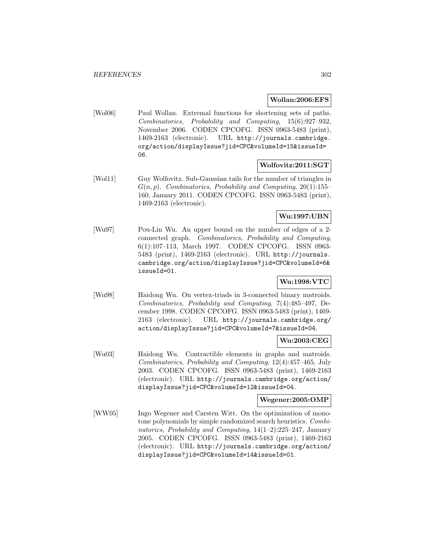### **Wollan:2006:EFS**

[Wol06] Paul Wollan. Extremal functions for shortening sets of paths. Combinatorics, Probability and Computing, 15(6):927–932, November 2006. CODEN CPCOFG. ISSN 0963-5483 (print), 1469-2163 (electronic). URL http://journals.cambridge. org/action/displayIssue?jid=CPC&volumeId=15&issueId= 06.

## **Wolfovitz:2011:SGT**

[Wol11] Guy Wolfovitz. Sub-Gaussian tails for the number of triangles in  $G(n, p)$ . Combinatorics, Probability and Computing, 20(1):155– 160, January 2011. CODEN CPCOFG. ISSN 0963-5483 (print), 1469-2163 (electronic).

# **Wu:1997:UBN**

[Wu97] Pou-Lin Wu. An upper bound on the number of edges of a 2 connected graph. Combinatorics, Probability and Computing, 6(1):107–113, March 1997. CODEN CPCOFG. ISSN 0963- 5483 (print), 1469-2163 (electronic). URL http://journals. cambridge.org/action/displayIssue?jid=CPC&volumeId=6& issueId=01.

## **Wu:1998:VTC**

[Wu98] Haidong Wu. On vertex-triads in 3-connected binary matroids. Combinatorics, Probability and Computing, 7(4):485–497, December 1998. CODEN CPCOFG. ISSN 0963-5483 (print), 1469- 2163 (electronic). URL http://journals.cambridge.org/ action/displayIssue?jid=CPC&volumeId=7&issueId=04.

## **Wu:2003:CEG**

[Wu03] Haidong Wu. Contractible elements in graphs and matroids. Combinatorics, Probability and Computing, 12(4):457–465, July 2003. CODEN CPCOFG. ISSN 0963-5483 (print), 1469-2163 (electronic). URL http://journals.cambridge.org/action/ displayIssue?jid=CPC&volumeId=12&issueId=04.

#### **Wegener:2005:OMP**

[WW05] Ingo Wegener and Carsten Witt. On the optimization of monotone polynomials by simple randomized search heuristics. Combinatorics, Probability and Computing,  $14(1-2):225-247$ , January 2005. CODEN CPCOFG. ISSN 0963-5483 (print), 1469-2163 (electronic). URL http://journals.cambridge.org/action/ displayIssue?jid=CPC&volumeId=14&issueId=01.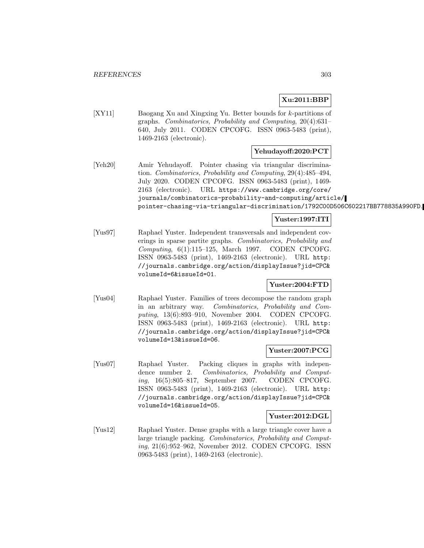# **Xu:2011:BBP**

[XY11] Baogang Xu and Xingxing Yu. Better bounds for k-partitions of graphs. Combinatorics, Probability and Computing, 20(4):631– 640, July 2011. CODEN CPCOFG. ISSN 0963-5483 (print), 1469-2163 (electronic).

## **Yehudayoff:2020:PCT**

[Yeh20] Amir Yehudayoff. Pointer chasing via triangular discrimination. Combinatorics, Probability and Computing, 29(4):485–494, July 2020. CODEN CPCOFG. ISSN 0963-5483 (print), 1469- 2163 (electronic). URL https://www.cambridge.org/core/ journals/combinatorics-probability-and-computing/article/ pointer-chasing-via-triangular-discrimination/1792C00D506C602217BB778835A990FD.

## **Yuster:1997:ITI**

[Yus97] Raphael Yuster. Independent transversals and independent coverings in sparse partite graphs. Combinatorics, Probability and Computing, 6(1):115–125, March 1997. CODEN CPCOFG. ISSN 0963-5483 (print), 1469-2163 (electronic). URL http: //journals.cambridge.org/action/displayIssue?jid=CPC& volumeId=6&issueId=01.

## **Yuster:2004:FTD**

[Yus04] Raphael Yuster. Families of trees decompose the random graph in an arbitrary way. Combinatorics, Probability and Computing, 13(6):893–910, November 2004. CODEN CPCOFG. ISSN 0963-5483 (print), 1469-2163 (electronic). URL http: //journals.cambridge.org/action/displayIssue?jid=CPC& volumeId=13&issueId=06.

#### **Yuster:2007:PCG**

[Yus07] Raphael Yuster. Packing cliques in graphs with independence number 2. Combinatorics, Probability and Computing, 16(5):805–817, September 2007. CODEN CPCOFG. ISSN 0963-5483 (print), 1469-2163 (electronic). URL http: //journals.cambridge.org/action/displayIssue?jid=CPC& volumeId=16&issueId=05.

#### **Yuster:2012:DGL**

[Yus12] Raphael Yuster. Dense graphs with a large triangle cover have a large triangle packing. Combinatorics, Probability and Computing, 21(6):952–962, November 2012. CODEN CPCOFG. ISSN 0963-5483 (print), 1469-2163 (electronic).